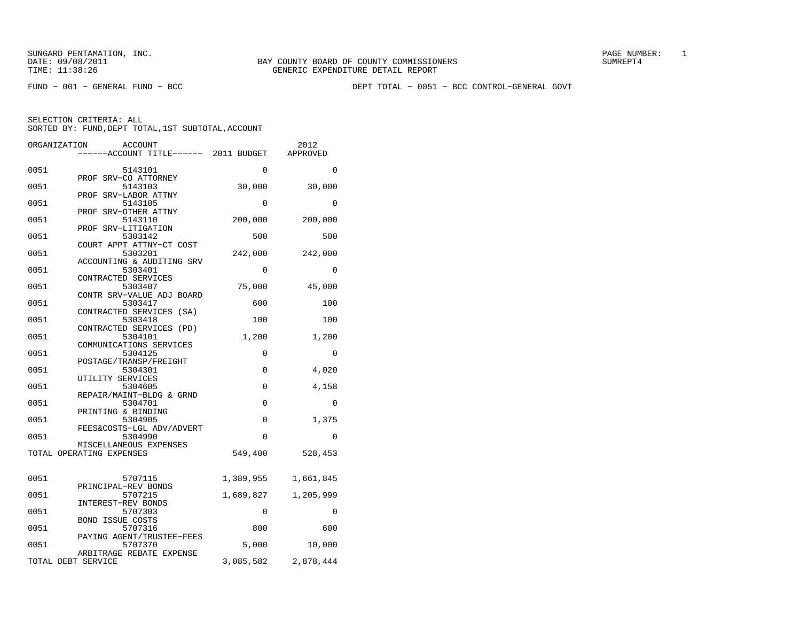FUND − 001 − GENERAL FUND − BCC DEPT TOTAL − 0051 − BCC CONTROL−GENERAL GOVT

|      | ORGANIZATION<br><b>ACCOUNT</b>                                   |             | 2012      |
|------|------------------------------------------------------------------|-------------|-----------|
|      | -----ACCOUNT TITLE------ 2011 BUDGET                             |             | APPROVED  |
| 0051 | 5143101                                                          | $\Omega$    | $\Omega$  |
| 0051 | PROF SRV-CO ATTORNEY<br>5143103                                  | 30,000      | 30,000    |
| 0051 | PROF SRV-LABOR ATTNY<br>5143105                                  | 0           | 0         |
| 0051 | PROF SRV-OTHER ATTNY<br>5143110<br>PROF SRV-LITIGATION           | 200,000     | 200,000   |
| 0051 | 5303142<br>COURT APPT ATTNY-CT COST                              | 500         | 500       |
| 0051 | 5303201<br>ACCOUNTING & AUDITING SRV                             | 242,000     | 242,000   |
| 0051 | 5303401<br>CONTRACTED SERVICES                                   | 0           | 0         |
| 0051 | 5303407<br>CONTR SRV-VALUE ADJ BOARD                             | 75,000      | 45,000    |
| 0051 | 5303417<br>CONTRACTED SERVICES (SA)                              | 600         | 100       |
| 0051 | 5303418<br>CONTRACTED SERVICES (PD)                              | 100         | 100       |
| 0051 | 5304101<br>COMMUNICATIONS SERVICES                               | 1,200       | 1,200     |
| 0051 | 5304125<br>POSTAGE/TRANSP/FREIGHT                                | 0           | $\Omega$  |
| 0051 | 5304301<br>UTILITY SERVICES                                      | 0           | 4,020     |
| 0051 | 5304605<br>REPAIR/MAINT-BLDG & GRND                              | 0           | 4,158     |
| 0051 | 5304701<br>PRINTING & BINDING                                    | $\mathbf 0$ | 0         |
| 0051 | 5304905<br>FEES&COSTS-LGL ADV/ADVERT                             | 0           | 1,375     |
| 0051 | 5304990<br>MISCELLANEOUS EXPENSES                                | 0           | 0         |
|      | TOTAL OPERATING EXPENSES                                         | 549,400     | 528,453   |
| 0051 | 5707115                                                          | 1,389,955   | 1,661,845 |
| 0051 | PRINCIPAL-REV BONDS<br>5707215                                   | 1,689,827   | 1,205,999 |
| 0051 | INTEREST-REV BONDS<br>5707303                                    | $\Omega$    | 0         |
| 0051 | <b>BOND ISSUE COSTS</b><br>5707316                               | 800         | 600       |
| 0051 | PAYING AGENT/TRUSTEE-FEES<br>5707370<br>ARBITRAGE REBATE EXPENSE | 5,000       | 10,000    |
|      | TOTAL DEBT SERVICE                                               | 3,085,582   | 2,878,444 |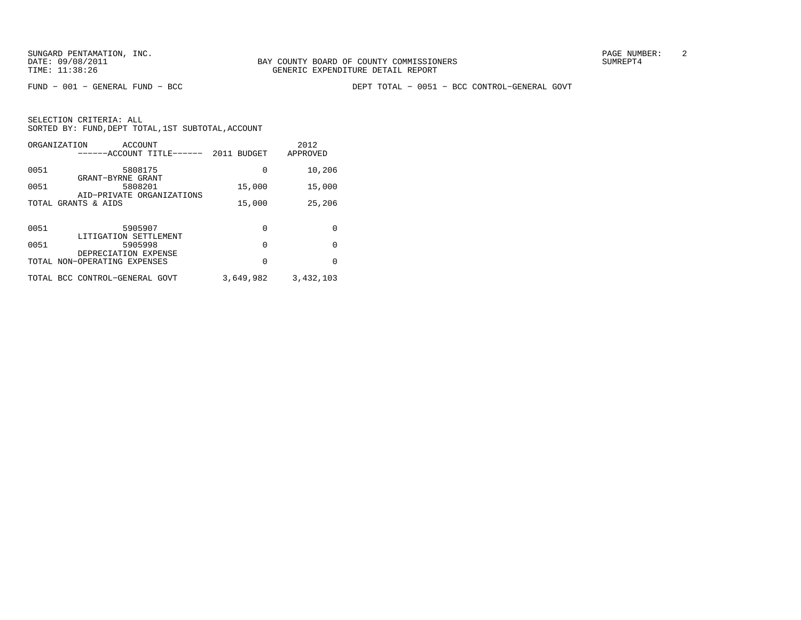FUND − 001 − GENERAL FUND − BCC DEPT TOTAL − 0051 − BCC CONTROL−GENERAL GOVT

|       | ORGANIZATION<br>ACCOUNT<br>------ACCOUNT TITLE------ | 2011 BUDGET | 2012<br>APPROVED |
|-------|------------------------------------------------------|-------------|------------------|
| 0051  | 5808175<br>GRANT-BYRNE GRANT                         | 0           | 10,206           |
| 0051  | 5808201<br>AID-PRIVATE ORGANIZATIONS                 | 15,000      | 15,000           |
| TOTAL | GRANTS & AIDS                                        | 15,000      | 25,206           |
| 0051  | 5905907                                              | 0           | 0                |
|       | LITIGATION SETTLEMENT                                |             |                  |
| 0051  | 5905998<br>DEPRECIATION EXPENSE                      | 0           | $\Omega$         |
|       | TOTAL NON-OPERATING EXPENSES                         | 0           | $\Omega$         |
|       | TOTAL BCC CONTROL-GENERAL GOVT                       | 3,649,982   | 3,432,103        |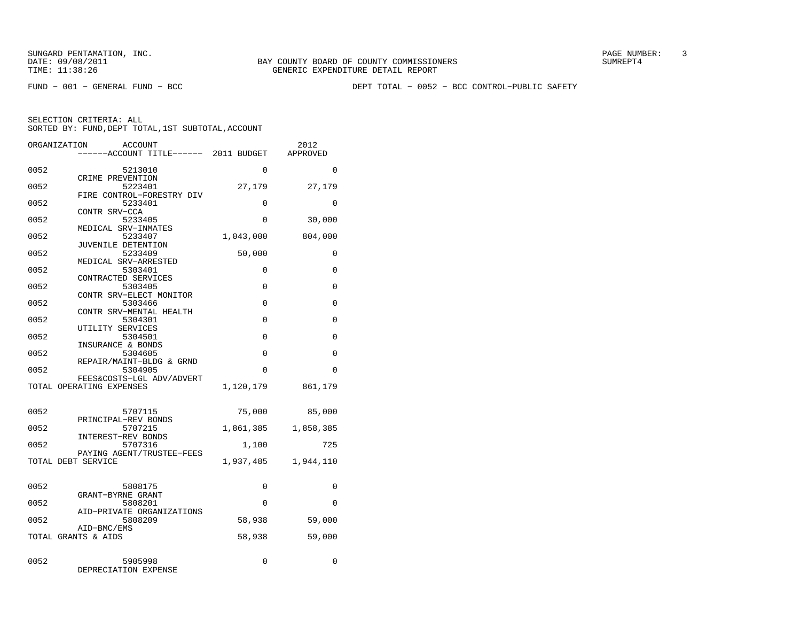FUND − 001 − GENERAL FUND − BCC DEPT TOTAL − 0052 − BCC CONTROL−PUBLIC SAFETY

|      | ORGANIZATION<br><b>ACCOUNT</b><br>-----ACCOUNT TITLE------ 2011 BUDGET |           | 2012<br>APPROVED |
|------|------------------------------------------------------------------------|-----------|------------------|
| 0052 | 5213010                                                                | $\Omega$  | $\Omega$         |
| 0052 | CRIME PREVENTION<br>5223401                                            | 27,179    | 27,179           |
| 0052 | FIRE CONTROL-FORESTRY DIV<br>5233401                                   | $\Omega$  | $\Omega$         |
| 0052 | CONTR SRV-CCA<br>5233405                                               | 0         | 30,000           |
| 0052 | MEDICAL SRV-INMATES<br>5233407                                         | 1,043,000 | 804,000          |
| 0052 | JUVENILE DETENTION<br>5233409                                          | 50,000    | 0                |
| 0052 | MEDICAL SRV-ARRESTED<br>5303401                                        | 0         | $\Omega$         |
| 0052 | CONTRACTED SERVICES<br>5303405                                         | 0         | 0                |
| 0052 | CONTR SRV-ELECT MONITOR<br>5303466                                     | $\Omega$  | 0                |
| 0052 | CONTR SRV-MENTAL HEALTH<br>5304301                                     | $\Omega$  | 0                |
| 0052 | UTILITY SERVICES<br>5304501                                            | 0         | 0                |
| 0052 | INSURANCE & BONDS<br>5304605                                           | $\Omega$  | $\Omega$         |
| 0052 | REPAIR/MAINT-BLDG & GRND<br>5304905                                    | 0         | 0                |
|      | FEES&COSTS-LGL ADV/ADVERT<br>TOTAL OPERATING EXPENSES                  | 1,120,179 | 861,179          |
| 0052 | 5707115                                                                | 75,000    | 85,000           |
| 0052 | PRINCIPAL-REV BONDS<br>5707215                                         | 1,861,385 | 1,858,385        |
| 0052 | INTEREST-REV BONDS<br>5707316                                          | 1,100     | 725              |
|      | PAYING AGENT/TRUSTEE-FEES<br>TOTAL DEBT SERVICE                        | 1,937,485 | 1,944,110        |
|      |                                                                        |           |                  |
| 0052 | 5808175<br>GRANT-BYRNE GRANT                                           | 0         | 0                |
| 0052 | 5808201<br>AID-PRIVATE ORGANIZATIONS                                   | $\Omega$  | $\Omega$         |
| 0052 | 5808209<br>AID-BMC/EMS                                                 | 58,938    | 59,000           |
|      | TOTAL GRANTS & AIDS                                                    | 58,938    | 59,000           |
| 0052 | 5905998<br>DEPRECIATION EXPENSE                                        | 0         | 0                |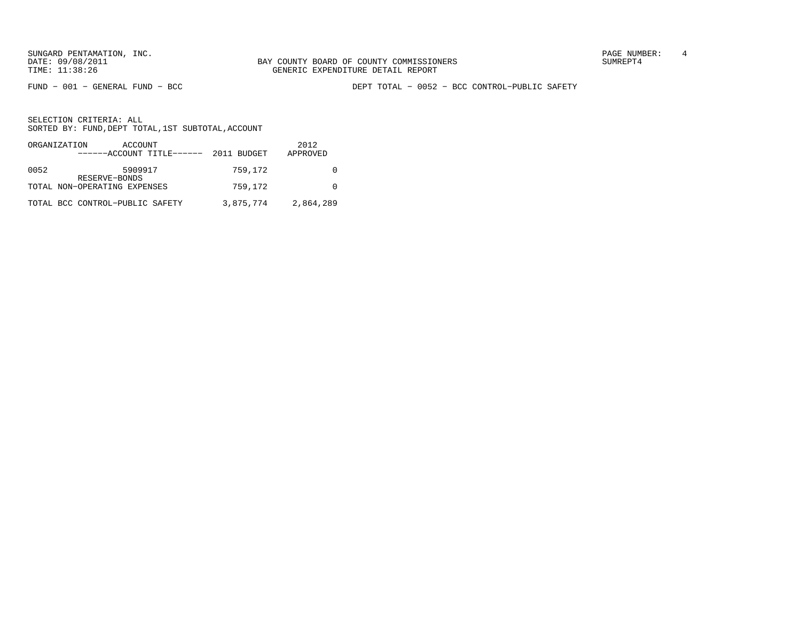SUNGARD PENTAMATION, INC.<br>
BAY COUNTY BOARD OF COUNTY COMMISSIONERS AND SUNREPT4 SUMREPT4

FUND − 001 − GENERAL FUND − BCC DEPT TOTAL − 0052 − BCC CONTROL−PUBLIC SAFETY

|      | ORGANIZATION<br>ACCOUNT<br>$----ACCOUNT$ TITLE $--- 2011$ BUDGET |           | 2012<br>APPROVED |
|------|------------------------------------------------------------------|-----------|------------------|
| 0052 | 5909917<br>RESERVE-BONDS                                         | 759,172   |                  |
|      | TOTAL NON-OPERATING EXPENSES                                     | 759,172   |                  |
|      | TOTAL BCC CONTROL-PUBLIC SAFETY                                  | 3,875,774 | 2,864,289        |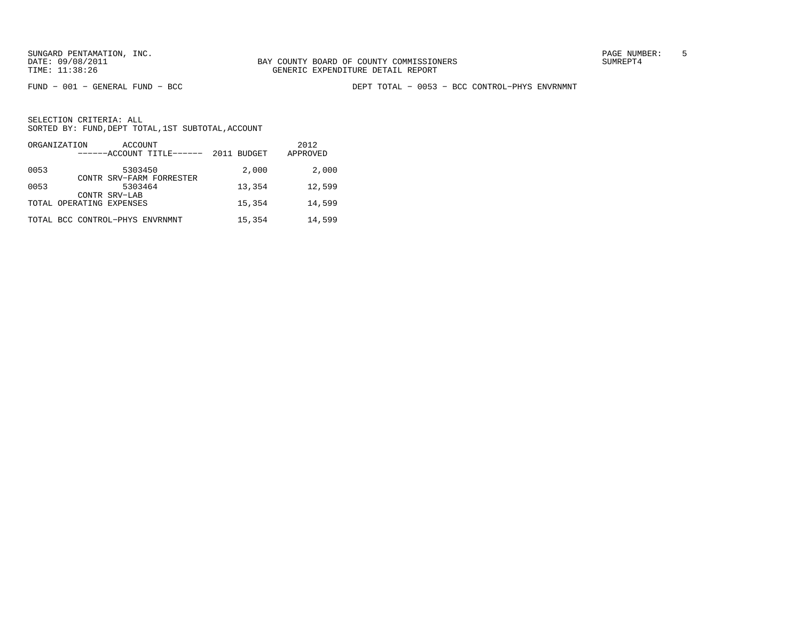FUND − 001 − GENERAL FUND − BCC DEPT TOTAL − 0053 − BCC CONTROL−PHYS ENVRNMNT

| ORGANIZATION<br>ACCOUNT<br>------ACCOUNT TITLE------ | 2011 BUDGET | 2012<br>APPROVED |
|------------------------------------------------------|-------------|------------------|
| 0053<br>5303450                                      | 2,000       | 2,000            |
| CONTR SRV-FARM FORRESTER<br>0053<br>5303464          | 13,354      | 12,599           |
| CONTR SRV-LAB<br>TOTAL OPERATING EXPENSES            | 15,354      | 14,599           |
| TOTAL BCC CONTROL-PHYS ENVRNMNT                      | 15,354      | 14,599           |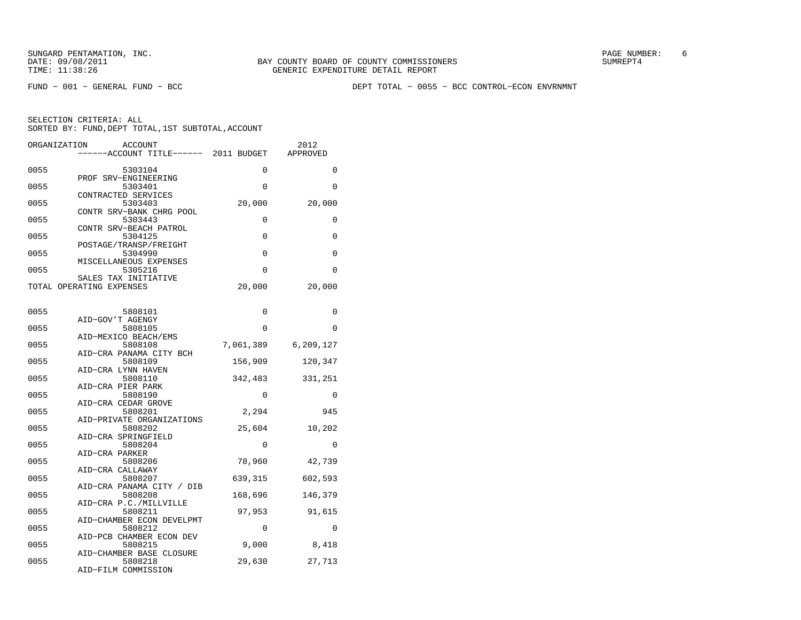FUND − 001 − GENERAL FUND − BCC DEPT TOTAL − 0055 − BCC CONTROL−ECON ENVRNMNT

| ORGANIZATION<br><b>ACCOUNT</b>                   |             | 2012        |
|--------------------------------------------------|-------------|-------------|
| ------ACCOUNT TITLE------ 2011 BUDGET            |             | APPROVED    |
|                                                  |             |             |
| 0055<br>5303104                                  | 0           | 0           |
| PROF SRV-ENGINEERING<br>0055<br>5303401          | 0           | 0           |
| CONTRACTED SERVICES                              |             |             |
| 0055<br>5303403                                  | 20,000      | 20,000      |
| CONTR SRV-BANK CHRG POOL                         |             |             |
| 0055<br>5303443                                  | 0           | 0           |
| CONTR SRV-BEACH PATROL                           |             |             |
| 0055<br>5304125                                  | $\Omega$    | $\Omega$    |
| POSTAGE/TRANSP/FREIGHT                           |             |             |
| 0055<br>5304990                                  | 0           | 0           |
| MISCELLANEOUS EXPENSES                           |             |             |
| 0055<br>5305216                                  | 0           | $\mathbf 0$ |
| SALES TAX INITIATIVE<br>TOTAL OPERATING EXPENSES | 20,000      | 20,000      |
|                                                  |             |             |
|                                                  |             |             |
| 0055<br>5808101                                  | 0           | 0           |
| AID-GOV'T AGENGY                                 |             |             |
| 0055<br>5808105                                  | 0           | $\Omega$    |
| AID-MEXICO BEACH/EMS                             |             |             |
| 5808108<br>0055                                  | 7,061,389   | 6,209,127   |
| AID-CRA PANAMA CITY BCH                          |             |             |
| 0055<br>5808109                                  | 156,909     | 120,347     |
| AID-CRA LYNN HAVEN                               |             |             |
| 0055<br>5808110                                  | 342,483     | 331,251     |
| AID-CRA PIER PARK<br>0055<br>5808190             | $\mathbf 0$ | 0           |
| AID-CRA CEDAR GROVE                              |             |             |
| 0055<br>5808201                                  | 2,294       | 945         |
| AID-PRIVATE ORGANIZATIONS                        |             |             |
| 0055<br>5808202                                  | 25,604      | 10,202      |
| AID-CRA SPRINGFIELD                              |             |             |
| 0055<br>5808204                                  | 0           | $\Omega$    |
| AID-CRA PARKER                                   |             |             |
| 0055<br>5808206                                  | 78,960      | 42,739      |
| AID-CRA CALLAWAY<br>0055<br>5808207              | 639,315     | 602,593     |
| AID-CRA PANAMA CITY / DIB                        |             |             |
| 0055<br>5808208                                  | 168,696     | 146,379     |
| AID-CRA P.C./MILLVILLE                           |             |             |
| 0055<br>5808211                                  | 97,953      | 91,615      |
| AID-CHAMBER ECON DEVELPMT                        |             |             |
| 0055<br>5808212                                  | $\Omega$    | $\Omega$    |
| AID-PCB CHAMBER ECON DEV                         |             |             |
| 0055<br>5808215                                  | 9,000       | 8,418       |
| AID-CHAMBER BASE CLOSURE                         |             |             |
| 0055<br>5808218<br>AID-FILM COMMISSION           | 29,630      | 27,713      |
|                                                  |             |             |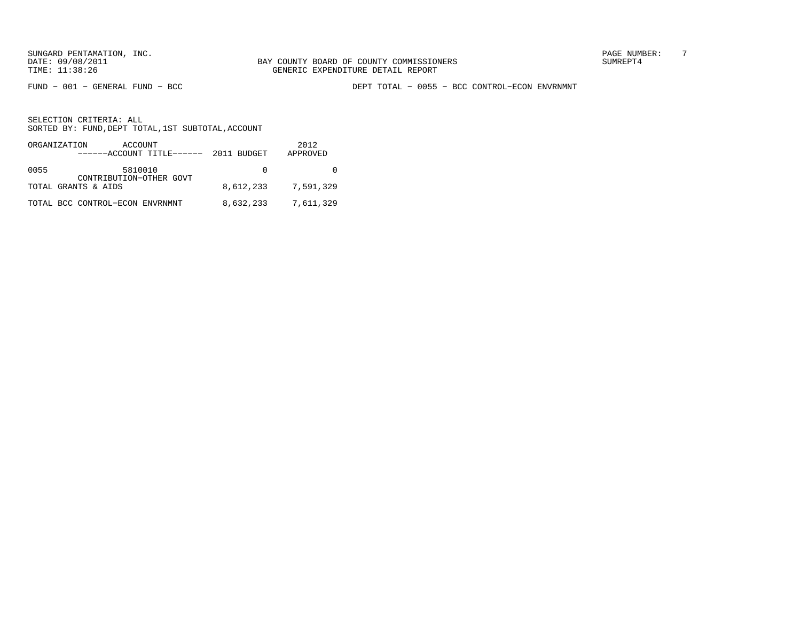FUND − 001 − GENERAL FUND − BCC DEPT TOTAL − 0055 − BCC CONTROL−ECON ENVRNMNT

|      | ORGANIZATION<br>ACCOUNT<br>------ACCOUNT TITLE------ 2011 BUDGET |           | 2012<br>APPROVED |
|------|------------------------------------------------------------------|-----------|------------------|
| 0055 | 5810010<br>CONTRIBUTION-OTHER GOVT                               | $\Omega$  |                  |
|      | TOTAL GRANTS & AIDS                                              | 8,612,233 | 7,591,329        |
|      | TOTAL BCC CONTROL-ECON ENVRNMNT                                  | 8,632,233 | 7,611,329        |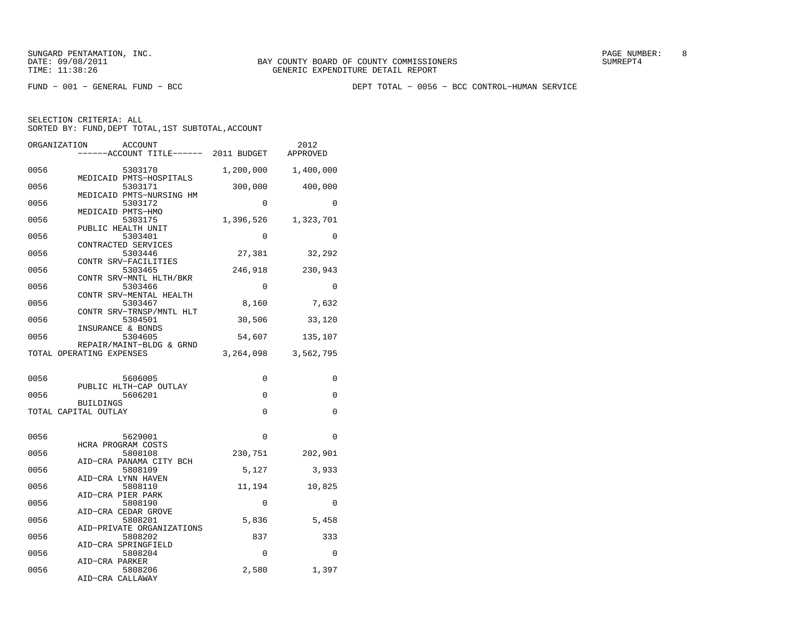SUNGARD PENTAMATION, INC. SUNGARD OF COUNTY BOARD OF COUNTY COMMISSIONERS SUNGARD PAGE NUMBER: 8 SUNGER: 8 SUNG

FUND − 001 − GENERAL FUND − BCC DEPT TOTAL − 0056 − BCC CONTROL−HUMAN SERVICE

SELECTION CRITERIA: ALL

SORTED BY: FUND, DEPT TOTAL, 1ST SUBTOTAL, ACCOUNT

| ORGANIZATION | ACCOUNT<br>----ACCOUNT TITLE------ 2011 BUDGET                 |           | 2012<br>APPROVED |
|--------------|----------------------------------------------------------------|-----------|------------------|
| 0056         | 5303170                                                        | 1,200,000 | 1,400,000        |
| 0056         | MEDICAID PMTS-HOSPITALS<br>5303171<br>MEDICAID PMTS-NURSING HM | 300,000   | 400,000          |
| 0056         | 5303172<br>MEDICAID PMTS-HMO                                   | $\Omega$  | $\Omega$         |
| 0056         | 5303175<br>PUBLIC HEALTH UNIT                                  | 1,396,526 | 1,323,701        |
| 0056         | 5303401<br>CONTRACTED SERVICES                                 | $\Omega$  | $\Omega$         |
| 0056         | 5303446<br>CONTR SRV-FACILITIES                                | 27,381    | 32,292           |
| 0056         | 5303465<br>CONTR SRV-MNTL HLTH/BKR                             | 246,918   | 230,943          |
| 0056         | 5303466<br>CONTR SRV-MENTAL HEALTH                             | 0         | 0                |
| 0056         | 5303467<br>CONTR SRV-TRNSP/MNTL HLT                            | 8,160     | 7,632            |
| 0056         | 5304501<br>INSURANCE & BONDS                                   | 30,506    | 33,120           |
| 0056         | 5304605<br>REPAIR/MAINT-BLDG & GRND                            | 54,607    | 135,107          |
|              | TOTAL OPERATING EXPENSES                                       | 3,264,098 | 3,562,795        |
| 0056         | 5606005                                                        | 0         | 0                |
| 0056         | PUBLIC HLTH-CAP OUTLAY<br>5606201                              | 0         | 0                |
|              | <b>BUILDINGS</b><br>TOTAL CAPITAL OUTLAY                       | 0         | 0                |
| 0056         |                                                                | $\Omega$  | $\Omega$         |
|              | 5629001                                                        |           |                  |
| 0056         | HCRA PROGRAM COSTS                                             |           |                  |
|              | 5808108<br>AID-CRA PANAMA CITY BCH                             | 230,751   | 202,901          |
| 0056         | 5808109<br>AID-CRA LYNN HAVEN                                  | 5,127     | 3,933            |
| 0056         | 5808110<br>AID-CRA PIER PARK                                   | 11,194    | 10,825           |
| 0056         | 5808190<br>AID-CRA CEDAR GROVE                                 | 0         | 0                |
| 0056         | 5808201                                                        | 5,836     | 5,458            |
| 0056         | AID-PRIVATE ORGANIZATIONS<br>5808202                           | 837       | 333              |
| 0056         | AID-CRA SPRINGFIELD<br>5808204<br>AID-CRA PARKER               | 0         | 0                |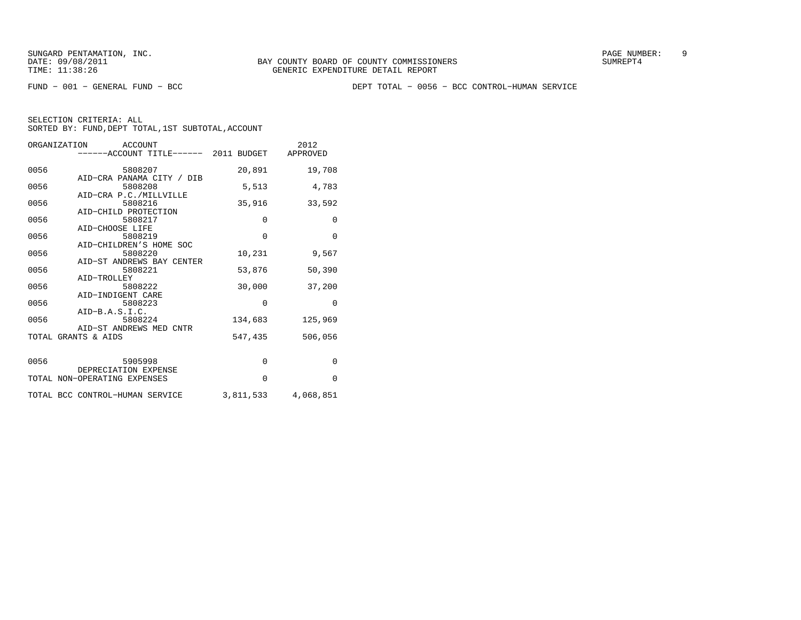FUND − 001 − GENERAL FUND − BCC DEPT TOTAL − 0056 − BCC CONTROL−HUMAN SERVICE

| ORGANIZATION ACCOUNT<br>------ACCOUNT TITLE------ 2011 BUDGET APPROVED |             | 2012         |
|------------------------------------------------------------------------|-------------|--------------|
| 0056<br>5808207                                                        | 20,891      | 19,708       |
| AID-CRA PANAMA CITY / DIB<br>0056<br>5808208                           | 5,513       | 4,783        |
| AID-CRA P.C./MILLVILLE<br>0056<br>5808216                              | 35,916      | 33,592       |
| AID-CHILD PROTECTION<br>0056<br>5808217                                | $\mathbf 0$ | $\mathbf{0}$ |
| AID-CHOOSE LIFE<br>0056<br>5808219                                     | $\mathbf 0$ | $\Omega$     |
| AID-CHILDREN'S HOME SOC<br>0056<br>5808220                             | 10,231      | 9,567        |
| AID-ST ANDREWS BAY CENTER<br>0056<br>5808221                           | 53,876      | 50,390       |
| AID-TROLLEY<br>0056<br>5808222                                         | 30,000      | 37,200       |
| AID-INDIGENT CARE<br>0056<br>5808223                                   | $\Omega$    | $\Omega$     |
| $AID-B.A.S.I.C.$<br>0056<br>5808224                                    | 134,683     | 125,969      |
| AID-ST ANDREWS MED CNTR<br>TOTAL GRANTS & AIDS                         | 547,435     |              |
|                                                                        |             | 506,056      |
| 5905998<br>0056                                                        | $\mathbf 0$ | $\Omega$     |
| DEPRECIATION EXPENSE<br>TOTAL NON-OPERATING EXPENSES                   | $\Omega$    | $\Omega$     |
| TOTAL BCC CONTROL-HUMAN SERVICE                                        | 3,811,533   | 4,068,851    |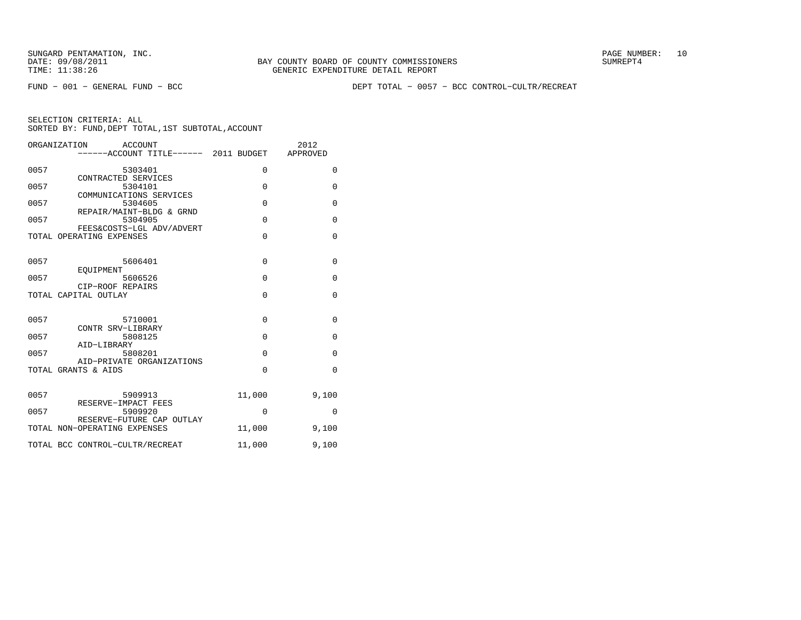FUND − 001 − GENERAL FUND − BCC DEPT TOTAL − 0057 − BCC CONTROL−CULTR/RECREAT

|      | ORGANIZATION<br>ACCOUNT                                   |             | 2012         |
|------|-----------------------------------------------------------|-------------|--------------|
|      | -----ACCOUNT TITLE------ 2011 BUDGET APPROVED             |             |              |
| 0057 | 5303401                                                   | $\mathbf 0$ | $\mathbf 0$  |
| 0057 | CONTRACTED SERVICES<br>5304101<br>COMMUNICATIONS SERVICES | $\Omega$    | $\Omega$     |
| 0057 | 5304605<br>REPAIR/MAINT-BLDG & GRND                       | $\Omega$    | $\Omega$     |
| 0057 | 5304905<br>FEES&COSTS-LGL ADV/ADVERT                      | $\Omega$    | $\Omega$     |
|      | TOTAL OPERATING EXPENSES                                  | $\Omega$    | $\mathbf{0}$ |
| 0057 | 5606401                                                   | $\mathbf 0$ | $\mathbf{0}$ |
| 0057 | EOUIPMENT<br>5606526<br>CIP-ROOF REPAIRS                  | $\mathbf 0$ | $\mathbf{0}$ |
|      | TOTAL CAPITAL OUTLAY                                      | $\Omega$    | $\Omega$     |
| 0057 | 5710001                                                   | $\Omega$    | $\Omega$     |
| 0057 | CONTR SRV-LIBRARY<br>5808125<br>AID-LIBRARY               | $\Omega$    | $\Omega$     |
| 0057 | 5808201<br>AID-PRIVATE ORGANIZATIONS                      | $\Omega$    | $\mathbf 0$  |
|      | TOTAL GRANTS & AIDS                                       | $\Omega$    | $\Omega$     |
| 0057 | 5909913                                                   | 11,000      | 9,100        |
| 0057 | RESERVE-IMPACT FEES<br>5909920                            | $\Omega$    | 0            |
|      | RESERVE-FUTURE CAP OUTLAY<br>TOTAL NON-OPERATING EXPENSES | 11,000      | 9,100        |
|      | TOTAL BCC CONTROL-CULTR/RECREAT                           | 11,000      | 9,100        |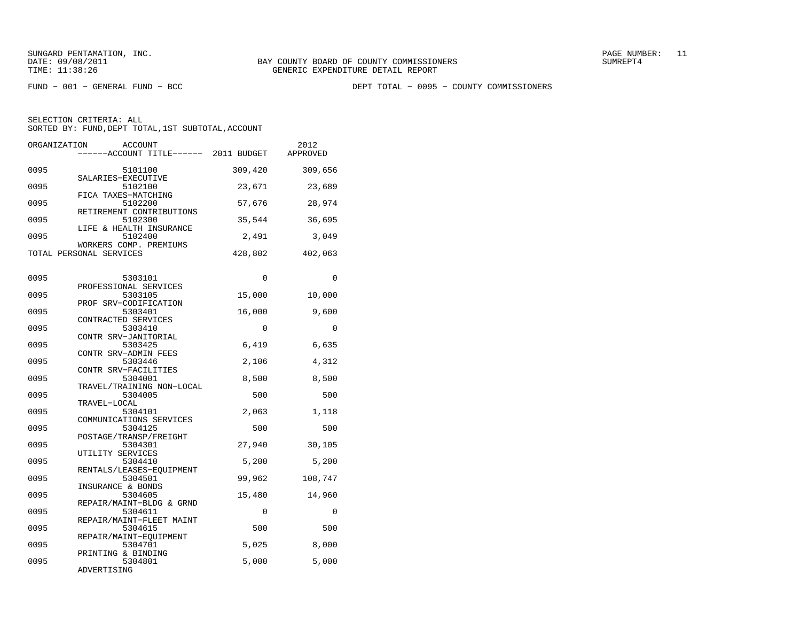FUND − 001 − GENERAL FUND − BCC DEPT TOTAL − 0095 − COUNTY COMMISSIONERS

| ORGANIZATION | <b>ACCOUNT</b><br>-----ACCOUNT TITLE------                 | 2011 BUDGET | 2012<br>APPROVED |
|--------------|------------------------------------------------------------|-------------|------------------|
| 0095         | 5101100                                                    | 309,420     | 309,656          |
| 0095         | SALARIES-EXECUTIVE<br>5102100                              | 23,671      | 23,689           |
| 0095         | FICA TAXES-MATCHING<br>5102200<br>RETIREMENT CONTRIBUTIONS | 57,676      | 28,974           |
| 0095         | 5102300<br>LIFE & HEALTH INSURANCE                         | 35,544      | 36,695           |
| 0095         | 5102400<br>WORKERS COMP. PREMIUMS                          | 2,491       | 3,049            |
|              | TOTAL PERSONAL SERVICES                                    | 428,802     | 402,063          |
| 0095         | 5303101                                                    | 0           | 0                |
| 0095         | PROFESSIONAL SERVICES<br>5303105                           | 15,000      | 10,000           |
| 0095         | PROF SRV-CODIFICATION<br>5303401                           | 16,000      | 9,600            |
| 0095         | CONTRACTED SERVICES<br>5303410                             | $\mathbf 0$ | $\mathbf 0$      |
| 0095         | CONTR SRV-JANITORIAL<br>5303425                            | 6,419       | 6,635            |
| 0095         | CONTR SRV-ADMIN FEES<br>5303446<br>CONTR SRV-FACILITIES    | 2,106       | 4,312            |
| 0095         | 5304001<br>TRAVEL/TRAINING NON-LOCAL                       | 8,500       | 8,500            |
| 0095         | 5304005<br>TRAVEL-LOCAL                                    | 500         | 500              |
| 0095         | 5304101<br>COMMUNICATIONS SERVICES                         | 2,063       | 1,118            |
| 0095         | 5304125<br>POSTAGE/TRANSP/FREIGHT                          | 500         | 500              |
| 0095         | 5304301<br>UTILITY SERVICES                                | 27,940      | 30,105           |
| 0095         | 5304410<br>RENTALS/LEASES-EQUIPMENT                        | 5,200       | 5,200            |
| 0095         | 5304501<br>INSURANCE & BONDS                               | 99,962      | 108,747          |
| 0095         | 5304605<br>REPAIR/MAINT-BLDG & GRND                        | 15,480      | 14,960           |
| 0095         | 5304611<br>REPAIR/MAINT-FLEET MAINT                        | 0           | $\Omega$         |
| 0095         | 5304615<br>REPAIR/MAINT-EQUIPMENT                          | 500         | 500              |
| 0095         | 5304701<br>PRINTING & BINDING                              | 5,025       | 8,000            |
| 0095         | 5304801<br>ADVERTISING                                     | 5,000       | 5,000            |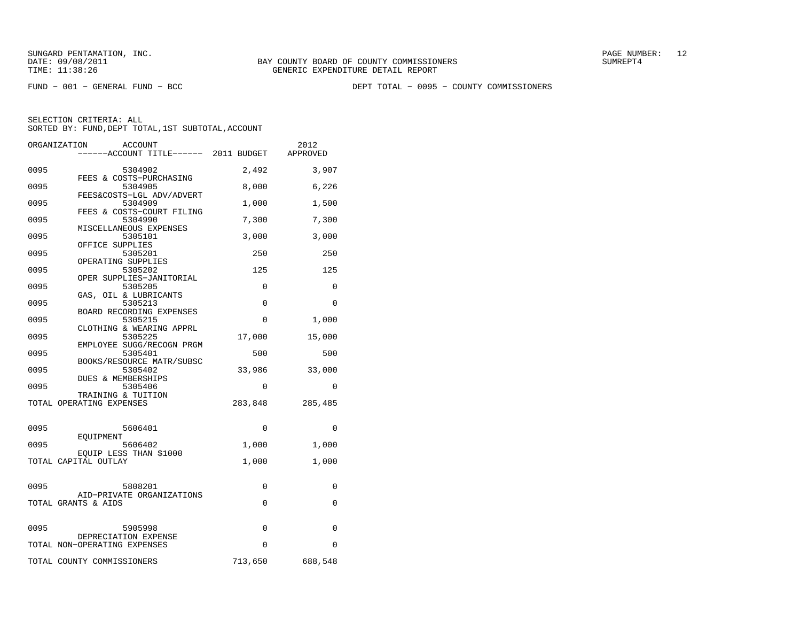FUND − 001 − GENERAL FUND − BCC DEPT TOTAL − 0095 − COUNTY COMMISSIONERS

|      | ORGANIZATION<br><b>ACCOUNT</b><br>-----ACCOUNT TITLE------ 2011 BUDGET |             | 2012<br>APPROVED |
|------|------------------------------------------------------------------------|-------------|------------------|
| 0095 | 5304902                                                                | 2,492       | 3,907            |
| 0095 | FEES & COSTS-PURCHASING<br>5304905                                     | 8,000       | 6,226            |
| 0095 | FEES&COSTS-LGL ADV/ADVERT<br>5304909                                   | 1,000       | 1,500            |
| 0095 | FEES & COSTS-COURT FILING<br>5304990                                   | 7,300       | 7,300            |
| 0095 | MISCELLANEOUS EXPENSES<br>5305101                                      | 3,000       | 3,000            |
| 0095 | OFFICE SUPPLIES<br>5305201                                             | 250         | 250              |
| 0095 | OPERATING SUPPLIES<br>5305202                                          | 125         | 125              |
| 0095 | OPER SUPPLIES-JANITORIAL<br>5305205<br>GAS, OIL & LUBRICANTS           | 0           | 0                |
| 0095 | 5305213<br>BOARD RECORDING EXPENSES                                    | 0           | 0                |
| 0095 | 5305215<br>CLOTHING & WEARING APPRL                                    | $\mathbf 0$ | 1,000            |
| 0095 | 5305225<br>EMPLOYEE SUGG/RECOGN PRGM                                   | 17,000      | 15,000           |
| 0095 | 5305401<br>BOOKS/RESOURCE MATR/SUBSC                                   | 500         | 500              |
| 0095 | 5305402<br>DUES & MEMBERSHIPS                                          | 33,986      | 33,000           |
| 0095 | 5305406<br>TRAINING & TUITION                                          | 0           | 0                |
|      | TOTAL OPERATING EXPENSES                                               | 283,848     | 285,485          |
| 0095 | 5606401                                                                | 0           | $\Omega$         |
| 0095 | EQUIPMENT<br>5606402                                                   | 1,000       | 1,000            |
|      | EOUIP LESS THAN \$1000<br>TOTAL CAPITAL OUTLAY                         | 1,000       | 1,000            |
|      |                                                                        |             |                  |
| 0095 | 5808201<br>AID-PRIVATE ORGANIZATIONS                                   | 0<br>0      | 0<br>0           |
|      | TOTAL GRANTS & AIDS                                                    |             |                  |
| 0095 | 5905998<br>DEPRECIATION EXPENSE                                        | $\mathbf 0$ | 0                |
|      | TOTAL NON-OPERATING EXPENSES                                           | $\Omega$    | $\Omega$         |
|      | TOTAL COUNTY COMMISSIONERS                                             | 713,650     | 688,548          |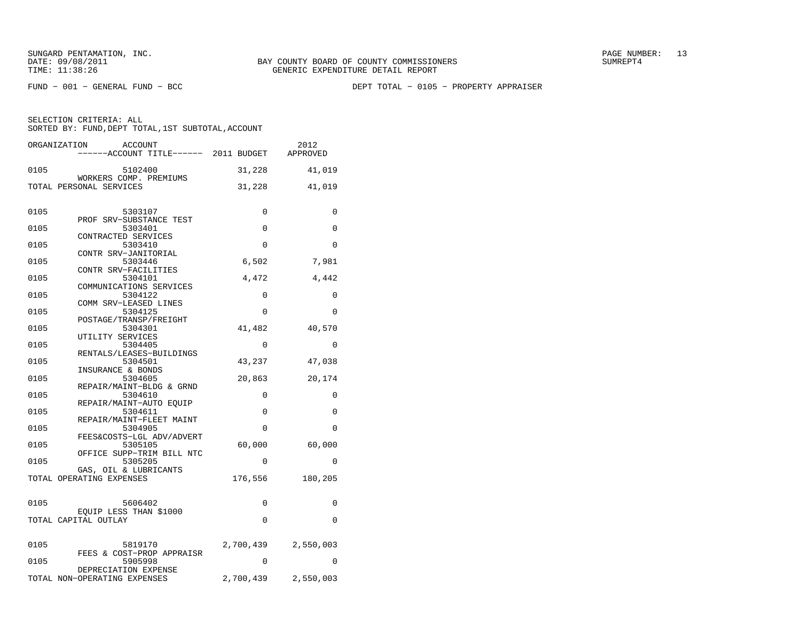FUND − 001 − GENERAL FUND − BCC DEPT TOTAL − 0105 − PROPERTY APPRAISER

|      | ORGANIZATION<br>ACCOUNT<br>------ACCOUNT TITLE------ 2011 BUDGET |           | 2012<br>APPROVED |
|------|------------------------------------------------------------------|-----------|------------------|
| 0105 | 5102400                                                          | 31,228    | 41,019           |
|      | WORKERS COMP. PREMIUMS<br>TOTAL PERSONAL SERVICES                | 31,228    | 41,019           |
| 0105 | 5303107<br>PROF SRV-SUBSTANCE TEST                               | 0         | 0                |
| 0105 | 5303401<br>CONTRACTED SERVICES                                   | 0         | 0                |
| 0105 | 5303410<br>CONTR SRV-JANITORIAL                                  | $\Omega$  | $\Omega$         |
| 0105 | 5303446<br>CONTR SRV-FACILITIES                                  | 6,502     | 7,981            |
| 0105 | 5304101<br>COMMUNICATIONS SERVICES                               | 4,472     | 4,442            |
| 0105 | 5304122<br>COMM SRV-LEASED LINES                                 | 0         | 0                |
| 0105 | 5304125<br>POSTAGE/TRANSP/FREIGHT                                | 0         | 0                |
| 0105 | 5304301<br>UTILITY SERVICES                                      | 41,482    | 40,570           |
| 0105 | 5304405<br>RENTALS/LEASES-BUILDINGS                              | 0         | 0                |
| 0105 | 5304501<br>INSURANCE & BONDS                                     | 43,237    | 47,038           |
| 0105 | 5304605<br>REPAIR/MAINT-BLDG & GRND                              | 20,863    | 20,174           |
| 0105 | 5304610<br>REPAIR/MAINT-AUTO EOUIP                               | 0         | 0                |
| 0105 | 5304611<br>REPAIR/MAINT-FLEET MAINT                              | 0         | 0                |
| 0105 | 5304905<br>FEES&COSTS-LGL ADV/ADVERT                             | 0         | 0                |
| 0105 | 5305105<br>OFFICE SUPP-TRIM BILL NTC                             | 60,000    | 60,000           |
| 0105 | 5305205<br>GAS, OIL & LUBRICANTS                                 | $\Omega$  | $\Omega$         |
|      | TOTAL OPERATING EXPENSES                                         | 176,556   | 180,205          |
| 0105 | 5606402                                                          | 0         | 0                |
|      | EOUIP LESS THAN \$1000<br>TOTAL CAPITAL OUTLAY                   | 0         | 0                |
| 0105 | 5819170<br>FEES & COST-PROP APPRAISR                             | 2,700,439 | 2,550,003        |
| 0105 | 5905998<br>DEPRECIATION EXPENSE                                  | $\Omega$  | 0                |
|      | TOTAL NON-OPERATING EXPENSES                                     | 2,700,439 | 2,550,003        |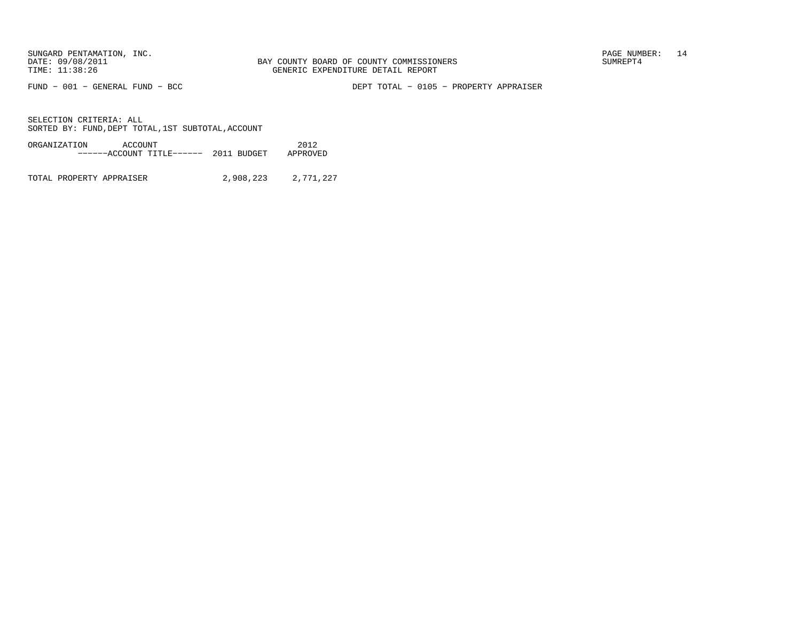FUND − 001 − GENERAL FUND − BCC DEPT TOTAL − 0105 − PROPERTY APPRAISER

SELECTION CRITERIA: ALLSORTED BY: FUND, DEPT TOTAL, 1ST SUBTOTAL, ACCOUNT

| ORGANIZATION | ACCOUNT |                                   |  | 2012     |
|--------------|---------|-----------------------------------|--|----------|
|              |         | $---ACCOVINT TITLE---2011 BUDGET$ |  | APPROVED |
|              |         |                                   |  |          |

TOTAL PROPERTY APPRAISER 2,908,223 2,771,227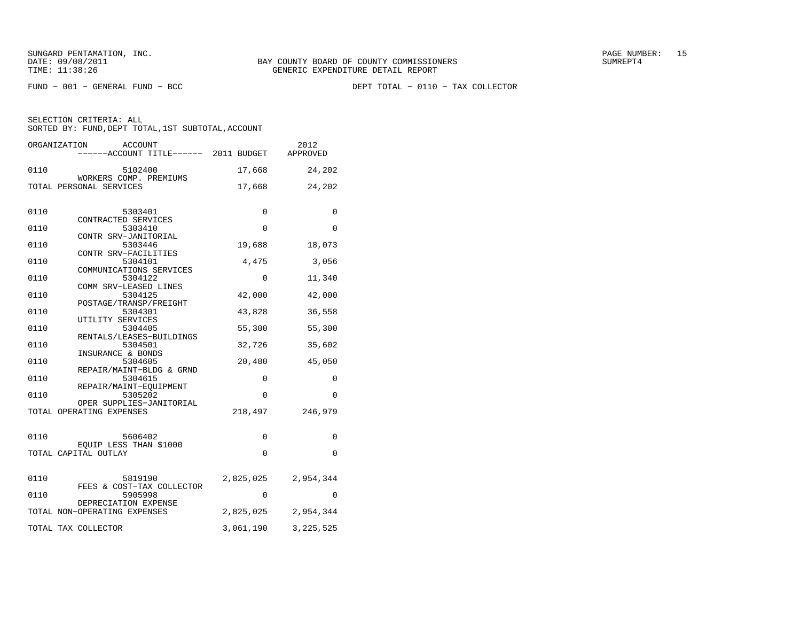FUND − 001 − GENERAL FUND − BCC DEPT TOTAL − 0110 − TAX COLLECTOR

|      | ORGANIZATION<br>ACCOUNT<br>-----ACCOUNT TITLE------ 2011 BUDGET |             | 2012<br>APPROVED |
|------|-----------------------------------------------------------------|-------------|------------------|
|      |                                                                 |             |                  |
| 0110 | 5102400                                                         | 17,668      | 24,202           |
|      | WORKERS COMP. PREMIUMS<br>TOTAL PERSONAL SERVICES               | 17,668      | 24,202           |
| 0110 | 5303401<br>CONTRACTED SERVICES                                  | 0           | 0                |
| 0110 | 5303410                                                         | $\Omega$    | 0                |
| 0110 | CONTR SRV-JANITORIAL<br>5303446                                 | 19,688      | 18,073           |
| 0110 | CONTR SRV-FACILITIES<br>5304101                                 | 4,475       | 3,056            |
| 0110 | COMMUNICATIONS SERVICES<br>5304122                              | 0           | 11,340           |
| 0110 | COMM SRV-LEASED LINES<br>5304125                                | 42,000      | 42,000           |
| 0110 | POSTAGE/TRANSP/FREIGHT<br>5304301                               | 43,828      | 36,558           |
| 0110 | UTILITY SERVICES<br>5304405                                     | 55,300      | 55,300           |
| 0110 | RENTALS/LEASES-BUILDINGS<br>5304501                             | 32,726      | 35,602           |
| 0110 | INSURANCE & BONDS<br>5304605                                    | 20,480      | 45,050           |
| 0110 | REPAIR/MAINT-BLDG & GRND<br>5304615                             | 0           | 0                |
| 0110 | REPAIR/MAINT-EQUIPMENT<br>5305202                               | 0           | 0                |
|      | OPER SUPPLIES-JANITORIAL<br>TOTAL OPERATING EXPENSES            | 218,497     | 246,979          |
| 0110 | 5606402                                                         | 0           | 0                |
|      | EQUIP LESS THAN \$1000<br>TOTAL CAPITAL OUTLAY                  | $\mathbf 0$ | $\mathbf 0$      |
| 0110 | 5819190<br>FEES & COST-TAX COLLECTOR                            | 2,825,025   | 2,954,344        |
| 0110 | 5905998                                                         | $\Omega$    | $\Omega$         |
|      | DEPRECIATION EXPENSE<br>TOTAL NON-OPERATING EXPENSES            | 2,825,025   | 2,954,344        |
|      | TOTAL TAX COLLECTOR                                             | 3,061,190   | 3, 225, 525      |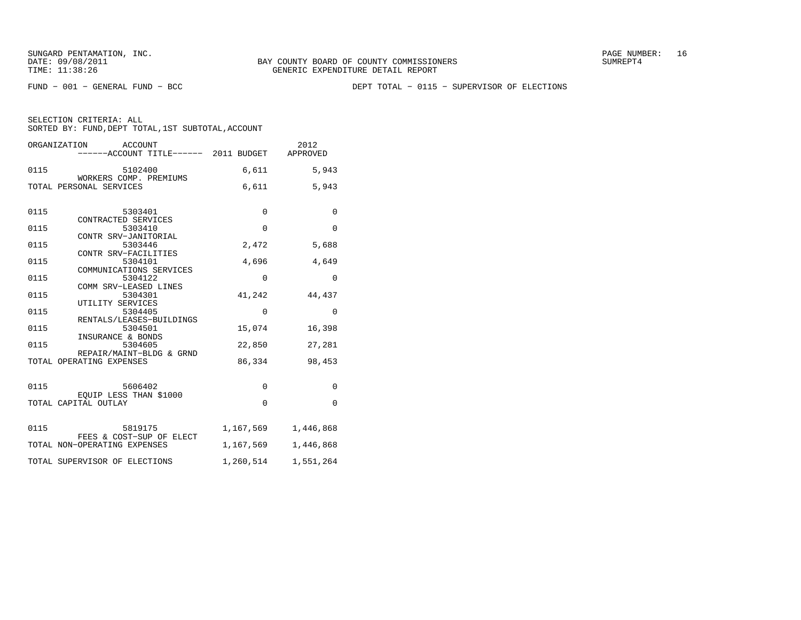FUND − 001 − GENERAL FUND − BCC DEPT TOTAL − 0115 − SUPERVISOR OF ELECTIONS

|      | ORGANIZATION<br>ACCOUNT                        |             | 2012        |
|------|------------------------------------------------|-------------|-------------|
|      | ------ACCOUNT TITLE------ 2011 BUDGET APPROVED |             |             |
| 0115 | 5102400<br>WORKERS COMP. PREMIUMS              | 6,611       | 5,943       |
|      | TOTAL PERSONAL SERVICES                        | 6,611       | 5,943       |
|      |                                                |             |             |
| 0115 | 5303401                                        | $\mathbf 0$ | $\mathbf 0$ |
| 0115 | CONTRACTED SERVICES<br>5303410                 | $\Omega$    | $\Omega$    |
| 0115 | CONTR SRV-JANITORIAL                           | 2,472       |             |
|      | 5303446<br>CONTR SRV-FACILITIES                |             | 5,688       |
| 0115 | 5304101                                        | 4,696       | 4,649       |
| 0115 | COMMUNICATIONS SERVICES<br>5304122             | $\mathbf 0$ | $\Omega$    |
|      | COMM SRV-LEASED LINES                          |             |             |
| 0115 | 5304301<br>UTILITY SERVICES                    | 41,242      | 44,437      |
| 0115 | 5304405                                        | $\mathbf 0$ | $\Omega$    |
| 0115 | RENTALS/LEASES-BUILDINGS<br>5304501            | 15,074      | 16,398      |
|      | INSURANCE & BONDS                              |             |             |
| 0115 | 5304605<br>REPAIR/MAINT-BLDG & GRND            | 22,850      | 27,281      |
|      | TOTAL OPERATING EXPENSES                       | 86,334      | 98,453      |
|      |                                                |             |             |
| 0115 | 5606402                                        | $\mathbf 0$ | $\mathbf 0$ |
|      | EOUIP LESS THAN \$1000<br>TOTAL CAPITAL OUTLAY | $\mathbf 0$ | $\Omega$    |
|      |                                                |             |             |
| 0115 | 5819175                                        | 1,167,569   | 1,446,868   |
|      | FEES & COST-SUP OF ELECT                       |             |             |
|      | TOTAL NON-OPERATING EXPENSES                   | 1,167,569   | 1,446,868   |
|      | TOTAL SUPERVISOR OF ELECTIONS                  | 1,260,514   | 1,551,264   |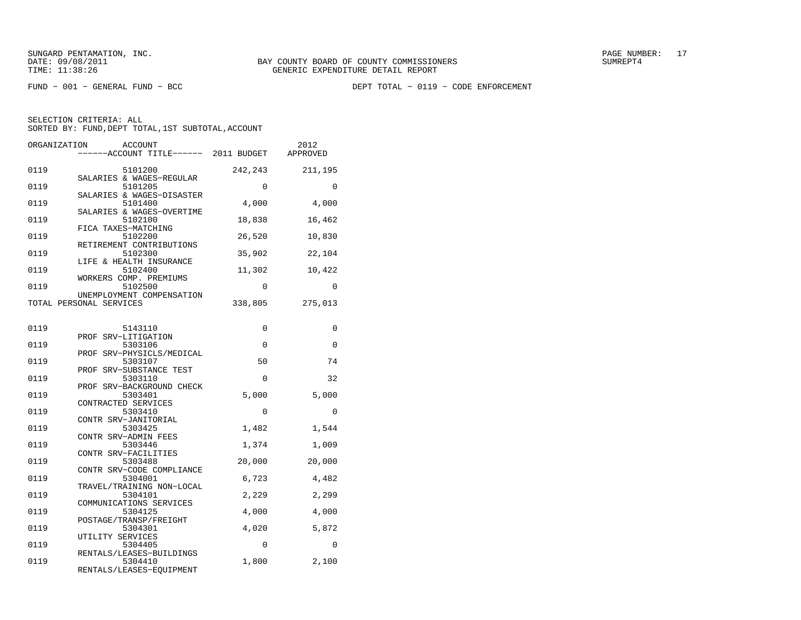FUND − 001 − GENERAL FUND − BCC DEPT TOTAL − 0119 − CODE ENFORCEMENT

| ORGANIZATION | ACCOUNT<br>----ACCOUNT TITLE------ 2011 BUDGET                   |             | 2012<br>APPROVED |
|--------------|------------------------------------------------------------------|-------------|------------------|
| 0119         | 5101200                                                          | 242,243     | 211,195          |
| 0119         | SALARIES & WAGES-REGULAR<br>5101205<br>SALARIES & WAGES-DISASTER | $\mathbf 0$ | $\Omega$         |
| 0119         | 5101400<br>SALARIES & WAGES-OVERTIME                             | 4,000       | 4,000            |
| 0119         | 5102100<br>FICA TAXES-MATCHING                                   | 18,838      | 16,462           |
| 0119         | 5102200<br>RETIREMENT CONTRIBUTIONS                              | 26,520      | 10,830           |
| 0119         | 5102300<br>LIFE & HEALTH INSURANCE                               | 35,902      | 22,104           |
| 0119         | 5102400<br>WORKERS COMP. PREMIUMS                                | 11,302      | 10,422           |
| 0119         | 5102500<br>UNEMPLOYMENT COMPENSATION                             | $\Omega$    | 0                |
|              | TOTAL PERSONAL SERVICES                                          | 338,805     | 275,013          |
| 0119         | 5143110                                                          | 0           | 0                |
| 0119         | PROF SRV-LITIGATION<br>5303106                                   | $\mathbf 0$ | 0                |
| 0119         | PROF SRV-PHYSICLS/MEDICAL<br>5303107                             | 50          | 74               |
| 0119         | PROF SRV-SUBSTANCE TEST<br>5303110                               | $\mathbf 0$ | 32               |
| 0119         | PROF SRV-BACKGROUND CHECK<br>5303401<br>CONTRACTED SERVICES      | 5,000       | 5,000            |
| 0119         | 5303410<br>CONTR SRV-JANITORIAL                                  | 0           | 0                |
| 0119         | 5303425<br>CONTR SRV-ADMIN FEES                                  | 1,482       | 1,544            |
| 0119         | 5303446<br>CONTR SRV-FACILITIES                                  | 1,374       | 1,009            |
| 0119         | 5303488<br>CONTR SRV-CODE COMPLIANCE                             | 20,000      | 20,000           |
| 0119         | 5304001<br>TRAVEL/TRAINING NON-LOCAL                             | 6,723       | 4,482            |
| 0119         | 5304101<br>COMMUNICATIONS SERVICES                               | 2,229       | 2,299            |
| 0119         | 5304125<br>POSTAGE/TRANSP/FREIGHT                                | 4,000       | 4,000            |
| 0119         | 5304301<br>UTILITY SERVICES                                      | 4,020       | 5,872            |
| 0119         | 5304405<br>RENTALS/LEASES-BUILDINGS                              | $\Omega$    | $\Omega$         |
| 0119         | 5304410<br>RENTALS/LEASES-EQUIPMENT                              | 1,800       | 2,100            |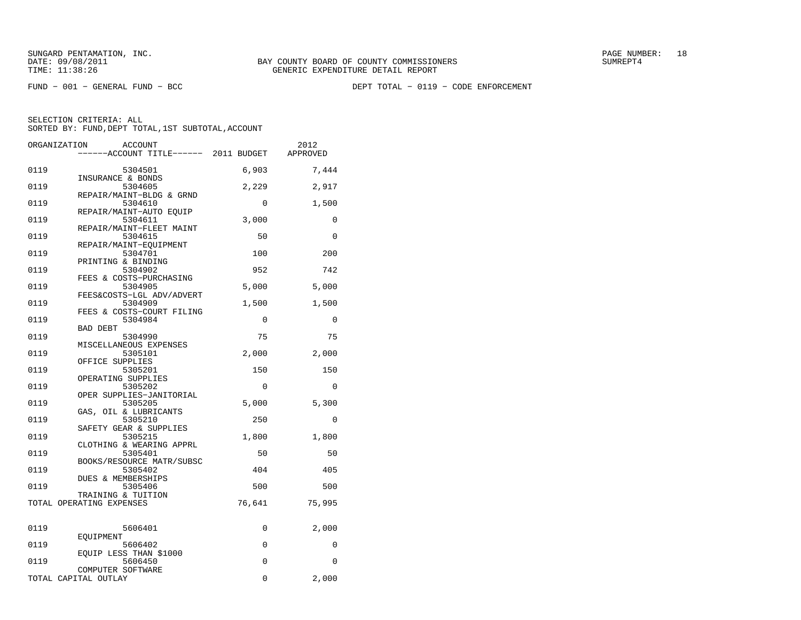FUND − 001 − GENERAL FUND − BCC DEPT TOTAL − 0119 − CODE ENFORCEMENT

| ORGANIZATION         | <b>ACCOUNT</b>                                 |             | 2012     |
|----------------------|------------------------------------------------|-------------|----------|
|                      | ----ACCOUNT TITLE------ 2011 BUDGET            |             | APPROVED |
| 0119                 | 5304501                                        | 6,903       | 7,444    |
| 0119                 | INSURANCE & BONDS<br>5304605                   | 2,229       | 2,917    |
|                      | REPAIR/MAINT-BLDG & GRND                       |             |          |
| 0119                 | 5304610<br>REPAIR/MAINT-AUTO EQUIP             | $\Omega$    | 1,500    |
| 0119                 | 5304611                                        | 3,000       | 0        |
| 0119                 | REPAIR/MAINT-FLEET MAINT<br>5304615            | 50          | $\Omega$ |
| 0119                 | REPAIR/MAINT-EOUIPMENT<br>5304701              | 100         | 200      |
| 0119                 | PRINTING & BINDING                             |             | 742      |
|                      | 5304902<br>FEES & COSTS-PURCHASING             | 952         |          |
| 0119                 | 5304905<br>FEES&COSTS-LGL ADV/ADVERT           | 5,000       | 5,000    |
| 0119                 | 5304909<br>FEES & COSTS-COURT FILING           | 1,500       | 1,500    |
| 0119                 | 5304984                                        | $\Omega$    | $\Omega$ |
| 0119                 | BAD DEBT<br>5304990                            | 75          | 75       |
| 0119                 | MISCELLANEOUS EXPENSES<br>5305101              | 2,000       | 2,000    |
| 0119                 | OFFICE SUPPLIES<br>5305201                     | 150         | 150      |
|                      | OPERATING SUPPLIES                             |             |          |
| 0119                 | 5305202<br>OPER SUPPLIES-JANITORIAL            | $\mathbf 0$ | 0        |
| 0119                 | 5305205                                        | 5,000       | 5,300    |
| 0119                 | GAS, OIL & LUBRICANTS<br>5305210               | 250         | 0        |
| 0119                 | SAFETY GEAR & SUPPLIES<br>5305215              | 1,800       | 1,800    |
| 0119                 | CLOTHING & WEARING APPRL<br>5305401            | 50          | 50       |
|                      | BOOKS/RESOURCE MATR/SUBSC                      |             |          |
| 0119                 | 5305402<br>DUES & MEMBERSHIPS                  | 404         | 405      |
| 0119                 | 5305406                                        | 500         | 500      |
|                      | TRAINING & TUITION<br>TOTAL OPERATING EXPENSES | 76,641      | 75,995   |
|                      |                                                |             |          |
| 0119                 | 5606401<br>EQUIPMENT                           | 0           | 2,000    |
| 0119                 | 5606402                                        | $\Omega$    | $\Omega$ |
| 0119                 | EQUIP LESS THAN \$1000<br>5606450              | $\Omega$    | $\Omega$ |
|                      | COMPUTER SOFTWARE                              |             |          |
| TOTAL CAPITAL OUTLAY |                                                | 0           | 2,000    |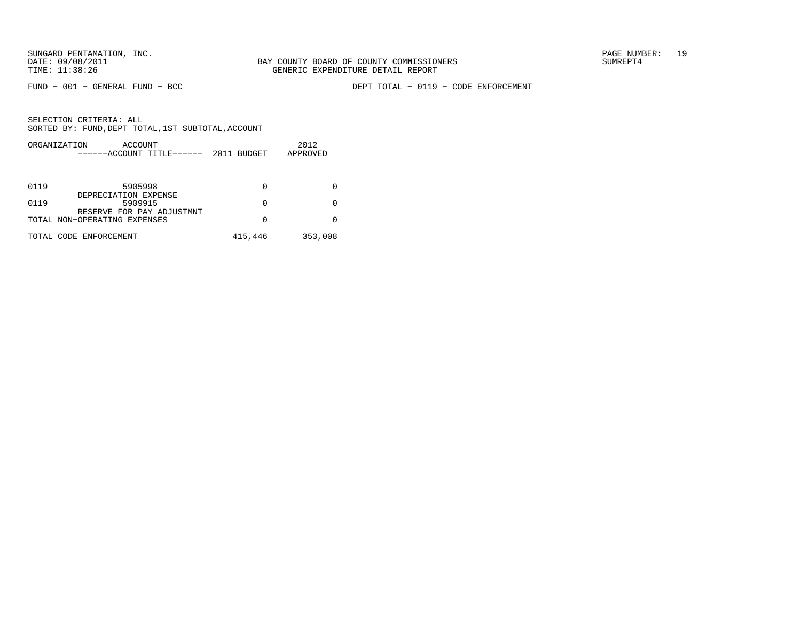FUND − 001 − GENERAL FUND − BCC DEPT TOTAL − 0119 − CODE ENFORCEMENT

|      | ORGANIZATION<br>ACCOUNT<br>------ACCOUNT TITLE------ | 2011 BUDGET | 2012<br>APPROVED |
|------|------------------------------------------------------|-------------|------------------|
|      |                                                      |             |                  |
| 0119 | 5905998                                              | 0           |                  |
| 0119 | DEPRECIATION EXPENSE<br>5909915                      | 0           |                  |
|      | RESERVE FOR PAY ADJUSTMNT                            |             |                  |
|      | TOTAL NON-OPERATING EXPENSES                         | 0           |                  |
|      | TOTAL CODE ENFORCEMENT                               | 415,446     | 353,008          |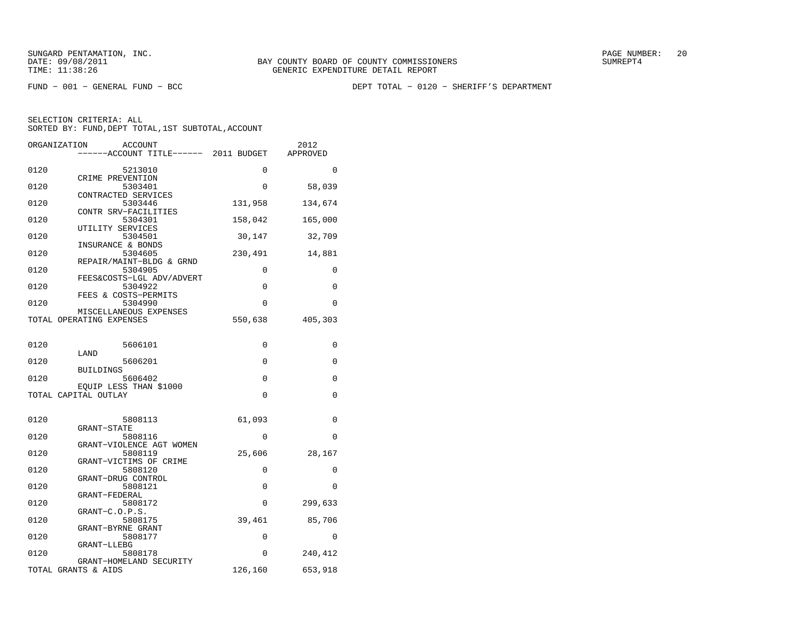FUND − 001 − GENERAL FUND − BCC DEPT TOTAL − 0120 − SHERIFF'S DEPARTMENT

| ORGANIZATION | <b>ACCOUNT</b>                                 |          | 2012     |
|--------------|------------------------------------------------|----------|----------|
|              | ----ACCOUNT TITLE------ 2011 BUDGET            |          | APPROVED |
|              |                                                |          |          |
| 0120         | 5213010                                        | $\Omega$ | 0        |
| 0120         | CRIME PREVENTION<br>5303401                    | 0        | 58,039   |
|              | CONTRACTED SERVICES                            |          |          |
| 0120         | 5303446                                        | 131,958  | 134,674  |
|              | CONTR SRV-FACILITIES                           |          |          |
| 0120         | 5304301                                        | 158,042  | 165,000  |
|              | UTILITY SERVICES                               |          |          |
| 0120         | 5304501                                        | 30,147   | 32,709   |
|              | INSURANCE & BONDS                              |          |          |
| 0120         | 5304605                                        | 230,491  | 14,881   |
|              | REPAIR/MAINT-BLDG & GRND                       |          |          |
| 0120         | 5304905                                        | 0        | 0        |
| 0120         | FEES&COSTS-LGL ADV/ADVERT<br>5304922           | 0        | 0        |
|              | FEES & COSTS-PERMITS                           |          |          |
| 0120         | 5304990                                        | $\Omega$ | $\Omega$ |
|              | MISCELLANEOUS EXPENSES                         |          |          |
|              | TOTAL OPERATING EXPENSES                       | 550,638  | 405,303  |
|              |                                                |          |          |
|              |                                                |          |          |
| 0120         | 5606101                                        | $\Omega$ | $\Omega$ |
|              | LAND                                           |          |          |
| 0120         | 5606201                                        | 0        | 0        |
|              | <b>BUILDINGS</b>                               |          |          |
| 0120         | 5606402                                        | 0        | 0        |
|              | EOUIP LESS THAN \$1000<br>TOTAL CAPITAL OUTLAY | $\Omega$ | $\Omega$ |
|              |                                                |          |          |
|              |                                                |          |          |
| 0120         | 5808113                                        | 61,093   | 0        |
|              | GRANT-STATE                                    |          |          |
| 0120         | 5808116                                        | 0        | 0        |
|              | GRANT-VIOLENCE AGT WOMEN                       |          |          |
| 0120         | 5808119                                        | 25,606   | 28,167   |
|              | GRANT-VICTIMS OF CRIME                         |          |          |
| 0120         | 5808120                                        | 0        | 0        |
| 0120         | GRANT-DRUG CONTROL<br>5808121                  | 0        | $\Omega$ |
|              | GRANT-FEDERAL                                  |          |          |
| 0120         | 5808172                                        | 0        | 299,633  |
|              | GRANT-C.O.P.S.                                 |          |          |
| 0120         | 5808175                                        | 39,461   | 85,706   |
|              | GRANT-BYRNE GRANT                              |          |          |
| 0120         | 5808177                                        | $\Omega$ | $\Omega$ |
|              | GRANT-LLEBG                                    |          |          |
| 0120         | 5808178                                        | 0        | 240,412  |
|              | GRANT-HOMELAND SECURITY                        |          |          |
| TOTAL        | GRANTS & AIDS                                  | 126,160  | 653,918  |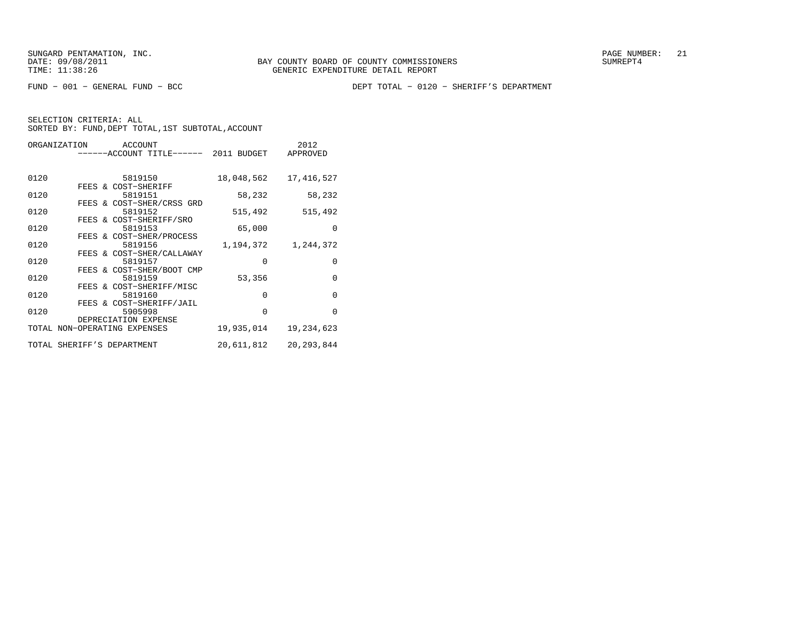FUND − 001 − GENERAL FUND − BCC DEPT TOTAL − 0120 − SHERIFF'S DEPARTMENT

|      |  | ORGANIZATION ACCOUNT                  |            | 2012         |
|------|--|---------------------------------------|------------|--------------|
|      |  | ------ACCOUNT TITLE------ 2011 BUDGET |            | APPROVED     |
|      |  |                                       |            |              |
| 0120 |  | 5819150                               | 18,048,562 | 17,416,527   |
|      |  | FEES & COST-SHERIFF                   |            |              |
| 0120 |  | 5819151                               | 58,232     | 58,232       |
|      |  | FEES & COST-SHER/CRSS GRD             |            |              |
| 0120 |  | 5819152                               | 515,492    | 515,492      |
|      |  | FEES & COST-SHERIFF/SRO               |            |              |
| 0120 |  | 5819153                               | 65,000     | $\Omega$     |
|      |  | FEES & COST-SHER/PROCESS              |            |              |
| 0120 |  | 5819156                               | 1,194,372  | 1,244,372    |
|      |  | FEES & COST-SHER/CALLAWAY             |            |              |
| 0120 |  | 5819157                               | $\Omega$   | $\mathbf{0}$ |
|      |  | FEES & COST-SHER/BOOT CMP             |            |              |
| 0120 |  | 5819159                               | 53,356     | $\Omega$     |
|      |  | FEES & COST-SHERIFF/MISC              |            |              |
| 0120 |  | 5819160                               | $\Omega$   | $\Omega$     |
|      |  | FEES & COST-SHERIFF/JAIL              |            |              |
| 0120 |  | 5905998                               | $\Omega$   | $\Omega$     |
|      |  | DEPRECIATION EXPENSE                  |            |              |
|      |  | TOTAL NON-OPERATING EXPENSES          | 19,935,014 | 19, 234, 623 |
|      |  | TOTAL SHERIFF'S DEPARTMENT            | 20,611,812 | 20, 293, 844 |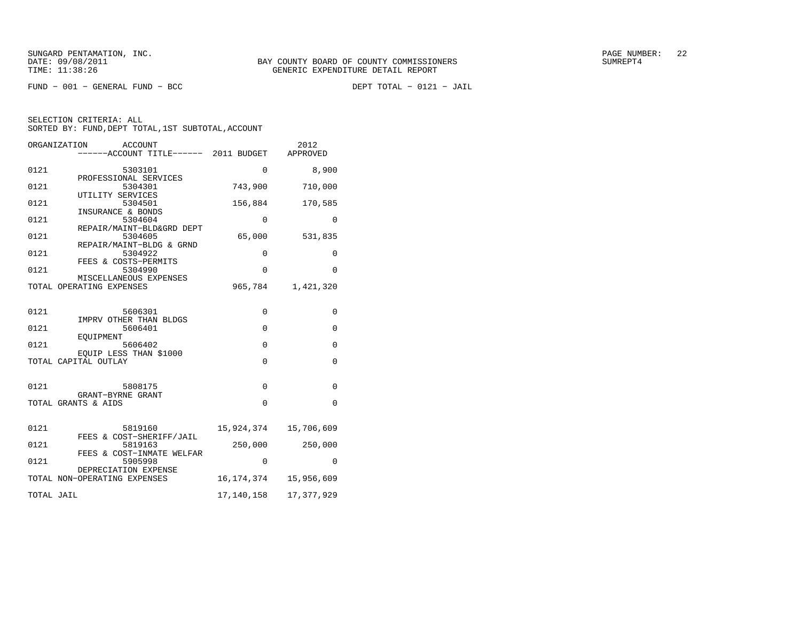$FUND - 001 - GENERAL FUND - BCC$ 

DEPT TOTAL - 0121 - JAIL

| ORGANIZATION<br><b>ACCOUNT</b><br>------ACCOUNT TITLE------ 2011 BUDGET  |             | 2012<br>APPROVED |
|--------------------------------------------------------------------------|-------------|------------------|
| 0121<br>5303101                                                          | 0           | 8,900            |
| PROFESSIONAL SERVICES<br>0121<br>5304301                                 | 743,900     | 710,000          |
| UTILITY SERVICES<br>0121<br>5304501                                      | 156,884     | 170,585          |
| INSURANCE & BONDS<br>0121<br>5304604                                     | $\mathbf 0$ | 0                |
| REPAIR/MAINT-BLD&GRD DEPT<br>0121<br>5304605<br>REPAIR/MAINT-BLDG & GRND | 65,000      | 531,835          |
| 0121<br>5304922<br>FEES & COSTS-PERMITS                                  | 0           | 0                |
| 0121<br>5304990<br>MISCELLANEOUS EXPENSES                                | $\Omega$    | $\Omega$         |
| TOTAL OPERATING EXPENSES                                                 | 965,784     | 1,421,320        |
| 0121<br>5606301                                                          | 0           | 0                |
| IMPRV OTHER THAN BLDGS<br>0121<br>5606401                                | $\mathbf 0$ | $\mathbf{0}$     |
| EOUIPMENT<br>0121<br>5606402                                             | $\mathbf 0$ | 0                |
| EOUIP LESS THAN \$1000<br>TOTAL CAPITAL OUTLAY                           | $\Omega$    | $\mathbf 0$      |
|                                                                          |             |                  |
| 0121<br>5808175<br>GRANT-BYRNE GRANT                                     | $\Omega$    | 0                |
| TOTAL GRANTS & AIDS                                                      | $\Omega$    | 0                |
| 0121<br>5819160                                                          | 15,924,374  | 15,706,609       |
| FEES & COST-SHERIFF/JAIL<br>0121<br>5819163                              | 250,000     | 250,000          |
| FEES & COST-INMATE WELFAR<br>0121<br>5905998                             | 0           | 0                |
| DEPRECIATION EXPENSE<br>TOTAL NON-OPERATING EXPENSES                     | 16,174,374  | 15,956,609       |
| TOTAL JAIL                                                               | 17,140,158  | 17,377,929       |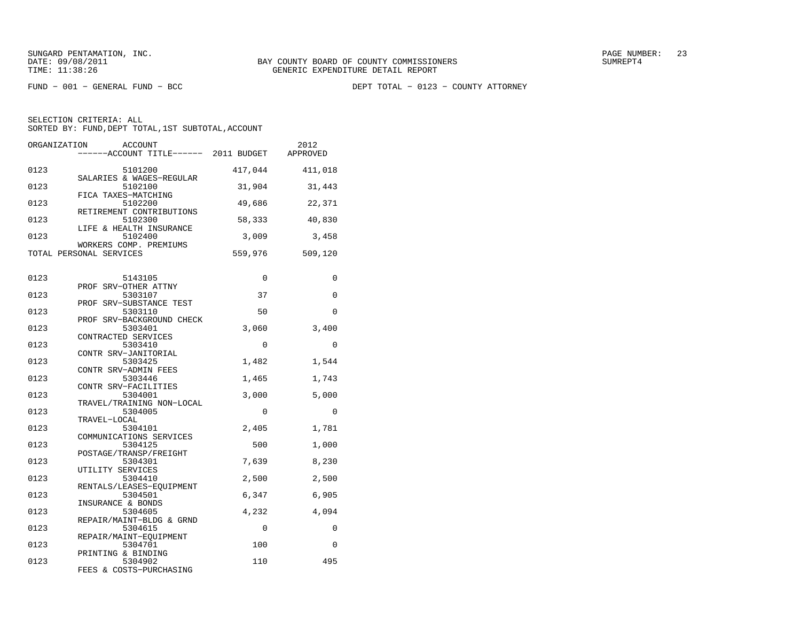FUND − 001 − GENERAL FUND − BCC DEPT TOTAL − 0123 − COUNTY ATTORNEY

| ORGANIZATION | <b>ACCOUNT</b><br>------ACCOUNT TITLE------ 2011 BUDGET  |         | 2012<br>APPROVED |
|--------------|----------------------------------------------------------|---------|------------------|
| 0123         | 5101200<br>SALARIES & WAGES-REGULAR                      | 417,044 | 411,018          |
| 0123         | 5102100<br>FICA TAXES-MATCHING                           | 31,904  | 31,443           |
| 0123         | 5102200<br>RETIREMENT CONTRIBUTIONS                      | 49,686  | 22,371           |
| 0123         | 5102300<br>LIFE & HEALTH INSURANCE                       | 58,333  | 40,830           |
| 0123         | 5102400<br>WORKERS COMP. PREMIUMS                        | 3,009   | 3,458            |
|              | TOTAL PERSONAL SERVICES                                  | 559,976 | 509,120          |
| 0123         | 5143105<br>PROF SRV-OTHER ATTNY                          | 0       | 0                |
| 0123         | 5303107                                                  | 37      | 0                |
| 0123         | PROF SRV-SUBSTANCE TEST<br>5303110                       | 50      | $\mathbf 0$      |
| 0123         | PROF SRV-BACKGROUND CHECK<br>5303401                     | 3,060   | 3,400            |
| 0123         | CONTRACTED SERVICES<br>5303410                           | 0       | 0                |
| 0123         | CONTR SRV-JANITORIAL<br>5303425                          | 1,482   | 1,544            |
| 0123         | CONTR SRV-ADMIN FEES<br>5303446                          | 1,465   | 1,743            |
| 0123         | CONTR SRV-FACILITIES<br>5304001                          | 3,000   | 5,000            |
| 0123         | TRAVEL/TRAINING NON-LOCAL<br>5304005                     | 0       | 0                |
| 0123         | TRAVEL-LOCAL<br>5304101<br>COMMUNICATIONS SERVICES       | 2,405   | 1,781            |
| 0123         | 5304125<br>POSTAGE/TRANSP/FREIGHT                        | 500     | 1,000            |
| 0123         | 5304301<br>UTILITY SERVICES                              | 7,639   | 8,230            |
| 0123         | 5304410<br>RENTALS/LEASES-EOUIPMENT                      | 2,500   | 2,500            |
| 0123         | 5304501                                                  | 6,347   | 6,905            |
| 0123         | INSURANCE & BONDS<br>5304605                             | 4,232   | 4,094            |
| 0123         | REPAIR/MAINT-BLDG & GRND<br>5304615                      | 0       | 0                |
| 0123         | REPAIR/MAINT-EOUIPMENT<br>5304701                        | 100     | $\Omega$         |
| 0123         | PRINTING & BINDING<br>5304902<br>FEES & COSTS-PURCHASING | 110     | 495              |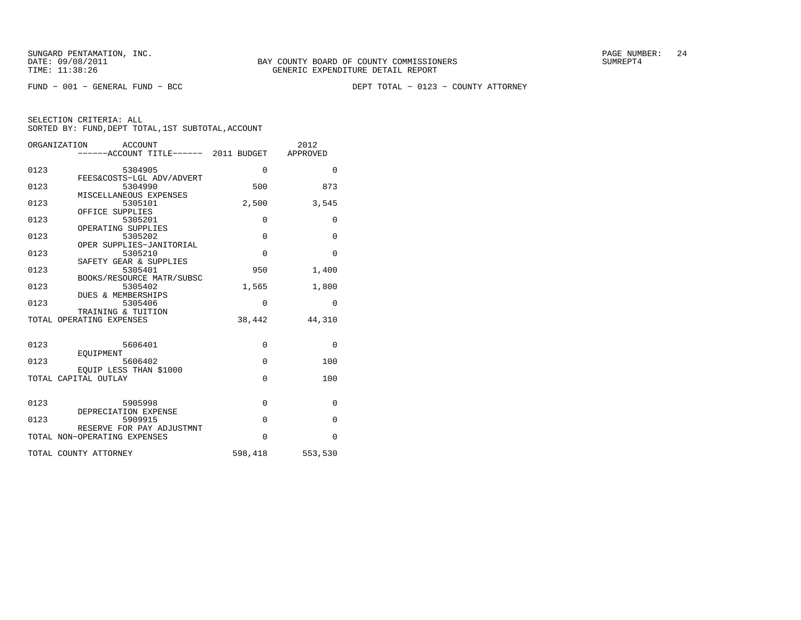FUND − 001 − GENERAL FUND − BCC DEPT TOTAL − 0123 − COUNTY ATTORNEY

|      | ORGANIZATION<br><b>ACCOUNT</b><br>------ACCOUNT TITLE------ 2011 BUDGET |          | 2012<br>APPROVED |
|------|-------------------------------------------------------------------------|----------|------------------|
| 0123 | 5304905                                                                 | $\Omega$ | $\Omega$         |
| 0123 | FEES&COSTS-LGL ADV/ADVERT<br>5304990<br>MISCELLANEOUS EXPENSES          | 500      | 873              |
| 0123 | 5305101<br>OFFICE SUPPLIES                                              | 2,500    | 3,545            |
| 0123 | 5305201<br>OPERATING SUPPLIES                                           | $\Omega$ | 0                |
| 0123 | 5305202<br>OPER SUPPLIES-JANITORIAL                                     | $\Omega$ | $\Omega$         |
| 0123 | 5305210<br>SAFETY GEAR & SUPPLIES                                       | $\Omega$ | $\Omega$         |
| 0123 | 5305401<br>BOOKS/RESOURCE MATR/SUBSC                                    | 950      | 1,400            |
| 0123 | 5305402<br><b>DUES &amp; MEMBERSHIPS</b>                                | 1,565    | 1,800            |
| 0123 | 5305406<br>TRAINING & TUITION                                           | $\Omega$ | $\Omega$         |
|      | TOTAL OPERATING EXPENSES                                                | 38,442   | 44,310           |
| 0123 | 5606401                                                                 | $\Omega$ | $\Omega$         |
| 0123 | EOUIPMENT<br>5606402                                                    | $\Omega$ | 100              |
|      | EOUIP LESS THAN \$1000<br>TOTAL CAPITAL OUTLAY                          | $\Omega$ | 100              |
| 0123 | 5905998<br>DEPRECIATION EXPENSE                                         | $\Omega$ | $\Omega$         |
| 0123 | 5909915<br>RESERVE FOR PAY ADJUSTMNT                                    | $\Omega$ | $\Omega$         |
|      | TOTAL NON-OPERATING EXPENSES                                            | $\Omega$ | $\Omega$         |
|      | TOTAL COUNTY ATTORNEY                                                   | 598,418  | 553,530          |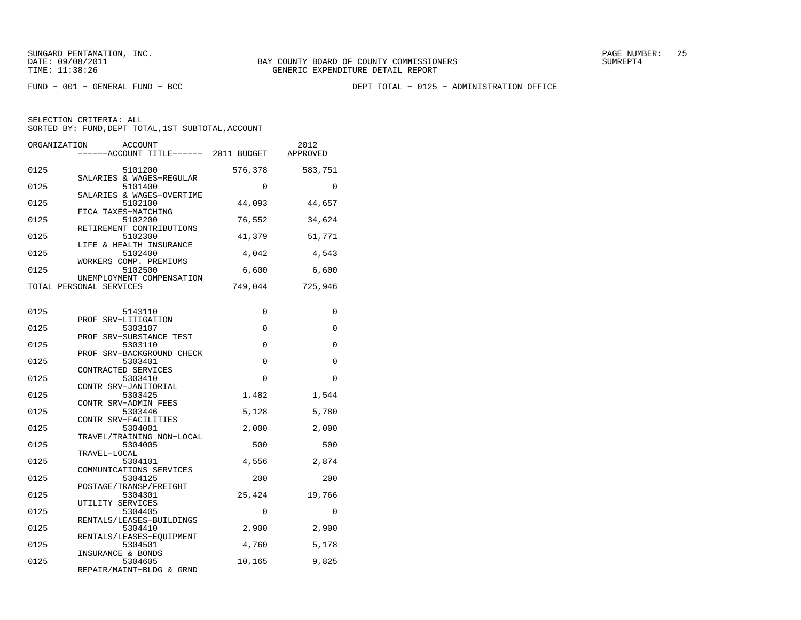FUND − 001 − GENERAL FUND − BCC DEPT TOTAL − 0125 − ADMINISTRATION OFFICE

| ORGANIZATION | <b>ACCOUNT</b><br>------ACCOUNT TITLE------ 2011 BUDGET         |             | 2012<br>APPROVED |
|--------------|-----------------------------------------------------------------|-------------|------------------|
| 0125         | 5101200                                                         | 576,378     | 583,751          |
| 0125         | SALARIES & WAGES-REGULAR<br>5101400                             | $\Omega$    | $\Omega$         |
| 0125         | SALARIES & WAGES-OVERTIME<br>5102100                            | 44,093      | 44,657           |
| 0125         | FICA TAXES-MATCHING<br>5102200<br>RETIREMENT CONTRIBUTIONS      | 76,552      | 34,624           |
| 0125         | 5102300<br>LIFE & HEALTH INSURANCE                              | 41,379      | 51,771           |
| 0125         | 5102400<br>WORKERS COMP. PREMIUMS                               | 4,042       | 4,543            |
| 0125         | 5102500<br>UNEMPLOYMENT COMPENSATION                            | 6,600       | 6,600            |
|              | TOTAL PERSONAL SERVICES                                         | 749,044     | 725,946          |
| 0125         | 5143110                                                         | $\mathbf 0$ | 0                |
| 0125         | PROF SRV-LITIGATION<br>5303107                                  | 0           | 0                |
| 0125         | PROF SRV-SUBSTANCE TEST<br>5303110<br>PROF SRV-BACKGROUND CHECK | 0           | 0                |
| 0125         | 5303401<br>CONTRACTED SERVICES                                  | 0           | 0                |
| 0125         | 5303410<br>CONTR SRV-JANITORIAL                                 | $\Omega$    | $\Omega$         |
| 0125         | 5303425<br>CONTR SRV-ADMIN FEES                                 | 1,482       | 1,544            |
| 0125         | 5303446<br>CONTR SRV-FACILITIES                                 | 5,128       | 5,780            |
| 0125         | 5304001<br>TRAVEL/TRAINING NON-LOCAL                            | 2,000       | 2,000            |
| 0125         | 5304005<br>TRAVEL-LOCAL                                         | 500         | 500              |
| 0125         | 5304101<br>COMMUNICATIONS SERVICES                              | 4,556       | 2,874            |
| 0125         | 5304125<br>POSTAGE/TRANSP/FREIGHT                               | 200         | 200              |
| 0125         | 5304301<br>UTILITY SERVICES                                     | 25,424      | 19,766           |
| 0125         | 5304405<br>RENTALS/LEASES-BUILDINGS                             | 0           | 0                |
| 0125         | 5304410<br>RENTALS/LEASES-EOUIPMENT                             | 2,900       | 2,900            |
| 0125         | 5304501<br>INSURANCE & BONDS                                    | 4,760       | 5,178            |
| 0125         | 5304605<br>REPAIR/MAINT-BLDG & GRND                             | 10,165      | 9,825            |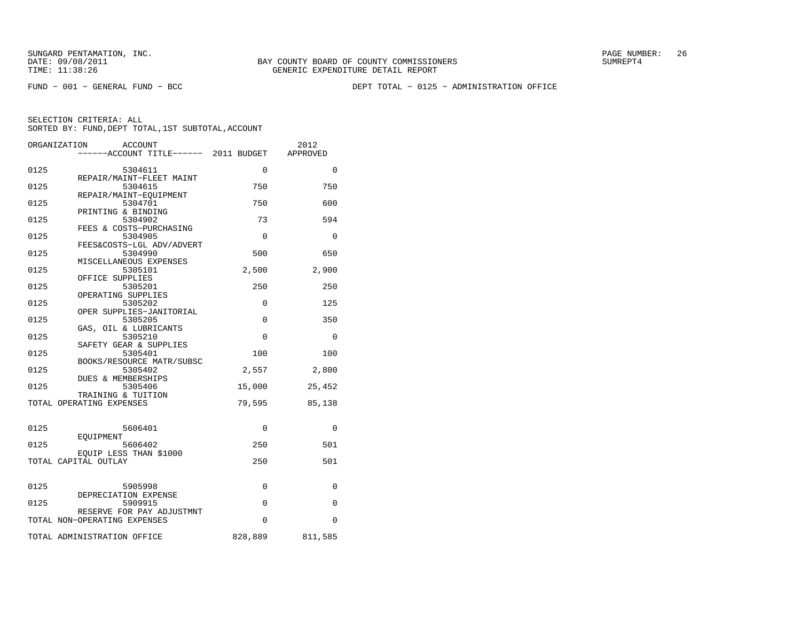FUND − 001 − GENERAL FUND − BCC DEPT TOTAL − 0125 − ADMINISTRATION OFFICE

|      | ORGANIZATION<br><b>ACCOUNT</b><br>-----ACCOUNT TITLE------ 2011 BUDGET |             | 2012<br>APPROVED |
|------|------------------------------------------------------------------------|-------------|------------------|
|      |                                                                        |             |                  |
| 0125 | 5304611                                                                | $\Omega$    | $\Omega$         |
| 0125 | REPAIR/MAINT-FLEET MAINT<br>5304615                                    | 750         | 750              |
|      | REPAIR/MAINT-EOUIPMENT                                                 |             |                  |
| 0125 | 5304701                                                                | 750         | 600              |
|      | PRINTING & BINDING                                                     |             |                  |
| 0125 | 5304902                                                                | 73          | 594              |
| 0125 | FEES & COSTS-PURCHASING<br>5304905                                     | $\Omega$    | $\Omega$         |
|      | FEES&COSTS-LGL ADV/ADVERT                                              |             |                  |
| 0125 | 5304990                                                                | 500         | 650              |
|      | MISCELLANEOUS EXPENSES                                                 |             |                  |
| 0125 | 5305101                                                                | 2,500       | 2,900            |
|      | OFFICE SUPPLIES                                                        |             |                  |
| 0125 | 5305201                                                                | 250         | 250              |
| 0125 | OPERATING SUPPLIES<br>5305202                                          | $\Omega$    | 125              |
|      | OPER SUPPLIES-JANITORIAL                                               |             |                  |
| 0125 | 5305205                                                                | $\mathbf 0$ | 350              |
|      | GAS, OIL & LUBRICANTS                                                  |             |                  |
| 0125 | 5305210                                                                | $\Omega$    | $\Omega$         |
|      | SAFETY GEAR & SUPPLIES                                                 |             |                  |
| 0125 | 5305401                                                                | 100         | 100              |
| 0125 | BOOKS/RESOURCE MATR/SUBSC<br>5305402                                   | 2,557       | 2,800            |
|      | <b>DUES &amp; MEMBERSHIPS</b>                                          |             |                  |
| 0125 | 5305406                                                                | 15,000      | 25,452           |
|      | TRAINING & TUITION                                                     |             |                  |
|      | TOTAL OPERATING EXPENSES                                               | 79,595      | 85,138           |
|      |                                                                        |             |                  |
| 0125 | 5606401                                                                | $\Omega$    | $\Omega$         |
|      | EOUIPMENT                                                              |             |                  |
| 0125 | 5606402                                                                | 250         | 501              |
|      | EOUIP LESS THAN \$1000                                                 |             |                  |
|      | TOTAL CAPITAL OUTLAY                                                   | 250         | 501              |
|      |                                                                        |             |                  |
| 0125 | 5905998                                                                | 0           | 0                |
|      | DEPRECIATION EXPENSE                                                   |             |                  |
| 0125 | 5909915                                                                | $\mathbf 0$ | 0                |
|      | RESERVE FOR PAY ADJUSTMNT                                              |             |                  |
|      | TOTAL NON-OPERATING EXPENSES                                           | $\Omega$    | $\Omega$         |
|      | TOTAL ADMINISTRATION OFFICE                                            | 828,889     | 811,585          |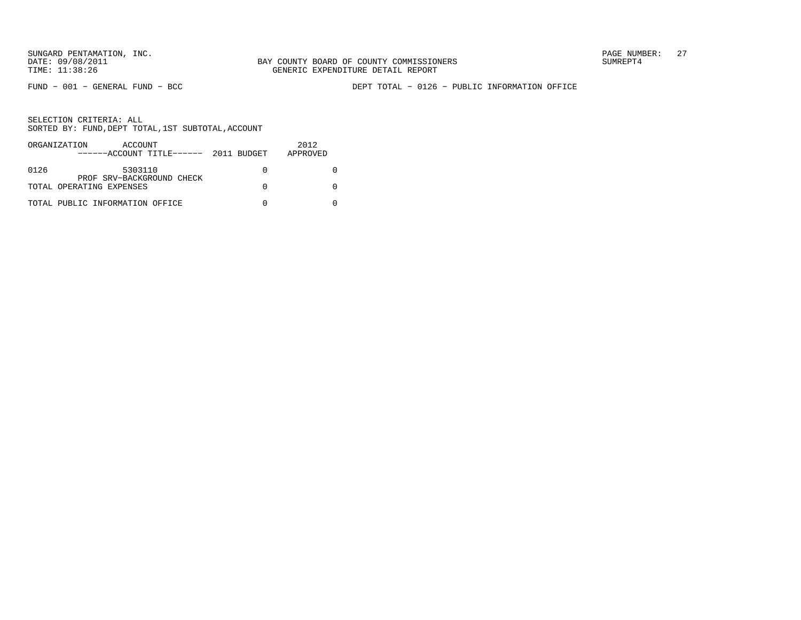FUND − 001 − GENERAL FUND − BCC DEPT TOTAL − 0126 − PUBLIC INFORMATION OFFICE

|      | ORGANIZATION<br>ACCOUNT<br>$---ACCOUNT$ TITLE $---2011$ BUDGET | 2012<br>APPROVED |
|------|----------------------------------------------------------------|------------------|
| 0126 | 5303110<br>PROF SRV-BACKGROUND CHECK                           |                  |
|      | TOTAL OPERATING EXPENSES                                       |                  |
|      | TOTAL PUBLIC INFORMATION OFFICE                                |                  |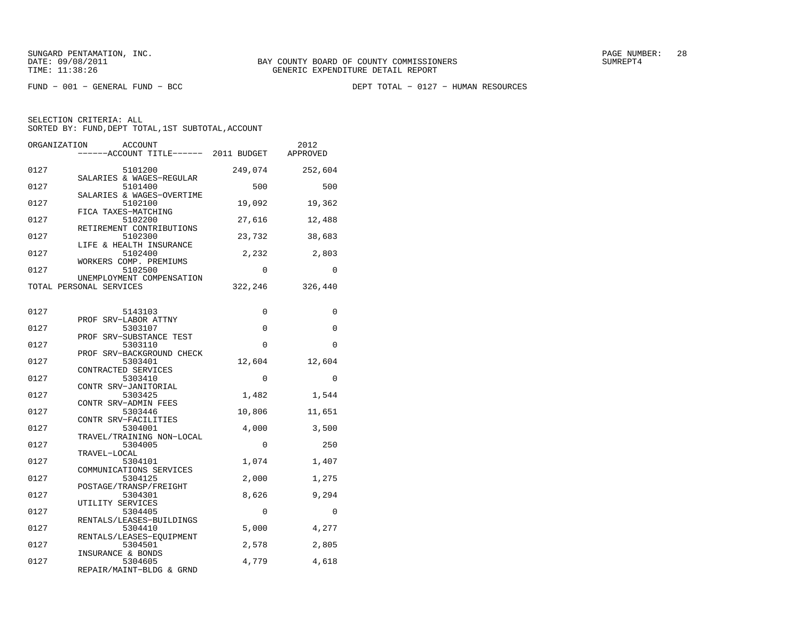FUND − 001 − GENERAL FUND − BCC DEPT TOTAL − 0127 − HUMAN RESOURCES

| ORGANIZATION                | <b>ACCOUNT</b><br>------ACCOUNT TITLE------ 2011 BUDGET          |             | 2012<br>APPROVED |
|-----------------------------|------------------------------------------------------------------|-------------|------------------|
| 0127                        | 5101200                                                          | 249,074     | 252,604          |
| 0127                        | SALARIES & WAGES-REGULAR<br>5101400<br>SALARIES & WAGES-OVERTIME | 500         | 500              |
| 0127<br>FICA TAXES-MATCHING | 5102100                                                          | 19,092      | 19,362           |
| 0127                        | 5102200<br>RETIREMENT CONTRIBUTIONS                              | 27,616      | 12,488           |
| 0127                        | 5102300<br>LIFE & HEALTH INSURANCE                               | 23,732      | 38,683           |
| 0127                        | 5102400<br>WORKERS COMP. PREMIUMS                                | 2,232       | 2,803            |
| 0127                        | 5102500<br>UNEMPLOYMENT COMPENSATION                             | $\Omega$    | $\Omega$         |
| TOTAL PERSONAL SERVICES     |                                                                  | 322,246     | 326,440          |
| 0127                        | 5143103                                                          | $\mathbf 0$ | 0                |
| 0127                        | PROF SRV-LABOR ATTNY<br>5303107<br>PROF SRV-SUBSTANCE TEST       | 0           | 0                |
| 0127                        | 5303110<br>PROF SRV-BACKGROUND CHECK                             | 0           | 0                |
| 0127                        | 5303401<br>CONTRACTED SERVICES                                   | 12,604      | 12,604           |
| 0127                        | 5303410<br>CONTR SRV-JANITORIAL                                  | $\Omega$    | $\Omega$         |
| 0127                        | 5303425<br>CONTR SRV-ADMIN FEES                                  | 1,482       | 1,544            |
| 0127                        | 5303446<br>CONTR SRV-FACILITIES                                  | 10,806      | 11,651           |
| 0127                        | 5304001<br>TRAVEL/TRAINING NON-LOCAL                             | 4,000       | 3,500            |
| 0127<br>TRAVEL-LOCAL        | 5304005                                                          | 0           | 250              |
| 0127                        | 5304101<br>COMMUNICATIONS SERVICES                               | 1,074       | 1,407            |
| 0127                        | 5304125<br>POSTAGE/TRANSP/FREIGHT                                | 2,000       | 1,275            |
| 0127<br>UTILITY SERVICES    | 5304301                                                          | 8,626       | 9,294            |
| 0127                        | 5304405<br>RENTALS/LEASES-BUILDINGS                              | $\mathbf 0$ | $\mathbf 0$      |
| 0127                        | 5304410<br>RENTALS/LEASES-EOUIPMENT                              | 5,000       | 4,277            |
| 0127<br>INSURANCE & BONDS   | 5304501                                                          | 2,578       | 2,805            |
| 0127                        | 5304605<br>REPAIR/MAINT-BLDG & GRND                              | 4,779       | 4,618            |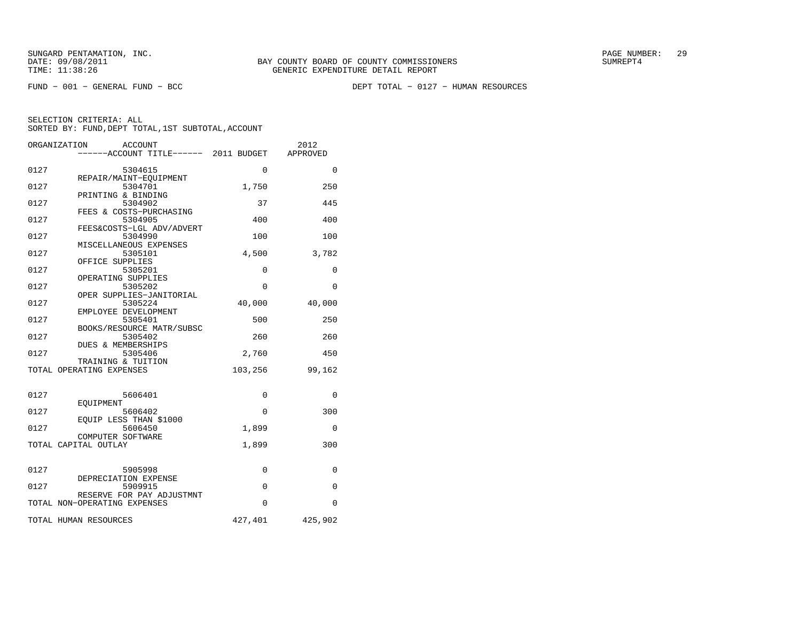FUND − 001 − GENERAL FUND − BCC DEPT TOTAL − 0127 − HUMAN RESOURCES

|      | ORGANIZATION<br><b>ACCOUNT</b><br>-----ACCOUNT TITLE------ 2011 BUDGET |          | 2012<br>APPROVED |
|------|------------------------------------------------------------------------|----------|------------------|
| 0127 | 5304615                                                                | $\Omega$ | $\Omega$         |
| 0127 | REPAIR/MAINT-EQUIPMENT<br>5304701                                      | 1,750    | 250              |
| 0127 | PRINTING & BINDING<br>5304902                                          | 37       | 445              |
| 0127 | FEES & COSTS-PURCHASING<br>5304905                                     | 400      | 400              |
| 0127 | FEES&COSTS-LGL ADV/ADVERT<br>5304990                                   | 100      | 100              |
| 0127 | MISCELLANEOUS EXPENSES<br>5305101                                      | 4,500    | 3,782            |
| 0127 | OFFICE SUPPLIES<br>5305201                                             | 0        | 0                |
| 0127 | OPERATING SUPPLIES<br>5305202                                          | 0        | 0                |
| 0127 | OPER SUPPLIES-JANITORIAL<br>5305224                                    | 40,000   | 40,000           |
| 0127 | EMPLOYEE DEVELOPMENT<br>5305401                                        | 500      | 250              |
| 0127 | BOOKS/RESOURCE MATR/SUBSC<br>5305402                                   | 260      | 260              |
| 0127 | <b>DUES &amp; MEMBERSHIPS</b><br>5305406                               | 2,760    | 450              |
|      | TRAINING & TUITION<br>TOTAL OPERATING EXPENSES                         | 103,256  | 99,162           |
|      |                                                                        |          |                  |
| 0127 | 5606401<br>EOUIPMENT                                                   | 0        | 0                |
| 0127 | 5606402                                                                | $\Omega$ | 300              |
| 0127 | EOUIP LESS THAN \$1000<br>5606450                                      | 1,899    | 0                |
|      | COMPUTER SOFTWARE<br>TOTAL CAPITAL OUTLAY                              | 1,899    | 300              |
|      |                                                                        |          |                  |
| 0127 | 5905998<br>DEPRECIATION EXPENSE                                        | 0        | 0                |
| 0127 | 5909915                                                                | $\Omega$ | $\Omega$         |
|      | RESERVE FOR PAY ADJUSTMNT<br>TOTAL NON-OPERATING EXPENSES              | $\Omega$ | $\Omega$         |
|      | TOTAL HUMAN RESOURCES                                                  | 427,401  | 425,902          |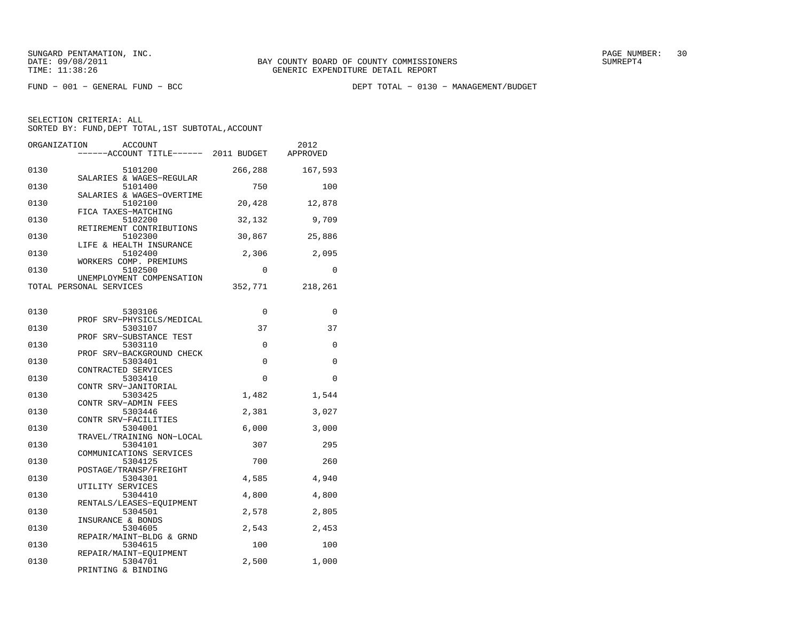FUND − 001 − GENERAL FUND − BCC DEPT TOTAL − 0130 − MANAGEMENT/BUDGET

| ORGANIZATION<br><b>ACCOUNT</b><br>------ACCOUNT TITLE------ 2011 BUDGET |             | 2012<br>APPROVED |
|-------------------------------------------------------------------------|-------------|------------------|
| 0130<br>5101200<br>SALARIES & WAGES-REGULAR                             | 266,288     | 167,593          |
| 0130<br>5101400<br>SALARIES & WAGES-OVERTIME                            | 750         | 100              |
| 0130<br>5102100<br>FICA TAXES-MATCHING                                  | 20,428      | 12,878           |
| 0130<br>5102200<br>RETIREMENT CONTRIBUTIONS                             | 32,132      | 9,709            |
| 0130<br>5102300<br>LIFE & HEALTH INSURANCE                              | 30,867      | 25,886           |
| 5102400<br>0130<br>WORKERS COMP. PREMIUMS                               | 2,306       | 2,095            |
| 5102500<br>0130<br>UNEMPLOYMENT COMPENSATION                            | 0           | 0                |
| TOTAL PERSONAL SERVICES                                                 | 352,771     | 218,261          |
| 0130<br>5303106                                                         | $\mathbf 0$ | 0                |
| PROF SRV-PHYSICLS/MEDICAL<br>0130<br>5303107                            | 37          | 37               |
| PROF SRV-SUBSTANCE TEST<br>0130<br>5303110                              | 0           | 0                |
| PROF SRV-BACKGROUND CHECK<br>0130<br>5303401<br>CONTRACTED SERVICES     | 0           | 0                |
| 0130<br>5303410<br>CONTR SRV-JANITORIAL                                 | 0           | 0                |
| 0130<br>5303425<br>CONTR SRV-ADMIN FEES                                 | 1,482       | 1,544            |
| 0130<br>5303446<br>CONTR SRV-FACILITIES                                 | 2,381       | 3,027            |
| 0130<br>5304001<br>TRAVEL/TRAINING NON-LOCAL                            | 6,000       | 3,000            |
| 0130<br>5304101<br>COMMUNICATIONS SERVICES                              | 307         | 295              |
| 0130<br>5304125<br>POSTAGE/TRANSP/FREIGHT                               | 700         | 260              |
| 0130<br>5304301<br>UTILITY SERVICES                                     | 4,585       | 4,940            |
| 0130<br>5304410<br>RENTALS/LEASES-EQUIPMENT                             | 4,800       | 4,800            |
| 0130<br>5304501<br>INSURANCE & BONDS                                    | 2,578       | 2,805            |
| 5304605<br>0130<br>REPAIR/MAINT-BLDG & GRND                             | 2,543       | 2,453            |
| 0130<br>5304615<br>REPAIR/MAINT-EQUIPMENT                               | 100         | 100              |
| 0130<br>5304701<br>PRINTING & BINDING                                   | 2,500       | 1,000            |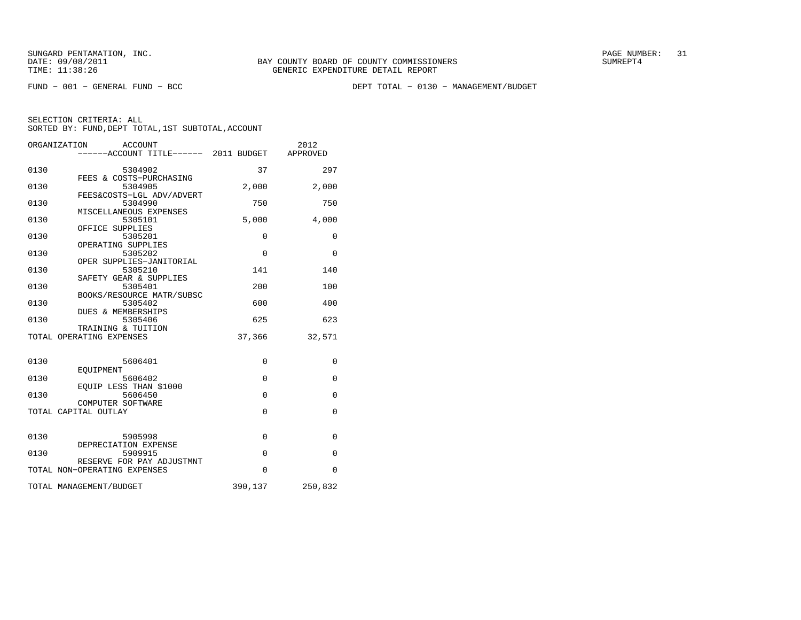FUND − 001 − GENERAL FUND − BCC DEPT TOTAL − 0130 − MANAGEMENT/BUDGET

|      | ORGANIZATION<br>ACCOUNT<br>------ACCOUNT TITLE------ 2011 BUDGET |             | 2012<br>APPROVED |
|------|------------------------------------------------------------------|-------------|------------------|
| 0130 | 5304902                                                          | 37          | 297              |
| 0130 | FEES & COSTS-PURCHASING<br>5304905                               | 2,000       | 2,000            |
| 0130 | FEES&COSTS-LGL ADV/ADVERT<br>5304990                             | 750         | 750              |
| 0130 | MISCELLANEOUS EXPENSES<br>5305101                                | 5,000       | 4,000            |
| 0130 | OFFICE SUPPLIES<br>5305201                                       | $\mathbf 0$ | $\mathbf{0}$     |
| 0130 | OPERATING SUPPLIES<br>5305202                                    | $\Omega$    | $\mathbf 0$      |
| 0130 | OPER SUPPLIES-JANITORIAL<br>5305210                              | 141         | 140              |
| 0130 | SAFETY GEAR & SUPPLIES<br>5305401                                | 200         | 100              |
| 0130 | BOOKS/RESOURCE MATR/SUBSC<br>5305402<br>DUES & MEMBERSHIPS       | 600         | 400              |
| 0130 | 5305406<br>TRAINING & TUITION                                    | 625         | 623              |
|      | TOTAL OPERATING EXPENSES                                         | 37,366      | 32,571           |
| 0130 | 5606401                                                          | $\mathbf 0$ | $\mathbf{0}$     |
| 0130 | EOUIPMENT<br>5606402                                             | $\Omega$    | $\Omega$         |
| 0130 | EOUIP LESS THAN \$1000<br>5606450                                | $\Omega$    | $\Omega$         |
|      | COMPUTER SOFTWARE<br>TOTAL CAPITAL OUTLAY                        | $\Omega$    | 0                |
|      |                                                                  |             |                  |
| 0130 | 5905998<br>DEPRECIATION EXPENSE                                  | $\Omega$    | $\Omega$         |
| 0130 | 5909915<br>RESERVE FOR PAY ADJUSTMNT                             | $\Omega$    | $\Omega$         |
|      | TOTAL NON-OPERATING EXPENSES                                     | $\Omega$    | $\Omega$         |
|      | TOTAL MANAGEMENT/BUDGET                                          | 390,137     | 250,832          |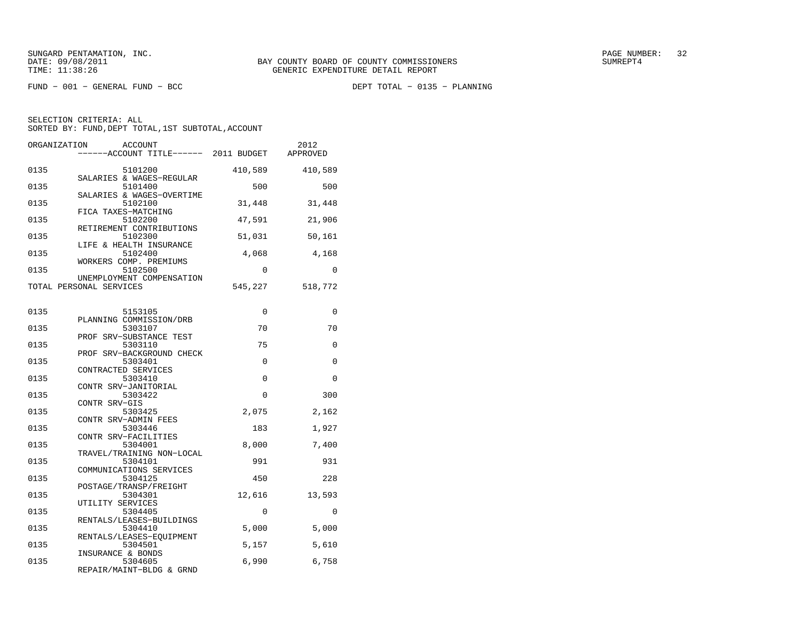$FUND - 001 - GENERAL FUND - BCC$ 

DEPT TOTAL - 0135 - PLANNING

| ORGANIZATION<br><b>ACCOUNT</b>                                 | -----ACCOUNT TITLE------ 2011 BUDGET | 2012<br>APPROVED |
|----------------------------------------------------------------|--------------------------------------|------------------|
| 0135<br>5101200<br>SALARIES & WAGES-REGULAR                    | 410,589                              | 410,589          |
| 0135<br>5101400<br>SALARIES & WAGES-OVERTIME                   | 500                                  | 500              |
| 0135<br>5102100<br>FICA TAXES-MATCHING                         | 31,448                               | 31,448           |
| 0135<br>5102200<br>RETIREMENT CONTRIBUTIONS                    | 47,591                               | 21,906           |
| 0135<br>5102300<br>LIFE & HEALTH INSURANCE                     | 51,031                               | 50,161           |
| 0135<br>5102400<br>WORKERS COMP. PREMIUMS                      | 4,068                                | 4,168            |
| 5102500<br>0135<br>UNEMPLOYMENT COMPENSATION                   | $\Omega$                             | $\Omega$         |
| TOTAL PERSONAL SERVICES                                        | 545,227                              | 518,772          |
| 0135<br>5153105                                                | 0                                    | 0                |
| PLANNING COMMISSION/DRB<br>0135<br>5303107                     | 70                                   | 70               |
| PROF SRV-SUBSTANCE TEST<br>5303110<br>0135                     | 75                                   | 0                |
| PROF SRV-BACKGROUND CHECK<br>0135<br>5303401                   | 0                                    | 0                |
| CONTRACTED SERVICES<br>0135<br>5303410<br>CONTR SRV-JANITORIAL | $\mathbf 0$                          | $\Omega$         |
| 0135<br>5303422<br>CONTR SRV-GIS                               | $\Omega$                             | 300              |
| 5303425<br>0135<br>CONTR SRV-ADMIN FEES                        | 2,075                                | 2,162            |
| 0135<br>5303446<br>CONTR SRV-FACILITIES                        | 183                                  | 1,927            |
| 0135<br>5304001<br>TRAVEL/TRAINING NON-LOCAL                   | 8,000                                | 7,400            |
| 5304101<br>0135<br>COMMUNICATIONS SERVICES                     | 991                                  | 931              |
| 0135<br>5304125<br>POSTAGE/TRANSP/FREIGHT                      | 450                                  | 228              |
| 0135<br>5304301<br>UTILITY SERVICES                            | 12,616                               | 13,593           |
| 0135<br>5304405<br>RENTALS/LEASES-BUILDINGS                    | 0                                    | $\mathbf 0$      |
| 0135<br>5304410<br>RENTALS/LEASES-EOUIPMENT                    | 5,000                                | 5,000            |
| 5304501<br>0135<br>INSURANCE & BONDS                           | 5,157                                | 5,610            |
| 0135<br>5304605<br>REPAIR/MAINT-BLDG & GRND                    | 6,990                                | 6,758            |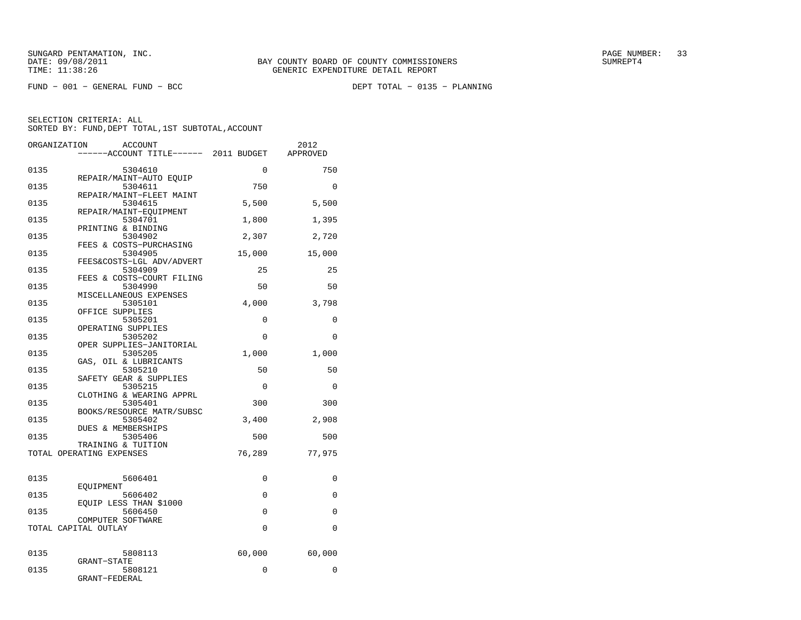$FUND - 001 - GENERAL FUND - BCC$ 

DEPT TOTAL - 0135 - PLANNING

|      | ORGANIZATION<br>ACCOUNT                        |             | 2012        |
|------|------------------------------------------------|-------------|-------------|
|      | ----ACCOUNT TITLE------ 2011 BUDGET            |             | APPROVED    |
| 0135 | 5304610                                        | 0           | 750         |
| 0135 | REPAIR/MAINT-AUTO EQUIP<br>5304611             | 750         | $\Omega$    |
| 0135 | REPAIR/MAINT-FLEET MAINT<br>5304615            | 5,500       | 5,500       |
| 0135 | REPAIR/MAINT-EOUIPMENT<br>5304701              | 1,800       | 1,395       |
| 0135 | PRINTING & BINDING<br>5304902                  | 2,307       | 2,720       |
| 0135 | FEES & COSTS-PURCHASING<br>5304905             | 15,000      | 15,000      |
| 0135 | FEES&COSTS-LGL ADV/ADVERT<br>5304909           | 25          | 25          |
| 0135 | FEES & COSTS-COURT FILING<br>5304990           | 50          | 50          |
| 0135 | MISCELLANEOUS EXPENSES<br>5305101              | 4,000       | 3,798       |
| 0135 | OFFICE SUPPLIES<br>5305201                     | $\Omega$    | $\Omega$    |
| 0135 | OPERATING SUPPLIES<br>5305202                  | $\mathbf 0$ | 0           |
| 0135 | OPER SUPPLIES-JANITORIAL<br>5305205            | 1,000       | 1,000       |
| 0135 | GAS, OIL & LUBRICANTS<br>5305210               | 50          | 50          |
| 0135 | SAFETY GEAR & SUPPLIES<br>5305215              | $\mathbf 0$ | $\mathbf 0$ |
| 0135 | CLOTHING & WEARING APPRL<br>5305401            | 300         | 300         |
| 0135 | BOOKS/RESOURCE MATR/SUBSC<br>5305402           | 3,400       | 2,908       |
| 0135 | DUES & MEMBERSHIPS<br>5305406                  | 500         | 500         |
|      | TRAINING & TUITION<br>TOTAL OPERATING EXPENSES | 76,289      | 77,975      |
|      |                                                |             |             |
| 0135 | 5606401<br>EOUIPMENT                           | 0           | 0           |
| 0135 | 5606402                                        | $\Omega$    | $\Omega$    |
| 0135 | EOUIP LESS THAN \$1000<br>5606450              | $\mathbf 0$ | 0           |
|      | COMPUTER SOFTWARE<br>TOTAL CAPITAL OUTLAY      | $\Omega$    | $\Omega$    |
|      |                                                |             |             |
| 0135 | 5808113<br><b>GRANT-STATE</b>                  | 60,000      | 60,000      |
| 0135 | 5808121<br>GRANT-FEDERAL                       | 0           | 0           |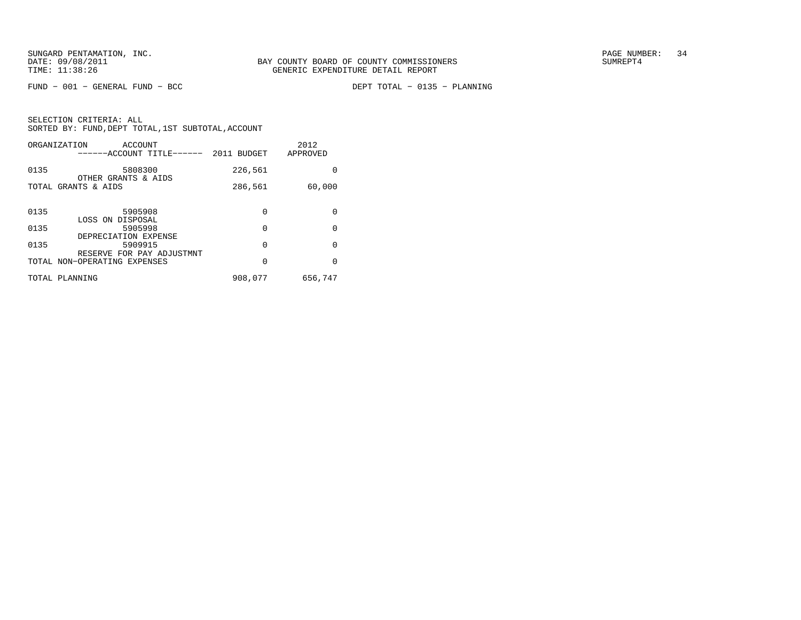$FUND - 001 - GENERAL FUND - BCC$ 

DEPT TOTAL - 0135 - PLANNING

|      | ORGANIZATION<br>ACCOUNT<br>------ACCOUNT TITLE------ | 2011 BUDGET | 2012<br>APPROVED |
|------|------------------------------------------------------|-------------|------------------|
| 0135 | 5808300<br>OTHER GRANTS & AIDS                       | 226,561     | 0                |
|      | TOTAL GRANTS & AIDS                                  | 286,561     | 60,000           |
| 0135 | 5905908                                              | 0           | 0                |
| 0135 | LOSS ON DISPOSAL<br>5905998<br>DEPRECIATION EXPENSE  | 0           | $\Omega$         |
| 0135 | 5909915<br>RESERVE FOR PAY ADJUSTMNT                 | 0           | 0                |
|      | TOTAL NON-OPERATING EXPENSES                         | 0           | $\Omega$         |
|      | TOTAL PLANNING                                       | 908,077     | 656,747          |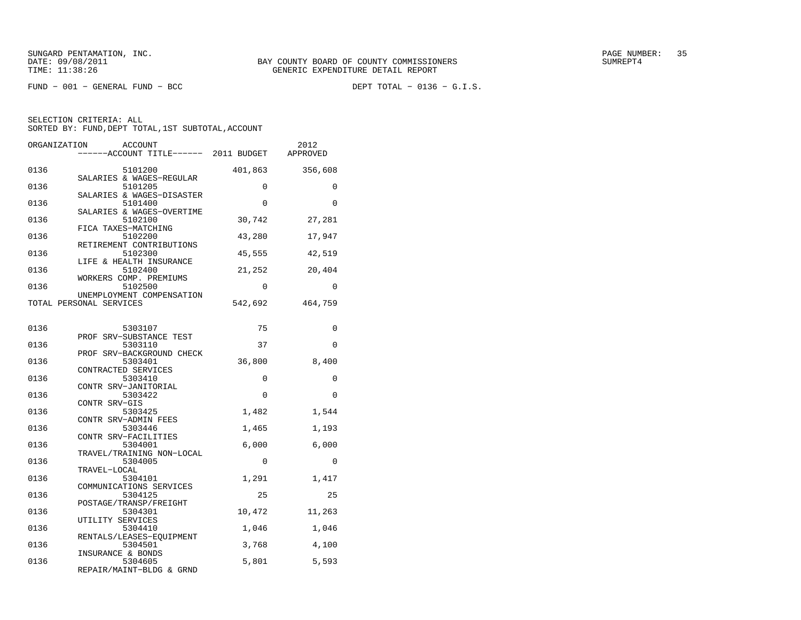$FUND - 001 - GENERAL FUND - BCC$ 

DEPT TOTAL -  $0136 - G.I.S.$ 

| ORGANIZATION<br><b>ACCOUNT</b><br>-----ACCOUNT TITLE------ 2011 BUDGET |          | 2012<br>APPROVED |
|------------------------------------------------------------------------|----------|------------------|
| 0136<br>5101200                                                        | 401,863  | 356,608          |
| SALARIES & WAGES-REGULAR<br>0136<br>5101205                            | 0        | 0                |
| SALARIES & WAGES-DISASTER<br>0136<br>5101400                           | $\Omega$ | $\Omega$         |
| SALARIES & WAGES-OVERTIME<br>0136<br>5102100<br>FICA TAXES-MATCHING    | 30,742   | 27,281           |
| 0136<br>5102200<br>RETIREMENT CONTRIBUTIONS                            | 43,280   | 17,947           |
| 0136<br>5102300<br>LIFE & HEALTH INSURANCE                             | 45,555   | 42,519           |
| 0136<br>5102400<br>WORKERS COMP. PREMIUMS                              | 21,252   | 20,404           |
| 0136<br>5102500<br>UNEMPLOYMENT COMPENSATION                           | $\Omega$ | $\Omega$         |
| TOTAL PERSONAL SERVICES                                                | 542,692  | 464,759          |
| 0136<br>5303107                                                        | 75       | 0                |
| PROF SRV-SUBSTANCE TEST<br>0136<br>5303110                             | 37       | $\Omega$         |
| PROF SRV-BACKGROUND CHECK<br>0136<br>5303401                           | 36,800   | 8,400            |
| CONTRACTED SERVICES<br>0136<br>5303410                                 | 0        | 0                |
| CONTR SRV-JANITORIAL<br>0136<br>5303422                                | $\Omega$ | $\Omega$         |
| CONTR SRV-GIS<br>5303425<br>0136                                       | 1,482    | 1,544            |
| CONTR SRV-ADMIN FEES<br>0136<br>5303446                                | 1,465    | 1,193            |
| CONTR SRV-FACILITIES<br>0136<br>5304001                                | 6,000    | 6,000            |
| TRAVEL/TRAINING NON-LOCAL<br>0136<br>5304005                           | $\Omega$ | $\Omega$         |
| TRAVEL-LOCAL<br>0136<br>5304101                                        | 1,291    | 1,417            |
| COMMUNICATIONS SERVICES<br>0136<br>5304125                             | 25       | 25               |
| POSTAGE/TRANSP/FREIGHT<br>0136<br>5304301<br>UTILITY SERVICES          | 10,472   | 11,263           |
| 0136<br>5304410<br>RENTALS/LEASES-EOUIPMENT                            | 1,046    | 1,046            |
| 0136<br>5304501<br>INSURANCE & BONDS                                   | 3,768    | 4,100            |
| 0136<br>5304605<br>REPAIR/MAINT-BLDG & GRND                            | 5,801    | 5,593            |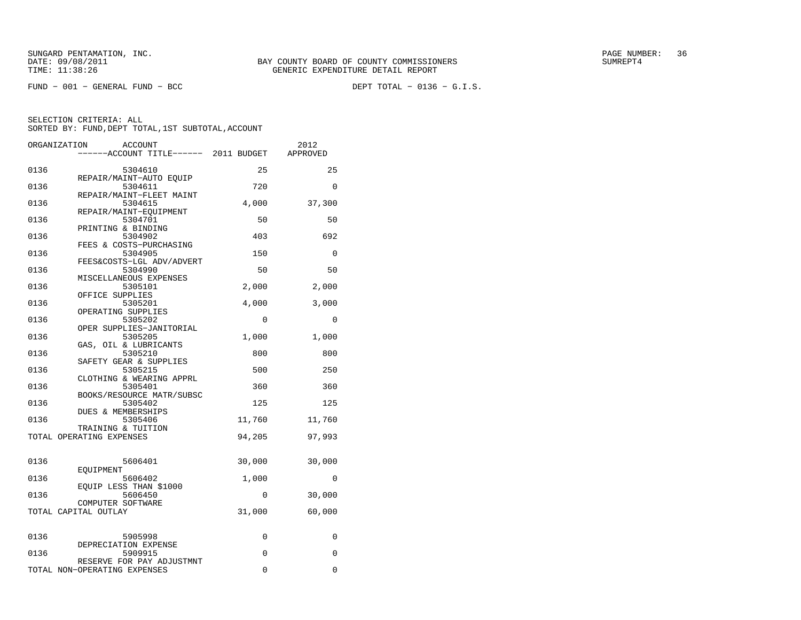$FUND - 001 - GENERAL FUND - BCC$ 

DEPT TOTAL -  $0136 - G.I.S.$ 

|      | ORGANIZATION<br><b>ACCOUNT</b><br>-----ACCOUNT TITLE------ 2011 BUDGET |        | 2012<br>APPROVED |
|------|------------------------------------------------------------------------|--------|------------------|
|      |                                                                        |        |                  |
| 0136 | 5304610                                                                | 25     | 25               |
| 0136 | REPAIR/MAINT-AUTO EQUIP                                                | 720    | $\Omega$         |
|      | 5304611<br>REPAIR/MAINT-FLEET MAINT                                    |        |                  |
| 0136 | 5304615                                                                | 4,000  | 37,300           |
|      | REPAIR/MAINT-EOUIPMENT                                                 |        |                  |
| 0136 | 5304701                                                                | 50     | 50               |
| 0136 | PRINTING & BINDING<br>5304902                                          | 403    | 692              |
|      | FEES & COSTS-PURCHASING                                                |        |                  |
| 0136 | 5304905                                                                | 150    | 0                |
|      | FEES&COSTS-LGL ADV/ADVERT                                              |        |                  |
| 0136 | 5304990<br>MISCELLANEOUS EXPENSES                                      | 50     | 50               |
| 0136 | 5305101                                                                | 2,000  | 2,000            |
|      | OFFICE SUPPLIES                                                        |        |                  |
| 0136 | 5305201                                                                | 4,000  | 3,000            |
| 0136 | OPERATING SUPPLIES<br>5305202                                          | 0      | 0                |
|      | OPER SUPPLIES-JANITORIAL                                               |        |                  |
| 0136 | 5305205                                                                | 1,000  | 1,000            |
|      | GAS, OIL & LUBRICANTS                                                  |        |                  |
| 0136 | 5305210<br>SAFETY GEAR & SUPPLIES                                      | 800    | 800              |
| 0136 | 5305215                                                                | 500    | 250              |
|      | CLOTHING & WEARING APPRL                                               |        |                  |
| 0136 | 5305401                                                                | 360    | 360              |
| 0136 | BOOKS/RESOURCE MATR/SUBSC<br>5305402                                   | 125    | 125              |
|      | <b>DUES &amp; MEMBERSHIPS</b>                                          |        |                  |
| 0136 | 5305406                                                                | 11,760 | 11,760           |
|      | TRAINING & TUITION                                                     | 94,205 |                  |
|      | TOTAL OPERATING EXPENSES                                               |        | 97,993           |
|      |                                                                        |        |                  |
| 0136 | 5606401                                                                | 30,000 | 30,000           |
| 0136 | EQUIPMENT<br>5606402                                                   | 1,000  | 0                |
|      | EQUIP LESS THAN \$1000                                                 |        |                  |
| 0136 | 5606450                                                                | 0      | 30,000           |
|      | COMPUTER SOFTWARE<br>TOTAL CAPITAL OUTLAY                              | 31,000 | 60,000           |
|      |                                                                        |        |                  |
|      |                                                                        |        |                  |
| 0136 | 5905998<br>DEPRECIATION EXPENSE                                        | 0      | 0                |
| 0136 | 5909915                                                                | 0      | 0                |
|      | RESERVE FOR PAY ADJUSTMNT                                              |        |                  |
|      | TOTAL NON-OPERATING EXPENSES                                           | 0      | 0                |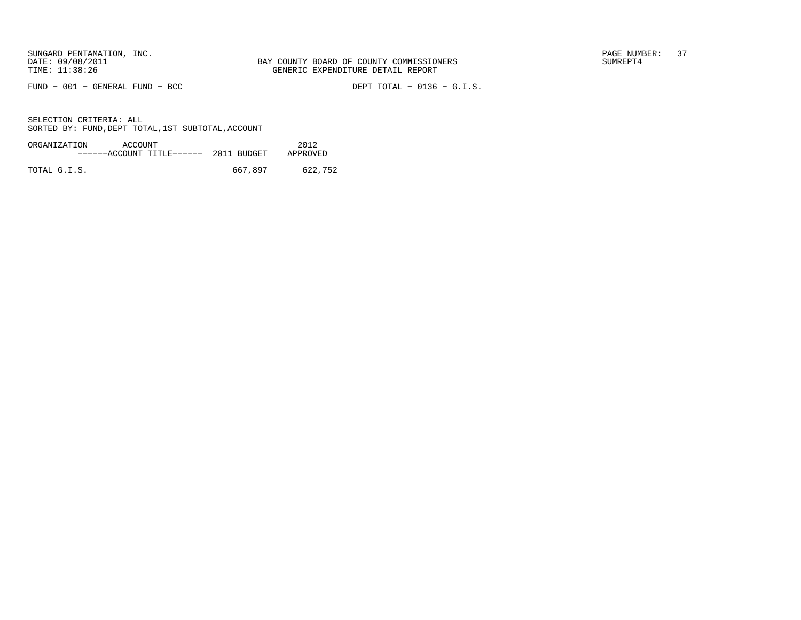$FUND - 001 - GENERAL FUND - BCC$ 

DEPT TOTAL -  $0136 - G.I.S.$ 

| ORGANIZATION | ACCOUNT                              |         | 2012     |
|--------------|--------------------------------------|---------|----------|
|              | $---ACCOUNT$ TITLE $--- 2011$ BUDGET |         | APPROVED |
|              |                                      |         |          |
| TOTAL G.I.S. |                                      | 667,897 | 622,752  |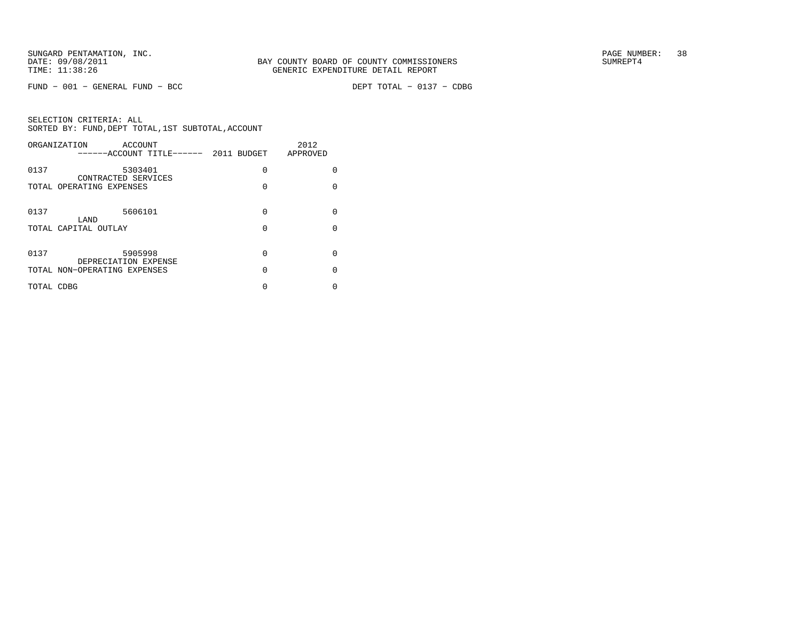$FUND - 001 - GENERAL FUND - BCC$ 

DEPT TOTAL - 0137 - CDBG

| ORGANIZATION                 | <b>ACCOUNT</b><br>-----ACCOUNT TITLE------ 2011 BUDGET |          | 2012<br>APPROVED |
|------------------------------|--------------------------------------------------------|----------|------------------|
| 0137                         | 5303401<br>CONTRACTED SERVICES                         | $\Omega$ | <sup>0</sup>     |
| TOTAL OPERATING EXPENSES     |                                                        | 0        | $\Omega$         |
| 0137                         | 5606101                                                | $\Omega$ | <sup>0</sup>     |
| LAND                         |                                                        |          |                  |
| TOTAL CAPITAL OUTLAY         |                                                        | 0        | <sup>0</sup>     |
|                              |                                                        |          |                  |
| 0137                         | 5905998<br>DEPRECIATION EXPENSE                        | $\Omega$ | $\Omega$         |
| TOTAL NON-OPERATING EXPENSES |                                                        | 0        | <sup>0</sup>     |
| TOTAL CDBG                   |                                                        | 0        | N                |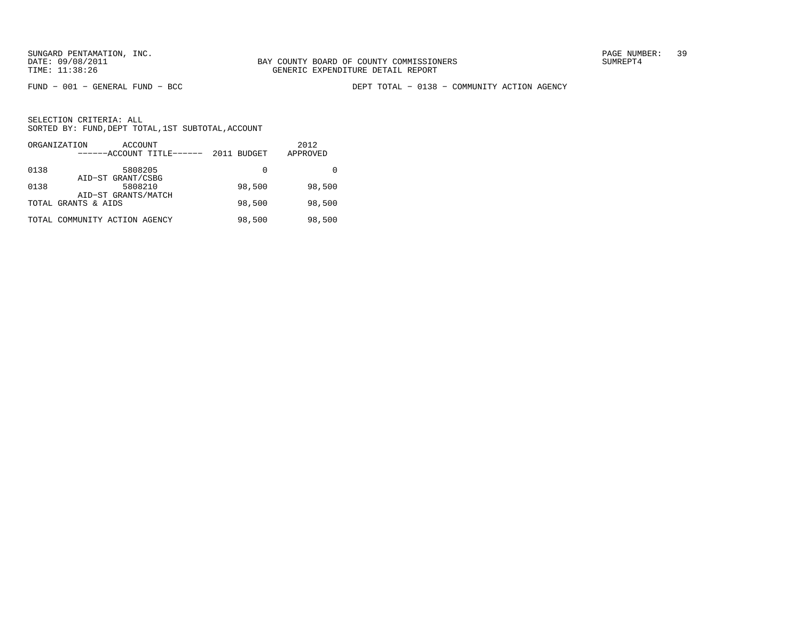FUND − 001 − GENERAL FUND − BCC DEPT TOTAL − 0138 − COMMUNITY ACTION AGENCY

| ORGANIZATION<br>ACCOUNT<br>------ACCOUNT TITLE------ | 2011 BUDGET | 2012<br>APPROVED |
|------------------------------------------------------|-------------|------------------|
| 0138<br>5808205<br>AID-ST GRANT/CSBG                 | 0           |                  |
| 0138<br>5808210<br>AID-ST GRANTS/MATCH               | 98,500      | 98,500           |
| TOTAL GRANTS & AIDS                                  | 98,500      | 98,500           |
| TOTAL COMMUNITY ACTION AGENCY                        | 98,500      | 98,500           |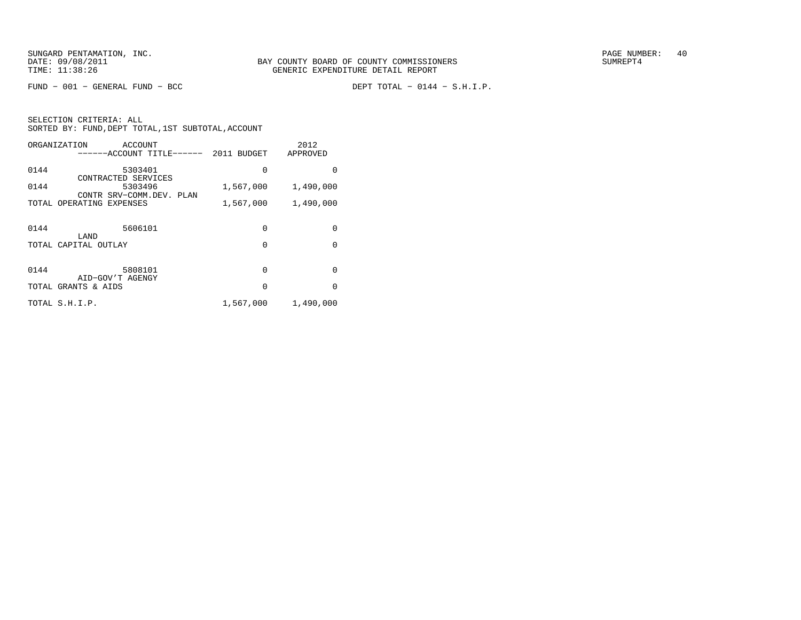FUND − 001 − GENERAL FUND − BCC DEPT TOTAL − 0144 − S.H.I.P.

| ORGANIZATION<br>ACCOUNT<br>------ACCOUNT TITLE------ 2011 BUDGET |           | 2012<br>APPROVED |
|------------------------------------------------------------------|-----------|------------------|
| 0144<br>5303401<br>CONTRACTED SERVICES                           | 0         | 0                |
| 0144<br>5303496                                                  | 1,567,000 | 1,490,000        |
| CONTR SRV-COMM.DEV. PLAN<br>TOTAL OPERATING EXPENSES             | 1,567,000 | 1,490,000        |
| 5606101<br>0144<br>LAND                                          | $\Omega$  | <sup>0</sup>     |
| TOTAL CAPITAL OUTLAY                                             | $\Omega$  | $\Omega$         |
|                                                                  |           |                  |
| 0144<br>5808101<br>AID-GOV'T AGENGY                              | 0         | $\Omega$         |
| TOTAL GRANTS & AIDS                                              | $\Omega$  | $\Omega$         |
| TOTAL S.H.I.P.                                                   | 1,567,000 | 1,490,000        |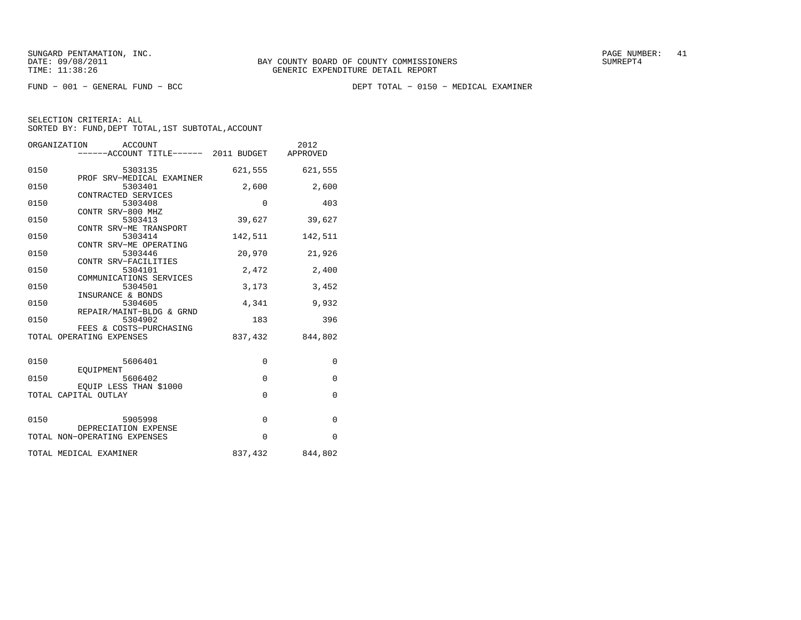FUND − 001 − GENERAL FUND − BCC DEPT TOTAL − 0150 − MEDICAL EXAMINER

| ORGANIZATION<br>ACCOUNT |                                       |             | 2012            |
|-------------------------|---------------------------------------|-------------|-----------------|
|                         | ------ACCOUNT TITLE------ 2011 BUDGET |             | APPROVED        |
|                         |                                       |             |                 |
| 0150                    | 5303135                               | 621,555     | 621,555         |
|                         | PROF SRV-MEDICAL EXAMINER             |             |                 |
| 0150                    | 5303401                               | 2,600       | 2,600           |
|                         | CONTRACTED SERVICES                   |             |                 |
| 0150                    | 5303408                               | 0           | 403             |
|                         | CONTR SRV-800 MHZ                     |             |                 |
| 0150                    | 5303413                               | 39,627      | 39,627          |
|                         | CONTR SRV-ME TRANSPORT                |             |                 |
| 0150                    | 5303414                               |             | 142,511         |
|                         |                                       | 142,511     |                 |
|                         | CONTR SRV-ME OPERATING                |             |                 |
| 0150                    | 5303446                               | 20,970      | 21,926          |
|                         | CONTR SRV-FACILITIES                  |             |                 |
| 0150                    | 5304101                               | 2,472       | 2,400           |
|                         | COMMUNICATIONS SERVICES               |             |                 |
| 0150                    | 5304501                               | 3,173       | 3,452           |
|                         | INSURANCE & BONDS                     |             |                 |
| 0150                    | 5304605                               | 4,341       | 9,932           |
|                         | REPAIR/MAINT-BLDG & GRND              |             |                 |
| 0150                    | 5304902                               | 183         | 396             |
|                         | FEES & COSTS-PURCHASING               |             |                 |
|                         | TOTAL OPERATING EXPENSES              | 837,432     | 844,802         |
|                         |                                       |             |                 |
|                         |                                       |             |                 |
| 0150                    | 5606401                               | 0           | $\mathbf 0$     |
|                         | EOUIPMENT                             |             |                 |
| 0150                    | 5606402                               | 0           | $\mathbf{0}$    |
|                         | EQUIP LESS THAN \$1000                |             |                 |
|                         | TOTAL CAPITAL OUTLAY                  | $\mathbf 0$ | $\mathbf{0}$    |
|                         |                                       |             |                 |
|                         |                                       |             |                 |
|                         |                                       |             |                 |
| 0150                    | 5905998                               | $\Omega$    | $\mathbf 0$     |
|                         | DEPRECIATION EXPENSE                  |             |                 |
|                         | TOTAL NON-OPERATING EXPENSES          | $\Omega$    | $\Omega$        |
|                         |                                       |             |                 |
|                         | TOTAL MEDICAL EXAMINER                |             | 837,432 844,802 |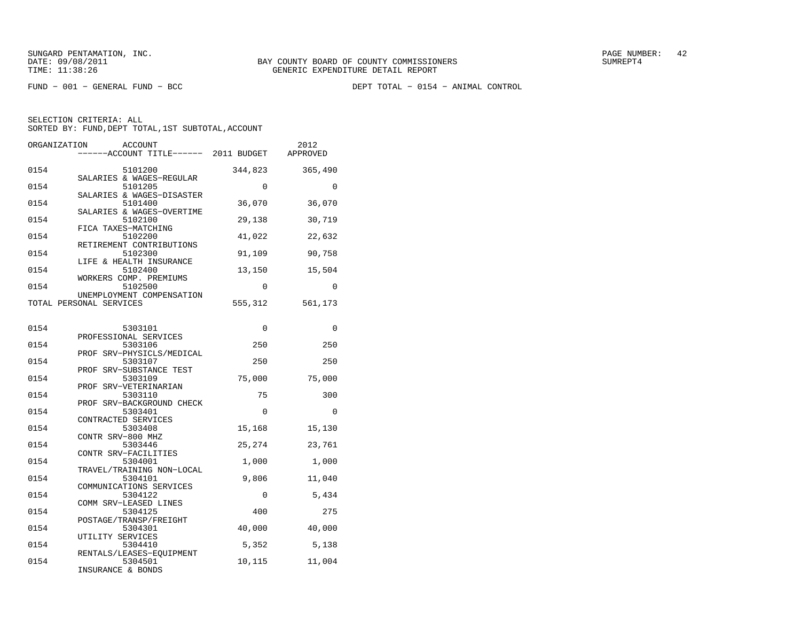FUND − 001 − GENERAL FUND − BCC DEPT TOTAL − 0154 − ANIMAL CONTROL

| ORGANIZATION | ACCOUNT<br>----ACCOUNT TITLE------ 2011 BUDGET                    |          | 2012<br>APPROVED |
|--------------|-------------------------------------------------------------------|----------|------------------|
| 0154         | 5101200                                                           | 344,823  | 365,490          |
| 0154         | SALARIES & WAGES-REGULAR<br>5101205                               | $\Omega$ | $\Omega$         |
| 0154         | SALARIES & WAGES-DISASTER<br>5101400<br>SALARIES & WAGES-OVERTIME | 36,070   | 36,070           |
| 0154         | 5102100<br>FICA TAXES-MATCHING                                    | 29,138   | 30,719           |
| 0154         | 5102200<br>RETIREMENT CONTRIBUTIONS                               | 41,022   | 22,632           |
| 0154         | 5102300<br>LIFE & HEALTH INSURANCE                                | 91,109   | 90,758           |
| 0154         | 5102400<br>WORKERS COMP. PREMIUMS                                 | 13,150   | 15,504           |
| 0154         | 5102500<br>UNEMPLOYMENT COMPENSATION                              | $\Omega$ | $\Omega$         |
|              | TOTAL PERSONAL SERVICES                                           | 555,312  | 561,173          |
| 0154         | 5303101                                                           | $\Omega$ | $\Omega$         |
| 0154         | PROFESSIONAL SERVICES<br>5303106                                  | 250      | 250              |
| 0154         | PROF SRV-PHYSICLS/MEDICAL<br>5303107                              | 250      | 250              |
| 0154         | SRV-SUBSTANCE TEST<br>PROF<br>5303109                             | 75,000   | 75,000           |
|              | PROF SRV-VETERINARIAN                                             |          |                  |
| 0154         | 5303110<br>PROF SRV-BACKGROUND CHECK                              | 75       | 300              |
| 0154         | 5303401<br>CONTRACTED SERVICES                                    | $\Omega$ | $\Omega$         |
| 0154         | 5303408<br>CONTR SRV-800 MHZ                                      | 15,168   | 15,130           |
| 0154         | 5303446<br>CONTR SRV-FACILITIES                                   | 25,274   | 23,761           |
| 0154         | 5304001<br>TRAVEL/TRAINING NON-LOCAL                              | 1,000    | 1,000            |
| 0154         | 5304101<br>COMMUNICATIONS SERVICES                                | 9,806    | 11,040           |
| 0154         | 5304122<br>COMM SRV-LEASED LINES                                  | 0        | 5,434            |
| 0154         | 5304125<br>POSTAGE/TRANSP/FREIGHT                                 | 400      | 275              |
| 0154         | 5304301<br>UTILITY SERVICES                                       | 40,000   | 40,000           |
| 0154         | 5304410                                                           | 5,352    | 5,138            |
| 0154         | RENTALS/LEASES-EQUIPMENT<br>5304501<br>INSURANCE & BONDS          | 10,115   | 11,004           |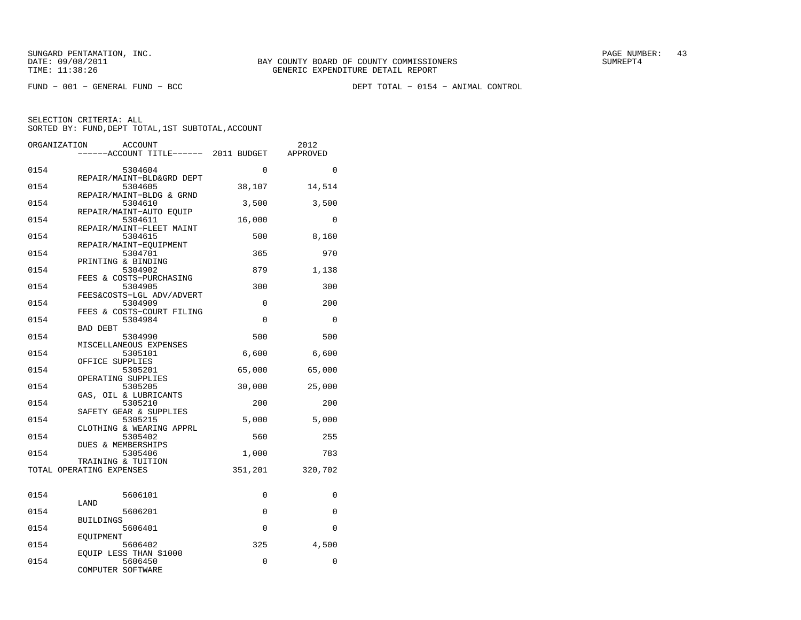FUND − 001 − GENERAL FUND − BCC DEPT TOTAL − 0154 − ANIMAL CONTROL

| ORGANIZATION | <b>ACCOUNT</b><br>-----ACCOUNT TITLE------ 2011 BUDGET |          | 2012<br>APPROVED |
|--------------|--------------------------------------------------------|----------|------------------|
|              |                                                        |          |                  |
| 0154         | 5304604                                                | 0        | 0                |
|              | REPAIR/MAINT-BLD&GRD DEPT                              |          |                  |
| 0154         | 5304605<br>REPAIR/MAINT-BLDG & GRND                    | 38,107   | 14,514           |
| 0154         | 5304610                                                | 3,500    | 3,500            |
|              | REPAIR/MAINT-AUTO EQUIP                                |          |                  |
| 0154         | 5304611                                                | 16,000   | $\Omega$         |
| 0154         | REPAIR/MAINT-FLEET MAINT<br>5304615                    | 500      | 8,160            |
|              | REPAIR/MAINT-EOUIPMENT                                 |          |                  |
| 0154         | 5304701                                                | 365      | 970              |
|              | PRINTING & BINDING                                     |          |                  |
| 0154         | 5304902<br>FEES & COSTS-PURCHASING                     | 879      | 1,138            |
| 0154         | 5304905                                                | 300      | 300              |
|              | FEES&COSTS-LGL ADV/ADVERT                              |          |                  |
| 0154         | 5304909                                                | 0        | 200              |
| 0154         | FEES & COSTS-COURT FILING<br>5304984                   | $\Omega$ | 0                |
|              | <b>BAD DEBT</b>                                        |          |                  |
| 0154         | 5304990                                                | 500      | 500              |
|              | MISCELLANEOUS EXPENSES                                 |          |                  |
| 0154         | 5305101<br>OFFICE SUPPLIES                             | 6,600    | 6,600            |
| 0154         | 5305201                                                | 65,000   | 65,000           |
|              | OPERATING SUPPLIES                                     |          |                  |
| 0154         | 5305205                                                | 30,000   | 25,000           |
| 0154         | GAS, OIL & LUBRICANTS<br>5305210                       | 200      | 200              |
|              | SAFETY GEAR & SUPPLIES                                 |          |                  |
| 0154         | 5305215                                                | 5,000    | 5,000            |
|              | CLOTHING & WEARING APPRL                               |          |                  |
| 0154         | 5305402<br><b>DUES &amp; MEMBERSHIPS</b>               | 560      | 255              |
| 0154         | 5305406                                                | 1,000    | 783              |
|              | TRAINING & TUITION                                     |          |                  |
|              | TOTAL OPERATING EXPENSES                               | 351,201  | 320,702          |
|              |                                                        |          |                  |
| 0154         | 5606101                                                | 0        | 0                |
|              | LAND                                                   |          |                  |
| 0154         | 5606201                                                | 0        | $\mathbf 0$      |
| 0154         | <b>BUILDINGS</b><br>5606401                            | 0        | 0                |
|              | EQUIPMENT                                              |          |                  |
| 0154         | 5606402                                                | 325      | 4,500            |
|              | EQUIP LESS THAN \$1000                                 |          |                  |
| 0154         | 5606450<br>COMPUTER SOFTWARE                           | 0        | 0                |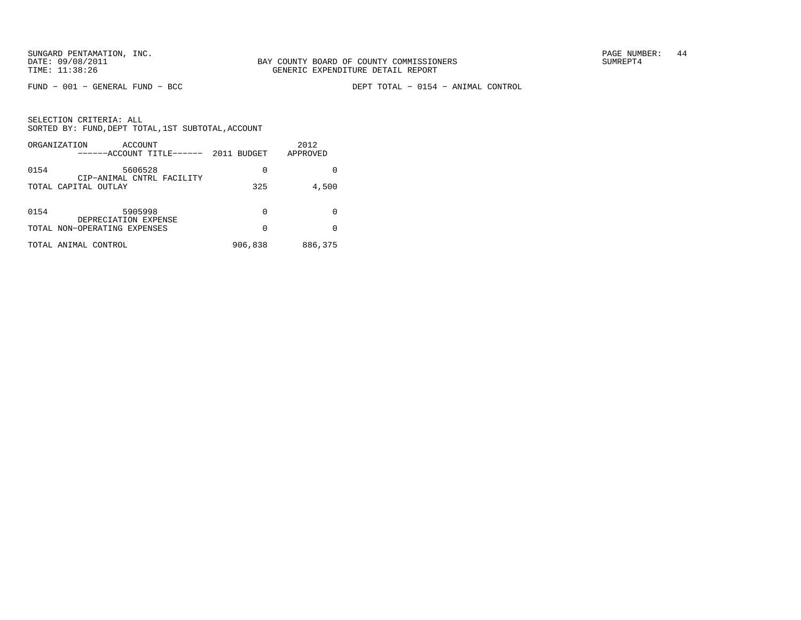FUND − 001 − GENERAL FUND − BCC DEPT TOTAL − 0154 − ANIMAL CONTROL

|  | SELECTION CRITERIA: ALL |                                                    |
|--|-------------------------|----------------------------------------------------|
|  |                         | SORTED BY: FUND, DEPT TOTAL, 1ST SUBTOTAL, ACCOUNT |

| ORGANIZATION<br>ACCOUNT                              | ------ACCOUNT TITLE------ | 2011 BUDGET | 2012<br>APPROVED |
|------------------------------------------------------|---------------------------|-------------|------------------|
| 0154<br>5606528<br>CIP-ANIMAL CNTRL FACILITY         |                           | 0           |                  |
| TOTAL CAPITAL OUTLAY                                 |                           | 325         | 4,500            |
| 0154<br>5905998                                      |                           | 0           |                  |
| DEPRECIATION EXPENSE<br>TOTAL NON-OPERATING EXPENSES |                           | 0           | <sup>0</sup>     |
| TOTAL ANIMAL CONTROL                                 |                           | 906,838     | 886,375          |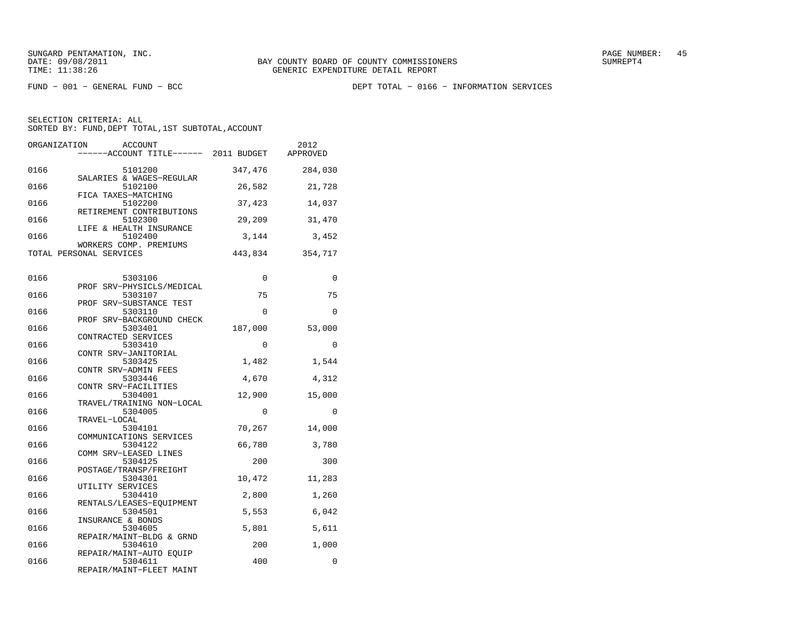FUND − 001 − GENERAL FUND − BCC DEPT TOTAL − 0166 − INFORMATION SERVICES

| ORGANIZATION | <b>ACCOUNT</b><br>-----ACCOUNT TITLE------ 2011 BUDGET |          | 2012<br>APPROVED |
|--------------|--------------------------------------------------------|----------|------------------|
| 0166         | 5101200                                                | 347,476  | 284,030          |
|              | SALARIES & WAGES-REGULAR                               |          |                  |
| 0166         | 5102100<br>FICA TAXES-MATCHING                         | 26,582   | 21,728           |
| 0166         | 5102200                                                | 37,423   | 14,037           |
| 0166         | RETIREMENT CONTRIBUTIONS<br>5102300                    | 29,209   | 31,470           |
| 0166         | LIFE & HEALTH INSURANCE<br>5102400                     | 3,144    | 3,452            |
|              | WORKERS COMP. PREMIUMS                                 |          |                  |
|              | TOTAL PERSONAL SERVICES                                | 443,834  | 354,717          |
|              |                                                        |          |                  |
| 0166         | 5303106                                                | 0        | 0                |
| 0166         | PROF SRV-PHYSICLS/MEDICAL                              | 75       |                  |
|              | 5303107<br>PROF SRV-SUBSTANCE TEST                     |          | 75               |
| 0166         | 5303110                                                | $\Omega$ | $\Omega$         |
|              | PROF SRV-BACKGROUND CHECK                              |          |                  |
| 0166         | 5303401                                                | 187,000  | 53,000           |
| 0166         | CONTRACTED SERVICES<br>5303410                         | 0        | $\Omega$         |
|              | CONTR SRV-JANITORIAL                                   |          |                  |
| 0166         | 5303425                                                | 1,482    | 1,544            |
|              | CONTR SRV-ADMIN FEES                                   |          |                  |
| 0166         | 5303446                                                | 4,670    | 4,312            |
|              | CONTR SRV-FACILITIES                                   |          |                  |
| 0166         | 5304001<br>TRAVEL/TRAINING NON-LOCAL                   | 12,900   | 15,000           |
| 0166         | 5304005                                                | 0        | 0                |
|              | TRAVEL-LOCAL                                           |          |                  |
| 0166         | 5304101                                                | 70,267   | 14,000           |
|              | COMMUNICATIONS SERVICES                                |          |                  |
| 0166         | 5304122                                                | 66,780   | 3,780            |
| 0166         | COMM SRV-LEASED LINES                                  | 200      | 300              |
|              | 5304125<br>POSTAGE/TRANSP/FREIGHT                      |          |                  |
| 0166         | 5304301                                                | 10,472   | 11,283           |
|              | UTILITY SERVICES                                       |          |                  |
| 0166         | 5304410                                                | 2,800    | 1,260            |
|              | RENTALS/LEASES-EQUIPMENT                               |          |                  |
| 0166         | 5304501                                                | 5,553    | 6,042            |
|              | INSURANCE & BONDS                                      |          |                  |
| 0166         | 5304605                                                | 5,801    | 5,611            |
| 0166         | REPAIR/MAINT-BLDG & GRND<br>5304610                    | 200      | 1,000            |
|              | REPAIR/MAINT-AUTO EQUIP                                |          |                  |
| 0166         | 5304611                                                | 400      | 0                |
|              | REPAIR/MAINT-FLEET MAINT                               |          |                  |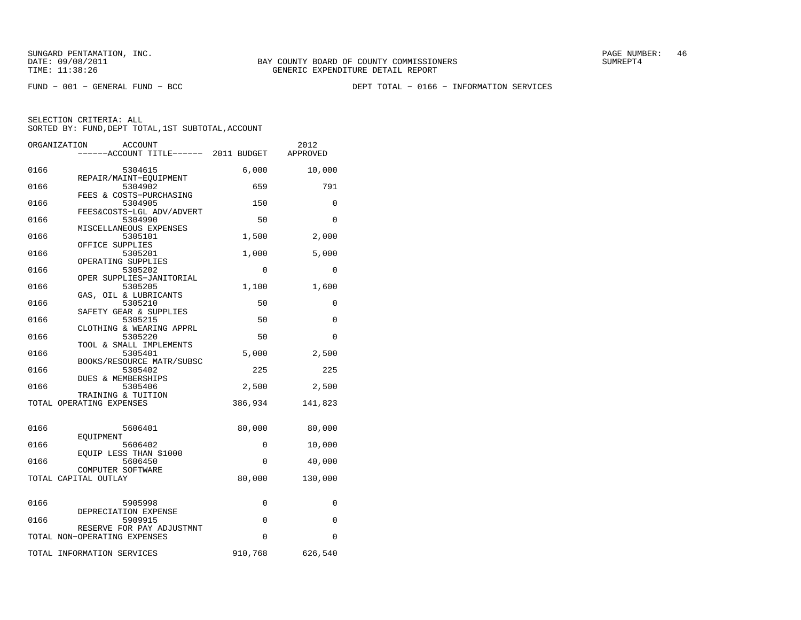FUND − 001 − GENERAL FUND − BCC DEPT TOTAL − 0166 − INFORMATION SERVICES

|      | ORGANIZATION<br>ACCOUNT<br>----ACCOUNT TITLE------ 2011 BUDGET |          | 2012<br>APPROVED |
|------|----------------------------------------------------------------|----------|------------------|
|      |                                                                |          |                  |
| 0166 | 5304615<br>REPAIR/MAINT-EQUIPMENT                              | 6,000    | 10,000           |
| 0166 | 5304902                                                        | 659      | 791              |
| 0166 | FEES & COSTS-PURCHASING<br>5304905                             | 150      | $\Omega$         |
| 0166 | FEES&COSTS-LGL ADV/ADVERT<br>5304990                           | 50       | $\Omega$         |
| 0166 | MISCELLANEOUS EXPENSES<br>5305101                              | 1,500    | 2,000            |
| 0166 | OFFICE SUPPLIES<br>5305201                                     | 1,000    | 5,000            |
| 0166 | OPERATING SUPPLIES<br>5305202                                  | $\Omega$ | $\Omega$         |
| 0166 | OPER SUPPLIES-JANITORIAL<br>5305205                            | 1,100    | 1,600            |
| 0166 | GAS, OIL & LUBRICANTS<br>5305210                               | 50       | 0                |
| 0166 | SAFETY GEAR & SUPPLIES<br>5305215                              | 50       | $\Omega$         |
| 0166 | CLOTHING & WEARING APPRL<br>5305220                            | 50       | $\Omega$         |
| 0166 | TOOL & SMALL IMPLEMENTS<br>5305401                             | 5,000    | 2,500            |
| 0166 | BOOKS/RESOURCE MATR/SUBSC<br>5305402                           | 225      | 225              |
| 0166 | DUES & MEMBERSHIPS<br>5305406                                  | 2,500    | 2,500            |
|      | TRAINING & TUITION<br>TOTAL OPERATING EXPENSES                 | 386,934  | 141,823          |
|      |                                                                |          |                  |
| 0166 | 5606401<br>EOUIPMENT                                           | 80,000   | 80,000           |
| 0166 | 5606402<br>EQUIP LESS THAN \$1000                              | 0        | 10,000           |
| 0166 | 5606450<br>COMPUTER SOFTWARE                                   | 0        | 40,000           |
|      | TOTAL CAPITAL OUTLAY                                           | 80,000   | 130,000          |
| 0166 | 5905998                                                        | 0        | 0                |
| 0166 | DEPRECIATION EXPENSE<br>5909915                                | 0        | 0                |
|      | RESERVE FOR PAY ADJUSTMNT<br>TOTAL NON-OPERATING EXPENSES      | $\Omega$ | 0                |
|      | TOTAL INFORMATION SERVICES                                     | 910,768  | 626,540          |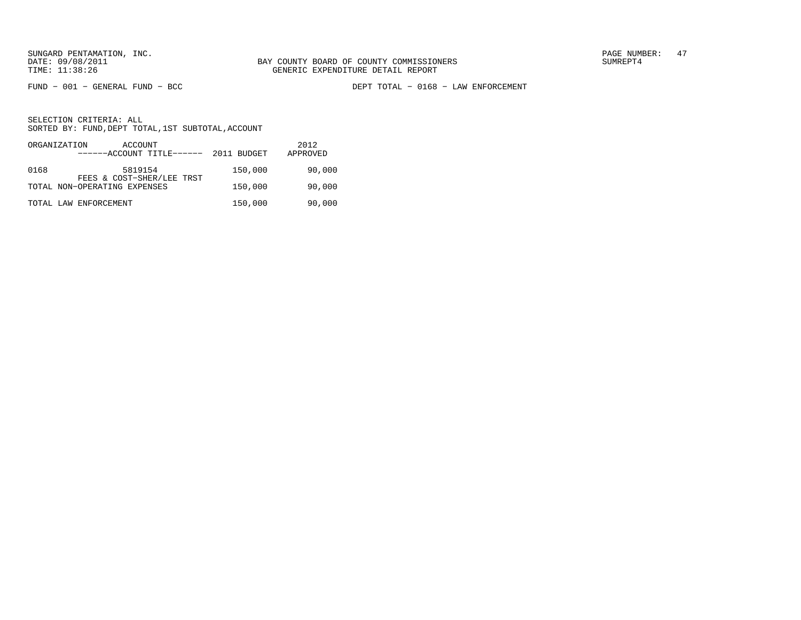FUND − 001 − GENERAL FUND − BCC DEPT TOTAL − 0168 − LAW ENFORCEMENT

|      | ORGANIZATION<br>ACCOUNT<br>------ACCOUNT TITLE------ | 2011 BUDGET | 2012<br>APPROVED |
|------|------------------------------------------------------|-------------|------------------|
| 0168 | 5819154<br>FEES & COST-SHER/LEE TRST                 | 150,000     | 90,000           |
|      | TOTAL NON-OPERATING EXPENSES                         | 150,000     | 90,000           |
|      | TOTAL LAW ENFORCEMENT                                | 150,000     | 90,000           |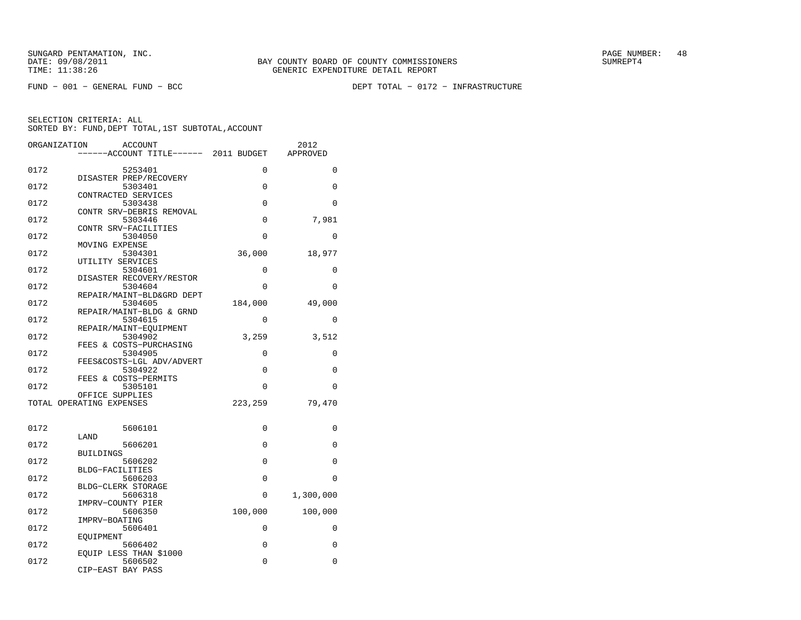FUND − 001 − GENERAL FUND − BCC DEPT TOTAL − 0172 − INFRASTRUCTURE

| ORGANIZATION | <b>ACCOUNT</b><br>----ACCOUNT TITLE------ 2011 BUDGET |          | 2012<br>APPROVED |
|--------------|-------------------------------------------------------|----------|------------------|
|              |                                                       |          |                  |
| 0172         | 5253401                                               | 0        | 0                |
|              | DISASTER PREP/RECOVERY                                |          |                  |
| 0172         | 5303401<br>CONTRACTED SERVICES                        | $\Omega$ | $\Omega$         |
| 0172         | 5303438                                               | 0        | 0                |
|              | CONTR SRV-DEBRIS REMOVAL                              |          |                  |
| 0172         | 5303446                                               | 0        | 7,981            |
| 0172         | CONTR SRV-FACILITIES<br>5304050                       | 0        | 0                |
|              | MOVING EXPENSE                                        |          |                  |
| 0172         | 5304301                                               | 36,000   | 18,977           |
|              | UTILITY SERVICES                                      |          |                  |
| 0172         | 5304601                                               | 0        | 0                |
| 0172         | DISASTER RECOVERY/RESTOR<br>5304604                   | $\Omega$ | $\Omega$         |
|              | REPAIR/MAINT-BLD&GRD DEPT                             |          |                  |
| 0172         | 5304605                                               | 184,000  | 49,000           |
|              | REPAIR/MAINT-BLDG & GRND                              |          |                  |
| 0172         | 5304615<br>REPAIR/MAINT-EQUIPMENT                     | $\Omega$ | $\Omega$         |
| 0172         | 5304902                                               | 3,259    | 3,512            |
|              | FEES & COSTS-PURCHASING                               |          |                  |
| 0172         | 5304905                                               | 0        | 0                |
| 0172         | FEES&COSTS-LGL ADV/ADVERT<br>5304922                  | 0        | 0                |
|              | FEES & COSTS-PERMITS                                  |          |                  |
| 0172         | 5305101                                               | 0        | 0                |
|              | OFFICE SUPPLIES                                       |          |                  |
|              | TOTAL OPERATING EXPENSES                              | 223,259  | 79,470           |
|              |                                                       |          |                  |
| 0172         | 5606101                                               | 0        | 0                |
|              | LAND                                                  |          |                  |
| 0172         | 5606201<br><b>BUILDINGS</b>                           | $\Omega$ | $\Omega$         |
| 0172         | 5606202                                               | 0        | 0                |
|              | BLDG-FACILITIES                                       |          |                  |
| 0172         | 5606203                                               | 0        | 0                |
| 0172         | BLDG-CLERK STORAGE<br>5606318                         | 0        |                  |
|              | IMPRV-COUNTY PIER                                     |          | 1,300,000        |
| 0172         | 5606350                                               | 100,000  | 100,000          |
|              | IMPRV-BOATING                                         |          |                  |
| 0172         | 5606401                                               | 0        | 0                |
| 0172         | EOUIPMENT<br>5606402                                  | 0        | $\Omega$         |
|              | EOUIP LESS THAN \$1000                                |          |                  |
| 0172         | 5606502                                               | 0        | 0                |
|              | CIP-EAST BAY PASS                                     |          |                  |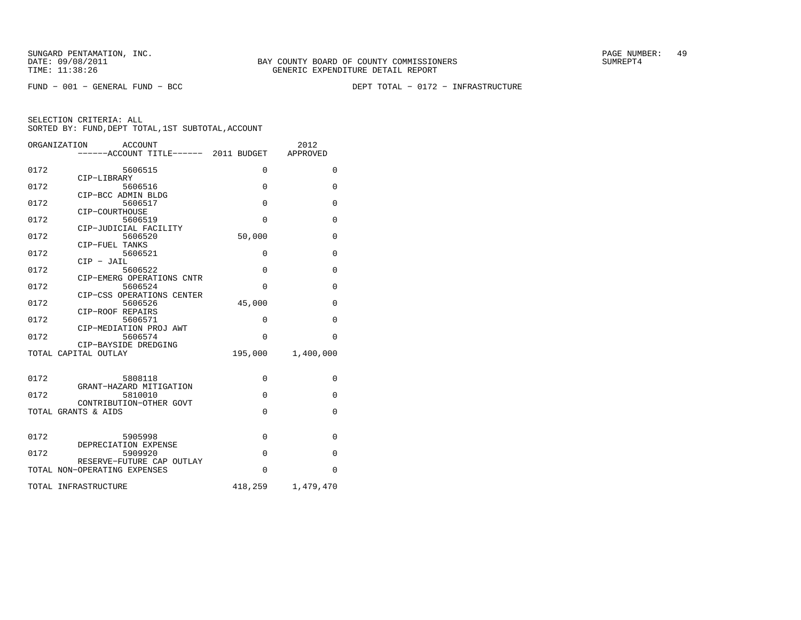FUND − 001 − GENERAL FUND − BCC DEPT TOTAL − 0172 − INFRASTRUCTURE

|      | ORGANIZATION<br><b>ACCOUNT</b><br>-----ACCOUNT TITLE------ 2011 BUDGET |                | 2012<br>APPROVED |
|------|------------------------------------------------------------------------|----------------|------------------|
| 0172 | 5606515                                                                | $\Omega$       | $\mathbf{0}$     |
| 0172 | CIP-LIBRARY<br>5606516                                                 | $\Omega$       | $\mathbf 0$      |
| 0172 | CIP-BCC ADMIN BLDG<br>5606517                                          | $\Omega$       | $\Omega$         |
| 0172 | CIP-COURTHOUSE<br>5606519                                              | $\overline{0}$ | $\mathbf{0}$     |
| 0172 | CIP-JUDICIAL FACILITY<br>5606520                                       | 50,000         | $\mathbf{0}$     |
| 0172 | CIP-FUEL TANKS<br>5606521                                              | 0              | $\mathbf{0}$     |
| 0172 | $CIP - JAIL$<br>5606522                                                | $\Omega$       | $\mathbf{0}$     |
| 0172 | CIP-EMERG OPERATIONS CNTR<br>5606524                                   | $\Omega$       | $\Omega$         |
| 0172 | CIP-CSS OPERATIONS CENTER<br>5606526                                   | 45,000         | $\Omega$         |
| 0172 | CIP-ROOF REPAIRS<br>5606571                                            | $\Omega$       | $\Omega$         |
| 0172 | CIP-MEDIATION PROJ AWT<br>5606574                                      | $\Omega$       | $\Omega$         |
|      | CIP-BAYSIDE DREDGING<br>TOTAL CAPITAL OUTLAY                           | 195,000        | 1,400,000        |
|      |                                                                        |                |                  |
| 0172 | 5808118<br>GRANT-HAZARD MITIGATION                                     | $\mathbf 0$    | $\mathbf{0}$     |
| 0172 | 5810010                                                                | $\Omega$       | $\Omega$         |
|      | CONTRIBUTION-OTHER GOVT<br>TOTAL GRANTS & AIDS                         | $\Omega$       | $\Omega$         |
|      |                                                                        |                |                  |
| 0172 | 5905998<br>DEPRECIATION EXPENSE                                        | $\Omega$       | $\mathbf{0}$     |
| 0172 | 5909920<br>RESERVE-FUTURE CAP OUTLAY                                   | $\Omega$       | $\Omega$         |
|      | TOTAL NON-OPERATING EXPENSES                                           | $\Omega$       | $\Omega$         |
|      | TOTAL INFRASTRUCTURE                                                   | 418,259        | 1,479,470        |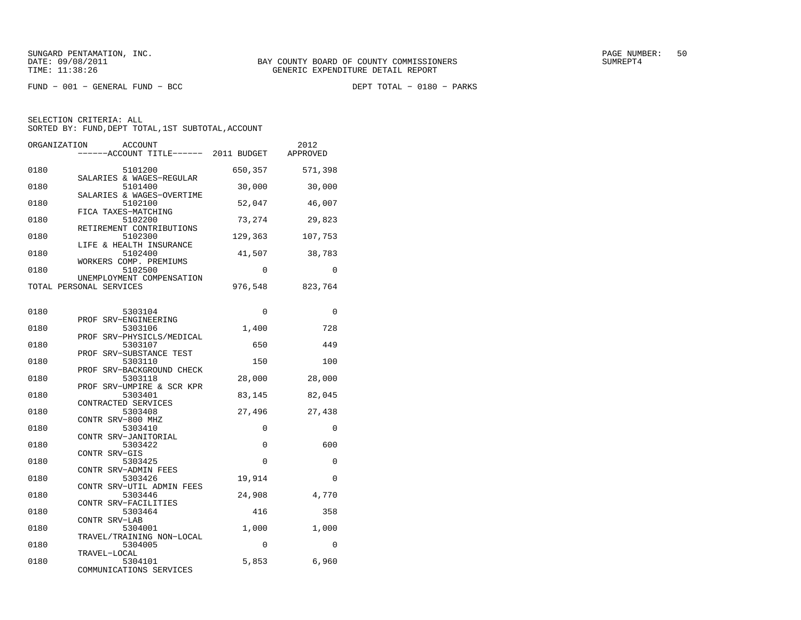$FUND - 001 - GENERAL FUND - BCC$ 

DEPT TOTAL - 0180 - PARKS

| ORGANIZATION | <b>ACCOUNT</b><br>-----ACCOUNT TITLE------ 2011 BUDGET      |             | 2012<br>APPROVED |
|--------------|-------------------------------------------------------------|-------------|------------------|
| 0180         | 5101200                                                     | 650,357     | 571,398          |
| 0180         | SALARIES & WAGES-REGULAR<br>5101400                         | 30,000      | 30,000           |
| 0180         | SALARIES & WAGES-OVERTIME<br>5102100                        | 52,047      | 46,007           |
| 0180         | FICA TAXES-MATCHING<br>5102200                              | 73,274      | 29,823           |
| 0180         | RETIREMENT CONTRIBUTIONS<br>5102300                         | 129,363     | 107,753          |
| 0180         | LIFE & HEALTH INSURANCE<br>5102400                          | 41,507      | 38,783           |
| 0180         | WORKERS COMP. PREMIUMS<br>5102500                           | 0           | $\Omega$         |
|              | UNEMPLOYMENT COMPENSATION<br>TOTAL PERSONAL SERVICES        | 976,548     | 823,764          |
| 0180         | 5303104                                                     | $\mathbf 0$ | 0                |
| 0180         | PROF SRV-ENGINEERING<br>5303106                             | 1,400       | 728              |
| 0180         | SRV-PHYSICLS/MEDICAL<br>PROF<br>5303107                     | 650         | 449              |
| 0180         | PROF SRV-SUBSTANCE TEST<br>5303110                          | 150         | 100              |
| 0180         | SRV-BACKGROUND CHECK<br>PROF<br>5303118                     | 28,000      | 28,000           |
| 0180         | PROF SRV-UMPIRE & SCR KPR<br>5303401<br>CONTRACTED SERVICES | 83,145      | 82,045           |
| 0180         | 5303408<br>CONTR SRV-800 MHZ                                | 27,496      | 27,438           |
| 0180         | 5303410<br>CONTR SRV-JANITORIAL                             | 0           | 0                |
| 0180         | 5303422<br>CONTR SRV-GIS                                    | 0           | 600              |
| 0180         | 5303425<br>CONTR SRV-ADMIN FEES                             | 0           | 0                |
| 0180         | 5303426<br>CONTR SRV-UTIL ADMIN FEES                        | 19,914      | 0                |
| 0180         | 5303446<br>CONTR SRV-FACILITIES                             | 24,908      | 4,770            |
| 0180         | 5303464<br>CONTR SRV-LAB                                    | 416         | 358              |
| 0180         | 5304001<br>TRAVEL/TRAINING NON-LOCAL                        | 1,000       | 1,000            |
| 0180         | 5304005<br>TRAVEL-LOCAL                                     | 0           | 0                |
| 0180         | 5304101<br>COMMUNICATIONS SERVICES                          | 5,853       | 6,960            |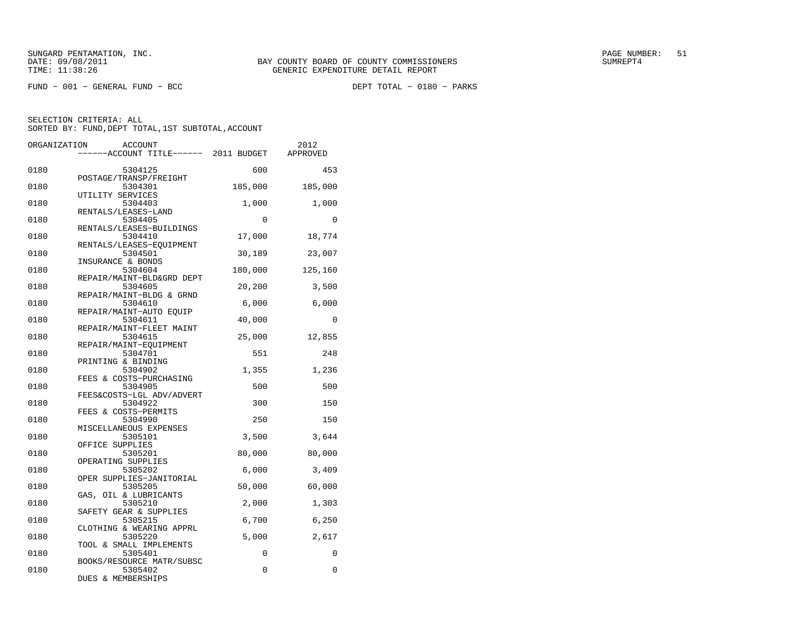$FUND - 001 - GENERAL FUND - BCC$ 

DEPT TOTAL - 0180 - PARKS

| ORGANIZATION | <b>ACCOUNT</b><br>----ACCOUNT TITLE------ 2011 BUDGET      |              | 2012<br>APPROVED |
|--------------|------------------------------------------------------------|--------------|------------------|
| 0180         | 5304125                                                    | 600          | 453              |
| 0180         | POSTAGE/TRANSP/FREIGHT<br>5304301<br>UTILITY SERVICES      | 185,000      | 185,000          |
| 0180         | 5304403<br>RENTALS/LEASES-LAND                             | 1,000        | 1,000            |
| 0180         | 5304405<br>RENTALS/LEASES-BUILDINGS                        | $\Omega$     | $\Omega$         |
| 0180         | 5304410<br>RENTALS/LEASES-EOUIPMENT                        | 17,000       | 18,774           |
| 0180         | 5304501<br>INSURANCE & BONDS                               | 30,189       | 23,007           |
| 0180         | 5304604<br>REPAIR/MAINT-BLD&GRD DEPT                       | 180,000      | 125,160          |
| 0180         | 5304605<br>REPAIR/MAINT-BLDG & GRND                        | 20,200       | 3,500            |
| 0180         | 5304610<br>REPAIR/MAINT-AUTO EOUIP                         | 6,000        | 6,000            |
| 0180         | 5304611<br>REPAIR/MAINT-FLEET MAINT                        | 40,000       | $\mathbf{0}$     |
| 0180         | 5304615<br>REPAIR/MAINT-EQUIPMENT                          | 25,000       | 12,855           |
| 0180<br>0180 | 5304701<br>PRINTING & BINDING<br>5304902                   | 551<br>1,355 | 248<br>1,236     |
| 0180         | FEES & COSTS-PURCHASING<br>5304905                         | 500          | 500              |
| 0180         | FEES&COSTS-LGL ADV/ADVERT<br>5304922                       | 300          | 150              |
| 0180         | FEES & COSTS-PERMITS<br>5304990                            | 250          | 150              |
| 0180         | MISCELLANEOUS EXPENSES<br>5305101                          | 3,500        | 3,644            |
| 0180         | OFFICE SUPPLIES<br>5305201                                 | 80,000       | 80,000           |
| 0180         | OPERATING SUPPLIES<br>5305202                              | 6,000        | 3,409            |
| 0180         | OPER SUPPLIES-JANITORIAL<br>5305205                        | 50,000       | 60,000           |
| 0180         | GAS, OIL & LUBRICANTS<br>5305210<br>SAFETY GEAR & SUPPLIES | 2,000        | 1,303            |
| 0180         | 5305215<br>CLOTHING & WEARING APPRL                        | 6,700        | 6,250            |
| 0180         | 5305220<br>TOOL & SMALL IMPLEMENTS                         | 5,000        | 2,617            |
| 0180         | 5305401<br>BOOKS/RESOURCE MATR/SUBSC                       | 0            | 0                |
| 0180         | 5305402<br>DUES & MEMBERSHIPS                              | 0            | $\mathbf 0$      |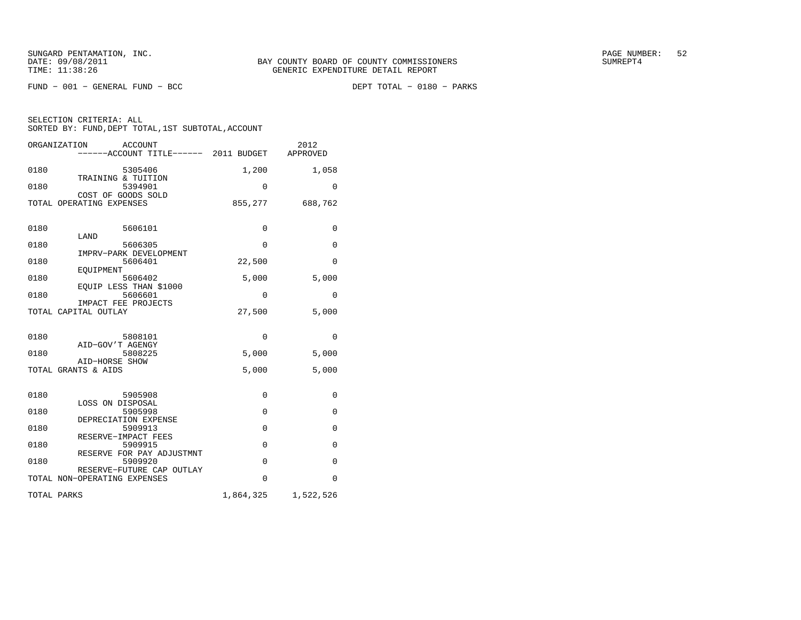$FUND - 001 - GENERAL FUND - BCC$ 

DEPT TOTAL - 0180 - PARKS

| ORGANIZATION<br><b>ACCOUNT</b><br>-----ACCOUNT TITLE------ 2011 BUDGET |             | 2012<br>APPROVED |
|------------------------------------------------------------------------|-------------|------------------|
| 0180<br>5305406                                                        | 1,200       | 1,058            |
| TRAINING & TUITION<br>5394901<br>0180<br>COST OF GOODS SOLD            | 0           | 0                |
| TOTAL OPERATING EXPENSES                                               | 855,277     | 688,762          |
| 0180<br>5606101                                                        | 0           | 0                |
| LAND<br>0180<br>5606305                                                | 0           | 0                |
| IMPRV-PARK DEVELOPMENT<br>0180<br>5606401                              | 22,500      | $\Omega$         |
| EOUIPMENT<br>5606402<br>0180<br>EOUIP LESS THAN \$1000                 | 5,000       | 5,000            |
| 0180<br>5606601<br>IMPACT FEE PROJECTS                                 | 0           | 0                |
| TOTAL CAPITAL OUTLAY                                                   | 27,500      | 5,000            |
| 0180<br>5808101                                                        | $\mathbf 0$ | 0                |
| AID-GOV'T AGENGY<br>0180<br>5808225                                    | 5,000       | 5,000            |
| AID-HORSE SHOW<br>TOTAL GRANTS & AIDS                                  | 5,000       | 5,000            |
| 0180<br>5905908                                                        | $\Omega$    | 0                |
| LOSS ON DISPOSAL<br>5905998<br>0180                                    | 0           | 0                |
| DEPRECIATION EXPENSE<br>0180<br>5909913                                | $\Omega$    | $\mathbf 0$      |
| RESERVE-IMPACT FEES<br>0180<br>5909915                                 | $\mathbf 0$ | 0                |
| RESERVE FOR PAY ADJUSTMNT<br>0180<br>5909920                           | $\Omega$    | $\Omega$         |
| RESERVE-FUTURE CAP OUTLAY<br>TOTAL NON-OPERATING EXPENSES              | $\Omega$    | $\Omega$         |
| TOTAL PARKS                                                            | 1,864,325   | 1,522,526        |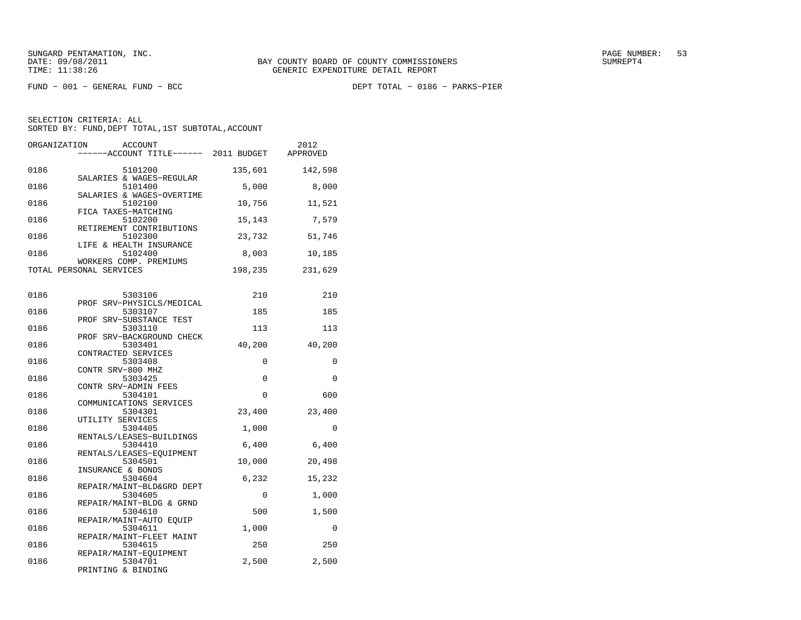FUND − 001 − GENERAL FUND − BCC DEPT TOTAL − 0186 − PARKS−PIER

| ORGANIZATION | <b>ACCOUNT</b><br>------ACCOUNT TITLE------ 2011 BUDGET         |         | 2012<br>APPROVED |
|--------------|-----------------------------------------------------------------|---------|------------------|
| 0186         | 5101200<br>SALARIES & WAGES-REGULAR                             | 135,601 | 142,598          |
| 0186         | 5101400<br>SALARIES & WAGES-OVERTIME                            | 5,000   | 8,000            |
| 0186         | 5102100<br>FICA TAXES-MATCHING                                  | 10,756  | 11,521           |
| 0186         | 5102200<br>RETIREMENT CONTRIBUTIONS                             | 15,143  | 7,579            |
| 0186         | 5102300<br>LIFE & HEALTH INSURANCE                              | 23,732  | 51,746           |
| 0186         | 5102400<br>WORKERS COMP. PREMIUMS                               | 8,003   | 10,185           |
|              | TOTAL PERSONAL SERVICES                                         | 198,235 | 231,629          |
| 0186         | 5303106                                                         | 210     | 210              |
| 0186         | PROF SRV-PHYSICLS/MEDICAL<br>5303107                            | 185     | 185              |
| 0186         | PROF SRV-SUBSTANCE TEST<br>5303110<br>PROF SRV-BACKGROUND CHECK | 113     | 113              |
| 0186         | 5303401<br>CONTRACTED SERVICES                                  | 40,200  | 40,200           |
| 0186         | 5303408<br>CONTR SRV-800 MHZ                                    | 0       | 0                |
| 0186         | 5303425<br>CONTR SRV-ADMIN FEES                                 | 0       | 0                |
| 0186         | 5304101<br>COMMUNICATIONS SERVICES                              | 0       | 600              |
| 0186         | 5304301<br>UTILITY SERVICES                                     | 23,400  | 23,400           |
| 0186         | 5304405<br>RENTALS/LEASES-BUILDINGS                             | 1,000   | $\mathbf 0$      |
| 0186         | 5304410<br>RENTALS/LEASES-EQUIPMENT                             | 6,400   | 6,400            |
| 0186         | 5304501<br>INSURANCE & BONDS                                    | 10,000  | 20,498           |
| 0186         | 5304604<br>REPAIR/MAINT-BLD&GRD DEPT                            | 6,232   | 15,232           |
| 0186         | 5304605<br>REPAIR/MAINT-BLDG & GRND                             | 0       | 1,000            |
| 0186         | 5304610<br>REPAIR/MAINT-AUTO EQUIP                              | 500     | 1,500            |
| 0186         | 5304611<br>REPAIR/MAINT-FLEET MAINT                             | 1,000   | $\Omega$         |
| 0186         | 5304615<br>REPAIR/MAINT-EQUIPMENT                               | 250     | 250              |
| 0186         | 5304701<br>PRINTING & BINDING                                   | 2,500   | 2,500            |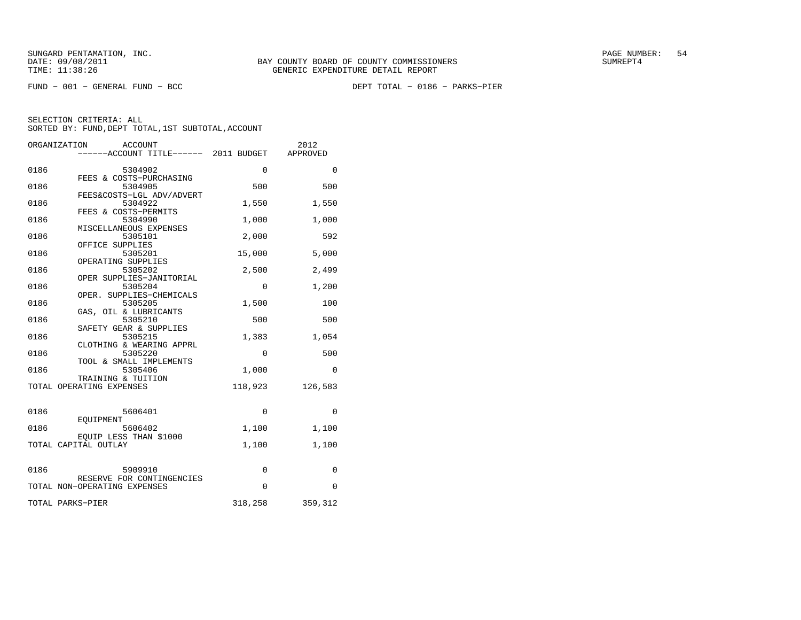FUND − 001 − GENERAL FUND − BCC DEPT TOTAL − 0186 − PARKS−PIER

|      | ORGANIZATION<br>ACCOUNT<br>------ACCOUNT TITLE------ 2011 BUDGET |          | 2012<br>APPROVED |
|------|------------------------------------------------------------------|----------|------------------|
|      |                                                                  |          |                  |
| 0186 | 5304902                                                          | 0        | $\Omega$         |
| 0186 | FEES & COSTS-PURCHASING<br>5304905                               | 500      | 500              |
|      | FEES&COSTS-LGL ADV/ADVERT                                        |          |                  |
| 0186 | 5304922                                                          | 1,550    | 1,550            |
| 0186 | FEES & COSTS-PERMITS<br>5304990                                  | 1,000    | 1,000            |
|      | MISCELLANEOUS EXPENSES                                           |          |                  |
| 0186 | 5305101                                                          | 2,000    | 592              |
| 0186 | OFFICE SUPPLIES<br>5305201                                       | 15,000   | 5,000            |
|      | OPERATING SUPPLIES                                               |          |                  |
| 0186 | 5305202                                                          | 2,500    | 2,499            |
| 0186 | OPER SUPPLIES-JANITORIAL<br>5305204                              | 0        | 1,200            |
|      | OPER. SUPPLIES-CHEMICALS                                         |          |                  |
| 0186 | 5305205                                                          | 1,500    | 100              |
| 0186 | GAS, OIL & LUBRICANTS<br>5305210                                 | 500      | 500              |
|      | SAFETY GEAR & SUPPLIES                                           |          |                  |
| 0186 | 5305215                                                          | 1,383    | 1,054            |
| 0186 | CLOTHING & WEARING APPRL<br>5305220                              | $\Omega$ | 500              |
|      | TOOL & SMALL IMPLEMENTS                                          |          |                  |
| 0186 | 5305406                                                          | 1,000    | 0                |
|      | TRAINING & TUITION                                               |          |                  |
|      | TOTAL OPERATING EXPENSES                                         | 118,923  | 126,583          |
|      |                                                                  |          |                  |
| 0186 | 5606401                                                          | 0        | 0                |
| 0186 | EOUIPMENT<br>5606402                                             | 1,100    | 1,100            |
|      | EOUIP LESS THAN \$1000                                           |          |                  |
|      | TOTAL CAPITAL OUTLAY                                             | 1,100    | 1,100            |
|      |                                                                  |          |                  |
| 0186 | 5909910                                                          | 0        | 0                |
|      | RESERVE FOR CONTINGENCIES                                        | $\Omega$ |                  |
|      | TOTAL NON-OPERATING EXPENSES                                     |          | $\Omega$         |
|      | TOTAL PARKS-PIER                                                 | 318,258  | 359,312          |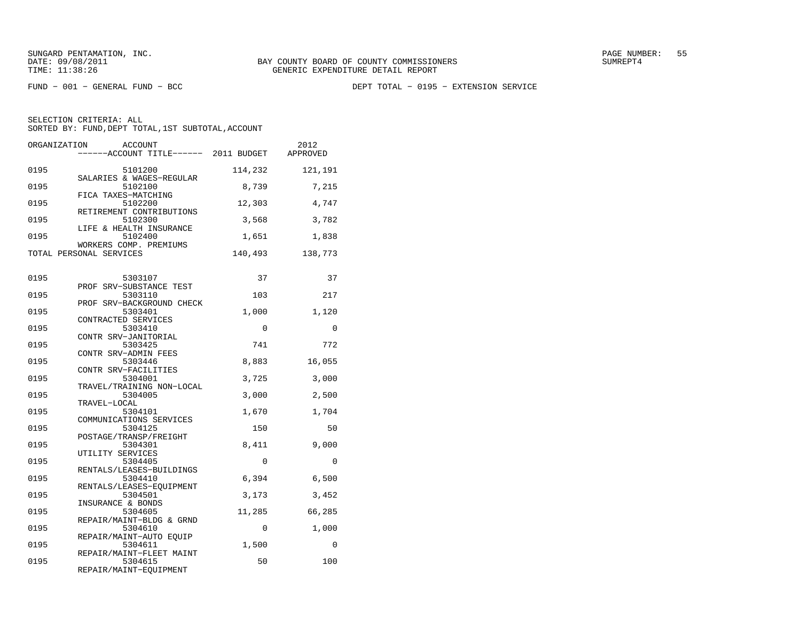FUND − 001 − GENERAL FUND − BCC DEPT TOTAL − 0195 − EXTENSION SERVICE

| ORGANIZATION | <b>ACCOUNT</b><br>-----ACCOUNT TITLE------ 2011 BUDGET        |         | 2012<br>APPROVED |
|--------------|---------------------------------------------------------------|---------|------------------|
| 0195         | 5101200<br>SALARIES & WAGES-REGULAR                           | 114,232 | 121,191          |
| 0195         | 5102100<br>FICA TAXES-MATCHING                                | 8,739   | 7,215            |
| 0195         | 5102200<br>RETIREMENT CONTRIBUTIONS                           | 12,303  | 4,747            |
| 0195         | 5102300<br>LIFE & HEALTH INSURANCE                            | 3,568   | 3,782            |
| 0195         | 5102400<br>WORKERS COMP. PREMIUMS                             | 1,651   | 1,838            |
|              | TOTAL PERSONAL SERVICES                                       | 140,493 | 138,773          |
| 0195         | 5303107                                                       | 37      | 37               |
| 0195         | PROF SRV-SUBSTANCE TEST<br>5303110                            | 103     | 217              |
| 0195         | PROF SRV-BACKGROUND CHECK<br>5303401                          | 1,000   | 1,120            |
| 0195         | CONTRACTED SERVICES<br>5303410                                | 0       | 0                |
| 0195         | CONTR SRV-JANITORIAL<br>5303425                               | 741     | 772              |
| 0195         | CONTR SRV-ADMIN FEES<br>5303446<br>CONTR SRV-FACILITIES       | 8,883   | 16,055           |
| 0195         | 5304001                                                       | 3,725   | 3,000            |
| 0195         | TRAVEL/TRAINING NON-LOCAL<br>5304005                          | 3,000   | 2,500            |
| 0195         | TRAVEL-LOCAL<br>5304101                                       | 1,670   | 1,704            |
| 0195         | COMMUNICATIONS SERVICES<br>5304125                            | 150     | 50               |
| 0195         | POSTAGE/TRANSP/FREIGHT<br>5304301<br>UTILITY SERVICES         | 8,411   | 9,000            |
| 0195         | 5304405                                                       | 0       | $\Omega$         |
| 0195         | RENTALS/LEASES-BUILDINGS<br>5304410                           | 6,394   | 6,500            |
| 0195         | RENTALS/LEASES-EQUIPMENT<br>5304501                           | 3,173   | 3,452            |
| 0195         | INSURANCE & BONDS<br>5304605                                  | 11,285  | 66,285           |
| 0195         | REPAIR/MAINT-BLDG & GRND<br>5304610                           | 0       | 1,000            |
| 0195         | REPAIR/MAINT-AUTO EOUIP<br>5304611                            | 1,500   | 0                |
| 0195         | REPAIR/MAINT-FLEET MAINT<br>5304615<br>REPAIR/MAINT-EQUIPMENT | 50      | 100              |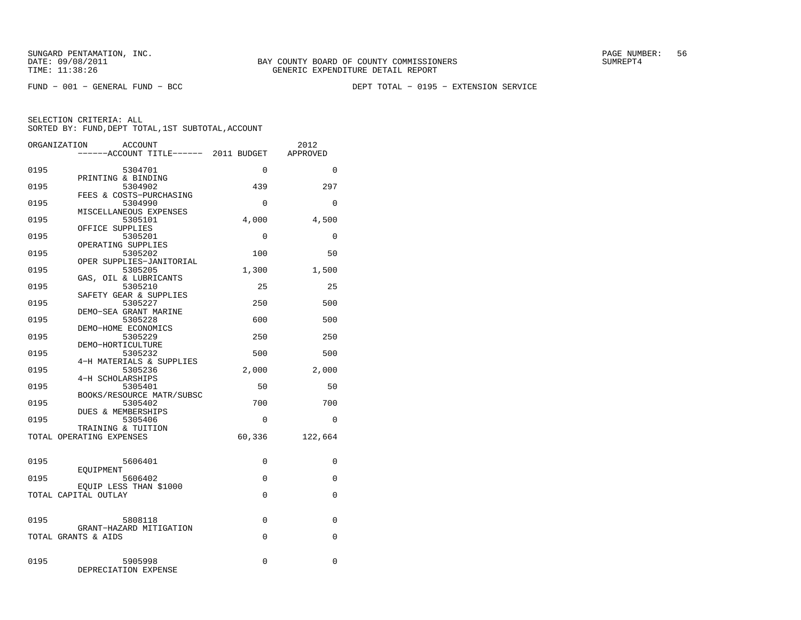FUND − 001 − GENERAL FUND − BCC DEPT TOTAL − 0195 − EXTENSION SERVICE

|      | ORGANIZATION<br>ACCOUNT                        |             | 2012        |
|------|------------------------------------------------|-------------|-------------|
|      | ------ACCOUNT TITLE------ 2011 BUDGET          |             | APPROVED    |
| 0195 | 5304701                                        | $\Omega$    | $\Omega$    |
| 0195 | PRINTING & BINDING<br>5304902                  | 439         | 297         |
| 0195 | FEES & COSTS-PURCHASING<br>5304990             | $\Omega$    | $\Omega$    |
| 0195 | MISCELLANEOUS EXPENSES<br>5305101              | 4,000       | 4,500       |
| 0195 | OFFICE SUPPLIES<br>5305201                     | 0           | $\mathbf 0$ |
| 0195 | OPERATING SUPPLIES<br>5305202                  | 100         | 50          |
| 0195 | OPER SUPPLIES-JANITORIAL<br>5305205            | 1,300       | 1,500       |
| 0195 | GAS, OIL & LUBRICANTS<br>5305210               | 25          | 25          |
| 0195 | SAFETY GEAR & SUPPLIES<br>5305227              | 250         | 500         |
| 0195 | DEMO-SEA GRANT MARINE<br>5305228               | 600         | 500         |
| 0195 | DEMO-HOME ECONOMICS<br>5305229                 | 250         | 250         |
| 0195 | DEMO-HORTICULTURE<br>5305232                   | 500         | 500         |
| 0195 | 4-H MATERIALS & SUPPLIES<br>5305236            | 2,000       | 2,000       |
| 0195 | 4-H SCHOLARSHIPS<br>5305401                    | 50          | 50          |
| 0195 | BOOKS/RESOURCE MATR/SUBSC<br>5305402           | 700         | 700         |
| 0195 | DUES & MEMBERSHIPS<br>5305406                  | $\Omega$    | 0           |
|      | TRAINING & TUITION<br>TOTAL OPERATING EXPENSES | 60,336      | 122,664     |
|      |                                                |             |             |
| 0195 | 5606401<br>EOUIPMENT                           | 0           | 0           |
| 0195 | 5606402<br>EOUIP LESS THAN \$1000              | 0           | $\mathbf 0$ |
|      | TOTAL CAPITAL OUTLAY                           | $\Omega$    | $\Omega$    |
| 0195 | 5808118                                        | $\mathbf 0$ | 0           |
|      | GRANT-HAZARD MITIGATION<br>TOTAL GRANTS & AIDS | $\Omega$    | $\Omega$    |
|      |                                                |             |             |
| 0195 | 5905998<br>DEPRECIATION EXPENSE                | 0           | 0           |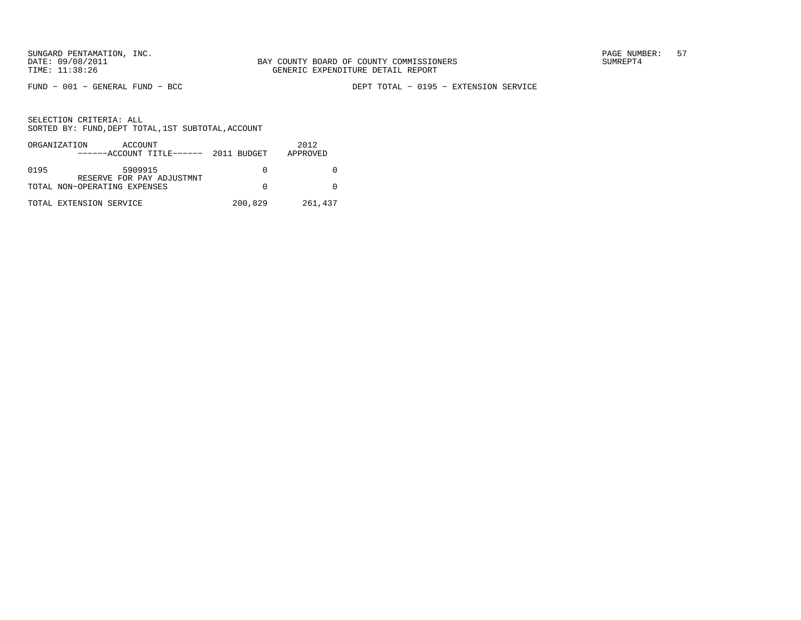FUND − 001 − GENERAL FUND − BCC DEPT TOTAL − 0195 − EXTENSION SERVICE

|      | ORGANIZATION<br>ACCOUNT<br>$---ACCOUNT$ TITLE $--- 2011$ BUDGET |         | 2012<br>APPROVED |
|------|-----------------------------------------------------------------|---------|------------------|
| 0195 | 5909915<br>RESERVE FOR PAY ADJUSTMNT                            |         |                  |
|      | TOTAL NON-OPERATING EXPENSES                                    |         |                  |
|      | TOTAL EXTENSION SERVICE                                         | 200,829 | 261,437          |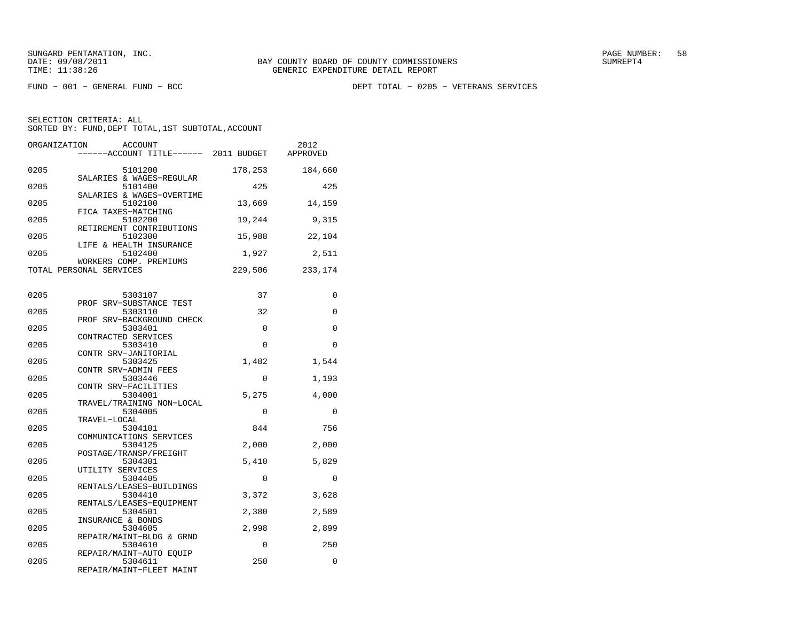FUND − 001 − GENERAL FUND − BCC DEPT TOTAL − 0205 − VETERANS SERVICES

| ORGANIZATION            | <b>ACCOUNT</b><br>-----ACCOUNT TITLE------ 2011 BUDGET          |             | 2012<br>APPROVED |
|-------------------------|-----------------------------------------------------------------|-------------|------------------|
| 0205                    | 5101200<br>SALARIES & WAGES-REGULAR                             | 178,253     | 184,660          |
| 0205                    | 5101400<br>SALARIES & WAGES-OVERTIME                            | 425         | 425              |
| 0205                    | 5102100<br>FICA TAXES-MATCHING                                  | 13,669      | 14,159           |
| 0205                    | 5102200<br>RETIREMENT CONTRIBUTIONS                             | 19,244      | 9,315            |
| 0205                    | 5102300<br>LIFE & HEALTH INSURANCE                              | 15,988      | 22,104           |
| 0205                    | 5102400<br>WORKERS COMP. PREMIUMS                               | 1,927       | 2,511            |
| TOTAL PERSONAL SERVICES |                                                                 | 229,506     | 233,174          |
| 0205                    | 5303107                                                         | 37          | 0                |
| 0205                    | PROF SRV-SUBSTANCE TEST<br>5303110<br>PROF SRV-BACKGROUND CHECK | 32          | $\mathbf 0$      |
| 0205                    | 5303401<br>CONTRACTED SERVICES                                  | $\Omega$    | $\Omega$         |
| 0205                    | 5303410<br>CONTR SRV-JANITORIAL                                 | 0           | 0                |
| 0205                    | 5303425<br>CONTR SRV-ADMIN FEES                                 | 1,482       | 1,544            |
| 0205                    | 5303446<br>CONTR SRV-FACILITIES                                 | 0           | 1,193            |
| 0205                    | 5304001<br>TRAVEL/TRAINING NON-LOCAL                            | 5,275       | 4,000            |
| 0205                    | 5304005<br>TRAVEL-LOCAL                                         | $\mathbf 0$ | $\mathbf 0$      |
| 0205                    | 5304101<br>COMMUNICATIONS SERVICES                              | 844         | 756              |
| 0205                    | 5304125<br>POSTAGE/TRANSP/FREIGHT                               | 2,000       | 2,000            |
| 0205                    | 5304301<br>UTILITY SERVICES                                     | 5,410       | 5,829            |
| 0205                    | 5304405<br>RENTALS/LEASES-BUILDINGS                             | 0           | 0                |
| 0205                    | 5304410<br>RENTALS/LEASES-EOUIPMENT                             | 3,372       | 3,628            |
| 0205                    | 5304501<br>INSURANCE & BONDS                                    | 2,380       | 2,589            |
| 0205                    | 5304605<br>REPAIR/MAINT-BLDG & GRND                             | 2,998       | 2,899            |
| 0205                    | 5304610<br>REPAIR/MAINT-AUTO EQUIP                              | 0           | 250              |
| 0205                    | 5304611<br>REPAIR/MAINT-FLEET MAINT                             | 250         | 0                |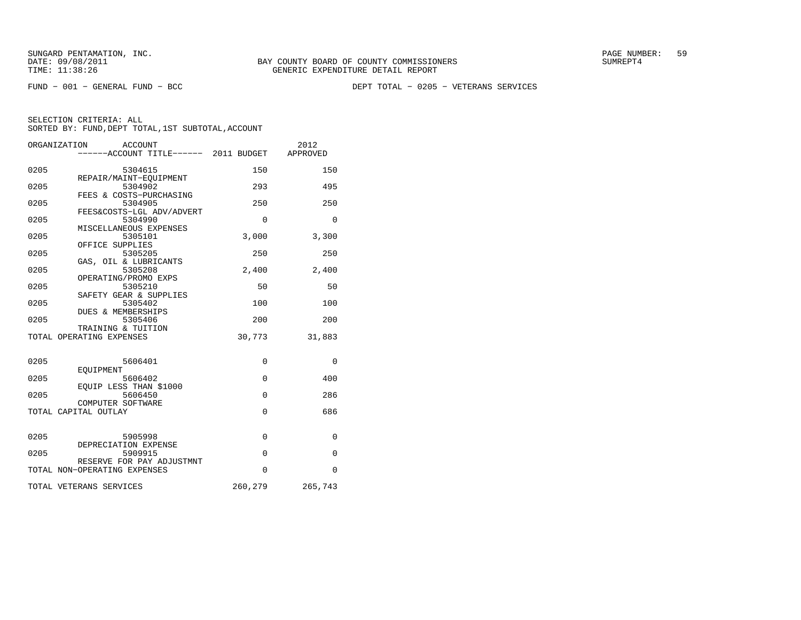FUND − 001 − GENERAL FUND − BCC DEPT TOTAL − 0205 − VETERANS SERVICES

|      | ORGANIZATION<br>ACCOUNT<br>------ACCOUNT TITLE------ 2011 BUDGET |             | 2012<br>APPROVED |
|------|------------------------------------------------------------------|-------------|------------------|
| 0205 | 5304615                                                          | 150         | 150              |
| 0205 | REPAIR/MAINT-EOUIPMENT<br>5304902                                | 293         | 495              |
| 0205 | FEES & COSTS-PURCHASING<br>5304905                               | 250         | 250              |
| 0205 | FEES&COSTS-LGL ADV/ADVERT<br>5304990                             | $\Omega$    | $\Omega$         |
| 0205 | MISCELLANEOUS EXPENSES<br>5305101                                | 3,000       | 3,300            |
| 0205 | OFFICE SUPPLIES<br>5305205                                       | 250         | 250              |
| 0205 | GAS, OIL & LUBRICANTS<br>5305208                                 | 2,400       | 2,400            |
| 0205 | OPERATING/PROMO EXPS<br>5305210                                  | 50          | 50               |
| 0205 | SAFETY GEAR & SUPPLIES<br>5305402<br>DUES & MEMBERSHIPS          | 100         | 100              |
| 0205 | 5305406<br>TRAINING & TUITION                                    | 200         | 200              |
|      | TOTAL OPERATING EXPENSES                                         | 30,773      | 31,883           |
| 0205 | 5606401                                                          | $\Omega$    | $\Omega$         |
| 0205 | EOUIPMENT<br>5606402                                             | $\mathbf 0$ | 400              |
| 0205 | EOUIP LESS THAN \$1000<br>5606450                                | $\Omega$    | 286              |
|      | COMPUTER SOFTWARE                                                | $\Omega$    | 686              |
|      | TOTAL CAPITAL OUTLAY                                             |             |                  |
| 0205 | 5905998<br>DEPRECIATION EXPENSE                                  | $\mathbf 0$ | $\mathbf 0$      |
| 0205 | 5909915<br>RESERVE FOR PAY ADJUSTMNT                             | $\Omega$    | $\mathbf{0}$     |
|      | TOTAL NON-OPERATING EXPENSES                                     | $\Omega$    | $\Omega$         |
|      | TOTAL VETERANS SERVICES                                          | 260,279     | 265,743          |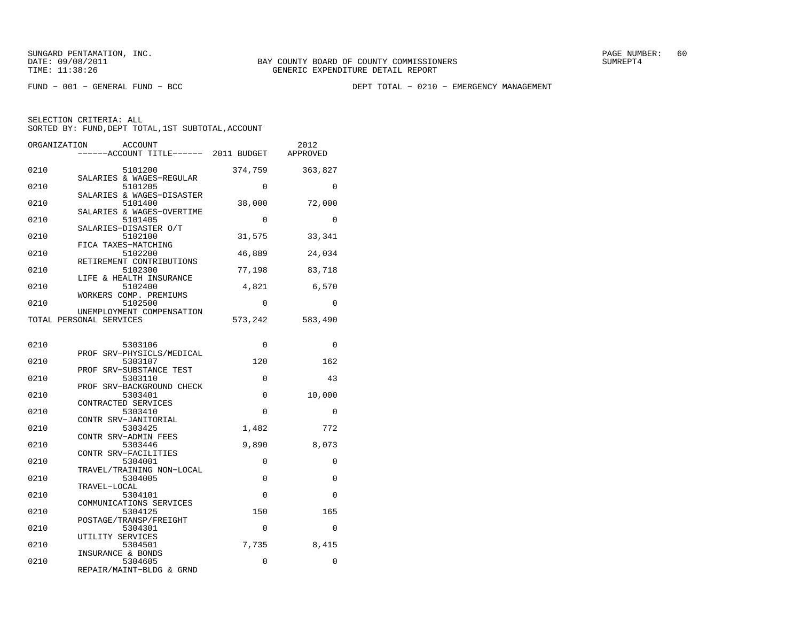FUND − 001 − GENERAL FUND − BCC DEPT TOTAL − 0210 − EMERGENCY MANAGEMENT

| ORGANIZATION | <b>ACCOUNT</b><br>------ACCOUNT TITLE------ 2011 BUDGET       |             | 2012<br>APPROVED |
|--------------|---------------------------------------------------------------|-------------|------------------|
| 0210         | 5101200                                                       | 374,759     | 363,827          |
| 0210         | SALARIES & WAGES-REGULAR<br>5101205                           | $\Omega$    | $\Omega$         |
| 0210         | SALARIES & WAGES-DISASTER<br>5101400                          | 38,000      | 72,000           |
| 0210         | SALARIES & WAGES-OVERTIME<br>5101405<br>SALARIES-DISASTER O/T | $\Omega$    | $\Omega$         |
| 0210         | 5102100<br>FICA TAXES-MATCHING                                | 31,575      | 33,341           |
| 0210         | 5102200<br>RETIREMENT CONTRIBUTIONS                           | 46,889      | 24,034           |
| 0210         | 5102300<br>LIFE & HEALTH INSURANCE                            | 77,198      | 83,718           |
| 0210         | 5102400<br>WORKERS COMP. PREMIUMS                             | 4,821       | 6,570            |
| 0210         | 5102500<br>UNEMPLOYMENT COMPENSATION                          | 0           | $\mathbf 0$      |
|              | TOTAL PERSONAL SERVICES                                       | 573,242     | 583,490          |
| 0210         | 5303106                                                       | 0           | 0                |
| 0210         | PROF SRV-PHYSICLS/MEDICAL<br>5303107                          | 120         | 162              |
| 0210         | PROF SRV-SUBSTANCE TEST<br>5303110                            | $\Omega$    | 43               |
| 0210         | PROF SRV-BACKGROUND CHECK<br>5303401                          | 0           | 10,000           |
| 0210         | CONTRACTED SERVICES<br>5303410                                | 0           | 0                |
| 0210         | CONTR SRV-JANITORIAL<br>5303425                               | 1,482       | 772              |
| 0210         | CONTR SRV-ADMIN FEES<br>5303446                               | 9,890       | 8,073            |
| 0210         | CONTR SRV-FACILITIES<br>5304001<br>TRAVEL/TRAINING NON-LOCAL  | $\mathbf 0$ | 0                |
| 0210         | 5304005<br>TRAVEL-LOCAL                                       | $\Omega$    | $\Omega$         |
| 0210         | 5304101<br>COMMUNICATIONS SERVICES                            | 0           | 0                |
| 0210         | 5304125<br>POSTAGE/TRANSP/FREIGHT                             | 150         | 165              |
| 0210         | 5304301<br>UTILITY SERVICES                                   | $\Omega$    | $\Omega$         |
| 0210         | 5304501<br>INSURANCE & BONDS                                  | 7,735       | 8,415            |
| 0210         | 5304605<br>REPAIR/MAINT-BLDG & GRND                           | 0           | 0                |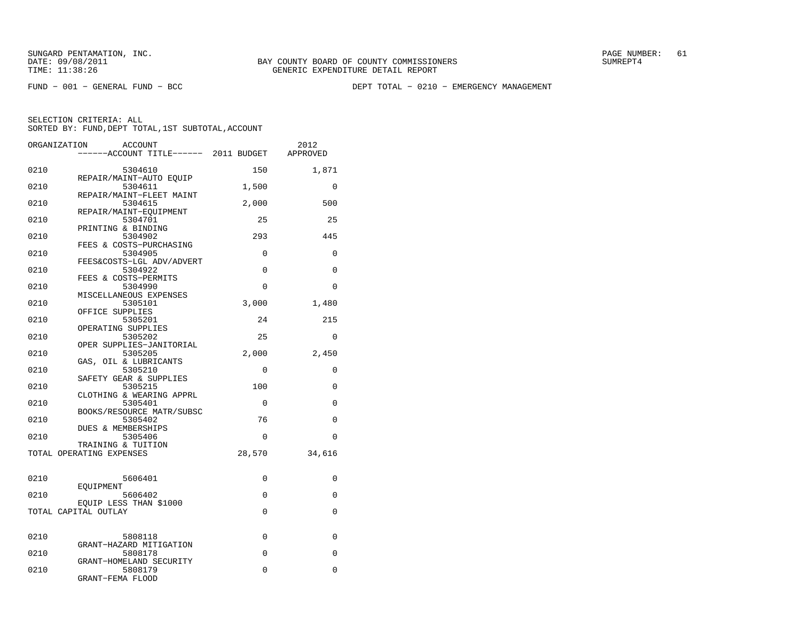FUND − 001 − GENERAL FUND − BCC DEPT TOTAL − 0210 − EMERGENCY MANAGEMENT

| ORGANIZATION | <b>ACCOUNT</b>                                   |          | 2012        |
|--------------|--------------------------------------------------|----------|-------------|
|              | ----ACCOUNT TITLE------ 2011 BUDGET              |          | APPROVED    |
| 0210         | 5304610                                          | 150      | 1,871       |
| 0210         | REPAIR/MAINT-AUTO EQUIP<br>5304611               | 1,500    | $\Omega$    |
| 0210         | REPAIR/MAINT-FLEET MAINT<br>5304615              | 2,000    | 500         |
| 0210         | REPAIR/MAINT-EOUIPMENT<br>5304701                | 25       | 25          |
| 0210         | PRINTING & BINDING<br>5304902                    | 293      | 445         |
| 0210         | FEES & COSTS-PURCHASING<br>5304905               | 0        | 0           |
| 0210         | FEES&COSTS-LGL ADV/ADVERT<br>5304922             | $\Omega$ | $\Omega$    |
| 0210         | FEES & COSTS-PERMITS<br>5304990                  | $\Omega$ | $\Omega$    |
| 0210         | MISCELLANEOUS EXPENSES<br>5305101                | 3,000    | 1,480       |
| 0210         | OFFICE SUPPLIES<br>5305201<br>OPERATING SUPPLIES | 24       | 215         |
| 0210         | 5305202<br>OPER SUPPLIES-JANITORIAL              | 25       | 0           |
| 0210         | 5305205<br>GAS, OIL & LUBRICANTS                 | 2,000    | 2,450       |
| 0210         | 5305210<br>SAFETY GEAR & SUPPLIES                | $\Omega$ | $\Omega$    |
| 0210         | 5305215<br>CLOTHING & WEARING APPRL              | 100      | 0           |
| 0210         | 5305401<br>BOOKS/RESOURCE MATR/SUBSC             | $\Omega$ | $\Omega$    |
| 0210         | 5305402<br>DUES & MEMBERSHIPS                    | 76       | 0           |
| 0210         | 5305406<br>TRAINING & TUITION                    | $\Omega$ | $\Omega$    |
|              | TOTAL OPERATING EXPENSES                         | 28,570   | 34,616      |
| 0210         | 5606401                                          | 0        | 0           |
| 0210         | EOUIPMENT<br>5606402                             | $\Omega$ | $\Omega$    |
|              | EQUIP LESS THAN \$1000<br>TOTAL CAPITAL OUTLAY   | 0        | 0           |
| 0210         | 5808118                                          | $\Omega$ | $\Omega$    |
| 0210         | GRANT-HAZARD MITIGATION<br>5808178               | 0        | $\mathbf 0$ |
| 0210         | GRANT-HOMELAND SECURITY<br>5808179               | $\Omega$ | $\Omega$    |
|              | GRANT-FEMA FLOOD                                 |          |             |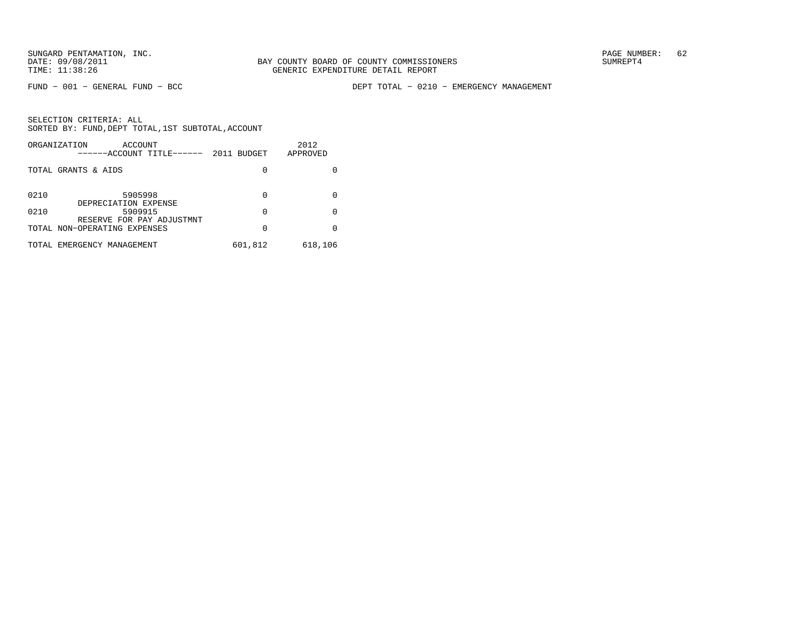FUND − 001 − GENERAL FUND − BCC DEPT TOTAL − 0210 − EMERGENCY MANAGEMENT

|      | ORGANIZATION<br>ACCOUNT<br>------ACCOUNT TITLE------      | 2011 BUDGET | 2012<br>APPROVED |
|------|-----------------------------------------------------------|-------------|------------------|
|      | TOTAL GRANTS & AIDS                                       | 0           |                  |
| 0210 | 5905998<br>DEPRECIATION EXPENSE                           | 0           |                  |
| 0210 | 5909915                                                   | 0           |                  |
|      | RESERVE FOR PAY ADJUSTMNT<br>TOTAL NON-OPERATING EXPENSES | 0           |                  |
|      | TOTAL EMERGENCY MANAGEMENT                                | 601,812     | 618,106          |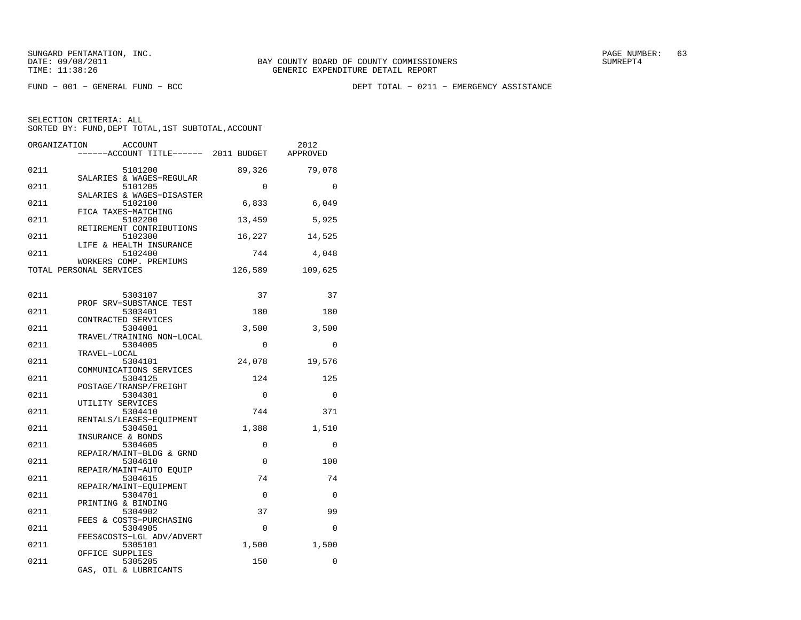FUND − 001 − GENERAL FUND − BCC DEPT TOTAL − 0211 − EMERGENCY ASSISTANCE

| ORGANIZATION | ACCOUNT<br>------ACCOUNT TITLE------ 2011 BUDGET             |             | 2012<br>APPROVED |
|--------------|--------------------------------------------------------------|-------------|------------------|
| 0211         | 5101200                                                      | 89,326      | 79,078           |
| 0211         | SALARIES & WAGES-REGULAR<br>5101205                          | $\mathbf 0$ | 0                |
| 0211         | SALARIES & WAGES-DISASTER<br>5102100                         | 6,833       | 6,049            |
| 0211         | FICA TAXES-MATCHING<br>5102200                               | 13,459      | 5,925            |
| 0211         | RETIREMENT CONTRIBUTIONS<br>5102300                          | 16,227      | 14,525           |
| 0211         | LIFE & HEALTH INSURANCE<br>5102400                           | 744         | 4,048            |
|              | WORKERS COMP. PREMIUMS<br>TOTAL PERSONAL SERVICES            | 126,589     | 109,625          |
| 0211         | 5303107                                                      | 37          | 37               |
| 0211         | PROF SRV-SUBSTANCE TEST<br>5303401                           | 180         | 180              |
| 0211         | CONTRACTED SERVICES<br>5304001                               | 3,500       | 3,500            |
| 0211         | TRAVEL/TRAINING NON-LOCAL<br>5304005                         | 0           | $\Omega$         |
| 0211         | TRAVEL-LOCAL<br>5304101                                      | 24,078      | 19,576           |
| 0211         | COMMUNICATIONS SERVICES<br>5304125                           | 124         | 125              |
| 0211         | POSTAGE/TRANSP/FREIGHT<br>5304301                            | 0           | $\mathbf 0$      |
| 0211         | UTILITY SERVICES<br>5304410                                  | 744         | 371              |
| 0211         | RENTALS/LEASES-EOUIPMENT<br>5304501                          | 1,388       | 1,510            |
| 0211         | INSURANCE & BONDS<br>5304605                                 | $\mathbf 0$ | 0                |
| 0211         | REPAIR/MAINT-BLDG & GRND<br>5304610                          | 0           | 100              |
| 0211         | REPAIR/MAINT-AUTO EOUIP<br>5304615<br>REPAIR/MAINT-EQUIPMENT | 74          | 74               |
| 0211         | 5304701<br>PRINTING & BINDING                                | $\mathbf 0$ | $\mathbf 0$      |
| 0211         | 5304902<br>FEES & COSTS-PURCHASING                           | 37          | 99               |
| 0211         | 5304905<br>FEES&COSTS-LGL ADV/ADVERT                         | $\mathbf 0$ | 0                |
| 0211         | 5305101<br>OFFICE SUPPLIES                                   | 1,500       | 1,500            |
| 0211         | 5305205<br>GAS, OIL & LUBRICANTS                             | 150         | 0                |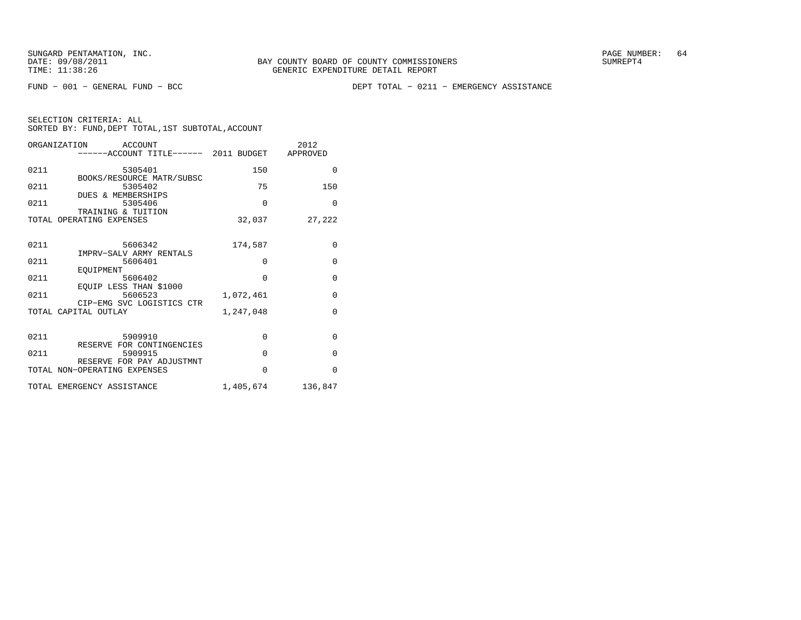FUND − 001 − GENERAL FUND − BCC DEPT TOTAL − 0211 − EMERGENCY ASSISTANCE

| SELECTION CRITERIA: ALL |  |  |                                                    |  |
|-------------------------|--|--|----------------------------------------------------|--|
|                         |  |  | SORTED BY: FUND, DEPT TOTAL, 1ST SUBTOTAL, ACCOUNT |  |

|      | ORGANIZATION ACCOUNT<br>------ACCOUNT TITLE------ 2011 BUDGET APPROVED |           | 2012        |
|------|------------------------------------------------------------------------|-----------|-------------|
| 0211 | 5305401                                                                | 150       | $\Omega$    |
| 0211 | BOOKS/RESOURCE MATR/SUBSC<br>5305402                                   | 75        | 150         |
| 0211 | DUES & MEMBERSHIPS<br>5305406<br>TRAINING & TUITION                    | $\Omega$  | $\Omega$    |
|      | TOTAL OPERATING EXPENSES                                               | 32,037    | 27,222      |
| 0211 | 5606342                                                                | 174,587   | $\mathbf 0$ |
| 0211 | IMPRV-SALV ARMY RENTALS<br>5606401<br>EOUIPMENT                        | $\Omega$  | $\Omega$    |
| 0211 | 5606402<br>EOUIP LESS THAN \$1000                                      | $\Omega$  | $\Omega$    |
| 0211 | 5606523<br>CIP-EMG SVC LOGISTICS CTR                                   | 1,072,461 | $\mathbf 0$ |
|      | TOTAL CAPITAL OUTLAY                                                   | 1,247,048 | $\Omega$    |
| 0211 | 5909910<br>RESERVE FOR CONTINGENCIES                                   | $\Omega$  | $\Omega$    |
| 0211 | 5909915<br>RESERVE FOR PAY ADJUSTMNT                                   | $\Omega$  | $\Omega$    |
|      | TOTAL NON-OPERATING EXPENSES                                           | $\Omega$  | $\Omega$    |
|      | TOTAL EMERGENCY ASSISTANCE                                             | 1,405,674 | 136,847     |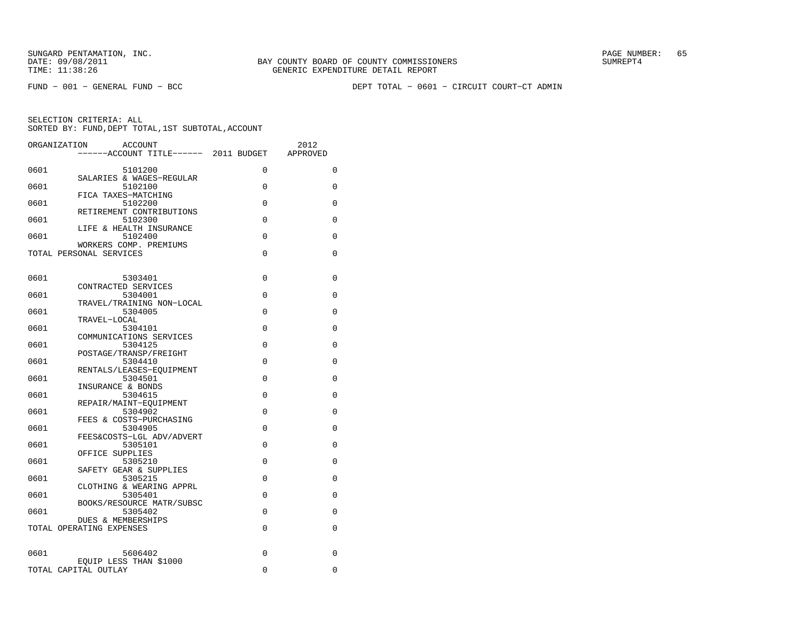FUND − 001 − GENERAL FUND − BCC DEPT TOTAL − 0601 − CIRCUIT COURT−CT ADMIN

| ORGANIZATION | <b>ACCOUNT</b><br>------ACCOUNT TITLE------ 2011 BUDGET      |             | 2012<br>APPROVED |
|--------------|--------------------------------------------------------------|-------------|------------------|
| 0601         | 5101200                                                      | $\Omega$    | 0                |
| 0601         | SALARIES & WAGES-REGULAR<br>5102100                          | $\Omega$    | 0                |
| 0601         | FICA TAXES-MATCHING<br>5102200                               | $\Omega$    | $\Omega$         |
| 0601         | RETIREMENT CONTRIBUTIONS<br>5102300                          | 0           | 0                |
| 0601         | LIFE & HEALTH INSURANCE<br>5102400<br>WORKERS COMP. PREMIUMS | 0           | 0                |
|              | TOTAL PERSONAL SERVICES                                      | $\Omega$    | 0                |
| 0601         | 5303401                                                      | 0           | 0                |
| 0601         | CONTRACTED SERVICES<br>5304001                               | $\Omega$    | 0                |
| 0601         | TRAVEL/TRAINING NON-LOCAL<br>5304005                         | $\Omega$    | 0                |
| 0601         | TRAVEL-LOCAL<br>5304101<br>COMMUNICATIONS SERVICES           | $\Omega$    | $\Omega$         |
| 0601         | 5304125<br>POSTAGE/TRANSP/FREIGHT                            | $\Omega$    | 0                |
| 0601         | 5304410<br>RENTALS/LEASES-EOUIPMENT                          | $\Omega$    | 0                |
| 0601         | 5304501<br>INSURANCE & BONDS                                 | $\Omega$    | 0                |
| 0601         | 5304615<br>REPAIR/MAINT-EQUIPMENT                            | $\Omega$    | 0                |
| 0601         | 5304902<br>FEES & COSTS-PURCHASING                           | $\mathbf 0$ | 0                |
| 0601         | 5304905<br>FEES&COSTS-LGL ADV/ADVERT                         | 0           | 0                |
| 0601         | 5305101<br>OFFICE SUPPLIES                                   | $\Omega$    | 0                |
| 0601         | 5305210<br>SAFETY GEAR & SUPPLIES                            | $\Omega$    | 0                |
| 0601         | 5305215<br>CLOTHING & WEARING APPRL                          | $\Omega$    | 0                |
| 0601         | 5305401<br>BOOKS/RESOURCE MATR/SUBSC                         | 0           | 0                |
| 0601         | 5305402<br><b>DUES &amp; MEMBERSHIPS</b>                     | 0           | 0                |
|              | TOTAL OPERATING EXPENSES                                     | $\Omega$    | 0                |
| 0601         | 5606402<br>EQUIP LESS THAN \$1000                            | $\Omega$    | 0                |
|              | TOTAL CAPITAL OUTLAY                                         | 0           | 0                |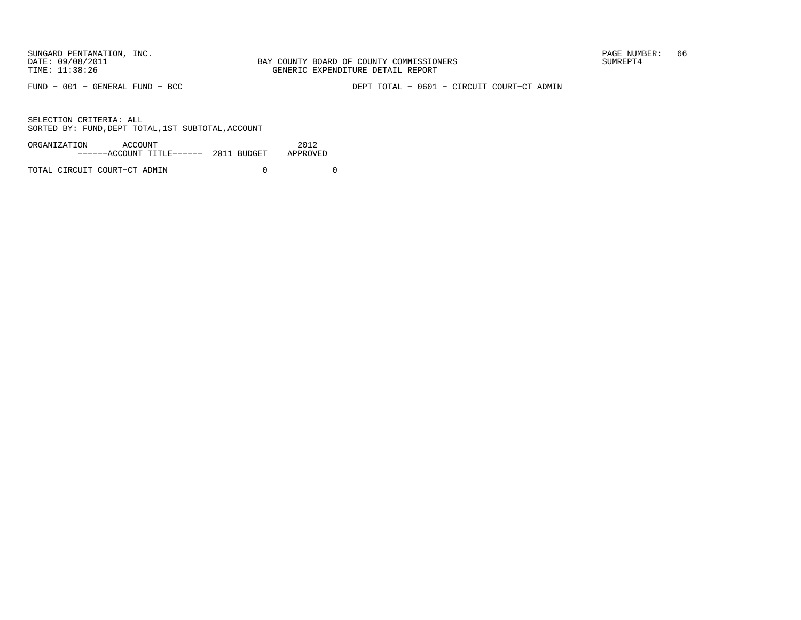FUND − 001 − GENERAL FUND − BCC DEPT TOTAL − 0601 − CIRCUIT COURT−CT ADMIN

SELECTION CRITERIA: ALLSORTED BY: FUND, DEPT TOTAL, 1ST SUBTOTAL, ACCOUNT

| ORGANIZATION | ACCOUNT                               | 2012     |
|--------------|---------------------------------------|----------|
|              | ------ACCOUNT TITLE------ 2011 BUDGET | APPROVED |
|              |                                       |          |

TOTAL CIRCUIT COURT−CT ADMIN 0 0 0 0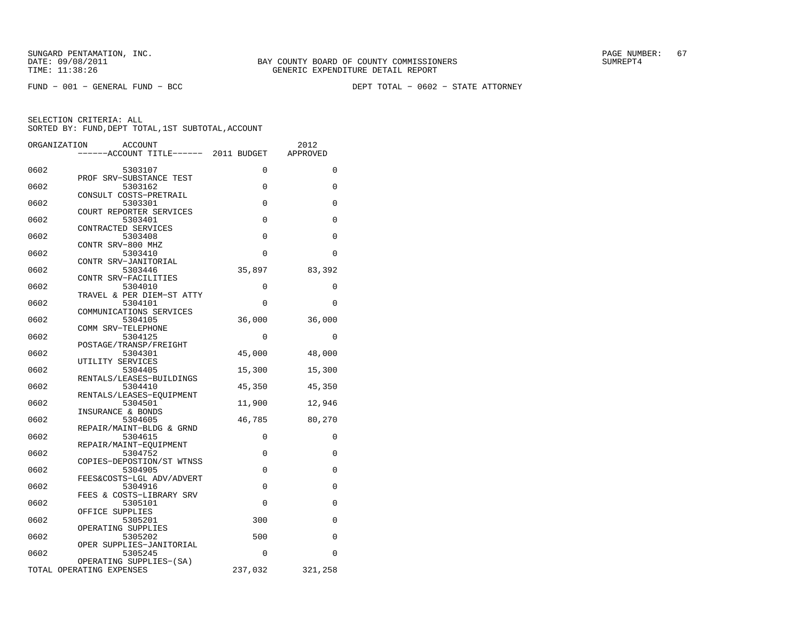FUND − 001 − GENERAL FUND − BCC DEPT TOTAL − 0602 − STATE ATTORNEY

| ORGANIZATION | <b>ACCOUNT</b>                      |          | 2012        |
|--------------|-------------------------------------|----------|-------------|
|              | ----ACCOUNT TITLE------ 2011 BUDGET |          | APPROVED    |
|              |                                     |          |             |
| 0602         | 5303107                             | 0        | $\mathbf 0$ |
|              | PROF SRV-SUBSTANCE TEST             |          |             |
| 0602         | 5303162                             | $\Omega$ | $\Omega$    |
| 0602         | CONSULT COSTS-PRETRAIL<br>5303301   | $\Omega$ | 0           |
|              | COURT REPORTER SERVICES             |          |             |
| 0602         | 5303401                             | 0        | 0           |
|              | CONTRACTED SERVICES                 |          |             |
| 0602         | 5303408                             | 0        | 0           |
|              | CONTR SRV-800 MHZ                   |          |             |
| 0602         | 5303410                             | 0        | $\Omega$    |
|              | CONTR SRV-JANITORIAL                |          |             |
| 0602         | 5303446                             | 35,897   | 83,392      |
|              | CONTR SRV-FACILITIES                |          |             |
| 0602         | 5304010                             | 0        | 0           |
|              | TRAVEL & PER DIEM-ST ATTY           |          |             |
| 0602         | 5304101                             | $\Omega$ | 0           |
|              | COMMUNICATIONS SERVICES             |          |             |
| 0602         | 5304105                             | 36,000   | 36,000      |
| 0602         | COMM SRV-TELEPHONE<br>5304125       | 0        | $\Omega$    |
|              | POSTAGE/TRANSP/FREIGHT              |          |             |
| 0602         | 5304301                             | 45,000   | 48,000      |
|              | UTILITY SERVICES                    |          |             |
| 0602         | 5304405                             | 15,300   | 15,300      |
|              | RENTALS/LEASES-BUILDINGS            |          |             |
| 0602         | 5304410                             | 45,350   | 45,350      |
|              | RENTALS/LEASES-EOUIPMENT            |          |             |
| 0602         | 5304501                             | 11,900   | 12,946      |
|              | INSURANCE & BONDS                   |          |             |
| 0602         | 5304605                             | 46,785   | 80,270      |
|              | REPAIR/MAINT-BLDG & GRND            |          |             |
| 0602         | 5304615                             | 0        | 0           |
| 0602         | REPAIR/MAINT-EQUIPMENT<br>5304752   | 0        | 0           |
|              | COPIES-DEPOSTION/ST WTNSS           |          |             |
| 0602         | 5304905                             | 0        | 0           |
|              | FEES&COSTS-LGL ADV/ADVERT           |          |             |
| 0602         | 5304916                             | 0        | 0           |
|              | FEES & COSTS-LIBRARY SRV            |          |             |
| 0602         | 5305101                             | 0        | 0           |
|              | OFFICE SUPPLIES                     |          |             |
| 0602         | 5305201                             | 300      | $\Omega$    |
|              | OPERATING SUPPLIES                  |          |             |
| 0602         | 5305202                             | 500      | $\Omega$    |
|              | OPER SUPPLIES-JANITORIAL            |          |             |
| 0602         | 5305245                             | $\Omega$ | 0           |
|              | OPERATING SUPPLIES-(SA)             |          |             |
|              | TOTAL OPERATING EXPENSES            | 237,032  | 321,258     |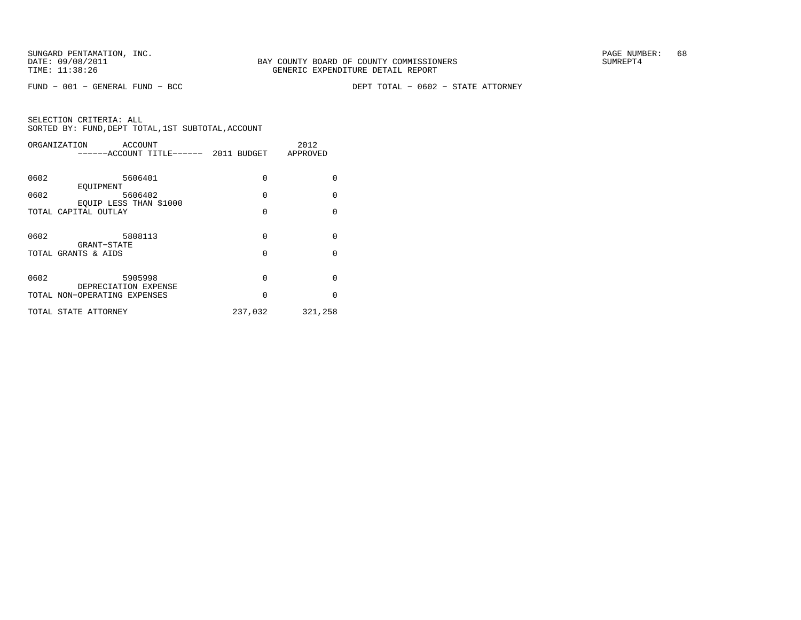FUND − 001 − GENERAL FUND − BCC DEPT TOTAL − 0602 − STATE ATTORNEY

|      | ORGANIZATION<br>ACCOUNT<br>-----ACCOUNT TITLE------ 2011 BUDGET |          | 2012<br>APPROVED |
|------|-----------------------------------------------------------------|----------|------------------|
| 0602 | 5606401<br>EOUIPMENT                                            | 0        | $\Omega$         |
| 0602 | 5606402<br>EQUIP LESS THAN \$1000                               | $\Omega$ | $\Omega$         |
|      | TOTAL CAPITAL OUTLAY                                            | 0        | $\Omega$         |
| 0602 | 5808113<br>GRANT-STATE                                          | $\Omega$ | $\Omega$         |
|      | TOTAL GRANTS & AIDS                                             | 0        | $\Omega$         |
| 0602 | 5905998                                                         | $\Omega$ | $\Omega$         |
|      | DEPRECIATION EXPENSE<br>TOTAL NON-OPERATING EXPENSES            | $\Omega$ | $\Omega$         |
|      | TOTAL STATE ATTORNEY                                            | 237,032  | 321,258          |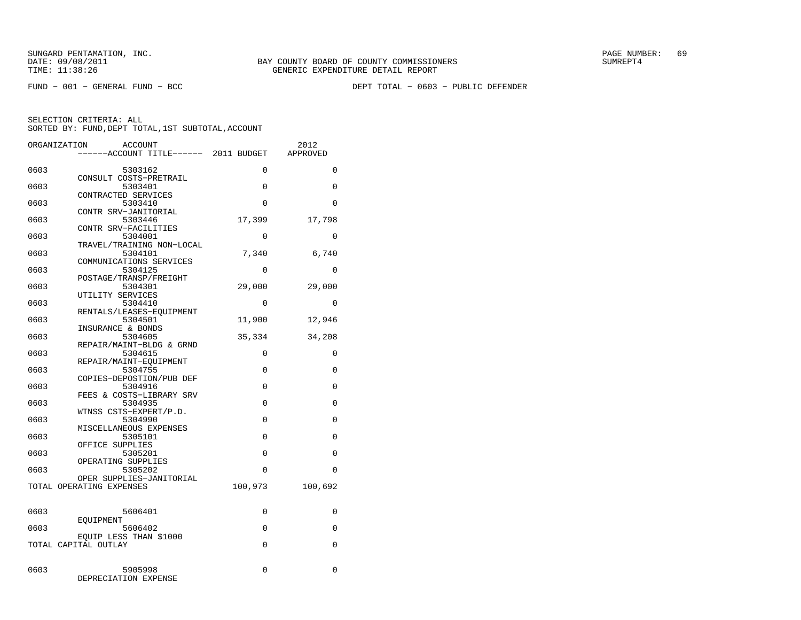FUND − 001 − GENERAL FUND − BCC DEPT TOTAL − 0603 − PUBLIC DEFENDER

| ORGANIZATION | ACCOUNT                                        |             | 2012     |
|--------------|------------------------------------------------|-------------|----------|
|              | ---ACCOUNT TITLE------ 2011 BUDGET             |             | APPROVED |
|              |                                                |             |          |
| 0603         | 5303162                                        | $\mathbf 0$ | 0        |
| 0603         | CONSULT COSTS-PRETRAIL<br>5303401              | 0           | 0        |
|              | CONTRACTED SERVICES                            |             |          |
| 0603         | 5303410                                        | $\Omega$    | 0        |
|              | CONTR SRV-JANITORIAL                           |             |          |
| 0603         | 5303446                                        | 17,399      | 17,798   |
|              | CONTR SRV-FACILITIES                           |             |          |
| 0603         | 5304001                                        | $\Omega$    | 0        |
|              | TRAVEL/TRAINING NON-LOCAL                      |             |          |
| 0603         | 5304101<br>COMMUNICATIONS SERVICES             | 7,340       | 6,740    |
| 0603         | 5304125                                        | $\Omega$    | $\Omega$ |
|              | POSTAGE/TRANSP/FREIGHT                         |             |          |
| 0603         | 5304301                                        | 29,000      | 29,000   |
|              | UTILITY SERVICES                               |             |          |
| 0603         | 5304410                                        | 0           | 0        |
|              | RENTALS/LEASES-EOUIPMENT                       |             |          |
| 0603         | 5304501                                        | 11,900      | 12,946   |
| 0603         | INSURANCE & BONDS<br>5304605                   | 35,334      | 34,208   |
|              | REPAIR/MAINT-BLDG & GRND                       |             |          |
| 0603         | 5304615                                        | 0           | 0        |
|              | REPAIR/MAINT-EQUIPMENT                         |             |          |
| 0603         | 5304755                                        | 0           | 0        |
|              | COPIES-DEPOSTION/PUB DEF                       |             |          |
| 0603         | 5304916                                        | 0           | 0        |
|              | FEES & COSTS-LIBRARY SRV                       | $\Omega$    | $\Omega$ |
| 0603         | 5304935<br>WTNSS CSTS-EXPERT/P.D.              |             |          |
| 0603         | 5304990                                        | 0           | 0        |
|              | MISCELLANEOUS EXPENSES                         |             |          |
| 0603         | 5305101                                        | $\Omega$    | $\Omega$ |
|              | OFFICE SUPPLIES                                |             |          |
| 0603         | 5305201                                        | 0           | 0        |
|              | OPERATING SUPPLIES                             | $\Omega$    | $\Omega$ |
| 0603         | 5305202<br>OPER SUPPLIES-JANITORIAL            |             |          |
|              | TOTAL OPERATING EXPENSES                       | 100,973     | 100,692  |
|              |                                                |             |          |
|              |                                                |             |          |
| 0603         | 5606401                                        | 0           | 0        |
|              | EOUIPMENT                                      |             |          |
| 0603         | 5606402                                        | 0           | 0        |
|              | EQUIP LESS THAN \$1000<br>TOTAL CAPITAL OUTLAY | 0           | 0        |
|              |                                                |             |          |
|              |                                                |             |          |
| 0603         | 5905998                                        | $\Omega$    | 0        |
|              | DEPRECIATION EXPENSE                           |             |          |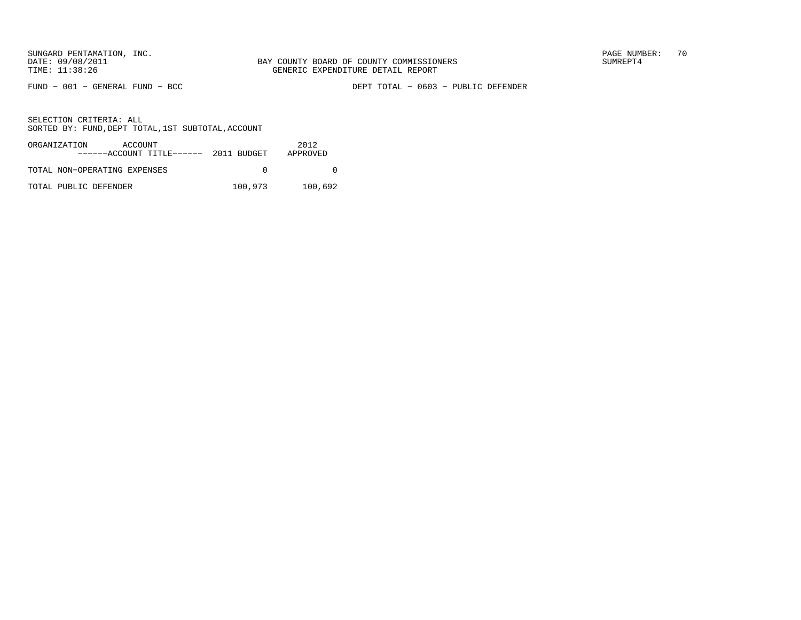FUND − 001 − GENERAL FUND − BCC DEPT TOTAL − 0603 − PUBLIC DEFENDER

| ORGANIZATION<br>ACCOUNT<br>$---ACCOVINT TITLE---2011 BUDGET$ |         | 2012<br>APPROVED |
|--------------------------------------------------------------|---------|------------------|
| TOTAL NON-OPERATING EXPENSES                                 |         |                  |
| TOTAL PUBLIC DEFENDER                                        | 100,973 | 100,692          |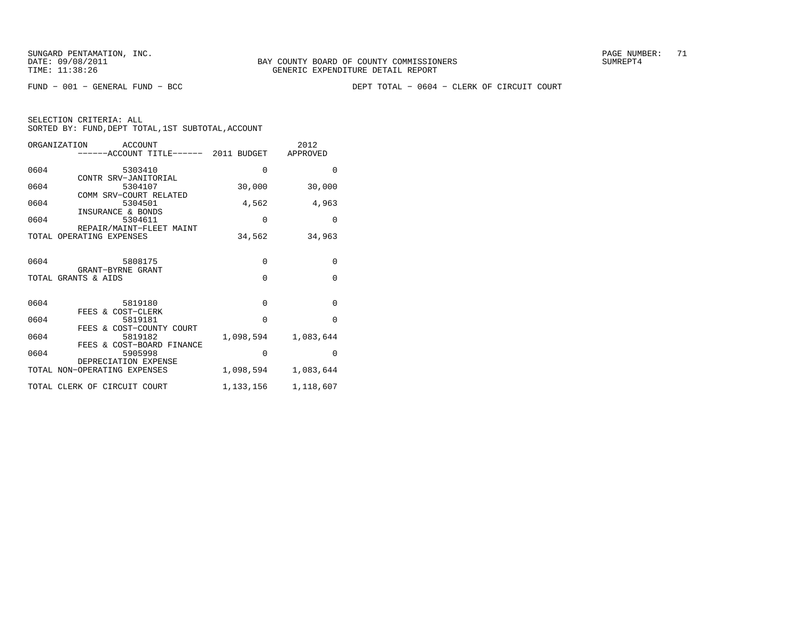FUND − 001 − GENERAL FUND − BCC DEPT TOTAL − 0604 − CLERK OF CIRCUIT COURT

| ORGANIZATION<br>ACCOUNT<br>------ACCOUNT TITLE------ 2011 BUDGET |             | 2012<br>APPROVED |
|------------------------------------------------------------------|-------------|------------------|
| 0604<br>5303410                                                  | $\Omega$    | $\Omega$         |
| CONTR SRV-JANITORIAL<br>0604<br>5304107                          | 30,000      | 30,000           |
| COMM SRV-COURT RELATED<br>0604<br>5304501                        | 4,562       | 4,963            |
| INSURANCE & BONDS<br>0604<br>5304611                             | 0           | $\Omega$         |
| REPAIR/MAINT-FLEET MAINT<br>TOTAL OPERATING EXPENSES             | 34,562      | 34,963           |
| 0604<br>5808175                                                  | $\mathbf 0$ | $\Omega$         |
| GRANT-BYRNE GRANT<br>TOTAL GRANTS & AIDS                         | $\Omega$    | $\Omega$         |
|                                                                  |             |                  |
| 0604<br>5819180<br>FEES & COST-CLERK                             | $\Omega$    | $\Omega$         |
| 0604<br>5819181<br>FEES & COST-COUNTY COURT                      | $\Omega$    | $\Omega$         |
| 0604<br>5819182<br>FEES & COST-BOARD FINANCE                     | 1,098,594   | 1,083,644        |
| 0604<br>5905998                                                  | 0           | $\Omega$         |
| DEPRECIATION EXPENSE<br>TOTAL NON-OPERATING EXPENSES             | 1,098,594   | 1,083,644        |
| TOTAL CLERK OF CIRCUIT COURT                                     | 1,133,156   | 1,118,607        |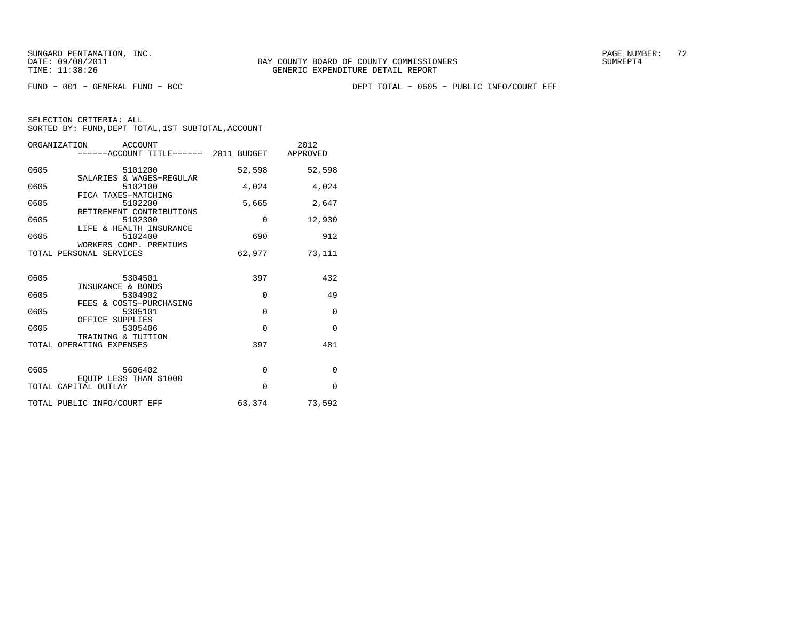FUND − 001 − GENERAL FUND − BCC DEPT TOTAL − 0605 − PUBLIC INFO/COURT EFF

| ORGANIZATION ACCOUNT<br>------ACCOUNT TITLE------ 2011 BUDGET APPROVED |          | 2012     |
|------------------------------------------------------------------------|----------|----------|
| 0605<br>5101200                                                        | 52,598   | 52,598   |
| SALARIES & WAGES-REGULAR<br>0605<br>5102100                            | 4,024    | 4,024    |
| FICA TAXES-MATCHING<br>0605<br>5102200                                 | 5,665    | 2,647    |
| RETIREMENT CONTRIBUTIONS<br>0605<br>5102300                            | $\Omega$ | 12,930   |
| LIFE & HEALTH INSURANCE<br>0605<br>5102400                             | 690      | 912      |
| WORKERS COMP. PREMIUMS<br>TOTAL PERSONAL SERVICES                      | 62,977   | 73,111   |
|                                                                        |          |          |
| 5304501<br>0605<br>INSURANCE & BONDS                                   | 397      | 432      |
| 0605<br>5304902<br>FEES & COSTS-PURCHASING                             | $\Omega$ | 49       |
| 0605<br>5305101                                                        | $\Omega$ | $\Omega$ |
| OFFICE SUPPLIES<br>0605<br>5305406                                     | $\Omega$ | $\Omega$ |
| TRAINING & TUITION<br>TOTAL OPERATING EXPENSES                         | 397      | 481      |
|                                                                        |          |          |
| 0605 5606402<br>EOUIP LESS THAN \$1000                                 | $\Omega$ | $\Omega$ |
| TOTAL CAPITAL OUTLAY                                                   | $\Omega$ | $\Omega$ |
| TOTAL PUBLIC INFO/COURT EFF                                            | 63,374   | 73,592   |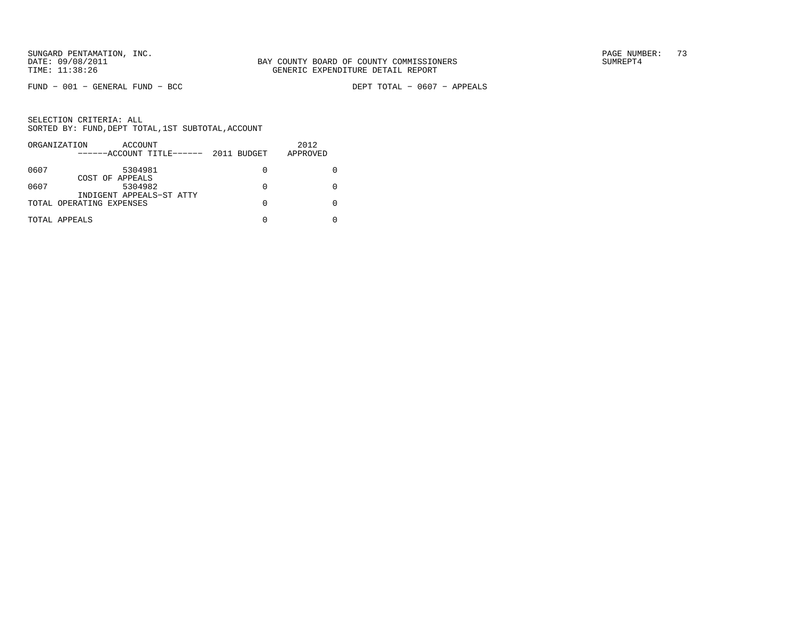$FUND - 001 - GENERAL FUND - BCC$ 

DEPT TOTAL - 0607 - APPEALS

|      | ORGANIZATION<br>ACCOUNT<br>------ACCOUNT TITLE------ | 2011 BUDGET | 2012<br>APPROVED |
|------|------------------------------------------------------|-------------|------------------|
| 0607 | 5304981                                              | 0           |                  |
| 0607 | COST OF APPEALS<br>5304982                           | 0           |                  |
|      | INDIGENT APPEALS-ST ATTY<br>TOTAL OPERATING EXPENSES | 0           |                  |
|      | TOTAL APPEALS                                        |             |                  |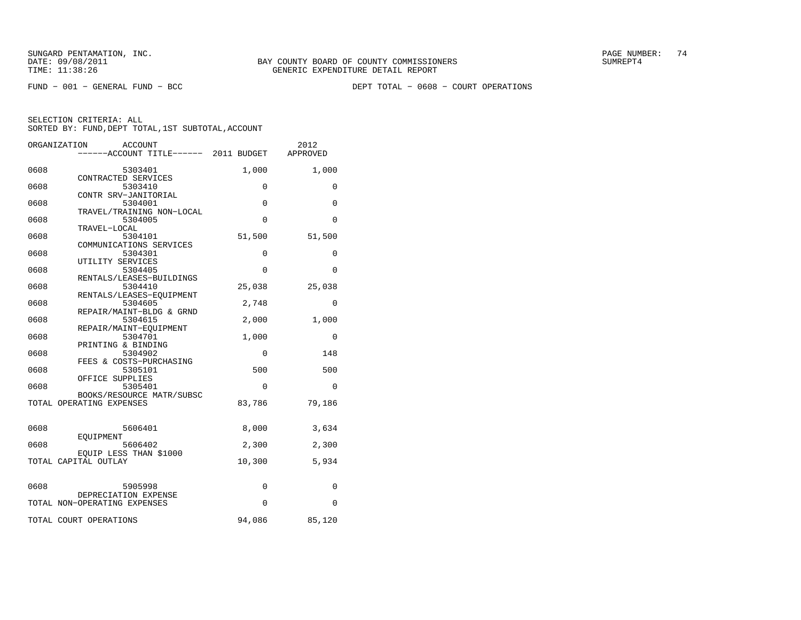FUND − 001 − GENERAL FUND − BCC DEPT TOTAL − 0608 − COURT OPERATIONS

|      | ORGANIZATION<br>ACCOUNT<br>------ACCOUNT TITLE------ 2011 BUDGET |             | 2012<br>APPROVED |
|------|------------------------------------------------------------------|-------------|------------------|
| 0608 | 5303401                                                          | 1,000       | 1,000            |
| 0608 | CONTRACTED SERVICES<br>5303410                                   | 0           | 0                |
| 0608 | CONTR SRV-JANITORIAL<br>5304001                                  | $\mathbf 0$ | $\mathbf 0$      |
| 0608 | TRAVEL/TRAINING NON-LOCAL<br>5304005                             | $\Omega$    | $\Omega$         |
| 0608 | TRAVEL-LOCAL<br>5304101                                          | 51,500      | 51,500           |
| 0608 | COMMUNICATIONS SERVICES<br>5304301                               | 0           | 0                |
| 0608 | UTILITY SERVICES<br>5304405                                      | $\mathbf 0$ | 0                |
| 0608 | RENTALS/LEASES-BUILDINGS<br>5304410                              | 25,038      | 25,038           |
| 0608 | RENTALS/LEASES-EQUIPMENT<br>5304605                              | 2,748       | $\Omega$         |
| 0608 | REPAIR/MAINT-BLDG & GRND<br>5304615                              | 2,000       | 1,000            |
| 0608 | REPAIR/MAINT-EOUIPMENT<br>5304701                                | 1,000       | 0                |
| 0608 | PRINTING & BINDING<br>5304902                                    | 0           | 148              |
| 0608 | FEES & COSTS-PURCHASING<br>5305101                               | 500         | 500              |
| 0608 | OFFICE SUPPLIES<br>5305401                                       | $\mathbf 0$ | 0                |
|      | BOOKS/RESOURCE MATR/SUBSC<br>TOTAL OPERATING EXPENSES            | 83,786      | 79,186           |
|      |                                                                  |             |                  |
| 0608 | 5606401                                                          | 8,000       | 3,634            |
| 0608 | EOUIPMENT<br>5606402                                             | 2,300       | 2,300            |
|      | EQUIP LESS THAN \$1000<br>TOTAL CAPITAL OUTLAY                   | 10,300      | 5,934            |
|      |                                                                  |             |                  |
| 0608 | 5905998<br>DEPRECIATION EXPENSE                                  | 0           | 0                |
|      | TOTAL NON-OPERATING EXPENSES                                     | 0           | 0                |
|      | TOTAL COURT OPERATIONS                                           | 94,086      | 85,120           |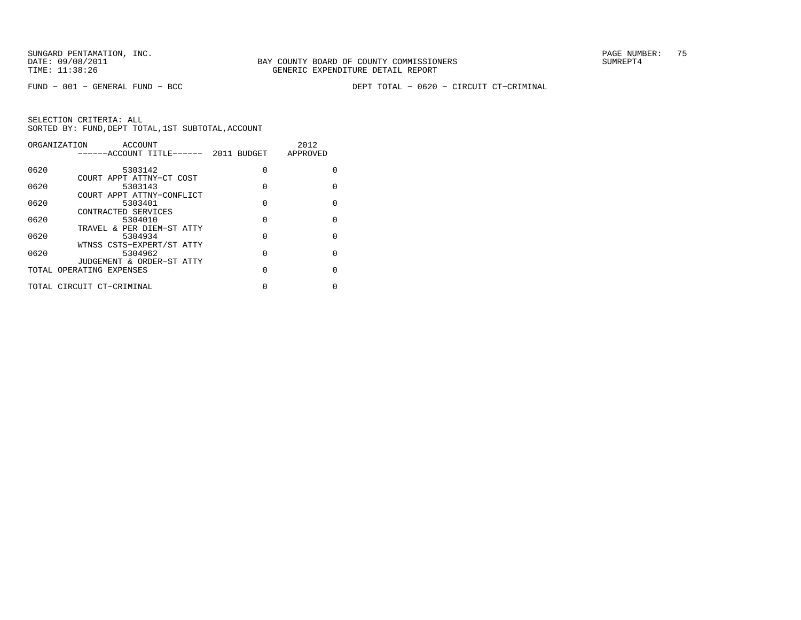FUND − 001 − GENERAL FUND − BCC DEPT TOTAL − 0620 − CIRCUIT CT−CRIMINAL

|      | ORGANIZATION<br>ACCOUNT               |          | 2012         |
|------|---------------------------------------|----------|--------------|
|      | ------ACCOUNT TITLE------ 2011 BUDGET |          | APPROVED     |
|      |                                       |          |              |
| 0620 | 5303142                               | $\Omega$ | 0            |
|      | COURT APPT ATTNY-CT COST              |          |              |
| 0620 | 5303143                               | 0        | $\Omega$     |
|      | COURT APPT ATTNY-CONFLICT             |          |              |
| 0620 | 5303401                               | 0        | <sup>0</sup> |
|      | CONTRACTED SERVICES                   |          |              |
| 0620 | 5304010                               | $\Omega$ | $\Omega$     |
|      | TRAVEL & PER DIEM-ST ATTY             |          |              |
| 0620 | 5304934                               | $\Omega$ | $\Omega$     |
|      | WTNSS CSTS-EXPERT/ST ATTY             |          |              |
| 0620 | 5304962                               | 0        | <sup>0</sup> |
|      | JUDGEMENT & ORDER-ST ATTY             |          |              |
|      | TOTAL OPERATING EXPENSES              | 0        | $\Omega$     |
|      |                                       |          |              |
|      | TOTAL CIRCUIT CT-CRIMINAL             | 0        |              |
|      |                                       |          |              |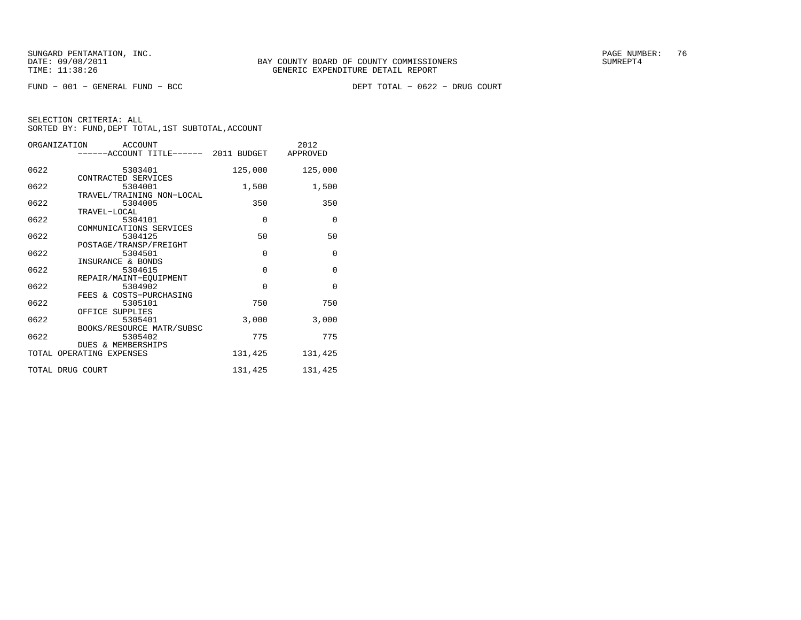$FUND - 001 - GENERAL FUND - BCC$ 

DEPT TOTAL - 0622 - DRUG COURT

| ORGANIZATION             | ACCOUNT<br>------ACCOUNT TITLE------ 2011 BUDGET APPROVED  |             | 2012        |
|--------------------------|------------------------------------------------------------|-------------|-------------|
| 0622                     | 5303401                                                    | 125,000     | 125,000     |
| 0622                     | CONTRACTED SERVICES<br>5304001                             | 1,500       | 1,500       |
| 0622                     | TRAVEL/TRAINING NON-LOCAL<br>5304005                       | 350         | 350         |
| 0622                     | TRAVEL-LOCAL<br>5304101                                    | $\mathbf 0$ | $\mathbf 0$ |
| 0622                     | COMMUNICATIONS SERVICES<br>5304125                         | 50          | 50          |
| 0622                     | POSTAGE/TRANSP/FREIGHT<br>5304501                          | $\Omega$    | $\Omega$    |
| 0622                     | INSURANCE & BONDS<br>5304615                               | $\mathbf 0$ | $\mathbf 0$ |
| 0622                     | REPAIR/MAINT-EOUIPMENT<br>5304902                          | $\mathbf 0$ | $\Omega$    |
| 0622                     | FEES & COSTS-PURCHASING<br>5305101<br>OFFICE SUPPLIES      | 750         | 750         |
| 0622                     | 5305401                                                    | 3,000       | 3,000       |
| 0622                     | BOOKS/RESOURCE MATR/SUBSC<br>5305402<br>DUES & MEMBERSHIPS | 775         | 775         |
| TOTAL OPERATING EXPENSES |                                                            | 131,425     | 131,425     |
| TOTAL DRUG COURT         |                                                            | 131,425     | 131,425     |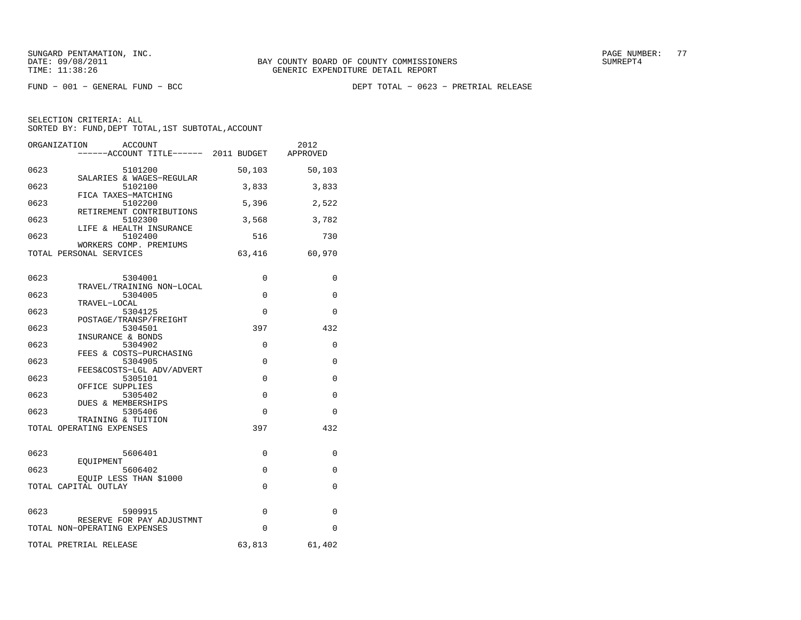FUND − 001 − GENERAL FUND − BCC DEPT TOTAL − 0623 − PRETRIAL RELEASE

|      | ORGANIZATION<br>ACCOUNT<br>------ACCOUNT TITLE------ 2011 BUDGET APPROVED |             | 2012     |
|------|---------------------------------------------------------------------------|-------------|----------|
| 0623 | 5101200<br>SALARIES & WAGES-REGULAR                                       | 50,103      | 50,103   |
| 0623 | 5102100<br>FICA TAXES-MATCHING                                            | 3,833       | 3,833    |
| 0623 | 5102200<br>RETIREMENT CONTRIBUTIONS                                       | 5,396       | 2,522    |
| 0623 | 5102300<br>LIFE & HEALTH INSURANCE                                        | 3,568       | 3,782    |
| 0623 | 5102400<br>WORKERS COMP. PREMIUMS                                         | 516         | 730      |
|      | TOTAL PERSONAL SERVICES                                                   | 63,416      | 60,970   |
| 0623 | 5304001                                                                   | 0           | 0        |
| 0623 | TRAVEL/TRAINING NON-LOCAL<br>5304005                                      | $\Omega$    | $\Omega$ |
| 0623 | TRAVEL-LOCAL<br>5304125<br>POSTAGE/TRANSP/FREIGHT                         | 0           | 0        |
| 0623 | 5304501<br>INSURANCE & BONDS                                              | 397         | 432      |
| 0623 | 5304902<br>FEES & COSTS-PURCHASING                                        | $\Omega$    | $\Omega$ |
| 0623 | 5304905<br>FEES&COSTS-LGL ADV/ADVERT                                      | 0           | 0        |
| 0623 | 5305101<br>OFFICE SUPPLIES                                                | $\mathbf 0$ | 0        |
| 0623 | 5305402<br>DUES & MEMBERSHIPS                                             | $\mathbf 0$ | 0        |
| 0623 | 5305406<br>TRAINING & TUITION                                             | $\Omega$    | $\Omega$ |
|      | TOTAL OPERATING EXPENSES                                                  | 397         | 432      |
| 0623 | 5606401                                                                   | $\Omega$    | $\Omega$ |
| 0623 | EOUIPMENT<br>5606402<br>EQUIP LESS THAN \$1000                            | $\Omega$    | $\Omega$ |
|      | TOTAL CAPITAL OUTLAY                                                      | $\Omega$    | 0        |
| 0623 | 5909915                                                                   | $\Omega$    | $\Omega$ |
|      | RESERVE FOR PAY ADJUSTMNT<br>TOTAL NON-OPERATING EXPENSES                 | $\Omega$    | 0        |
|      | TOTAL PRETRIAL RELEASE                                                    | 63,813      | 61,402   |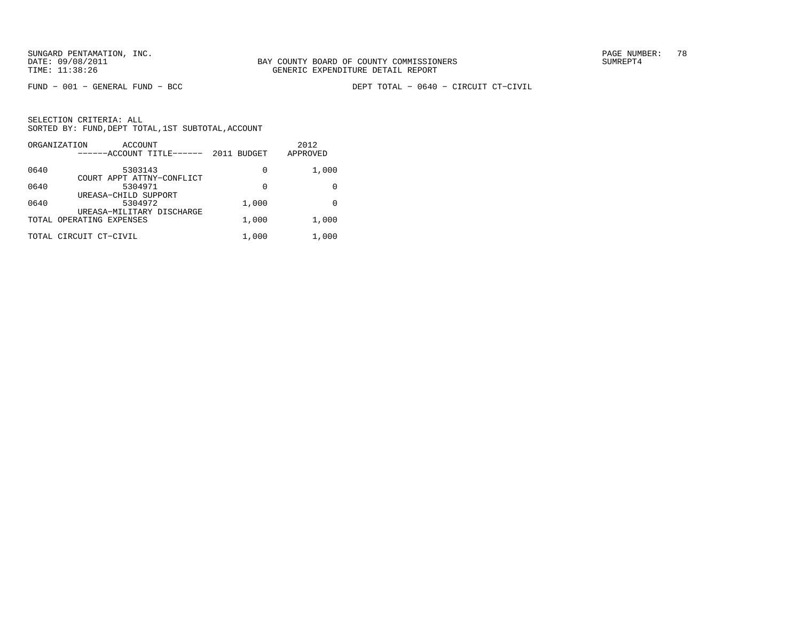FUND − 001 − GENERAL FUND − BCC DEPT TOTAL − 0640 − CIRCUIT CT−CIVIL

|      | ORGANIZATION<br>ACCOUNT<br>------ACCOUNT TITLE------  | <b>BUDGET</b><br>2011 | 2012<br>APPROVED |
|------|-------------------------------------------------------|-----------------------|------------------|
| 0640 | 5303143                                               | 0                     | 1,000            |
| 0640 | COURT APPT ATTNY-CONFLICT<br>5304971                  | 0                     |                  |
| 0640 | UREASA-CHILD SUPPORT<br>5304972                       | 1,000                 | 0                |
|      | UREASA-MILITARY DISCHARGE<br>TOTAL OPERATING EXPENSES | 1,000                 | 1,000            |
|      | TOTAL CIRCUIT CT-CIVIL                                | 1,000                 | 1,000            |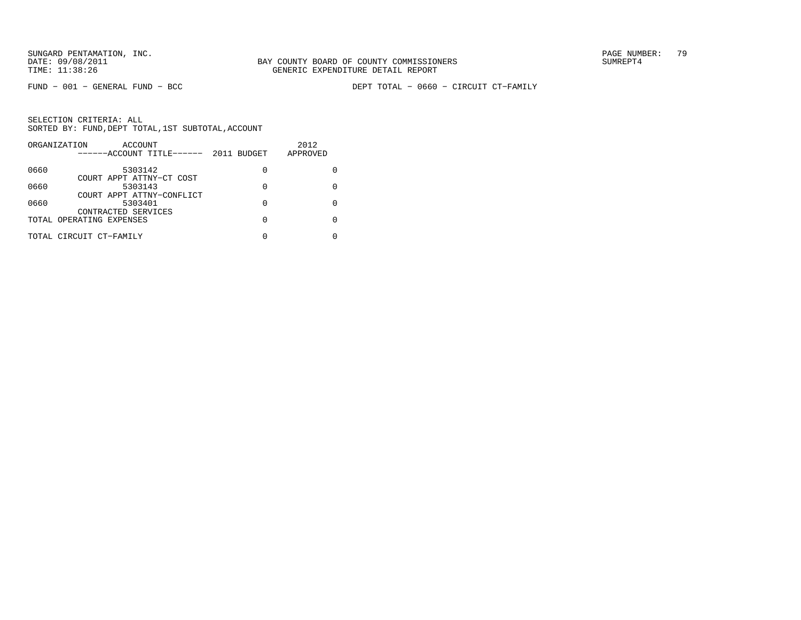FUND − 001 − GENERAL FUND − BCC DEPT TOTAL − 0660 − CIRCUIT CT−FAMILY

|      | ORGANIZATION<br>ACCOUNT<br>------ACCOUNT TITLE------ | 2011 BUDGET | 2012<br>APPROVED |
|------|------------------------------------------------------|-------------|------------------|
| 0660 | 5303142                                              | 0           |                  |
| 0660 | COURT APPT ATTNY-CT COST<br>5303143                  | 0           |                  |
| 0660 | COURT APPT ATTNY-CONFLICT<br>5303401                 | 0           |                  |
|      | CONTRACTED SERVICES<br>TOTAL OPERATING EXPENSES      | 0           |                  |
|      | TOTAL CIRCUIT CT-FAMILY                              |             |                  |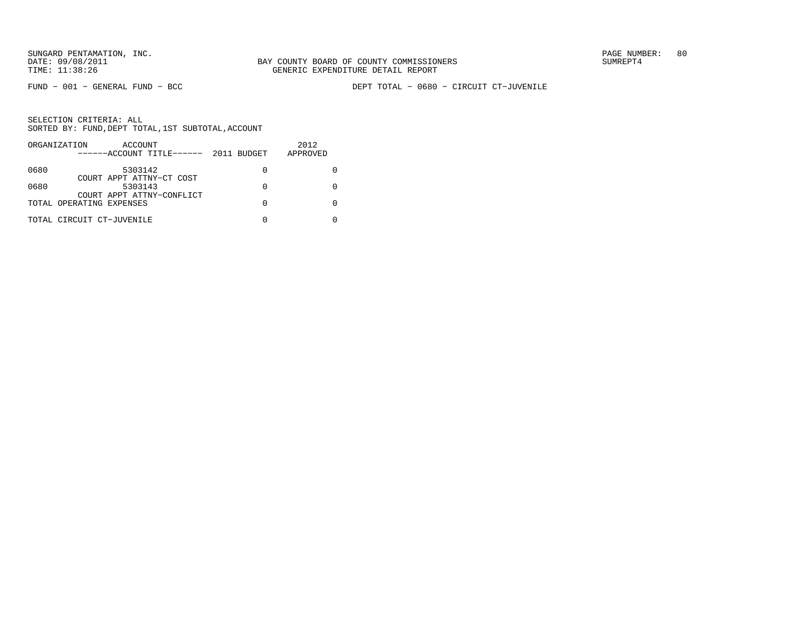FUND − 001 − GENERAL FUND − BCC DEPT TOTAL − 0680 − CIRCUIT CT−JUVENILE

|      | ORGANIZATION<br>ACCOUNT              |                  | 2012     |
|------|--------------------------------------|------------------|----------|
|      | $---ACCO$ UNT TITLE $---2011$ BUDGET |                  | APPROVED |
| 0680 | 5303142                              | $\left( \right)$ |          |
|      | COURT APPT ATTNY-CT COST             |                  |          |
| 0680 | 5303143<br>COURT APPT ATTNY-CONFLICT |                  |          |
|      | TOTAL OPERATING EXPENSES             |                  |          |
|      |                                      |                  |          |
|      | TOTAL CIRCUIT CT-JUVENILE            |                  |          |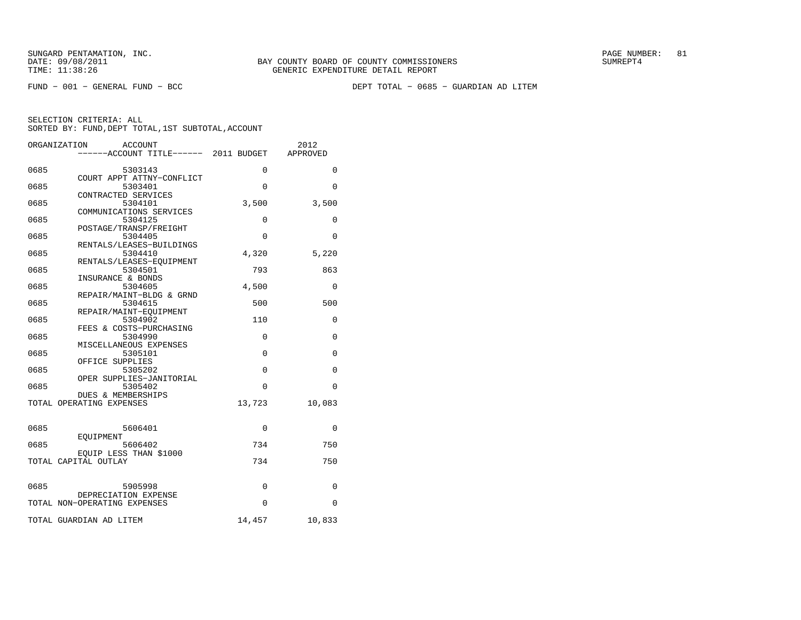FUND − 001 − GENERAL FUND − BCC DEPT TOTAL − 0685 − GUARDIAN AD LITEM

|      | ORGANIZATION<br>ACCOUNT<br>-----ACCOUNT TITLE------ 2011 BUDGET |            | 2012<br>APPROVED |
|------|-----------------------------------------------------------------|------------|------------------|
| 0685 | 5303143                                                         | $\Omega$   | $\Omega$         |
| 0685 | COURT APPT ATTNY-CONFLICT<br>5303401                            | $\Omega$   | $\Omega$         |
| 0685 | CONTRACTED SERVICES<br>5304101                                  | 3,500      | 3,500            |
| 0685 | COMMUNICATIONS SERVICES<br>5304125                              | $\Omega$   | $\Omega$         |
| 0685 | POSTAGE/TRANSP/FREIGHT<br>5304405                               | 0          | 0                |
| 0685 | RENTALS/LEASES-BUILDINGS<br>5304410                             | 4,320      | 5,220            |
| 0685 | RENTALS/LEASES-EOUIPMENT<br>5304501                             | 793        | 863              |
| 0685 | INSURANCE & BONDS<br>5304605                                    | 4,500      | $\Omega$         |
| 0685 | REPAIR/MAINT-BLDG & GRND<br>5304615                             | 500        | 500              |
| 0685 | REPAIR/MAINT-EQUIPMENT<br>5304902                               | 110        | 0                |
| 0685 | FEES & COSTS-PURCHASING<br>5304990                              | $\Omega$   | $\Omega$         |
| 0685 | MISCELLANEOUS EXPENSES<br>5305101                               | 0          | 0                |
| 0685 | OFFICE SUPPLIES<br>5305202                                      | 0          | 0                |
| 0685 | OPER SUPPLIES-JANITORIAL<br>5305402                             | 0          | 0                |
|      | <b>DUES &amp; MEMBERSHIPS</b><br>TOTAL OPERATING EXPENSES       | 13,723     | 10,083           |
|      |                                                                 |            |                  |
| 0685 | 5606401<br>EOUIPMENT                                            | $\Omega$   | 0                |
| 0685 | 5606402<br>EQUIP LESS THAN \$1000                               | 734<br>734 | 750<br>750       |
|      | TOTAL CAPITAL OUTLAY                                            |            |                  |
| 0685 | 5905998<br>DEPRECIATION EXPENSE                                 | 0          | 0                |
|      | TOTAL NON-OPERATING EXPENSES                                    | 0          | 0                |
|      | TOTAL GUARDIAN AD LITEM                                         | 14,457     | 10,833           |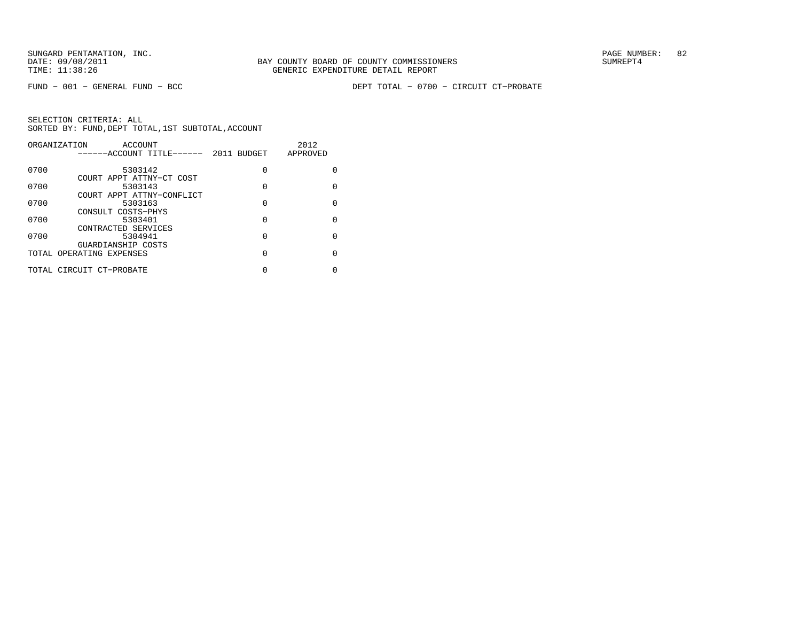FUND − 001 − GENERAL FUND − BCC DEPT TOTAL − 0700 − CIRCUIT CT−PROBATE

| ORGANIZATION<br>ACCOUNT |                                                |                       | 2012     |
|-------------------------|------------------------------------------------|-----------------------|----------|
|                         | -----ACCOUNT TITLE------                       | 2011<br><b>BUDGET</b> | APPROVED |
| 0700                    | 5303142                                        | $\Omega$              | 0        |
| 0700                    | COURT APPT ATTNY-CT COST<br>5303143            | 0                     | 0        |
| 0700                    | COURT APPT ATTNY-CONFLICT<br>5303163           | 0                     | $\Omega$ |
| 0700                    | CONSULT COSTS-PHYS<br>5303401                  | 0                     | 0        |
| 0700                    | CONTRACTED SERVICES<br>5304941                 | 0                     | $\Omega$ |
|                         | GUARDIANSHIP COSTS<br>TOTAL OPERATING EXPENSES | 0                     | 0        |
|                         | TOTAL CIRCUIT CT-PROBATE                       | 0                     | 0        |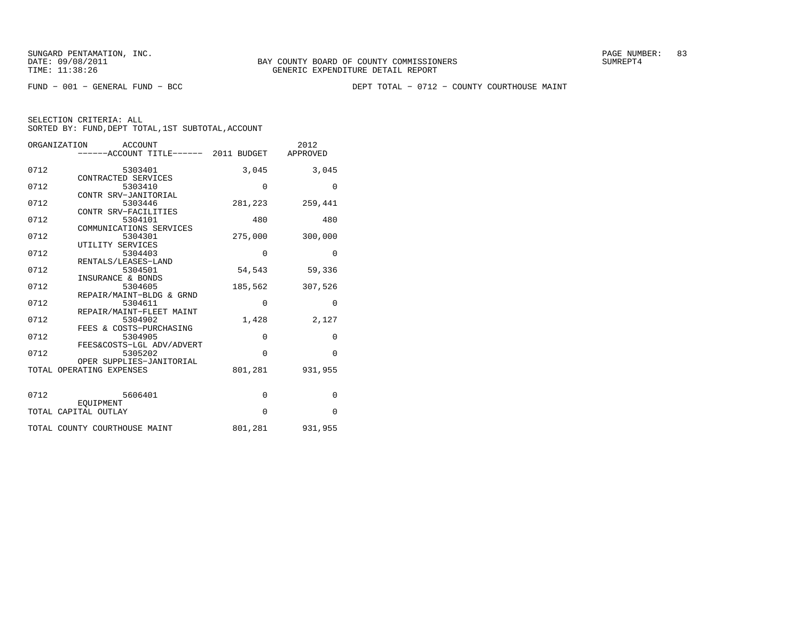FUND − 001 − GENERAL FUND − BCC DEPT TOTAL − 0712 − COUNTY COURTHOUSE MAINT

| ORGANIZATION<br>ACCOUNT |                                                |             | 2012            |
|-------------------------|------------------------------------------------|-------------|-----------------|
|                         | ------ACCOUNT TITLE------ 2011 BUDGET APPROVED |             |                 |
| 0712                    | 5303401                                        | 3,045       | 3,045           |
|                         | CONTRACTED SERVICES                            |             |                 |
| 0712                    | 5303410                                        | $\mathbf 0$ | $\mathbf{0}$    |
|                         | CONTR SRV-JANITORIAL                           |             |                 |
| 0712                    | 5303446                                        | 281,223     | 259,441         |
|                         | CONTR SRV-FACILITIES                           |             |                 |
| 0712                    | 5304101                                        | 480         | 480             |
|                         | COMMUNICATIONS SERVICES                        |             |                 |
| 0712                    | 5304301                                        | 275,000     | 300,000         |
|                         | UTILITY SERVICES                               |             |                 |
| 0712                    | 5304403                                        | $\mathbf 0$ | $\mathbf{0}$    |
|                         | RENTALS/LEASES-LAND                            |             |                 |
| 0712                    | 5304501                                        | 54,543      | 59,336          |
|                         | INSURANCE & BONDS                              |             |                 |
| 0712                    | 5304605                                        | 185,562     | 307,526         |
|                         | REPAIR/MAINT-BLDG & GRND                       |             |                 |
| 0712                    | 5304611                                        | $\mathbf 0$ | $\mathbf 0$     |
|                         | REPAIR/MAINT-FLEET MAINT                       |             |                 |
| 0712                    | 5304902                                        | 1,428       | 2,127           |
|                         | FEES & COSTS-PURCHASING                        |             |                 |
| 0712                    | 5304905                                        | $\mathbf 0$ | $\mathbf{0}$    |
|                         | FEES&COSTS-LGL ADV/ADVERT                      |             |                 |
| 0712                    | 5305202                                        | $\Omega$    | $\Omega$        |
|                         | OPER SUPPLIES-JANITORIAL                       |             |                 |
|                         | TOTAL OPERATING EXPENSES                       | 801,281     | 931,955         |
|                         |                                                |             |                 |
| 0712                    | 5606401                                        |             |                 |
|                         |                                                | $\mathbf 0$ | $\mathbf{0}$    |
|                         | EOUIPMENT                                      | $\Omega$    |                 |
|                         | TOTAL CAPITAL OUTLAY                           |             | $\Omega$        |
|                         | TOTAL COUNTY COURTHOUSE MAINT                  |             | 801,281 931,955 |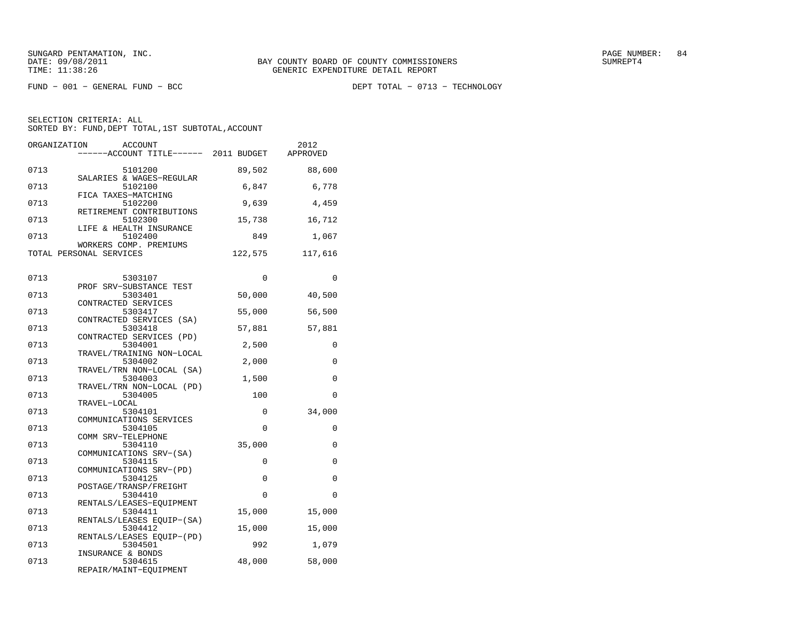FUND − 001 − GENERAL FUND − BCC DEPT TOTAL − 0713 − TECHNOLOGY

| ORGANIZATION | <b>ACCOUNT</b><br>------ACCOUNT TITLE------ 2011 BUDGET           |          | 2012<br>APPROVED |
|--------------|-------------------------------------------------------------------|----------|------------------|
| 0713         | 5101200<br>SALARIES & WAGES-REGULAR                               | 89,502   | 88,600           |
| 0713         | 5102100<br>FICA TAXES-MATCHING                                    | 6,847    | 6,778            |
| 0713         | 5102200<br>RETIREMENT CONTRIBUTIONS                               | 9,639    | 4,459            |
| 0713         | 5102300<br>LIFE & HEALTH INSURANCE                                | 15,738   | 16,712           |
| 0713         | 5102400<br>WORKERS COMP. PREMIUMS                                 | 849      | 1,067            |
|              | TOTAL PERSONAL SERVICES                                           | 122,575  | 117,616          |
| 0713         | 5303107                                                           | $\Omega$ | $\Omega$         |
| 0713         | PROF SRV-SUBSTANCE TEST<br>5303401                                | 50,000   | 40,500           |
| 0713         | CONTRACTED SERVICES<br>5303417                                    | 55,000   | 56,500           |
| 0713         | CONTRACTED SERVICES (SA)<br>5303418                               | 57,881   | 57,881           |
| 0713         | CONTRACTED SERVICES (PD)<br>5304001                               | 2,500    | 0                |
| 0713         | TRAVEL/TRAINING NON-LOCAL<br>5304002<br>TRAVEL/TRN NON-LOCAL (SA) | 2,000    | $\Omega$         |
| 0713         | 5304003                                                           | 1,500    | 0                |
| 0713         | TRAVEL/TRN NON-LOCAL (PD)<br>5304005                              | 100      | 0                |
| 0713         | TRAVEL-LOCAL<br>5304101                                           | 0        | 34,000           |
| 0713         | COMMUNICATIONS SERVICES<br>5304105                                | $\Omega$ | 0                |
| 0713         | COMM SRV-TELEPHONE<br>5304110<br>COMMUNICATIONS SRV-(SA)          | 35,000   | 0                |
| 0713         | 5304115<br>COMMUNICATIONS SRV-(PD)                                | 0        | 0                |
| 0713         | 5304125<br>POSTAGE/TRANSP/FREIGHT                                 | 0        | 0                |
| 0713         | 5304410<br>RENTALS/LEASES-EOUIPMENT                               | 0        | $\Omega$         |
| 0713         | 5304411                                                           | 15,000   | 15,000           |
| 0713         | RENTALS/LEASES EQUIP-(SA)<br>5304412                              | 15,000   | 15,000           |
| 0713         | RENTALS/LEASES EQUIP-(PD)<br>5304501                              | 992      | 1,079            |
| 0713         | INSURANCE & BONDS<br>5304615<br>REPAIR/MAINT-EQUIPMENT            | 48,000   | 58,000           |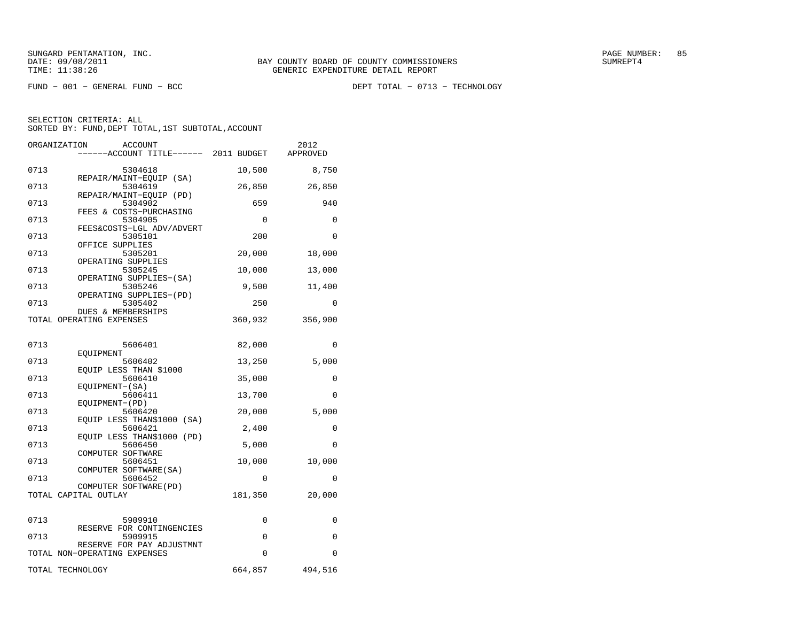FUND − 001 − GENERAL FUND − BCC DEPT TOTAL − 0713 − TECHNOLOGY

|      | ORGANIZATION<br>ACCOUNT                                   |             | 2012     |
|------|-----------------------------------------------------------|-------------|----------|
|      | -----ACCOUNT TITLE------ 2011 BUDGET                      |             | APPROVED |
| 0713 | 5304618                                                   | 10,500      | 8,750    |
| 0713 | REPAIR/MAINT-EQUIP (SA)<br>5304619                        | 26,850      | 26,850   |
| 0713 | REPAIR/MAINT-EQUIP (PD)<br>5304902                        | 659         | 940      |
| 0713 | FEES & COSTS-PURCHASING<br>5304905                        | $\mathbf 0$ | 0        |
|      | FEES&COSTS-LGL ADV/ADVERT                                 |             |          |
| 0713 | 5305101<br>OFFICE SUPPLIES                                | 200         | 0        |
| 0713 | 5305201                                                   | 20,000      | 18,000   |
| 0713 | OPERATING SUPPLIES<br>5305245                             | 10,000      | 13,000   |
| 0713 | OPERATING SUPPLIES-(SA)<br>5305246                        | 9,500       | 11,400   |
| 0713 | OPERATING SUPPLIES-(PD)<br>5305402                        | 250         | 0        |
|      | DUES & MEMBERSHIPS                                        |             |          |
|      | TOTAL OPERATING EXPENSES                                  | 360,932     | 356,900  |
| 0713 | 5606401                                                   | 82,000      | 0        |
|      | EQUIPMENT                                                 |             |          |
| 0713 | 5606402<br>EQUIP LESS THAN \$1000                         | 13,250      | 5,000    |
| 0713 | 5606410                                                   | 35,000      | 0        |
| 0713 | EQUIPMENT-(SA)<br>5606411                                 | 13,700      | 0        |
| 0713 | EQUIPMENT-(PD)<br>5606420                                 | 20,000      | 5,000    |
| 0713 | EQUIP LESS THAN\$1000 (SA)<br>5606421                     | 2,400       | 0        |
|      | EQUIP LESS THAN\$1000 (PD)                                |             |          |
| 0713 | 5606450<br>COMPUTER SOFTWARE                              | 5,000       | 0        |
| 0713 | 5606451<br>COMPUTER SOFTWARE (SA)                         | 10,000      | 10,000   |
| 0713 | 5606452                                                   | 0           | 0        |
|      | COMPUTER SOFTWARE (PD)<br>TOTAL CAPITAL OUTLAY            | 181,350     | 20,000   |
|      |                                                           |             |          |
| 0713 | 5909910                                                   | 0           | 0        |
| 0713 | RESERVE FOR CONTINGENCIES<br>5909915                      | $\mathbf 0$ | 0        |
|      | RESERVE FOR PAY ADJUSTMNT<br>TOTAL NON-OPERATING EXPENSES | $\Omega$    | $\Omega$ |
|      |                                                           |             |          |
|      | TOTAL TECHNOLOGY                                          | 664,857     | 494,516  |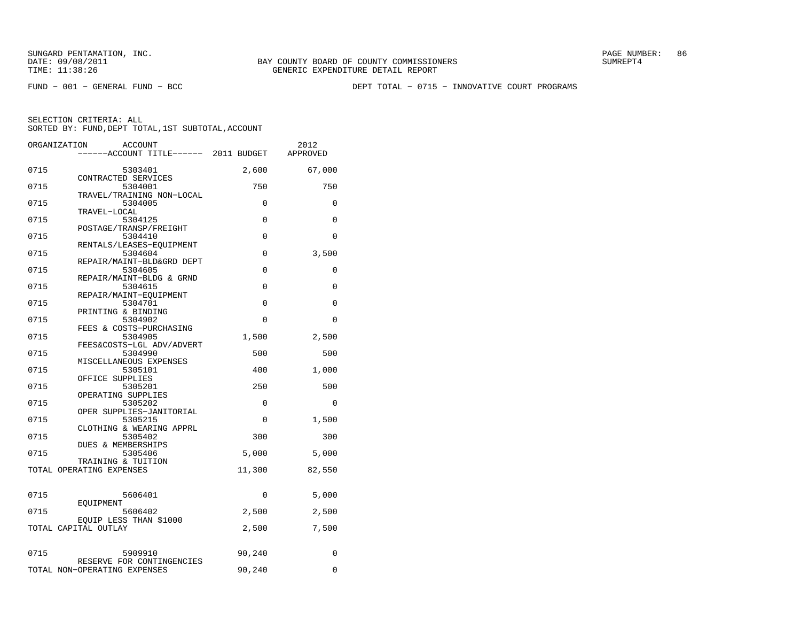FUND − 001 − GENERAL FUND − BCC DEPT TOTAL − 0715 − INNOVATIVE COURT PROGRAMS

|              | ORGANIZATION<br><b>ACCOUNT</b><br>------ACCOUNT TITLE------ 2011 BUDGET |                      | 2012<br>APPROVED     |
|--------------|-------------------------------------------------------------------------|----------------------|----------------------|
| 0715         | 5303401                                                                 | 2,600                | 67,000               |
| 0715         | CONTRACTED SERVICES<br>5304001<br>TRAVEL/TRAINING NON-LOCAL             | 750                  | 750                  |
| 0715         | 5304005<br>TRAVEL-LOCAL                                                 | $\mathbf 0$          | 0                    |
| 0715         | 5304125<br>POSTAGE/TRANSP/FREIGHT                                       | $\Omega$             | $\Omega$             |
| 0715         | 5304410<br>RENTALS/LEASES-EOUIPMENT                                     | $\Omega$             | $\Omega$             |
| 0715         | 5304604<br>REPAIR/MAINT-BLD&GRD DEPT                                    | $\Omega$             | 3,500                |
| 0715         | 5304605<br>REPAIR/MAINT-BLDG & GRND                                     | $\Omega$             | $\Omega$             |
| 0715         | 5304615<br>REPAIR/MAINT-EOUIPMENT                                       | $\Omega$             | $\Omega$             |
| 0715<br>0715 | 5304701<br>PRINTING & BINDING<br>5304902                                | $\Omega$<br>$\Omega$ | $\Omega$<br>$\Omega$ |
| 0715         | FEES & COSTS-PURCHASING<br>5304905                                      | 1,500                | 2,500                |
| 0715         | FEES&COSTS-LGL ADV/ADVERT<br>5304990                                    | 500                  | 500                  |
| 0715         | MISCELLANEOUS EXPENSES<br>5305101                                       | 400                  | 1,000                |
| 0715         | OFFICE SUPPLIES<br>5305201                                              | 250                  | 500                  |
| 0715         | OPERATING SUPPLIES<br>5305202                                           | 0                    | $\Omega$             |
| 0715         | OPER SUPPLIES-JANITORIAL<br>5305215                                     | $\Omega$             | 1,500                |
| 0715         | CLOTHING & WEARING APPRL<br>5305402<br>DUES & MEMBERSHIPS               | 300                  | 300                  |
| 0715         | 5305406<br>TRAINING & TUITION                                           | 5,000                | 5,000                |
|              | TOTAL OPERATING EXPENSES                                                | 11,300               | 82,550               |
| 0715         | 5606401                                                                 | 0                    | 5,000                |
| 0715         | EOUIPMENT<br>5606402                                                    | 2,500                | 2,500                |
|              | EQUIP LESS THAN \$1000<br>TOTAL CAPITAL OUTLAY                          | 2,500                | 7,500                |
| 0715         | 5909910                                                                 | 90,240               | 0                    |
|              | RESERVE FOR CONTINGENCIES<br>TOTAL NON-OPERATING EXPENSES               | 90,240               | 0                    |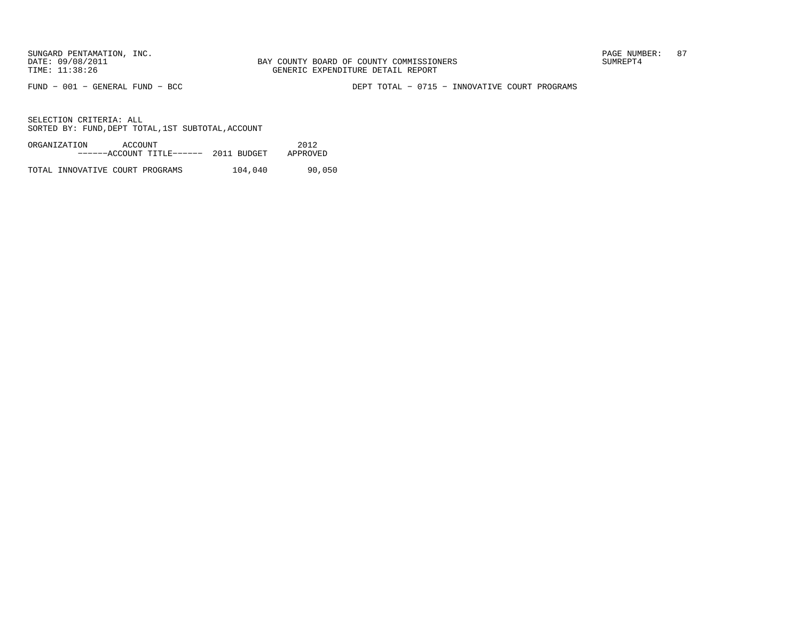FUND − 001 − GENERAL FUND − BCC DEPT TOTAL − 0715 − INNOVATIVE COURT PROGRAMS

SELECTION CRITERIA: ALLSORTED BY: FUND, DEPT TOTAL, 1ST SUBTOTAL, ACCOUNT

| ORGANIZATION | ACCOUNT |                           |             | 2012     |
|--------------|---------|---------------------------|-------------|----------|
|              |         | ------ACCOUNT TITLE------ | 2011 BUDGET | APPROVED |
|              |         |                           |             |          |

TOTAL INNOVATIVE COURT PROGRAMS 104,040 90,050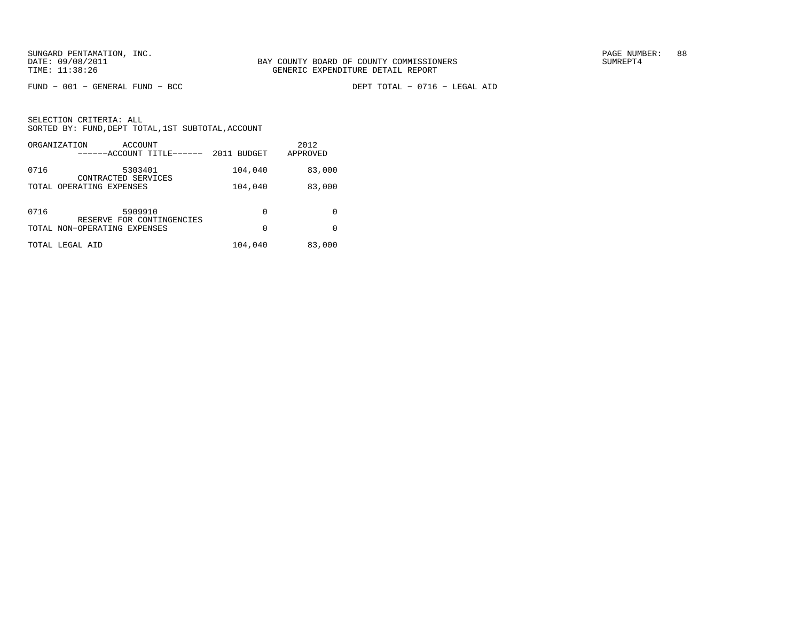FUND − 001 − GENERAL FUND − BCC DEPT TOTAL − 0716 − LEGAL AID

|      | ORGANIZATION<br>ACCOUNT<br>------ACCOUNT TITLE------      | 2011 BUDGET | 2012<br>APPROVED |
|------|-----------------------------------------------------------|-------------|------------------|
| 0716 | 5303401<br>CONTRACTED SERVICES                            | 104,040     | 83,000           |
|      | TOTAL OPERATING EXPENSES                                  | 104,040     | 83,000           |
| 0716 | 5909910                                                   | 0           | 0                |
|      | RESERVE FOR CONTINGENCIES<br>TOTAL NON-OPERATING EXPENSES | $\Omega$    | <sup>0</sup>     |
|      | TOTAL LEGAL AID                                           | 104,040     | 83,000           |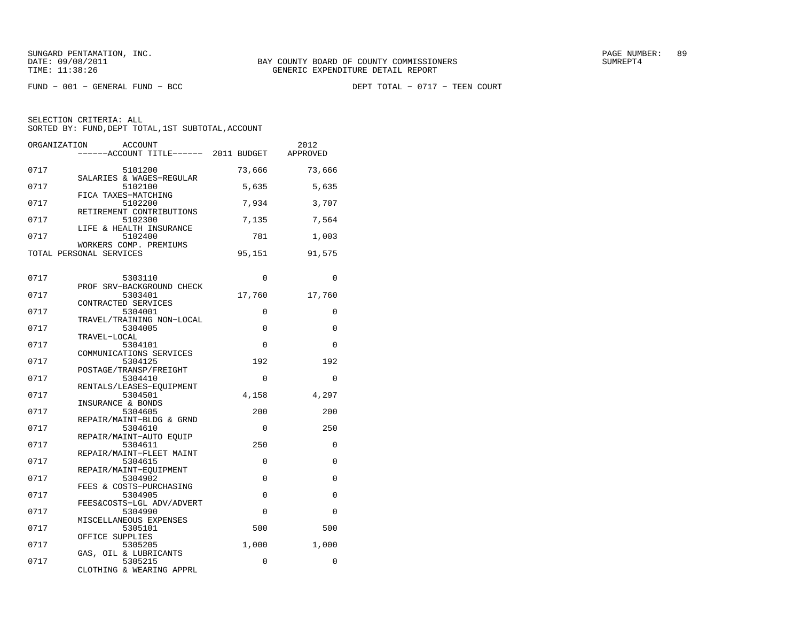$FUND - 001 - GENERAL FUND - BCC$ 

DEPT TOTAL - 0717 - TEEN COURT

| ORGANIZATION | <b>ACCOUNT</b><br>------ACCOUNT TITLE------ 2011 BUDGET        |             | 2012<br>APPROVED |
|--------------|----------------------------------------------------------------|-------------|------------------|
| 0717         | 5101200<br>SALARIES & WAGES-REGULAR                            | 73,666      | 73,666           |
| 0717         | 5102100<br>FICA TAXES-MATCHING                                 | 5,635       | 5,635            |
| 0717         | 5102200<br>RETIREMENT CONTRIBUTIONS                            | 7,934       | 3,707            |
| 0717         | 5102300<br>LIFE & HEALTH INSURANCE                             | 7,135       | 7,564            |
| 0717         | 5102400<br>WORKERS COMP. PREMIUMS                              | 781         | 1,003            |
|              | TOTAL PERSONAL SERVICES                                        | 95,151      | 91,575           |
| 0717         | 5303110<br>PROF SRV-BACKGROUND CHECK                           | $\Omega$    | $\Omega$         |
| 0717         | 5303401                                                        | 17,760      | 17,760           |
| 0717         | CONTRACTED SERVICES<br>5304001<br>TRAVEL/TRAINING NON-LOCAL    | 0           | 0                |
| 0717         | 5304005<br>TRAVEL-LOCAL                                        | 0           | 0                |
| 0717         | 5304101<br>COMMUNICATIONS SERVICES                             | $\Omega$    | $\Omega$         |
| 0717         | 5304125<br>POSTAGE/TRANSP/FREIGHT                              | 192         | 192              |
| 0717         | 5304410                                                        | $\mathbf 0$ | 0                |
| 0717         | RENTALS/LEASES-EQUIPMENT<br>5304501                            | 4,158       | 4,297            |
| 0717         | INSURANCE & BONDS<br>5304605<br>REPAIR/MAINT-BLDG & GRND       | 200         | 200              |
| 0717         | 5304610                                                        | 0           | 250              |
| 0717         | REPAIR/MAINT-AUTO EQUIP<br>5304611<br>REPAIR/MAINT-FLEET MAINT | 250         | 0                |
| 0717         | 5304615                                                        | $\Omega$    | $\Omega$         |
| 0717         | REPAIR/MAINT-EOUIPMENT<br>5304902                              | $\Omega$    | $\Omega$         |
| 0717         | FEES & COSTS-PURCHASING<br>5304905                             | 0           | 0                |
| 0717         | FEES&COSTS-LGL ADV/ADVERT<br>5304990                           | $\Omega$    | $\Omega$         |
| 0717         | MISCELLANEOUS EXPENSES<br>5305101                              | 500         | 500              |
| 0717         | OFFICE SUPPLIES<br>5305205                                     | 1,000       | 1,000            |
| 0717         | GAS, OIL & LUBRICANTS<br>5305215<br>CLOTHING & WEARING APPRL   | 0           | 0                |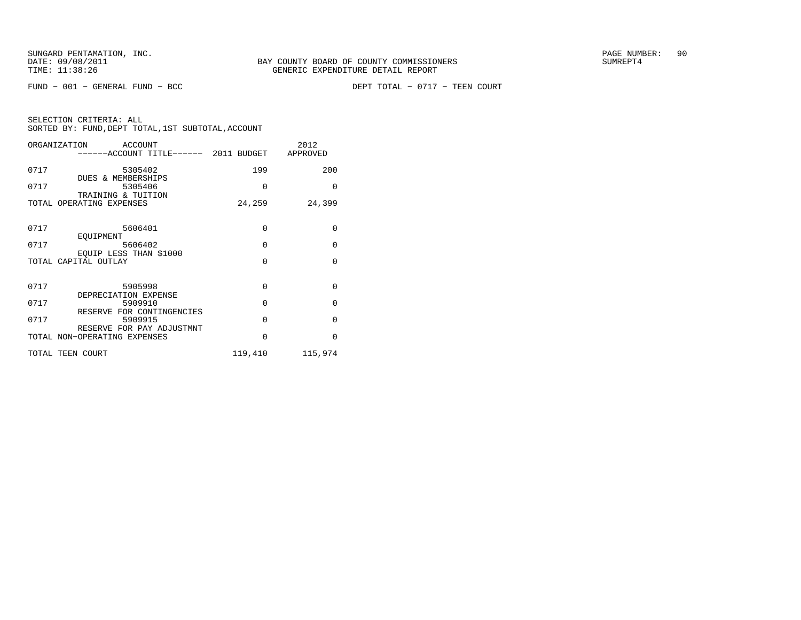$FUND - 001 - GENERAL FUND - BCC$ 

DEPT TOTAL - 0717 - TEEN COURT

| ORGANIZATION ACCOUNT<br>------ACCOUNT TITLE------ 2011 BUDGET APPROVED |             | 2012     |
|------------------------------------------------------------------------|-------------|----------|
| 0717<br>5305402<br><b>DUES &amp; MEMBERSHIPS</b>                       | 199         | 200      |
| 0717<br>5305406<br>TRAINING & TUITION                                  | $\Omega$    | $\Omega$ |
| TOTAL OPERATING EXPENSES                                               | 24,259      | 24,399   |
| 0717<br>5606401                                                        | $\mathbf 0$ | $\Omega$ |
| EOUIPMENT<br>0717<br>5606402                                           | $\Omega$    | $\Omega$ |
| EOUIP LESS THAN \$1000<br>TOTAL CAPITAL OUTLAY                         | $\Omega$    | $\Omega$ |
| 0717<br>5905998                                                        | $\Omega$    | $\Omega$ |
| DEPRECIATION EXPENSE<br>0717<br>5909910<br>RESERVE FOR CONTINGENCIES   | $\Omega$    | $\Omega$ |
| 0717<br>5909915<br>RESERVE FOR PAY ADJUSTMNT                           | $\Omega$    | $\Omega$ |
| TOTAL NON-OPERATING EXPENSES                                           | $\mathbf 0$ | $\Omega$ |
| TOTAL TEEN COURT                                                       | 119,410     | 115,974  |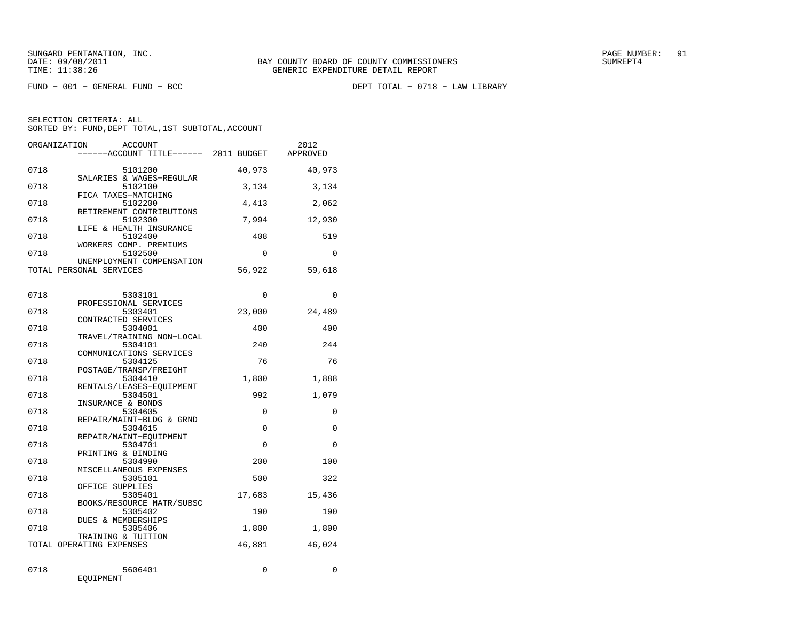FUND − 001 − GENERAL FUND − BCC DEPT TOTAL − 0718 − LAW LIBRARY

|              | ORGANIZATION<br>ACCOUNT<br>----ACCOUNT TITLE------ 2011 BUDGET |              | 2012<br>APPROVED |
|--------------|----------------------------------------------------------------|--------------|------------------|
| 0718         | 5101200                                                        | 40,973       | 40,973           |
| 0718         | SALARIES & WAGES-REGULAR<br>5102100                            | 3,134        | 3,134            |
| 0718         | FICA TAXES-MATCHING<br>5102200                                 | 4,413        | 2,062            |
| 0718         | RETIREMENT CONTRIBUTIONS<br>5102300                            | 7,994        | 12,930           |
| 0718         | LIFE & HEALTH INSURANCE<br>5102400                             | 408          | 519              |
| 0718         | WORKERS COMP. PREMIUMS<br>5102500                              | $\Omega$     | $\Omega$         |
|              | UNEMPLOYMENT COMPENSATION<br>TOTAL PERSONAL SERVICES           | 56,922       | 59,618           |
| 0718         | 5303101                                                        | $\Omega$     | 0                |
| 0718         | PROFESSIONAL SERVICES<br>5303401                               | 23,000       | 24,489           |
| 0718         | CONTRACTED SERVICES<br>5304001<br>TRAVEL/TRAINING NON-LOCAL    | 400          | 400              |
| 0718         | 5304101<br>COMMUNICATIONS SERVICES                             | 240          | 244              |
| 0718         | 5304125<br>POSTAGE/TRANSP/FREIGHT                              | 76           | 76               |
| 0718         | 5304410<br>RENTALS/LEASES-EQUIPMENT                            | 1,800        | 1,888            |
| 0718         | 5304501<br>INSURANCE & BONDS                                   | 992          | 1,079            |
| 0718         | 5304605<br>REPAIR/MAINT-BLDG & GRND                            | $\Omega$     | 0                |
| 0718         | 5304615<br>REPAIR/MAINT-EOUIPMENT                              | $\Omega$     | $\Omega$         |
| 0718         | 5304701<br>PRINTING & BINDING                                  | $\Omega$     | $\Omega$         |
| 0718         | 5304990<br>MISCELLANEOUS EXPENSES                              | 200          | 100              |
| 0718         | 5305101<br>OFFICE SUPPLIES                                     | 500          | 322              |
| 0718         | 5305401<br>BOOKS/RESOURCE MATR/SUBSC                           | 17,683       | 15,436           |
| 0718<br>0718 | 5305402<br>DUES & MEMBERSHIPS<br>5305406                       | 190<br>1,800 | 190<br>1,800     |
|              | TRAINING & TUITION<br>TOTAL OPERATING EXPENSES                 | 46,881       | 46,024           |
|              |                                                                |              |                  |
| 0718         | 5606401<br>EQUIPMENT                                           | 0            | 0                |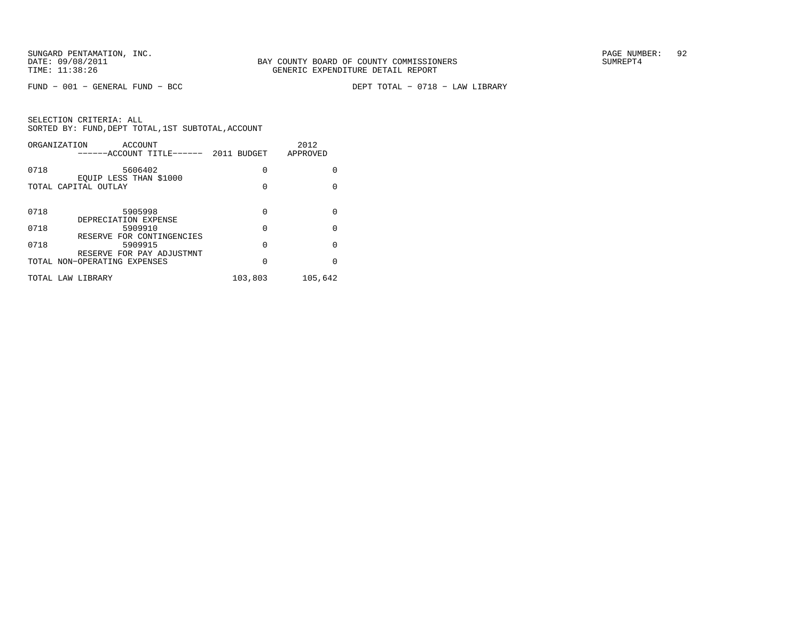FUND − 001 − GENERAL FUND − BCC DEPT TOTAL − 0718 − LAW LIBRARY

|      | ORGANIZATION<br>ACCOUNT<br>------ACCOUNT TITLE------ 2011 BUDGET |         | 2012<br>APPROVED |
|------|------------------------------------------------------------------|---------|------------------|
| 0718 | 5606402<br>EQUIP LESS THAN \$1000                                | 0       | 0                |
|      | TOTAL CAPITAL OUTLAY                                             | 0       | $\Omega$         |
| 0718 | 5905998                                                          | 0       | 0                |
| 0718 | DEPRECIATION EXPENSE<br>5909910<br>RESERVE FOR CONTINGENCIES     | 0       | $\Omega$         |
| 0718 | 5909915<br>RESERVE FOR PAY ADJUSTMNT                             | 0       | 0                |
|      | TOTAL NON-OPERATING EXPENSES                                     | 0       | $\Omega$         |
|      | TOTAL LAW LIBRARY                                                | 103,803 | 105,642          |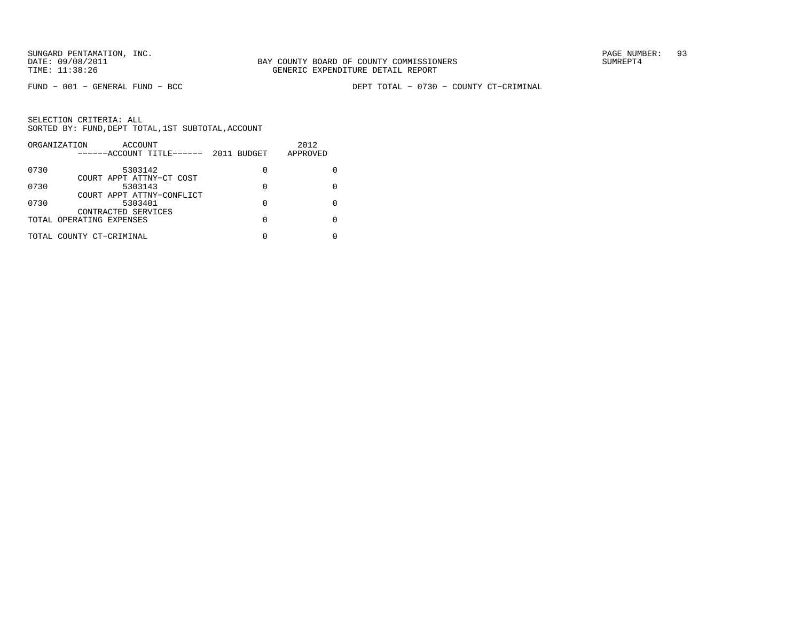FUND − 001 − GENERAL FUND − BCC DEPT TOTAL − 0730 − COUNTY CT−CRIMINAL

|      | ORGANIZATION<br>ACCOUNT<br>------ACCOUNT TITLE------ | 2011 BUDGET | 2012<br>APPROVED |
|------|------------------------------------------------------|-------------|------------------|
| 0730 | 5303142                                              | 0           |                  |
| 0730 | COURT APPT ATTNY-CT COST<br>5303143                  | 0           |                  |
| 0730 | COURT APPT ATTNY-CONFLICT<br>5303401                 | 0           |                  |
|      | CONTRACTED SERVICES<br>TOTAL OPERATING EXPENSES      |             |                  |
|      | TOTAL COUNTY CT-CRIMINAL                             |             |                  |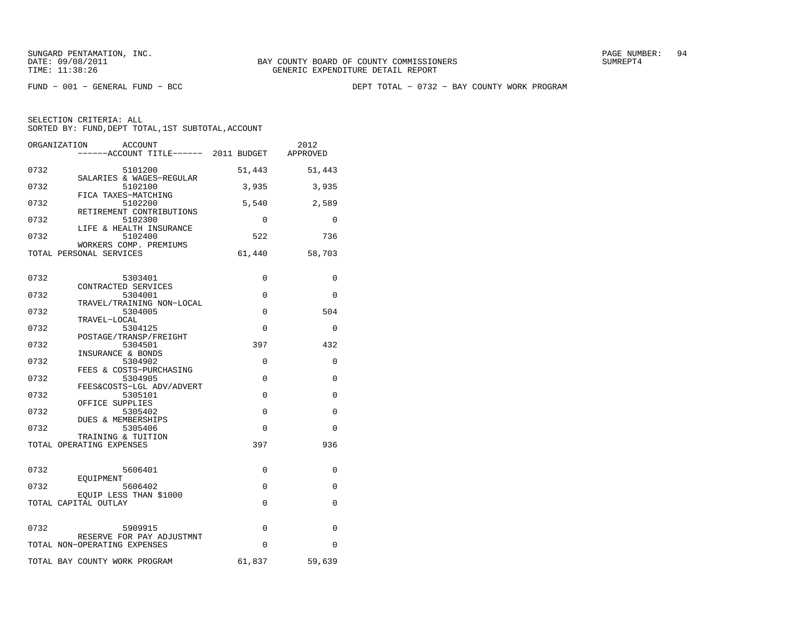FUND − 001 − GENERAL FUND − BCC DEPT TOTAL − 0732 − BAY COUNTY WORK PROGRAM

| ORGANIZATION<br><b>ACCOUNT</b><br>------ACCOUNT TITLE------ 2011 BUDGET |          | 2012<br>APPROVED |
|-------------------------------------------------------------------------|----------|------------------|
| 0732<br>5101200                                                         | 51,443   | 51,443           |
| SALARIES & WAGES-REGULAR<br>0732<br>5102100                             | 3,935    | 3,935            |
| FICA TAXES-MATCHING<br>0732<br>5102200                                  | 5,540    | 2,589            |
| RETIREMENT CONTRIBUTIONS<br>0732<br>5102300<br>LIFE & HEALTH INSURANCE  | $\Omega$ | $\Omega$         |
| 0732<br>5102400<br>WORKERS COMP. PREMIUMS                               | 522      | 736              |
| TOTAL PERSONAL SERVICES                                                 | 61,440   | 58,703           |
| 0732<br>5303401                                                         | 0        | 0                |
| CONTRACTED SERVICES<br>0732<br>5304001                                  | $\Omega$ | $\Omega$         |
| TRAVEL/TRAINING NON-LOCAL<br>0732<br>5304005<br>TRAVEL-LOCAL            | $\Omega$ | 504              |
| 0732<br>5304125<br>POSTAGE/TRANSP/FREIGHT                               | $\Omega$ | $\Omega$         |
| 0732<br>5304501<br>INSURANCE & BONDS                                    | 397      | 432              |
| 0732<br>5304902<br>FEES & COSTS-PURCHASING                              | 0        | 0                |
| 0732<br>5304905<br>FEES&COSTS-LGL ADV/ADVERT                            | 0        | 0                |
| 0732<br>5305101<br>OFFICE SUPPLIES                                      | $\Omega$ | 0                |
| 0732<br>5305402<br><b>DUES &amp; MEMBERSHIPS</b>                        | $\Omega$ | $\Omega$         |
| 0732<br>5305406<br>TRAINING & TUITION                                   | 0        | 0                |
| TOTAL OPERATING EXPENSES                                                | 397      | 936              |
| 0732<br>5606401                                                         | $\Omega$ | 0                |
| EOUIPMENT<br>0732<br>5606402                                            | 0        | 0                |
| EOUIP LESS THAN \$1000<br>TOTAL CAPITAL OUTLAY                          | 0        | 0                |
| 0732<br>5909915<br>RESERVE FOR PAY ADJUSTMNT                            | 0        | 0                |
| TOTAL NON-OPERATING EXPENSES                                            | $\Omega$ | $\Omega$         |
| TOTAL BAY COUNTY WORK PROGRAM                                           | 61,837   | 59,639           |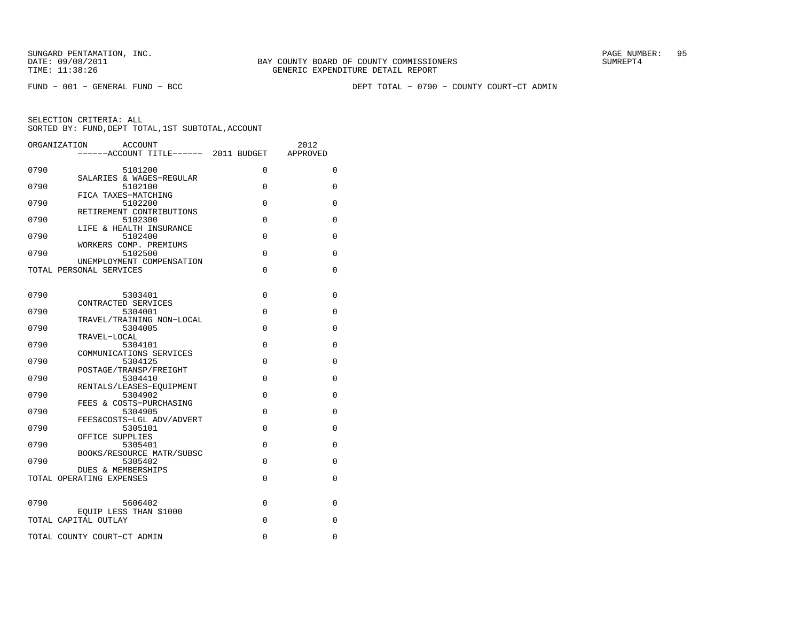FUND − 001 − GENERAL FUND − BCC DEPT TOTAL − 0790 − COUNTY COURT−CT ADMIN

|      | ORGANIZATION<br><b>ACCOUNT</b><br>-----ACCOUNT TITLE------ 2011 BUDGET |          | 2012<br>APPROVED |
|------|------------------------------------------------------------------------|----------|------------------|
| 0790 | 5101200                                                                | $\Omega$ | $\Omega$         |
| 0790 | SALARIES & WAGES-REGULAR<br>5102100                                    | $\Omega$ | 0                |
| 0790 | FICA TAXES-MATCHING<br>5102200                                         | $\Omega$ | 0                |
| 0790 | RETIREMENT CONTRIBUTIONS<br>5102300                                    | $\Omega$ | 0                |
| 0790 | LIFE & HEALTH INSURANCE<br>5102400                                     | $\Omega$ | 0                |
| 0790 | WORKERS COMP. PREMIUMS<br>5102500                                      | 0        | 0                |
|      | UNEMPLOYMENT COMPENSATION<br>TOTAL PERSONAL SERVICES                   | $\Omega$ | 0                |
|      |                                                                        |          |                  |
| 0790 | 5303401<br>CONTRACTED SERVICES                                         | $\Omega$ | 0                |
| 0790 | 5304001<br>TRAVEL/TRAINING NON-LOCAL                                   | $\Omega$ | 0                |
| 0790 | 5304005<br>TRAVEL-LOCAL                                                | $\Omega$ | 0                |
| 0790 | 5304101<br>COMMUNICATIONS SERVICES                                     | 0        | 0                |
| 0790 | 5304125<br>POSTAGE/TRANSP/FREIGHT                                      | $\Omega$ | 0                |
| 0790 | 5304410<br>RENTALS/LEASES-EOUIPMENT                                    | 0        | 0                |
| 0790 | 5304902<br>FEES & COSTS-PURCHASING                                     | 0        | 0                |
| 0790 | 5304905<br>FEES&COSTS-LGL ADV/ADVERT                                   | $\Omega$ | $\Omega$         |
| 0790 | 5305101<br>OFFICE SUPPLIES                                             | $\Omega$ | 0                |
| 0790 | 5305401<br>BOOKS/RESOURCE MATR/SUBSC                                   | $\Omega$ | 0                |
| 0790 | 5305402<br><b>DUES &amp; MEMBERSHIPS</b>                               | $\Omega$ | 0                |
|      | TOTAL OPERATING EXPENSES                                               | $\Omega$ | 0                |
| 0790 | 5606402                                                                | 0        | 0                |
|      | EQUIP LESS THAN \$1000<br>TOTAL CAPITAL OUTLAY                         | 0        | 0                |
|      | TOTAL COUNTY COURT-CT ADMIN                                            | 0        | 0                |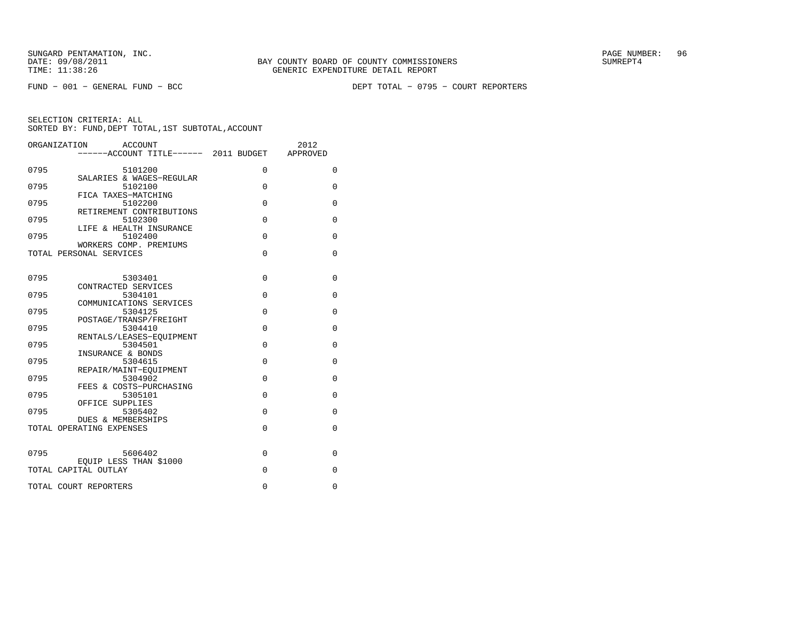FUND − 001 − GENERAL FUND − BCC DEPT TOTAL − 0795 − COURT REPORTERS

|      | ORGANIZATION<br><b>ACCOUNT</b><br>------ACCOUNT TITLE------ 2011 BUDGET |             | 2012<br>APPROVED |
|------|-------------------------------------------------------------------------|-------------|------------------|
| 0795 | 5101200<br>SALARIES & WAGES-REGULAR                                     | 0           | $\mathbf 0$      |
| 0795 | 5102100<br>FICA TAXES-MATCHING                                          | $\Omega$    | $\Omega$         |
| 0795 | 5102200<br>RETIREMENT CONTRIBUTIONS                                     | $\Omega$    | 0                |
| 0795 | 5102300<br>LIFE & HEALTH INSURANCE                                      | $\mathbf 0$ | 0                |
| 0795 | 5102400<br>WORKERS COMP. PREMIUMS                                       | $\Omega$    | 0                |
|      | TOTAL PERSONAL SERVICES                                                 | $\Omega$    | $\mathbf 0$      |
| 0795 | 5303401                                                                 | $\Omega$    | 0                |
| 0795 | CONTRACTED SERVICES<br>5304101                                          | $\mathbf 0$ | 0                |
| 0795 | COMMUNICATIONS SERVICES<br>5304125                                      | $\mathbf 0$ | $\mathbf 0$      |
| 0795 | POSTAGE/TRANSP/FREIGHT<br>5304410                                       | $\Omega$    | 0                |
| 0795 | RENTALS/LEASES-EOUIPMENT<br>5304501                                     | $\Omega$    | 0                |
| 0795 | INSURANCE & BONDS<br>5304615                                            | $\mathbf 0$ | 0                |
| 0795 | REPAIR/MAINT-EQUIPMENT<br>5304902                                       | $\Omega$    | 0                |
| 0795 | FEES & COSTS-PURCHASING<br>5305101<br>OFFICE SUPPLIES                   | $\Omega$    | 0                |
| 0795 | 5305402<br>DUES & MEMBERSHIPS                                           | $\mathbf 0$ | $\mathbf 0$      |
|      | TOTAL OPERATING EXPENSES                                                | $\Omega$    | $\Omega$         |
| 0795 | 5606402                                                                 | $\mathbf 0$ | 0                |
|      | EOUIP LESS THAN \$1000<br>TOTAL CAPITAL OUTLAY                          | 0           | 0                |
|      | TOTAL COURT REPORTERS                                                   | $\mathbf 0$ | 0                |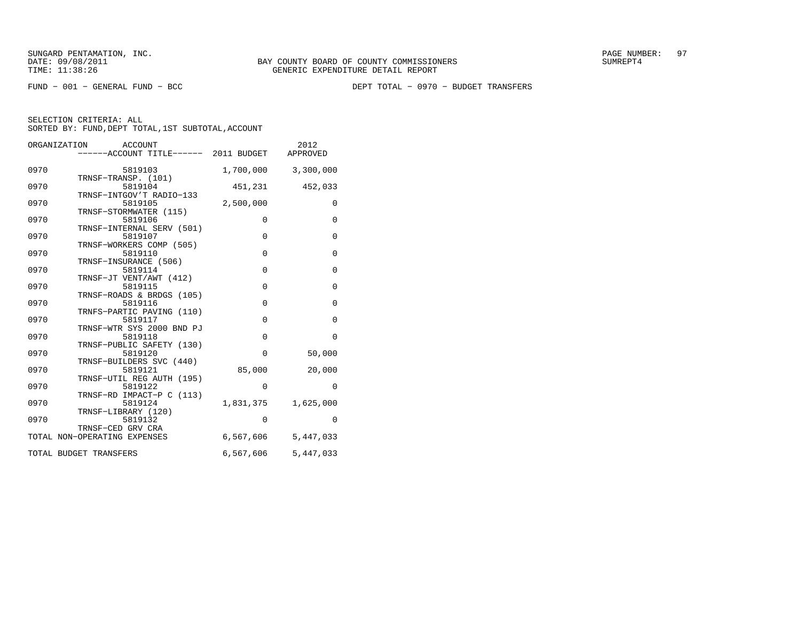FUND − 001 − GENERAL FUND − BCC DEPT TOTAL − 0970 − BUDGET TRANSFERS

|      | ORGANIZATION<br>ACCOUNT              |             | 2012                |
|------|--------------------------------------|-------------|---------------------|
|      | -----ACCOUNT TITLE------ 2011 BUDGET |             | APPROVED            |
| 0970 | 5819103                              |             | 1,700,000 3,300,000 |
| 0970 | TRNSF-TRANSP. (101)<br>5819104       | 451,231     | 452,033             |
| 0970 | TRNSF-INTGOV'T RADIO-133<br>5819105  | 2,500,000   | $\mathbf{0}$        |
| 0970 | TRNSF-STORMWATER (115)<br>5819106    | 0           | $\mathbf 0$         |
| 0970 | TRNSF-INTERNAL SERV (501)<br>5819107 | $\mathbf 0$ | $\mathbf{0}$        |
| 0970 | TRNSF-WORKERS COMP (505)<br>5819110  | $\mathbf 0$ | $\mathbf{0}$        |
| 0970 | TRNSF-INSURANCE (506)<br>5819114     | $\mathbf 0$ | $\mathbf{0}$        |
| 0970 | TRNSF-JT VENT/AWT (412)<br>5819115   | $\mathbf 0$ | $\mathbf 0$         |
| 0970 | TRNSF-ROADS & BRDGS (105)<br>5819116 | $\mathbf 0$ | $\mathbf 0$         |
| 0970 | TRNFS-PARTIC PAVING (110)<br>5819117 | $\mathbf 0$ | $\mathbf 0$         |
| 0970 | TRNSF-WTR SYS 2000 BND PJ<br>5819118 | $\mathbf 0$ | $\mathbf 0$         |
| 0970 | TRNSF-PUBLIC SAFETY (130)<br>5819120 | $\Omega$    | 50,000              |
|      | TRNSF-BUILDERS SVC (440)             |             |                     |
| 0970 | 5819121<br>TRNSF-UTIL REG AUTH (195) | 85,000      | 20,000              |
| 0970 | 5819122<br>TRNSF-RD IMPACT-P C (113) | $\mathbf 0$ | $\mathbf 0$         |
| 0970 | 5819124<br>TRNSF-LIBRARY (120)       | 1,831,375   | 1,625,000           |
| 0970 | 5819132<br>TRNSF-CED GRV CRA         | $\mathbf 0$ | $\Omega$            |
|      | TOTAL NON-OPERATING EXPENSES         | 6,567,606   | 5,447,033           |
|      | TOTAL BUDGET TRANSFERS               | 6,567,606   | 5,447,033           |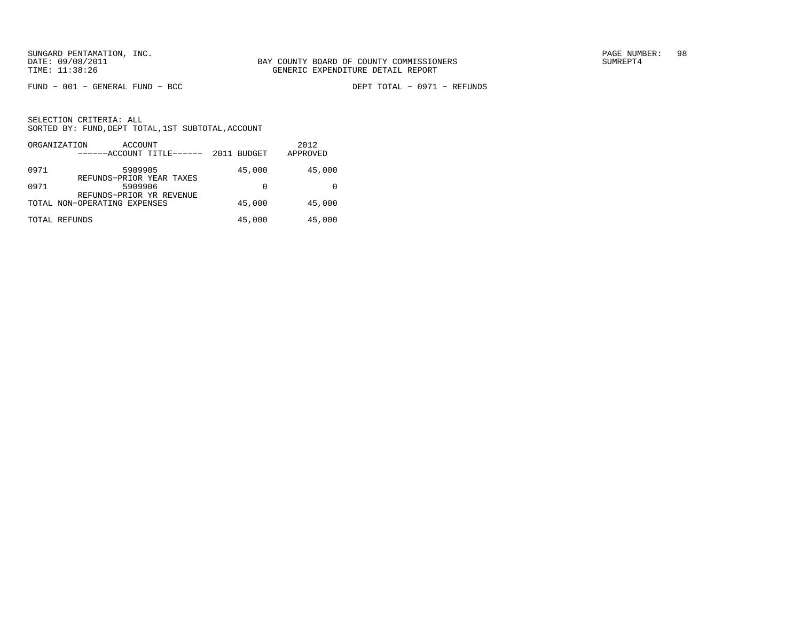$FUND - 001 - GENERAL FUND - BCC$ 

DEPT TOTAL - 0971 - REFUNDS

|      | ORGANIZATION<br>ACCOUNT<br>------ACCOUNT TITLE------     | 2011 BUDGET | 2012<br>APPROVED |
|------|----------------------------------------------------------|-------------|------------------|
| 0971 | 5909905                                                  | 45,000      | 45,000           |
| 0971 | REFUNDS-PRIOR YEAR TAXES<br>5909906                      | 0           |                  |
|      | REFUNDS-PRIOR YR REVENUE<br>TOTAL NON-OPERATING EXPENSES | 45,000      | 45,000           |
|      | TOTAL REFUNDS                                            | 45,000      | 45,000           |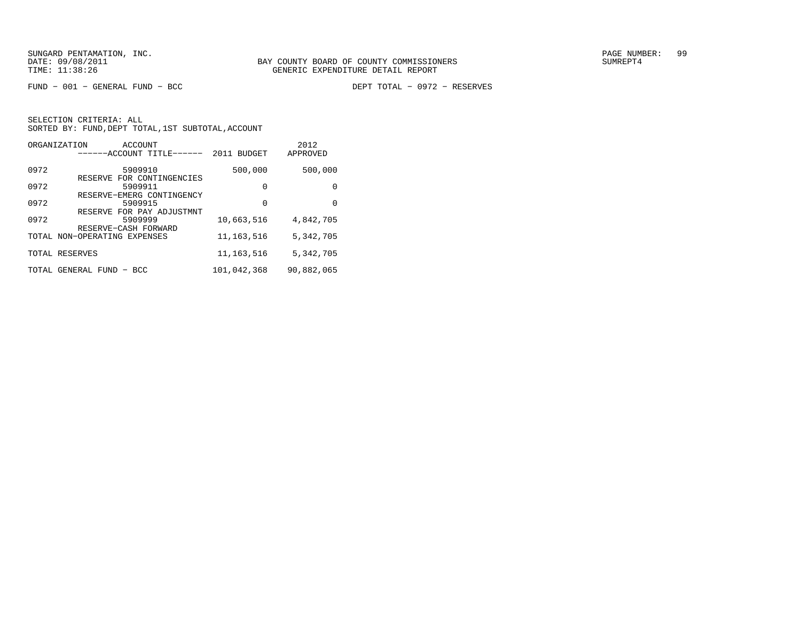$FUND - 001 - GENERAL FUND - BCC$ 

DEPT TOTAL - 0972 - RESERVES

|       | ORGANIZATION<br><b>ACCOUNT</b><br>------ACCOUNT TITLE------ | <b>BUDGET</b><br>2011 | 2012<br>APPROVED |
|-------|-------------------------------------------------------------|-----------------------|------------------|
| 0972  | 5909910                                                     | 500,000               | 500,000          |
| 0972  | RESERVE FOR CONTINGENCIES<br>5909911                        | $\Omega$              | 0                |
| 0972  | RESERVE-EMERG CONTINGENCY<br>5909915                        | $\Omega$              | 0                |
| 0972  | RESERVE FOR PAY ADJUSTMNT<br>5909999                        | 10,663,516            | 4,842,705        |
|       | RESERVE-CASH FORWARD<br>TOTAL NON-OPERATING EXPENSES        | 11, 163, 516          | 5,342,705        |
|       | TOTAL RESERVES                                              | 11, 163, 516          | 5,342,705        |
| TOTAL | GENERAL FUND<br>- BCC                                       | 101,042,368           | 90,882,065       |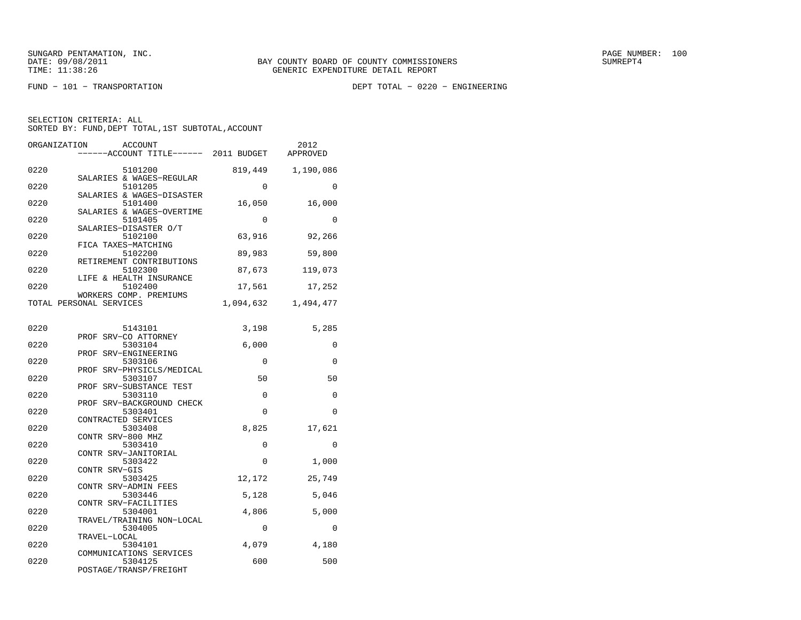FUND − 101 − TRANSPORTATION DEPT TOTAL − 0220 − ENGINEERING

| ORGANIZATION<br><b>ACCOUNT</b><br>----ACCOUNT TITLE------ 2011 BUDGET  |           | 2012<br>APPROVED |
|------------------------------------------------------------------------|-----------|------------------|
| 0220<br>5101200                                                        | 819,449   | 1,190,086        |
| SALARIES & WAGES-REGULAR<br>0220<br>5101205                            | 0         | 0                |
| SALARIES & WAGES-DISASTER<br>5101400<br>0220                           | 16,050    | 16,000           |
| SALARIES & WAGES-OVERTIME<br>0220<br>5101405                           | 0         | $\Omega$         |
| SALARIES-DISASTER O/T<br>0220<br>5102100                               | 63,916    | 92,266           |
| FICA TAXES-MATCHING<br>0220<br>5102200                                 | 89,983    | 59,800           |
| RETIREMENT CONTRIBUTIONS<br>0220<br>5102300<br>LIFE & HEALTH INSURANCE | 87,673    | 119,073          |
| 0220<br>5102400<br>WORKERS COMP. PREMIUMS                              | 17,561    | 17,252           |
| TOTAL PERSONAL SERVICES                                                | 1,094,632 | 1,494,477        |
| 0220<br>5143101                                                        | 3,198     | 5,285            |
| PROF SRV-CO ATTORNEY<br>0220<br>5303104                                | 6,000     | 0                |
| PROF SRV-ENGINEERING<br>0220<br>5303106                                | $\Omega$  | $\Omega$         |
| PROF SRV-PHYSICLS/MEDICAL<br>0220<br>5303107                           | 50        | 50               |
| PROF SRV-SUBSTANCE TEST<br>0220<br>5303110                             | 0         | 0                |
| PROF SRV-BACKGROUND CHECK<br>0220<br>5303401<br>CONTRACTED SERVICES    | $\Omega$  | $\Omega$         |
| 0220<br>5303408<br>CONTR SRV-800 MHZ                                   | 8,825     | 17,621           |
| 0220<br>5303410<br>CONTR SRV-JANITORIAL                                | $\Omega$  | $\Omega$         |
| 0220<br>5303422<br>CONTR SRV-GIS                                       | 0         | 1,000            |
| 0220<br>5303425<br>CONTR SRV-ADMIN FEES                                | 12,172    | 25,749           |
| 0220<br>5303446<br>CONTR SRV-FACILITIES                                | 5,128     | 5,046            |
| 0220<br>5304001<br>TRAVEL/TRAINING NON-LOCAL                           | 4,806     | 5,000            |
| 0220<br>5304005<br>TRAVEL-LOCAL                                        | 0         | 0                |
| 0220<br>5304101<br>COMMUNICATIONS SERVICES                             | 4,079     | 4,180            |
| 0220<br>5304125<br>POSTAGE/TRANSP/FREIGHT                              | 600       | 500              |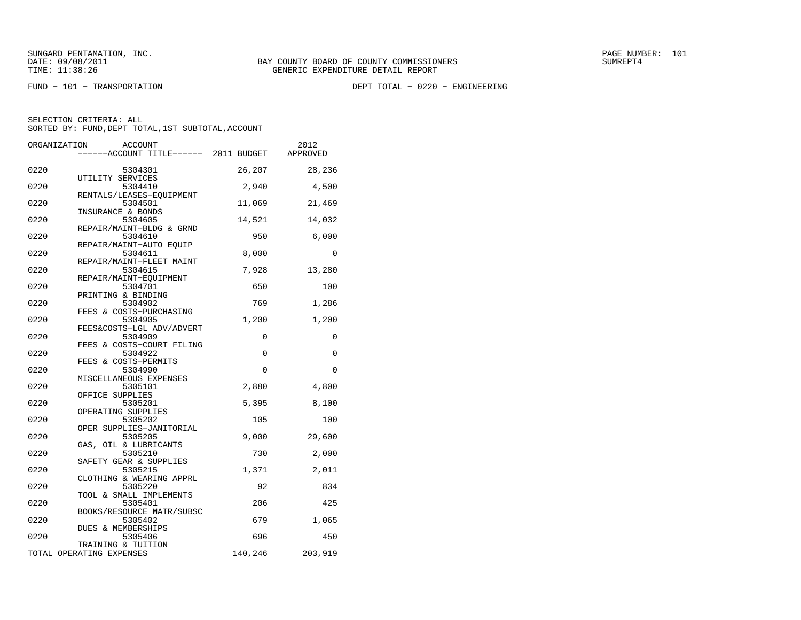FUND − 101 − TRANSPORTATION DEPT TOTAL − 0220 − ENGINEERING

|      | ORGANIZATION | <b>ACCOUNT</b><br>----ACCOUNT TITLE------ 2011 BUDGET |             | 2012<br>APPROVED |
|------|--------------|-------------------------------------------------------|-------------|------------------|
|      |              |                                                       |             |                  |
| 0220 |              | 5304301<br>UTILITY SERVICES                           | 26,207      | 28,236           |
| 0220 |              | 5304410                                               | 2,940       | 4,500            |
| 0220 |              | RENTALS/LEASES-EQUIPMENT<br>5304501                   | 11,069      | 21,469           |
| 0220 |              | INSURANCE & BONDS<br>5304605                          | 14,521      | 14,032           |
| 0220 |              | REPAIR/MAINT-BLDG & GRND<br>5304610                   | 950         | 6,000            |
| 0220 |              | REPAIR/MAINT-AUTO EOUIP<br>5304611                    | 8,000       | $\Omega$         |
| 0220 |              | REPAIR/MAINT-FLEET MAINT<br>5304615                   | 7,928       | 13,280           |
|      |              | REPAIR/MAINT-EQUIPMENT                                |             |                  |
| 0220 |              | 5304701<br>PRINTING & BINDING                         | 650         | 100              |
| 0220 |              | 5304902                                               | 769         | 1,286            |
| 0220 |              | FEES & COSTS-PURCHASING<br>5304905                    | 1,200       | 1,200            |
|      |              | FEES&COSTS-LGL ADV/ADVERT                             |             |                  |
| 0220 |              | 5304909<br>FEES & COSTS-COURT FILING                  | $\mathbf 0$ | 0                |
| 0220 |              | 5304922<br>FEES & COSTS-PERMITS                       | $\mathbf 0$ | 0                |
| 0220 |              | 5304990                                               | $\Omega$    | $\Omega$         |
| 0220 |              | MISCELLANEOUS EXPENSES<br>5305101                     | 2,880       | 4,800            |
|      |              | OFFICE SUPPLIES                                       |             |                  |
| 0220 |              | 5305201                                               | 5,395       | 8,100            |
| 0220 |              | OPERATING SUPPLIES<br>5305202                         | 105         | 100              |
|      |              | OPER SUPPLIES-JANITORIAL                              |             |                  |
| 0220 |              | 5305205<br>GAS, OIL & LUBRICANTS                      | 9,000       | 29,600           |
| 0220 |              | 5305210<br>SAFETY GEAR & SUPPLIES                     | 730         | 2,000            |
| 0220 |              | 5305215                                               | 1,371       | 2,011            |
| 0220 |              | CLOTHING & WEARING APPRL<br>5305220                   | 92          | 834              |
| 0220 |              | TOOL & SMALL IMPLEMENTS<br>5305401                    | 206         | 425              |
| 0220 |              | BOOKS/RESOURCE MATR/SUBSC<br>5305402                  | 679         | 1,065            |
|      |              | DUES & MEMBERSHIPS                                    |             |                  |
| 0220 |              | 5305406<br>TRAINING & TUITION                         | 696         | 450              |
|      |              | TOTAL OPERATING EXPENSES                              | 140,246     | 203,919          |
|      |              |                                                       |             |                  |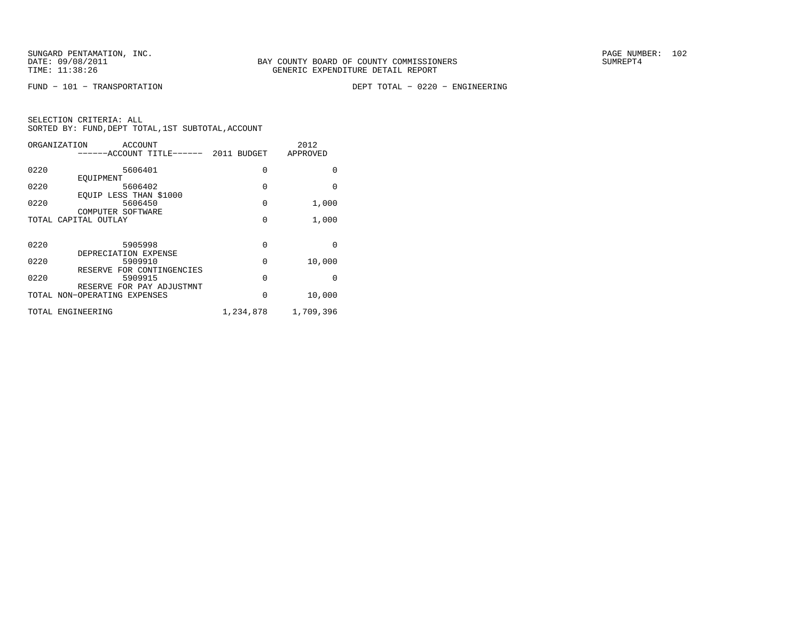FUND − 101 − TRANSPORTATION DEPT TOTAL − 0220 − ENGINEERING

| ORGANIZATION         | ACCOUNT<br>-----ACCOUNT TITLE------ 2011 BUDGET           |           | 2012<br>APPROVED |
|----------------------|-----------------------------------------------------------|-----------|------------------|
| 0220                 | 5606401                                                   | $\Omega$  | 0                |
| 0220                 | EOUIPMENT<br>5606402                                      | $\Omega$  | $\Omega$         |
| 0220                 | EQUIP LESS THAN \$1000<br>5606450                         | $\Omega$  | 1,000            |
| TOTAL CAPITAL OUTLAY | COMPUTER SOFTWARE                                         | $\Omega$  | 1,000            |
|                      |                                                           |           |                  |
| 0220                 | 5905998<br>DEPRECIATION EXPENSE                           | 0         | $\Omega$         |
| 0220                 | 5909910                                                   | 0         | 10,000           |
| 0220                 | RESERVE FOR CONTINGENCIES<br>5909915                      | $\Omega$  | $\Omega$         |
|                      | RESERVE FOR PAY ADJUSTMNT<br>TOTAL NON-OPERATING EXPENSES | 0         | 10,000           |
| TOTAL ENGINEERING    |                                                           | 1,234,878 | 1,709,396        |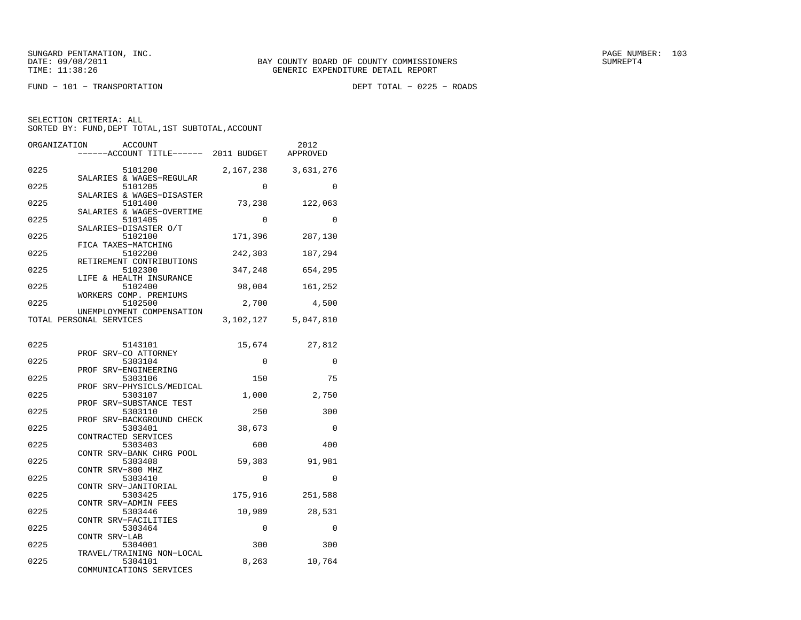FUND − 101 − TRANSPORTATION DEPT TOTAL − 0225 − ROADS

| ORGANIZATION | <b>ACCOUNT</b><br>-----ACCOUNT TITLE------ 2011 BUDGET          |                    | 2012<br>APPROVED |
|--------------|-----------------------------------------------------------------|--------------------|------------------|
| 0225         | 5101200<br>SALARIES & WAGES-REGULAR                             | 2,167,238          | 3,631,276        |
| 0225         | 5101205<br>SALARIES & WAGES-DISASTER                            | $\Omega$           | $\Omega$         |
| 0225         | 5101400<br>SALARIES & WAGES-OVERTIME                            | 73,238             | 122,063          |
| 0225         | 5101405<br>SALARIES-DISASTER O/T                                | $\Omega$           | $\Omega$         |
| 0225         | 5102100<br>FICA TAXES-MATCHING                                  | 171,396            | 287,130          |
| 0225         | 5102200<br>RETIREMENT CONTRIBUTIONS                             | 242,303            | 187,294          |
| 0225         | 5102300<br>LIFE & HEALTH INSURANCE                              | 347,248            | 654,295          |
| 0225         | 5102400<br>WORKERS COMP. PREMIUMS                               | 98,004             | 161,252          |
| 0225         | 5102500<br>UNEMPLOYMENT COMPENSATION                            | 2,700              | 4,500            |
|              | TOTAL PERSONAL SERVICES                                         | 3,102,127          | 5,047,810        |
| 0225         | 5143101                                                         | 15,674             | 27,812           |
| 0225         | PROF SRV-CO ATTORNEY<br>5303104                                 | 0                  | 0                |
|              | PROF SRV-ENGINEERING                                            |                    |                  |
| 0225         | 5303106<br>PROF SRV-PHYSICLS/MEDICAL                            | 150                | 75               |
| 0225         | 5303107                                                         | $1\, , \, 0\,0\,0$ | 2,750            |
| 0225         | PROF SRV-SUBSTANCE TEST<br>5303110                              | 250                | 300              |
| 0225         | PROF SRV-BACKGROUND CHECK<br>5303401                            | 38,673             | $\Omega$         |
| 0225         | CONTRACTED SERVICES<br>5303403                                  | 600                | 400              |
| 0225         | CONTR SRV-BANK CHRG POOL<br>5303408                             | 59,383             | 91,981           |
| 0225         | CONTR SRV-800 MHZ<br>5303410                                    | $\Omega$           | $\Omega$         |
| 0225         | CONTR SRV-JANITORIAL<br>5303425                                 | 175,916            | 251,588          |
| 0225         | CONTR SRV-ADMIN FEES<br>5303446                                 | 10,989             | 28,531           |
| 0225         | CONTR SRV-FACILITIES<br>5303464                                 | 0                  | 0                |
| 0225         | CONTR SRV-LAB<br>5304001                                        | 300                | 300              |
| 0225         | TRAVEL/TRAINING NON-LOCAL<br>5304101<br>COMMUNICATIONS SERVICES | 8,263              | 10,764           |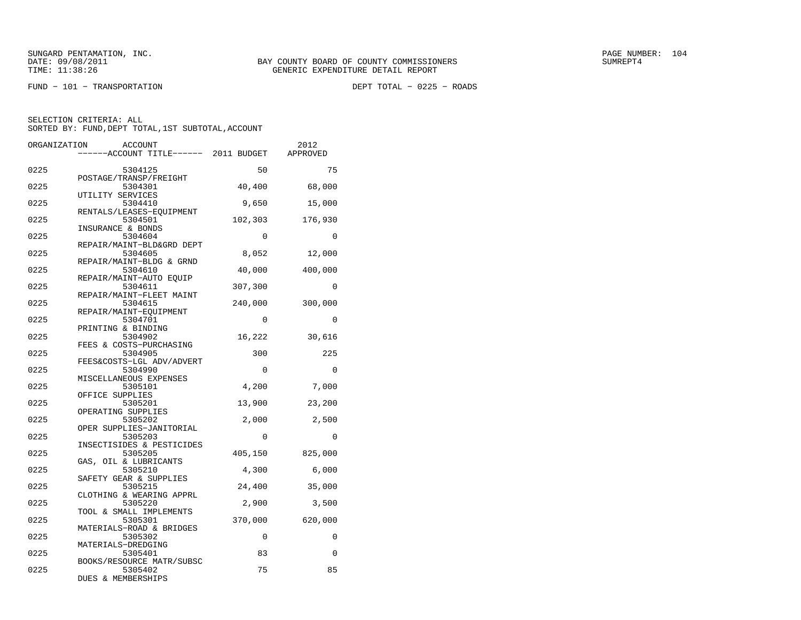$FUND - 101 - TRANSPORTATION$ 

DEPT TOTAL - 0225 - ROADS

| ORGANIZATION | ACCOUNT                                                  |          | 2012     |
|--------------|----------------------------------------------------------|----------|----------|
|              | ----ACCOUNT TITLE------ 2011 BUDGET                      |          | APPROVED |
| 0225         | 5304125                                                  | 50       | 75       |
|              | POSTAGE/TRANSP/FREIGHT                                   |          |          |
| 0225         | 5304301<br>UTILITY SERVICES                              | 40,400   | 68,000   |
| 0225         | 5304410                                                  | 9,650    | 15,000   |
| 0225         | RENTALS/LEASES-EOUIPMENT<br>5304501<br>INSURANCE & BONDS | 102,303  | 176,930  |
| 0225         | 5304604                                                  | $\Omega$ | $\Omega$ |
| 0225         | REPAIR/MAINT-BLD&GRD DEPT<br>5304605                     | 8,052    | 12,000   |
| 0225         | REPAIR/MAINT-BLDG & GRND<br>5304610                      | 40,000   | 400,000  |
| 0225         | REPAIR/MAINT-AUTO EOUIP<br>5304611                       | 307,300  | $\Omega$ |
| 0225         | REPAIR/MAINT-FLEET MAINT<br>5304615                      | 240,000  | 300,000  |
|              | REPAIR/MAINT-EQUIPMENT                                   |          |          |
| 0225         | 5304701<br>PRINTING & BINDING                            | $\Omega$ | 0        |
| 0225         | 5304902<br>FEES & COSTS-PURCHASING                       | 16,222   | 30,616   |
| 0225         | 5304905<br>FEES&COSTS-LGL ADV/ADVERT                     | 300      | 225      |
| 0225         | 5304990                                                  | 0        | 0        |
| 0225         | MISCELLANEOUS EXPENSES<br>5305101                        | 4,200    | 7,000    |
| 0225         | OFFICE SUPPLIES<br>5305201                               | 13,900   | 23,200   |
| 0225         | OPERATING SUPPLIES<br>5305202                            | 2,000    | 2,500    |
| 0225         | OPER SUPPLIES-JANITORIAL<br>5305203                      | $\Omega$ | $\Omega$ |
|              | INSECTISIDES & PESTICIDES                                |          |          |
| 0225         | 5305205<br>GAS, OIL & LUBRICANTS                         | 405,150  | 825,000  |
| 0225         | 5305210<br>SAFETY GEAR & SUPPLIES                        | 4,300    | 6,000    |
| 0225         | 5305215                                                  | 24,400   | 35,000   |
| 0225         | CLOTHING & WEARING APPRL<br>5305220                      | 2,900    | 3,500    |
| 0225         | TOOL & SMALL IMPLEMENTS<br>5305301                       | 370,000  | 620,000  |
| 0225         | MATERIALS-ROAD & BRIDGES<br>5305302                      | 0        | 0        |
| 0225         | MATERIALS-DREDGING<br>5305401                            | 83       | 0        |
|              | BOOKS/RESOURCE MATR/SUBSC                                |          |          |
| 0225         | 5305402<br>DUES & MEMBERSHIPS                            | 75       | 85       |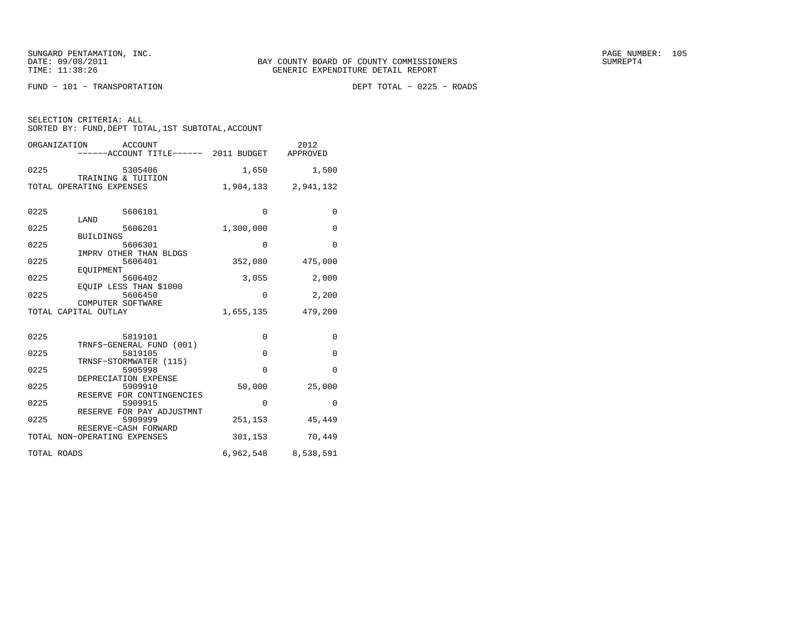$FUND - 101 - TRANSPORTATION$ 

DEPT TOTAL - 0225 - ROADS

| SELECTION CRITERIA: ALL |  |                                                    |  |
|-------------------------|--|----------------------------------------------------|--|
|                         |  | SORTED BY: FUND, DEPT TOTAL, 1ST SUBTOTAL, ACCOUNT |  |

|             | ORGANIZATION<br>ACCOUNT<br>------ACCOUNT TITLE------ 2011 BUDGET APPROVED |             | 2012                |
|-------------|---------------------------------------------------------------------------|-------------|---------------------|
| 0225        | 5305406<br>TRAINING & TUITION                                             | 1,650       | 1,500               |
|             | TOTAL OPERATING EXPENSES                                                  |             | 1,904,133 2,941,132 |
| 0225        | 5606101<br>LAND                                                           | $\Omega$    | $\Omega$            |
| 0225        | 5606201                                                                   | 1,300,000   | $\mathbf{0}$        |
| 0225        | <b>BUILDINGS</b><br>5606301                                               | $\Omega$    | $\Omega$            |
| 0225        | IMPRV OTHER THAN BLDGS<br>5606401                                         | 352,080     | 475,000             |
| 0225        | EOUIPMENT<br>5606402                                                      | 3,055       | 2,000               |
| 0225        | EQUIP LESS THAN \$1000<br>5606450                                         | $\Omega$    | 2,200               |
|             | COMPUTER SOFTWARE<br>TOTAL CAPITAL OUTLAY                                 | 1,655,135   | 479,200             |
| 0225        | 5819101<br>TRNFS-GENERAL FUND (001)                                       | 0           | 0                   |
| 0225        | 5819105                                                                   | $\Omega$    | $\mathbf 0$         |
| 0225        | TRNSF-STORMWATER (115)<br>5905998                                         | $\Omega$    | $\mathbf 0$         |
| 0225        | DEPRECIATION EXPENSE<br>5909910                                           | 50,000      | 25,000              |
| 0225        | RESERVE FOR CONTINGENCIES<br>5909915                                      | $\mathbf 0$ | $\mathbf{0}$        |
| 0225        | RESERVE FOR PAY ADJUSTMNT<br>5909999                                      | 251,153     | 45,449              |
|             | RESERVE-CASH FORWARD<br>TOTAL NON-OPERATING EXPENSES                      | 301,153     | 70,449              |
| TOTAL ROADS |                                                                           |             | 6,962,548 8,538,591 |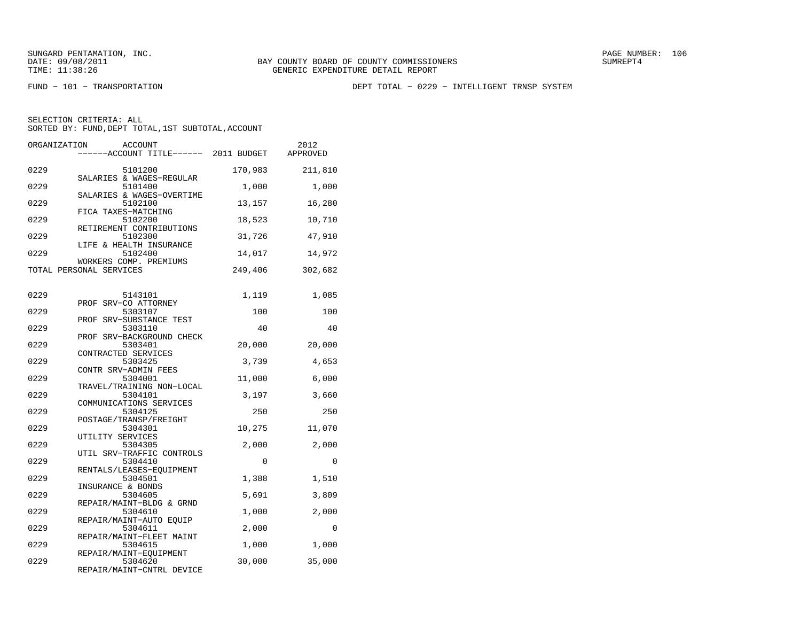FUND − 101 − TRANSPORTATION DEPT TOTAL − 0229 − INTELLIGENT TRNSP SYSTEM

| ORGANIZATION | <b>ACCOUNT</b><br>-----ACCOUNT TITLE------ 2011 BUDGET           |         | 2012<br>APPROVED |
|--------------|------------------------------------------------------------------|---------|------------------|
| 0229         | 5101200                                                          | 170,983 | 211,810          |
| 0229         | SALARIES & WAGES-REGULAR<br>5101400<br>SALARIES & WAGES-OVERTIME | 1,000   | 1,000            |
| 0229         | 5102100<br>FICA TAXES-MATCHING                                   | 13,157  | 16,280           |
| 0229         | 5102200<br>RETIREMENT CONTRIBUTIONS                              | 18,523  | 10,710           |
| 0229         | 5102300<br>LIFE & HEALTH INSURANCE                               | 31,726  | 47,910           |
| 0229         | 5102400<br>WORKERS COMP. PREMIUMS                                | 14,017  | 14,972           |
|              | TOTAL PERSONAL SERVICES                                          | 249,406 | 302,682          |
| 0229         | 5143101                                                          | 1,119   | 1,085            |
| 0229         | PROF SRV-CO ATTORNEY<br>5303107                                  | 100     | 100              |
| 0229         | PROF SRV-SUBSTANCE TEST<br>5303110                               | 40      | 40               |
| 0229         | PROF SRV-BACKGROUND CHECK<br>5303401                             | 20,000  | 20,000           |
| 0229         | CONTRACTED SERVICES<br>5303425<br>CONTR SRV-ADMIN FEES           | 3,739   | 4,653            |
| 0229         | 5304001<br>TRAVEL/TRAINING NON-LOCAL                             | 11,000  | 6,000            |
| 0229         | 5304101<br>COMMUNICATIONS SERVICES                               | 3,197   | 3,660            |
| 0229         | 5304125<br>POSTAGE/TRANSP/FREIGHT                                | 250     | 250              |
| 0229         | 5304301<br>UTILITY SERVICES                                      | 10,275  | 11,070           |
| 0229         | 5304305<br>UTIL SRV-TRAFFIC CONTROLS                             | 2,000   | 2,000            |
| 0229         | 5304410<br>RENTALS/LEASES-EQUIPMENT                              | 0       | $\Omega$         |
| 0229         | 5304501<br>INSURANCE & BONDS                                     | 1,388   | 1,510            |
| 0229         | 5304605<br>REPAIR/MAINT-BLDG & GRND                              | 5,691   | 3,809            |
| 0229         | 5304610<br>REPAIR/MAINT-AUTO EQUIP                               | 1,000   | 2,000            |
| 0229         | 5304611<br>REPAIR/MAINT-FLEET MAINT                              | 2,000   | 0                |
| 0229         | 5304615<br>REPAIR/MAINT-EQUIPMENT                                | 1,000   | 1,000            |
| 0229         | 5304620<br>REPAIR/MAINT-CNTRL DEVICE                             | 30,000  | 35,000           |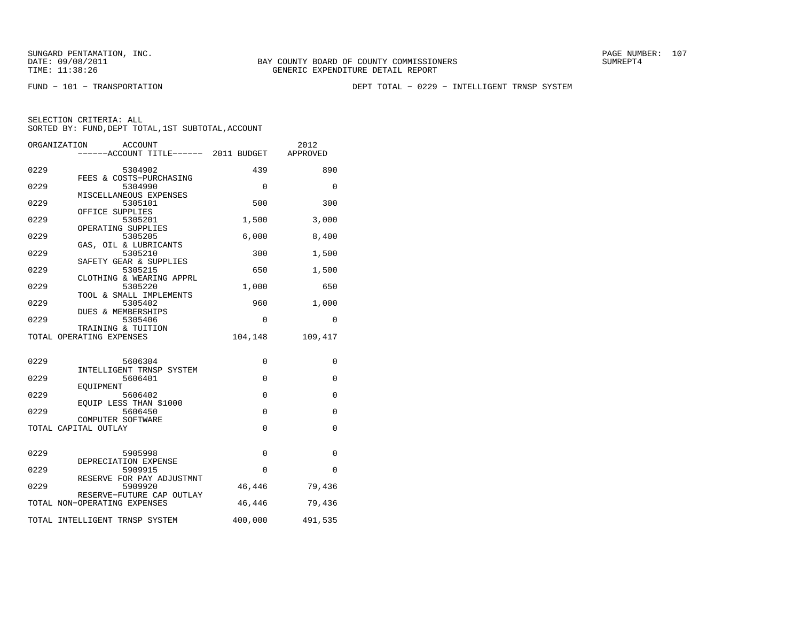FUND − 101 − TRANSPORTATION DEPT TOTAL − 0229 − INTELLIGENT TRNSP SYSTEM

| ORGANIZATION<br>ACCOUNT<br>------ACCOUNT TITLE------ 2011 BUDGET |          | 2012<br>APPROVED |
|------------------------------------------------------------------|----------|------------------|
| 0229<br>5304902                                                  | 439      | 890              |
| FEES & COSTS-PURCHASING<br>0229<br>5304990                       | 0        | 0                |
| MISCELLANEOUS EXPENSES<br>0229<br>5305101                        | 500      | 300              |
| OFFICE SUPPLIES<br>0229<br>5305201                               | 1,500    | 3,000            |
| OPERATING SUPPLIES<br>0229<br>5305205                            | 6,000    | 8,400            |
| GAS, OIL & LUBRICANTS<br>0229<br>5305210                         | 300      | 1,500            |
| SAFETY GEAR & SUPPLIES<br>0229<br>5305215                        | 650      | 1,500            |
| CLOTHING & WEARING APPRL<br>0229<br>5305220                      | 1,000    | 650              |
| TOOL & SMALL IMPLEMENTS<br>0229<br>5305402                       | 960      | 1,000            |
| DUES & MEMBERSHIPS<br>0229<br>5305406                            | 0        | 0                |
| TRAINING & TUITION<br>TOTAL OPERATING EXPENSES                   | 104,148  | 109,417          |
| 0229<br>5606304                                                  | 0        | 0                |
| INTELLIGENT TRNSP SYSTEM                                         |          |                  |
| 0229<br>5606401<br>EOUIPMENT                                     | $\Omega$ | $\Omega$         |
| 0229<br>5606402<br>EQUIP LESS THAN \$1000                        | 0        | 0                |
| 0229<br>5606450                                                  | 0        | 0                |
| COMPUTER SOFTWARE<br>TOTAL CAPITAL OUTLAY                        | 0        | 0                |
|                                                                  |          |                  |
| 0229<br>5905998<br>DEPRECIATION EXPENSE                          | 0        | 0                |
| 0229<br>5909915<br>RESERVE FOR PAY ADJUSTMNT                     | 0        | 0                |
| 0229<br>5909920                                                  | 46,446   | 79,436           |
| RESERVE-FUTURE CAP OUTLAY<br>TOTAL NON-OPERATING EXPENSES        | 46,446   | 79,436           |
| TOTAL INTELLIGENT TRNSP SYSTEM                                   | 400,000  | 491,535          |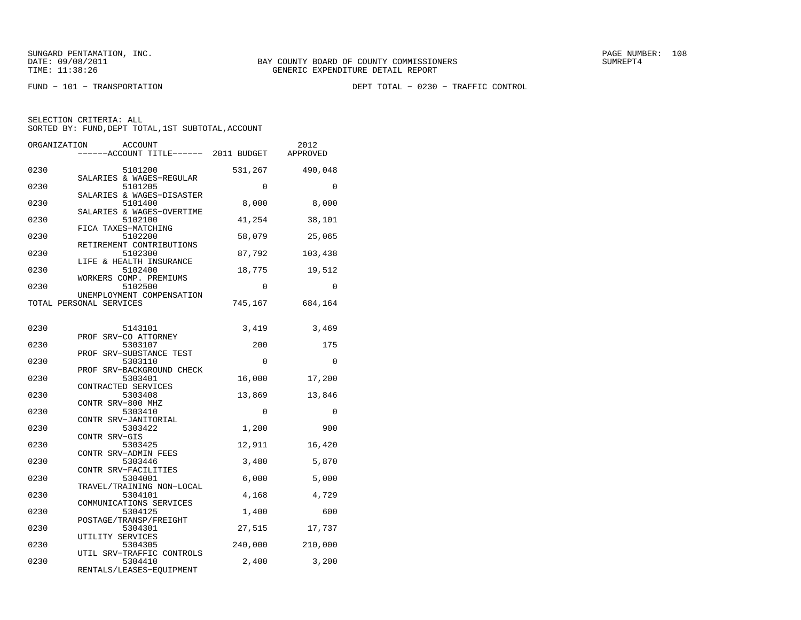FUND − 101 − TRANSPORTATION DEPT TOTAL − 0230 − TRAFFIC CONTROL

| ORGANIZATION | <b>ACCOUNT</b><br>----ACCOUNT TITLE------ 2011 BUDGET       |             | 2012<br>APPROVED |
|--------------|-------------------------------------------------------------|-------------|------------------|
| 0230         | 5101200                                                     | 531,267     | 490,048          |
| 0230         | SALARIES & WAGES-REGULAR<br>5101205                         | 0           | $\Omega$         |
| 0230         | SALARIES & WAGES-DISASTER<br>5101400                        | 8,000       | 8,000            |
| 0230         | SALARIES & WAGES-OVERTIME<br>5102100<br>FICA TAXES-MATCHING | 41,254      | 38,101           |
| 0230         | 5102200<br>RETIREMENT CONTRIBUTIONS                         | 58,079      | 25,065           |
| 0230         | 5102300<br>LIFE & HEALTH INSURANCE                          | 87,792      | 103,438          |
| 0230         | 5102400<br>WORKERS COMP. PREMIUMS                           | 18,775      | 19,512           |
| 0230         | 5102500<br>UNEMPLOYMENT COMPENSATION                        | $\Omega$    | $\Omega$         |
|              | TOTAL PERSONAL SERVICES                                     | 745,167     | 684,164          |
| 0230         | 5143101                                                     | 3,419       | 3,469            |
| 0230         | PROF SRV-CO ATTORNEY<br>5303107                             | 200         | 175              |
| 0230         | PROF SRV-SUBSTANCE TEST<br>5303110                          | $\mathbf 0$ | $\mathbf 0$      |
| 0230         | PROF SRV-BACKGROUND CHECK<br>5303401<br>CONTRACTED SERVICES | 16,000      | 17,200           |
| 0230         | 5303408<br>CONTR SRV-800 MHZ                                | 13,869      | 13,846           |
| 0230         | 5303410<br>CONTR SRV-JANITORIAL                             | $\mathbf 0$ | 0                |
| 0230         | 5303422<br>CONTR SRV-GIS                                    | 1,200       | 900              |
| 0230         | 5303425<br>CONTR SRV-ADMIN FEES                             | 12,911      | 16,420           |
| 0230         | 5303446<br>CONTR SRV-FACILITIES                             | 3,480       | 5,870            |
| 0230         | 5304001<br>TRAVEL/TRAINING NON-LOCAL                        | 6,000       | 5,000            |
| 0230         | 5304101<br>COMMUNICATIONS SERVICES                          | 4,168       | 4,729            |
| 0230         | 5304125<br>POSTAGE/TRANSP/FREIGHT                           | 1,400       | 600              |
| 0230         | 5304301<br>UTILITY SERVICES                                 | 27,515      | 17,737           |
| 0230         | 5304305<br>UTIL SRV-TRAFFIC CONTROLS                        | 240,000     | 210,000          |
| 0230         | 5304410<br>RENTALS/LEASES-EQUIPMENT                         | 2,400       | 3,200            |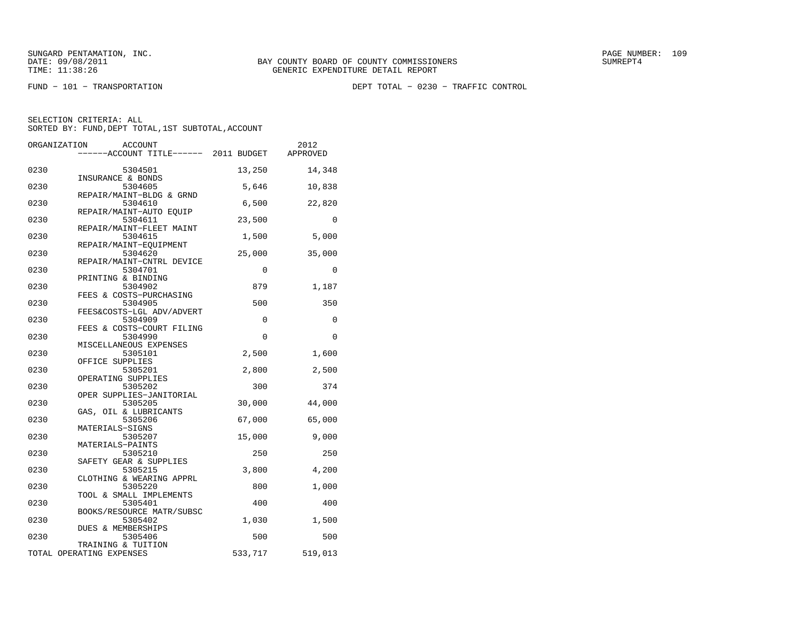FUND − 101 − TRANSPORTATION DEPT TOTAL − 0230 − TRAFFIC CONTROL

|      | ORGANIZATION<br>ACCOUNT<br>----ACCOUNT TITLE------ 2011 BUDGET |          | 2012<br>APPROVED |
|------|----------------------------------------------------------------|----------|------------------|
| 0230 | 5304501                                                        | 13,250   | 14,348           |
| 0230 | INSURANCE & BONDS<br>5304605                                   | 5,646    | 10,838           |
| 0230 | REPAIR/MAINT-BLDG & GRND<br>5304610                            | 6,500    | 22,820           |
| 0230 | REPAIR/MAINT-AUTO EQUIP<br>5304611                             | 23,500   | 0                |
| 0230 | REPAIR/MAINT-FLEET MAINT<br>5304615                            | 1,500    | 5,000            |
| 0230 | REPAIR/MAINT-EQUIPMENT<br>5304620                              | 25,000   | 35,000           |
| 0230 | REPAIR/MAINT-CNTRL DEVICE<br>5304701                           | $\Omega$ | $\Omega$         |
| 0230 | PRINTING & BINDING<br>5304902                                  | 879      | 1,187            |
| 0230 | FEES & COSTS-PURCHASING<br>5304905                             | 500      | 350              |
| 0230 | FEES&COSTS-LGL ADV/ADVERT<br>5304909                           | 0        | 0                |
| 0230 | FEES & COSTS-COURT FILING<br>5304990                           | 0        | 0                |
| 0230 | MISCELLANEOUS EXPENSES<br>5305101<br>OFFICE SUPPLIES           | 2,500    | 1,600            |
| 0230 | 5305201<br>OPERATING SUPPLIES                                  | 2,800    | 2,500            |
| 0230 | 5305202<br>OPER SUPPLIES-JANITORIAL                            | 300      | 374              |
| 0230 | 5305205<br>GAS, OIL & LUBRICANTS                               | 30,000   | 44,000           |
| 0230 | 5305206<br>MATERIALS-SIGNS                                     | 67,000   | 65,000           |
| 0230 | 5305207<br>MATERIALS-PAINTS                                    | 15,000   | 9,000            |
| 0230 | 5305210<br>SAFETY GEAR & SUPPLIES                              | 250      | 250              |
| 0230 | 5305215<br>CLOTHING & WEARING APPRL                            | 3,800    | 4,200            |
| 0230 | 5305220<br>TOOL & SMALL IMPLEMENTS                             | 800      | 1,000            |
| 0230 | 5305401<br>BOOKS/RESOURCE MATR/SUBSC                           | 400      | 400              |
| 0230 | 5305402<br>DUES & MEMBERSHIPS                                  | 1,030    | 1,500            |
| 0230 | 5305406<br>TRAINING & TUITION                                  | 500      | 500              |
|      | TOTAL OPERATING EXPENSES                                       | 533,717  | 519,013          |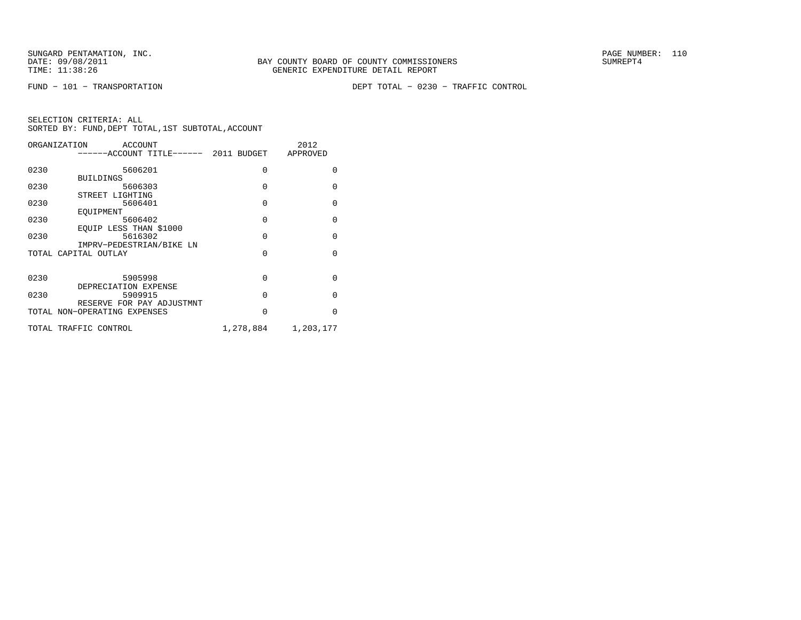FUND − 101 − TRANSPORTATION DEPT TOTAL − 0230 − TRAFFIC CONTROL

| ORGANIZATION<br>ACCOUNT |                                      |           | 2012         |
|-------------------------|--------------------------------------|-----------|--------------|
|                         | -----ACCOUNT TITLE------ 2011 BUDGET |           | APPROVED     |
| 0230                    | 5606201                              | $\Omega$  | <sup>0</sup> |
|                         | <b>BUILDINGS</b>                     |           |              |
| 0230                    | 5606303                              | 0         | $\Omega$     |
|                         | STREET LIGHTING                      |           |              |
| 0230                    | 5606401                              | $\Omega$  | $\Omega$     |
|                         | EOUIPMENT                            |           |              |
| 0230                    | 5606402                              | $\Omega$  | $\Omega$     |
|                         | EOUIP LESS THAN \$1000               |           |              |
| 0230                    | 5616302                              | $\Omega$  | $\Omega$     |
|                         | IMPRV-PEDESTRIAN/BIKE LN             |           |              |
|                         | TOTAL CAPITAL OUTLAY                 | $\Omega$  | $\Omega$     |
|                         |                                      |           |              |
| 0230                    | 5905998                              | $\Omega$  | $\Omega$     |
|                         | DEPRECIATION EXPENSE                 |           |              |
| 0230                    | 5909915                              | $\Omega$  | $\Omega$     |
|                         | RESERVE FOR PAY ADJUSTMNT            |           |              |
|                         | TOTAL NON-OPERATING EXPENSES         | $\Omega$  | $\Omega$     |
|                         |                                      |           |              |
|                         | TOTAL TRAFFIC CONTROL                | 1,278,884 | 1,203,177    |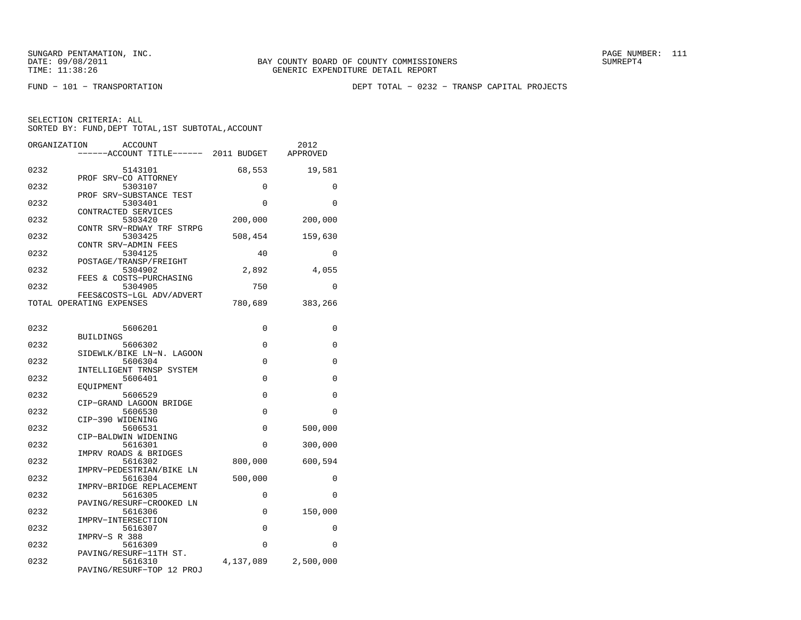FUND − 101 − TRANSPORTATION DEPT TOTAL − 0232 − TRANSP CAPITAL PROJECTS

| ORGANIZATION                 | <b>ACCOUNT</b><br>-----ACCOUNT TITLE------ 2011 BUDGET           |             | 2012<br>APPROVED |
|------------------------------|------------------------------------------------------------------|-------------|------------------|
| 0232                         | 5143101                                                          | 68,553      | 19,581           |
| PROF SRV-CO ATTORNEY<br>0232 | 5303107                                                          | 0           | 0                |
| 0232                         | PROF SRV-SUBSTANCE TEST<br>5303401                               | $\Omega$    | $\Omega$         |
| CONTRACTED SERVICES<br>0232  | 5303420                                                          | 200,000     | 200,000          |
| 0232                         | CONTR SRV-RDWAY TRF STRPG<br>5303425                             | 508,454     | 159,630          |
| CONTR SRV-ADMIN FEES<br>0232 | 5304125                                                          | 40          | $\Omega$         |
| 0232                         | POSTAGE/TRANSP/FREIGHT<br>5304902<br>FEES & COSTS-PURCHASING     | 2,892       | 4,055            |
| 0232                         | 5304905<br>FEES&COSTS-LGL ADV/ADVERT                             | 750         | 0                |
| TOTAL OPERATING EXPENSES     |                                                                  | 780,689     | 383,266          |
| 0232                         | 5606201                                                          | 0           | 0                |
| <b>BUILDINGS</b>             |                                                                  |             |                  |
| 0232                         | 5606302                                                          | $\Omega$    | 0                |
| 0232                         | SIDEWLK/BIKE LN-N. LAGOON<br>5606304<br>INTELLIGENT TRNSP SYSTEM | $\Omega$    | $\Omega$         |
| 0232                         | 5606401                                                          | $\mathbf 0$ | 0                |
| EOUIPMENT                    |                                                                  |             |                  |
| 0232                         | 5606529<br>CIP-GRAND LAGOON BRIDGE                               | $\Omega$    | 0                |
| 0232<br>CIP-390 WIDENING     | 5606530                                                          | 0           | 0                |
| 0232                         | 5606531                                                          | 0           | 500,000          |
| CIP-BALDWIN WIDENING<br>0232 | 5616301                                                          | $\Omega$    | 300,000          |
| 0232                         | IMPRV ROADS & BRIDGES<br>5616302                                 | 800,000     | 600,594          |
| 0232                         | IMPRV-PEDESTRIAN/BIKE LN<br>5616304<br>IMPRV-BRIDGE REPLACEMENT  | 500,000     | 0                |
| 0232                         | 5616305<br>PAVING/RESURF-CROOKED LN                              | $\Omega$    | O                |
| 0232                         | 5616306                                                          | 0           | 150,000          |
| IMPRV-INTERSECTION<br>0232   | 5616307                                                          | $\mathbf 0$ | 0                |
| IMPRV-S R 388<br>0232        | 5616309                                                          | $\Omega$    | 0                |
| 0232                         | PAVING/RESURF-11TH ST.<br>5616310<br>PAVING/RESURF-TOP 12 PROJ   | 4,137,089   | 2,500,000        |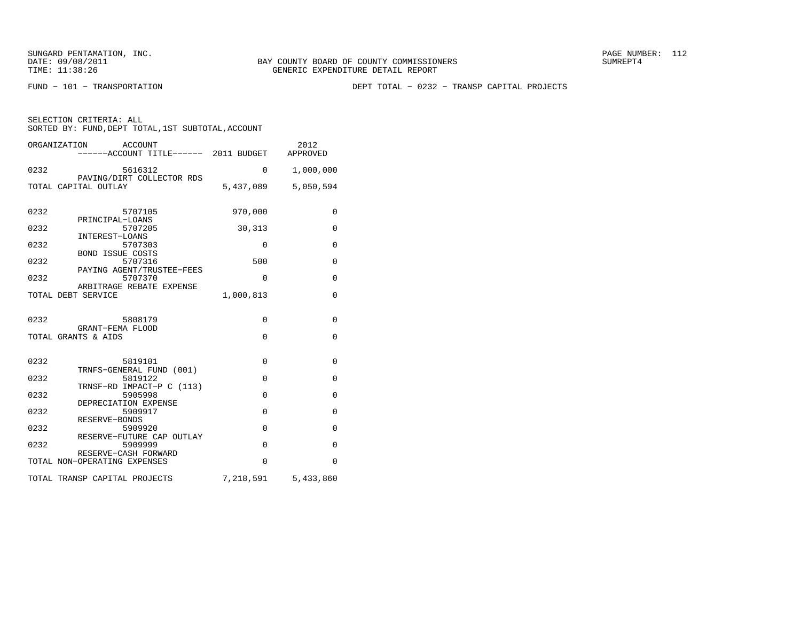FUND − 101 − TRANSPORTATION DEPT TOTAL − 0232 − TRANSP CAPITAL PROJECTS

| SELECTION CRITERIA: ALL |  |  |                                                    |  |
|-------------------------|--|--|----------------------------------------------------|--|
|                         |  |  | SORTED BY: FUND, DEPT TOTAL, 1ST SUBTOTAL, ACCOUNT |  |

|      | ORGANIZATION<br>ACCOUNT<br>------ACCOUNT TITLE------ 2011 BUDGET |             | 2012<br>APPROVED |
|------|------------------------------------------------------------------|-------------|------------------|
| 0232 | 5616312<br>PAVING/DIRT COLLECTOR RDS                             | $\Omega$    | 1,000,000        |
|      | TOTAL CAPITAL OUTLAY                                             | 5,437,089   | 5,050,594        |
| 0232 | 5707105<br>PRINCIPAL-LOANS                                       | 970,000     | 0                |
| 0232 | 5707205<br>INTEREST-LOANS                                        | 30,313      | $\mathbf{0}$     |
| 0232 | 5707303                                                          | 0           | $\mathbf{0}$     |
| 0232 | <b>BOND ISSUE COSTS</b><br>5707316                               | 500         | $\mathbf{0}$     |
| 0232 | PAYING AGENT/TRUSTEE-FEES<br>5707370                             | $\Omega$    | $\mathbf{0}$     |
|      | ARBITRAGE REBATE EXPENSE<br>TOTAL DEBT SERVICE                   | 1,000,813   | $\mathbf 0$      |
| 0232 | 5808179<br>GRANT-FEMA FLOOD                                      | 0           | $\Omega$         |
|      | TOTAL GRANTS & AIDS                                              | $\Omega$    | $\mathbf 0$      |
| 0232 | 5819101<br>TRNFS-GENERAL FUND (001)                              | 0           | $\mathbf{0}$     |
| 0232 | 5819122                                                          | $\mathbf 0$ | $\mathbf{0}$     |
| 0232 | TRNSF-RD IMPACT-P C (113)<br>5905998                             | $\Omega$    | 0                |
| 0232 | DEPRECIATION EXPENSE<br>5909917                                  | $\Omega$    | $\mathbf{0}$     |
| 0232 | RESERVE-BONDS<br>5909920                                         | $\Omega$    | 0                |
| 0232 | RESERVE-FUTURE CAP OUTLAY<br>5909999                             | $\Omega$    | $\mathbf{0}$     |
|      | RESERVE-CASH FORWARD<br>TOTAL NON-OPERATING EXPENSES             | $\Omega$    | $\Omega$         |
|      | TOTAL TRANSP CAPITAL PROJECTS                                    | 7,218,591   | 5,433,860        |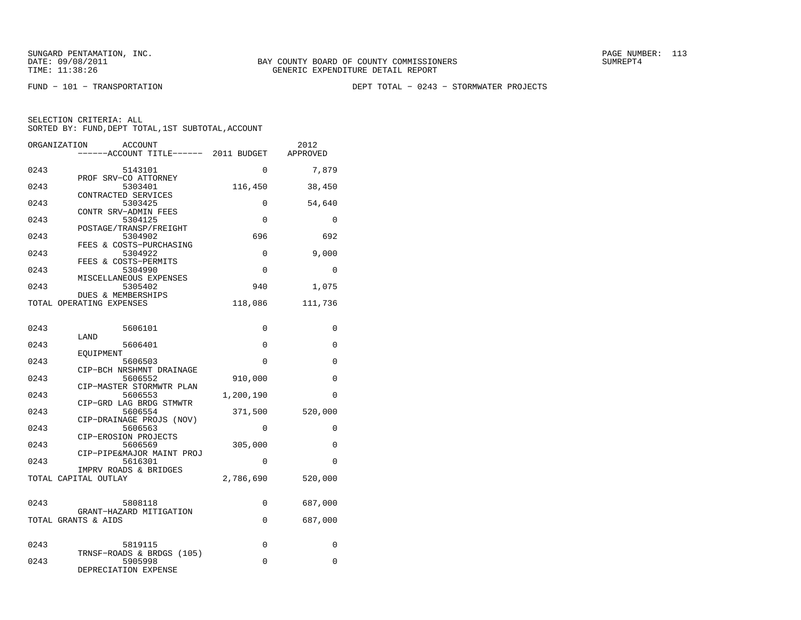FUND − 101 − TRANSPORTATION DEPT TOTAL − 0243 − STORMWATER PROJECTS

| ORGANIZATION | <b>ACCOUNT</b><br>----ACCOUNT TITLE------ 2011 BUDGET |           | 2012<br>APPROVED |
|--------------|-------------------------------------------------------|-----------|------------------|
| 0243         | 5143101                                               | 0         | 7,879            |
| 0243         | PROF SRV-CO ATTORNEY<br>5303401                       | 116,450   | 38,450           |
| 0243         | CONTRACTED SERVICES<br>5303425                        | 0         | 54,640           |
| 0243         | CONTR SRV-ADMIN FEES<br>5304125                       | 0         | 0                |
| 0243         | POSTAGE/TRANSP/FREIGHT<br>5304902                     | 696       | 692              |
| 0243         | FEES & COSTS-PURCHASING<br>5304922                    | 0         | 9,000            |
| 0243         | FEES & COSTS-PERMITS<br>5304990                       | $\Omega$  | $\Omega$         |
| 0243         | MISCELLANEOUS EXPENSES<br>5305402                     | 940       | 1,075            |
|              | DUES & MEMBERSHIPS<br>TOTAL OPERATING EXPENSES        | 118,086   | 111,736          |
| 0243         | 5606101                                               | 0         | 0                |
|              | LAND                                                  |           |                  |
| 0243         | 5606401<br>EOUIPMENT                                  | $\Omega$  | $\Omega$         |
| 0243         | 5606503<br>CIP-BCH NRSHMNT DRAINAGE                   | 0         | 0                |
| 0243         | 5606552<br>CIP-MASTER STORMWTR PLAN                   | 910,000   | $\Omega$         |
| 0243         | 5606553<br>CIP-GRD LAG BRDG STMWTR                    | 1,200,190 | $\Omega$         |
| 0243         | 5606554<br>CIP-DRAINAGE PROJS (NOV)                   | 371,500   | 520,000          |
| 0243         | 5606563<br>CIP-EROSION PROJECTS                       | $\Omega$  | 0                |
| 0243         | 5606569<br>CIP-PIPE&MAJOR MAINT PROJ                  | 305,000   | 0                |
| 0243         | 5616301<br>IMPRV ROADS & BRIDGES                      | $\Omega$  | $\Omega$         |
|              | TOTAL CAPITAL OUTLAY                                  | 2,786,690 | 520,000          |
| 0243         | 5808118                                               | 0         | 687,000          |
|              | GRANT-HAZARD MITIGATION<br>TOTAL GRANTS & AIDS        | 0         | 687,000          |
|              |                                                       |           |                  |
| 0243         | 5819115<br>TRNSF-ROADS & BRDGS (105)                  | 0         | $\Omega$         |
| 0243         | 5905998<br>DEPRECIATION EXPENSE                       | 0         | $\mathbf 0$      |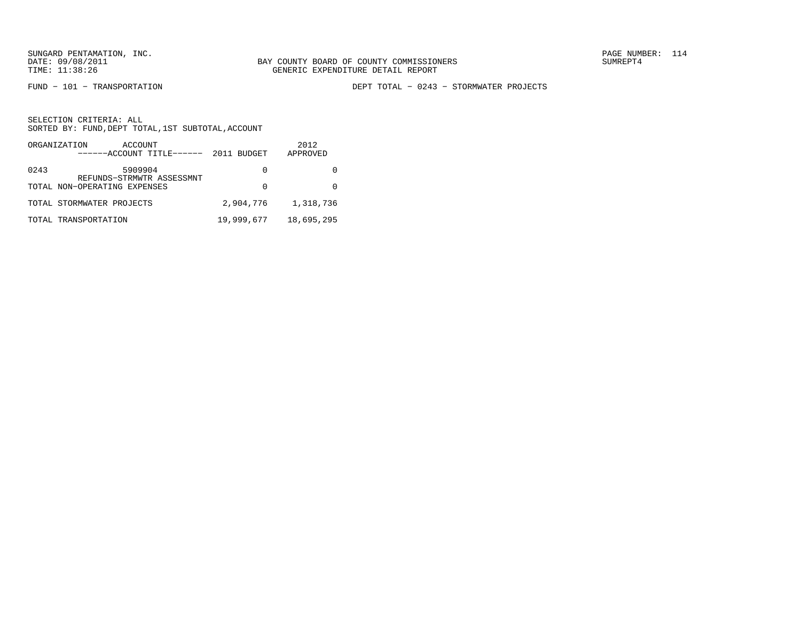FUND − 101 − TRANSPORTATION DEPT TOTAL − 0243 − STORMWATER PROJECTS

|      | ORGANIZATION<br>ACCOUNT<br>$---ACCOUNT$ TITLE $--- 2011$ BUDGET |            | 2012<br>APPROVED |
|------|-----------------------------------------------------------------|------------|------------------|
| 0243 | 5909904<br>REFUNDS-STRMWTR ASSESSMNT                            | $\cup$     |                  |
|      | TOTAL NON-OPERATING EXPENSES                                    | 0          |                  |
|      | TOTAL STORMWATER PROJECTS                                       | 2,904,776  | 1,318,736        |
|      | TOTAL TRANSPORTATION                                            | 19,999,677 | 18,695,295       |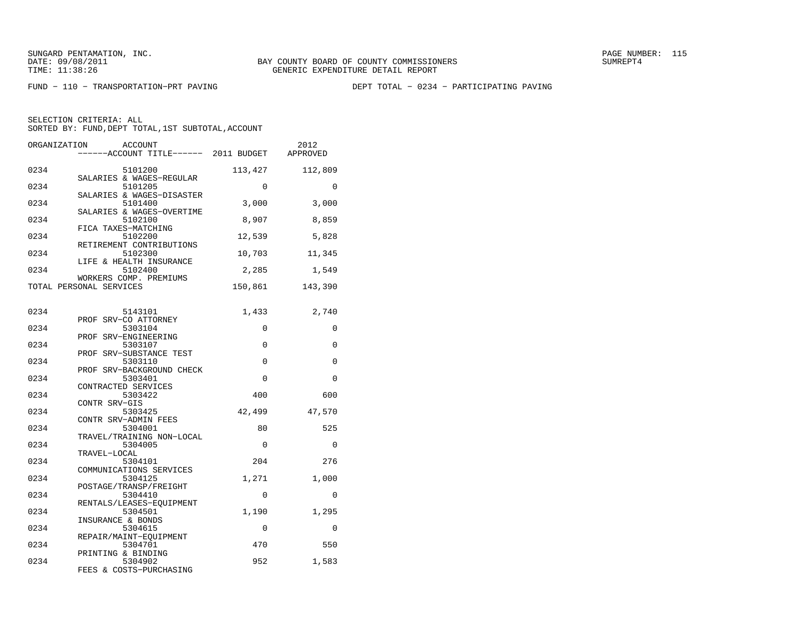FUND − 110 − TRANSPORTATION−PRT PAVING DEPT TOTAL − 0234 − PARTICIPATING PAVING

| ORGANIZATION | ACCOUNT<br>-----ACCOUNT TITLE------ 2011 BUDGET             |             | 2012<br>APPROVED |
|--------------|-------------------------------------------------------------|-------------|------------------|
| 0234         | 5101200                                                     | 113,427     | 112,809          |
| 0234         | SALARIES & WAGES-REGULAR<br>5101205                         | $\Omega$    | $\Omega$         |
| 0234         | SALARIES & WAGES-DISASTER<br>5101400                        | 3,000       | 3,000            |
| 0234         | SALARIES & WAGES-OVERTIME<br>5102100<br>FICA TAXES-MATCHING | 8,907       | 8,859            |
| 0234         | 5102200<br>RETIREMENT CONTRIBUTIONS                         | 12,539      | 5,828            |
| 0234         | 5102300<br>LIFE & HEALTH INSURANCE                          | 10,703      | 11,345           |
| 0234         | 5102400<br>WORKERS COMP. PREMIUMS                           | 2,285       | 1,549            |
|              | TOTAL PERSONAL SERVICES                                     | 150,861     | 143,390          |
| 0234         | 5143101                                                     | 1,433       | 2,740            |
| 0234         | PROF SRV-CO ATTORNEY<br>5303104                             | $\Omega$    | $\Omega$         |
| 0234         | PROF SRV-ENGINEERING<br>5303107                             | 0           | 0                |
| 0234         | PROF SRV-SUBSTANCE TEST<br>5303110                          | $\Omega$    | $\Omega$         |
| 0234         | PROF SRV-BACKGROUND CHECK<br>5303401                        | $\Omega$    | $\Omega$         |
| 0234         | CONTRACTED SERVICES<br>5303422                              | 400         | 600              |
| 0234         | CONTR SRV-GIS<br>5303425                                    | 42,499      | 47,570           |
| 0234         | CONTR SRV-ADMIN FEES<br>5304001                             | 80          | 525              |
| 0234         | TRAVEL/TRAINING NON-LOCAL<br>5304005                        | 0           | 0                |
| 0234         | TRAVEL-LOCAL<br>5304101<br>COMMUNICATIONS SERVICES          | 204         | 276              |
| 0234         | 5304125<br>POSTAGE/TRANSP/FREIGHT                           | 1,271       | 1,000            |
| 0234         | 5304410<br>RENTALS/LEASES-EOUIPMENT                         | $\mathbf 0$ | $\Omega$         |
| 0234         | 5304501<br>INSURANCE & BONDS                                | 1,190       | 1,295            |
| 0234         | 5304615<br>REPAIR/MAINT-EOUIPMENT                           | 0           | 0                |
| 0234         | 5304701<br>PRINTING & BINDING                               | 470         | 550              |
| 0234         | 5304902<br>FEES & COSTS-PURCHASING                          | 952         | 1,583            |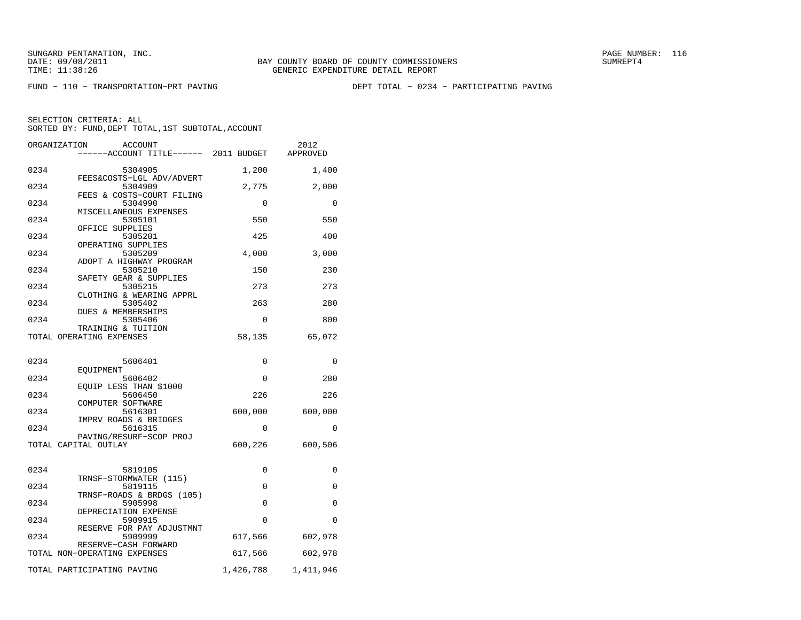FUND − 110 − TRANSPORTATION−PRT PAVING DEPT TOTAL − 0234 − PARTICIPATING PAVING

|      | ORGANIZATION<br>ACCOUNT                              |             | 2012                |
|------|------------------------------------------------------|-------------|---------------------|
|      | ----ACCOUNT TITLE------ 2011 BUDGET                  |             | APPROVED            |
| 0234 | 5304905                                              | 1,200       | 1,400               |
| 0234 | FEES&COSTS-LGL ADV/ADVERT<br>5304909                 | 2,775       | 2,000               |
| 0234 | FEES & COSTS-COURT FILING<br>5304990                 | $\Omega$    | $\Omega$            |
| 0234 | MISCELLANEOUS EXPENSES<br>5305101                    | 550         | 550                 |
| 0234 | OFFICE SUPPLIES<br>5305201                           | 425         | 400                 |
| 0234 | OPERATING SUPPLIES<br>5305209                        | 4,000       | 3,000               |
| 0234 | ADOPT A HIGHWAY PROGRAM<br>5305210                   | 150         | 230                 |
| 0234 | SAFETY GEAR & SUPPLIES<br>5305215                    | 273         | 273                 |
| 0234 | CLOTHING & WEARING APPRL<br>5305402                  | 263         | 280                 |
| 0234 | <b>DUES &amp; MEMBERSHIPS</b><br>5305406             | $\mathbf 0$ | 800                 |
|      | TRAINING & TUITION<br>TOTAL OPERATING EXPENSES       | 58,135      | 65,072              |
|      |                                                      |             |                     |
| 0234 | 5606401                                              | 0           | 0                   |
| 0234 | EOUIPMENT<br>5606402                                 | 0           | 280                 |
| 0234 | EOUIP LESS THAN \$1000<br>5606450                    | 226         | 226                 |
| 0234 | COMPUTER SOFTWARE<br>5616301                         | 600,000     | 600,000             |
| 0234 | IMPRV ROADS & BRIDGES<br>5616315                     | 0           | 0                   |
|      | PAVING/RESURF-SCOP PROJ<br>TOTAL CAPITAL OUTLAY      | 600,226     | 600,506             |
|      |                                                      |             |                     |
| 0234 | 5819105                                              | 0           | 0                   |
| 0234 | TRNSF-STORMWATER (115)<br>5819115                    | $\Omega$    | $\Omega$            |
| 0234 | TRNSF-ROADS & BRDGS (105)<br>5905998                 | $\Omega$    | $\Omega$            |
| 0234 | DEPRECIATION EXPENSE<br>5909915                      | $\Omega$    | $\Omega$            |
| 0234 | RESERVE FOR PAY ADJUSTMNT<br>5909999                 | 617,566     | 602,978             |
|      | RESERVE-CASH FORWARD<br>TOTAL NON-OPERATING EXPENSES | 617,566     | 602,978             |
|      | TOTAL PARTICIPATING PAVING                           |             | 1,426,788 1,411,946 |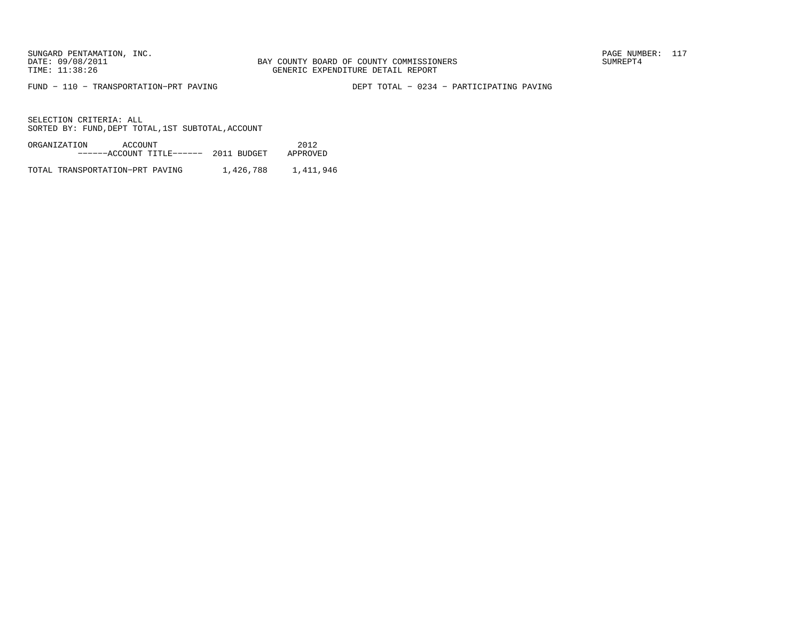FUND − 110 − TRANSPORTATION−PRT PAVING DEPT TOTAL − 0234 − PARTICIPATING PAVING

SELECTION CRITERIA: ALLSORTED BY: FUND, DEPT TOTAL, 1ST SUBTOTAL, ACCOUNT

| ORGANIZATION | ACCOUNT |                                      |  | 2012     |
|--------------|---------|--------------------------------------|--|----------|
|              |         | $---ACCOUNT$ TITLE $--- 2011$ BUDGET |  | APPROVED |
|              |         |                                      |  |          |

TOTAL TRANSPORTATION-PRT PAVING 1,426,788 1,411,946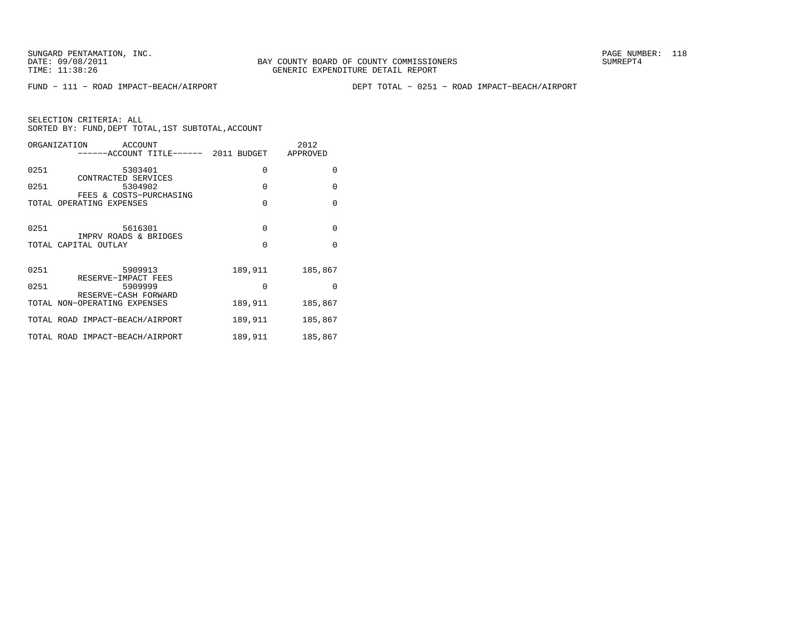FUND − 111 − ROAD IMPACT−BEACH/AIRPORT DEPT TOTAL − 0251 − ROAD IMPACT−BEACH/AIRPORT

| ORGANIZATION<br>ACCOUNT<br>-----ACCOUNT TITLE------ 2011 BUDGET |          | 2012<br>APPROVED |
|-----------------------------------------------------------------|----------|------------------|
| 0251<br>5303401                                                 | 0        | $\Omega$         |
| CONTRACTED SERVICES<br>0251<br>5304902                          | $\Omega$ | $\Omega$         |
| FEES & COSTS-PURCHASING<br>TOTAL OPERATING EXPENSES             | $\Omega$ | $\Omega$         |
| 0251<br>5616301                                                 | $\Omega$ | $\Omega$         |
| IMPRV ROADS & BRIDGES<br>TOTAL CAPITAL OUTLAY                   | $\Omega$ | $\Omega$         |
| 0251<br>5909913<br>RESERVE-IMPACT FEES                          | 189,911  | 185,867          |
| 0251<br>5909999<br>RESERVE-CASH FORWARD                         | $\Omega$ | $\Omega$         |
| TOTAL NON-OPERATING EXPENSES                                    | 189,911  | 185,867          |
| TOTAL ROAD IMPACT-BEACH/AIRPORT                                 | 189,911  | 185,867          |
| TOTAL ROAD IMPACT-BEACH/AIRPORT                                 | 189,911  | 185,867          |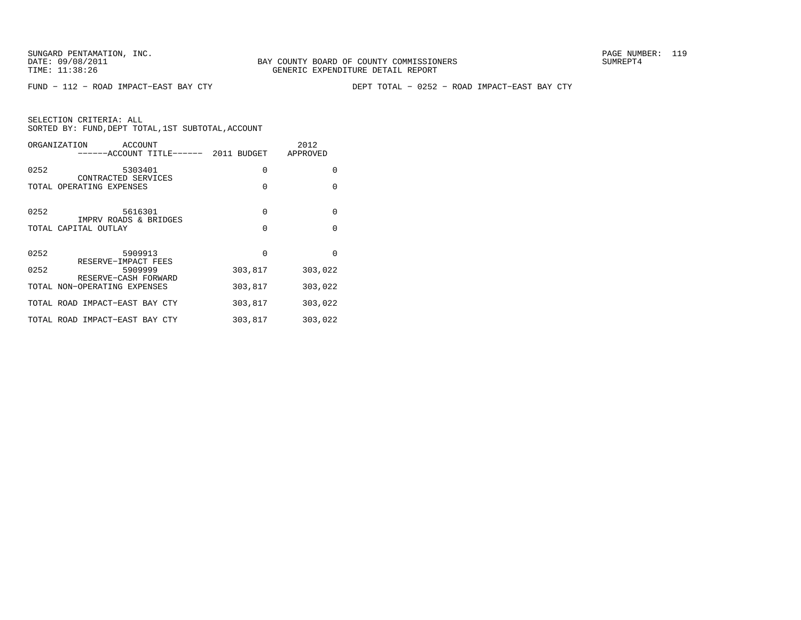FUND − 112 − ROAD IMPACT−EAST BAY CTY DEPT TOTAL − 0252 − ROAD IMPACT−EAST BAY CTY

|      | ORGANIZATION<br>ACCOUNT<br>------ACCOUNT TITLE------ 2011 BUDGET |          | 2012<br>APPROVED |
|------|------------------------------------------------------------------|----------|------------------|
| 0252 | 5303401                                                          | 0        | $\Omega$         |
|      | CONTRACTED SERVICES<br>TOTAL OPERATING EXPENSES                  | $\Omega$ | $\Omega$         |
| 0252 | 5616301                                                          | $\Omega$ | $\Omega$         |
|      | IMPRV ROADS & BRIDGES                                            |          |                  |
|      | TOTAL CAPITAL OUTLAY                                             | $\Omega$ | $\Omega$         |
|      |                                                                  |          |                  |
| 0252 | 5909913                                                          | $\Omega$ | $\Omega$         |
| 0252 | RESERVE-IMPACT FEES<br>5909999                                   | 303,817  | 303,022          |
|      | RESERVE-CASH FORWARD<br>TOTAL NON-OPERATING EXPENSES             | 303,817  | 303,022          |
|      | TOTAL ROAD IMPACT-EAST BAY CTY                                   | 303,817  | 303,022          |
|      | TOTAL ROAD IMPACT-EAST BAY CTY                                   | 303,817  | 303,022          |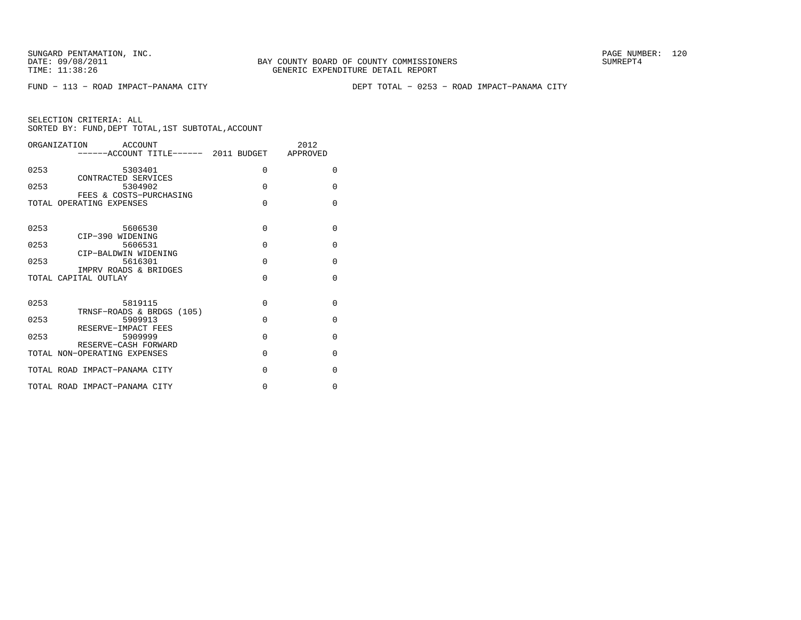FUND − 113 − ROAD IMPACT−PANAMA CITY DEPT TOTAL − 0253 − ROAD IMPACT−PANAMA CITY

|      | ORGANIZATION ACCOUNT<br>------ACCOUNT TITLE------ 2011 BUDGET APPROVED |             | 2012     |
|------|------------------------------------------------------------------------|-------------|----------|
| 0253 | 5303401                                                                | 0           | $\Omega$ |
| 0253 | CONTRACTED SERVICES<br>5304902                                         | $\Omega$    | $\Omega$ |
|      | FEES & COSTS-PURCHASING<br>TOTAL OPERATING EXPENSES                    | $\Omega$    | $\Omega$ |
| 0253 | 5606530                                                                | $\Omega$    | $\Omega$ |
|      | CIP-390 WIDENING                                                       |             |          |
| 0253 | 5606531                                                                | $\Omega$    | $\Omega$ |
| 0253 | CIP-BALDWIN WIDENING<br>5616301<br>IMPRV ROADS & BRIDGES               | $\Omega$    | $\Omega$ |
|      | TOTAL CAPITAL OUTLAY                                                   | $\Omega$    | $\Omega$ |
| 0253 | 5819115                                                                | $\Omega$    | $\Omega$ |
| 0253 | TRNSF-ROADS & BRDGS (105)<br>5909913                                   | $\Omega$    | $\Omega$ |
|      | RESERVE-IMPACT FEES                                                    |             |          |
| 0253 | 5909999<br>RESERVE-CASH FORWARD                                        | $\Omega$    | $\Omega$ |
|      | TOTAL NON-OPERATING EXPENSES                                           | $\Omega$    | $\Omega$ |
|      | TOTAL ROAD IMPACT-PANAMA CITY                                          | $\Omega$    | $\Omega$ |
|      | TOTAL ROAD IMPACT-PANAMA CITY                                          | $\mathbf 0$ | 0        |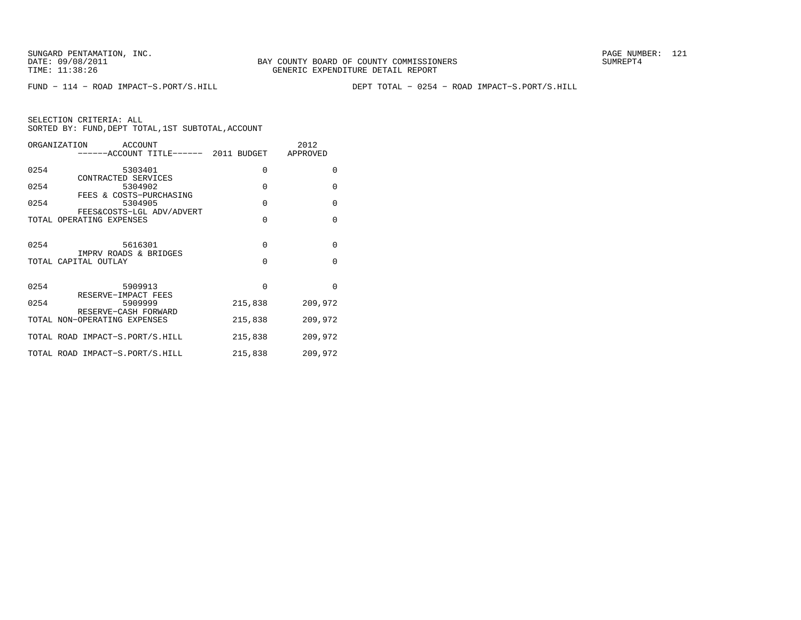FUND − 114 − ROAD IMPACT−S.PORT/S.HILL DEPT TOTAL − 0254 − ROAD IMPACT−S.PORT/S.HILL

|      | ORGANIZATION ACCOUNT<br>------ACCOUNT TITLE------ 2011 BUDGET APPROVED |                         | 2012                 |
|------|------------------------------------------------------------------------|-------------------------|----------------------|
| 0254 | 5303401<br>CONTRACTED SERVICES                                         | 0                       | $\Omega$             |
| 0254 | 5304902<br>FEES & COSTS-PURCHASING                                     | $\Omega$                | $\Omega$             |
| 0254 | 5304905<br>FEES&COSTS-LGL ADV/ADVERT                                   | $\Omega$                | $\Omega$             |
|      | TOTAL OPERATING EXPENSES                                               | $\Omega$                | $\Omega$             |
| 0254 | 5616301<br>IMPRV ROADS & BRIDGES<br>TOTAL CAPITAL OUTLAY               | $\mathbf 0$<br>$\Omega$ | $\Omega$<br>$\Omega$ |
| 0254 | 5909913<br>RESERVE-IMPACT FEES                                         | $\Omega$                | $\Omega$             |
| 0254 | 5909999<br>RESERVE-CASH FORWARD                                        | 215,838                 | 209,972              |
|      | TOTAL NON-OPERATING EXPENSES                                           | 215,838                 | 209,972              |
|      | TOTAL ROAD IMPACT-S.PORT/S.HILL                                        | 215,838                 | 209,972              |
|      | TOTAL ROAD IMPACT-S.PORT/S.HILL                                        | 215,838                 | 209,972              |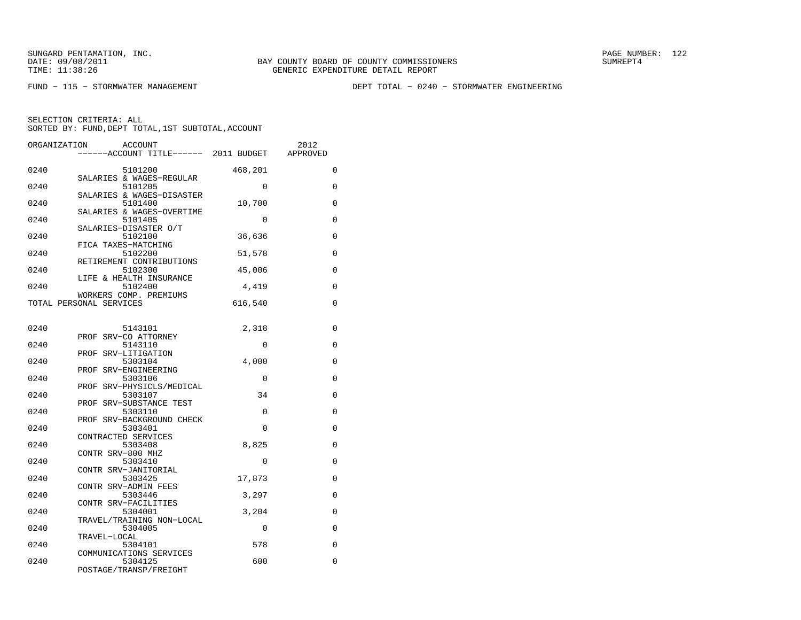FUND − 115 − STORMWATER MANAGEMENT DEPT TOTAL − 0240 − STORMWATER ENGINEERING

| ORGANIZATION | <b>ACCOUNT</b><br>------ACCOUNT TITLE------ 2011 BUDGET |             | 2012<br>APPROVED |
|--------------|---------------------------------------------------------|-------------|------------------|
|              |                                                         |             |                  |
| 0240         | 5101200<br>SALARIES & WAGES-REGULAR                     | 468,201     | 0                |
| 0240         | 5101205                                                 | $\Omega$    | 0                |
| 0240         | SALARIES & WAGES-DISASTER<br>5101400                    | 10,700      | 0                |
| 0240         | SALARIES & WAGES-OVERTIME<br>5101405                    | $\mathbf 0$ | 0                |
|              | SALARIES-DISASTER O/T                                   |             |                  |
| 0240         | 5102100<br>FICA TAXES-MATCHING                          | 36,636      | 0                |
| 0240         | 5102200                                                 | 51,578      | $\mathbf 0$      |
|              | RETIREMENT CONTRIBUTIONS                                |             |                  |
| 0240         | 5102300                                                 | 45,006      | 0                |
| 0240         | LIFE & HEALTH INSURANCE<br>5102400                      | 4,419       | 0                |
|              | WORKERS COMP. PREMIUMS                                  |             |                  |
|              | TOTAL PERSONAL SERVICES                                 | 616,540     | 0                |
|              |                                                         |             |                  |
| 0240         | 5143101                                                 | 2,318       | 0                |
|              | PROF SRV-CO ATTORNEY                                    |             |                  |
| 0240         | 5143110<br>PROF SRV-LITIGATION                          | 0           | 0                |
| 0240         | 5303104                                                 | 4,000       | 0                |
|              | PROF SRV-ENGINEERING                                    |             |                  |
| 0240         | 5303106                                                 | $\Omega$    | $\Omega$         |
| 0240         | PROF SRV-PHYSICLS/MEDICAL<br>5303107                    | 34          | 0                |
|              | PROF SRV-SUBSTANCE TEST                                 |             |                  |
| 0240         | 5303110                                                 | 0           | 0                |
| 0240         | PROF SRV-BACKGROUND CHECK<br>5303401                    | $\Omega$    | 0                |
|              | CONTRACTED SERVICES                                     |             |                  |
| 0240         | 5303408                                                 | 8,825       | 0                |
| 0240         | CONTR SRV-800 MHZ<br>5303410                            | 0           | $\mathbf 0$      |
|              | CONTR SRV-JANITORIAL                                    |             |                  |
| 0240         | 5303425                                                 | 17,873      | 0                |
|              | CONTR SRV-ADMIN FEES                                    |             |                  |
| 0240         | 5303446<br>CONTR SRV-FACILITIES                         | 3,297       | 0                |
| 0240         | 5304001                                                 | 3,204       | 0                |
|              | TRAVEL/TRAINING NON-LOCAL                               |             |                  |
| 0240         | 5304005<br>TRAVEL-LOCAL                                 | $\Omega$    | $\Omega$         |
| 0240         | 5304101                                                 | 578         | 0                |
|              | COMMUNICATIONS SERVICES                                 |             |                  |
| 0240         | 5304125<br>POSTAGE/TRANSP/FREIGHT                       | 600         | 0                |
|              |                                                         |             |                  |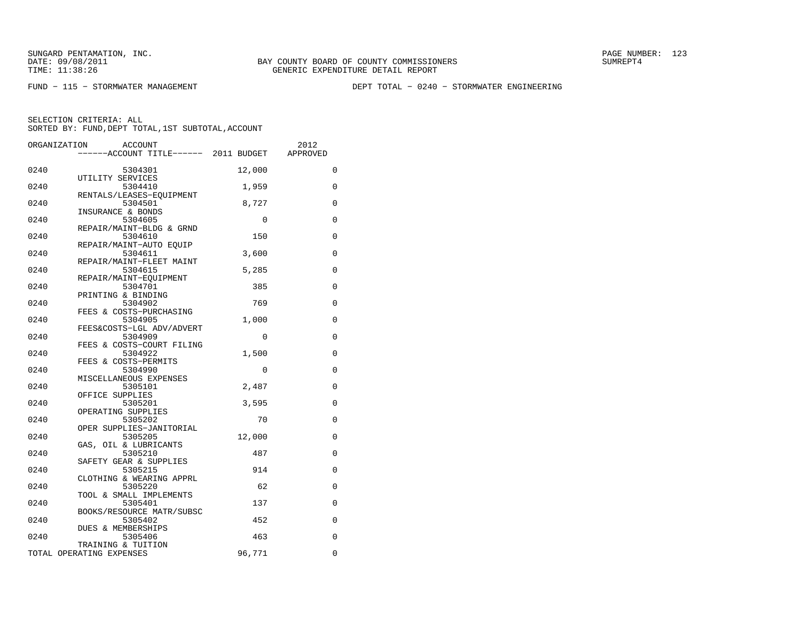FUND − 115 − STORMWATER MANAGEMENT DEPT TOTAL − 0240 − STORMWATER ENGINEERING

|      | ORGANIZATION<br><b>ACCOUNT</b>                 |        | 2012        |
|------|------------------------------------------------|--------|-------------|
|      | -----ACCOUNT TITLE------ 2011 BUDGET           |        | APPROVED    |
| 0240 | 5304301                                        | 12,000 | 0           |
| 0240 | UTILITY SERVICES<br>5304410                    | 1,959  | 0           |
| 0240 | RENTALS/LEASES-EOUIPMENT<br>5304501            | 8,727  | 0           |
| 0240 | INSURANCE & BONDS<br>5304605                   | 0      | 0           |
| 0240 | REPAIR/MAINT-BLDG & GRND<br>5304610            | 150    | 0           |
| 0240 | REPAIR/MAINT-AUTO EQUIP<br>5304611             | 3,600  | 0           |
| 0240 | REPAIR/MAINT-FLEET MAINT<br>5304615            | 5,285  | 0           |
| 0240 | REPAIR/MAINT-EQUIPMENT<br>5304701              | 385    | 0           |
| 0240 | PRINTING & BINDING<br>5304902                  | 769    | 0           |
| 0240 | FEES & COSTS-PURCHASING<br>5304905             | 1,000  | 0           |
| 0240 | FEES&COSTS-LGL ADV/ADVERT<br>5304909           | 0      | 0           |
| 0240 | FEES & COSTS-COURT FILING<br>5304922           | 1,500  | 0           |
| 0240 | FEES & COSTS-PERMITS<br>5304990                | 0      | 0           |
| 0240 | MISCELLANEOUS EXPENSES<br>5305101              | 2,487  | 0           |
| 0240 | OFFICE SUPPLIES<br>5305201                     | 3,595  | 0           |
| 0240 | OPERATING SUPPLIES<br>5305202                  | 70     | 0           |
| 0240 | OPER SUPPLIES-JANITORIAL<br>5305205            | 12,000 | 0           |
| 0240 | GAS, OIL & LUBRICANTS<br>5305210               | 487    | 0           |
| 0240 | SAFETY GEAR & SUPPLIES<br>5305215              | 914    | 0           |
| 0240 | CLOTHING & WEARING APPRL<br>5305220            | 62     | 0           |
| 0240 | TOOL & SMALL IMPLEMENTS<br>5305401             | 137    | 0           |
| 0240 | BOOKS/RESOURCE MATR/SUBSC<br>5305402           | 452    | 0           |
| 0240 | DUES & MEMBERSHIPS<br>5305406                  | 463    | $\mathbf 0$ |
|      | TRAINING & TUITION<br>TOTAL OPERATING EXPENSES | 96,771 | 0           |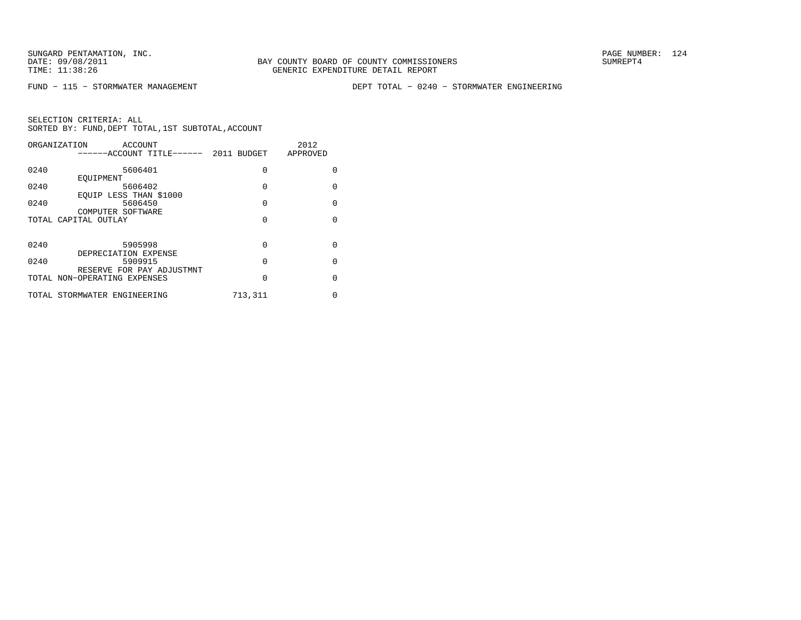FUND − 115 − STORMWATER MANAGEMENT DEPT TOTAL − 0240 − STORMWATER ENGINEERING

| ORGANIZATION<br>ACCOUNT<br>------ACCOUNT TITLE------ 2011 BUDGET |                              |          | 2012<br>APPROVED |
|------------------------------------------------------------------|------------------------------|----------|------------------|
|                                                                  |                              |          |                  |
| 0240                                                             | 5606401                      | $\Omega$ | O                |
|                                                                  | EOUIPMENT                    |          |                  |
| 0240                                                             | 5606402                      | $\Omega$ | <sup>0</sup>     |
|                                                                  | EOUIP LESS THAN \$1000       |          |                  |
| 0240                                                             | 5606450                      | $\Omega$ | $\Omega$         |
|                                                                  | COMPUTER SOFTWARE            |          |                  |
|                                                                  | TOTAL CAPITAL OUTLAY         | $\Omega$ | <sup>0</sup>     |
|                                                                  |                              |          |                  |
|                                                                  |                              |          |                  |
| 0240                                                             | 5905998                      | $\Omega$ | <sup>0</sup>     |
|                                                                  | DEPRECIATION EXPENSE         |          |                  |
| 0240                                                             | 5909915                      | $\Omega$ | $\Omega$         |
|                                                                  | RESERVE FOR PAY ADJUSTMNT    |          |                  |
|                                                                  | TOTAL NON-OPERATING EXPENSES | $\Omega$ | <sup>0</sup>     |
|                                                                  |                              |          |                  |
|                                                                  | TOTAL STORMWATER ENGINEERING | 713,311  | 0                |
|                                                                  |                              |          |                  |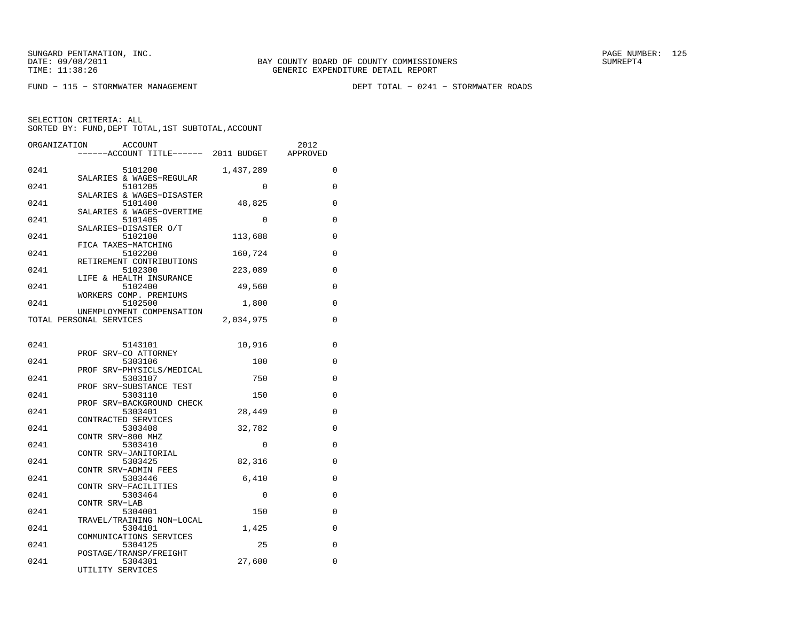FUND − 115 − STORMWATER MANAGEMENT DEPT TOTAL − 0241 − STORMWATER ROADS

| ORGANIZATION | <b>ACCOUNT</b>                          |             | 2012        |
|--------------|-----------------------------------------|-------------|-------------|
|              | ------ACCOUNT TITLE------ 2011 BUDGET   |             | APPROVED    |
| 0241         | 5101200                                 | 1,437,289   | 0           |
|              | SALARIES & WAGES-REGULAR                |             |             |
| 0241         | 5101205<br>SALARIES & WAGES-DISASTER    | $\mathbf 0$ | 0           |
| 0241         | 5101400                                 | 48,825      | 0           |
|              | SALARIES & WAGES-OVERTIME               |             |             |
| 0241         | 5101405                                 | $\mathbf 0$ | $\mathbf 0$ |
| 0241         | SALARIES-DISASTER O/T<br>5102100        | 113,688     | 0           |
|              | FICA TAXES-MATCHING                     |             |             |
| 0241         | 5102200                                 | 160,724     | $\Omega$    |
|              | RETIREMENT CONTRIBUTIONS                |             |             |
| 0241         | 5102300                                 | 223,089     | 0           |
| 0241         | LIFE & HEALTH INSURANCE<br>5102400      | 49,560      | $\mathbf 0$ |
|              | WORKERS COMP. PREMIUMS                  |             |             |
| 0241         | 5102500                                 | 1,800       | $\Omega$    |
|              | UNEMPLOYMENT COMPENSATION               |             |             |
|              | TOTAL PERSONAL SERVICES                 | 2,034,975   | 0           |
|              |                                         |             |             |
| 0241         | 5143101                                 | 10,916      | 0           |
|              | PROF SRV-CO ATTORNEY                    |             |             |
| 0241         | 5303106<br>SRV-PHYSICLS/MEDICAL<br>PROF | 100         | $\mathbf 0$ |
| 0241         | 5303107                                 | 750         | $\Omega$    |
|              | PROF SRV-SUBSTANCE TEST                 |             |             |
| 0241         | 5303110                                 | 150         | 0           |
| 0241         | PROF SRV-BACKGROUND CHECK<br>5303401    | 28,449      | 0           |
|              | CONTRACTED SERVICES                     |             |             |
| 0241         | 5303408                                 | 32,782      | 0           |
|              | CONTR SRV-800 MHZ                       |             |             |
| 0241         | 5303410<br>CONTR SRV-JANITORIAL         | $\Omega$    | 0           |
| 0241         | 5303425                                 | 82,316      | 0           |
|              | CONTR SRV-ADMIN FEES                    |             |             |
| 0241         | 5303446                                 | 6,410       | $\mathbf 0$ |
| 0241         | CONTR SRV-FACILITIES<br>5303464         | 0           | 0           |
|              | CONTR SRV-LAB                           |             |             |
| 0241         | 5304001                                 | 150         | 0           |
|              | TRAVEL/TRAINING NON-LOCAL               |             |             |
| 0241         | 5304101<br>COMMUNICATIONS SERVICES      | 1,425       | 0           |
| 0241         | 5304125                                 | 25          | 0           |
|              | POSTAGE/TRANSP/FREIGHT                  |             |             |
| 0241         | 5304301                                 | 27,600      | 0           |
|              | UTILITY SERVICES                        |             |             |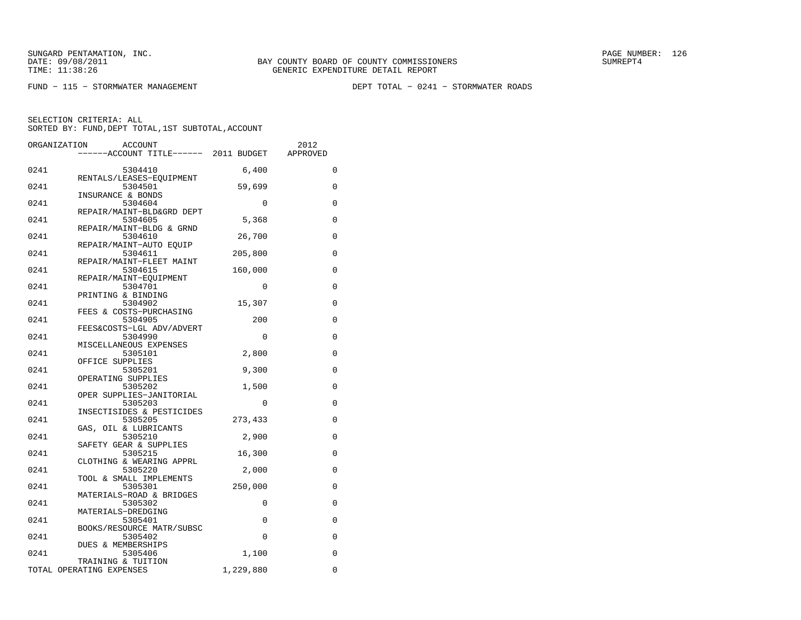FUND − 115 − STORMWATER MANAGEMENT DEPT TOTAL − 0241 − STORMWATER ROADS

| ORGANIZATION | <b>ACCOUNT</b>                        |             | 2012     |
|--------------|---------------------------------------|-------------|----------|
|              | ------ACCOUNT TITLE------ 2011 BUDGET |             | APPROVED |
| 0241         | 5304410                               | 6,400       | 0        |
|              | RENTALS/LEASES-EOUIPMENT              |             |          |
| 0241         | 5304501                               | 59,699      | $\Omega$ |
|              | INSURANCE & BONDS                     |             |          |
| 0241         | 5304604                               | 0           | 0        |
|              | REPAIR/MAINT-BLD&GRD DEPT             |             |          |
| 0241         | 5304605                               | 5,368       | 0        |
|              | REPAIR/MAINT-BLDG & GRND              |             |          |
| 0241         | 5304610                               | 26,700      | 0        |
| 0241         | REPAIR/MAINT-AUTO EOUIP<br>5304611    | 205,800     | 0        |
|              | REPAIR/MAINT-FLEET MAINT              |             |          |
| 0241         | 5304615                               | 160,000     | 0        |
|              | REPAIR/MAINT-EOUIPMENT                |             |          |
| 0241         | 5304701                               | $\mathbf 0$ | 0        |
|              | PRINTING & BINDING                    |             |          |
| 0241         | 5304902                               | 15,307      | 0        |
|              | FEES & COSTS-PURCHASING               |             |          |
| 0241         | 5304905                               | 200         | $\Omega$ |
|              | FEES&COSTS-LGL ADV/ADVERT             |             |          |
| 0241         | 5304990                               | $\Omega$    | 0        |
| 0241         | MISCELLANEOUS EXPENSES<br>5305101     | 2,800       | 0        |
|              | OFFICE SUPPLIES                       |             |          |
| 0241         | 5305201                               | 9,300       | 0        |
|              | OPERATING SUPPLIES                    |             |          |
| 0241         | 5305202                               | 1,500       | 0        |
|              | OPER SUPPLIES-JANITORIAL              |             |          |
| 0241         | 5305203                               | 0           | 0        |
|              | INSECTISIDES & PESTICIDES             |             |          |
| 0241         | 5305205                               | 273,433     | 0        |
| 0241         | GAS, OIL & LUBRICANTS<br>5305210      | 2,900       | 0        |
|              | SAFETY GEAR & SUPPLIES                |             |          |
| 0241         | 5305215                               | 16,300      | 0        |
|              | CLOTHING & WEARING APPRL              |             |          |
| 0241         | 5305220                               | 2,000       | 0        |
|              | TOOL & SMALL IMPLEMENTS               |             |          |
| 0241         | 5305301                               | 250,000     | 0        |
|              | MATERIALS-ROAD & BRIDGES              |             |          |
| 0241         | 5305302                               | 0           | 0        |
| 0241         | MATERIALS-DREDGING<br>5305401         | 0           | $\Omega$ |
|              | BOOKS/RESOURCE MATR/SUBSC             |             |          |
| 0241         | 5305402                               | 0           | 0        |
|              | DUES & MEMBERSHIPS                    |             |          |
| 0241         | 5305406                               | 1,100       | $\Omega$ |
|              | TRAINING & TUITION                    |             |          |
|              | TOTAL OPERATING EXPENSES              | 1,229,880   | 0        |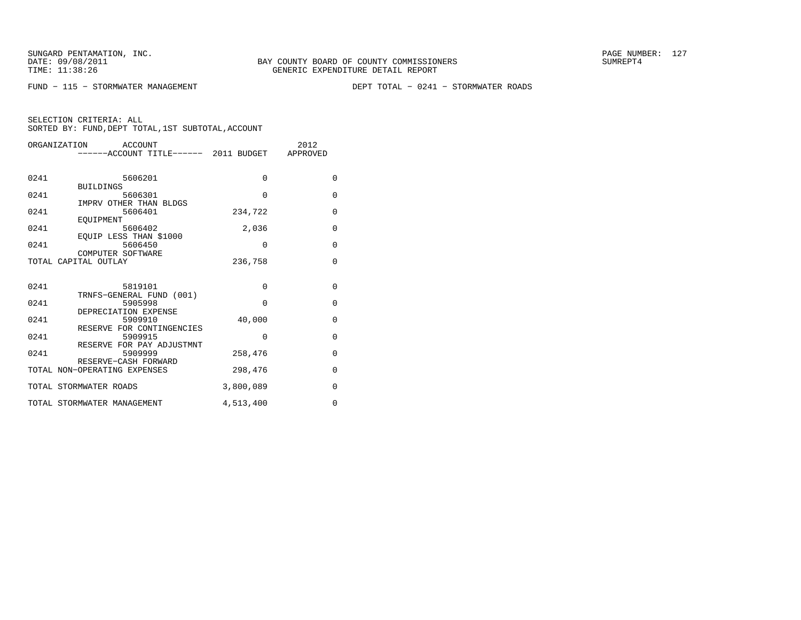FUND − 115 − STORMWATER MANAGEMENT DEPT TOTAL − 0241 − STORMWATER ROADS

| ORGANIZATION<br>ACCOUNT |                                                |             | 2012         |
|-------------------------|------------------------------------------------|-------------|--------------|
|                         | ------ACCOUNT TITLE------ 2011 BUDGET APPROVED |             |              |
|                         |                                                |             |              |
|                         |                                                |             |              |
| 0241                    | 5606201                                        | $\Omega$    | $\Omega$     |
|                         | <b>BUILDINGS</b>                               |             |              |
| 0241                    | 5606301                                        | $\Omega$    | $\mathbf{0}$ |
|                         | IMPRV OTHER THAN BLDGS                         |             |              |
| 0241                    | 5606401                                        | 234,722     | $\mathbf{0}$ |
|                         | EOUIPMENT                                      |             |              |
| 0241                    | 5606402                                        | 2,036       | $\mathbf 0$  |
|                         | EQUIP LESS THAN \$1000                         |             |              |
| 0241                    | 5606450                                        | $\mathbf 0$ | $\mathbf 0$  |
|                         | COMPUTER SOFTWARE                              |             |              |
|                         | TOTAL CAPITAL OUTLAY                           | 236,758     | $\Omega$     |
|                         |                                                |             |              |
|                         |                                                |             |              |
| 0241                    | 5819101                                        | $\Omega$    | $\Omega$     |
|                         | TRNFS-GENERAL FUND (001)                       |             |              |
| 0241                    | 5905998                                        | $\Omega$    | $\Omega$     |
|                         | DEPRECIATION EXPENSE                           |             |              |
| 0241                    | 5909910                                        | 40,000      | $\mathbf 0$  |
|                         | RESERVE FOR CONTINGENCIES                      |             |              |
| 0241                    | 5909915                                        | $\Omega$    | 0            |
|                         | RESERVE FOR PAY ADJUSTMNT                      |             |              |
| 0241                    | 5909999                                        | 258,476     | $\mathbf{0}$ |
|                         | RESERVE-CASH FORWARD                           |             |              |
|                         | TOTAL NON-OPERATING EXPENSES                   | 298,476     | $\mathbf{0}$ |
|                         |                                                |             |              |
|                         | TOTAL STORMWATER ROADS                         | 3,800,089   | 0            |
|                         | TOTAL STORMWATER MANAGEMENT                    | 4,513,400   | $\Omega$     |
|                         |                                                |             |              |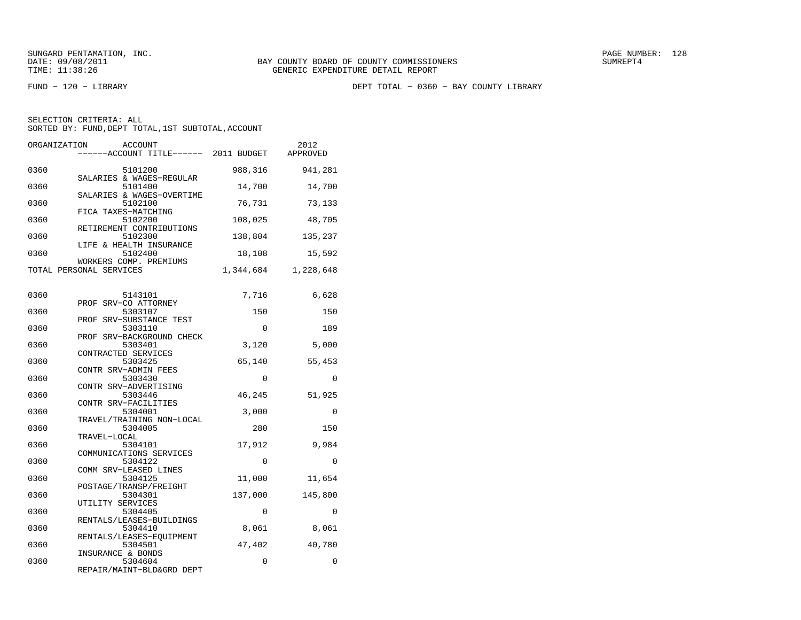FUND − 120 − LIBRARY DEPT TOTAL − 0360 − BAY COUNTY LIBRARY

| ORGANIZATION | <b>ACCOUNT</b><br>-----ACCOUNT TITLE------ 2011 BUDGET         |           | 2012<br>APPROVED |
|--------------|----------------------------------------------------------------|-----------|------------------|
| 0360         | 5101200                                                        | 988,316   | 941,281          |
| 0360         | SALARIES & WAGES-REGULAR<br>5101400                            | 14,700    | 14,700           |
| 0360         | SALARIES & WAGES-OVERTIME<br>5102100                           | 76,731    | 73,133           |
| 0360         | FICA TAXES-MATCHING<br>5102200                                 | 108,025   | 48,705           |
| 0360         | RETIREMENT CONTRIBUTIONS<br>5102300<br>LIFE & HEALTH INSURANCE | 138,804   | 135,237          |
| 0360         | 5102400<br>WORKERS COMP. PREMIUMS                              | 18,108    | 15,592           |
|              | TOTAL PERSONAL SERVICES                                        | 1,344,684 | 1,228,648        |
| 0360         | 5143101                                                        | 7,716     | 6,628            |
| 0360         | PROF SRV-CO ATTORNEY<br>5303107                                | 150       | 150              |
| 0360         | PROF SRV-SUBSTANCE TEST<br>5303110                             | 0         | 189              |
| 0360         | PROF SRV-BACKGROUND CHECK<br>5303401<br>CONTRACTED SERVICES    | 3,120     | 5,000            |
| 0360         | 5303425<br>CONTR SRV-ADMIN FEES                                | 65,140    | 55,453           |
| 0360         | 5303430<br>CONTR SRV-ADVERTISING                               | $\Omega$  | $\Omega$         |
| 0360         | 5303446<br>CONTR SRV-FACILITIES                                | 46,245    | 51,925           |
| 0360         | 5304001<br>TRAVEL/TRAINING NON-LOCAL                           | 3,000     | 0                |
| 0360         | 5304005<br>TRAVEL-LOCAL                                        | 280       | 150              |
| 0360         | 5304101<br>COMMUNICATIONS SERVICES                             | 17,912    | 9,984            |
| 0360         | 5304122<br>COMM SRV-LEASED LINES                               | 0         | $\Omega$         |
| 0360         | 5304125<br>POSTAGE/TRANSP/FREIGHT                              | 11,000    | 11,654           |
| 0360         | 5304301<br>UTILITY SERVICES                                    | 137,000   | 145,800          |
| 0360         | 5304405<br>RENTALS/LEASES-BUILDINGS                            | 0         | 0                |
| 0360         | 5304410<br>RENTALS/LEASES-EOUIPMENT                            | 8,061     | 8,061            |
| 0360         | 5304501<br>INSURANCE & BONDS                                   | 47,402    | 40,780           |
| 0360         | 5304604<br>REPAIR/MAINT-BLD&GRD DEPT                           | 0         | 0                |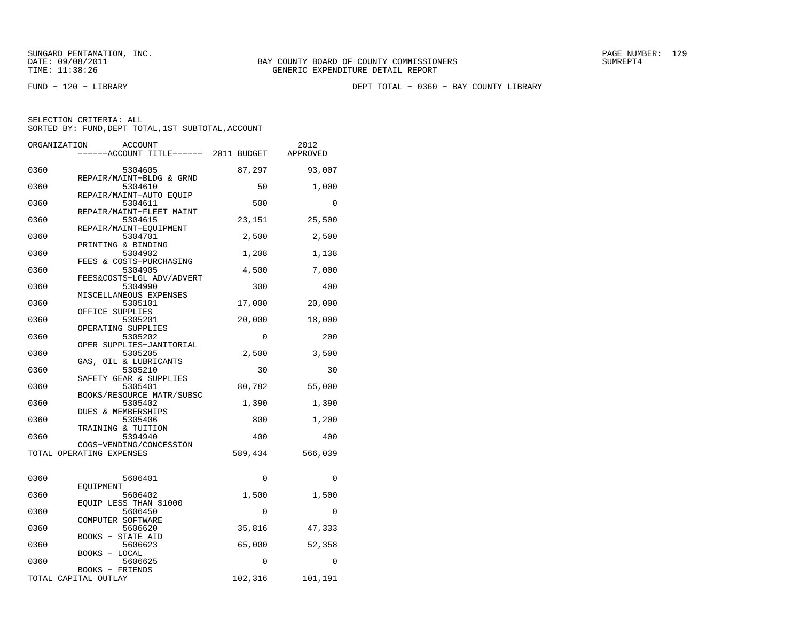FUND − 120 − LIBRARY DEPT TOTAL − 0360 − BAY COUNTY LIBRARY

| ORGANIZATION | <b>ACCOUNT</b><br>----ACCOUNT TITLE------ 2011 BUDGET          |          | 2012<br>APPROVED |
|--------------|----------------------------------------------------------------|----------|------------------|
| 0360         | 5304605                                                        | 87,297   | 93,007           |
| 0360         | REPAIR/MAINT-BLDG & GRND<br>5304610<br>REPAIR/MAINT-AUTO EOUIP | 50       | 1,000            |
| 0360         | 5304611<br>REPAIR/MAINT-FLEET MAINT                            | 500      | 0                |
| 0360         | 5304615<br>REPAIR/MAINT-EOUIPMENT                              | 23,151   | 25,500           |
| 0360         | 5304701<br>PRINTING & BINDING                                  | 2,500    | 2,500            |
| 0360         | 5304902<br>FEES & COSTS-PURCHASING                             | 1,208    | 1,138            |
| 0360         | 5304905<br>FEES&COSTS-LGL ADV/ADVERT                           | 4,500    | 7,000            |
| 0360         | 5304990<br>MISCELLANEOUS EXPENSES                              | 300      | 400              |
| 0360         | 5305101<br>OFFICE SUPPLIES                                     | 17,000   | 20,000           |
| 0360         | 5305201<br>OPERATING SUPPLIES                                  | 20,000   | 18,000           |
| 0360         | 5305202<br>OPER SUPPLIES-JANITORIAL                            | 0        | 200              |
| 0360         | 5305205<br>GAS, OIL & LUBRICANTS                               | 2,500    | 3,500            |
| 0360         | 5305210<br>SAFETY GEAR & SUPPLIES                              | 30       | 30               |
| 0360         | 5305401<br>BOOKS/RESOURCE MATR/SUBSC                           | 80,782   | 55,000           |
| 0360         | 5305402<br>DUES & MEMBERSHIPS                                  | 1,390    | 1,390            |
| 0360         | 5305406<br>TRAINING & TUITION                                  | 800      | 1,200            |
| 0360         | 5394940<br>COGS-VENDING/CONCESSION                             | 400      | 400              |
|              | TOTAL OPERATING EXPENSES                                       | 589,434  | 566,039          |
| 0360         | 5606401<br>EOUIPMENT                                           | $\Omega$ | $\Omega$         |
| 0360         | 5606402<br>EQUIP LESS THAN \$1000                              | 1,500    | 1,500            |
| 0360         | 5606450<br>COMPUTER SOFTWARE                                   | 0        | 0                |
| 0360         | 5606620<br><b>BOOKS - STATE AID</b>                            | 35,816   | 47,333           |
| 0360         | 5606623<br>BOOKS - LOCAL                                       | 65,000   | 52,358           |
| 0360         | 5606625<br>BOOKS - FRIENDS                                     | 0        | $\Omega$         |
|              | TOTAL CAPITAL OUTLAY                                           | 102,316  | 101,191          |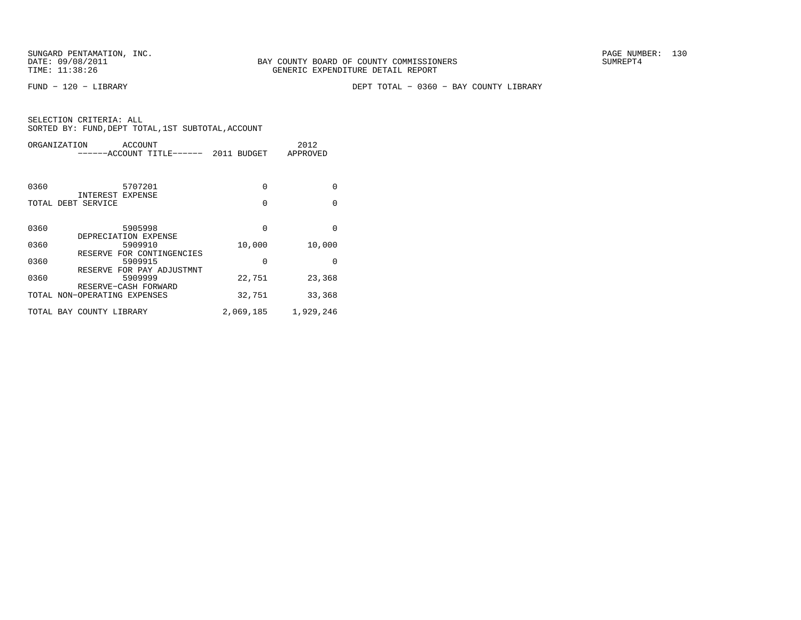FUND − 120 − LIBRARY DEPT TOTAL − 0360 − BAY COUNTY LIBRARY

| ORGANIZATION<br>ACCOUNT                              | ------ACCOUNT TITLE------ | 2011 BUDGET |          | 2012<br>APPROVED |
|------------------------------------------------------|---------------------------|-------------|----------|------------------|
| 0360<br>5707201<br>INTEREST EXPENSE                  |                           |             | $\Omega$ | $\Omega$         |
| TOTAL DEBT SERVICE                                   |                           |             | 0        | $\Omega$         |
| 0360<br>5905998<br>DEPRECIATION EXPENSE              |                           |             | $\Omega$ | $\Omega$         |
| 0360<br>5909910                                      |                           |             | 10,000   | 10,000           |
| RESERVE FOR CONTINGENCIES<br>0360<br>5909915         |                           |             | $\Omega$ | <sup>0</sup>     |
| RESERVE FOR PAY ADJUSTMNT<br>0360<br>5909999         |                           |             | 22,751   | 23,368           |
| RESERVE-CASH FORWARD<br>TOTAL NON-OPERATING EXPENSES |                           |             | 32,751   | 33,368           |
| TOTAL BAY COUNTY LIBRARY                             |                           | 2,069,185   |          | 1,929,246        |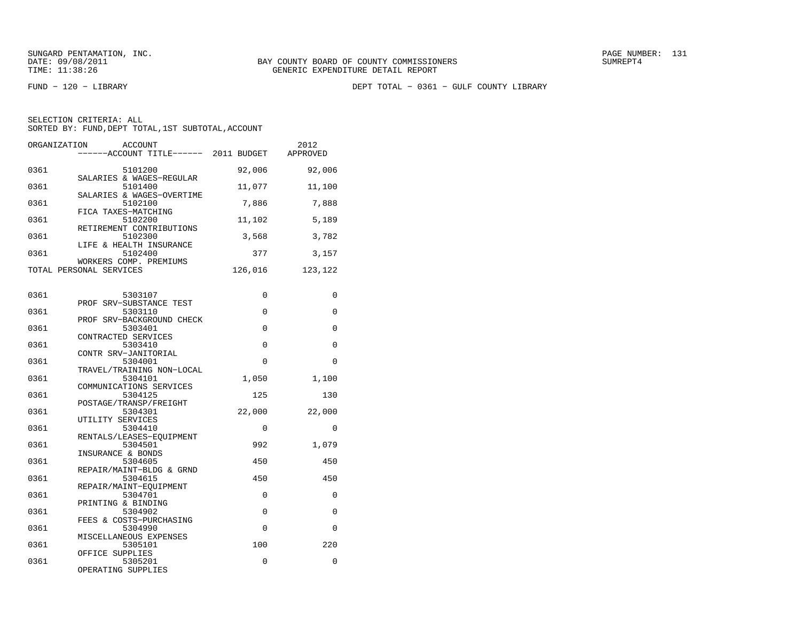FUND − 120 − LIBRARY DEPT TOTAL − 0361 − GULF COUNTY LIBRARY

| ORGANIZATION<br><b>ACCOUNT</b><br>-----ACCOUNT TITLE------ 2011 BUDGET   |          | 2012<br>APPROVED |
|--------------------------------------------------------------------------|----------|------------------|
| 0361<br>5101200                                                          | 92,006   | 92,006           |
| SALARIES & WAGES-REGULAR<br>0361<br>5101400<br>SALARIES & WAGES-OVERTIME | 11,077   | 11,100           |
| 0361<br>5102100<br>FICA TAXES-MATCHING                                   | 7,886    | 7,888            |
| 0361<br>5102200<br>RETIREMENT CONTRIBUTIONS                              | 11,102   | 5,189            |
| 0361<br>5102300<br>LIFE & HEALTH INSURANCE                               | 3,568    | 3,782            |
| 5102400<br>0361<br>WORKERS COMP. PREMIUMS                                | 377      | 3,157            |
| TOTAL PERSONAL SERVICES                                                  | 126,016  | 123,122          |
| 0361<br>5303107                                                          | $\Omega$ | $\Omega$         |
| PROF SRV-SUBSTANCE TEST<br>0361<br>5303110<br>PROF SRV-BACKGROUND CHECK  | 0        | 0                |
| 0361<br>5303401<br>CONTRACTED SERVICES                                   | $\Omega$ | 0                |
| 5303410<br>0361<br>CONTR SRV-JANITORIAL                                  | 0        | 0                |
| 0361<br>5304001<br>TRAVEL/TRAINING NON-LOCAL                             | $\Omega$ | $\Omega$         |
| 0361<br>5304101<br>COMMUNICATIONS SERVICES                               | 1,050    | 1,100            |
| 0361<br>5304125<br>POSTAGE/TRANSP/FREIGHT                                | 125      | 130              |
| 0361<br>5304301<br>UTILITY SERVICES                                      | 22,000   | 22,000           |
| 0361<br>5304410<br>RENTALS/LEASES-EOUIPMENT                              | 0        | 0                |
| 5304501<br>0361<br>INSURANCE & BONDS                                     | 992      | 1,079            |
| 0361<br>5304605<br>REPAIR/MAINT-BLDG & GRND                              | 450      | 450              |
| 0361<br>5304615<br>REPAIR/MAINT-EQUIPMENT<br>5304701                     | 450<br>0 | 450<br>0         |
| 0361<br>PRINTING & BINDING<br>0361<br>5304902                            | 0        | 0                |
| FEES & COSTS-PURCHASING<br>0361<br>5304990                               | $\Omega$ | $\Omega$         |
| MISCELLANEOUS EXPENSES<br>0361<br>5305101                                | 100      | 220              |
| OFFICE SUPPLIES<br>5305201<br>0361<br>OPERATING SUPPLIES                 | 0        | 0                |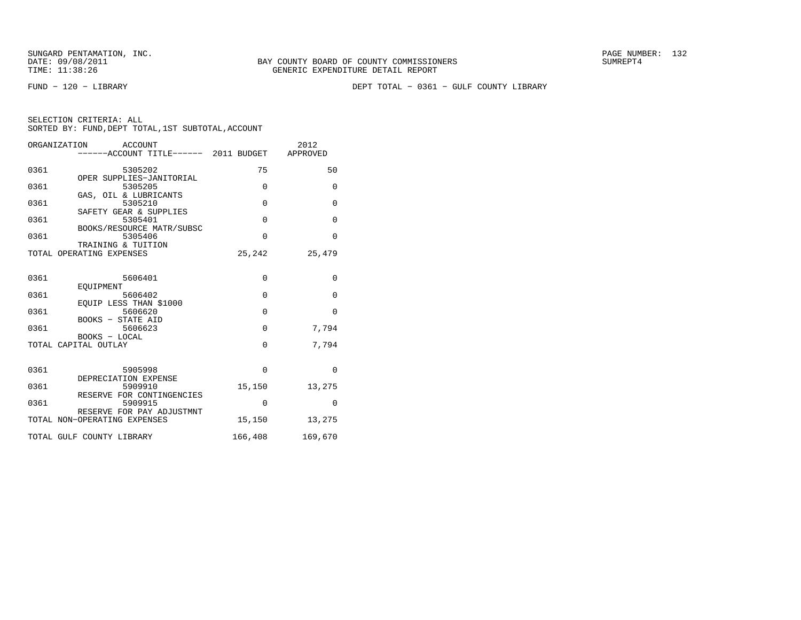FUND − 120 − LIBRARY DEPT TOTAL − 0361 − GULF COUNTY LIBRARY

|  | SELECTION CRITERIA: ALL                            |  |  |
|--|----------------------------------------------------|--|--|
|  | SORTED BY: FUND, DEPT TOTAL, 1ST SUBTOTAL, ACCOUNT |  |  |

|      | ORGANIZATION<br>ACCOUNT                                   |             | 2012         |
|------|-----------------------------------------------------------|-------------|--------------|
|      | -----ACCOUNT TITLE------ 2011 BUDGET                      |             | APPROVED     |
|      |                                                           |             |              |
| 0361 | 5305202                                                   | 75          | 50           |
| 0361 | OPER SUPPLIES-JANITORIAL<br>5305205                       | $\Omega$    | $\Omega$     |
|      | GAS, OIL & LUBRICANTS                                     |             |              |
| 0361 | 5305210                                                   | $\Omega$    | $\Omega$     |
|      | SAFETY GEAR & SUPPLIES                                    |             |              |
| 0361 | 5305401                                                   | $\Omega$    | $\mathbf 0$  |
|      | BOOKS/RESOURCE MATR/SUBSC                                 |             |              |
| 0361 | 5305406                                                   | $\Omega$    | $\Omega$     |
|      | TRAINING & TUITION                                        |             |              |
|      | TOTAL OPERATING EXPENSES                                  | 25,242      | 25,479       |
|      |                                                           |             |              |
| 0361 | 5606401                                                   | $\mathbf 0$ | $\mathbf{0}$ |
|      | <b>EOUIPMENT</b>                                          |             |              |
| 0361 | 5606402                                                   | $\Omega$    | $\Omega$     |
|      | EOUIP LESS THAN \$1000                                    |             |              |
| 0361 | 5606620                                                   | $\Omega$    | $\Omega$     |
|      | BOOKS - STATE AID                                         |             |              |
| 0361 | 5606623                                                   | $\Omega$    | 7,794        |
|      | BOOKS - LOCAL<br>TOTAL CAPITAL OUTLAY                     | 0           | 7,794        |
|      |                                                           |             |              |
|      |                                                           |             |              |
| 0361 | 5905998                                                   | $\Omega$    | $\Omega$     |
|      | DEPRECIATION EXPENSE                                      |             |              |
| 0361 | 5909910                                                   | 15,150      | 13,275       |
|      | RESERVE FOR CONTINGENCIES                                 |             |              |
| 0361 | 5909915                                                   | $\Omega$    | $\Omega$     |
|      | RESERVE FOR PAY ADJUSTMNT<br>TOTAL NON-OPERATING EXPENSES | 15,150      |              |
|      |                                                           |             | 13,275       |
|      | TOTAL GULF COUNTY LIBRARY                                 | 166,408     | 169,670      |
|      |                                                           |             |              |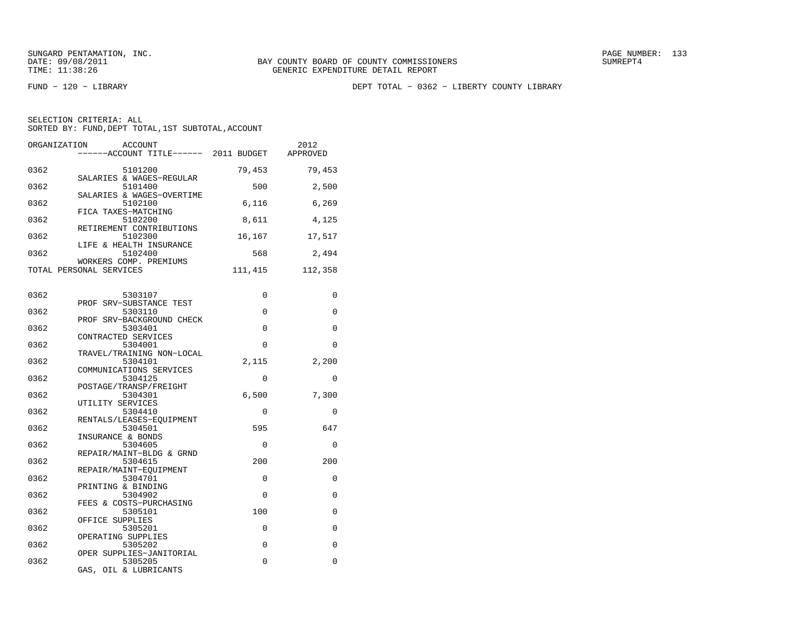FUND − 120 − LIBRARY DEPT TOTAL − 0362 − LIBERTY COUNTY LIBRARY

| ORGANIZATION<br>ACCOUNT<br>------ACCOUNT TITLE------ 2011 BUDGET    |                  | 2012<br>APPROVED |
|---------------------------------------------------------------------|------------------|------------------|
| 0362<br>5101200                                                     | 79,453           | 79,453           |
| SALARIES & WAGES-REGULAR<br>0362<br>5101400                         | 500              | 2,500            |
| SALARIES & WAGES-OVERTIME<br>0362<br>5102100<br>FICA TAXES-MATCHING | 6,116            | 6,269            |
| 0362<br>5102200<br>RETIREMENT CONTRIBUTIONS                         | 8,611            | 4,125            |
| 0362<br>5102300<br>LIFE & HEALTH INSURANCE                          | 16,167           | 17,517           |
| 0362<br>5102400<br>WORKERS COMP. PREMIUMS                           | 568              | 2,494            |
| TOTAL PERSONAL SERVICES                                             | 111,415          | 112,358          |
| 0362<br>5303107                                                     | 0                | 0                |
| PROF SRV-SUBSTANCE TEST<br>5303110<br>0362                          | 0                | $\mathbf 0$      |
| PROF SRV-BACKGROUND CHECK<br>0362<br>5303401                        | $\Omega$         | $\Omega$         |
| CONTRACTED SERVICES<br>0362<br>5304001<br>TRAVEL/TRAINING NON-LOCAL | 0                | 0                |
| 0362<br>5304101<br>COMMUNICATIONS SERVICES                          | 2,115            | 2,200            |
| 0362<br>5304125<br>POSTAGE/TRANSP/FREIGHT                           | $\mathbf 0$      | 0                |
| 0362<br>5304301<br>UTILITY SERVICES                                 | 6,500            | 7,300            |
| 0362<br>5304410<br>RENTALS/LEASES-EOUIPMENT                         | $\Omega$         | 0                |
| 0362<br>5304501<br>INSURANCE & BONDS                                | 595              | 647              |
| 0362<br>5304605<br>REPAIR/MAINT-BLDG & GRND                         | $\mathbf 0$      | 0                |
| 0362<br>5304615<br>REPAIR/MAINT-EQUIPMENT                           | 200              | 200              |
| 0362<br>5304701<br>PRINTING & BINDING                               | 0                | 0                |
| 0362<br>5304902<br>FEES & COSTS-PURCHASING                          | $\Omega$         | 0                |
| 0362<br>5305101<br>OFFICE SUPPLIES                                  | 100              | 0                |
| 0362<br>5305201<br>OPERATING SUPPLIES<br>0362<br>5305202            | $\mathbf 0$<br>0 | $\mathbf 0$<br>0 |
| OPER SUPPLIES-JANITORIAL<br>0362<br>5305205                         | $\Omega$         | 0                |
| GAS, OIL & LUBRICANTS                                               |                  |                  |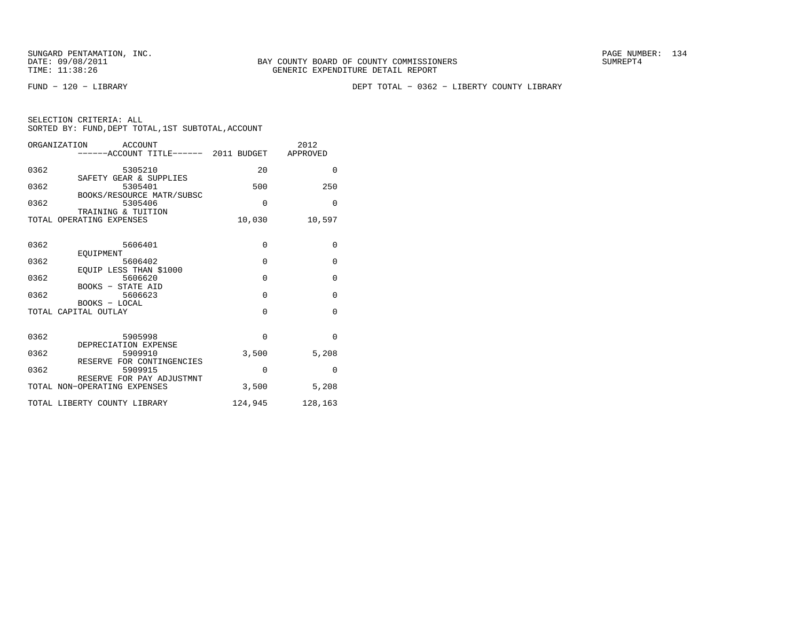FUND − 120 − LIBRARY DEPT TOTAL − 0362 − LIBERTY COUNTY LIBRARY

| <b>ACCOUNT</b><br>ORGANIZATION<br>-----ACCOUNT TITLE------ 2011 BUDGET |             | 2012<br>APPROVED |
|------------------------------------------------------------------------|-------------|------------------|
| 0362<br>5305210                                                        | 20          | $\Omega$         |
| SAFETY GEAR & SUPPLIES<br>0362<br>5305401                              | 500         | 250              |
| BOOKS/RESOURCE MATR/SUBSC<br>0362<br>5305406<br>TRAINING & TUITION     | $\Omega$    | $\Omega$         |
| TOTAL OPERATING EXPENSES                                               | 10,030      | 10,597           |
| 0362<br>5606401                                                        | $\mathbf 0$ | 0                |
| EOUIPMENT<br>0362<br>5606402                                           | $\Omega$    | $\Omega$         |
| EQUIP LESS THAN \$1000<br>0362<br>5606620                              | $\Omega$    | $\mathbf{0}$     |
| BOOKS - STATE AID<br>0362<br>5606623<br>BOOKS - LOCAL                  | $\Omega$    | $\mathbf{0}$     |
| TOTAL CAPITAL OUTLAY                                                   | $\Omega$    | $\Omega$         |
| 0362<br>5905998                                                        | $\Omega$    | $\Omega$         |
| DEPRECIATION EXPENSE<br>0362<br>5909910                                | 3,500       | 5,208            |
| RESERVE FOR CONTINGENCIES<br>0362<br>5909915                           | $\Omega$    | $\Omega$         |
| RESERVE FOR PAY ADJUSTMNT<br>TOTAL NON-OPERATING EXPENSES              | 3,500       | 5,208            |
| TOTAL LIBERTY COUNTY LIBRARY                                           | 124,945     | 128,163          |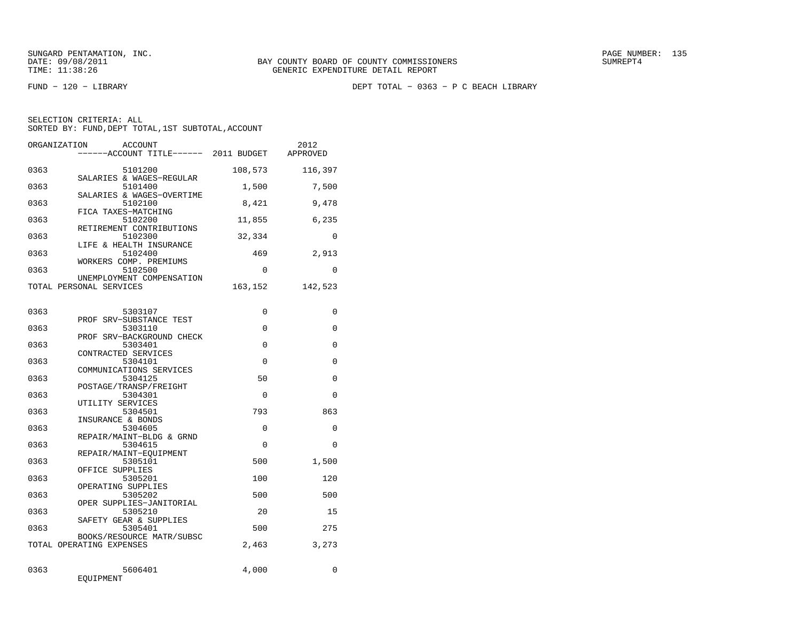FUND − 120 − LIBRARY DEPT TOTAL − 0363 − P C BEACH LIBRARY

|  | SELECTION CRITERIA: ALL |                                                    |
|--|-------------------------|----------------------------------------------------|
|  |                         | SORTED BY: FUND, DEPT TOTAL, 1ST SUBTOTAL, ACCOUNT |
|  |                         |                                                    |

| ORGANIZATION | <b>ACCOUNT</b><br>-----ACCOUNT TITLE------ 2011 BUDGET       |          | 2012<br>APPROVED |
|--------------|--------------------------------------------------------------|----------|------------------|
| 0363         | 5101200<br>SALARIES & WAGES-REGULAR                          | 108,573  | 116,397          |
| 0363         | 5101400<br>SALARIES & WAGES-OVERTIME                         | 1,500    | 7,500            |
| 0363         | 5102100<br>FICA TAXES-MATCHING                               | 8,421    | 9,478            |
| 0363         | 5102200<br>RETIREMENT CONTRIBUTIONS                          | 11,855   | 6,235            |
| 0363         | 5102300<br>LIFE & HEALTH INSURANCE                           | 32,334   | $\mathbf{0}$     |
| 0363         | 5102400<br>WORKERS COMP. PREMIUMS                            | 469      | 2,913            |
| 0363         | 5102500<br>UNEMPLOYMENT COMPENSATION                         | $\Omega$ | $\Omega$         |
|              | TOTAL PERSONAL SERVICES                                      | 163,152  | 142,523          |
| 0363         | 5303107                                                      | 0        | 0                |
| 0363         | PROF SRV-SUBSTANCE TEST<br>5303110                           | 0        | 0                |
| 0363         | PROF SRV-BACKGROUND CHECK<br>5303401                         | $\Omega$ | $\Omega$         |
| 0363         | CONTRACTED SERVICES<br>5304101                               | $\Omega$ | $\Omega$         |
| 0363         | COMMUNICATIONS SERVICES<br>5304125<br>POSTAGE/TRANSP/FREIGHT | 50       | $\Omega$         |
| 0363         | 5304301<br>UTILITY SERVICES                                  | $\Omega$ | 0                |
| 0363         | 5304501<br>INSURANCE & BONDS                                 | 793      | 863              |
| 0363         | 5304605<br>REPAIR/MAINT-BLDG & GRND                          | 0        | 0                |
| 0363         | 5304615<br>REPAIR/MAINT-EOUIPMENT                            | $\Omega$ | $\Omega$         |
| 0363         | 5305101<br>OFFICE SUPPLIES                                   | 500      | 1,500            |
| 0363         | 5305201<br>OPERATING SUPPLIES                                | 100      | 120              |
| 0363         | 5305202<br>OPER SUPPLIES-JANITORIAL                          | 500      | 500              |
| 0363         | 5305210<br>SAFETY GEAR & SUPPLIES                            | 20       | 15               |
| 0363         | 5305401<br>BOOKS/RESOURCE MATR/SUBSC                         | 500      | 275              |
|              | TOTAL OPERATING EXPENSES                                     | 2,463    | 3,273            |
| 0363         | 5606401<br>EQUIPMENT                                         | 4,000    | $\Omega$         |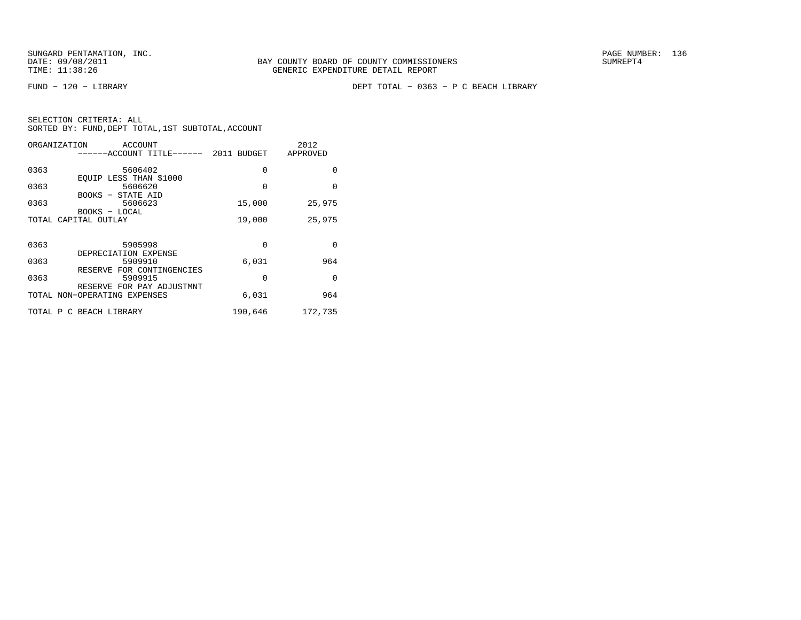FUND − 120 − LIBRARY DEPT TOTAL − 0363 − P C BEACH LIBRARY

| ORGANIZATION         | ACCOUNT                                                      |          | 2012     |
|----------------------|--------------------------------------------------------------|----------|----------|
|                      | -----ACCOUNT TITLE------ 2011 BUDGET                         |          | APPROVED |
| 0363                 | 5606402                                                      | 0        | $\Omega$ |
| 0363                 | EQUIP LESS THAN \$1000<br>5606620                            | $\Omega$ | $\Omega$ |
| 0363                 | BOOKS - STATE AID<br>5606623                                 | 15,000   | 25,975   |
|                      | BOOKS - LOCAL                                                |          |          |
| TOTAL CAPITAL OUTLAY |                                                              | 19,000   | 25,975   |
|                      |                                                              |          |          |
| 0363                 | 5905998                                                      | $\Omega$ | $\Omega$ |
| 0363                 | DEPRECIATION EXPENSE<br>5909910<br>RESERVE FOR CONTINGENCIES | 6,031    | 964      |
| 0363                 | 5909915                                                      | $\Omega$ | $\Omega$ |
|                      | RESERVE FOR PAY ADJUSTMNT<br>TOTAL NON-OPERATING EXPENSES    | 6,031    | 964      |
|                      | TOTAL P C BEACH LIBRARY                                      | 190,646  | 172,735  |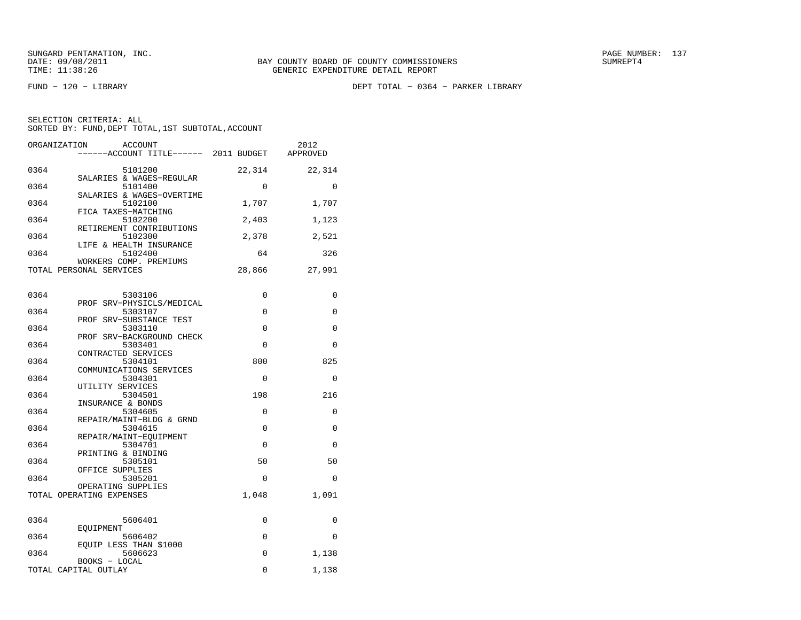FUND − 120 − LIBRARY DEPT TOTAL − 0364 − PARKER LIBRARY

| SELECTION CRITERIA: ALL                            |  |
|----------------------------------------------------|--|
| SORTED BY: FUND, DEPT TOTAL, 1ST SUBTOTAL, ACCOUNT |  |

| ORGANIZATION<br><b>ACCOUNT</b><br>----ACCOUNT TITLE------ 2011 BUDGET |          | 2012<br>APPROVED |
|-----------------------------------------------------------------------|----------|------------------|
| 0364<br>5101200                                                       | 22,314   | 22,314           |
| SALARIES & WAGES-REGULAR<br>0364<br>5101400                           | 0        | 0                |
| SALARIES & WAGES-OVERTIME<br>0364<br>5102100                          | 1,707    | 1,707            |
| FICA TAXES-MATCHING<br>0364<br>5102200                                | 2,403    | 1,123            |
| RETIREMENT CONTRIBUTIONS<br>5102300<br>0364                           | 2,378    | 2,521            |
| LIFE & HEALTH INSURANCE<br>0364<br>5102400                            | 64       | 326              |
| WORKERS COMP. PREMIUMS<br>TOTAL PERSONAL SERVICES                     | 28,866   | 27,991           |
| 0364<br>5303106                                                       | 0        | 0                |
| PROF SRV-PHYSICLS/MEDICAL<br>0364<br>5303107                          | 0        | 0                |
| PROF SRV-SUBSTANCE TEST<br>0364<br>5303110                            | 0        | 0                |
| PROF SRV-BACKGROUND CHECK<br>5303401<br>0364                          | $\Omega$ | $\Omega$         |
| CONTRACTED SERVICES<br>0364<br>5304101                                | 800      | 825              |
| COMMUNICATIONS SERVICES<br>0364<br>5304301                            | $\Omega$ | $\Omega$         |
| UTILITY SERVICES<br>0364<br>5304501                                   | 198      | 216              |
| INSURANCE & BONDS<br>0364<br>5304605                                  | 0        | 0                |
| REPAIR/MAINT-BLDG & GRND<br>0364<br>5304615                           | $\Omega$ | $\Omega$         |
| REPAIR/MAINT-EQUIPMENT<br>5304701<br>0364                             | 0        | 0                |
| PRINTING & BINDING<br>0364<br>5305101                                 | 50       | 50               |
| OFFICE SUPPLIES<br>0364<br>5305201                                    | 0        | 0                |
| OPERATING SUPPLIES<br>TOTAL OPERATING EXPENSES                        | 1,048    | 1,091            |
| 0364<br>5606401                                                       | 0        | 0                |
| EOUIPMENT<br>0364<br>5606402                                          | 0        | $\Omega$         |
| EQUIP LESS THAN \$1000<br>5606623<br>0364                             | $\Omega$ | 1,138            |
| BOOKS - LOCAL<br>TOTAL CAPITAL OUTLAY                                 | 0        | 1,138            |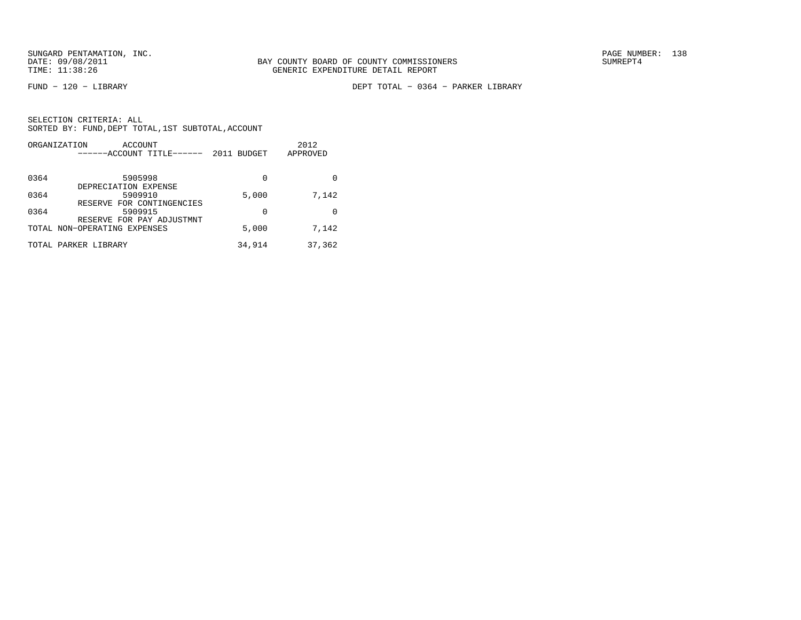FUND − 120 − LIBRARY DEPT TOTAL − 0364 − PARKER LIBRARY

|      | ORGANIZATION<br>ACCOUNT<br>------ACCOUNT TITLE------      | 2011 BUDGET | 2012<br>APPROVED |
|------|-----------------------------------------------------------|-------------|------------------|
| 0364 | 5905998                                                   | 0           |                  |
| 0364 | DEPRECIATION EXPENSE<br>5909910                           | 5,000       | 7,142            |
| 0364 | RESERVE FOR CONTINGENCIES<br>5909915                      | $\Omega$    |                  |
|      | RESERVE FOR PAY ADJUSTMNT<br>TOTAL NON-OPERATING EXPENSES | 5,000       | 7,142            |
|      | TOTAL PARKER LIBRARY                                      | 34,914      | 37,362           |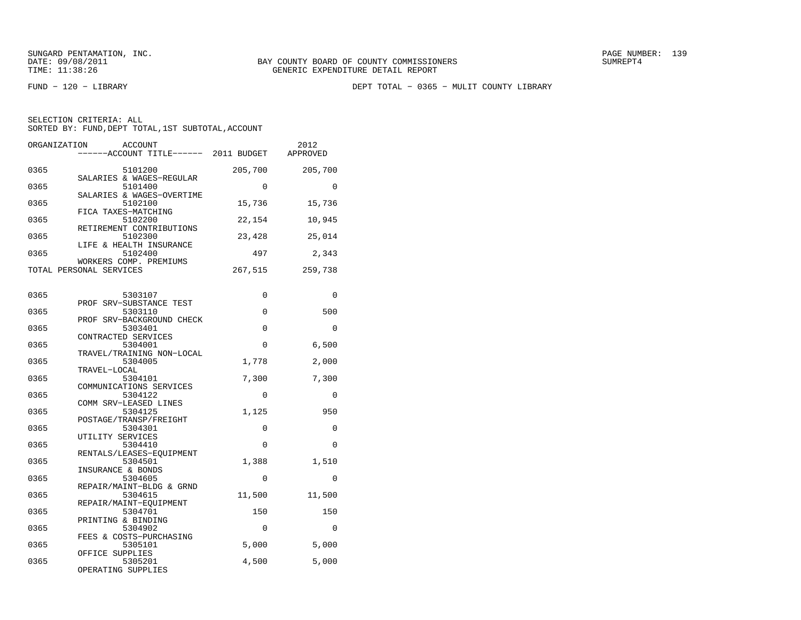FUND − 120 − LIBRARY DEPT TOTAL − 0365 − MULIT COUNTY LIBRARY

| SELECTION CRITERIA: ALL                            |  |  |
|----------------------------------------------------|--|--|
| SORTED BY: FUND, DEPT TOTAL, 1ST SUBTOTAL, ACCOUNT |  |  |

| ORGANIZATION                    | ACCOUNT<br>----ACCOUNT TITLE------ 2011 BUDGET |             | 2012<br>APPROVED |
|---------------------------------|------------------------------------------------|-------------|------------------|
| 0365                            | 5101200                                        | 205,700     | 205,700          |
| 0365                            | SALARIES & WAGES-REGULAR<br>5101400            | $\mathbf 0$ | $\Omega$         |
| 0365                            | SALARIES & WAGES-OVERTIME<br>5102100           | 15,736      | 15,736           |
| FICA TAXES-MATCHING<br>0365     | 5102200<br>RETIREMENT CONTRIBUTIONS            | 22,154      | 10,945           |
| 0365<br>LIFE & HEALTH INSURANCE | 5102300                                        | 23,428      | 25,014           |
| 0365<br>WORKERS COMP. PREMIUMS  | 5102400                                        | 497         | 2,343            |
| TOTAL PERSONAL SERVICES         |                                                | 267,515     | 259,738          |
| 0365                            | 5303107                                        | 0           | $\Omega$         |
| PROF SRV-SUBSTANCE TEST<br>0365 | 5303110                                        | 0           | 500              |
| 0365                            | PROF SRV-BACKGROUND CHECK<br>5303401           | 0           | $\mathbf 0$      |
| CONTRACTED SERVICES<br>0365     | 5304001                                        | $\Omega$    | 6,500            |
| 0365<br>TRAVEL-LOCAL            | TRAVEL/TRAINING NON-LOCAL<br>5304005           | 1,778       | 2,000            |
| 0365<br>COMMUNICATIONS SERVICES | 5304101                                        | 7,300       | 7,300            |
| 0365<br>COMM SRV-LEASED LINES   | 5304122                                        | $\mathbf 0$ | 0                |
| 0365<br>POSTAGE/TRANSP/FREIGHT  | 5304125                                        | 1,125       | 950              |
| 0365<br>UTILITY SERVICES        | 5304301                                        | 0           | 0                |
| 0365                            | 5304410<br>RENTALS/LEASES-EQUIPMENT            | $\Omega$    | $\Omega$         |
| 0365<br>INSURANCE & BONDS       | 5304501                                        | 1,388       | 1,510            |
| 0365                            | 5304605<br>REPAIR/MAINT-BLDG & GRND            | $\Omega$    | $\Omega$         |
| 0365<br>REPAIR/MAINT-EOUIPMENT  | 5304615                                        | 11,500      | 11,500           |
| 0365<br>PRINTING & BINDING      | 5304701                                        | 150         | 150              |
| 0365<br>FEES & COSTS-PURCHASING | 5304902                                        | 0           | 0                |
| 0365<br>OFFICE SUPPLIES         | 5305101                                        | 5,000       | 5,000            |
| 0365<br>OPERATING SUPPLIES      | 5305201                                        | 4,500       | 5,000            |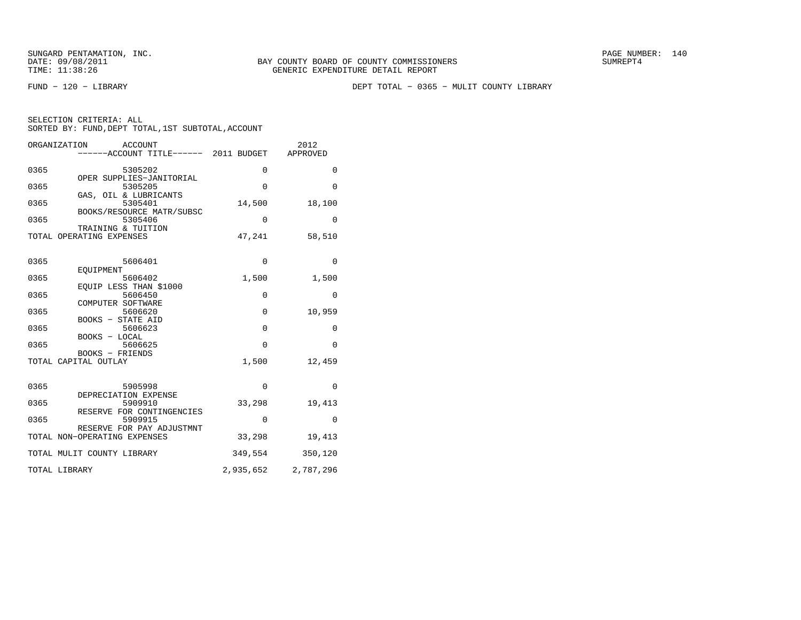FUND − 120 − LIBRARY DEPT TOTAL − 0365 − MULIT COUNTY LIBRARY

| SELECTION CRITERIA: ALL |  |  |                                                    |  |
|-------------------------|--|--|----------------------------------------------------|--|
|                         |  |  | SORTED BY: FUND, DEPT TOTAL, 1ST SUBTOTAL, ACCOUNT |  |

|      | ORGANIZATION<br><b>ACCOUNT</b><br>-----ACCOUNT TITLE------ 2011 BUDGET |             | 2012<br>APPROVED    |
|------|------------------------------------------------------------------------|-------------|---------------------|
| 0365 | 5305202                                                                | $\mathbf 0$ | $\mathbf{0}$        |
| 0365 | OPER SUPPLIES-JANITORIAL<br>5305205                                    | $\Omega$    | $\Omega$            |
| 0365 | GAS, OIL & LUBRICANTS<br>5305401                                       | 14,500      | 18,100              |
| 0365 | BOOKS/RESOURCE MATR/SUBSC<br>5305406                                   | 0           | 0                   |
|      | TRAINING & TUITION<br>TOTAL OPERATING EXPENSES                         | 47,241      | 58,510              |
| 0365 | 5606401                                                                | $\mathbf 0$ | 0                   |
| 0365 | EOUIPMENT<br>5606402                                                   | 1,500       | 1,500               |
| 0365 | EQUIP LESS THAN \$1000<br>5606450                                      | 0           | $\mathbf{0}$        |
| 0365 | COMPUTER SOFTWARE<br>5606620                                           | 0           | 10,959              |
| 0365 | <b>BOOKS - STATE AID</b><br>5606623                                    | $\mathbf 0$ | $\mathbf 0$         |
| 0365 | BOOKS - LOCAL<br>5606625                                               | $\Omega$    | $\Omega$            |
|      | BOOKS - FRIENDS<br>TOTAL CAPITAL OUTLAY                                | 1,500       | 12,459              |
| 0365 | 5905998                                                                | $\Omega$    | $\Omega$            |
| 0365 | DEPRECIATION EXPENSE<br>5909910                                        | 33,298      | 19,413              |
| 0365 | RESERVE FOR CONTINGENCIES<br>5909915                                   | 0           | $\mathbf{0}$        |
|      | RESERVE FOR PAY ADJUSTMNT<br>TOTAL NON-OPERATING EXPENSES              | 33,298      | 19,413              |
|      | TOTAL MULIT COUNTY LIBRARY                                             | 349,554     | 350,120             |
|      | TOTAL LIBRARY                                                          |             | 2,935,652 2,787,296 |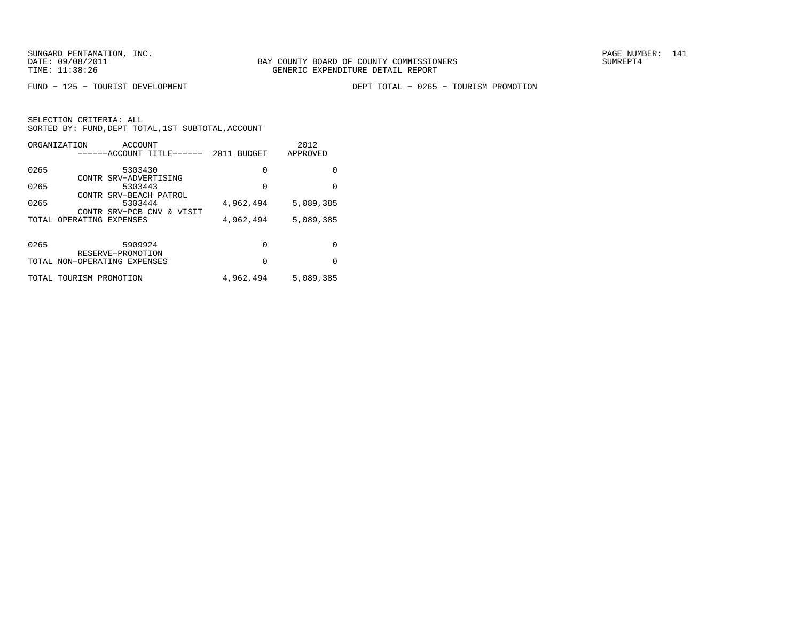FUND − 125 − TOURIST DEVELOPMENT DEPT TOTAL − 0265 − TOURISM PROMOTION

|      | ORGANIZATION<br>ACCOUNT      |             | 2012      |
|------|------------------------------|-------------|-----------|
|      | ------ACCOUNT TITLE------    | 2011 BUDGET | APPROVED  |
| 0265 | 5303430                      | 0           | 0         |
|      | CONTR SRV-ADVERTISING        |             |           |
| 0265 | 5303443                      | $\Omega$    | $\Omega$  |
|      | CONTR SRV-BEACH PATROL       |             |           |
| 0265 | 5303444                      | 4,962,494   | 5,089,385 |
|      | CONTR SRV-PCB CNV & VISIT    |             |           |
|      | TOTAL OPERATING EXPENSES     | 4,962,494   | 5,089,385 |
|      |                              |             |           |
| 0265 | 5909924                      | 0           | 0         |
|      | RESERVE-PROMOTION            |             |           |
|      | TOTAL NON-OPERATING EXPENSES | $\Omega$    | 0         |
|      | TOTAL TOURISM PROMOTION      | 4,962,494   | 5,089,385 |
|      |                              |             |           |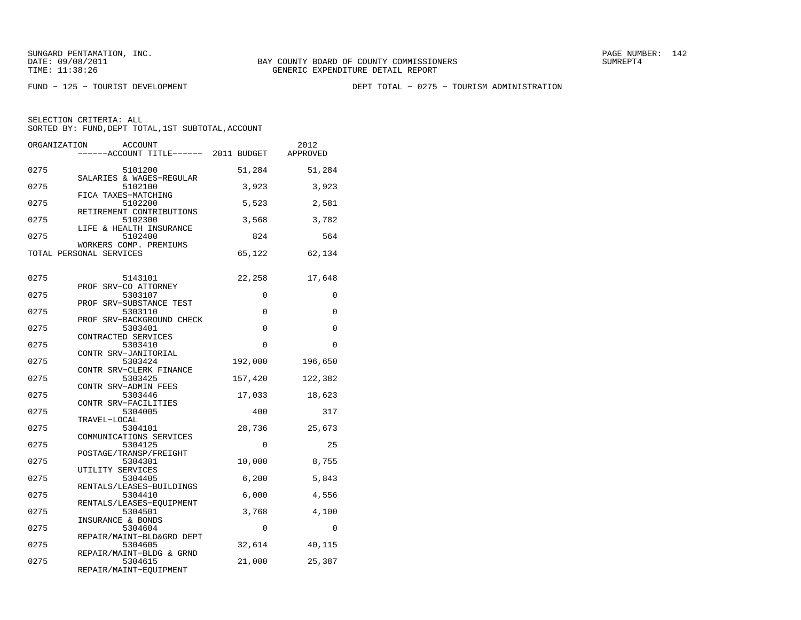FUND − 125 − TOURIST DEVELOPMENT DEPT TOTAL − 0275 − TOURISM ADMINISTRATION

| ORGANIZATION            | <b>ACCOUNT</b><br>-----ACCOUNT TITLE------ 2011 BUDGET        |          | 2012<br>APPROVED |
|-------------------------|---------------------------------------------------------------|----------|------------------|
| 0275                    | 5101200                                                       | 51,284   | 51,284           |
| 0275                    | SALARIES & WAGES-REGULAR<br>5102100<br>FICA TAXES-MATCHING    | 3,923    | 3,923            |
| 0275                    | 5102200<br>RETIREMENT CONTRIBUTIONS                           | 5,523    | 2,581            |
| 0275                    | 5102300<br>LIFE & HEALTH INSURANCE                            | 3,568    | 3,782            |
| 0275                    | 5102400<br>WORKERS COMP. PREMIUMS                             | 824      | 564              |
| TOTAL PERSONAL SERVICES |                                                               | 65,122   | 62,134           |
| 0275                    | 5143101<br>PROF SRV-CO ATTORNEY                               | 22,258   | 17,648           |
| 0275                    | 5303107                                                       | 0        | 0                |
| 0275                    | PROF SRV-SUBSTANCE TEST<br>5303110                            | 0        | 0                |
| 0275                    | PROF SRV-BACKGROUND CHECK<br>5303401                          | $\Omega$ | $\Omega$         |
| 0275                    | CONTRACTED SERVICES<br>5303410                                | 0        | $\Omega$         |
| 0275                    | CONTR SRV-JANITORIAL<br>5303424                               | 192,000  | 196,650          |
| 0275                    | CONTR SRV-CLERK FINANCE<br>5303425                            | 157,420  | 122,382          |
| 0275                    | CONTR SRV-ADMIN FEES<br>5303446                               | 17,033   | 18,623           |
| 0275                    | CONTR SRV-FACILITIES<br>5304005                               | 400      | 317              |
| 0275                    | TRAVEL-LOCAL<br>5304101                                       | 28,736   | 25,673           |
| 0275                    | COMMUNICATIONS SERVICES<br>5304125<br>POSTAGE/TRANSP/FREIGHT  | $\Omega$ | 25               |
| 0275                    | 5304301<br>UTILITY SERVICES                                   | 10,000   | 8,755            |
| 0275                    | 5304405                                                       | 6,200    | 5,843            |
| 0275                    | RENTALS/LEASES-BUILDINGS<br>5304410                           | 6,000    | 4,556            |
| 0275                    | RENTALS/LEASES-EQUIPMENT<br>5304501<br>INSURANCE & BONDS      | 3,768    | 4,100            |
| 0275                    | 5304604                                                       | 0        | $\Omega$         |
| 0275                    | REPAIR/MAINT-BLD&GRD DEPT<br>5304605                          | 32,614   | 40,115           |
| 0275                    | REPAIR/MAINT-BLDG & GRND<br>5304615<br>REPAIR/MAINT-EQUIPMENT | 21,000   | 25,387           |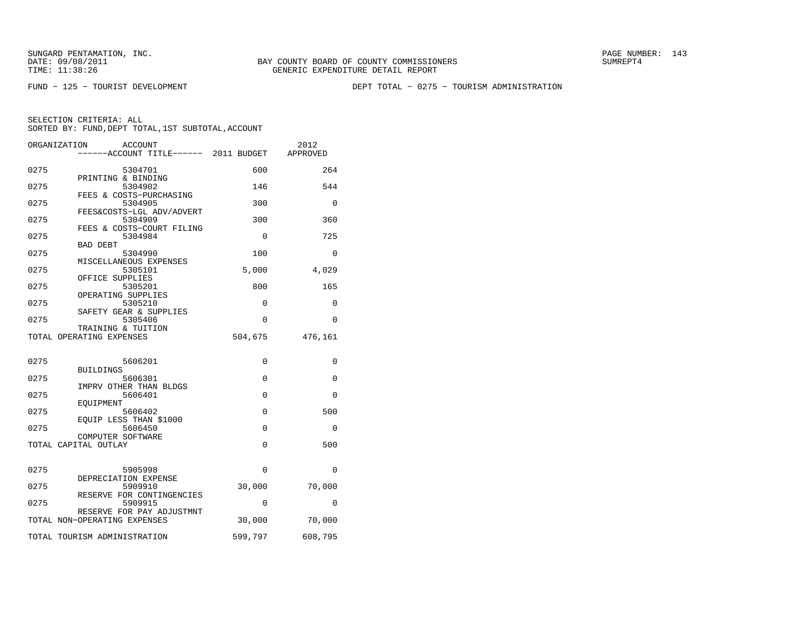FUND − 125 − TOURIST DEVELOPMENT DEPT TOTAL − 0275 − TOURISM ADMINISTRATION

|      | ORGANIZATION<br><b>ACCOUNT</b><br>-----ACCOUNT TITLE------ 2011 BUDGET |          | 2012<br>APPROVED |
|------|------------------------------------------------------------------------|----------|------------------|
| 0275 | 5304701                                                                | 600      | 264              |
| 0275 | PRINTING & BINDING<br>5304902                                          | 146      | 544              |
| 0275 | FEES & COSTS-PURCHASING<br>5304905                                     | 300      | $\Omega$         |
| 0275 | FEES&COSTS-LGL ADV/ADVERT<br>5304909                                   | 300      | 360              |
| 0275 | FEES & COSTS-COURT FILING<br>5304984                                   | $\Omega$ | 725              |
|      | BAD DEBT                                                               |          |                  |
| 0275 | 5304990<br>MISCELLANEOUS EXPENSES                                      | 100      | $\Omega$         |
| 0275 | 5305101<br>OFFICE SUPPLIES                                             | 5,000    | 4,029            |
| 0275 | 5305201<br>OPERATING SUPPLIES                                          | 800      | 165              |
| 0275 | 5305210<br>SAFETY GEAR & SUPPLIES                                      | 0        | 0                |
| 0275 | 5305406                                                                | 0        | 0                |
|      | TRAINING & TUITION<br>TOTAL OPERATING EXPENSES                         | 504,675  | 476,161          |
|      |                                                                        |          |                  |
| 0275 | 5606201<br><b>BUILDINGS</b>                                            | 0        | 0                |
| 0275 | 5606301<br>IMPRV OTHER THAN BLDGS                                      | 0        | 0                |
| 0275 | 5606401<br>EOUIPMENT                                                   | $\Omega$ | $\Omega$         |
| 0275 | 5606402                                                                | 0        | 500              |
| 0275 | EOUIP LESS THAN \$1000<br>5606450                                      | 0        | 0                |
|      | COMPUTER SOFTWARE<br>TOTAL CAPITAL OUTLAY                              | 0        | 500              |
|      |                                                                        |          |                  |
| 0275 | 5905998<br>DEPRECIATION EXPENSE                                        | $\Omega$ | $\Omega$         |
| 0275 | 5909910<br>RESERVE FOR CONTINGENCIES                                   | 30,000   | 70,000           |
| 0275 | 5909915                                                                | 0        | 0                |
|      | RESERVE FOR PAY ADJUSTMNT<br>TOTAL NON-OPERATING EXPENSES              | 30,000   | 70,000           |
|      | TOTAL TOURISM ADMINISTRATION                                           | 599,797  | 608,795          |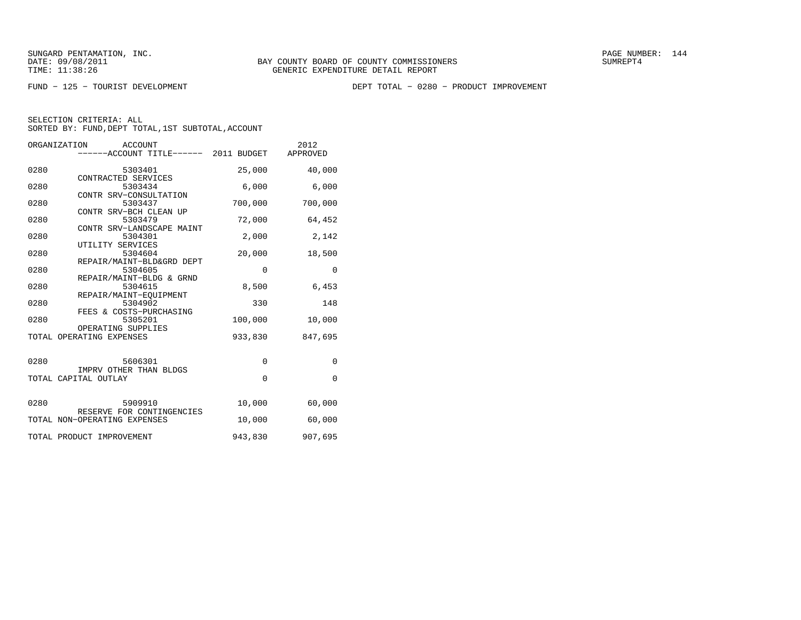FUND − 125 − TOURIST DEVELOPMENT DEPT TOTAL − 0280 − PRODUCT IMPROVEMENT

|      | ORGANIZATION ACCOUNT<br>------ACCOUNT TITLE------ 2011 BUDGET APPROVED |             | 2012         |
|------|------------------------------------------------------------------------|-------------|--------------|
|      |                                                                        |             |              |
| 0280 | 5303401                                                                | 25,000      | 40,000       |
| 0280 | CONTRACTED SERVICES<br>5303434                                         | 6,000       | 6,000        |
| 0280 | CONTR SRV-CONSULTATION<br>5303437                                      | 700,000     | 700,000      |
|      | CONTR SRV-BCH CLEAN UP                                                 |             |              |
| 0280 | 5303479<br>CONTR SRV-LANDSCAPE MAINT                                   | 72,000      | 64,452       |
| 0280 | 5304301                                                                | 2,000       | 2,142        |
| 0280 | UTILITY SERVICES<br>5304604                                            | 20,000      | 18,500       |
| 0280 | REPAIR/MAINT-BLD&GRD DEPT<br>5304605                                   | $\mathbf 0$ | $\mathbf 0$  |
| 0280 | REPAIR/MAINT-BLDG & GRND<br>5304615                                    | 8,500       | 6,453        |
| 0280 | REPAIR/MAINT-EOUIPMENT                                                 | 330         | 148          |
|      | 5304902<br>FEES & COSTS-PURCHASING                                     |             |              |
| 0280 | 5305201<br>OPERATING SUPPLIES                                          | 100,000     | 10,000       |
|      | TOTAL OPERATING EXPENSES                                               | 933,830     | 847,695      |
|      |                                                                        |             |              |
| 0280 | 5606301<br>IMPRV OTHER THAN BLDGS                                      | $\mathbf 0$ | $\mathbf{0}$ |
|      | TOTAL CAPITAL OUTLAY                                                   | $\Omega$    | $\mathbf 0$  |
|      |                                                                        |             |              |
| 0280 | 5909910<br>RESERVE FOR CONTINGENCIES                                   | 10,000      | 60,000       |
|      | TOTAL NON-OPERATING EXPENSES                                           | 10,000      | 60,000       |
|      | TOTAL PRODUCT IMPROVEMENT                                              | 943,830     | 907,695      |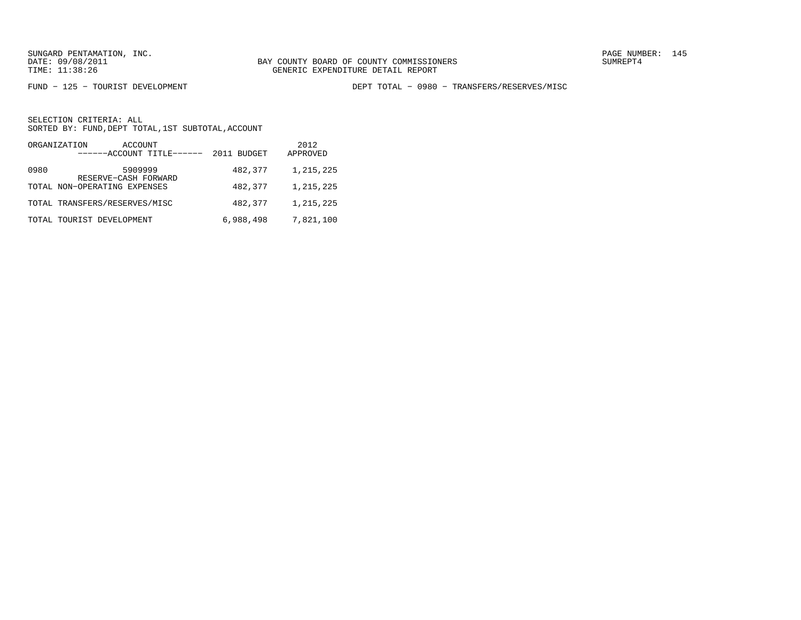FUND − 125 − TOURIST DEVELOPMENT DEPT TOTAL − 0980 − TRANSFERS/RESERVES/MISC

|      | ORGANIZATION<br>ACCOUNT<br>------ACCOUNT TITLE------ | 2011 BUDGET | 2012<br>APPROVED |
|------|------------------------------------------------------|-------------|------------------|
| 0980 | 5909999<br>RESERVE-CASH FORWARD                      | 482,377     | 1,215,225        |
|      | TOTAL NON-OPERATING EXPENSES                         | 482,377     | 1,215,225        |
|      | TOTAL TRANSFERS/RESERVES/MISC                        | 482,377     | 1,215,225        |
|      | TOTAL TOURIST DEVELOPMENT                            | 6,988,498   | 7,821,100        |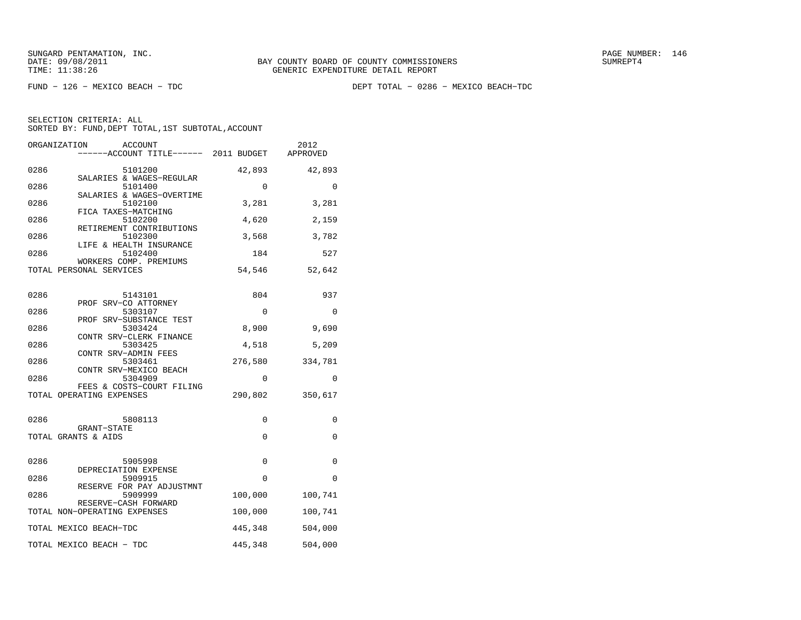FUND − 126 − MEXICO BEACH − TDC DEPT TOTAL − 0286 − MEXICO BEACH−TDC

|      | ORGANIZATION<br><b>ACCOUNT</b><br>-----ACCOUNT TITLE------ 2011 BUDGET |          | 2012<br>APPROVED |
|------|------------------------------------------------------------------------|----------|------------------|
| 0286 | 5101200                                                                | 42,893   | 42,893           |
| 0286 | SALARIES & WAGES-REGULAR<br>5101400                                    | $\Omega$ | $\Omega$         |
| 0286 | SALARIES & WAGES-OVERTIME<br>5102100                                   | 3,281    | 3,281            |
| 0286 | FICA TAXES-MATCHING<br>5102200                                         | 4,620    | 2,159            |
| 0286 | RETIREMENT CONTRIBUTIONS<br>5102300                                    | 3,568    | 3,782            |
| 0286 | LIFE & HEALTH INSURANCE<br>5102400                                     | 184      | 527              |
|      | WORKERS COMP. PREMIUMS<br>TOTAL PERSONAL SERVICES                      | 54,546   | 52,642           |
| 0286 | 5143101                                                                | 804      | 937              |
| 0286 | PROF SRV-CO ATTORNEY<br>5303107                                        | 0        | 0                |
| 0286 | PROF SRV-SUBSTANCE TEST<br>5303424                                     | 8,900    | 9,690            |
| 0286 | CONTR SRV-CLERK FINANCE<br>5303425                                     | 4,518    | 5,209            |
| 0286 | CONTR SRV-ADMIN FEES<br>5303461                                        | 276,580  | 334,781          |
| 0286 | CONTR SRV-MEXICO BEACH<br>5304909                                      | 0        | 0                |
|      | FEES & COSTS-COURT FILING<br>TOTAL OPERATING EXPENSES                  | 290,802  | 350,617          |
| 0286 | 5808113                                                                | 0        | 0                |
|      | GRANT-STATE<br>TOTAL GRANTS & AIDS                                     | 0        | 0                |
| 0286 | 5905998                                                                | 0        | 0                |
| 0286 | DEPRECIATION EXPENSE<br>5909915                                        | 0        | 0                |
| 0286 | RESERVE FOR PAY ADJUSTMNT<br>5909999                                   | 100,000  | 100,741          |
|      | RESERVE-CASH FORWARD<br>TOTAL NON-OPERATING EXPENSES                   | 100,000  | 100,741          |
|      | TOTAL MEXICO BEACH-TDC                                                 | 445,348  | 504,000          |
|      | TOTAL MEXICO BEACH - TDC                                               | 445,348  | 504,000          |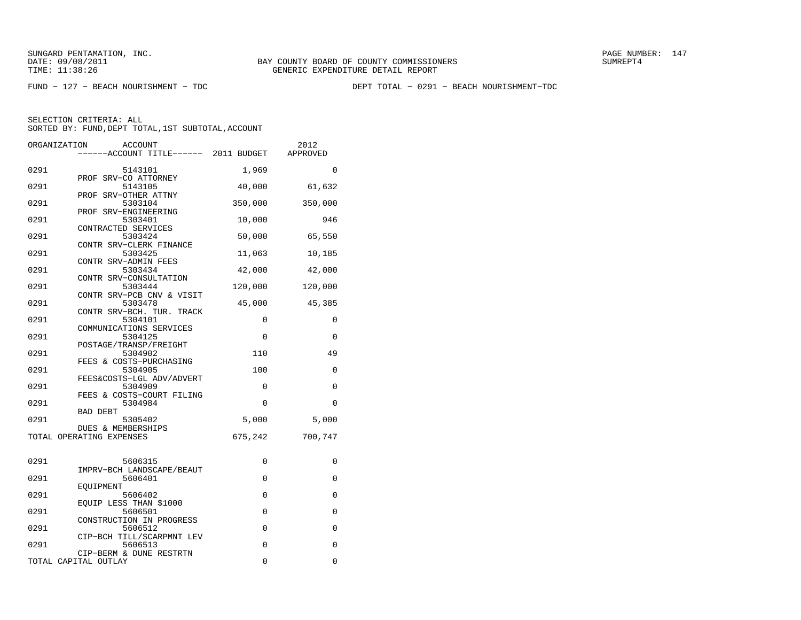FUND − 127 − BEACH NOURISHMENT − TDC DEPT TOTAL − 0291 − BEACH NOURISHMENT−TDC

| ORGANIZATION | <b>ACCOUNT</b><br>------ACCOUNT TITLE------ 2011 BUDGET          |             | 2012<br>APPROVED |
|--------------|------------------------------------------------------------------|-------------|------------------|
| 0291         | 5143101                                                          | 1,969       | $\Omega$         |
| 0291         | PROF SRV-CO ATTORNEY<br>5143105                                  | 40,000      | 61,632           |
| 0291         | PROF SRV-OTHER ATTNY<br>5303104                                  | 350,000     | 350,000          |
| 0291         | PROF SRV-ENGINEERING<br>5303401                                  | 10,000      | 946              |
| 0291         | CONTRACTED SERVICES<br>5303424                                   | 50,000      | 65,550           |
| 0291         | CONTR SRV-CLERK FINANCE<br>5303425                               | 11,063      | 10,185           |
| 0291         | CONTR SRV-ADMIN FEES<br>5303434                                  | 42,000      | 42,000           |
| 0291         | CONTR SRV-CONSULTATION<br>5303444<br>CONTR SRV-PCB CNV & VISIT   | 120,000     | 120,000          |
| 0291         | 5303478<br>CONTR SRV-BCH. TUR. TRACK                             | 45,000      | 45,385           |
| 0291         | 5304101<br>COMMUNICATIONS SERVICES                               | 0           | 0                |
| 0291         | 5304125<br>POSTAGE/TRANSP/FREIGHT                                | $\mathbf 0$ | 0                |
| 0291         | 5304902<br>FEES & COSTS-PURCHASING                               | 110         | 49               |
| 0291         | 5304905<br>FEES&COSTS-LGL ADV/ADVERT                             | 100         | 0                |
| 0291         | 5304909<br>FEES & COSTS-COURT FILING                             | 0           | 0                |
| 0291         | 5304984<br><b>BAD DEBT</b>                                       | $\Omega$    | $\Omega$         |
| 0291         | 5305402<br>DUES & MEMBERSHIPS                                    | 5,000       | 5,000            |
|              | TOTAL OPERATING EXPENSES                                         | 675,242     | 700,747          |
| 0291         | 5606315                                                          | 0           | 0                |
| 0291         | IMPRV-BCH LANDSCAPE/BEAUT<br>5606401                             | $\mathbf 0$ | $\mathbf 0$      |
| 0291         | EOUIPMENT<br>5606402                                             | $\mathbf 0$ | 0                |
| 0291         | EQUIP LESS THAN \$1000<br>5606501                                | 0           | 0                |
| 0291         | CONSTRUCTION IN PROGRESS<br>5606512<br>CIP-BCH TILL/SCARPMNT LEV | 0           | 0                |
| 0291         | 5606513<br>CIP-BERM & DUNE RESTRTN                               | $\mathbf 0$ | $\mathbf 0$      |
|              | TOTAL CAPITAL OUTLAY                                             | 0           | 0                |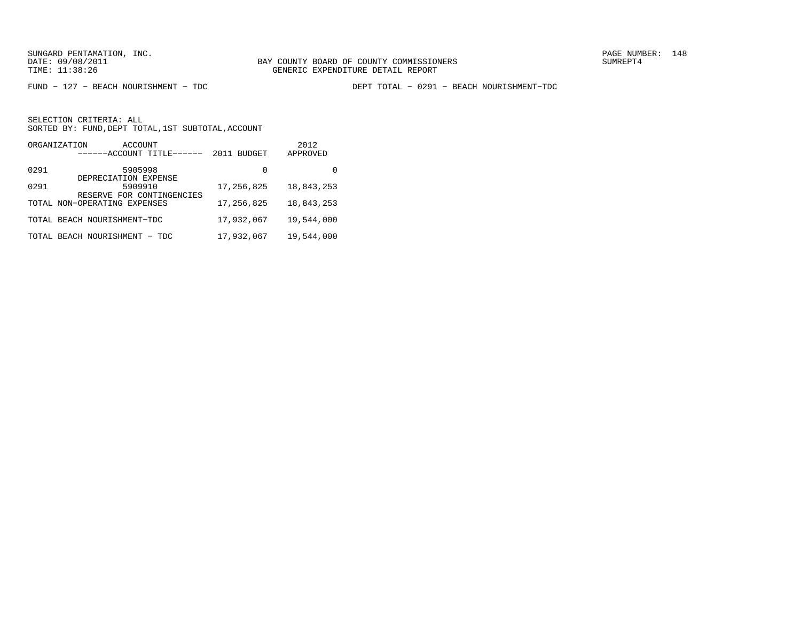FUND − 127 − BEACH NOURISHMENT − TDC DEPT TOTAL − 0291 − BEACH NOURISHMENT−TDC

|      | ORGANIZATION<br>ACCOUNT<br>------ACCOUNT TITLE------ | <b>BUDGET</b><br>2011 | 2012<br>APPROVED |
|------|------------------------------------------------------|-----------------------|------------------|
| 0291 | 5905998<br>DEPRECIATION EXPENSE                      | 0                     |                  |
| 0291 | 5909910<br>RESERVE FOR CONTINGENCIES                 | 17,256,825            | 18,843,253       |
|      | TOTAL NON-OPERATING EXPENSES                         | 17,256,825            | 18,843,253       |
|      | TOTAL BEACH NOURISHMENT-TDC                          | 17,932,067            | 19,544,000       |
|      | TOTAL BEACH NOURISHMENT<br>- TDC                     | 17,932,067            | 19,544,000       |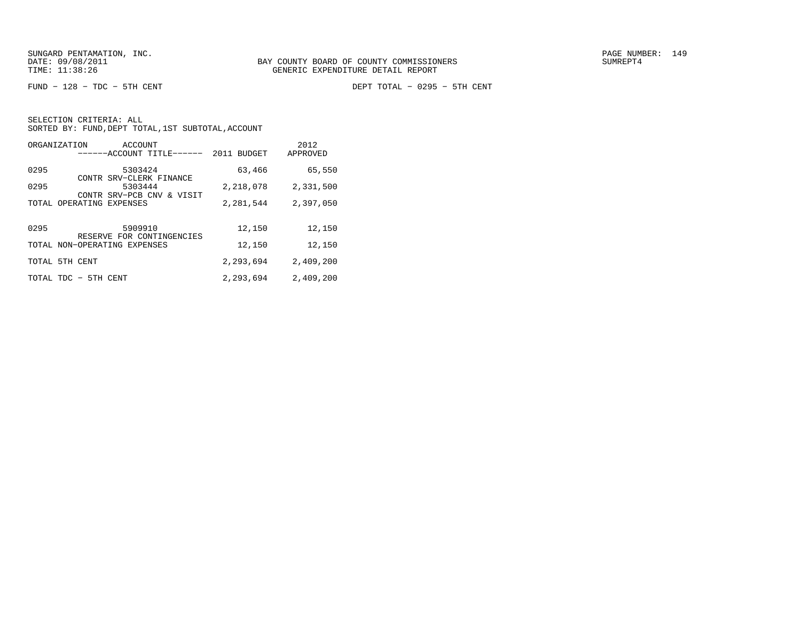FUND − 128 − TDC − 5TH CENT DEPT TOTAL − 0295 − 5TH CENT

|  | SELECTION CRITERIA: ALL |                                                    |  |
|--|-------------------------|----------------------------------------------------|--|
|  |                         | SORTED BY: FUND, DEPT TOTAL, 1ST SUBTOTAL, ACCOUNT |  |

| ORGANIZATION | ACCOUNT<br>------ACCOUNT TITLE------ | 2011<br><b>BUDGET</b> | 2012<br>APPROVED |
|--------------|--------------------------------------|-----------------------|------------------|
| 0295         | 5303424<br>CONTR SRV-CLERK FINANCE   | 63,466                | 65,550           |
| 0295         | 5303444<br>CONTR SRV-PCB CNV & VISIT | 2,218,078             | 2,331,500        |
|              | TOTAL OPERATING EXPENSES             | 2,281,544             | 2,397,050        |
|              |                                      |                       |                  |
| 0295         | 5909910<br>RESERVE FOR CONTINGENCIES | 12,150                | 12,150           |
|              | TOTAL NON-OPERATING EXPENSES         | 12,150                | 12,150           |
|              | TOTAL 5TH CENT                       | 2,293,694             | 2,409,200        |
| TOTAL TDC    | - 5TH<br>CENT                        | 2,293,694             | 2,409,200        |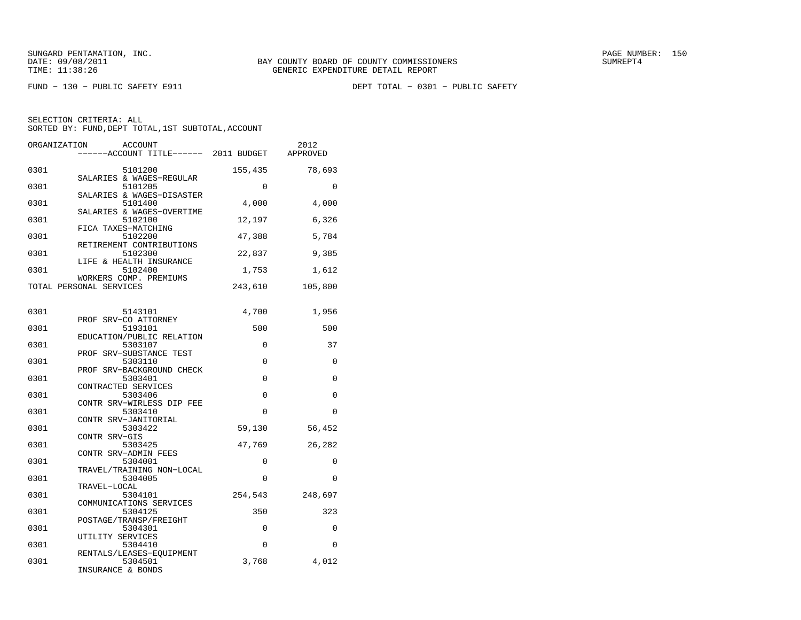FUND − 130 − PUBLIC SAFETY E911 DEPT TOTAL − 0301 − PUBLIC SAFETY

| ORGANIZATION | ACCOUNT<br>----ACCOUNT TITLE------ 2011 BUDGET                 |          | 2012<br>APPROVED |
|--------------|----------------------------------------------------------------|----------|------------------|
| 0301         | 5101200                                                        | 155,435  | 78,693           |
| 0301         | SALARIES & WAGES-REGULAR<br>5101205                            | $\Omega$ | $\Omega$         |
| 0301         | SALARIES & WAGES-DISASTER<br>5101400                           | 4,000    | 4,000            |
| 0301         | SALARIES & WAGES-OVERTIME<br>5102100                           | 12,197   | 6,326            |
| 0301         | FICA TAXES-MATCHING<br>5102200                                 | 47,388   | 5,784            |
| 0301         | RETIREMENT CONTRIBUTIONS<br>5102300<br>LIFE & HEALTH INSURANCE | 22,837   | 9,385            |
| 0301         | 5102400<br>WORKERS COMP. PREMIUMS                              | 1,753    | 1,612            |
|              | TOTAL PERSONAL SERVICES                                        | 243,610  | 105,800          |
| 0301         | 5143101                                                        | 4,700    | 1,956            |
| 0301         | PROF SRV-CO ATTORNEY<br>5193101                                | 500      | 500              |
| 0301         | EDUCATION/PUBLIC RELATION<br>5303107                           | 0        | 37               |
| 0301         | PROF SRV-SUBSTANCE TEST<br>5303110                             | $\Omega$ | 0                |
| 0301         | PROF SRV-BACKGROUND CHECK<br>5303401                           | 0        | 0                |
|              | CONTRACTED SERVICES                                            |          |                  |
| 0301         | 5303406<br>CONTR SRV-WIRLESS DIP FEE                           | 0        | 0                |
| 0301         | 5303410<br>CONTR SRV-JANITORIAL                                | $\Omega$ | $\Omega$         |
| 0301         | 5303422<br>CONTR SRV-GIS                                       | 59,130   | 56,452           |
| 0301         | 5303425<br>CONTR SRV-ADMIN FEES                                | 47,769   | 26,282           |
| 0301         | 5304001<br>TRAVEL/TRAINING NON-LOCAL                           | 0        | 0                |
| 0301         | 5304005<br>TRAVEL-LOCAL                                        | 0        | 0                |
| 0301         | 5304101<br>COMMUNICATIONS SERVICES                             | 254,543  | 248,697          |
| 0301         | 5304125<br>POSTAGE/TRANSP/FREIGHT                              | 350      | 323              |
| 0301         | 5304301<br>UTILITY SERVICES                                    | 0        | 0                |
| 0301         | 5304410<br>RENTALS/LEASES-EQUIPMENT                            | $\Omega$ | $\Omega$         |
| 0301         | 5304501<br>INSURANCE & BONDS                                   | 3,768    | 4,012            |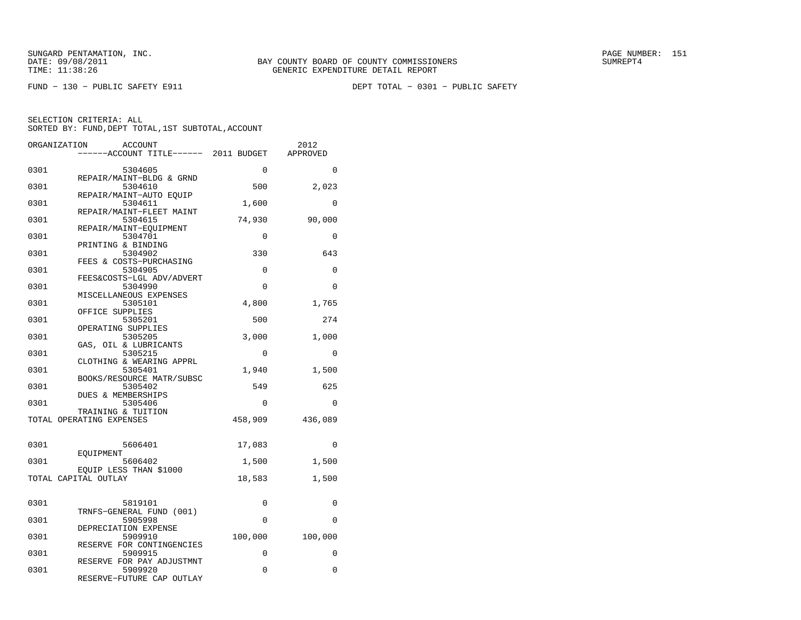FUND − 130 − PUBLIC SAFETY E911 DEPT TOTAL − 0301 − PUBLIC SAFETY

| ORGANIZATION | ACCOUNT                              |             | 2012        |
|--------------|--------------------------------------|-------------|-------------|
|              | ----ACCOUNT TITLE------ 2011 BUDGET  |             | APPROVED    |
| 0301         | 5304605                              | $\mathbf 0$ | 0           |
|              | REPAIR/MAINT-BLDG & GRND             |             |             |
| 0301         | 5304610                              | 500         | 2,023       |
|              | REPAIR/MAINT-AUTO EOUIP              |             |             |
| 0301         | 5304611<br>REPAIR/MAINT-FLEET MAINT  | 1,600       | $\mathbf 0$ |
| 0301         | 5304615                              | 74,930      | 90,000      |
|              | REPAIR/MAINT-EOUIPMENT               |             |             |
| 0301         | 5304701                              | 0           | 0           |
| 0301         | PRINTING & BINDING<br>5304902        | 330         | 643         |
|              | FEES & COSTS-PURCHASING              |             |             |
| 0301         | 5304905                              | $\mathbf 0$ | 0           |
| 0301         | FEES&COSTS-LGL ADV/ADVERT<br>5304990 | $\Omega$    | $\Omega$    |
|              | MISCELLANEOUS EXPENSES               |             |             |
| 0301         | 5305101                              | 4,800       | 1,765       |
|              | OFFICE SUPPLIES                      |             |             |
| 0301         | 5305201<br>OPERATING SUPPLIES        | 500         | 274         |
| 0301         | 5305205                              | 3,000       | 1,000       |
|              | GAS, OIL & LUBRICANTS                |             |             |
| 0301         | 5305215<br>CLOTHING & WEARING APPRL  | 0           | 0           |
| 0301         | 5305401                              | 1,940       | 1,500       |
|              | BOOKS/RESOURCE MATR/SUBSC            |             |             |
| 0301         | 5305402                              | 549         | 625         |
| 0301         | DUES & MEMBERSHIPS<br>5305406        | 0           | $\mathbf 0$ |
|              | TRAINING & TUITION                   |             |             |
|              | TOTAL OPERATING EXPENSES             | 458,909     | 436,089     |
|              |                                      |             |             |
| 0301         | 5606401                              | 17,083      | 0           |
|              | EOUIPMENT                            |             |             |
| 0301         | 5606402<br>EQUIP LESS THAN \$1000    | 1,500       | 1,500       |
|              | TOTAL CAPITAL OUTLAY                 | 18,583      | 1,500       |
|              |                                      |             |             |
|              |                                      |             |             |
| 0301         | 5819101<br>TRNFS-GENERAL FUND (001)  | 0           | 0           |
| 0301         | 5905998                              | $\Omega$    | $\Omega$    |
|              | DEPRECIATION EXPENSE                 |             |             |
| 0301         | 5909910<br>RESERVE FOR CONTINGENCIES | 100,000     | 100,000     |
| 0301         | 5909915                              | 0           | $\Omega$    |
|              | RESERVE FOR PAY ADJUSTMNT            |             |             |
| 0301         | 5909920                              | 0           | 0           |
|              | RESERVE-FUTURE CAP OUTLAY            |             |             |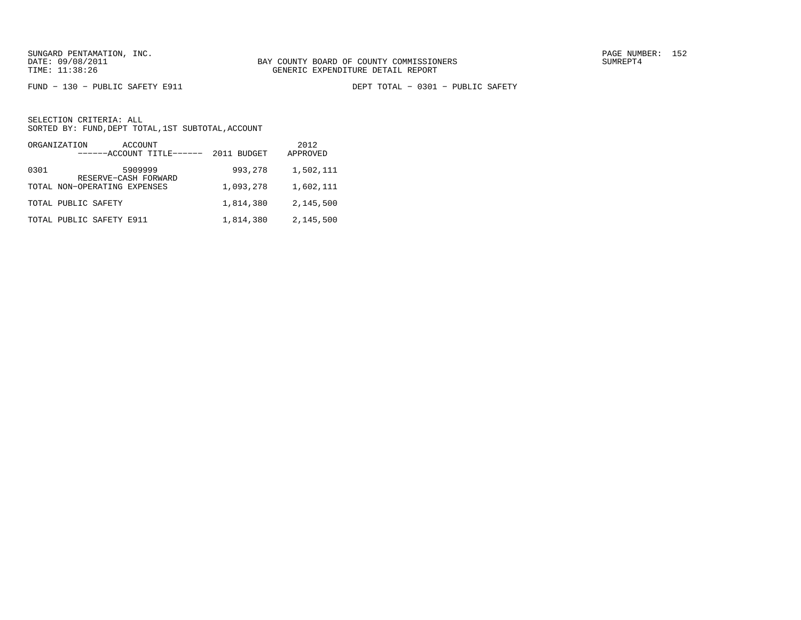FUND − 130 − PUBLIC SAFETY E911 DEPT TOTAL − 0301 − PUBLIC SAFETY

| ORGANIZATION<br>ACCOUNT<br>------ACCOUNT TITLE------ | 2011 BUDGET | 2012<br>APPROVED |
|------------------------------------------------------|-------------|------------------|
| 5909999<br>0301<br>RESERVE-CASH FORWARD              | 993,278     | 1,502,111        |
| TOTAL NON-OPERATING EXPENSES                         | 1,093,278   | 1,602,111        |
| TOTAL PUBLIC SAFETY                                  | 1,814,380   | 2,145,500        |
| TOTAL PUBLIC SAFETY E911                             | 1,814,380   | 2,145,500        |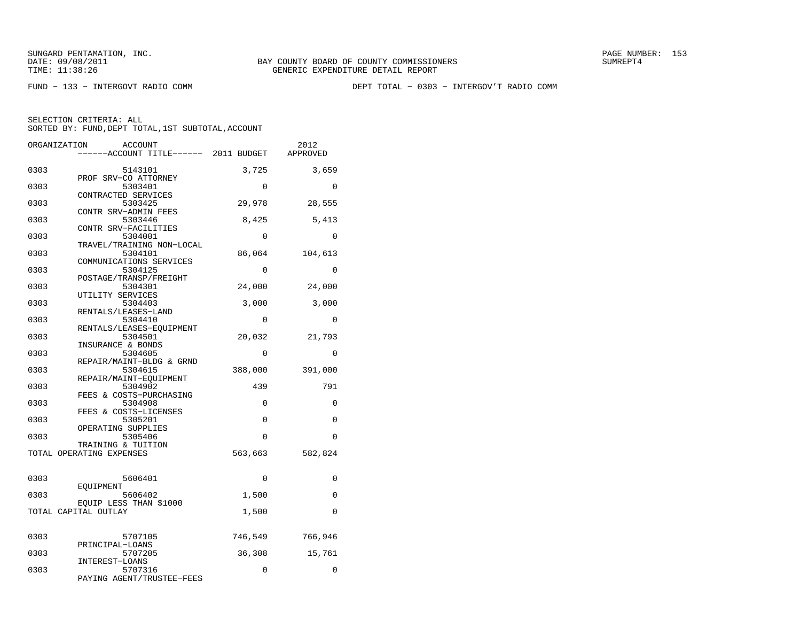FUND − 133 − INTERGOVT RADIO COMM DEPT TOTAL − 0303 − INTERGOV'T RADIO COMM

|      | ORGANIZATION<br><b>ACCOUNT</b>      |          | 2012        |
|------|-------------------------------------|----------|-------------|
|      | ----ACCOUNT TITLE------ 2011 BUDGET |          | APPROVED    |
|      |                                     |          |             |
| 0303 | 5143101                             | 3,725    | 3,659       |
| 0303 | PROF SRV-CO ATTORNEY<br>5303401     | $\Omega$ | $\Omega$    |
|      | CONTRACTED SERVICES                 |          |             |
| 0303 | 5303425                             | 29,978   | 28,555      |
|      | CONTR SRV-ADMIN FEES                |          |             |
| 0303 | 5303446                             | 8,425    | 5,413       |
|      | CONTR SRV-FACILITIES                |          |             |
| 0303 | 5304001                             | $\Omega$ | $\Omega$    |
|      | TRAVEL/TRAINING NON-LOCAL           |          |             |
| 0303 | 5304101                             | 86,064   | 104,613     |
|      | COMMUNICATIONS SERVICES             |          |             |
| 0303 | 5304125<br>POSTAGE/TRANSP/FREIGHT   | $\Omega$ | $\Omega$    |
| 0303 | 5304301                             | 24,000   | 24,000      |
|      | UTILITY SERVICES                    |          |             |
| 0303 | 5304403                             | 3,000    | 3,000       |
|      | RENTALS/LEASES-LAND                 |          |             |
| 0303 | 5304410                             | 0        | $\mathbf 0$ |
|      | RENTALS/LEASES-EOUIPMENT            |          |             |
| 0303 | 5304501                             | 20,032   | 21,793      |
|      | INSURANCE & BONDS                   |          |             |
| 0303 | 5304605                             | $\Omega$ | 0           |
|      | REPAIR/MAINT-BLDG & GRND            |          |             |
| 0303 | 5304615                             | 388,000  | 391,000     |
| 0303 | REPAIR/MAINT-EQUIPMENT<br>5304902   | 439      | 791         |
|      | FEES & COSTS-PURCHASING             |          |             |
| 0303 | 5304908                             | 0        | 0           |
|      | FEES & COSTS-LICENSES               |          |             |
| 0303 | 5305201                             | 0        | $\Omega$    |
|      | OPERATING SUPPLIES                  |          |             |
| 0303 | 5305406                             | 0        | $\Omega$    |
|      | TRAINING & TUITION                  |          |             |
|      | TOTAL OPERATING EXPENSES            | 563,663  | 582,824     |
|      |                                     |          |             |
| 0303 | 5606401                             | $\Omega$ | 0           |
|      | EOUIPMENT                           |          |             |
| 0303 | 5606402                             | 1,500    | 0           |
|      | EQUIP LESS THAN \$1000              |          |             |
|      | TOTAL CAPITAL OUTLAY                | 1,500    | $\Omega$    |
|      |                                     |          |             |
|      |                                     |          |             |
| 0303 | 5707105                             | 746,549  | 766,946     |
|      | PRINCIPAL-LOANS                     |          |             |
| 0303 | 5707205                             | 36,308   | 15,761      |
| 0303 | INTEREST-LOANS<br>5707316           | 0        | $\Omega$    |
|      | PAYING AGENT/TRUSTEE-FEES           |          |             |
|      |                                     |          |             |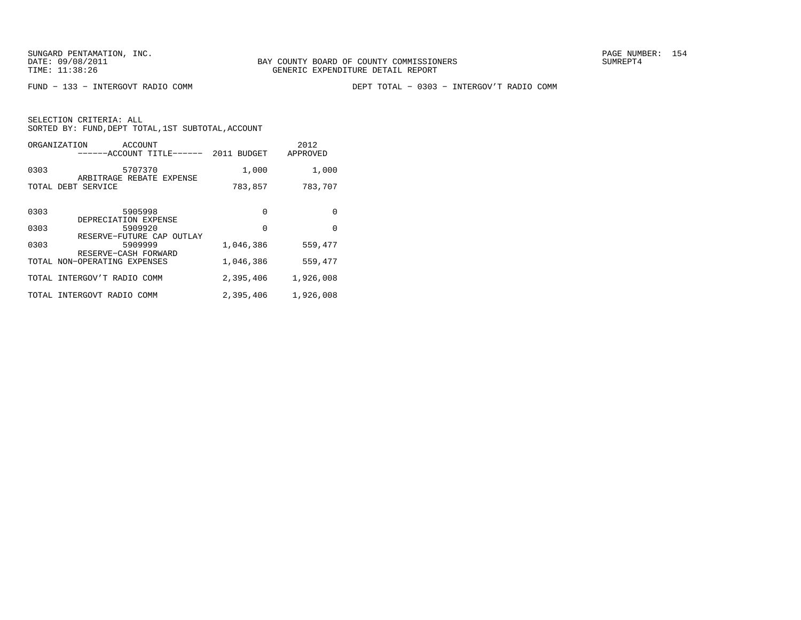FUND − 133 − INTERGOVT RADIO COMM DEPT TOTAL − 0303 − INTERGOV'T RADIO COMM

| ORGANIZATION | ACCOUNT<br>------ACCOUNT TITLE------                         | 2011<br><b>BUDGET</b> | 2012<br>APPROVED |
|--------------|--------------------------------------------------------------|-----------------------|------------------|
| 0303         | 5707370                                                      | 1,000                 | 1,000            |
| TOTAL        | ARBITRAGE REBATE EXPENSE<br>DEBT SERVICE                     | 783,857               | 783,707          |
| 0303         | 5905998                                                      | $\Omega$              | 0                |
|              | DEPRECIATION EXPENSE                                         |                       |                  |
| 0303         | 5909920                                                      | $\Omega$              | $\Omega$         |
| 0303         | RESERVE-FUTURE CAP OUTLAY<br>5909999<br>RESERVE-CASH FORWARD | 1,046,386             | 559,477          |
|              | TOTAL NON-OPERATING EXPENSES                                 | 1,046,386             | 559,477          |
| TOTAL        | INTERGOV'T RADIO COMM                                        | 2,395,406             | 1,926,008        |
| <b>TOTAL</b> | INTERGOVT RADIO COMM                                         | 2,395,406             | 1,926,008        |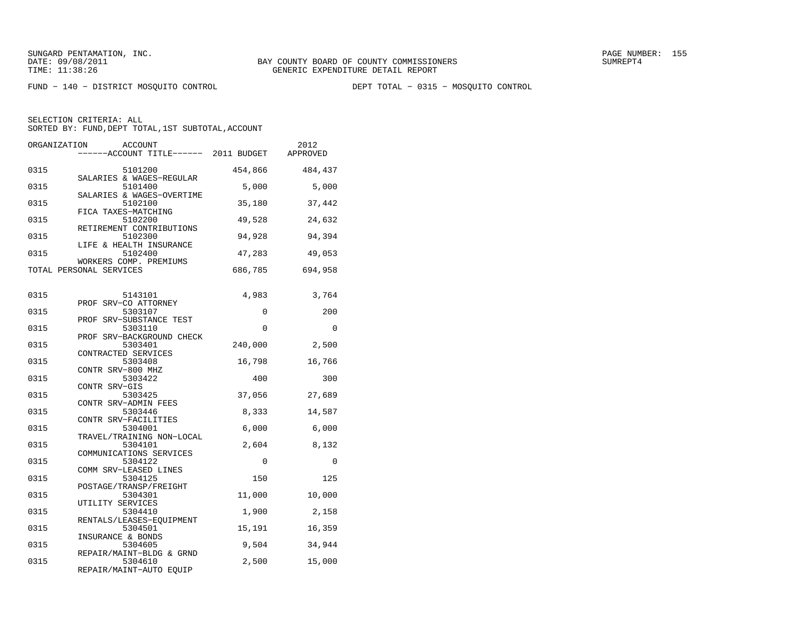FUND − 140 − DISTRICT MOSQUITO CONTROL DEPT TOTAL − 0315 − MOSQUITO CONTROL

| ORGANIZATION | <b>ACCOUNT</b><br>-----ACCOUNT TITLE------ 2011 BUDGET         |                 | 2012<br>APPROVED |
|--------------|----------------------------------------------------------------|-----------------|------------------|
| 0315         | 5101200                                                        | 454,866         | 484,437          |
| 0315         | SALARIES & WAGES-REGULAR<br>5101400                            | 5,000           | 5,000            |
| 0315         | SALARIES & WAGES-OVERTIME<br>5102100                           | 35,180          | 37,442           |
| 0315         | FICA TAXES-MATCHING<br>5102200<br>RETIREMENT CONTRIBUTIONS     | 49,528          | 24,632           |
| 0315         | 5102300<br>LIFE & HEALTH INSURANCE                             | 94,928          | 94,394           |
| 0315         | 5102400<br>WORKERS COMP. PREMIUMS                              | 47,283          | 49,053           |
|              | TOTAL PERSONAL SERVICES                                        | 686,785         | 694,958          |
| 0315         | 5143101                                                        | 4,983           | 3,764            |
| 0315         | PROF SRV-CO ATTORNEY<br>5303107                                | 0               | 200              |
| 0315         | PROF SRV-SUBSTANCE TEST<br>5303110                             | 0               | 0                |
| 0315         | PROF SRV-BACKGROUND CHECK<br>5303401<br>CONTRACTED SERVICES    | 240,000         | 2,500            |
| 0315         | 5303408<br>CONTR SRV-800 MHZ                                   | 16,798          | 16,766           |
| 0315         | 5303422<br>CONTR SRV-GIS                                       | 400             | 300              |
| 0315         | 5303425<br>CONTR SRV-ADMIN FEES                                | 37,056          | 27,689           |
| 0315         | 5303446<br>CONTR SRV-FACILITIES                                | 8,333           | 14,587           |
| 0315         | 5304001<br>TRAVEL/TRAINING NON-LOCAL                           | 6,000           | 6,000            |
| 0315         | 5304101<br>COMMUNICATIONS SERVICES                             | 2,604           | 8,132            |
| 0315         | 5304122<br>COMM SRV-LEASED LINES                               | 0               | 0                |
| 0315         | 5304125<br>POSTAGE/TRANSP/FREIGHT                              | 150             | 125              |
| 0315<br>0315 | 5304301<br>UTILITY SERVICES<br>5304410                         | 11,000<br>1,900 | 10,000<br>2,158  |
| 0315         | RENTALS/LEASES-EQUIPMENT<br>5304501                            | 15,191          | 16,359           |
| 0315         | INSURANCE & BONDS<br>5304605                                   | 9,504           | 34,944           |
| 0315         | REPAIR/MAINT-BLDG & GRND<br>5304610<br>REPAIR/MAINT-AUTO EQUIP | 2,500           | 15,000           |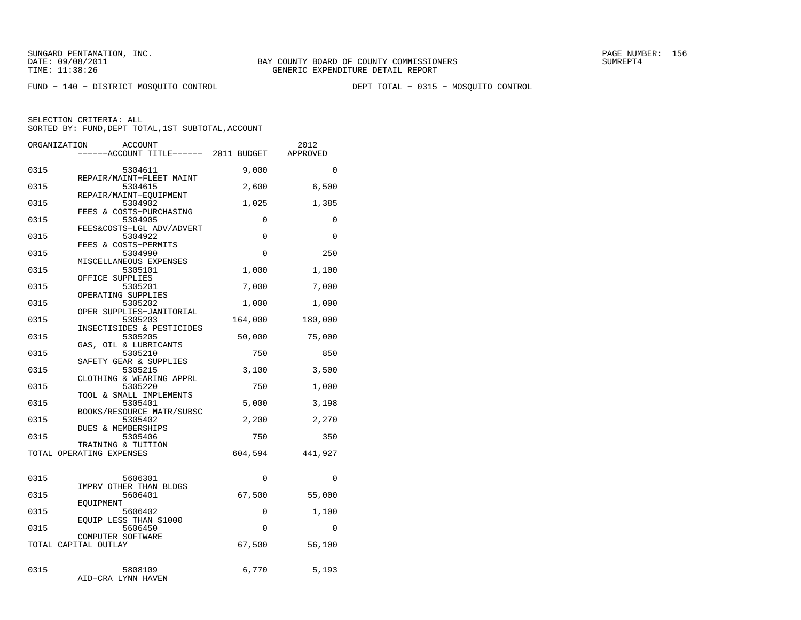FUND − 140 − DISTRICT MOSQUITO CONTROL DEPT TOTAL − 0315 − MOSQUITO CONTROL

|              | ORGANIZATION<br><b>ACCOUNT</b><br>----ACCOUNT TITLE------ 2011 BUDGET |                | 2012<br>APPROVED |
|--------------|-----------------------------------------------------------------------|----------------|------------------|
| 0315         | 5304611                                                               | 9,000          | 0                |
| 0315         | REPAIR/MAINT-FLEET MAINT<br>5304615<br>REPAIR/MAINT-EQUIPMENT         | 2,600          | 6,500            |
| 0315         | 5304902<br>FEES & COSTS-PURCHASING                                    | 1,025          | 1,385            |
| 0315         | 5304905<br>FEES&COSTS-LGL ADV/ADVERT                                  | 0              | 0                |
| 0315         | 5304922<br>FEES & COSTS-PERMITS                                       | 0              | $\Omega$         |
| 0315         | 5304990<br>MISCELLANEOUS EXPENSES                                     | 0              | 250              |
| 0315         | 5305101<br>OFFICE SUPPLIES                                            | 1,000          | 1,100            |
| 0315         | 5305201<br>OPERATING SUPPLIES                                         | 7,000          | 7,000            |
| 0315         | 5305202<br>OPER SUPPLIES-JANITORIAL                                   | 1,000          | 1,000            |
| 0315         | 5305203<br>INSECTISIDES & PESTICIDES                                  | 164,000        | 180,000          |
| 0315         | 5305205<br>GAS, OIL & LUBRICANTS                                      | 50,000         | 75,000           |
| 0315         | 5305210<br>SAFETY GEAR & SUPPLIES                                     | 750            | 850              |
| 0315         | 5305215<br>CLOTHING & WEARING APPRL                                   | 3,100          | 3,500            |
| 0315         | 5305220<br>TOOL & SMALL IMPLEMENTS                                    | 750            | 1,000            |
| 0315<br>0315 | 5305401<br>BOOKS/RESOURCE MATR/SUBSC<br>5305402                       | 5,000<br>2,200 | 3,198<br>2,270   |
| 0315         | DUES & MEMBERSHIPS<br>5305406                                         | 750            | 350              |
|              | TRAINING & TUITION<br>TOTAL OPERATING EXPENSES                        | 604,594        | 441,927          |
|              |                                                                       |                |                  |
| 0315         | 5606301<br>IMPRV OTHER THAN BLDGS                                     | $\Omega$       | $\Omega$         |
| 0315         | 5606401<br>EOUIPMENT                                                  | 67,500         | 55,000           |
| 0315         | 5606402<br>EQUIP LESS THAN \$1000                                     | 0              | 1,100            |
| 0315         | 5606450<br>COMPUTER SOFTWARE                                          | $\Omega$       | $\mathbf{0}$     |
|              | TOTAL CAPITAL OUTLAY                                                  | 67,500         | 56,100           |
| 0315         | 5808109<br>AID-CRA LYNN HAVEN                                         | 6,770          | 5,193            |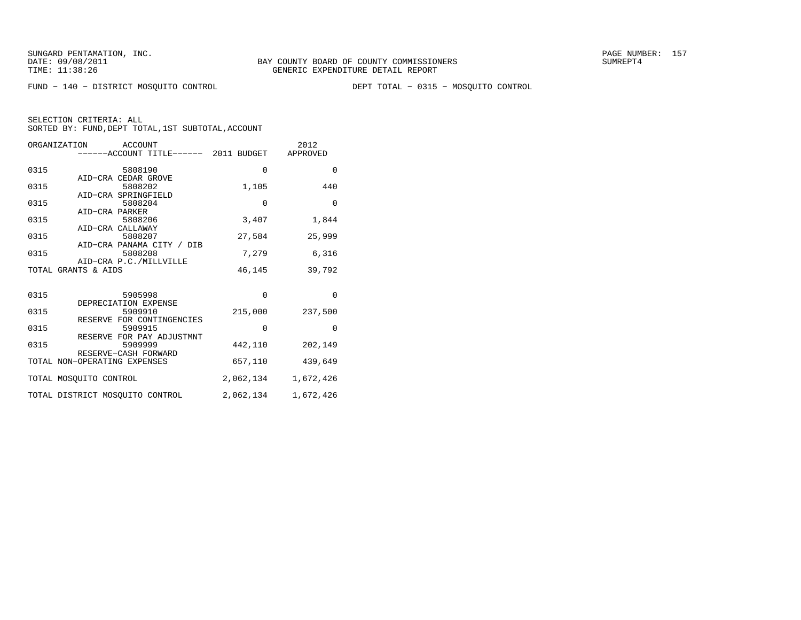FUND − 140 − DISTRICT MOSQUITO CONTROL DEPT TOTAL − 0315 − MOSQUITO CONTROL

|      | ORGANIZATION ACCOUNT<br>------ACCOUNT TITLE------ 2011 BUDGET APPROVED |             | 2012      |
|------|------------------------------------------------------------------------|-------------|-----------|
| 0315 | 5808190                                                                | $\mathbf 0$ | $\Omega$  |
|      | AID-CRA CEDAR GROVE                                                    |             |           |
| 0315 | 5808202                                                                | 1,105       | 440       |
|      | AID-CRA SPRINGFIELD                                                    |             |           |
| 0315 | 5808204                                                                | $\mathbf 0$ | $\Omega$  |
|      | AID-CRA PARKER                                                         |             |           |
| 0315 | 5808206                                                                | 3,407       | 1,844     |
|      | AID-CRA CALLAWAY                                                       |             |           |
| 0315 | 5808207                                                                | 27,584      | 25,999    |
|      | AID-CRA PANAMA CITY / DIB                                              |             |           |
| 0315 | 5808208                                                                | 7,279       | 6,316     |
|      | AID-CRA P.C./MILLVILLE                                                 |             |           |
|      | TOTAL GRANTS & AIDS                                                    | 46,145      | 39,792    |
|      |                                                                        |             |           |
|      |                                                                        | $\Omega$    | $\Omega$  |
| 0315 | 5905998                                                                |             |           |
|      | DEPRECIATION EXPENSE                                                   |             |           |
| 0315 | 5909910                                                                | 215,000     | 237,500   |
|      | RESERVE FOR CONTINGENCIES                                              |             |           |
| 0315 | 5909915                                                                | $\mathbf 0$ | $\Omega$  |
|      | RESERVE FOR PAY ADJUSTMNT                                              |             |           |
| 0315 | 5909999                                                                | 442,110     | 202,149   |
|      | RESERVE-CASH FORWARD                                                   |             |           |
|      | TOTAL NON-OPERATING EXPENSES                                           | 657,110     | 439,649   |
|      | TOTAL MOSOUITO CONTROL                                                 | 2,062,134   | 1,672,426 |
|      | TOTAL DISTRICT MOSQUITO CONTROL                                        | 2,062,134   | 1,672,426 |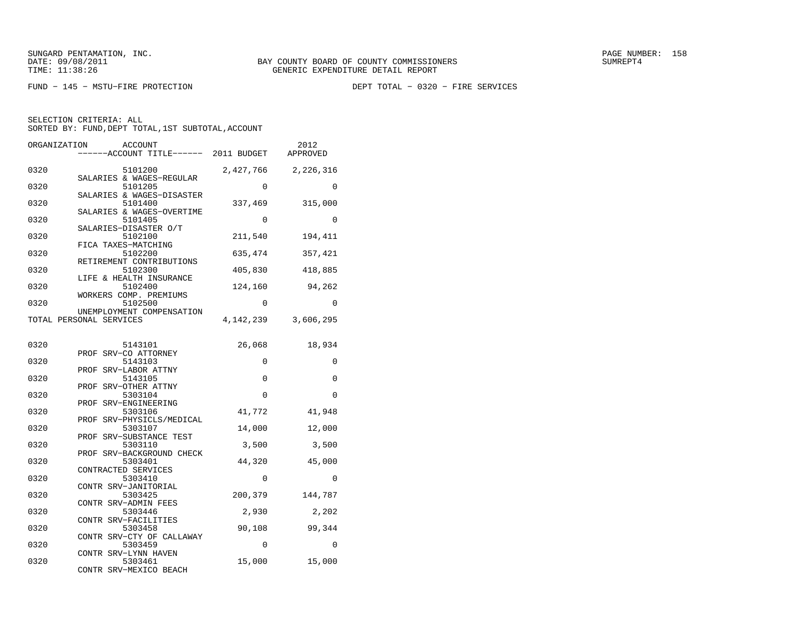FUND − 145 − MSTU−FIRE PROTECTION DEPT TOTAL − 0320 − FIRE SERVICES

| ORGANIZATION<br><b>ACCOUNT</b><br>----ACCOUNT TITLE------ 2011 BUDGET |           | 2012<br>APPROVED |
|-----------------------------------------------------------------------|-----------|------------------|
| 0320<br>5101200                                                       | 2,427,766 | 2,226,316        |
| SALARIES & WAGES-REGULAR<br>0320<br>5101205                           | 0         | 0                |
| SALARIES & WAGES-DISASTER<br>0320<br>5101400                          | 337,469   | 315,000          |
| SALARIES & WAGES-OVERTIME<br>0320<br>5101405                          | 0         | 0                |
| SALARIES-DISASTER O/T<br>0320<br>5102100                              | 211,540   | 194,411          |
| FICA TAXES-MATCHING<br>0320<br>5102200                                | 635,474   | 357,421          |
| RETIREMENT CONTRIBUTIONS<br>5102300<br>0320                           | 405,830   | 418,885          |
| LIFE & HEALTH INSURANCE<br>0320<br>5102400                            | 124,160   | 94,262           |
| WORKERS COMP. PREMIUMS<br>5102500<br>0320                             | $\Omega$  | $\Omega$         |
| UNEMPLOYMENT COMPENSATION<br>TOTAL PERSONAL SERVICES                  | 4,142,239 | 3,606,295        |
| 0320<br>5143101                                                       | 26,068    | 18,934           |
| PROF SRV-CO ATTORNEY<br>0320<br>5143103                               | 0         | 0                |
| PROF SRV-LABOR ATTNY<br>5143105<br>0320                               | 0         | 0                |
| PROF SRV-OTHER ATTNY                                                  |           |                  |
| 0320<br>5303104<br>PROF SRV-ENGINEERING                               | 0         | 0                |
| 0320<br>5303106<br>SRV-PHYSICLS/MEDICAL<br>PROF                       | 41,772    | 41,948           |
| 0320<br>5303107<br>PROF SRV-SUBSTANCE TEST                            | 14,000    | 12,000           |
| 5303110<br>0320<br>PROF SRV-BACKGROUND CHECK                          | 3,500     | 3,500            |
| 0320<br>5303401<br>CONTRACTED SERVICES                                | 44,320    | 45,000           |
| 5303410<br>0320<br>CONTR SRV-JANITORIAL                               | $\Omega$  | $\Omega$         |
| 0320<br>5303425<br>CONTR SRV-ADMIN FEES                               | 200,379   | 144,787          |
| 0320<br>5303446                                                       | 2,930     | 2,202            |
| CONTR SRV-FACILITIES<br>0320<br>5303458                               | 90,108    | 99,344           |
| CONTR SRV-CTY OF CALLAWAY<br>5303459<br>0320                          | 0         | 0                |
| CONTR SRV-LYNN HAVEN<br>5303461<br>0320<br>CONTR SRV-MEXICO BEACH     | 15,000    | 15,000           |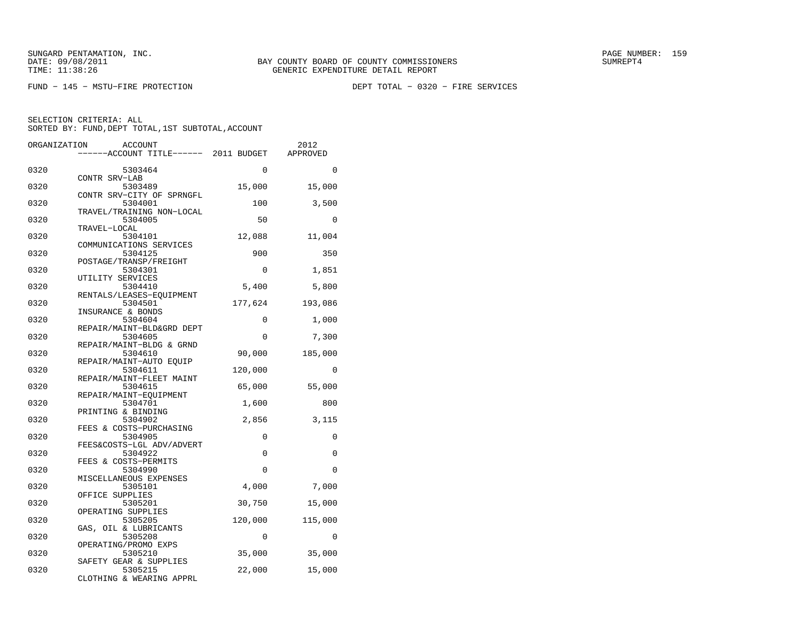FUND − 145 − MSTU−FIRE PROTECTION DEPT TOTAL − 0320 − FIRE SERVICES

| ORGANIZATION<br>ACCOUNT |                                      |          | 2012     |
|-------------------------|--------------------------------------|----------|----------|
|                         | ----ACCOUNT TITLE------ 2011 BUDGET  |          | APPROVED |
| 0320                    | 5303464                              | 0        | $\Omega$ |
|                         | CONTR SRV-LAB                        |          |          |
| 0320                    | 5303489<br>CONTR SRV-CITY OF SPRNGFL | 15,000   | 15,000   |
| 0320                    | 5304001                              | 100      | 3,500    |
| 0320                    | TRAVEL/TRAINING NON-LOCAL<br>5304005 | 50       | $\Omega$ |
|                         | TRAVEL-LOCAL                         |          |          |
| 0320                    | 5304101                              | 12,088   | 11,004   |
|                         | COMMUNICATIONS SERVICES              |          |          |
| 0320                    | 5304125<br>POSTAGE/TRANSP/FREIGHT    | 900      | 350      |
| 0320                    | 5304301                              | 0        | 1,851    |
|                         | UTILITY SERVICES                     |          |          |
| 0320                    | 5304410                              | 5,400    | 5,800    |
| 0320                    | RENTALS/LEASES-EOUIPMENT<br>5304501  | 177,624  |          |
|                         | INSURANCE & BONDS                    |          | 193,086  |
| 0320                    | 5304604                              | 0        | 1,000    |
|                         | REPAIR/MAINT-BLD&GRD DEPT            |          |          |
| 0320                    | 5304605                              | 0        | 7,300    |
| 0320                    | REPAIR/MAINT-BLDG & GRND<br>5304610  | 90,000   | 185,000  |
|                         | REPAIR/MAINT-AUTO EOUIP              |          |          |
| 0320                    | 5304611                              | 120,000  | 0        |
|                         | REPAIR/MAINT-FLEET MAINT             |          |          |
| 0320                    | 5304615                              | 65,000   | 55,000   |
| 0320                    | REPAIR/MAINT-EQUIPMENT<br>5304701    | 1,600    | 800      |
|                         | PRINTING & BINDING                   |          |          |
| 0320                    | 5304902                              | 2,856    | 3,115    |
|                         | FEES & COSTS-PURCHASING              |          |          |
| 0320                    | 5304905<br>FEES&COSTS-LGL ADV/ADVERT | 0        | 0        |
| 0320                    | 5304922                              | 0        | $\Omega$ |
|                         | FEES & COSTS-PERMITS                 |          |          |
| 0320                    | 5304990                              | $\Omega$ | $\Omega$ |
|                         | MISCELLANEOUS EXPENSES               |          |          |
| 0320                    | 5305101<br>OFFICE SUPPLIES           | 4,000    | 7,000    |
| 0320                    | 5305201                              | 30,750   | 15,000   |
|                         | OPERATING SUPPLIES                   |          |          |
| 0320                    | 5305205                              | 120,000  | 115,000  |
| 0320                    | GAS, OIL & LUBRICANTS<br>5305208     | 0        | 0        |
|                         | OPERATING/PROMO EXPS                 |          |          |
| 0320                    | 5305210                              | 35,000   | 35,000   |
|                         | SAFETY GEAR & SUPPLIES               |          |          |
| 0320                    | 5305215                              | 22,000   | 15,000   |
|                         | CLOTHING & WEARING APPRL             |          |          |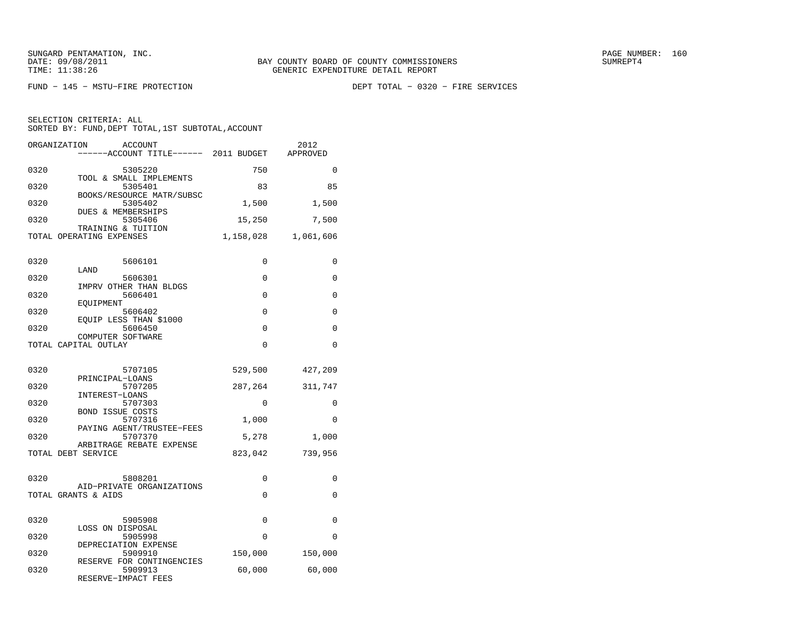FUND − 145 − MSTU−FIRE PROTECTION DEPT TOTAL − 0320 − FIRE SERVICES

| ORGANIZATION       | ACCOUNT<br>----ACCOUNT TITLE------ 2011 BUDGET              |           | 2012<br>APPROVED |
|--------------------|-------------------------------------------------------------|-----------|------------------|
| 0320               | 5305220<br>TOOL & SMALL IMPLEMENTS                          | 750       | $\Omega$         |
| 0320               | 5305401                                                     | 83        | 85               |
| 0320               | BOOKS/RESOURCE MATR/SUBSC<br>5305402                        | 1,500     | 1,500            |
| 0320               | <b>DUES &amp; MEMBERSHIPS</b><br>5305406                    | 15,250    | 7,500            |
|                    | TRAINING & TUITION<br>TOTAL OPERATING EXPENSES              | 1,158,028 | 1,061,606        |
| 0320               | 5606101                                                     | 0         | 0                |
| 0320               | LAND<br>5606301                                             | 0         | 0                |
| 0320               | IMPRV OTHER THAN BLDGS<br>5606401                           | $\Omega$  | 0                |
|                    | EOUIPMENT                                                   |           |                  |
| 0320               | 5606402<br>EQUIP LESS THAN \$1000                           | 0         | 0                |
| 0320               | 5606450<br>COMPUTER SOFTWARE                                | 0         | 0                |
|                    | TOTAL CAPITAL OUTLAY                                        | 0         | $\Omega$         |
| 0320               | 5707105<br>PRINCIPAL-LOANS                                  | 529,500   | 427,209          |
| 0320               | 5707205                                                     | 287,264   | 311,747          |
| 0320               | INTEREST-LOANS<br>5707303                                   | $\Omega$  | $\Omega$         |
| 0320               | <b>BOND ISSUE COSTS</b><br>5707316                          | 1,000     | $\Omega$         |
| 0320               | PAYING AGENT/TRUSTEE-FEES<br>5707370                        | 5,278     | 1,000            |
| TOTAL DEBT SERVICE | ARBITRAGE REBATE EXPENSE                                    | 823,042   | 739,956          |
| 0320               | 5808201                                                     | 0         | 0                |
|                    | AID-PRIVATE ORGANIZATIONS<br>TOTAL GRANTS & AIDS            | 0         | 0                |
|                    |                                                             |           |                  |
| 0320               | 5905908<br>LOSS ON DISPOSAL                                 | 0         | 0                |
| 0320               | 5905998<br>DEPRECIATION EXPENSE                             | 0         | 0                |
| 0320               | 5909910                                                     | 150,000   | 150,000          |
| 0320               | RESERVE FOR CONTINGENCIES<br>5909913<br>RESERVE-IMPACT FEES | 60,000    | 60,000           |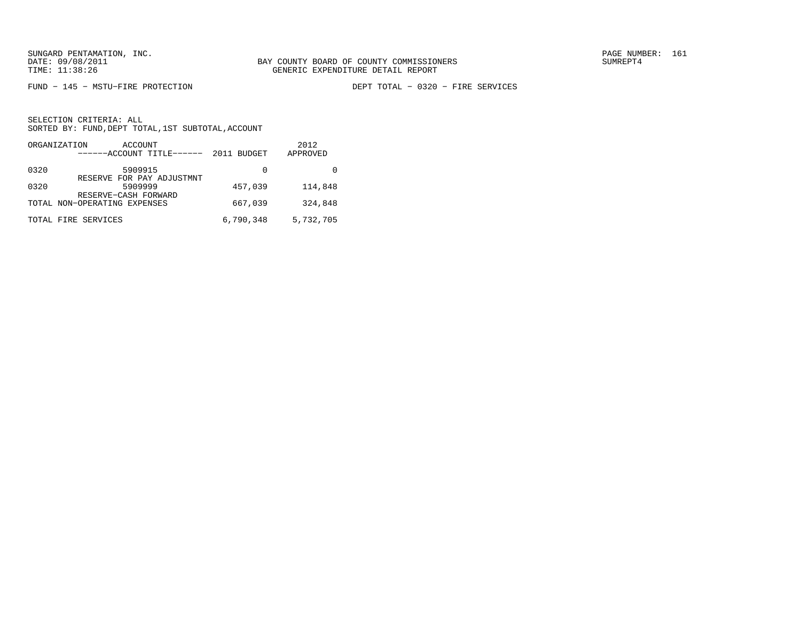FUND − 145 − MSTU−FIRE PROTECTION DEPT TOTAL − 0320 − FIRE SERVICES

|      | ORGANIZATION<br>ACCOUNT<br>------ACCOUNT TITLE------ | 2011 BUDGET | 2012<br>APPROVED |
|------|------------------------------------------------------|-------------|------------------|
| 0320 | 5909915                                              | 0           |                  |
| 0320 | RESERVE FOR PAY ADJUSTMNT<br>5909999                 | 457,039     | 114,848          |
|      | RESERVE-CASH FORWARD<br>TOTAL NON-OPERATING EXPENSES | 667,039     | 324,848          |
|      | TOTAL FIRE SERVICES                                  | 6,790,348   | 5,732,705        |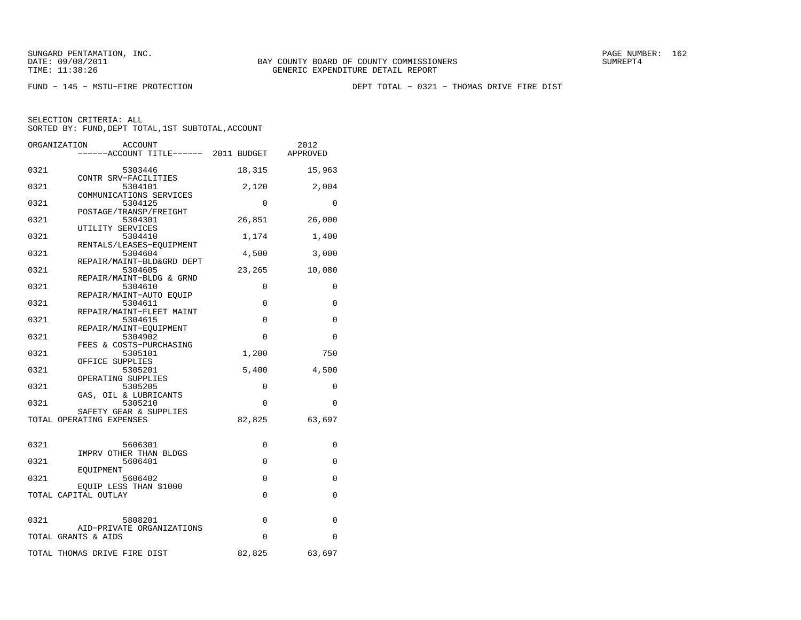FUND − 145 − MSTU−FIRE PROTECTION DEPT TOTAL − 0321 − THOMAS DRIVE FIRE DIST

|      | ORGANIZATION<br>ACCOUNT                                        |          | 2012     |
|------|----------------------------------------------------------------|----------|----------|
|      | -----ACCOUNT TITLE------ 2011 BUDGET                           |          | APPROVED |
| 0321 | 5303446                                                        | 18,315   | 15,963   |
| 0321 | CONTR SRV-FACILITIES<br>5304101                                | 2,120    | 2,004    |
| 0321 | COMMUNICATIONS SERVICES<br>5304125                             | 0        | 0        |
| 0321 | POSTAGE/TRANSP/FREIGHT<br>5304301                              | 26,851   | 26,000   |
| 0321 | UTILITY SERVICES<br>5304410                                    | 1,174    | 1,400    |
| 0321 | RENTALS/LEASES-EOUIPMENT<br>5304604                            | 4,500    | 3,000    |
| 0321 | REPAIR/MAINT-BLD&GRD DEPT<br>5304605                           | 23,265   | 10,080   |
| 0321 | REPAIR/MAINT-BLDG & GRND<br>5304610<br>REPAIR/MAINT-AUTO EOUIP | 0        | 0        |
| 0321 | 5304611<br>REPAIR/MAINT-FLEET MAINT                            | 0        | 0        |
| 0321 | 5304615<br>REPAIR/MAINT-EOUIPMENT                              | $\Omega$ | $\Omega$ |
| 0321 | 5304902<br>FEES & COSTS-PURCHASING                             | 0        | $\Omega$ |
| 0321 | 5305101<br>OFFICE SUPPLIES                                     | 1,200    | 750      |
| 0321 | 5305201<br>OPERATING SUPPLIES                                  | 5,400    | 4,500    |
| 0321 | 5305205<br>GAS, OIL & LUBRICANTS                               | $\Omega$ | $\Omega$ |
| 0321 | 5305210<br>SAFETY GEAR & SUPPLIES                              | $\Omega$ | $\Omega$ |
|      | TOTAL OPERATING EXPENSES                                       | 82,825   | 63,697   |
| 0321 | 5606301                                                        | 0        | 0        |
| 0321 | IMPRV OTHER THAN BLDGS<br>5606401                              | 0        | 0        |
| 0321 | EOUIPMENT<br>5606402                                           | 0        | 0        |
|      | EQUIP LESS THAN \$1000<br>TOTAL CAPITAL OUTLAY                 | 0        | 0        |
| 0321 | 5808201                                                        | 0        | 0        |
|      | AID-PRIVATE ORGANIZATIONS<br>TOTAL GRANTS & AIDS               | $\Omega$ | $\Omega$ |
|      | TOTAL THOMAS DRIVE FIRE DIST                                   | 82,825   | 63,697   |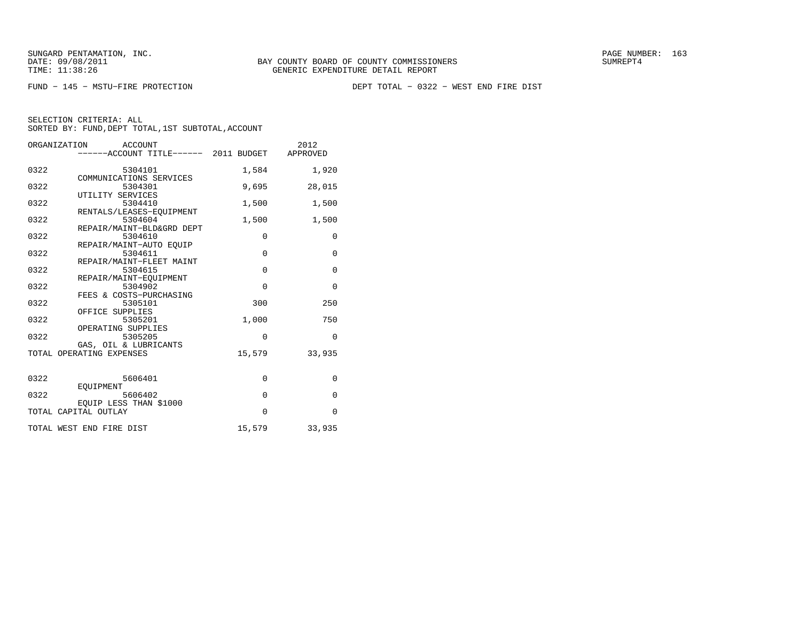FUND − 145 − MSTU−FIRE PROTECTION DEPT TOTAL − 0322 − WEST END FIRE DIST

| ORGANIZATION<br>ACCOUNT |                                               |             | 2012         |
|-------------------------|-----------------------------------------------|-------------|--------------|
|                         | -----ACCOUNT TITLE------ 2011 BUDGET APPROVED |             |              |
|                         |                                               |             |              |
| 0322                    | 5304101                                       | 1,584       | 1,920        |
|                         | COMMUNICATIONS SERVICES                       |             |              |
| 0322                    | 5304301                                       | 9,695       | 28,015       |
|                         | UTILITY SERVICES                              |             |              |
| 0322                    | 5304410                                       | 1,500       | 1,500        |
|                         | RENTALS/LEASES-EQUIPMENT                      |             |              |
| 0322                    | 5304604                                       | 1,500       | 1,500        |
|                         | REPAIR/MAINT-BLD&GRD DEPT                     |             |              |
| 0322                    | 5304610                                       | $\mathbf 0$ | $\mathbf{0}$ |
|                         | REPAIR/MAINT-AUTO EOUIP                       |             |              |
| 0322                    | 5304611                                       | $\mathbf 0$ | $\mathbf{0}$ |
|                         | REPAIR/MAINT-FLEET MAINT                      |             |              |
| 0322                    | 5304615                                       | $\mathbf 0$ | $\mathbf{0}$ |
|                         | REPAIR/MAINT-EOUIPMENT                        |             |              |
| 0322                    | 5304902                                       | $\Omega$    | $\mathbf 0$  |
|                         | FEES & COSTS-PURCHASING                       |             |              |
| 0322                    | 5305101                                       | 300         | 250          |
| 0322                    | OFFICE SUPPLIES<br>5305201                    |             | 750          |
|                         | OPERATING SUPPLIES                            | 1,000       |              |
| 0322                    | 5305205                                       | $\mathbf 0$ | $\mathbf 0$  |
|                         | GAS, OIL & LUBRICANTS                         |             |              |
|                         | TOTAL OPERATING EXPENSES                      | 15,579      | 33,935       |
|                         |                                               |             |              |
|                         |                                               |             |              |
| 0322                    | 5606401                                       | $\mathbf 0$ | $\mathbf{0}$ |
|                         | EOUIPMENT                                     |             |              |
| 0322                    | 5606402                                       | $\mathbf 0$ | $\mathbf{0}$ |
|                         | EQUIP LESS THAN \$1000                        |             |              |
|                         | TOTAL CAPITAL OUTLAY                          | $\Omega$    | $\Omega$     |
|                         |                                               |             |              |
|                         | TOTAL WEST END FIRE DIST                      | 15,579      | 33,935       |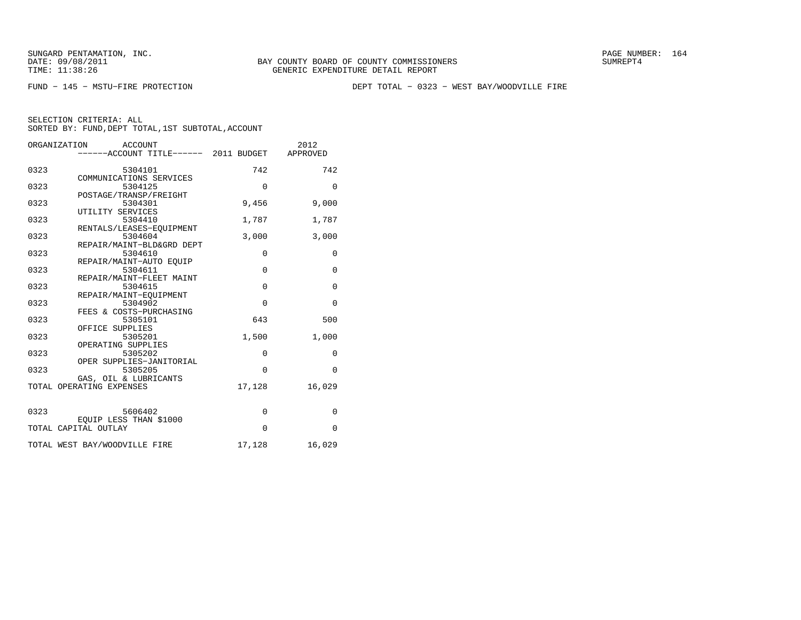FUND − 145 − MSTU−FIRE PROTECTION DEPT TOTAL − 0323 − WEST BAY/WOODVILLE FIRE

| ORGANIZATION<br><b>ACCOUNT</b> |                                               |             | 2012         |
|--------------------------------|-----------------------------------------------|-------------|--------------|
|                                | -----ACCOUNT TITLE------ 2011 BUDGET APPROVED |             |              |
|                                |                                               |             |              |
| 0323                           | 5304101                                       | 742         | 742          |
|                                | COMMUNICATIONS SERVICES                       |             |              |
| 0323                           | 5304125                                       | $\mathbf 0$ | $\mathbf{0}$ |
|                                | POSTAGE/TRANSP/FREIGHT                        |             |              |
| 0323                           | 5304301                                       | 9,456       | 9,000        |
|                                | UTILITY SERVICES                              |             |              |
| 0323                           | 5304410                                       | 1,787       | 1,787        |
|                                | RENTALS/LEASES-EQUIPMENT                      |             |              |
| 0323                           | 5304604                                       | 3,000       | 3,000        |
|                                | REPAIR/MAINT-BLD&GRD DEPT                     |             |              |
| 0323                           | 5304610                                       | $\mathbf 0$ | 0            |
|                                | REPAIR/MAINT-AUTO EOUIP                       |             |              |
| 0323                           | 5304611                                       | $\Omega$    | $\mathbf{0}$ |
|                                | REPAIR/MAINT-FLEET MAINT                      |             |              |
| 0323                           | 5304615                                       | $\mathbf 0$ | $\mathbf{0}$ |
|                                | REPAIR/MAINT-EQUIPMENT                        |             |              |
| 0323                           | 5304902                                       | $\Omega$    | $\Omega$     |
|                                | FEES & COSTS-PURCHASING                       |             |              |
| 0323                           |                                               | 643         | 500          |
|                                | 5305101                                       |             |              |
|                                | OFFICE SUPPLIES                               |             |              |
| 0323                           | 5305201                                       | 1,500       | 1,000        |
|                                | OPERATING SUPPLIES                            |             |              |
| 0323                           | 5305202                                       | $\mathbf 0$ | $\mathbf 0$  |
|                                | OPER SUPPLIES-JANITORIAL                      |             |              |
| 0323                           | 5305205                                       | $\Omega$    | $\Omega$     |
|                                | GAS, OIL & LUBRICANTS                         |             |              |
|                                | TOTAL OPERATING EXPENSES                      | 17,128      | 16,029       |
|                                |                                               |             |              |
|                                |                                               |             |              |
| 0323                           | 5606402                                       | $\mathbf 0$ | $\mathbf 0$  |
|                                | EQUIP LESS THAN \$1000                        |             |              |
|                                | TOTAL CAPITAL OUTLAY                          | $\Omega$    | $\mathbf{0}$ |
|                                |                                               |             |              |
|                                | TOTAL WEST BAY/WOODVILLE FIRE                 | 17,128      | 16,029       |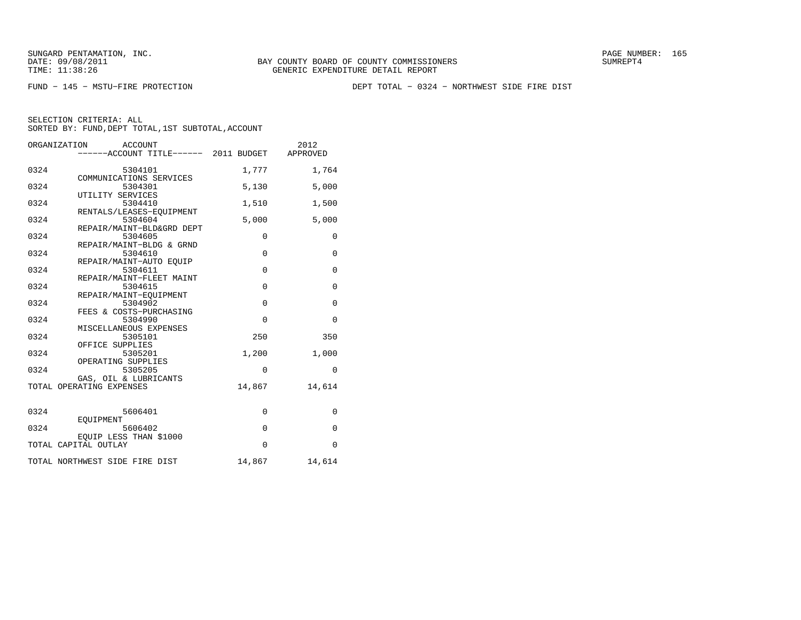FUND − 145 − MSTU−FIRE PROTECTION DEPT TOTAL − 0324 − NORTHWEST SIDE FIRE DIST

| ORGANIZATION<br>ACCOUNT |                                               |             | 2012         |
|-------------------------|-----------------------------------------------|-------------|--------------|
|                         | -----ACCOUNT TITLE------ 2011 BUDGET APPROVED |             |              |
|                         |                                               |             |              |
| 0324                    | 5304101                                       | 1,777       | 1,764        |
|                         | COMMUNICATIONS SERVICES                       |             |              |
| 0324                    | 5304301                                       | 5,130       | 5,000        |
|                         | UTILITY SERVICES                              |             |              |
| 0324                    | 5304410                                       | 1,510       | 1,500        |
|                         | RENTALS/LEASES-EOUIPMENT                      |             |              |
| 0324                    | 5304604                                       | 5,000       | 5,000        |
| 0324                    | REPAIR/MAINT-BLD&GRD DEPT<br>5304605          | $\mathbf 0$ | $\mathbf 0$  |
|                         | REPAIR/MAINT-BLDG & GRND                      |             |              |
| 0324                    | 5304610                                       | $\mathbf 0$ | $\mathbf 0$  |
|                         | REPAIR/MAINT-AUTO EOUIP                       |             |              |
| 0324                    | 5304611                                       | $\mathbf 0$ | $\mathsf 0$  |
|                         | REPAIR/MAINT-FLEET MAINT                      |             |              |
| 0324                    | 5304615                                       | $\mathbf 0$ | $\mathbf 0$  |
|                         | REPAIR/MAINT-EOUIPMENT                        |             |              |
| 0324                    | 5304902                                       | $\mathbf 0$ | $\mathbf 0$  |
|                         | FEES & COSTS-PURCHASING                       |             |              |
| 0324                    | 5304990                                       | $\Omega$    | $\mathbf{0}$ |
|                         | MISCELLANEOUS EXPENSES                        |             |              |
| 0324                    | 5305101                                       | 250         | 350          |
|                         | OFFICE SUPPLIES                               |             |              |
| 0324                    | 5305201                                       | 1,200       | 1,000        |
|                         | OPERATING SUPPLIES                            |             |              |
| 0324                    | 5305205                                       | $\mathbf 0$ | 0            |
|                         | GAS, OIL & LUBRICANTS                         |             |              |
|                         | TOTAL OPERATING EXPENSES                      | 14,867      | 14,614       |
|                         |                                               |             |              |
| 0324                    | 5606401                                       |             |              |
|                         | EOUIPMENT                                     | 0           | 0            |
| 0324                    | 5606402                                       | $\mathbf 0$ | $\mathbf{0}$ |
|                         | EQUIP LESS THAN \$1000                        |             |              |
|                         | TOTAL CAPITAL OUTLAY                          | $\mathbf 0$ | $\mathbf 0$  |
|                         |                                               |             |              |
|                         | TOTAL NORTHWEST SIDE FIRE DIST                | 14,867      | 14,614       |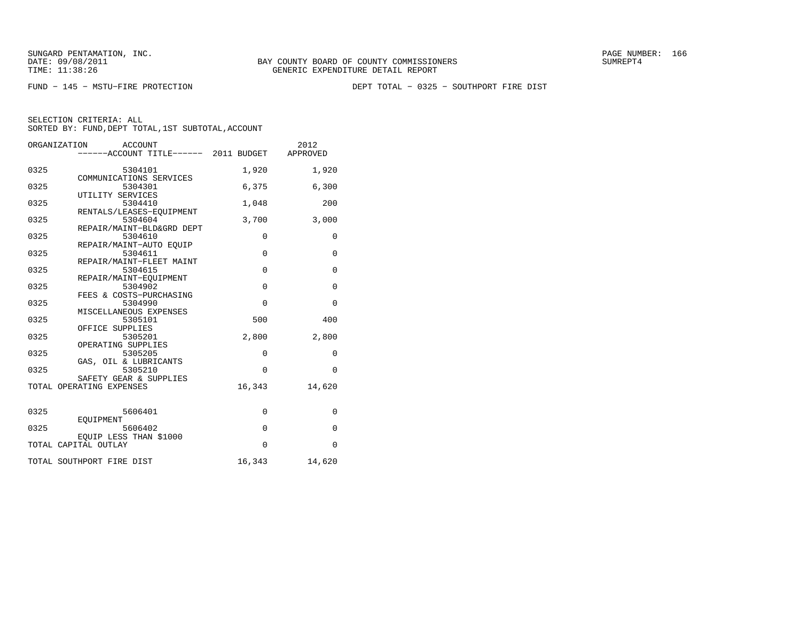FUND − 145 − MSTU−FIRE PROTECTION DEPT TOTAL − 0325 − SOUTHPORT FIRE DIST

| ORGANIZATION<br>ACCOUNT<br>------ACCOUNT TITLE------ 2011 BUDGET |                                     |             | 2012<br>APPROVED |
|------------------------------------------------------------------|-------------------------------------|-------------|------------------|
|                                                                  |                                     |             |                  |
| 0325                                                             | 5304101                             | 1,920       | 1,920            |
|                                                                  | COMMUNICATIONS SERVICES             |             |                  |
| 0325                                                             | 5304301<br>UTILITY SERVICES         | 6,375       | 6,300            |
| 0325                                                             | 5304410                             | 1,048       | 200              |
|                                                                  | RENTALS/LEASES-EQUIPMENT            |             |                  |
| 0325                                                             | 5304604                             | 3,700       | 3,000            |
|                                                                  | REPAIR/MAINT-BLD&GRD DEPT           |             |                  |
| 0325                                                             | 5304610                             | $\mathbf 0$ | 0                |
|                                                                  | REPAIR/MAINT-AUTO EOUIP             |             |                  |
| 0325                                                             | 5304611<br>REPAIR/MAINT-FLEET MAINT | $\mathbf 0$ | $\mathbf 0$      |
| 0325                                                             | 5304615                             | $\Omega$    | $\mathbf{0}$     |
|                                                                  | REPAIR/MAINT-EQUIPMENT              |             |                  |
| 0325                                                             | 5304902                             | $\Omega$    | $\mathbf 0$      |
|                                                                  | FEES & COSTS-PURCHASING             |             |                  |
| 0325                                                             | 5304990                             | $\Omega$    | $\Omega$         |
|                                                                  | MISCELLANEOUS EXPENSES              |             |                  |
| 0325                                                             | 5305101                             | 500         | 400              |
| 0325                                                             | OFFICE SUPPLIES<br>5305201          | 2,800       | 2,800            |
|                                                                  | OPERATING SUPPLIES                  |             |                  |
| 0325                                                             | 5305205                             | 0           | $\mathbf{0}$     |
|                                                                  | GAS, OIL & LUBRICANTS               |             |                  |
| 0325                                                             | 5305210                             | $\Omega$    | $\Omega$         |
|                                                                  | SAFETY GEAR & SUPPLIES              |             |                  |
|                                                                  | TOTAL OPERATING EXPENSES            | 16,343      | 14,620           |
|                                                                  |                                     |             |                  |
| 0325                                                             | 5606401                             | 0           | $\mathbf 0$      |
|                                                                  | EOUIPMENT                           |             |                  |
| 0325                                                             | 5606402                             | $\mathbf 0$ | $\mathbf{0}$     |
|                                                                  | EQUIP LESS THAN \$1000              |             |                  |
|                                                                  | TOTAL CAPITAL OUTLAY                | $\Omega$    | $\Omega$         |
|                                                                  |                                     |             |                  |
|                                                                  | TOTAL SOUTHPORT FIRE DIST           | 16,343      | 14,620           |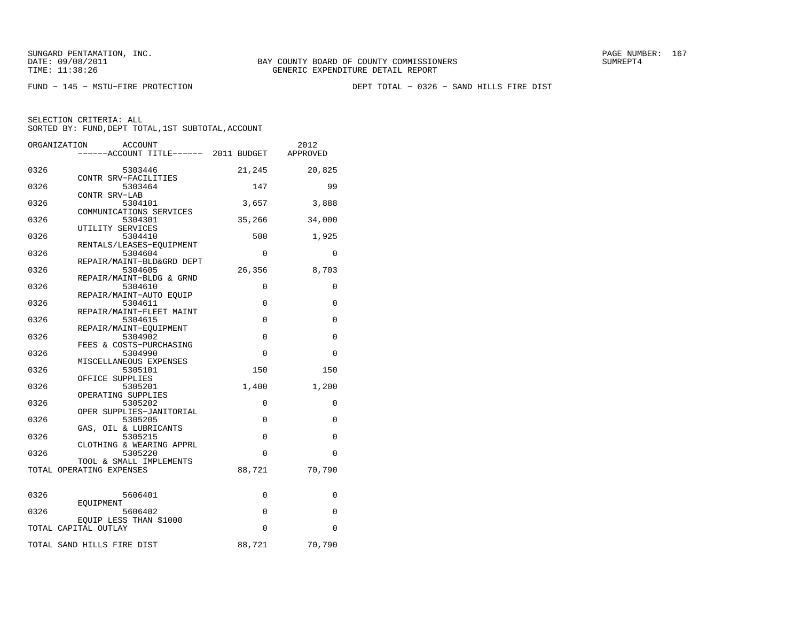FUND − 145 − MSTU−FIRE PROTECTION DEPT TOTAL − 0326 − SAND HILLS FIRE DIST

| ORGANIZATION<br><b>ACCOUNT</b>              | -----ACCOUNT TITLE------ 2011 BUDGET |             | 2012<br>APPROVED |
|---------------------------------------------|--------------------------------------|-------------|------------------|
|                                             |                                      |             |                  |
| 0326<br>5303446                             |                                      | 21,245      | 20,825           |
| CONTR SRV-FACILITIES<br>0326                |                                      | 147         | 99               |
| 5303464<br>CONTR SRV-LAB                    |                                      |             |                  |
| 0326<br>5304101                             |                                      | 3,657       | 3,888            |
| COMMUNICATIONS SERVICES                     |                                      |             |                  |
| 0326<br>5304301<br>UTILITY SERVICES         |                                      | 35,266      | 34,000           |
| 0326<br>5304410                             |                                      | 500         | 1,925            |
| RENTALS/LEASES-EOUIPMENT                    |                                      |             |                  |
| 0326<br>5304604                             |                                      | 0           | 0                |
| REPAIR/MAINT-BLD&GRD DEPT                   |                                      |             |                  |
| 0326<br>5304605<br>REPAIR/MAINT-BLDG & GRND |                                      | 26,356      | 8,703            |
| 0326<br>5304610                             |                                      | $\Omega$    | 0                |
| REPAIR/MAINT-AUTO EOUIP                     |                                      |             |                  |
| 0326<br>5304611                             |                                      | 0           | 0                |
| REPAIR/MAINT-FLEET MAINT<br>0326<br>5304615 |                                      | 0           | 0                |
| REPAIR/MAINT-EQUIPMENT                      |                                      |             |                  |
| 0326<br>5304902                             |                                      | $\Omega$    | 0                |
| FEES & COSTS-PURCHASING<br>0326<br>5304990  |                                      | $\Omega$    | $\Omega$         |
| MISCELLANEOUS EXPENSES                      |                                      |             |                  |
| 0326<br>5305101                             |                                      | 150         | 150              |
| OFFICE SUPPLIES                             |                                      |             |                  |
| 0326<br>5305201<br>OPERATING SUPPLIES       |                                      | 1,400       | 1,200            |
| 0326<br>5305202                             |                                      | $\Omega$    | $\Omega$         |
| OPER SUPPLIES-JANITORIAL                    |                                      |             |                  |
| 0326<br>5305205                             |                                      | 0           | 0                |
| GAS, OIL & LUBRICANTS<br>0326<br>5305215    |                                      | 0           | 0                |
| CLOTHING & WEARING APPRL                    |                                      |             |                  |
| 0326<br>5305220                             |                                      | 0           | $\mathbf 0$      |
| TOOL & SMALL IMPLEMENTS                     |                                      |             |                  |
| TOTAL OPERATING EXPENSES                    |                                      | 88,721      | 70,790           |
|                                             |                                      |             |                  |
| 0326<br>5606401                             |                                      | 0           | 0                |
| EOUIPMENT<br>0326<br>5606402                |                                      | $\mathbf 0$ | $\Omega$         |
| EQUIP LESS THAN \$1000                      |                                      |             |                  |
| TOTAL CAPITAL OUTLAY                        |                                      | $\Omega$    | $\Omega$         |
| TOTAL SAND HILLS FIRE DIST                  |                                      | 88,721      | 70,790           |
|                                             |                                      |             |                  |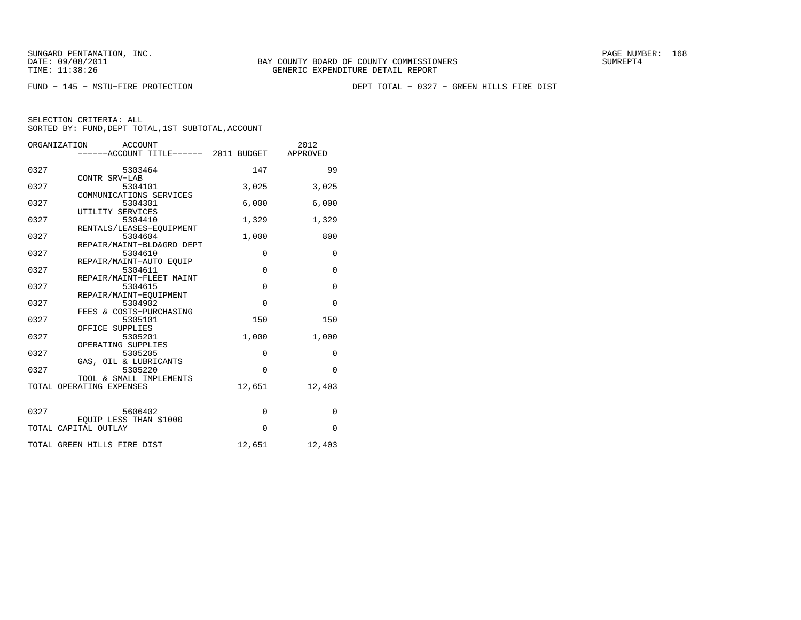FUND − 145 − MSTU−FIRE PROTECTION DEPT TOTAL − 0327 − GREEN HILLS FIRE DIST

|      | ORGANIZATION<br>ACCOUNT                        |             | 2012         |
|------|------------------------------------------------|-------------|--------------|
|      | ------ACCOUNT TITLE------ 2011 BUDGET APPROVED |             |              |
|      |                                                |             |              |
| 0327 | 5303464                                        | 147         | 99           |
|      | CONTR SRV-LAB                                  |             |              |
| 0327 | 5304101                                        | 3,025       | 3,025        |
|      | COMMUNICATIONS SERVICES                        |             |              |
| 0327 | 5304301                                        | 6,000       | 6,000        |
|      | UTILITY SERVICES                               |             |              |
| 0327 | 5304410                                        | 1,329       | 1,329        |
|      | RENTALS/LEASES-EQUIPMENT                       |             |              |
| 0327 | 5304604                                        | 1,000       | 800          |
|      | REPAIR/MAINT-BLD&GRD DEPT                      |             |              |
| 0327 | 5304610                                        | $\mathbf 0$ | $\mathbf{0}$ |
|      | REPAIR/MAINT-AUTO EOUIP                        |             |              |
| 0327 | 5304611                                        | $\mathbf 0$ | $\mathbf 0$  |
|      | REPAIR/MAINT-FLEET MAINT                       |             |              |
| 0327 | 5304615                                        | $\mathbf 0$ | $\mathbf 0$  |
|      | REPAIR/MAINT-EOUIPMENT                         |             |              |
| 0327 | 5304902                                        | $\Omega$    | $\mathbf 0$  |
|      | FEES & COSTS-PURCHASING                        |             |              |
| 0327 | 5305101                                        | 150         | 150          |
|      | OFFICE SUPPLIES                                |             |              |
| 0327 | 5305201                                        | 1,000       | 1,000        |
|      | OPERATING SUPPLIES                             |             |              |
| 0327 | 5305205                                        | $\mathbf 0$ | $\mathbf{0}$ |
|      | GAS, OIL & LUBRICANTS                          |             |              |
| 0327 | 5305220                                        | $\Omega$    | $\Omega$     |
|      | TOOL & SMALL IMPLEMENTS                        |             |              |
|      | TOTAL OPERATING EXPENSES                       | 12,651      | 12,403       |
|      |                                                |             |              |
|      |                                                |             |              |
| 0327 | 5606402                                        | $\mathbf 0$ | 0            |
|      | EQUIP LESS THAN \$1000                         |             |              |
|      | TOTAL CAPITAL OUTLAY                           | $\Omega$    | $\Omega$     |
|      |                                                |             |              |
|      | TOTAL GREEN HILLS FIRE DIST                    | 12,651      | 12,403       |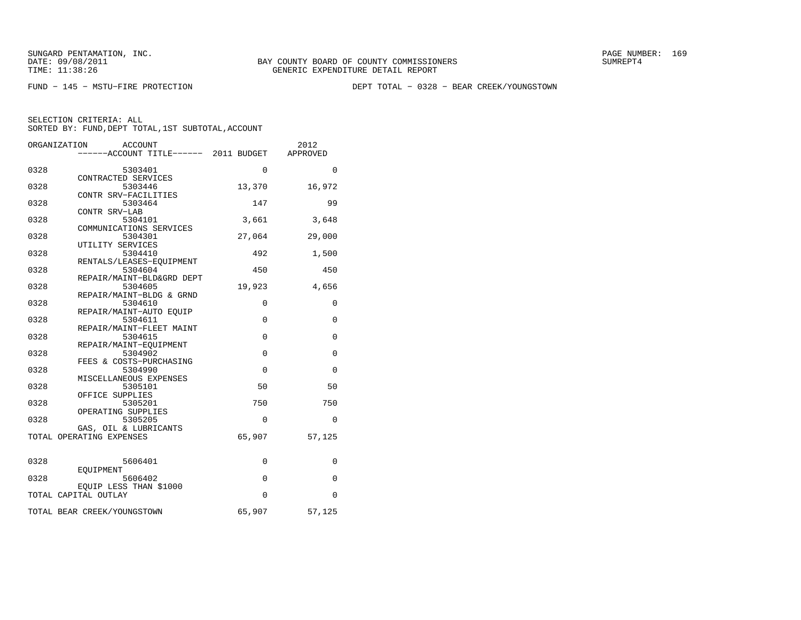FUND − 145 − MSTU−FIRE PROTECTION DEPT TOTAL − 0328 − BEAR CREEK/YOUNGSTOWN

| ORGANIZATION                | <b>ACCOUNT</b><br>-----ACCOUNT TITLE------ 2011 BUDGET |             | 2012<br>APPROVED |
|-----------------------------|--------------------------------------------------------|-------------|------------------|
| 0328                        | 5303401                                                | $\Omega$    | $\Omega$         |
|                             | CONTRACTED SERVICES                                    |             |                  |
| 0328                        | 5303446                                                | 13,370      | 16,972           |
| 0328                        | CONTR SRV-FACILITIES<br>5303464                        | 147         | 99               |
|                             | CONTR SRV-LAB                                          |             |                  |
| 0328                        | 5304101                                                | 3,661       | 3,648            |
| 0328                        | COMMUNICATIONS SERVICES<br>5304301                     | 27,064      | 29,000           |
|                             | UTILITY SERVICES                                       |             |                  |
| 0328                        | 5304410                                                | 492         | 1,500            |
|                             | RENTALS/LEASES-EQUIPMENT                               |             |                  |
| 0328                        | 5304604<br>REPAIR/MAINT-BLD&GRD DEPT                   | 450         | 450              |
| 0328                        | 5304605                                                | 19,923      | 4,656            |
|                             | REPAIR/MAINT-BLDG & GRND                               |             |                  |
| 0328                        | 5304610                                                | 0           | 0                |
| 0328                        | REPAIR/MAINT-AUTO EOUIP<br>5304611                     | $\mathbf 0$ | 0                |
|                             | REPAIR/MAINT-FLEET MAINT                               |             |                  |
| 0328                        | 5304615                                                | $\Omega$    | $\mathbf 0$      |
|                             | REPAIR/MAINT-EQUIPMENT                                 |             |                  |
| 0328                        | 5304902<br>FEES & COSTS-PURCHASING                     | $\mathbf 0$ | 0                |
| 0328                        | 5304990                                                | $\Omega$    | $\mathbf 0$      |
|                             | MISCELLANEOUS EXPENSES                                 |             |                  |
| 0328                        | 5305101                                                | 50          | 50               |
| 0328                        | OFFICE SUPPLIES<br>5305201                             | 750         | 750              |
|                             | OPERATING SUPPLIES                                     |             |                  |
| 0328                        | 5305205                                                | $\Omega$    | 0                |
|                             | GAS, OIL & LUBRICANTS                                  | 65,907      |                  |
| TOTAL OPERATING EXPENSES    |                                                        |             | 57,125           |
| 0328                        | 5606401                                                | 0           | 0                |
|                             | EQUIPMENT                                              |             |                  |
| 0328                        | 5606402                                                | $\mathbf 0$ | $\mathbf{0}$     |
| TOTAL CAPITAL OUTLAY        | EQUIP LESS THAN \$1000                                 | 0           | 0                |
| TOTAL BEAR CREEK/YOUNGSTOWN |                                                        | 65,907      | 57,125           |
|                             |                                                        |             |                  |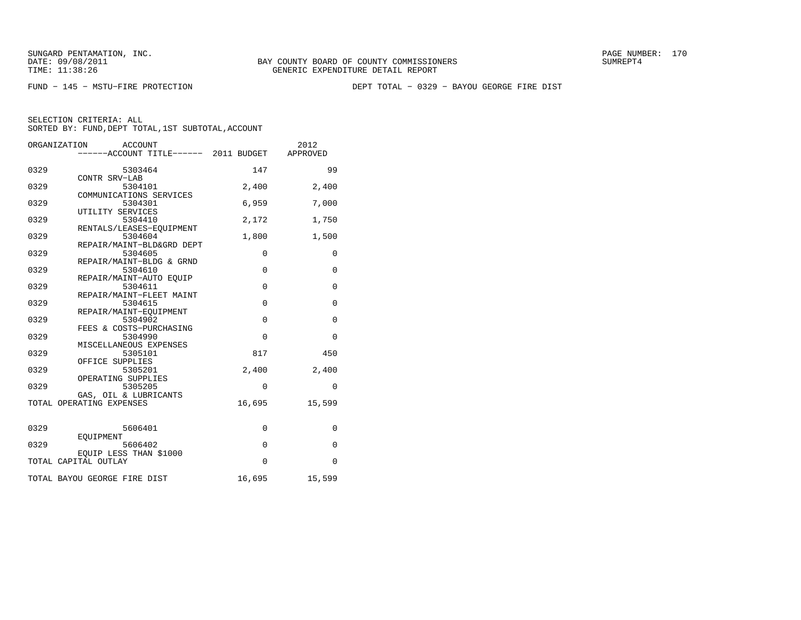FUND − 145 − MSTU−FIRE PROTECTION DEPT TOTAL − 0329 − BAYOU GEORGE FIRE DIST

|      | ORGANIZATION<br><b>ACCOUNT</b><br>-----ACCOUNT TITLE------ 2011 BUDGET |             | 2012<br>APPROVED |
|------|------------------------------------------------------------------------|-------------|------------------|
| 0329 | 5303464                                                                | 147         | 99               |
| 0329 | CONTR SRV-LAB<br>5304101                                               | 2,400       | 2,400            |
| 0329 | COMMUNICATIONS SERVICES<br>5304301                                     | 6,959       | 7,000            |
| 0329 | UTILITY SERVICES<br>5304410                                            | 2,172       | 1,750            |
| 0329 | RENTALS/LEASES-EQUIPMENT<br>5304604                                    | 1,800       | 1,500            |
| 0329 | REPAIR/MAINT-BLD&GRD DEPT<br>5304605                                   | $\mathbf 0$ | $\mathbf{0}$     |
| 0329 | REPAIR/MAINT-BLDG & GRND<br>5304610<br>REPAIR/MAINT-AUTO EOUIP         | $\mathbf 0$ | $\mathbf{0}$     |
| 0329 | 5304611<br>REPAIR/MAINT-FLEET MAINT                                    | $\mathbf 0$ | 0                |
| 0329 | 5304615<br>REPAIR/MAINT-EOUIPMENT                                      | $\mathbf 0$ | $\mathbf 0$      |
| 0329 | 5304902<br>FEES & COSTS-PURCHASING                                     | $\mathbf 0$ | $\mathbf{0}$     |
| 0329 | 5304990<br>MISCELLANEOUS EXPENSES                                      | $\mathbf 0$ | $\mathbf{0}$     |
| 0329 | 5305101<br>OFFICE SUPPLIES                                             | 817         | 450              |
| 0329 | 5305201<br>OPERATING SUPPLIES                                          | 2,400       | 2,400            |
| 0329 | 5305205<br>GAS, OIL & LUBRICANTS                                       | $\mathbf 0$ | $\mathbf{0}$     |
|      | TOTAL OPERATING EXPENSES                                               | 16,695      | 15,599           |
| 0329 | 5606401                                                                | 0           | $\mathbf 0$      |
| 0329 | EOUIPMENT<br>5606402                                                   | $\mathbf 0$ | $\mathbf{0}$     |
|      | EOUIP LESS THAN \$1000<br>TOTAL CAPITAL OUTLAY                         | $\Omega$    | $\mathbf{0}$     |
|      | TOTAL BAYOU GEORGE FIRE DIST                                           | 16,695      | 15,599           |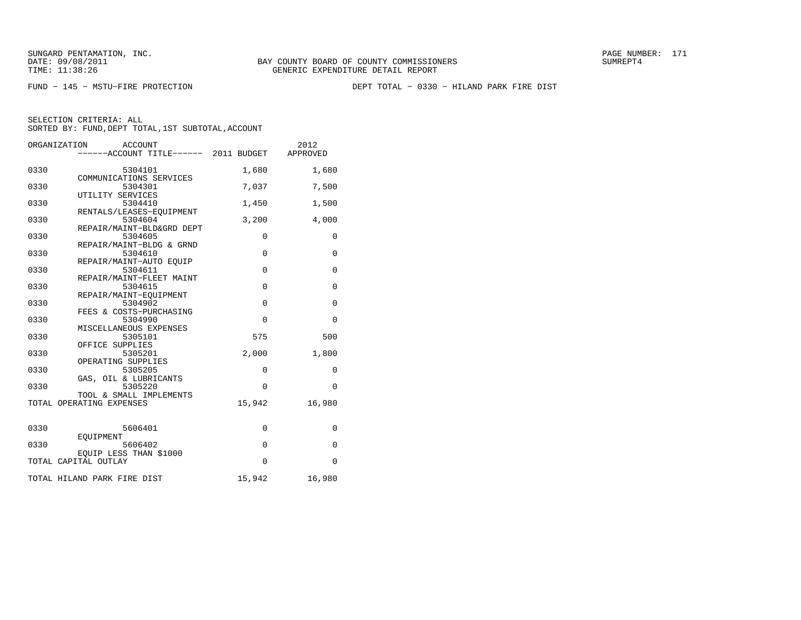FUND − 145 − MSTU−FIRE PROTECTION DEPT TOTAL − 0330 − HILAND PARK FIRE DIST

|      | ORGANIZATION<br><b>ACCOUNT</b><br>-----ACCOUNT TITLE------ 2011 BUDGET |             | 2012<br>APPROVED |
|------|------------------------------------------------------------------------|-------------|------------------|
|      |                                                                        |             |                  |
| 0330 | 5304101                                                                | 1,680       | 1,680            |
| 0330 | COMMUNICATIONS SERVICES<br>5304301                                     | 7,037       | 7,500            |
|      | UTILITY SERVICES                                                       |             |                  |
| 0330 | 5304410                                                                | 1,450       | 1,500            |
| 0330 | RENTALS/LEASES-EQUIPMENT<br>5304604                                    | 3,200       | 4,000            |
|      | REPAIR/MAINT-BLD&GRD DEPT                                              |             |                  |
| 0330 | 5304605                                                                | $\mathbf 0$ | $\mathbf{0}$     |
|      | REPAIR/MAINT-BLDG & GRND                                               |             |                  |
| 0330 | 5304610                                                                | $\mathbf 0$ | $\mathbf{0}$     |
|      | REPAIR/MAINT-AUTO EOUIP                                                |             |                  |
| 0330 | 5304611                                                                | $\mathbf 0$ | $\mathbf 0$      |
|      | REPAIR/MAINT-FLEET MAINT                                               |             |                  |
| 0330 | 5304615                                                                | $\mathbf 0$ | $\mathbf 0$      |
|      | REPAIR/MAINT-EQUIPMENT                                                 |             |                  |
| 0330 | 5304902                                                                | $\mathbf 0$ | $\mathbf{0}$     |
|      | FEES & COSTS-PURCHASING                                                |             |                  |
| 0330 | 5304990                                                                | $\Omega$    | $\Omega$         |
|      | MISCELLANEOUS EXPENSES                                                 |             |                  |
| 0330 | 5305101                                                                | 575         | 500              |
|      | OFFICE SUPPLIES                                                        |             |                  |
| 0330 | 5305201                                                                | 2,000       | 1,800            |
|      | OPERATING SUPPLIES                                                     |             |                  |
| 0330 | 5305205                                                                | $\mathbf 0$ | $\mathbf{0}$     |
|      | GAS, OIL & LUBRICANTS                                                  |             |                  |
| 0330 | 5305220                                                                | $\Omega$    | $\mathbf 0$      |
|      | TOOL & SMALL IMPLEMENTS                                                |             |                  |
|      | TOTAL OPERATING EXPENSES                                               | 15,942      | 16,980           |
|      |                                                                        |             |                  |
|      |                                                                        |             |                  |
| 0330 | 5606401                                                                | $\mathbf 0$ | $\mathbf 0$      |
|      | EOUIPMENT                                                              |             |                  |
| 0330 | 5606402                                                                | $\mathbf 0$ | $\mathbf{0}$     |
|      | EQUIP LESS THAN \$1000                                                 |             |                  |
|      | TOTAL CAPITAL OUTLAY                                                   | $\mathbf 0$ | $\mathbf{0}$     |
|      | TOTAL HILAND PARK FIRE DIST                                            | 15,942      | 16,980           |
|      |                                                                        |             |                  |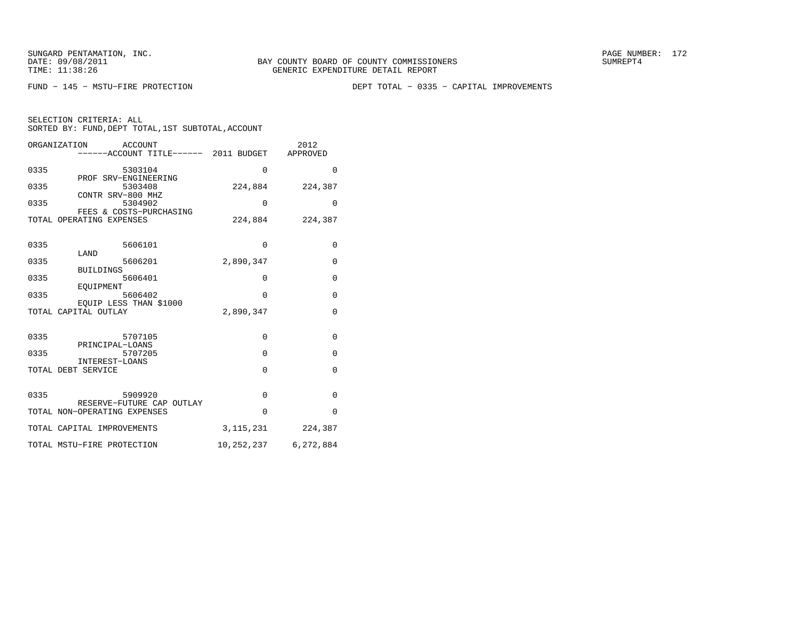FUND − 145 − MSTU−FIRE PROTECTION DEPT TOTAL − 0335 − CAPITAL IMPROVEMENTS

|  | SELECTION CRITERIA: ALL |  |                                                    |  |
|--|-------------------------|--|----------------------------------------------------|--|
|  |                         |  | SORTED BY: FUND, DEPT TOTAL, 1ST SUBTOTAL, ACCOUNT |  |

|      | ORGANIZATION<br>ACCOUNT                                   |             | 2012                     |
|------|-----------------------------------------------------------|-------------|--------------------------|
|      | -----ACCOUNT TITLE------ 2011 BUDGET                      |             | APPROVED                 |
| 0335 | 5303104                                                   | $\Omega$    | $\mathbf{0}$             |
| 0335 | PROF SRV-ENGINEERING<br>5303408                           | 224,884     | 224,387                  |
| 0335 | CONTR SRV-800 MHZ<br>5304902                              | $\Omega$    | $\Omega$                 |
|      | FEES & COSTS-PURCHASING<br>TOTAL OPERATING EXPENSES       | 224,884     | 224,387                  |
| 0335 | 5606101                                                   | $\Omega$    | $\mathbf 0$              |
| 0335 | LAND<br>5606201                                           | 2,890,347   | $\mathbf 0$              |
| 0335 | <b>BUILDINGS</b><br>5606401                               | 0           | $\mathbf 0$              |
| 0335 | EOUIPMENT<br>5606402<br>EOUIP LESS THAN \$1000            | $\Omega$    | $\mathbf 0$              |
|      | TOTAL CAPITAL OUTLAY                                      | 2,890,347   | $\mathbf{0}$             |
| 0335 | 5707105                                                   | $\mathbf 0$ | $\mathbf 0$              |
| 0335 | PRINCIPAL-LOANS<br>5707205<br>INTEREST-LOANS              | $\Omega$    | $\mathbf{0}$             |
|      | TOTAL DEBT SERVICE                                        | $\Omega$    | $\mathbf{0}$             |
| 0335 | 5909920                                                   | $\mathbf 0$ | $\mathbf 0$              |
|      | RESERVE-FUTURE CAP OUTLAY<br>TOTAL NON-OPERATING EXPENSES | $\Omega$    | $\Omega$                 |
|      | TOTAL CAPITAL IMPROVEMENTS                                | 3, 115, 231 | 224,387                  |
|      | TOTAL MSTU-FIRE PROTECTION                                |             | 10, 252, 237 6, 272, 884 |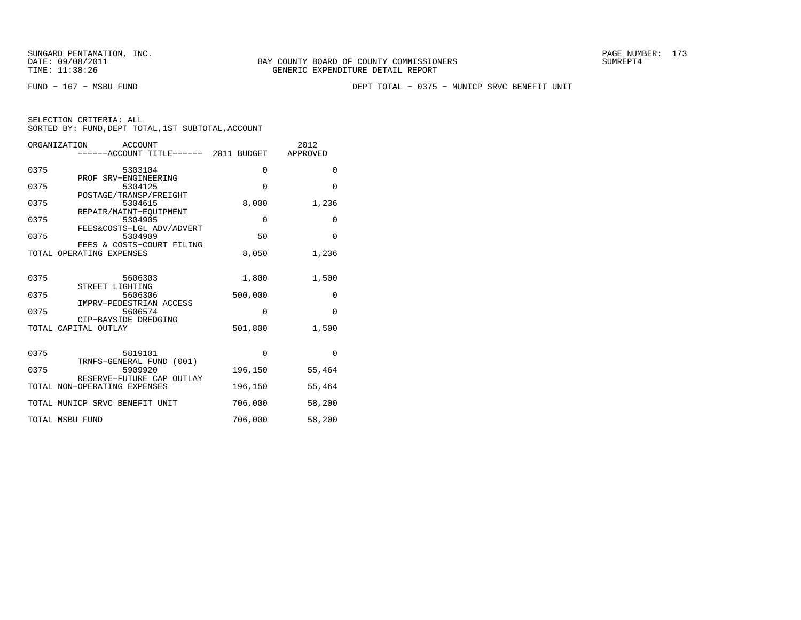FUND − 167 − MSBU FUND DEPT TOTAL − 0375 − MUNICP SRVC BENEFIT UNIT

| SELECTION CRITERIA: ALL |  |                                                    |  |
|-------------------------|--|----------------------------------------------------|--|
|                         |  | SORTED BY: FUND, DEPT TOTAL, 1ST SUBTOTAL, ACCOUNT |  |

|      | ORGANIZATION<br>ACCOUNT               | 2012        |          |  |
|------|---------------------------------------|-------------|----------|--|
|      | ------ACCOUNT TITLE------ 2011 BUDGET |             | APPROVED |  |
|      |                                       |             |          |  |
| 0375 | 5303104                               | $\Omega$    | 0        |  |
|      | PROF SRV-ENGINEERING                  |             |          |  |
| 0375 | 5304125                               | $\mathbf 0$ | $\Omega$ |  |
|      | POSTAGE/TRANSP/FREIGHT                |             |          |  |
| 0375 | 5304615                               | 8,000       | 1,236    |  |
|      | REPAIR/MAINT-EOUIPMENT                |             |          |  |
| 0375 | 5304905                               | $\mathbf 0$ | 0        |  |
|      | FEES&COSTS-LGL ADV/ADVERT             |             |          |  |
| 0375 | 5304909                               | 50          | $\Omega$ |  |
|      | FEES & COSTS-COURT FILING             |             |          |  |
|      | TOTAL OPERATING EXPENSES              | 8,050       | 1,236    |  |
|      |                                       |             |          |  |
|      |                                       |             |          |  |
| 0375 | 5606303                               | 1,800       | 1,500    |  |
|      | STREET LIGHTING                       |             |          |  |
| 0375 | 5606306                               | 500,000     | 0        |  |
|      | IMPRV-PEDESTRIAN ACCESS               |             |          |  |
| 0375 | 5606574                               | $\Omega$    | $\Omega$ |  |
|      | CIP-BAYSIDE DREDGING                  |             |          |  |
|      | TOTAL CAPITAL OUTLAY                  | 501,800     | 1,500    |  |
|      |                                       |             |          |  |
|      |                                       |             |          |  |
| 0375 | 5819101                               | $\Omega$    | $\Omega$ |  |
|      | TRNFS-GENERAL FUND (001)              |             |          |  |
| 0375 | 5909920                               | 196,150     | 55,464   |  |
|      | RESERVE-FUTURE CAP OUTLAY             |             |          |  |
|      | TOTAL NON-OPERATING EXPENSES          | 196,150     | 55,464   |  |
|      |                                       |             |          |  |
|      | TOTAL MUNICP SRVC BENEFIT UNIT        | 706,000     | 58,200   |  |
|      |                                       |             |          |  |
|      | TOTAL MSBU FUND                       | 706,000     | 58,200   |  |
|      |                                       |             |          |  |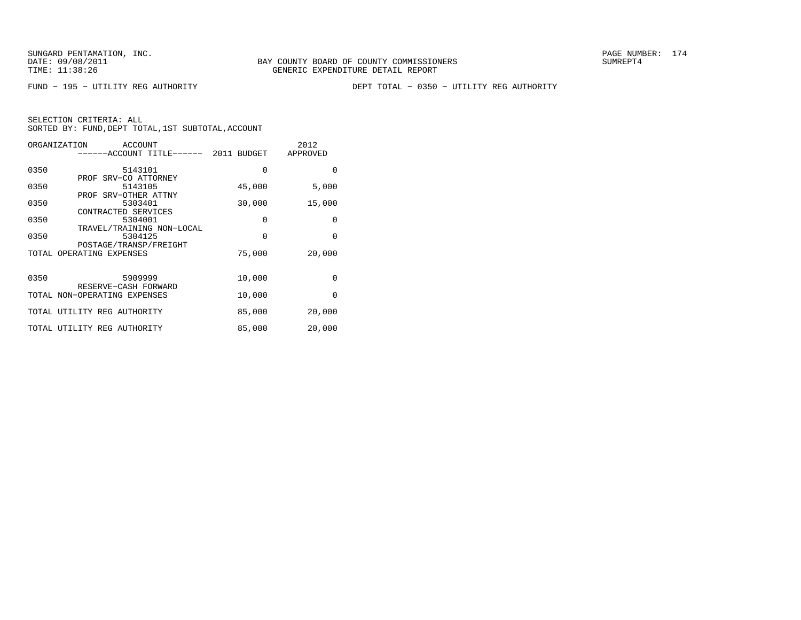FUND − 195 − UTILITY REG AUTHORITY DEPT TOTAL − 0350 − UTILITY REG AUTHORITY

| ORGANIZATION | ACCOUNT                                            |          | 2012            |
|--------------|----------------------------------------------------|----------|-----------------|
|              | -----ACCOUNT TITLE------ 2011 BUDGET               |          | <b>APPROVED</b> |
|              |                                                    |          |                 |
| 0350         | 5143101                                            | 0        | $\Omega$        |
|              | PROF SRV-CO ATTORNEY                               |          |                 |
| 0350         | 5143105                                            | 45,000   | 5,000           |
|              | PROF SRV-OTHER ATTNY                               |          |                 |
| 0350         | 5303401                                            | 30,000   | 15,000          |
|              | CONTRACTED SERVICES                                |          |                 |
| 0350         | 5304001                                            | 0        | 0               |
| 0350         | TRAVEL/TRAINING NON-LOCAL<br>5304125               | $\Omega$ | $\Omega$        |
|              |                                                    |          |                 |
|              | POSTAGE/TRANSP/FREIGHT<br>TOTAL OPERATING EXPENSES | 75,000   | 20,000          |
|              |                                                    |          |                 |
|              |                                                    |          |                 |
| 0350         | 5909999                                            | 10,000   | 0               |
|              | RESERVE-CASH FORWARD                               |          |                 |
|              | TOTAL NON-OPERATING EXPENSES                       | 10,000   | $\Omega$        |
|              |                                                    |          |                 |
|              | TOTAL UTILITY REG AUTHORITY                        | 85,000   | 20,000          |
|              |                                                    |          |                 |
|              | TOTAL UTILITY REG AUTHORITY                        | 85,000   | 20,000          |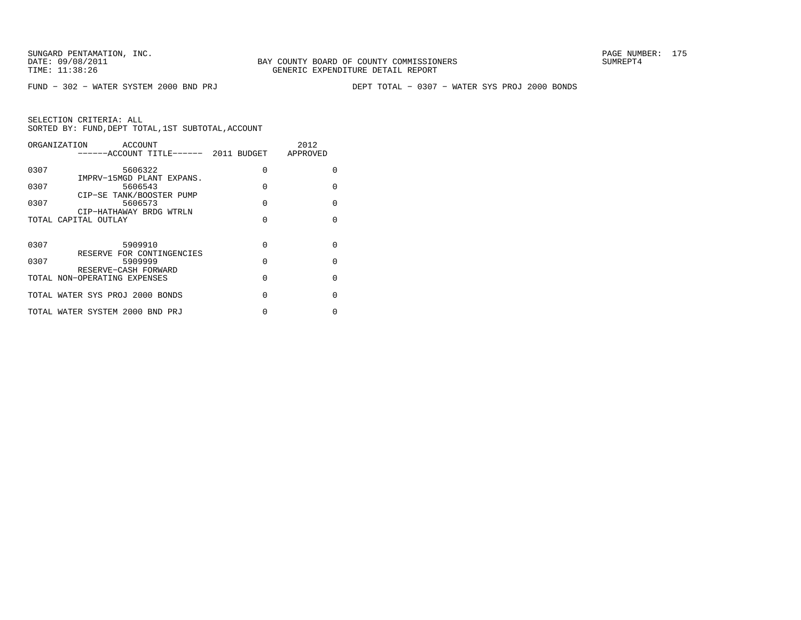FUND − 302 − WATER SYSTEM 2000 BND PRJ DEPT TOTAL − 0307 − WATER SYS PROJ 2000 BONDS

| ORGANIZATION | ACCOUNT<br>------ACCOUNT TITLE------ 2011 BUDGET APPROVED        |          | 2012     |
|--------------|------------------------------------------------------------------|----------|----------|
| 0307         | 5606322                                                          | $\Omega$ | $\Omega$ |
| 0307         | IMPRV-15MGD PLANT EXPANS.<br>5606543<br>CIP-SE TANK/BOOSTER PUMP | $\Omega$ | $\Omega$ |
| 0307         | 5606573<br>CIP-HATHAWAY BRDG WTRLN                               | $\Omega$ | $\Omega$ |
|              | TOTAL CAPITAL OUTLAY                                             | $\Omega$ | $\Omega$ |
| 0307         | 5909910                                                          | $\Omega$ | $\Omega$ |
| 0307         | RESERVE FOR CONTINGENCIES<br>5909999                             | $\Omega$ | $\Omega$ |
|              | RESERVE-CASH FORWARD<br>TOTAL NON-OPERATING EXPENSES             | O        | $\Omega$ |
|              | TOTAL WATER SYS PROJ 2000 BONDS                                  | $\Omega$ | $\Omega$ |
|              | TOTAL WATER SYSTEM 2000 BND PRJ                                  |          | O        |
|              |                                                                  |          |          |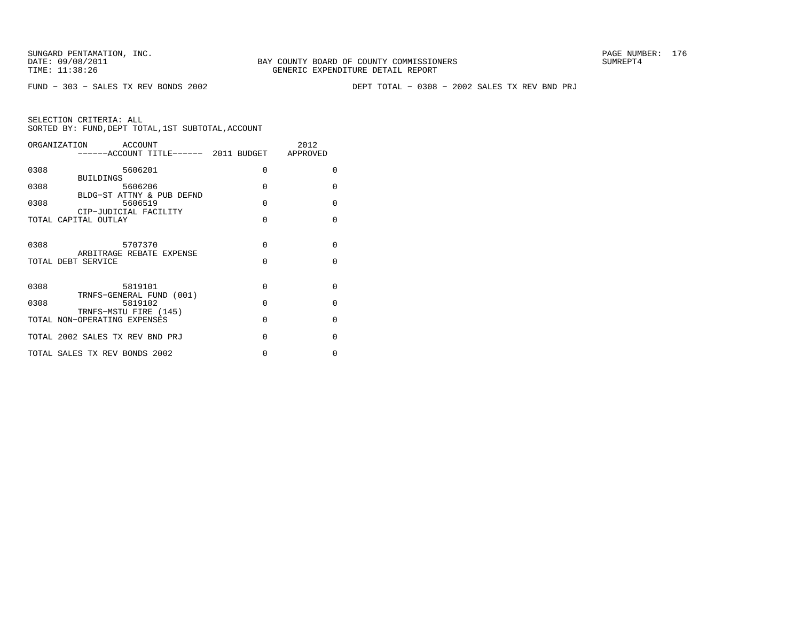FUND − 303 − SALES TX REV BONDS 2002 DEPT TOTAL − 0308 − 2002 SALES TX REV BND PRJ

|      | ORGANIZATION ACCOUNT<br>------ACCOUNT TITLE------ 2011 BUDGET APPROVED |          | 2012     |
|------|------------------------------------------------------------------------|----------|----------|
| 0308 | 5606201<br><b>BUILDINGS</b>                                            | $\Omega$ | $\Omega$ |
| 0308 | 5606206<br>BLDG-ST ATTNY & PUB DEFND                                   | $\Omega$ | $\Omega$ |
| 0308 | 5606519<br>CIP-JUDICIAL FACILITY                                       | $\Omega$ | $\Omega$ |
|      | TOTAL CAPITAL OUTLAY                                                   | $\Omega$ | $\Omega$ |
| 0308 | 5707370<br>ARBITRAGE REBATE EXPENSE                                    | $\Omega$ | $\Omega$ |
|      | TOTAL DEBT SERVICE                                                     | $\Omega$ | $\Omega$ |
| 0308 | 5819101<br>TRNFS-GENERAL FUND (001)                                    | $\Omega$ | $\Omega$ |
| 0308 | 5819102<br>TRNFS-MSTU FIRE (145)                                       | $\Omega$ | $\Omega$ |
|      | TOTAL NON-OPERATING EXPENSES                                           | $\Omega$ | $\Omega$ |
|      | TOTAL 2002 SALES TX REV BND PRJ                                        | $\Omega$ | $\Omega$ |
|      | TOTAL SALES TX REV BONDS 2002                                          | 0        | 0        |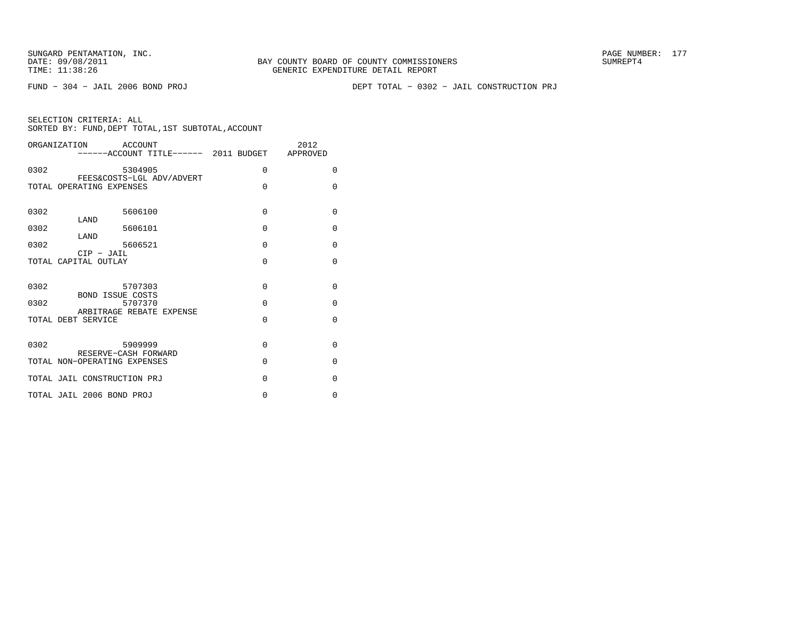FUND − 304 − JAIL 2006 BOND PROJ DEPT TOTAL − 0302 − JAIL CONSTRUCTION PRJ

|              | ORGANIZATION ACCOUNT                                  |         |          |                      | 2012<br>------ACCOUNT TITLE------ 2011 BUDGET APPROVED |                      |
|--------------|-------------------------------------------------------|---------|----------|----------------------|--------------------------------------------------------|----------------------|
| 0302         |                                                       | 5304905 |          | $\mathbf 0$          |                                                        | $\Omega$             |
|              | FEES&COSTS-LGL ADV/ADVERT<br>TOTAL OPERATING EXPENSES |         |          | $\Omega$             |                                                        | $\Omega$             |
| 0302         |                                                       | 5606100 |          | $\Omega$             |                                                        | $\Omega$             |
| 0302         | LAND                                                  | 5606101 |          | $\Omega$             |                                                        | $\Omega$             |
| 0302         | LAND                                                  | 5606521 |          | $\Omega$             |                                                        | $\Omega$             |
|              | $CIP$ - JAIL<br>TOTAL CAPITAL OUTLAY                  |         | $\Omega$ |                      | $\Omega$                                               |                      |
| 0302<br>0302 | 5707303<br><b>BOND ISSUE COSTS</b>                    | 5707370 |          | $\Omega$<br>$\Omega$ |                                                        | $\Omega$<br>$\Omega$ |
|              | ARBITRAGE REBATE EXPENSE<br>TOTAL DEBT SERVICE        |         |          | $\Omega$             |                                                        | $\Omega$             |
| 0302         | 5909999<br>RESERVE-CASH FORWARD                       |         |          | $\Omega$             |                                                        | $\Omega$             |
|              | TOTAL NON-OPERATING EXPENSES                          |         |          | $\Omega$             |                                                        | $\Omega$             |
|              | TOTAL JAIL CONSTRUCTION PRJ                           |         |          | $\Omega$             |                                                        | $\Omega$             |
|              | TOTAL JAIL 2006 BOND PROJ                             |         |          | $\mathbf 0$          |                                                        | 0                    |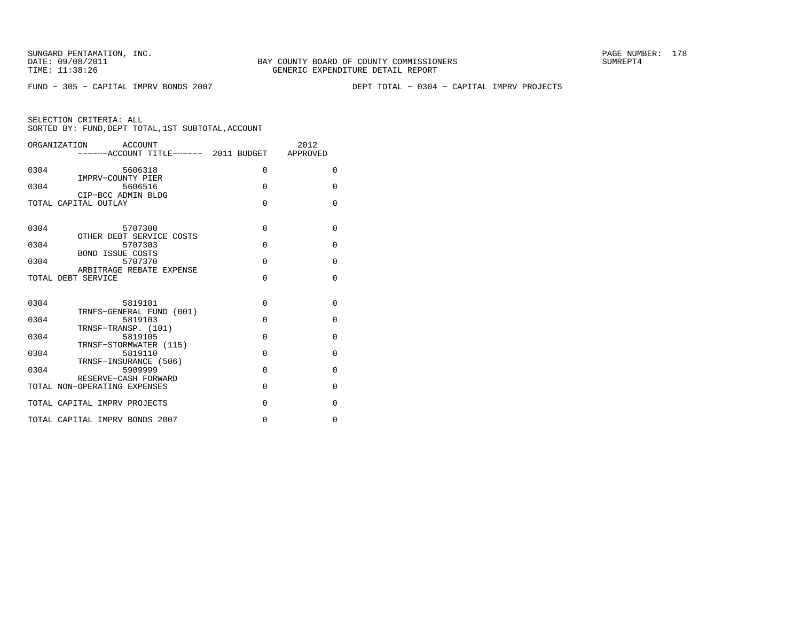FUND − 305 − CAPITAL IMPRV BONDS 2007 DEPT TOTAL − 0304 − CAPITAL IMPRV PROJECTS

| ACCOUNT<br>ORGANIZATION<br>------ACCOUNT TITLE------ 2011 BUDGET APPROVED |          | 2012     |
|---------------------------------------------------------------------------|----------|----------|
| 0304<br>5606318                                                           | $\Omega$ | $\Omega$ |
| IMPRV-COUNTY PIER<br>5606516<br>0304                                      | $\Omega$ | 0        |
| CIP-BCC ADMIN BLDG<br>TOTAL CAPITAL OUTLAY                                | $\Omega$ | $\Omega$ |
|                                                                           |          |          |
| 0304<br>5707300                                                           | 0        | 0        |
| OTHER DEBT SERVICE COSTS<br>5707303<br>0304                               | $\Omega$ | $\Omega$ |
| <b>BOND ISSUE COSTS</b><br>0304<br>5707370                                | $\Omega$ | 0        |
| ARBITRAGE REBATE EXPENSE<br>TOTAL DEBT SERVICE                            | $\Omega$ | $\Omega$ |
|                                                                           |          |          |
| 0304<br>5819101<br>TRNFS-GENERAL FUND (001)                               | $\Omega$ | $\Omega$ |
| 5819103<br>0304                                                           | $\Omega$ | 0        |
| TRNSF-TRANSP. (101)<br>0304<br>5819105                                    | $\Omega$ | $\Omega$ |
| TRNSF-STORMWATER (115)<br>0304<br>5819110                                 | $\Omega$ | $\Omega$ |
| TRNSF-INSURANCE (506)<br>0304<br>5909999                                  | $\Omega$ | 0        |
| RESERVE-CASH FORWARD<br>TOTAL NON-OPERATING EXPENSES                      | $\Omega$ | $\Omega$ |
| TOTAL CAPITAL IMPRV PROJECTS                                              | $\Omega$ | $\Omega$ |
| TOTAL CAPITAL IMPRV BONDS 2007                                            | 0        | $\Omega$ |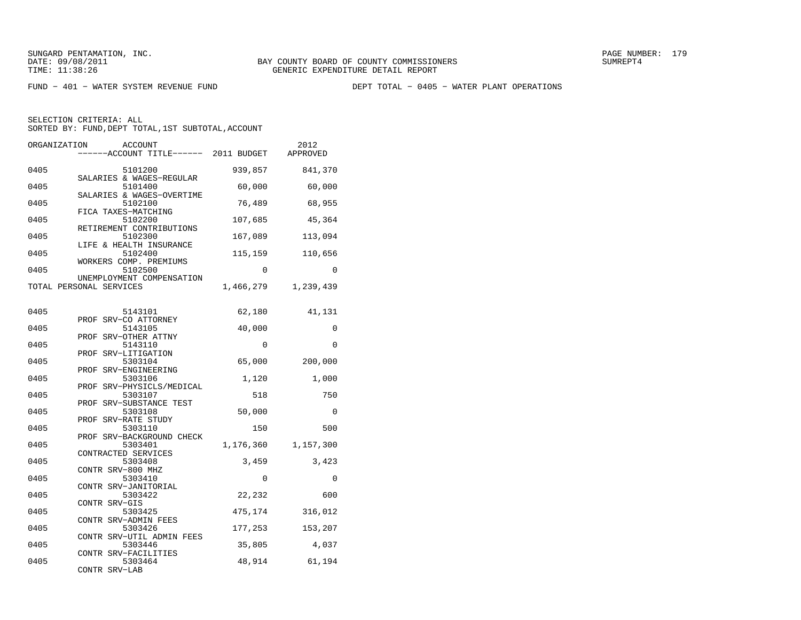FUND − 401 − WATER SYSTEM REVENUE FUND DEPT TOTAL − 0405 − WATER PLANT OPERATIONS

| ORGANIZATION<br>ACCOUNT<br>------ACCOUNT TITLE------               | 2011 BUDGET | 2012<br>APPROVED |
|--------------------------------------------------------------------|-------------|------------------|
| 0405<br>5101200<br>SALARIES & WAGES-REGULAR                        | 939,857     | 841,370          |
| 0405<br>5101400<br>SALARIES & WAGES-OVERTIME                       | 60,000      | 60,000           |
| 5102100<br>0405                                                    | 76,489      | 68,955           |
| FICA TAXES-MATCHING<br>0405<br>5102200<br>RETIREMENT CONTRIBUTIONS | 107,685     | 45,364           |
| 0405<br>5102300<br>LIFE & HEALTH INSURANCE                         | 167,089     | 113,094          |
| 5102400<br>0405<br>WORKERS COMP. PREMIUMS                          | 115,159     | 110,656          |
| 0405<br>5102500<br>UNEMPLOYMENT COMPENSATION                       | $\Omega$    | $\Omega$         |
| TOTAL PERSONAL SERVICES                                            | 1,466,279   | 1,239,439        |
| 0405<br>5143101                                                    | 62,180      | 41,131           |
| PROF SRV-CO ATTORNEY<br>0405<br>5143105                            | 40,000      | 0                |
| SRV-OTHER ATTNY<br>PROF<br>0405<br>5143110<br>PROF SRV-LITIGATION  | $\Omega$    | $\Omega$         |
| 0405<br>5303104<br>PROF SRV-ENGINEERING                            | 65,000      | 200,000          |
| 0405<br>5303106<br>PROF SRV-PHYSICLS/MEDICAL                       | 1,120       | 1,000            |
| 0405<br>5303107<br>SRV-SUBSTANCE TEST<br>PROF                      | 518         | 750              |
| 0405<br>5303108<br>SRV-RATE STUDY<br>PROF                          | 50,000      | $\Omega$         |
| 0405<br>5303110<br>PROF SRV-BACKGROUND CHECK                       | 150         | 500              |
| 0405<br>5303401<br>CONTRACTED SERVICES                             | 1,176,360   | 1,157,300        |
| 5303408<br>0405<br>CONTR SRV-800 MHZ                               | 3,459       | 3,423            |
| 0405<br>5303410<br>CONTR SRV-JANITORIAL                            | 0           | 0                |
| 0405<br>5303422<br>CONTR SRV-GIS                                   | 22,232      | 600              |
| 0405<br>5303425<br>CONTR SRV-ADMIN FEES                            | 475,174     | 316,012          |
| 0405<br>5303426<br>CONTR SRV-UTIL ADMIN FEES                       | 177,253     | 153,207          |
| 0405<br>5303446<br>CONTR SRV-FACILITIES                            | 35,805      | 4,037            |
| 0405<br>5303464<br>CONTR SRV-LAB                                   | 48,914      | 61,194           |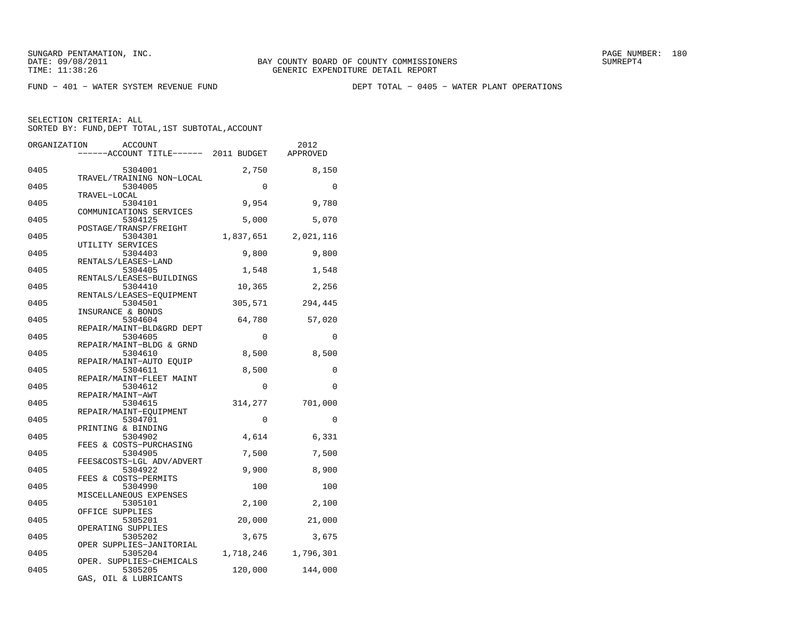FUND − 401 − WATER SYSTEM REVENUE FUND DEPT TOTAL − 0405 − WATER PLANT OPERATIONS

SELECTION CRITERIA: ALL

SORTED BY: FUND, DEPT TOTAL, 1ST SUBTOTAL, ACCOUNT

| ORGANIZATION | <b>ACCOUNT</b><br>----ACCOUNT TITLE------ 2011 BUDGET          |                 | 2012<br><b>APPROVED</b> |
|--------------|----------------------------------------------------------------|-----------------|-------------------------|
| 0405         | 5304001<br>TRAVEL/TRAINING NON-LOCAL                           | 2,750           | 8,150                   |
| 0405         | 5304005<br>TRAVEL-LOCAL                                        | $\Omega$        | $\Omega$                |
| 0405         | 5304101<br>COMMUNICATIONS SERVICES                             | 9,954           | 9,780                   |
| 0405         | 5304125<br>POSTAGE/TRANSP/FREIGHT                              | 5,000           | 5,070                   |
| 0405         | 5304301<br>UTILITY SERVICES                                    | 1,837,651       | 2,021,116               |
| 0405         | 5304403<br>RENTALS/LEASES-LAND                                 | 9,800           | 9,800                   |
| 0405<br>0405 | 5304405<br>RENTALS/LEASES-BUILDINGS<br>5304410                 | 1,548<br>10,365 | 1,548<br>2,256          |
| 0405         | RENTALS/LEASES-EQUIPMENT<br>5304501                            | 305,571         | 294,445                 |
| 0405         | INSURANCE & BONDS<br>5304604                                   | 64,780          | 57,020                  |
| 0405         | REPAIR/MAINT-BLD&GRD DEPT<br>5304605                           | $\Omega$        | $\Omega$                |
| 0405         | REPAIR/MAINT-BLDG & GRND<br>5304610                            | 8,500           | 8,500                   |
| 0405         | REPAIR/MAINT-AUTO EOUIP<br>5304611<br>REPAIR/MAINT-FLEET MAINT | 8,500           | 0                       |
| 0405         | 5304612<br>REPAIR/MAINT-AWT                                    | $\Omega$        | $\Omega$                |
| 0405         | 5304615<br>REPAIR/MAINT-EQUIPMENT                              | 314,277         | 701,000                 |
| 0405         | 5304701<br>PRINTING & BINDING                                  | $\Omega$        | $\Omega$                |
| 0405<br>0405 | 5304902<br>FEES & COSTS-PURCHASING<br>5304905                  | 4,614<br>7,500  | 6,331<br>7,500          |
| 0405         | FEES&COSTS-LGL ADV/ADVERT<br>5304922                           | 9,900           | 8,900                   |
| 0405         | FEES & COSTS-PERMITS<br>5304990                                | 100             | 100                     |
| 0405         | MISCELLANEOUS EXPENSES<br>5305101                              | 2,100           | 2,100                   |
| 0405         | OFFICE SUPPLIES<br>5305201<br>OPERATING SUPPLIES               | 20,000          | 21,000                  |
| 0405         | 5305202<br>OPER SUPPLIES-JANITORIAL                            | 3,675           | 3,675                   |
| 0405         | 5305204<br>OPER. SUPPLIES-CHEMICALS                            | 1,718,246       | 1,796,301               |
| 0405         | 5305205<br>GAS, OIL & LUBRICANTS                               | 120,000         | 144,000                 |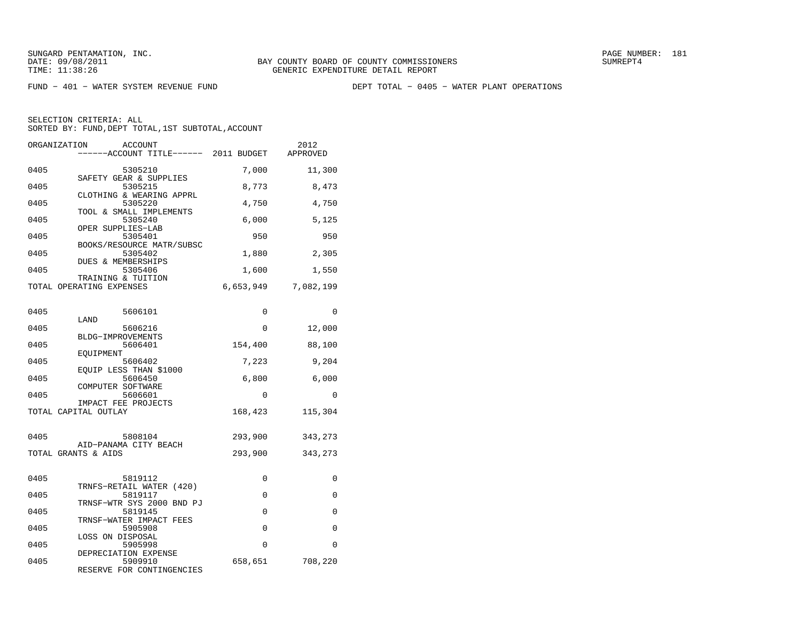FUND − 401 − WATER SYSTEM REVENUE FUND DEPT TOTAL − 0405 − WATER PLANT OPERATIONS

| ORGANIZATION<br>ACCOUNT<br>----ACCOUNT TITLE------ 2011 BUDGET |             | 2012<br>APPROVED    |
|----------------------------------------------------------------|-------------|---------------------|
| 0405<br>5305210                                                | 7,000       | 11,300              |
| SAFETY GEAR & SUPPLIES<br>0405<br>5305215                      | 8,773       | 8,473               |
| CLOTHING & WEARING APPRL<br>0405<br>5305220                    | 4,750       | 4,750               |
| TOOL & SMALL IMPLEMENTS<br>0405<br>5305240                     | 6,000       | 5,125               |
| OPER SUPPLIES-LAB<br>0405<br>5305401                           | 950         | 950                 |
| BOOKS/RESOURCE MATR/SUBSC<br>5305402<br>0405                   | 1,880       | 2,305               |
| DUES & MEMBERSHIPS<br>0405<br>5305406                          | 1,600       | 1,550               |
| TRAINING & TUITION<br>TOTAL OPERATING EXPENSES                 |             | 6,653,949 7,082,199 |
| 0405<br>5606101                                                | 0           | $\Omega$            |
| LAND                                                           |             |                     |
| 0405<br>5606216<br>BLDG-IMPROVEMENTS                           | 0           | 12,000              |
| 0405<br>5606401<br>EOUIPMENT                                   | 154,400     | 88,100              |
| 0405<br>5606402<br>EQUIP LESS THAN \$1000                      | 7,223       | 9,204               |
| 0405<br>5606450<br>COMPUTER SOFTWARE                           | 6,800       | 6,000               |
| 0405<br>5606601                                                | $\Omega$    | $\Omega$            |
| IMPACT FEE PROJECTS<br>TOTAL CAPITAL OUTLAY                    | 168,423     | 115,304             |
| 0405<br>5808104                                                | 293,900     | 343,273             |
| AID-PANAMA CITY BEACH                                          |             |                     |
| TOTAL GRANTS & AIDS                                            | 293,900     | 343,273             |
| 0405<br>5819112                                                | 0           | 0                   |
| TRNFS-RETAIL WATER (420)<br>0405<br>5819117                    | $\mathbf 0$ | 0                   |
| TRNSF-WTR SYS 2000 BND PJ<br>5819145<br>0405                   | $\Omega$    | $\Omega$            |
| TRNSF-WATER IMPACT FEES<br>0405<br>5905908                     | 0           | 0                   |
| LOSS ON DISPOSAL<br>0405<br>5905998                            | $\Omega$    | $\Omega$            |
| DEPRECIATION EXPENSE<br>0405<br>5909910                        | 658,651     | 708,220             |
| RESERVE FOR CONTINGENCIES                                      |             |                     |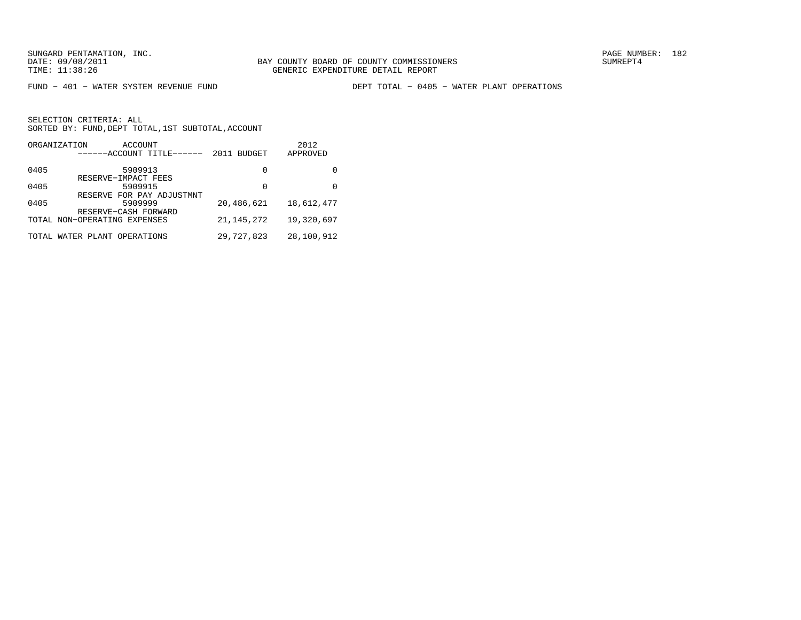FUND − 401 − WATER SYSTEM REVENUE FUND DEPT TOTAL − 0405 − WATER PLANT OPERATIONS

|      | ORGANIZATION<br>ACCOUNT<br>------ACCOUNT TITLE------ | <b>BUDGET</b><br>2011 | 2012<br>APPROVED |
|------|------------------------------------------------------|-----------------------|------------------|
| 0405 | 5909913                                              | 0                     |                  |
|      | RESERVE-IMPACT FEES                                  |                       |                  |
| 0405 | 5909915                                              | 0                     | 0                |
|      | RESERVE FOR PAY ADJUSTMNT                            |                       |                  |
| 0405 | 5909999                                              | 20,486,621            | 18,612,477       |
|      | RESERVE-CASH FORWARD                                 |                       |                  |
|      | TOTAL NON-OPERATING EXPENSES                         | 21, 145, 272          | 19,320,697       |
|      | TOTAL WATER PLANT OPERATIONS                         | 29,727,823            | 28,100,912       |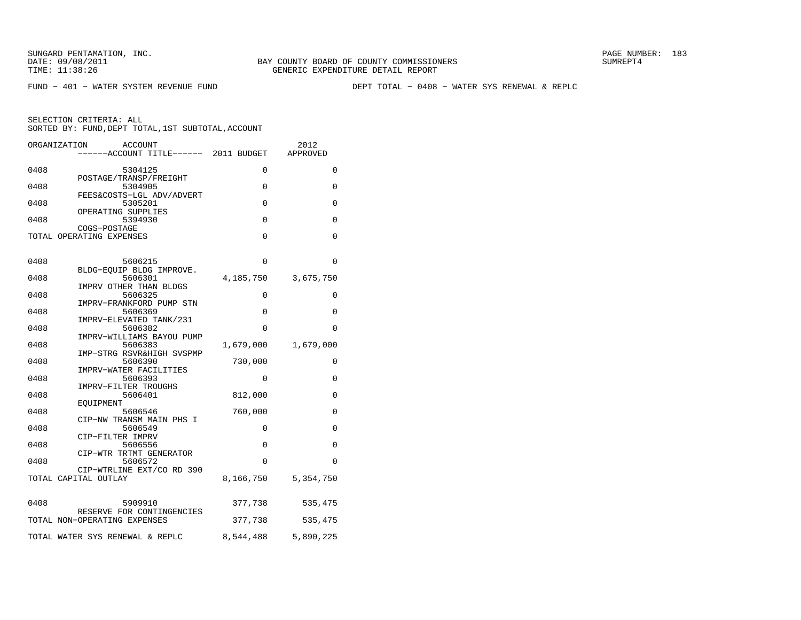FUND − 401 − WATER SYSTEM REVENUE FUND DEPT TOTAL − 0408 − WATER SYS RENEWAL & REPLC

|      | ORGANIZATION<br><b>ACCOUNT</b><br>-----ACCOUNT TITLE------ 2011 BUDGET |                       | 2012<br>APPROVED |
|------|------------------------------------------------------------------------|-----------------------|------------------|
| 0408 | 5304125                                                                | 0                     | $\Omega$         |
| 0408 | POSTAGE/TRANSP/FREIGHT<br>5304905                                      | 0                     | 0                |
| 0408 | FEES&COSTS-LGL ADV/ADVERT<br>5305201                                   | $\Omega$              | 0                |
| 0408 | OPERATING SUPPLIES<br>5394930<br>COGS-POSTAGE                          | 0                     | 0                |
|      | TOTAL OPERATING EXPENSES                                               | $\Omega$              | 0                |
| 0408 | 5606215                                                                | 0                     | 0                |
| 0408 | BLDG-EQUIP BLDG IMPROVE.<br>5606301<br>IMPRV OTHER THAN BLDGS          | 4,185,750             | 3,675,750        |
| 0408 | 5606325<br>IMPRV-FRANKFORD PUMP STN                                    | $\Omega$              | $\Omega$         |
| 0408 | 5606369<br>IMPRV-ELEVATED TANK/231                                     | 0                     | 0                |
| 0408 | 5606382<br>IMPRV-WILLIAMS BAYOU PUMP                                   | $\Omega$              | $\Omega$         |
| 0408 | 5606383<br>IMP-STRG RSVR&HIGH SVSPMP                                   | 1,679,000             | 1,679,000        |
| 0408 | 5606390<br>IMPRV-WATER FACILITIES                                      | 730,000               | 0                |
| 0408 | 5606393<br>IMPRV-FILTER TROUGHS                                        | 0                     | 0                |
| 0408 | 5606401<br>EOUIPMENT                                                   | 812,000               | 0                |
| 0408 | 5606546<br>CIP-NW TRANSM MAIN PHS I                                    | 760,000               | 0                |
| 0408 | 5606549<br>CIP-FILTER IMPRV                                            | 0                     | 0                |
| 0408 | 5606556<br>CIP-WTR TRTMT GENERATOR                                     | 0                     | 0                |
| 0408 | 5606572<br>CIP-WTRLINE EXT/CO RD 390<br>TOTAL CAPITAL OUTLAY           | $\Omega$<br>8,166,750 | 0<br>5,354,750   |
|      |                                                                        |                       |                  |
| 0408 | 5909910<br>RESERVE FOR CONTINGENCIES                                   | 377,738               | 535,475          |
|      | TOTAL NON-OPERATING EXPENSES                                           | 377,738               | 535,475          |
|      | TOTAL WATER SYS RENEWAL & REPLC                                        | 8,544,488             | 5,890,225        |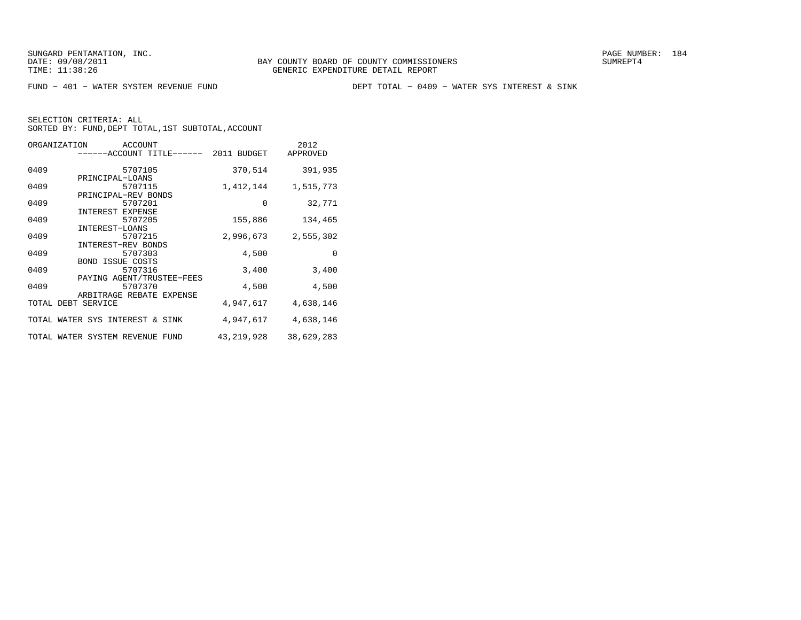FUND − 401 − WATER SYSTEM REVENUE FUND DEPT TOTAL − 0409 − WATER SYS INTEREST & SINK

| ORGANIZATION<br>ACCOUNT               |              | 2012       |
|---------------------------------------|--------------|------------|
| ------ACCOUNT TITLE------ 2011 BUDGET |              | APPROVED   |
| 5707105<br>0409                       | 370,514      | 391,935    |
| PRINCIPAL-LOANS                       |              |            |
| 0409<br>5707115                       | 1,412,144    | 1,515,773  |
| PRINCIPAL-REV BONDS                   |              |            |
| 0409<br>5707201                       | 0            | 32,771     |
| INTEREST EXPENSE                      |              |            |
| 0409<br>5707205                       | 155,886      | 134,465    |
| INTEREST-LOANS                        |              |            |
| 0409<br>5707215                       | 2,996,673    | 2,555,302  |
| INTEREST-REV BONDS                    |              |            |
| 0409<br>5707303                       | 4,500        | $\Omega$   |
| BOND ISSUE COSTS                      |              |            |
| 0409<br>5707316                       | 3,400        | 3,400      |
| PAYING AGENT/TRUSTEE-FEES             |              |            |
| 0409<br>5707370                       | 4,500        | 4,500      |
| ARBITRAGE REBATE EXPENSE              |              |            |
| TOTAL DEBT SERVICE                    | 4,947,617    | 4,638,146  |
|                                       |              |            |
| TOTAL WATER SYS INTEREST & SINK       | 4,947,617    | 4,638,146  |
| TOTAL WATER SYSTEM REVENUE FUND       | 43, 219, 928 | 38,629,283 |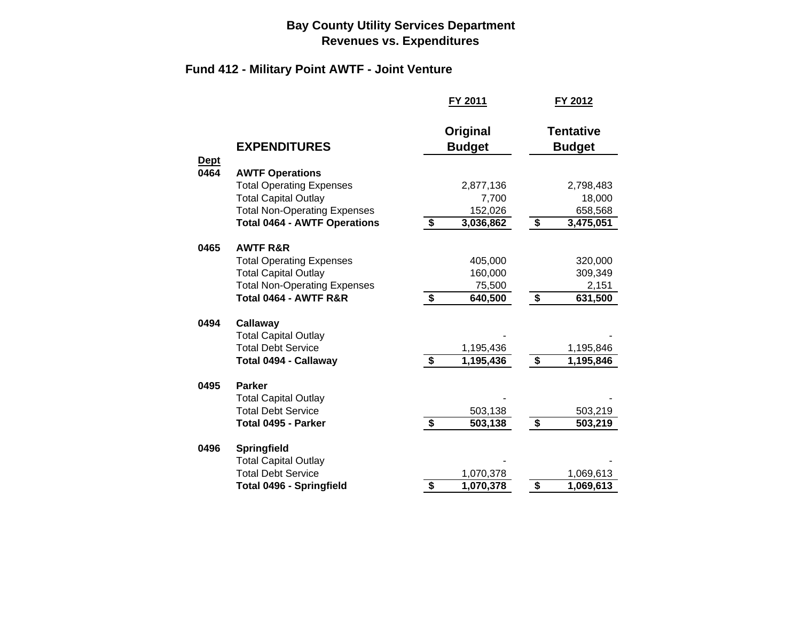## **Bay County Utility Services Department Revenues vs. Expenditures**

## **Fund 412 - Military Point AWTF - Joint Venture**

|                     |                                     |                                      | FY 2011                   |                      | FY 2012                           |
|---------------------|-------------------------------------|--------------------------------------|---------------------------|----------------------|-----------------------------------|
|                     | <b>EXPENDITURES</b>                 |                                      | Original<br><b>Budget</b> |                      | <b>Tentative</b><br><b>Budget</b> |
| <b>Dept</b><br>0464 | <b>AWTF Operations</b>              |                                      |                           |                      |                                   |
|                     | <b>Total Operating Expenses</b>     |                                      | 2,877,136                 |                      | 2,798,483                         |
|                     | <b>Total Capital Outlay</b>         |                                      | 7,700                     |                      | 18,000                            |
|                     | <b>Total Non-Operating Expenses</b> |                                      | 152,026                   |                      | 658,568                           |
|                     | <b>Total 0464 - AWTF Operations</b> | \$                                   | 3,036,862                 | \$                   | 3,475,051                         |
| 0465                | <b>AWTF R&amp;R</b>                 |                                      |                           |                      |                                   |
|                     | <b>Total Operating Expenses</b>     |                                      | 405,000                   |                      | 320,000                           |
|                     | <b>Total Capital Outlay</b>         |                                      | 160,000                   |                      | 309,349                           |
|                     | <b>Total Non-Operating Expenses</b> |                                      | 75,500                    |                      | 2,151                             |
|                     | Total 0464 - AWTF R&R               | $\overline{\boldsymbol{\mathsf{s}}}$ | 640,500                   | \$                   | 631,500                           |
| 0494                | Callaway                            |                                      |                           |                      |                                   |
|                     | <b>Total Capital Outlay</b>         |                                      |                           |                      |                                   |
|                     | <b>Total Debt Service</b>           |                                      | 1,195,436                 |                      | 1,195,846                         |
|                     | Total 0494 - Callaway               | $\overline{\mathbf{3}}$              | 1,195,436                 | $\overline{\bullet}$ | 1,195,846                         |
| 0495                | <b>Parker</b>                       |                                      |                           |                      |                                   |
|                     | <b>Total Capital Outlay</b>         |                                      |                           |                      |                                   |
|                     | <b>Total Debt Service</b>           |                                      | 503,138                   |                      | 503,219                           |
|                     | Total 0495 - Parker                 | \$                                   | 503,138                   | \$                   | 503,219                           |
| 0496                | <b>Springfield</b>                  |                                      |                           |                      |                                   |
|                     | <b>Total Capital Outlay</b>         |                                      |                           |                      |                                   |
|                     | <b>Total Debt Service</b>           |                                      | 1,070,378                 |                      | 1,069,613                         |
|                     | <b>Total 0496 - Springfield</b>     | \$                                   | 1,070,378                 | \$                   | 1,069,613                         |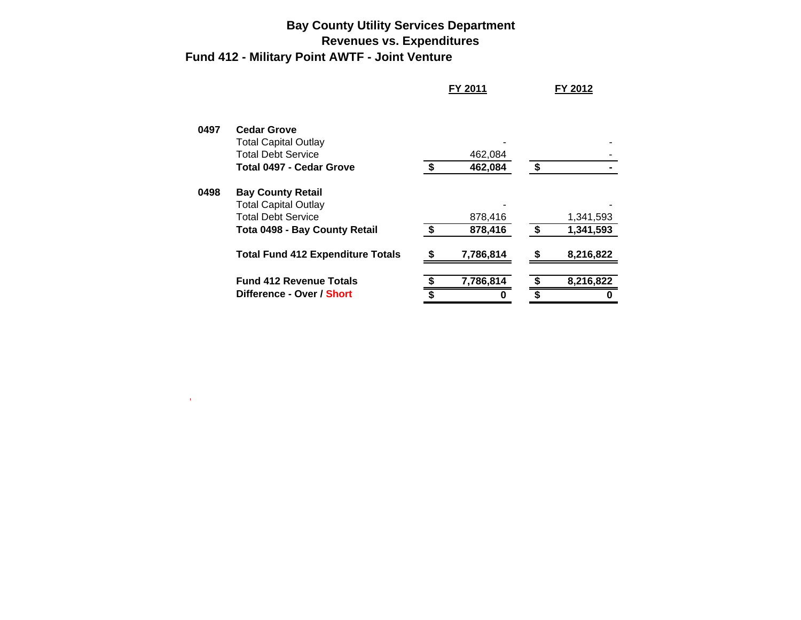## **Bay County Utility Services Department Revenues vs. Expenditures Fund 412 - Military Point AWTF - Joint Venture**

 $\langle \mathbf{g} \rangle$ 

|      |                                          | FY 2011   |    | FY 2012   |
|------|------------------------------------------|-----------|----|-----------|
| 0497 | <b>Cedar Grove</b>                       |           |    |           |
|      | <b>Total Capital Outlay</b>              |           |    |           |
|      | <b>Total Debt Service</b>                | 462,084   |    |           |
|      | <b>Total 0497 - Cedar Grove</b>          | 462,084   | S  |           |
| 0498 | <b>Bay County Retail</b>                 |           |    |           |
|      | <b>Total Capital Outlay</b>              |           |    |           |
|      | <b>Total Debt Service</b>                | 878,416   |    | 1,341,593 |
|      | Tota 0498 - Bay County Retail            | 878,416   | \$ | 1,341,593 |
|      | <b>Total Fund 412 Expenditure Totals</b> | 7,786,814 | S  | 8,216,822 |
|      | <b>Fund 412 Revenue Totals</b>           | 7,786,814 |    | 8,216,822 |
|      | Difference - Over / Short                |           | \$ |           |
|      |                                          |           |    |           |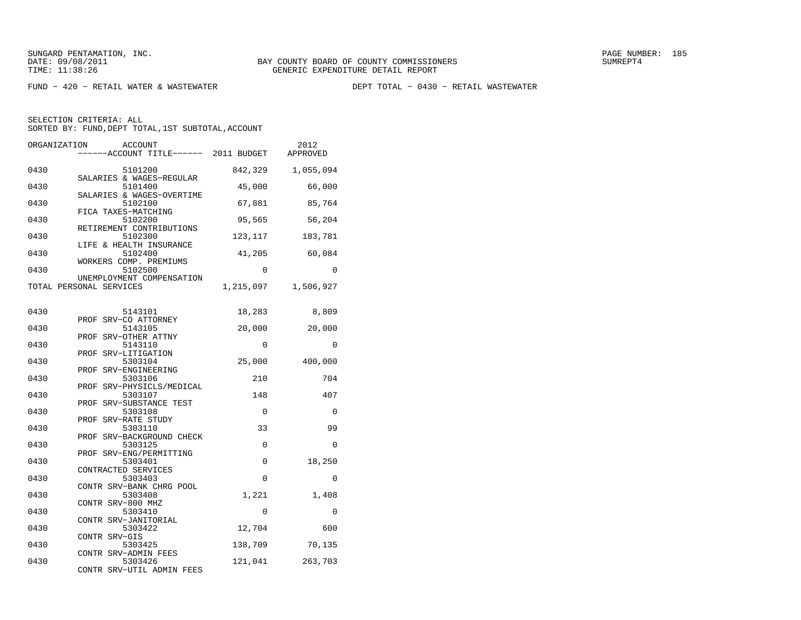$FUND - 420 - RETAIL WATER & WASTEWATER$ 

DEPT TOTAL - 0430 - RETAIL WASTEWATER

| ORGANIZATION                 | <b>ACCOUNT</b><br>----ACCOUNT TITLE------ 2011 BUDGET |                   | 2012<br>APPROVED  |
|------------------------------|-------------------------------------------------------|-------------------|-------------------|
| 0430                         | 5101200<br>SALARIES & WAGES-REGULAR                   | 842,329           | 1,055,094         |
| 0430                         | 5101400<br>SALARIES & WAGES-OVERTIME                  | 45,000            | 66,000            |
| 0430<br>FICA TAXES-MATCHING  | 5102100                                               | 67,881            | 85,764            |
| 0430                         | 5102200<br>RETIREMENT CONTRIBUTIONS                   | 95,565            | 56,204            |
| 0430                         | 5102300<br>LIFE & HEALTH INSURANCE                    | 123,117           | 183,781           |
| 0430                         | 5102400<br>WORKERS COMP. PREMIUMS                     | 41,205            | 60,084            |
| 0430                         | 5102500<br>UNEMPLOYMENT COMPENSATION                  | 0                 | $\Omega$          |
| TOTAL PERSONAL SERVICES      |                                                       | 1,215,097         | 1,506,927         |
| 0430                         | 5143101<br>PROF SRV-CO ATTORNEY                       | 18,283            | 8,809             |
| 0430                         | 5143105<br>PROF SRV-OTHER ATTNY                       | 20,000            | 20,000            |
| 0430<br>PROF SRV-LITIGATION  | 5143110                                               | 0                 | 0                 |
| 0430                         | 5303104<br>PROF SRV-ENGINEERING                       | 25,000            | 400,000           |
| 0430                         | 5303106<br>PROF SRV-PHYSICLS/MEDICAL                  | 210               | 704               |
| 0430                         | 5303107<br>PROF SRV-SUBSTANCE TEST                    | 148               | 407               |
| 0430<br>PROF SRV-RATE STUDY  | 5303108                                               | 0                 | 0                 |
| 0430                         | 5303110<br>PROF SRV-BACKGROUND CHECK                  | 33                | 99                |
| 0430                         | 5303125<br>PROF SRV-ENG/PERMITTING                    | 0                 | $\Omega$          |
| 0430<br>CONTRACTED SERVICES  | 5303401                                               | 0                 | 18,250            |
| 0430<br>0430                 | 5303403<br>CONTR SRV-BANK CHRG POOL<br>5303408        | $\Omega$<br>1,221 | $\Omega$<br>1,408 |
| CONTR SRV-800 MHZ<br>0430    | 5303410                                               | 0                 | 0                 |
| 0430                         | CONTR SRV-JANITORIAL<br>5303422                       | 12,704            | 600               |
| CONTR SRV-GIS<br>0430        | 5303425                                               | 138,709           | 70,135            |
| CONTR SRV-ADMIN FEES<br>0430 | 5303426                                               | 121,041           | 263,703           |
|                              | CONTR SRV-UTIL ADMIN FEES                             |                   |                   |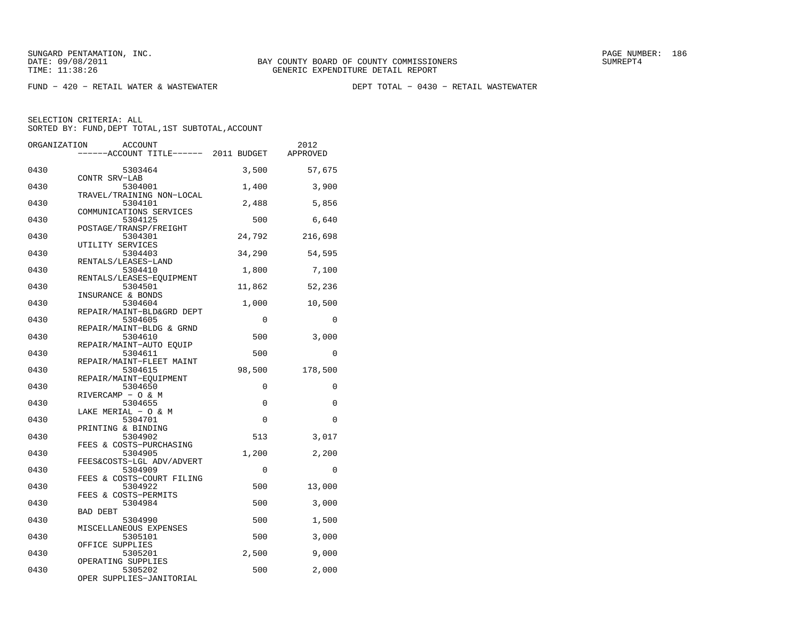$FUND - 420 - RETAIL WATER & WASTEWATER$ 

DEPT TOTAL - 0430 - RETAIL WASTEWATER

| ORGANIZATION | <b>ACCOUNT</b>                        |          | 2012     |
|--------------|---------------------------------------|----------|----------|
|              | ------ACCOUNT TITLE------ 2011 BUDGET |          | APPROVED |
|              |                                       |          |          |
| 0430         | 5303464                               | 3,500    | 57,675   |
| 0430         | CONTR SRV-LAB<br>5304001              | 1,400    | 3,900    |
|              | TRAVEL/TRAINING NON-LOCAL             |          |          |
| 0430         | 5304101                               | 2,488    | 5,856    |
|              | COMMUNICATIONS SERVICES               |          |          |
| 0430         | 5304125                               | 500      | 6,640    |
|              | POSTAGE/TRANSP/FREIGHT                |          |          |
| 0430         | 5304301                               | 24,792   | 216,698  |
|              | UTILITY SERVICES                      |          |          |
| 0430         | 5304403                               | 34,290   | 54,595   |
| 0430         | RENTALS/LEASES-LAND<br>5304410        | 1,800    | 7,100    |
|              | RENTALS/LEASES-EOUIPMENT              |          |          |
| 0430         | 5304501                               | 11,862   | 52,236   |
|              | INSURANCE & BONDS                     |          |          |
| 0430         | 5304604                               | 1,000    | 10,500   |
|              | REPAIR/MAINT-BLD&GRD DEPT             |          |          |
| 0430         | 5304605                               | $\Omega$ | $\Omega$ |
|              | REPAIR/MAINT-BLDG & GRND              |          |          |
| 0430         | 5304610                               | 500      | 3,000    |
| 0430         | REPAIR/MAINT-AUTO EOUIP<br>5304611    | 500      | $\Omega$ |
|              | REPAIR/MAINT-FLEET MAINT              |          |          |
| 0430         | 5304615                               | 98,500   | 178,500  |
|              | REPAIR/MAINT-EOUIPMENT                |          |          |
| 0430         | 5304650                               | 0        | 0        |
|              | RIVERCAMP - O & M                     |          |          |
| 0430         | 5304655                               | 0        | $\Omega$ |
|              | LAKE MERIAL - O & M                   |          |          |
| 0430         | 5304701                               | $\Omega$ | $\Omega$ |
| 0430         | PRINTING & BINDING                    |          |          |
|              | 5304902<br>FEES & COSTS-PURCHASING    | 513      | 3,017    |
| 0430         | 5304905                               | 1,200    | 2,200    |
|              | FEES&COSTS-LGL ADV/ADVERT             |          |          |
| 0430         | 5304909                               | 0        | $\Omega$ |
|              | FEES & COSTS-COURT FILING             |          |          |
| 0430         | 5304922                               | 500      | 13,000   |
|              | FEES & COSTS-PERMITS                  |          |          |
| 0430         | 5304984                               | 500      | 3,000    |
| 0430         | <b>BAD DEBT</b>                       | 500      |          |
|              | 5304990<br>MISCELLANEOUS EXPENSES     |          | 1,500    |
| 0430         | 5305101                               | 500      | 3,000    |
|              | OFFICE SUPPLIES                       |          |          |
| 0430         | 5305201                               | 2,500    | 9,000    |
|              | OPERATING SUPPLIES                    |          |          |
| 0430         | 5305202                               | 500      | 2,000    |
|              | OPER SUPPLIES-JANITORIAL              |          |          |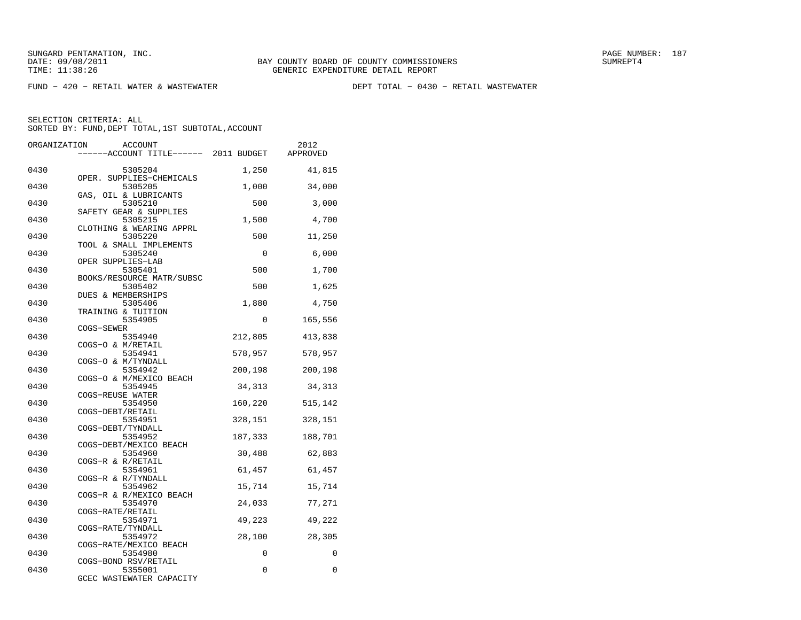$FUND - 420 - RETAIL WATER & WASTEWATER$ 

DEPT TOTAL - 0430 - RETAIL WASTEWATER

| ORGANIZATION | ACCOUNT                             |          | 2012     |
|--------------|-------------------------------------|----------|----------|
|              | ----ACCOUNT TITLE------ 2011 BUDGET |          | APPROVED |
|              |                                     |          |          |
| 0430         | 5305204                             | 1,250    | 41,815   |
| 0430         | OPER. SUPPLIES-CHEMICALS<br>5305205 | 1,000    | 34,000   |
|              | GAS, OIL & LUBRICANTS               |          |          |
| 0430         | 5305210                             | 500      | 3,000    |
|              | SAFETY GEAR & SUPPLIES              |          |          |
| 0430         | 5305215                             | 1,500    | 4,700    |
|              | CLOTHING & WEARING APPRL            |          |          |
| 0430         | 5305220<br>TOOL & SMALL IMPLEMENTS  | 500      | 11,250   |
| 0430         | 5305240                             | $\Omega$ | 6,000    |
|              | OPER SUPPLIES-LAB                   |          |          |
| 0430         | 5305401                             | 500      | 1,700    |
|              | BOOKS/RESOURCE MATR/SUBSC           |          |          |
| 0430         | 5305402                             | 500      | 1,625    |
|              | DUES & MEMBERSHIPS                  |          |          |
| 0430         | 5305406<br>TRAINING & TUITION       | 1,880    | 4,750    |
| 0430         | 5354905                             | 0        | 165,556  |
|              | COGS-SEWER                          |          |          |
| 0430         | 5354940                             | 212,805  | 413,838  |
|              | COGS-O & M/RETAIL                   |          |          |
| 0430         | 5354941                             | 578,957  | 578,957  |
|              | COGS-O & M/TYNDALL                  |          |          |
| 0430         | 5354942<br>COGS-O & M/MEXICO BEACH  | 200,198  | 200,198  |
| 0430         | 5354945                             | 34,313   | 34,313   |
|              | COGS-REUSE WATER                    |          |          |
| 0430         | 5354950                             | 160,220  | 515,142  |
|              | COGS-DEBT/RETAIL                    |          |          |
| 0430         | 5354951                             | 328,151  | 328,151  |
| 0430         | COGS-DEBT/TYNDALL                   |          |          |
|              | 5354952<br>COGS-DEBT/MEXICO BEACH   | 187,333  | 188,701  |
| 0430         | 5354960                             | 30,488   | 62,883   |
|              | COGS-R & R/RETAIL                   |          |          |
| 0430         | 5354961                             | 61,457   | 61,457   |
|              | COGS-R & R/TYNDALL                  |          |          |
| 0430         | 5354962                             | 15,714   | 15,714   |
| 0430         | COGS-R & R/MEXICO BEACH<br>5354970  | 24,033   | 77,271   |
|              | COGS-RATE/RETAIL                    |          |          |
| 0430         | 5354971                             | 49,223   | 49,222   |
|              | COGS-RATE/TYNDALL                   |          |          |
| 0430         | 5354972                             | 28,100   | 28,305   |
|              | COGS-RATE/MEXICO BEACH              |          |          |
| 0430         | 5354980                             | 0        | 0        |
| 0430         | COGS-BOND RSV/RETAIL<br>5355001     | 0        | 0        |
|              | GCEC WASTEWATER CAPACITY            |          |          |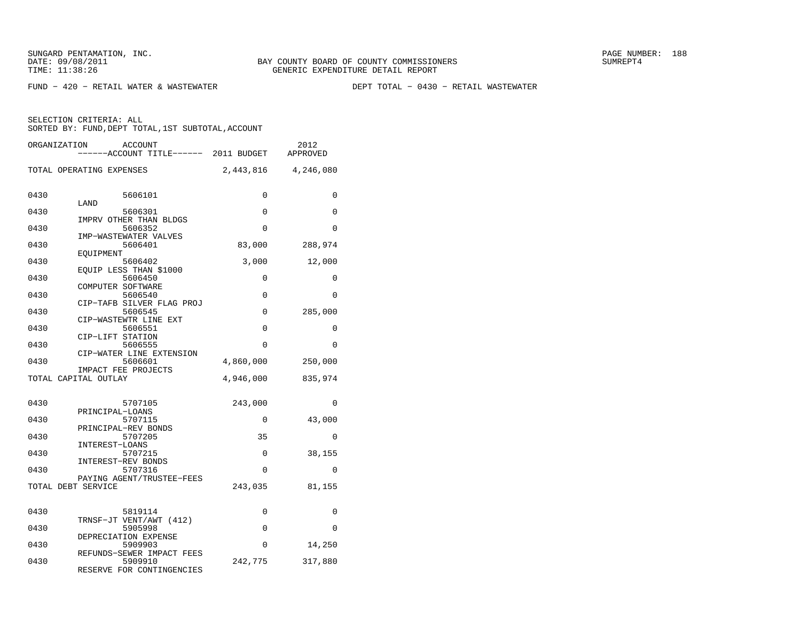$FUND - 420 - RETAIL WATER & WASTEWATER$ 

DEPT TOTAL - 0430 - RETAIL WASTEWATER

| ORGANIZATION<br>ACCOUNT<br>-----ACCOUNT TITLE------                       | 2011 BUDGET | 2012<br>APPROVED |
|---------------------------------------------------------------------------|-------------|------------------|
| TOTAL OPERATING EXPENSES                                                  | 2,443,816   | 4,246,080        |
| 0430<br>5606101<br>LAND                                                   | 0           | 0                |
| 0430<br>5606301                                                           | 0           | 0                |
| IMPRV OTHER THAN BLDGS<br>0430<br>5606352                                 | $\Omega$    | 0                |
| IMP-WASTEWATER VALVES<br>5606401<br>0430                                  | 83,000      | 288,974          |
| EOUIPMENT<br>0430<br>5606402                                              | 3,000       | 12,000           |
| EQUIP LESS THAN \$1000                                                    |             |                  |
| 0430<br>5606450<br>COMPUTER SOFTWARE                                      | 0           | 0                |
| 0430<br>5606540<br>CIP-TAFB SILVER FLAG PROJ                              | 0           | 0                |
| 0430<br>5606545                                                           | 0           | 285,000          |
| CIP-WASTEWTR LINE EXT<br>0430<br>5606551                                  | $\Omega$    | 0                |
| CIP-LIFT STATION<br>0430<br>5606555                                       | 0           | $\Omega$         |
| CIP-WATER LINE EXTENSION<br>0430<br>5606601                               | 4,860,000   | 250,000          |
| IMPACT FEE PROJECTS<br>TOTAL CAPITAL OUTLAY                               | 4,946,000   |                  |
|                                                                           |             | 835,974          |
| 0430<br>5707105                                                           | 243,000     | 0                |
| PRINCIPAL-LOANS<br>5707115<br>0430                                        | 0           | 43,000           |
| PRINCIPAL-REV BONDS<br>0430<br>5707205                                    | 35          | 0                |
| INTEREST-LOANS<br>0430<br>5707215                                         | 0           | 38,155           |
| INTEREST-REV BONDS<br>0430<br>5707316                                     | 0           | 0                |
| PAYING AGENT/TRUSTEE-FEES                                                 |             |                  |
| TOTAL DEBT SERVICE                                                        | 243,035     | 81,155           |
| 0430<br>5819114                                                           | 0           | 0                |
| TRNSF-JT VENT/AWT (412)<br>0430<br>5905998                                | 0           | 0                |
| DEPRECIATION EXPENSE<br>0430<br>5909903                                   | 0           | 14,250           |
| REFUNDS-SEWER IMPACT FEES<br>0430<br>5909910<br>RESERVE FOR CONTINGENCIES | 242,775     | 317,880          |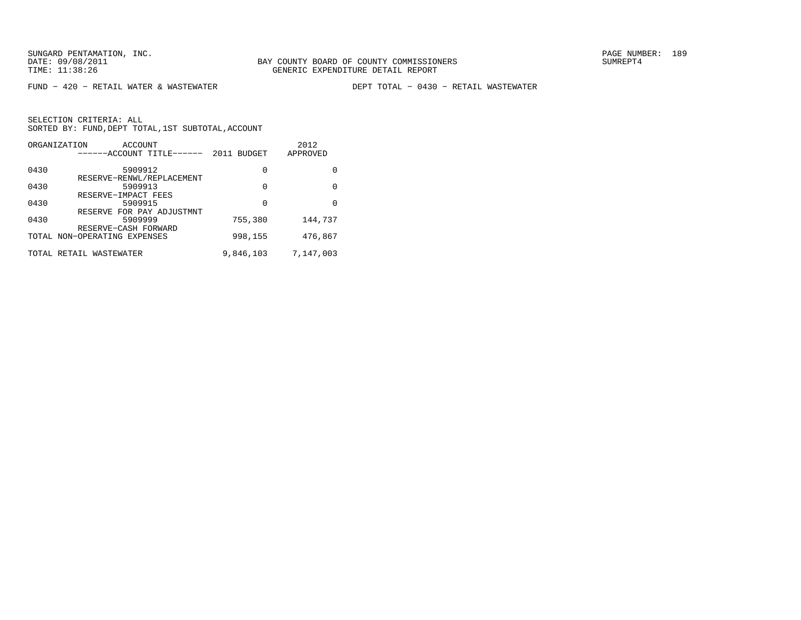$FUND - 420 - RETAIL WATER & WASTEWATER$ 

DEPT TOTAL - 0430 - RETAIL WASTEWATER

|      | ORGANIZATION<br>ACCOUNT<br>------ACCOUNT TITLE------ | 2011 BUDGET | 2012<br>APPROVED |
|------|------------------------------------------------------|-------------|------------------|
| 0430 | 5909912<br>RESERVE-RENWL/REPLACEMENT                 | 0           | 0                |
| 0430 | 5909913<br>RESERVE-IMPACT FEES                       | 0           | 0                |
| 0430 | 5909915<br>RESERVE FOR PAY ADJUSTMNT                 | 0           | <sup>0</sup>     |
| 0430 | 5909999<br>RESERVE-CASH FORWARD                      | 755,380     | 144,737          |
|      | TOTAL NON-OPERATING EXPENSES                         | 998,155     | 476,867          |
|      | TOTAL RETAIL WASTEWATER                              | 9,846,103   | 7,147,003        |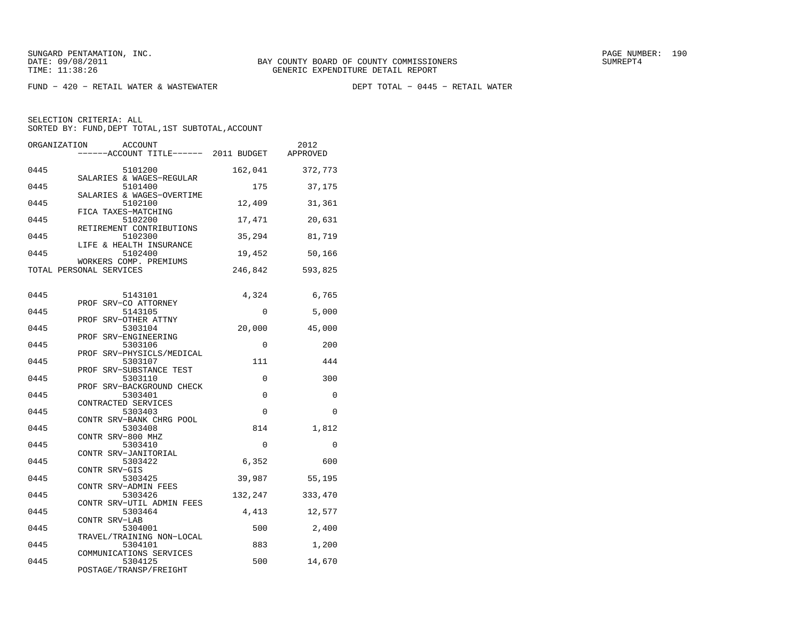FUND − 420 − RETAIL WATER & WASTEWATER DEPT TOTAL − 0445 − RETAIL WATER

| ORGANIZATION<br><b>ACCOUNT</b><br>------ACCOUNT TITLE------ 2011 BUDGET |             | 2012<br>APPROVED |
|-------------------------------------------------------------------------|-------------|------------------|
|                                                                         |             |                  |
| 0445<br>5101200                                                         | 162,041     | 372,773          |
| SALARIES & WAGES-REGULAR<br>0445<br>5101400                             | 175         | 37,175           |
| SALARIES & WAGES-OVERTIME<br>0445<br>5102100<br>FICA TAXES-MATCHING     | 12,409      | 31,361           |
| 0445<br>5102200<br>RETIREMENT CONTRIBUTIONS                             | 17,471      | 20,631           |
| 5102300<br>0445<br>LIFE & HEALTH INSURANCE                              | 35,294      | 81,719           |
| 0445<br>5102400<br>WORKERS COMP. PREMIUMS                               | 19,452      | 50,166           |
| TOTAL PERSONAL SERVICES                                                 | 246,842     | 593,825          |
| 0445<br>5143101                                                         | 4,324       | 6,765            |
| PROF SRV-CO ATTORNEY<br>0445<br>5143105                                 | $\mathbf 0$ | 5,000            |
| PROF SRV-OTHER ATTNY<br>0445<br>5303104                                 | 20,000      | 45,000           |
| PROF SRV-ENGINEERING<br>0445<br>5303106                                 | 0           | 200              |
| PROF SRV-PHYSICLS/MEDICAL                                               |             |                  |
| 0445<br>5303107<br>PROF SRV-SUBSTANCE TEST                              | 111         | 444              |
| 0445<br>5303110<br>PROF SRV-BACKGROUND CHECK                            | 0           | 300              |
| 0445<br>5303401                                                         | $\Omega$    | $\Omega$         |
| CONTRACTED SERVICES<br>5303403<br>0445                                  | 0           | 0                |
| CONTR SRV-BANK CHRG POOL<br>0445<br>5303408                             | 814         | 1,812            |
| CONTR SRV-800 MHZ<br>0445<br>5303410                                    | 0           | $\mathbf 0$      |
| CONTR SRV-JANITORIAL<br>0445<br>5303422                                 | 6,352       | 600              |
| CONTR SRV-GIS<br>0445<br>5303425                                        | 39,987      | 55,195           |
| CONTR SRV-ADMIN FEES<br>5303426<br>0445                                 | 132,247     | 333,470          |
| CONTR SRV-UTIL ADMIN FEES<br>0445<br>5303464                            | 4,413       | 12,577           |
| CONTR SRV-LAB<br>5304001<br>0445                                        | 500         | 2,400            |
| TRAVEL/TRAINING NON-LOCAL<br>0445<br>5304101                            | 883         | 1,200            |
| COMMUNICATIONS SERVICES<br>5304125<br>0445<br>POSTAGE/TRANSP/FREIGHT    | 500         | 14,670           |
|                                                                         |             |                  |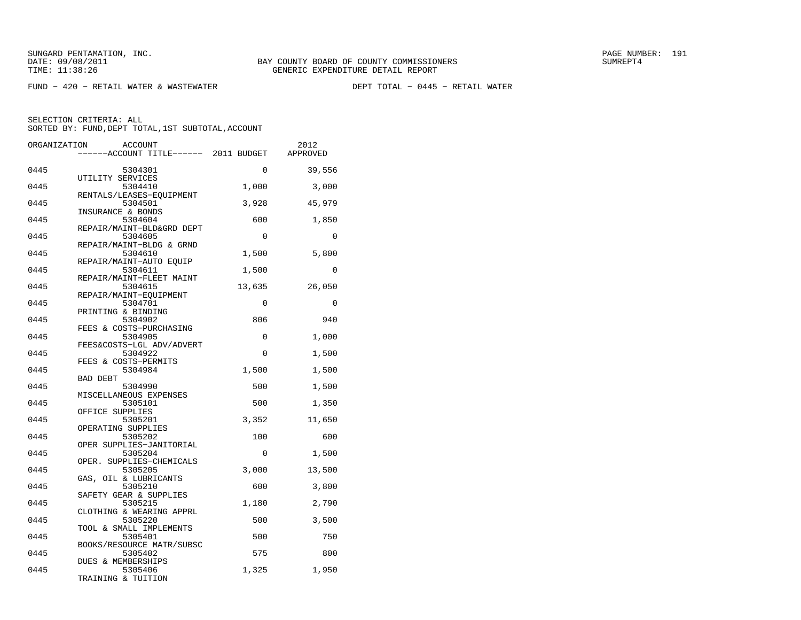FUND − 420 − RETAIL WATER & WASTEWATER DEPT TOTAL − 0445 − RETAIL WATER

| ORGANIZATION | <b>ACCOUNT</b>                       |             | 2012     |
|--------------|--------------------------------------|-------------|----------|
|              | ----ACCOUNT TITLE------ 2011 BUDGET  |             | APPROVED |
| 0445         | 5304301                              | $\mathbf 0$ | 39,556   |
|              | UTILITY SERVICES                     |             |          |
| 0445         | 5304410                              | 1,000       | 3,000    |
| 0445         | RENTALS/LEASES-EQUIPMENT<br>5304501  | 3,928       | 45,979   |
|              | INSURANCE & BONDS                    |             |          |
| 0445         | 5304604<br>REPAIR/MAINT-BLD&GRD DEPT | 600         | 1,850    |
| 0445         | 5304605                              | $\Omega$    | $\Omega$ |
|              | REPAIR/MAINT-BLDG & GRND             |             |          |
| 0445         | 5304610                              | 1,500       | 5,800    |
|              | REPAIR/MAINT-AUTO EQUIP              |             |          |
| 0445         | 5304611                              | 1,500       | $\Omega$ |
|              | REPAIR/MAINT-FLEET MAINT             |             |          |
| 0445         | 5304615                              | 13,635      | 26,050   |
|              | REPAIR/MAINT-EQUIPMENT               |             |          |
| 0445         | 5304701                              | $\mathbf 0$ | 0        |
| 0445         | PRINTING & BINDING<br>5304902        | 806         | 940      |
|              | FEES & COSTS-PURCHASING              |             |          |
| 0445         | 5304905                              | 0           | 1,000    |
|              | FEES&COSTS-LGL ADV/ADVERT            |             |          |
| 0445         | 5304922                              | $\Omega$    | 1,500    |
|              | FEES & COSTS-PERMITS                 |             |          |
| 0445         | 5304984                              | 1,500       | 1,500    |
|              | <b>BAD DEBT</b>                      |             |          |
| 0445         | 5304990                              | 500         | 1,500    |
|              | MISCELLANEOUS EXPENSES               |             |          |
| 0445         | 5305101                              | 500         | 1,350    |
|              | OFFICE SUPPLIES                      |             |          |
| 0445         | 5305201                              | 3,352       | 11,650   |
|              | OPERATING SUPPLIES                   |             |          |
| 0445         | 5305202                              | 100         | 600      |
|              | OPER SUPPLIES-JANITORIAL             |             |          |
| 0445         | 5305204                              | $\Omega$    | 1,500    |
|              | OPER. SUPPLIES-CHEMICALS             |             |          |
| 0445         | 5305205                              | 3,000       | 13,500   |
|              | GAS, OIL & LUBRICANTS                |             |          |
| 0445         | 5305210                              | 600         | 3,800    |
|              | SAFETY GEAR & SUPPLIES               |             |          |
| 0445         | 5305215                              | 1,180       | 2,790    |
|              | CLOTHING & WEARING APPRL             |             |          |
| 0445         | 5305220                              | 500         | 3,500    |
| 0445         | TOOL & SMALL IMPLEMENTS<br>5305401   | 500         | 750      |
|              |                                      |             |          |
| 0445         | BOOKS/RESOURCE MATR/SUBSC<br>5305402 | 575         | 800      |
|              | DUES & MEMBERSHIPS                   |             |          |
| 0445         | 5305406                              | 1,325       | 1,950    |
|              | TRAINING & TUITION                   |             |          |
|              |                                      |             |          |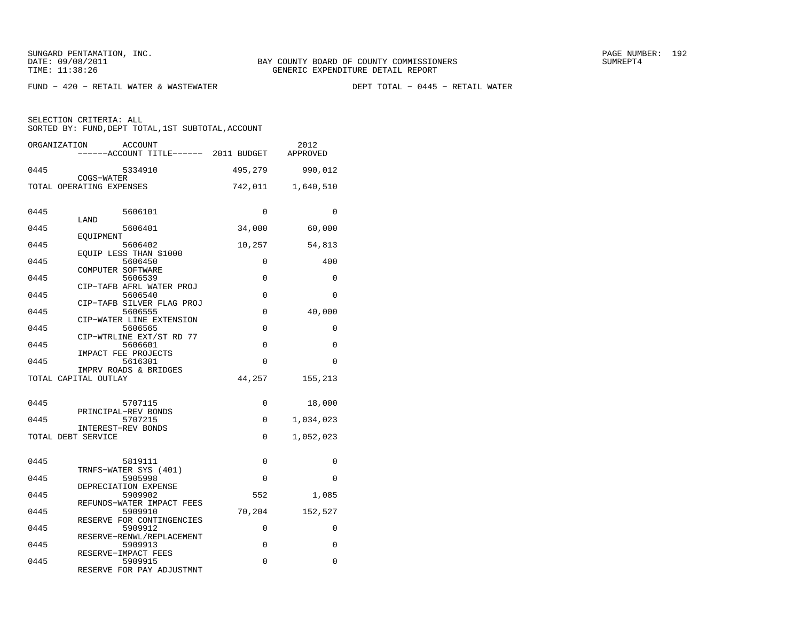$FUND - 420 - RETAIL WATER & WASTEWATER$ 

DEPT TOTAL - 0445 - RETAIL WATER

| ORGANIZATION              | <b>ACCOUNT</b><br>-----ACCOUNT TITLE------ 2011 BUDGET      |          | 2012<br>APPROVED |
|---------------------------|-------------------------------------------------------------|----------|------------------|
| 0445<br>COGS-WATER        | 5334910                                                     | 495,279  | 990,012          |
| TOTAL OPERATING EXPENSES  |                                                             | 742,011  | 1,640,510        |
| 0445<br>LAND              | 5606101                                                     | 0        | 0                |
| 0445                      | 5606401                                                     | 34,000   | 60,000           |
| EQUIPMENT<br>0445         | 5606402                                                     | 10,257   | 54,813           |
| 0445                      | EOUIP LESS THAN \$1000<br>5606450                           | $\Omega$ | 400              |
| COMPUTER SOFTWARE<br>0445 | 5606539                                                     | 0        | 0                |
| 0445                      | CIP-TAFB AFRL WATER PROJ<br>5606540                         | 0        | $\Omega$         |
| 0445                      | CIP-TAFB SILVER FLAG PROJ<br>5606555                        | $\Omega$ | 40,000           |
| 0445                      | CIP-WATER LINE EXTENSION<br>5606565                         | 0        | 0                |
| 0445                      | CIP-WTRLINE EXT/ST RD 77<br>5606601                         | 0        | $\Omega$         |
| 0445                      | IMPACT FEE PROJECTS<br>5616301                              | 0        | $\Omega$         |
| TOTAL CAPITAL OUTLAY      | IMPRV ROADS & BRIDGES                                       | 44,257   | 155,213          |
| 0445                      | 5707115                                                     | 0        | 18,000           |
| 0445                      | PRINCIPAL-REV BONDS<br>5707215                              | $\Omega$ | 1,034,023        |
| TOTAL DEBT SERVICE        | INTEREST-REV BONDS                                          | 0        | 1,052,023        |
| 0445                      | 5819111                                                     | 0        | 0                |
| 0445                      | TRNFS-WATER SYS (401)<br>5905998                            | $\Omega$ | $\Omega$         |
| 0445                      | DEPRECIATION EXPENSE<br>5909902                             | 552      | 1,085            |
| 0445                      | REFUNDS-WATER IMPACT FEES<br>5909910                        | 70,204   | 152,527          |
| 0445                      | RESERVE FOR CONTINGENCIES<br>5909912                        | 0        | 0                |
| 0445                      | RESERVE-RENWL/REPLACEMENT<br>5909913                        | $\Omega$ | $\Omega$         |
| 0445                      | RESERVE-IMPACT FEES<br>5909915<br>RESERVE FOR PAY ADJUSTMNT | 0        | 0                |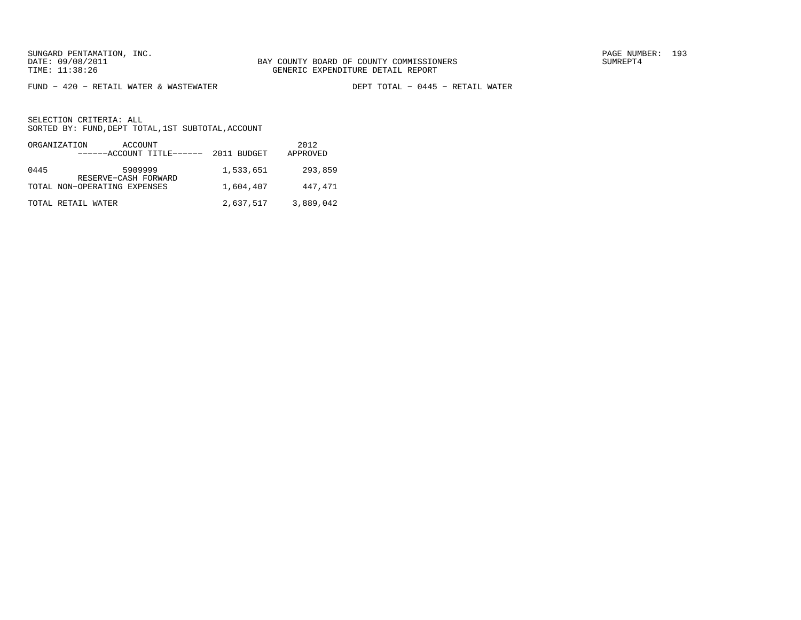FUND − 420 − RETAIL WATER & WASTEWATER DEPT TOTAL − 0445 − RETAIL WATER

|      | ORGANIZATION<br>ACCOUNT<br>------ACCOUNT TITLE------ | 2011 BUDGET | 2012<br>APPROVED |
|------|------------------------------------------------------|-------------|------------------|
| 0445 | 5909999<br>RESERVE-CASH FORWARD                      | 1,533,651   | 293,859          |
|      | TOTAL NON-OPERATING EXPENSES                         | 1,604,407   | 447,471          |
|      | TOTAL RETAIL WATER                                   | 2,637,517   | 3,889,042        |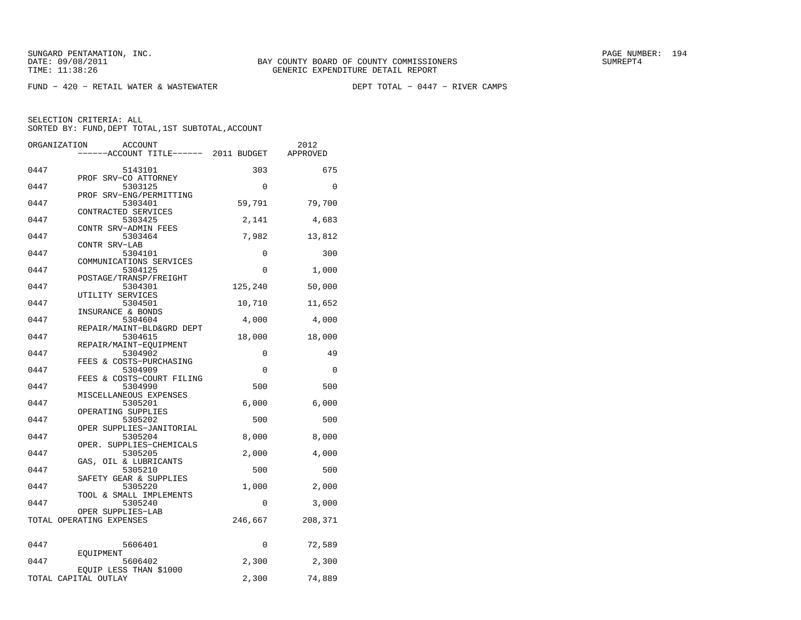$FUND - 420 - RETAIL WATER & WASTEWATER$ 

DEPT TOTAL - 0447 - RIVER CAMPS

| ORGANIZATION | <b>ACCOUNT</b>                       |             | 2012     |
|--------------|--------------------------------------|-------------|----------|
|              | ----ACCOUNT TITLE------ 2011 BUDGET  |             | APPROVED |
|              |                                      |             |          |
| 0447         | 5143101                              | 303         | 675      |
| 0447         | PROF SRV-CO ATTORNEY<br>5303125      | $\mathbf 0$ | 0        |
|              | PROF SRV-ENG/PERMITTING              |             |          |
| 0447         | 5303401                              | 59,791      | 79,700   |
|              | CONTRACTED SERVICES                  |             |          |
| 0447         | 5303425                              | 2,141       | 4,683    |
|              | CONTR SRV-ADMIN FEES                 |             |          |
| 0447         | 5303464                              | 7,982       | 13,812   |
|              | CONTR SRV-LAB                        |             |          |
| 0447         | 5304101                              | 0           | 300      |
|              | COMMUNICATIONS SERVICES              |             |          |
| 0447         | 5304125<br>POSTAGE/TRANSP/FREIGHT    | 0           | 1,000    |
| 0447         | 5304301                              | 125,240     | 50,000   |
|              | UTILITY SERVICES                     |             |          |
| 0447         | 5304501                              | 10,710      | 11,652   |
|              | INSURANCE & BONDS                    |             |          |
| 0447         | 5304604                              | 4,000       | 4,000    |
|              | REPAIR/MAINT-BLD&GRD DEPT            |             |          |
| 0447         | 5304615                              | 18,000      | 18,000   |
|              | REPAIR/MAINT-EQUIPMENT               |             |          |
| 0447         | 5304902                              | 0           | 49       |
| 0447         | FEES & COSTS-PURCHASING              |             | $\Omega$ |
|              | 5304909<br>FEES & COSTS-COURT FILING | 0           |          |
| 0447         | 5304990                              | 500         | 500      |
|              | MISCELLANEOUS EXPENSES               |             |          |
| 0447         | 5305201                              | 6,000       | 6,000    |
|              | OPERATING SUPPLIES                   |             |          |
| 0447         | 5305202                              | 500         | 500      |
|              | OPER SUPPLIES-JANITORIAL             |             |          |
| 0447         | 5305204                              | 8,000       | 8,000    |
|              | OPER. SUPPLIES-CHEMICALS             |             |          |
| 0447         | 5305205                              | 2,000       | 4,000    |
| 0447         | GAS, OIL & LUBRICANTS                | 500         | 500      |
|              | 5305210<br>SAFETY GEAR & SUPPLIES    |             |          |
| 0447         | 5305220                              | 1,000       | 2,000    |
|              | TOOL & SMALL IMPLEMENTS              |             |          |
| 0447         | 5305240                              | 0           | 3,000    |
|              | OPER SUPPLIES-LAB                    |             |          |
|              | TOTAL OPERATING EXPENSES             | 246,667     | 208,371  |
|              |                                      |             |          |
|              |                                      |             |          |
| 0447         | 5606401                              | 0           | 72,589   |
|              | EOUIPMENT                            |             |          |
| 0447         | 5606402<br>EQUIP LESS THAN \$1000    | 2,300       | 2,300    |
|              | TOTAL CAPITAL OUTLAY                 | 2,300       | 74,889   |
|              |                                      |             |          |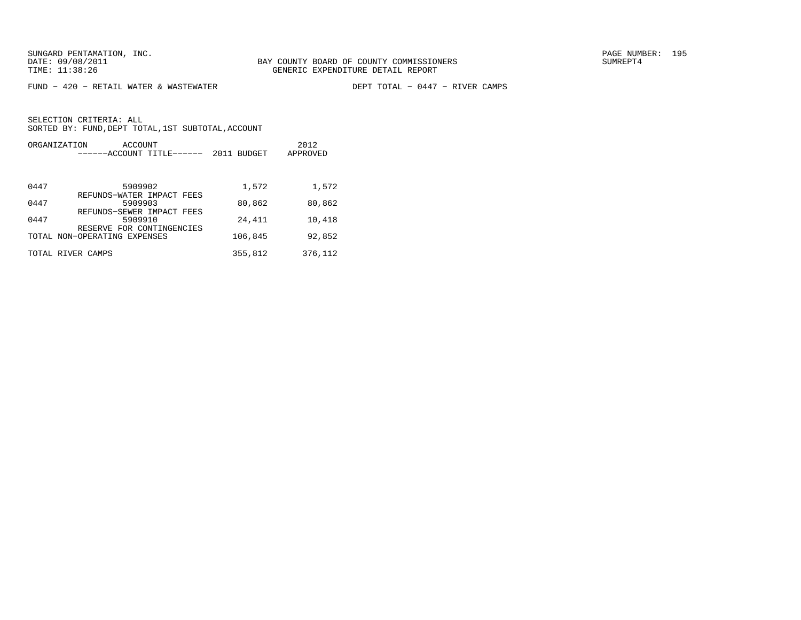$FUND - 420 - RETAIL WATER & WASTEWATER$ 

DEPT TOTAL - 0447 - RIVER CAMPS

|      | ORGANIZATION<br>ACCOUNT<br>--ACCOUNT TITLE------          | 2011 BUDGET | 2012<br>APPROVED |
|------|-----------------------------------------------------------|-------------|------------------|
|      |                                                           |             |                  |
| 0447 | 5909902                                                   | 1,572       | 1,572            |
| 0447 | REFUNDS-WATER IMPACT FEES<br>5909903                      | 80,862      | 80,862           |
|      | REFUNDS-SEWER IMPACT FEES                                 |             |                  |
| 0447 | 5909910                                                   | 24,411      | 10,418           |
|      | RESERVE FOR CONTINGENCIES<br>TOTAL NON-OPERATING EXPENSES | 106,845     | 92,852           |
|      | TOTAL RIVER CAMPS                                         | 355,812     | 376,112          |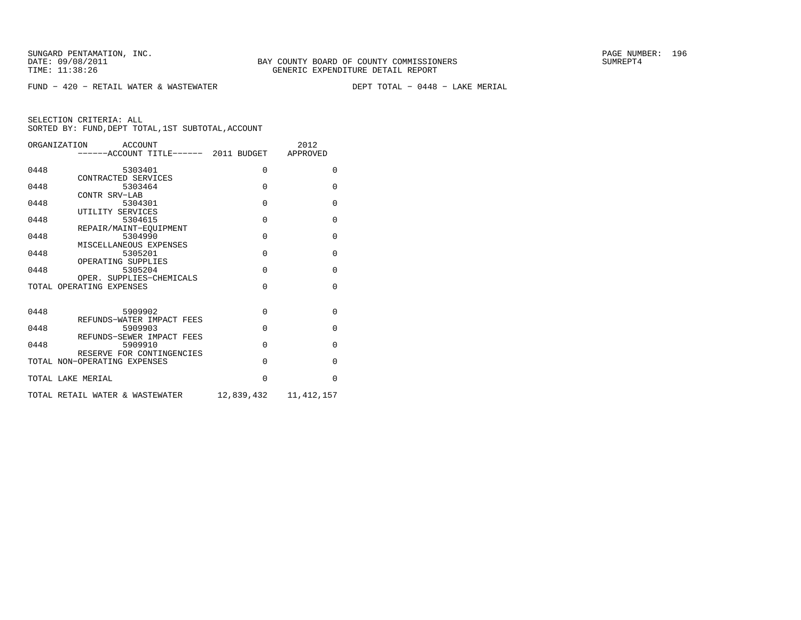$FUND - 420 - RETAIL WATER & WASTEWATER$ 

DEPT TOTAL - 0448 - LAKE MERIAL

|                   | ORGANIZATION ACCOUNT                           |             | 2012         |
|-------------------|------------------------------------------------|-------------|--------------|
|                   | ------ACCOUNT TITLE------ 2011 BUDGET APPROVED |             |              |
|                   |                                                |             |              |
| 0448              | 5303401                                        | $\mathbf 0$ | $\Omega$     |
|                   | CONTRACTED SERVICES<br>5303464                 | $\Omega$    | $\Omega$     |
| 0448              | CONTR SRV-LAB                                  |             |              |
| 0448              | 5304301                                        | $\Omega$    | $\Omega$     |
|                   | UTILITY SERVICES                               |             |              |
| 0448              | 5304615                                        | $\Omega$    | $\Omega$     |
|                   | REPAIR/MAINT-EOUIPMENT                         |             |              |
| 0448              | 5304990                                        | $\Omega$    | 0            |
|                   | MISCELLANEOUS EXPENSES                         |             |              |
| 0448              | 5305201                                        | $\Omega$    | 0            |
|                   | OPERATING SUPPLIES                             |             |              |
| 0448              | 5305204                                        | $\Omega$    | $\Omega$     |
|                   | OPER. SUPPLIES-CHEMICALS                       |             |              |
|                   | TOTAL OPERATING EXPENSES                       | $\Omega$    | $\Omega$     |
|                   |                                                |             |              |
| 0448              | 5909902                                        | $\Omega$    | $\Omega$     |
|                   | REFUNDS-WATER IMPACT FEES                      |             |              |
| 0448              | 5909903                                        | $\Omega$    | $\Omega$     |
|                   | REFUNDS-SEWER IMPACT FEES                      |             |              |
| 0448              | 5909910                                        | $\Omega$    | $\Omega$     |
|                   | RESERVE FOR CONTINGENCIES                      |             |              |
|                   | TOTAL NON-OPERATING EXPENSES                   | $\Omega$    | $\Omega$     |
|                   |                                                |             |              |
| TOTAL LAKE MERIAL |                                                | $\Omega$    | $\Omega$     |
|                   |                                                |             |              |
|                   | TOTAL RETAIL WATER & WASTEWATER                | 12,839,432  | 11, 412, 157 |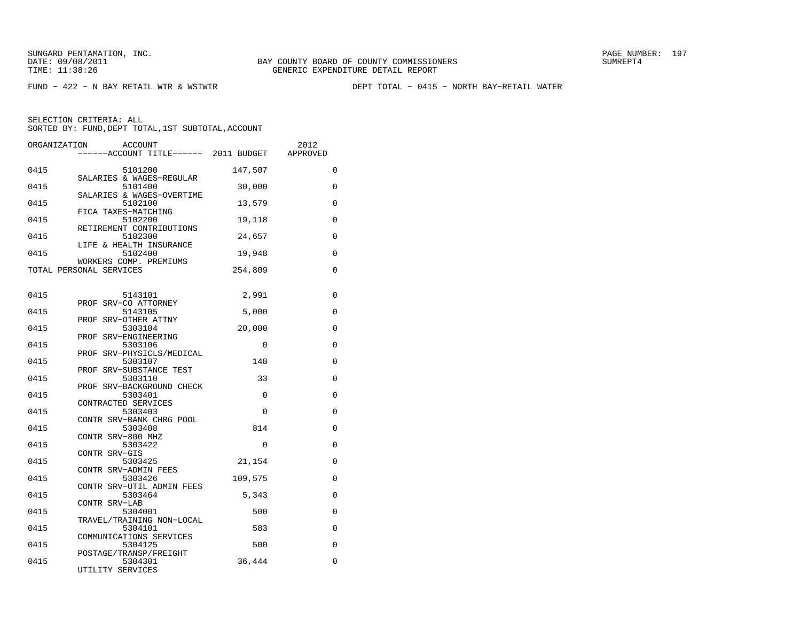FUND − 422 − N BAY RETAIL WTR & WSTWTR DEPT TOTAL − 0415 − NORTH BAY−RETAIL WATER

| ORGANIZATION | <b>ACCOUNT</b><br>------ACCOUNT TITLE------ 2011 BUDGET |          | 2012<br>APPROVED |
|--------------|---------------------------------------------------------|----------|------------------|
|              |                                                         |          |                  |
| 0415         | 5101200                                                 | 147,507  | 0                |
| 0415         | SALARIES & WAGES-REGULAR<br>5101400                     | 30,000   | $\mathbf 0$      |
| 0415         | SALARIES & WAGES-OVERTIME<br>5102100                    | 13,579   | 0                |
|              | FICA TAXES-MATCHING                                     |          |                  |
| 0415         | 5102200<br>RETIREMENT CONTRIBUTIONS                     | 19,118   | 0                |
| 0415         | 5102300<br>LIFE & HEALTH INSURANCE                      | 24,657   | 0                |
| 0415         | 5102400<br>WORKERS COMP. PREMIUMS                       | 19,948   | $\mathbf 0$      |
|              | TOTAL PERSONAL SERVICES                                 | 254,809  | 0                |
|              |                                                         |          |                  |
| 0415         | 5143101                                                 | 2,991    | 0                |
| 0415         | PROF SRV-CO ATTORNEY<br>5143105                         | 5,000    | $\mathbf 0$      |
| 0415         | PROF SRV-OTHER ATTNY<br>5303104                         | 20,000   | 0                |
|              | PROF SRV-ENGINEERING                                    |          |                  |
| 0415         | 5303106                                                 | 0        | 0                |
| 0415         | PROF SRV-PHYSICLS/MEDICAL<br>5303107                    | 148      | 0                |
| 0415         | PROF SRV-SUBSTANCE TEST<br>5303110                      | 33       | 0                |
|              | PROF SRV-BACKGROUND CHECK                               | $\Omega$ |                  |
| 0415         | 5303401<br>CONTRACTED SERVICES                          |          | 0                |
| 0415         | 5303403                                                 | $\Omega$ | $\mathbf 0$      |
| 0415         | CONTR SRV-BANK CHRG POOL<br>5303408                     | 814      | $\mathbf 0$      |
| 0415         | CONTR SRV-800 MHZ<br>5303422                            | 0        | 0                |
|              | CONTR SRV-GIS                                           |          |                  |
| 0415         | 5303425                                                 | 21,154   | 0                |
| 0415         | CONTR SRV-ADMIN FEES<br>5303426                         | 109,575  | 0                |
| 0415         | CONTR SRV-UTIL ADMIN FEES<br>5303464                    | 5,343    | 0                |
|              | CONTR SRV-LAB                                           |          |                  |
| 0415         | 5304001<br>TRAVEL/TRAINING NON-LOCAL                    | 500      | 0                |
| 0415         | 5304101                                                 | 583      | 0                |
| 0415         | COMMUNICATIONS SERVICES<br>5304125                      | 500      | $\mathbf 0$      |
|              | POSTAGE/TRANSP/FREIGHT                                  |          |                  |
| 0415         | 5304301<br>UTILITY SERVICES                             | 36,444   | $\mathbf 0$      |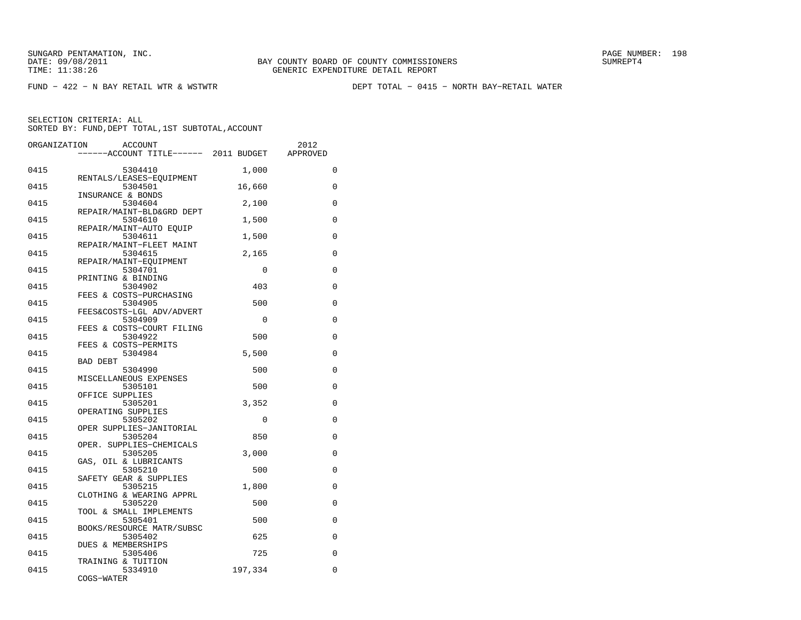FUND − 422 − N BAY RETAIL WTR & WSTWTR DEPT TOTAL − 0415 − NORTH BAY−RETAIL WATER

| ORGANIZATION | <b>ACCOUNT</b>                        |             | 2012        |
|--------------|---------------------------------------|-------------|-------------|
|              | ------ACCOUNT TITLE------ 2011 BUDGET |             | APPROVED    |
| 0415         | 5304410                               | 1,000       | $\mathbf 0$ |
| 0415         | RENTALS/LEASES-EQUIPMENT<br>5304501   | 16,660      | 0           |
| 0415         | INSURANCE & BONDS<br>5304604          | 2,100       | 0           |
| 0415         | REPAIR/MAINT-BLD&GRD DEPT<br>5304610  | 1,500       | 0           |
| 0415         | REPAIR/MAINT-AUTO EQUIP<br>5304611    | 1,500       | $\mathbf 0$ |
| 0415         | REPAIR/MAINT-FLEET MAINT<br>5304615   | 2,165       | 0           |
| 0415         | REPAIR/MAINT-EOUIPMENT                | $\mathbf 0$ | 0           |
|              | 5304701<br>PRINTING & BINDING         |             |             |
| 0415         | 5304902<br>FEES & COSTS-PURCHASING    | 403         | 0           |
| 0415         | 5304905<br>FEES&COSTS-LGL ADV/ADVERT  | 500         | 0           |
| 0415         | 5304909<br>FEES & COSTS-COURT FILING  | 0           | 0           |
| 0415         | 5304922<br>FEES & COSTS-PERMITS       | 500         | 0           |
| 0415         | 5304984<br>BAD DEBT                   | 5,500       | $\Omega$    |
| 0415         | 5304990<br>MISCELLANEOUS EXPENSES     | 500         | 0           |
| 0415         | 5305101                               | 500         | 0           |
| 0415         | OFFICE SUPPLIES<br>5305201            | 3,352       | 0           |
| 0415         | OPERATING SUPPLIES<br>5305202         | $\mathbf 0$ | 0           |
| 0415         | OPER SUPPLIES-JANITORIAL<br>5305204   | 850         | $\mathbf 0$ |
| 0415         | OPER. SUPPLIES-CHEMICALS<br>5305205   | 3,000       | 0           |
| 0415         | GAS, OIL & LUBRICANTS<br>5305210      | 500         | 0           |
| 0415         | SAFETY GEAR & SUPPLIES<br>5305215     | 1,800       | 0           |
| 0415         | CLOTHING & WEARING APPRL<br>5305220   | 500         | 0           |
| 0415         | TOOL & SMALL IMPLEMENTS<br>5305401    | 500         | $\Omega$    |
| 0415         | BOOKS/RESOURCE MATR/SUBSC<br>5305402  | 625         | 0           |
|              | DUES & MEMBERSHIPS                    |             |             |
| 0415         | 5305406<br>TRAINING & TUITION         | 725         | $\mathbf 0$ |
| 0415         | 5334910<br>COGS-WATER                 | 197,334     | 0           |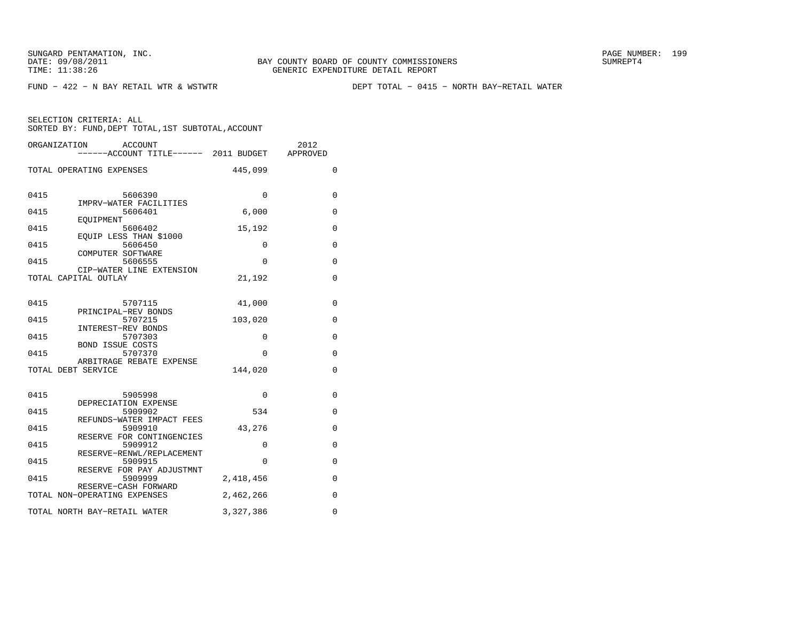FUND − 422 − N BAY RETAIL WTR & WSTWTR DEPT TOTAL − 0415 − NORTH BAY−RETAIL WATER

|      | ORGANIZATION<br>ACCOUNT<br>-----ACCOUNT TITLE------ 2011 BUDGET APPROVED |           | 2012        |
|------|--------------------------------------------------------------------------|-----------|-------------|
|      | TOTAL OPERATING EXPENSES                                                 | 445,099   | 0           |
| 0415 | 5606390<br>IMPRV-WATER FACILITIES                                        | $\Omega$  | 0           |
| 0415 | 5606401<br>EOUIPMENT                                                     | 6,000     | 0           |
| 0415 | 5606402                                                                  | 15,192    | 0           |
| 0415 | EOUIP LESS THAN \$1000<br>5606450                                        | $\Omega$  | $\Omega$    |
| 0415 | COMPUTER SOFTWARE<br>5606555                                             | $\Omega$  | $\mathbf 0$ |
|      | CIP-WATER LINE EXTENSION<br>TOTAL CAPITAL OUTLAY                         | 21,192    | 0           |
| 0415 | 5707115                                                                  | 41,000    | 0           |
| 0415 | PRINCIPAL-REV BONDS<br>5707215                                           | 103,020   | 0           |
| 0415 | INTEREST-REV BONDS<br>5707303                                            | $\Omega$  | 0           |
| 0415 | BOND ISSUE COSTS<br>5707370                                              | $\Omega$  | 0           |
|      | ARBITRAGE REBATE EXPENSE<br>TOTAL DEBT SERVICE                           | 144,020   | $\mathbf 0$ |
| 0415 | 5905998                                                                  | 0         | 0           |
| 0415 | DEPRECIATION EXPENSE<br>5909902                                          | 534       | $\Omega$    |
| 0415 | REFUNDS-WATER IMPACT FEES<br>5909910                                     | 43,276    | $\mathbf 0$ |
| 0415 | RESERVE FOR CONTINGENCIES<br>5909912                                     | 0         | 0           |
| 0415 | RESERVE-RENWL/REPLACEMENT<br>5909915                                     | $\Omega$  | 0           |
| 0415 | RESERVE FOR PAY ADJUSTMNT<br>5909999                                     | 2,418,456 | $\mathbf 0$ |
|      | RESERVE-CASH FORWARD<br>TOTAL NON-OPERATING EXPENSES                     | 2,462,266 | 0           |
|      | TOTAL NORTH BAY-RETAIL WATER                                             | 3,327,386 | $\Omega$    |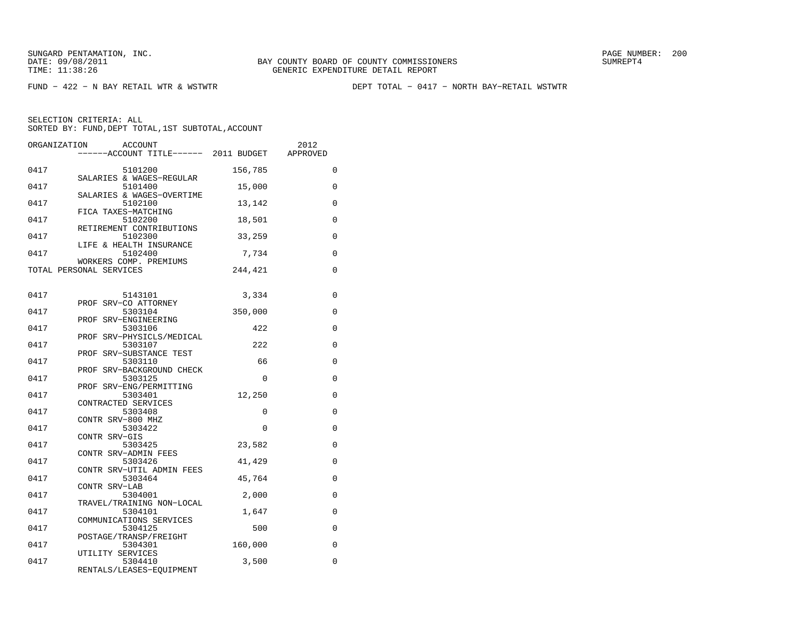FUND − 422 − N BAY RETAIL WTR & WSTWTR DEPT TOTAL − 0417 − NORTH BAY−RETAIL WSTWTR

| ORGANIZATION | <b>ACCOUNT</b><br>------ACCOUNT TITLE------ 2011 BUDGET |          | 2012<br>APPROVED |
|--------------|---------------------------------------------------------|----------|------------------|
| 0417         | 5101200                                                 | 156,785  | $\mathbf 0$      |
| 0417         | SALARIES & WAGES-REGULAR<br>5101400                     | 15,000   | 0                |
| 0417         | SALARIES & WAGES-OVERTIME<br>5102100                    | 13,142   | 0                |
| 0417         | FICA TAXES-MATCHING<br>5102200                          | 18,501   | 0                |
| 0417         | RETIREMENT CONTRIBUTIONS<br>5102300                     | 33,259   | 0                |
| 0417         | LIFE & HEALTH INSURANCE<br>5102400                      | 7,734    | 0                |
|              | WORKERS COMP. PREMIUMS<br>TOTAL PERSONAL SERVICES       | 244,421  | 0                |
| 0417         | 5143101                                                 | 3,334    | $\mathbf 0$      |
| 0417         | PROF SRV-CO ATTORNEY<br>5303104                         | 350,000  | $\mathbf 0$      |
| 0417         | PROF SRV-ENGINEERING<br>5303106                         | 422      | 0                |
| 0417         | PROF SRV-PHYSICLS/MEDICAL<br>5303107                    | 222      | 0                |
| 0417         | PROF SRV-SUBSTANCE TEST<br>5303110                      | 66       | 0                |
| 0417         | PROF SRV-BACKGROUND CHECK<br>5303125                    | $\Omega$ | $\Omega$         |
| 0417         | PROF SRV-ENG/PERMITTING<br>5303401                      | 12,250   | $\mathbf 0$      |
| 0417         | CONTRACTED SERVICES<br>5303408                          | 0        | 0                |
| 0417         | CONTR SRV-800 MHZ<br>5303422                            | 0        | 0                |
| 0417         | CONTR SRV-GIS<br>5303425<br>CONTR SRV-ADMIN FEES        | 23,582   | 0                |
| 0417         | 5303426<br>CONTR SRV-UTIL ADMIN FEES                    | 41,429   | 0                |
| 0417         | 5303464<br>CONTR SRV-LAB                                | 45,764   | 0                |
| 0417         | 5304001<br>TRAVEL/TRAINING NON-LOCAL                    | 2,000    | 0                |
| 0417         | 5304101<br>COMMUNICATIONS SERVICES                      | 1,647    | $\Omega$         |
| 0417         | 5304125<br>POSTAGE/TRANSP/FREIGHT                       | 500      | $\mathbf 0$      |
| 0417         | 5304301<br>UTILITY SERVICES                             | 160,000  | $\mathbf 0$      |
| 0417         | 5304410<br>RENTALS/LEASES-EQUIPMENT                     | 3,500    | 0                |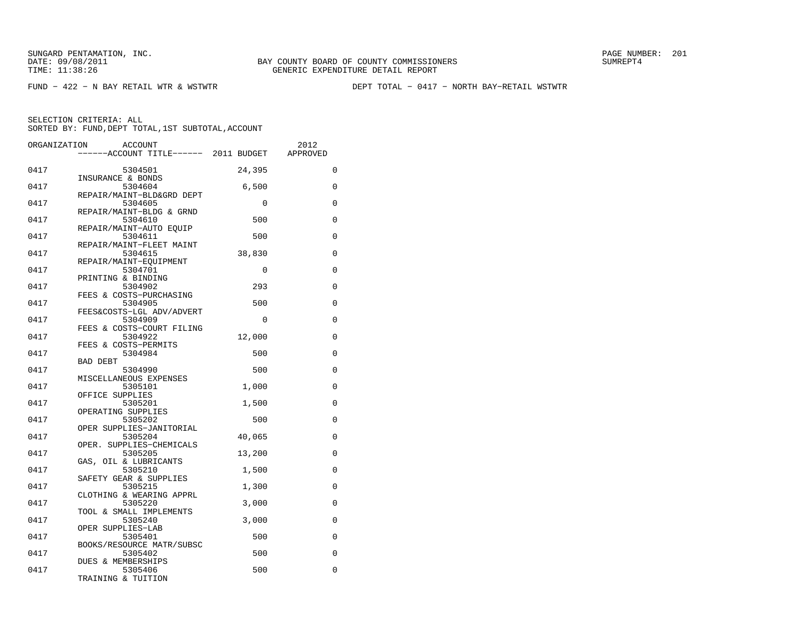FUND − 422 − N BAY RETAIL WTR & WSTWTR DEPT TOTAL − 0417 − NORTH BAY−RETAIL WSTWTR

| ORGANIZATION | <b>ACCOUNT</b>                       |             | 2012        |
|--------------|--------------------------------------|-------------|-------------|
|              | -----ACCOUNT TITLE------ 2011 BUDGET |             | APPROVED    |
| 0417         | 5304501                              | 24,395      | $\mathbf 0$ |
|              | INSURANCE & BONDS                    |             |             |
| 0417         | 5304604                              | 6,500       | $\mathbf 0$ |
| 0417         | REPAIR/MAINT-BLD&GRD DEPT<br>5304605 | $\mathbf 0$ | 0           |
|              | REPAIR/MAINT-BLDG & GRND             |             |             |
| 0417         | 5304610<br>REPAIR/MAINT-AUTO EQUIP   | 500         | 0           |
| 0417         | 5304611                              | 500         | 0           |
|              | REPAIR/MAINT-FLEET MAINT             |             |             |
| 0417         | 5304615                              | 38,830      | 0           |
|              | REPAIR/MAINT-EQUIPMENT               |             |             |
| 0417         | 5304701                              | $\Omega$    | $\Omega$    |
| 0417         | PRINTING & BINDING<br>5304902        | 293         | 0           |
|              | FEES & COSTS-PURCHASING              |             |             |
| 0417         | 5304905                              | 500         | 0           |
|              | FEES&COSTS-LGL ADV/ADVERT            |             |             |
| 0417         | 5304909                              | 0           | 0           |
|              | FEES & COSTS-COURT FILING            |             |             |
| 0417         | 5304922                              | 12,000      | 0           |
| 0417         | FEES & COSTS-PERMITS                 |             | $\mathbf 0$ |
|              | 5304984<br><b>BAD DEBT</b>           | 500         |             |
| 0417         | 5304990                              | 500         | 0           |
|              | MISCELLANEOUS EXPENSES               |             |             |
| 0417         | 5305101                              | 1,000       | 0           |
|              | OFFICE SUPPLIES                      |             |             |
| 0417         | 5305201                              | 1,500       | 0           |
|              | OPERATING SUPPLIES                   |             |             |
| 0417         | 5305202<br>OPER SUPPLIES-JANITORIAL  | 500         | 0           |
| 0417         | 5305204                              | 40,065      | 0           |
|              | OPER. SUPPLIES-CHEMICALS             |             |             |
| 0417         | 5305205                              | 13,200      | 0           |
|              | GAS, OIL & LUBRICANTS                |             |             |
| 0417         | 5305210                              | 1,500       | 0           |
|              | SAFETY GEAR & SUPPLIES               |             |             |
| 0417         | 5305215                              | 1,300       | 0           |
| 0417         | CLOTHING & WEARING APPRL             | 3,000       | 0           |
|              | 5305220<br>TOOL & SMALL IMPLEMENTS   |             |             |
| 0417         | 5305240                              | 3,000       | 0           |
|              | OPER SUPPLIES-LAB                    |             |             |
| 0417         | 5305401                              | 500         | 0           |
|              | BOOKS/RESOURCE MATR/SUBSC            |             |             |
| 0417         | 5305402                              | 500         | 0           |
|              | DUES & MEMBERSHIPS                   |             |             |
| 0417         | 5305406                              | 500         | 0           |
|              | TRAINING & TUITION                   |             |             |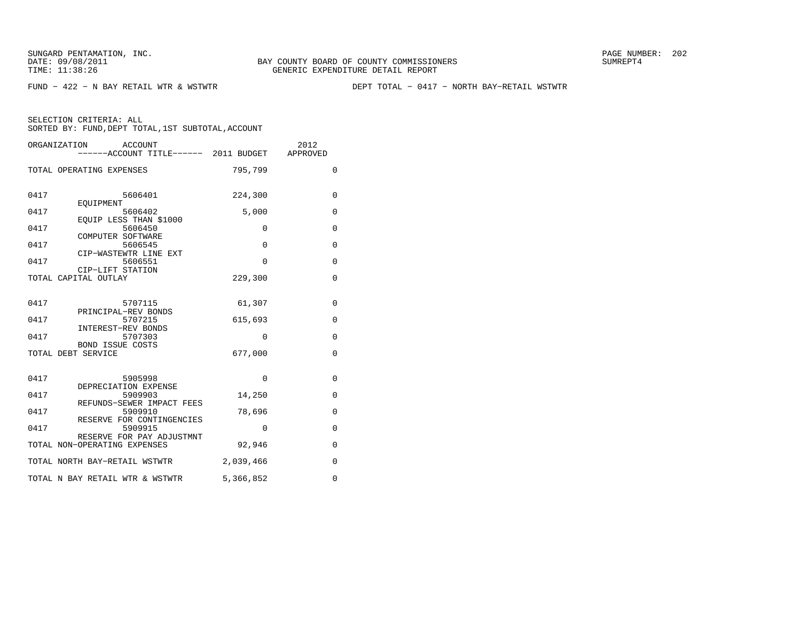FUND − 422 − N BAY RETAIL WTR & WSTWTR DEPT TOTAL − 0417 − NORTH BAY−RETAIL WSTWTR

|      | ORGANIZATION<br>ACCOUNT<br>------ACCOUNT TITLE------ 2011 BUDGET APPROVED |             | 2012         |
|------|---------------------------------------------------------------------------|-------------|--------------|
|      | TOTAL OPERATING EXPENSES                                                  | 795,799     | $\Omega$     |
| 0417 | 5606401<br><b>EOUIPMENT</b>                                               | 224,300     | $\mathbf{0}$ |
| 0417 | 5606402                                                                   | 5,000       | 0            |
| 0417 | EQUIP LESS THAN \$1000<br>5606450                                         | $\Omega$    | 0            |
| 0417 | COMPUTER SOFTWARE<br>5606545                                              | $\Omega$    | $\mathbf{0}$ |
| 0417 | CIP-WASTEWTR LINE EXT<br>5606551                                          | $\mathbf 0$ | $\mathbf 0$  |
|      | CIP-LIFT STATION<br>TOTAL CAPITAL OUTLAY                                  | 229,300     | $\mathbf 0$  |
| 0417 | 5707115                                                                   | 61,307      | 0            |
| 0417 | PRINCIPAL-REV BONDS<br>5707215                                            | 615,693     | $\mathbf{0}$ |
| 0417 | INTEREST-REV BONDS<br>5707303                                             | $\Omega$    | $\mathbf 0$  |
|      | BOND ISSUE COSTS<br>TOTAL DEBT SERVICE                                    | 677,000     | 0            |
| 0417 | 5905998                                                                   | $\mathbf 0$ | $\mathbf 0$  |
| 0417 | DEPRECIATION EXPENSE<br>5909903                                           | 14,250      | 0            |
| 0417 | REFUNDS-SEWER IMPACT FEES<br>5909910                                      | 78,696      | $\mathbf 0$  |
| 0417 | RESERVE FOR CONTINGENCIES<br>5909915                                      | $\mathbf 0$ | 0            |
|      | RESERVE FOR PAY ADJUSTMNT<br>TOTAL NON-OPERATING EXPENSES                 | 92,946      | 0            |
|      | TOTAL NORTH BAY-RETAIL WSTWTR                                             | 2,039,466   | $\mathbf{0}$ |
|      | TOTAL N BAY RETAIL WTR & WSTWTR                                           | 5,366,852   | $\mathbf 0$  |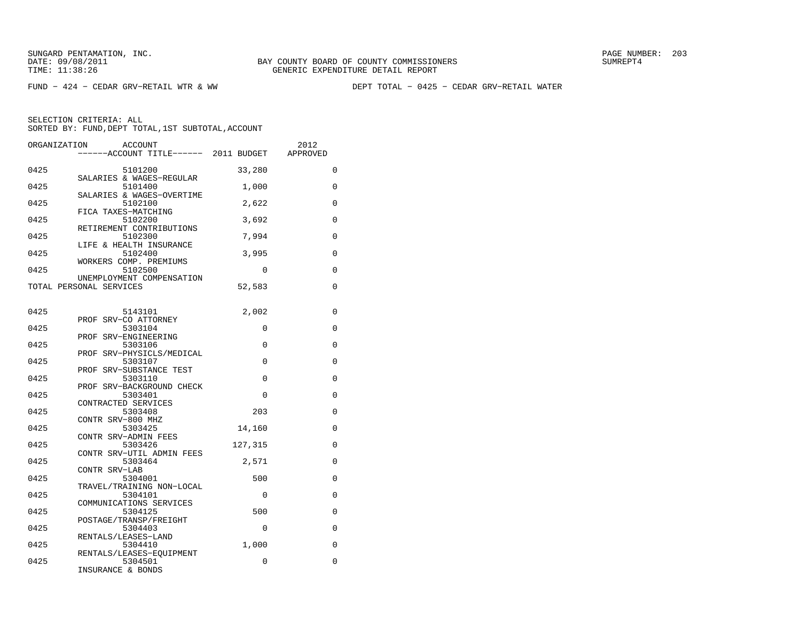FUND − 424 − CEDAR GRV−RETAIL WTR & WW DEPT TOTAL − 0425 − CEDAR GRV−RETAIL WATER

| ORGANIZATION | <b>ACCOUNT</b>                        |          | 2012        |
|--------------|---------------------------------------|----------|-------------|
|              | ------ACCOUNT TITLE------ 2011 BUDGET |          | APPROVED    |
| 0425         | 5101200                               | 33,280   | 0           |
|              | SALARIES & WAGES-REGULAR              |          |             |
| 0425         | 5101400                               | 1,000    | $\mathbf 0$ |
| 0425         | SALARIES & WAGES-OVERTIME<br>5102100  | 2,622    | $\mathbf 0$ |
|              | FICA TAXES-MATCHING                   |          |             |
| 0425         | 5102200                               | 3,692    | $\mathbf 0$ |
| 0425         | RETIREMENT CONTRIBUTIONS<br>5102300   | 7,994    | 0           |
|              | LIFE & HEALTH INSURANCE               |          |             |
| 0425         | 5102400                               | 3,995    | $\mathbf 0$ |
|              | WORKERS COMP. PREMIUMS                |          |             |
| 0425         | 5102500<br>UNEMPLOYMENT COMPENSATION  | 0        | 0           |
|              | TOTAL PERSONAL SERVICES               | 52,583   | 0           |
|              |                                       |          |             |
|              |                                       |          |             |
| 0425         | 5143101<br>PROF SRV-CO ATTORNEY       | 2,002    | 0           |
| 0425         | 5303104                               | 0        | 0           |
|              | PROF SRV-ENGINEERING                  |          |             |
| 0425         | 5303106                               | 0        | 0           |
|              | PROF SRV-PHYSICLS/MEDICAL             |          |             |
| 0425         | 5303107<br>PROF SRV-SUBSTANCE TEST    | $\Omega$ | 0           |
| 0425         | 5303110                               | 0        | 0           |
|              | PROF SRV-BACKGROUND CHECK             |          |             |
| 0425         | 5303401                               | $\Omega$ | 0           |
|              | CONTRACTED SERVICES                   |          |             |
| 0425         | 5303408                               | 203      | $\mathbf 0$ |
|              | CONTR SRV-800 MHZ                     |          |             |
| 0425         | 5303425<br>CONTR SRV-ADMIN FEES       | 14,160   | $\mathbf 0$ |
| 0425         | 5303426                               | 127,315  | 0           |
|              | CONTR SRV-UTIL ADMIN FEES             |          |             |
| 0425         | 5303464                               | 2,571    | $\mathbf 0$ |
|              | CONTR SRV-LAB                         |          |             |
| 0425         | 5304001                               | 500      | 0           |
| 0425         | TRAVEL/TRAINING NON-LOCAL<br>5304101  | 0        | 0           |
|              | COMMUNICATIONS SERVICES               |          |             |
| 0425         | 5304125                               | 500      | 0           |
|              | POSTAGE/TRANSP/FREIGHT                |          |             |
| 0425         | 5304403                               | $\Omega$ | 0           |
|              | RENTALS/LEASES-LAND                   |          |             |
| 0425         | 5304410                               | 1,000    | $\mathbf 0$ |
| 0425         | RENTALS/LEASES-EQUIPMENT<br>5304501   | 0        | $\mathbf 0$ |
|              | INSURANCE & BONDS                     |          |             |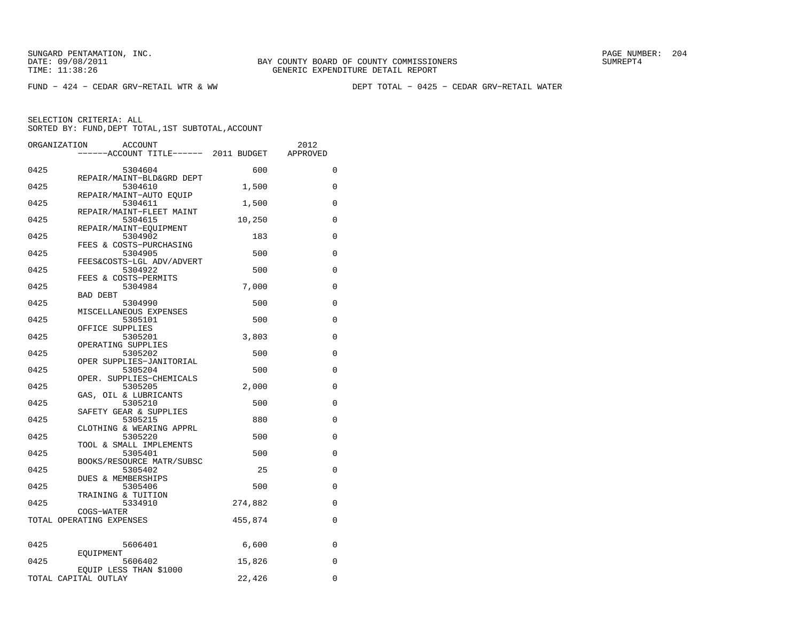FUND − 424 − CEDAR GRV−RETAIL WTR & WW DEPT TOTAL − 0425 − CEDAR GRV−RETAIL WATER

| ORGANIZATION | <b>ACCOUNT</b>                         |         | 2012        |
|--------------|----------------------------------------|---------|-------------|
|              | -----ACCOUNT TITLE------ 2011 BUDGET   |         | APPROVED    |
| 0425         | 5304604                                | 600     | 0           |
| 0425         | REPAIR/MAINT-BLD&GRD DEPT<br>5304610   | 1,500   | $\mathbf 0$ |
|              | REPAIR/MAINT-AUTO EOUIP                |         |             |
| 0425         | 5304611<br>REPAIR/MAINT-FLEET MAINT    | 1,500   | 0           |
| 0425         | 5304615                                | 10,250  | 0           |
| 0425         | REPAIR/MAINT-EQUIPMENT<br>5304902      | 183     | 0           |
|              | FEES & COSTS-PURCHASING                |         |             |
| 0425         | 5304905<br>FEES&COSTS-LGL ADV/ADVERT   | 500     | $\Omega$    |
| 0425         | 5304922                                | 500     | $\mathbf 0$ |
| 0425         | FEES & COSTS-PERMITS<br>5304984        | 7,000   | $\mathbf 0$ |
|              | BAD DEBT                               |         |             |
| 0425         | 5304990<br>MISCELLANEOUS EXPENSES      | 500     | 0           |
| 0425         | 5305101                                | 500     | 0           |
| 0425         | OFFICE SUPPLIES<br>5305201             | 3,803   | 0           |
|              | OPERATING SUPPLIES                     |         |             |
| 0425         | 5305202<br>OPER SUPPLIES-JANITORIAL    | 500     | $\mathbf 0$ |
| 0425         | 5305204                                | 500     | 0           |
| 0425         | OPER. SUPPLIES-CHEMICALS<br>5305205    | 2,000   | $\mathbf 0$ |
|              | GAS, OIL & LUBRICANTS                  |         |             |
| 0425         | 5305210<br>SAFETY GEAR & SUPPLIES      | 500     | 0           |
| 0425         | 5305215                                | 880     | 0           |
| 0425         | CLOTHING & WEARING APPRL<br>5305220    | 500     | $\mathbf 0$ |
|              | TOOL & SMALL IMPLEMENTS                |         |             |
| 0425         | 5305401<br>BOOKS/RESOURCE MATR/SUBSC   | 500     | $\Omega$    |
| 0425         | 5305402                                | 25      | 0           |
| 0425         | DUES & MEMBERSHIPS<br>5305406          | 500     | 0           |
|              | TRAINING & TUITION                     |         |             |
| 0425         | 5334910                                | 274,882 | $\mathbf 0$ |
|              | COGS-WATER<br>TOTAL OPERATING EXPENSES | 455,874 | 0           |
|              |                                        |         |             |
| 0425         | 5606401                                | 6,600   | 0           |
|              | EQUIPMENT                              |         |             |
| 0425         | 5606402<br>EQUIP LESS THAN \$1000      | 15,826  | 0           |
|              | TOTAL CAPITAL OUTLAY                   | 22,426  | $\mathbf 0$ |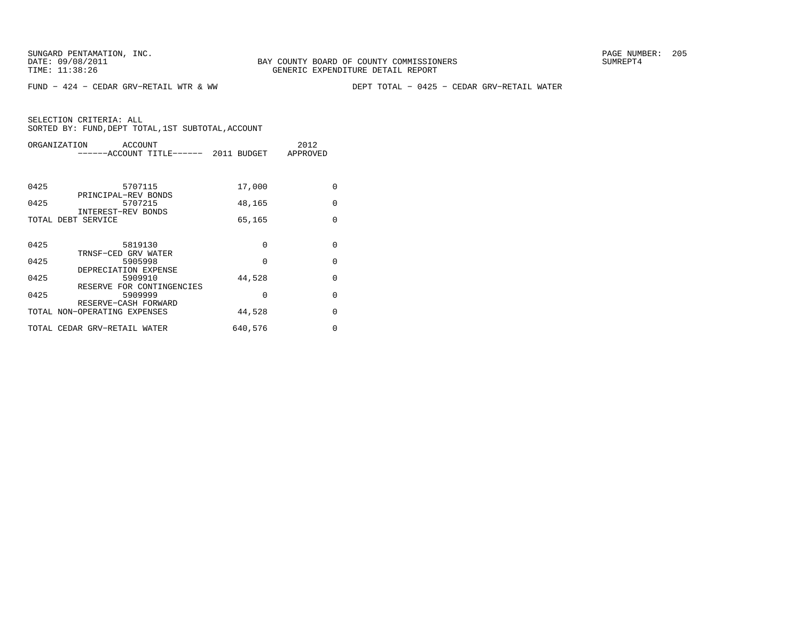FUND − 424 − CEDAR GRV−RETAIL WTR & WW DEPT TOTAL − 0425 − CEDAR GRV−RETAIL WATER

| ORGANIZATION                 | ACCOUNT<br>-----ACCOUNT TITLE------ 2011 BUDGET |          | 2012<br>APPROVED |
|------------------------------|-------------------------------------------------|----------|------------------|
| 0425                         | 5707115                                         |          | $\Omega$         |
|                              | PRINCIPAL-REV BONDS                             | 17,000   |                  |
| 0425                         | 5707215                                         | 48,165   | $\Omega$         |
| TOTAL DEBT SERVICE           | INTEREST-REV BONDS                              | 65,165   | $\Omega$         |
|                              |                                                 |          |                  |
| 0425                         | 5819130                                         | $\Omega$ | $\Omega$         |
|                              | TRNSF-CED GRV WATER                             |          |                  |
| 0425                         | 5905998                                         | $\Omega$ | $\Omega$         |
| 0425                         | DEPRECIATION EXPENSE<br>5909910                 | 44,528   | $\Omega$         |
|                              | RESERVE FOR CONTINGENCIES                       |          |                  |
| 0425                         | 5909999                                         | 0        | $\Omega$         |
| TOTAL NON-OPERATING EXPENSES | RESERVE-CASH FORWARD                            | 44,528   | $\Omega$         |
|                              |                                                 |          |                  |
| TOTAL CEDAR GRV-RETAIL WATER |                                                 | 640,576  | 0                |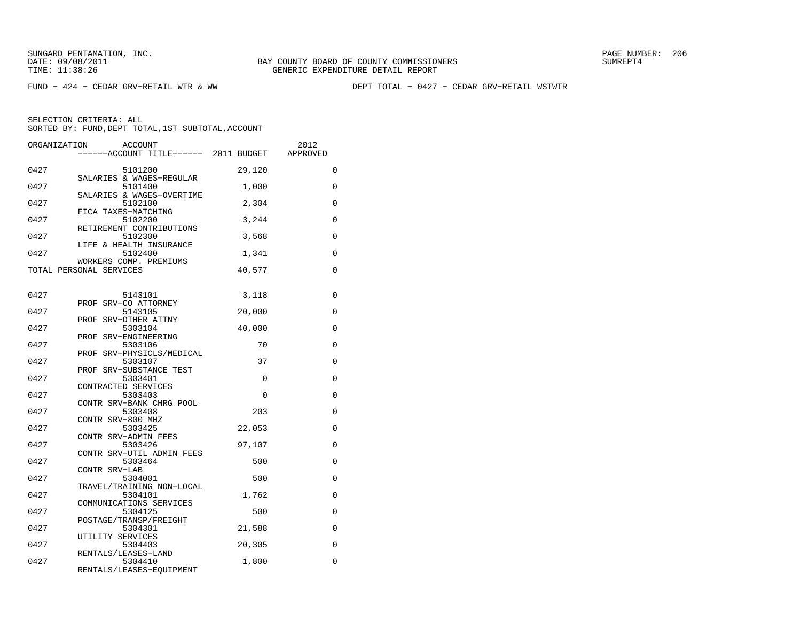FUND − 424 − CEDAR GRV−RETAIL WTR & WW DEPT TOTAL − 0427 − CEDAR GRV−RETAIL WSTWTR

| ORGANIZATION | <b>ACCOUNT</b>                        |          | 2012        |
|--------------|---------------------------------------|----------|-------------|
|              | ------ACCOUNT TITLE------ 2011 BUDGET |          | APPROVED    |
| 0427         | 5101200                               | 29,120   | 0           |
| 0427         | SALARIES & WAGES-REGULAR<br>5101400   | 1,000    | $\mathbf 0$ |
| 0427         | SALARIES & WAGES-OVERTIME<br>5102100  | 2,304    | 0           |
| 0427         | FICA TAXES-MATCHING<br>5102200        | 3,244    | 0           |
| 0427         | RETIREMENT CONTRIBUTIONS<br>5102300   | 3,568    | 0           |
| 0427         | LIFE & HEALTH INSURANCE<br>5102400    | 1,341    | $\mathbf 0$ |
|              | WORKERS COMP. PREMIUMS                |          |             |
|              | TOTAL PERSONAL SERVICES               | 40,577   | $\mathbf 0$ |
| 0427         | 5143101                               | 3,118    | 0           |
| 0427         | PROF SRV-CO ATTORNEY<br>5143105       | 20,000   | $\mathbf 0$ |
| 0427         | PROF SRV-OTHER ATTNY<br>5303104       | 40,000   | 0           |
|              | PROF SRV-ENGINEERING                  |          |             |
| 0427         | 5303106<br>PROF SRV-PHYSICLS/MEDICAL  | 70       | $\mathbf 0$ |
| 0427         | 5303107<br>PROF SRV-SUBSTANCE TEST    | 37       | 0           |
| 0427         | 5303401<br>CONTRACTED SERVICES        | $\Omega$ | 0           |
| 0427         | 5303403                               | $\Omega$ | $\mathbf 0$ |
| 0427         | CONTR SRV-BANK CHRG POOL<br>5303408   | 203      | 0           |
| 0427         | CONTR SRV-800 MHZ<br>5303425          | 22,053   | 0           |
| 0427         | CONTR SRV-ADMIN FEES<br>5303426       | 97,107   | 0           |
| 0427         | CONTR SRV-UTIL ADMIN FEES<br>5303464  | 500      | 0           |
| 0427         | CONTR SRV-LAB<br>5304001              | 500      | 0           |
| 0427         | TRAVEL/TRAINING NON-LOCAL<br>5304101  | 1,762    | 0           |
| 0427         | COMMUNICATIONS SERVICES<br>5304125    | 500      | 0           |
| 0427         | POSTAGE/TRANSP/FREIGHT<br>5304301     | 21,588   | 0           |
|              | UTILITY SERVICES                      |          |             |
| 0427         | 5304403<br>RENTALS/LEASES-LAND        | 20,305   | 0           |
| 0427         | 5304410<br>RENTALS/LEASES-EQUIPMENT   | 1,800    | 0           |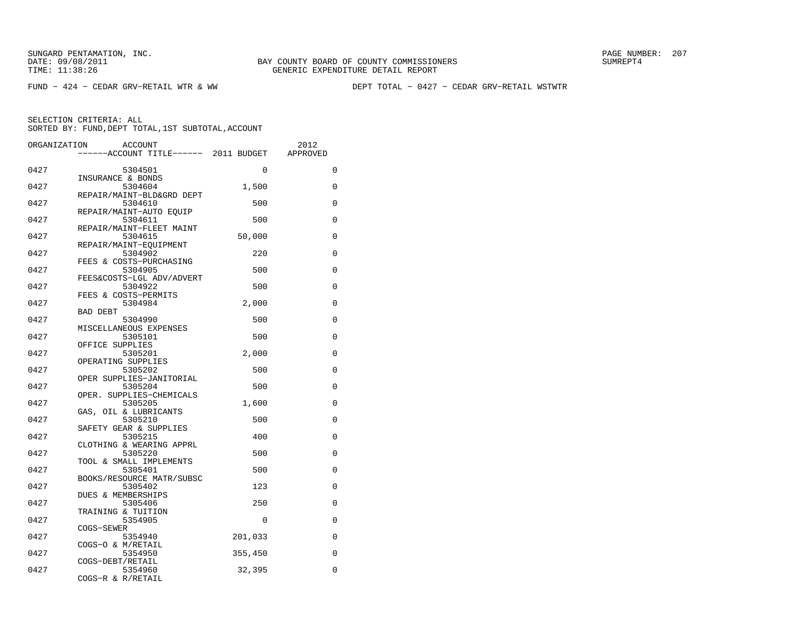FUND − 424 − CEDAR GRV−RETAIL WTR & WW DEPT TOTAL − 0427 − CEDAR GRV−RETAIL WSTWTR

| ORGANIZATION | <b>ACCOUNT</b>                       |          | 2012        |
|--------------|--------------------------------------|----------|-------------|
|              | ----ACCOUNT TITLE------ 2011 BUDGET  |          | APPROVED    |
| 0427         | 5304501                              | 0        | $\mathbf 0$ |
|              | INSURANCE & BONDS                    |          |             |
| 0427         | 5304604<br>REPAIR/MAINT-BLD&GRD DEPT | 1,500    | $\Omega$    |
| 0427         | 5304610                              | 500      | 0           |
|              | REPAIR/MAINT-AUTO EOUIP              |          |             |
| 0427         | 5304611<br>REPAIR/MAINT-FLEET MAINT  | 500      | 0           |
| 0427         | 5304615                              | 50,000   | $\mathbf 0$ |
|              | REPAIR/MAINT-EOUIPMENT               |          |             |
| 0427         | 5304902                              | 220      | $\mathbf 0$ |
|              | FEES & COSTS-PURCHASING              |          |             |
| 0427         | 5304905                              | 500      | $\Omega$    |
| 0427         | FEES&COSTS-LGL ADV/ADVERT<br>5304922 | 500      | 0           |
|              | FEES & COSTS-PERMITS                 |          |             |
| 0427         | 5304984                              | 2,000    | 0           |
|              | <b>BAD DEBT</b>                      |          |             |
| 0427         | 5304990                              | 500      | 0           |
| 0427         | MISCELLANEOUS EXPENSES<br>5305101    | 500      | 0           |
|              | OFFICE SUPPLIES                      |          |             |
| 0427         | 5305201                              | 2,000    | $\Omega$    |
|              | OPERATING SUPPLIES                   |          |             |
| 0427         | 5305202                              | 500      | 0           |
|              | OPER SUPPLIES-JANITORIAL             |          |             |
| 0427         | 5305204<br>OPER. SUPPLIES-CHEMICALS  | 500      | 0           |
| 0427         | 5305205                              | 1,600    | 0           |
|              | GAS, OIL & LUBRICANTS                |          |             |
| 0427         | 5305210                              | 500      | 0           |
|              | SAFETY GEAR & SUPPLIES               |          |             |
| 0427         | 5305215                              | 400      | 0           |
| 0427         | CLOTHING & WEARING APPRL<br>5305220  | 500      | 0           |
|              | TOOL & SMALL IMPLEMENTS              |          |             |
| 0427         | 5305401                              | 500      | 0           |
|              | BOOKS/RESOURCE MATR/SUBSC            |          |             |
| 0427         | 5305402                              | 123      | 0           |
|              | <b>DUES &amp; MEMBERSHIPS</b>        |          |             |
| 0427         | 5305406                              | 250      | 0           |
| 0427         | TRAINING & TUITION<br>5354905        | $\Omega$ | 0           |
|              | COGS-SEWER                           |          |             |
| 0427         | 5354940                              | 201,033  | 0           |
|              | COGS-O & M/RETAIL                    |          |             |
| 0427         | 5354950                              | 355,450  | 0           |
|              | COGS-DEBT/RETAIL                     |          |             |
| 0427         | 5354960                              | 32,395   | 0           |
|              | COGS-R & R/RETAIL                    |          |             |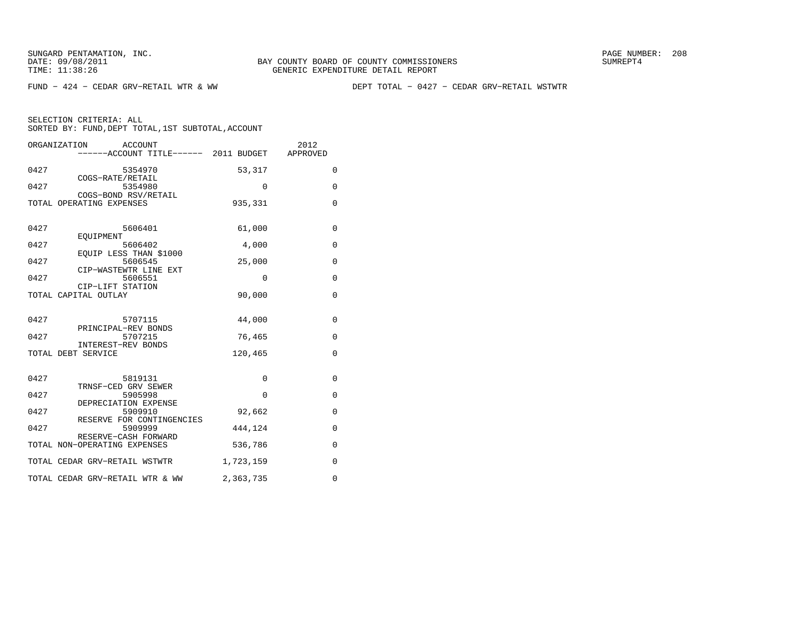FUND − 424 − CEDAR GRV−RETAIL WTR & WW DEPT TOTAL − 0427 − CEDAR GRV−RETAIL WSTWTR

|      | ORGANIZATION<br><b>ACCOUNT</b><br>-----ACCOUNT TITLE------ 2011 BUDGET |             | 2012<br>APPROVED |
|------|------------------------------------------------------------------------|-------------|------------------|
| 0427 | 5354970                                                                | 53,317      | 0                |
| 0427 | COGS-RATE/RETAIL<br>5354980<br>COGS-BOND RSV/RETAIL                    | $\Omega$    | $\mathbf 0$      |
|      | TOTAL OPERATING EXPENSES                                               | 935,331     | $\mathbf 0$      |
| 0427 | 5606401                                                                | 61,000      | $\mathbf{0}$     |
| 0427 | EOUIPMENT<br>5606402                                                   | 4,000       | $\mathbf 0$      |
| 0427 | EOUIP LESS THAN \$1000<br>5606545<br>CIP-WASTEWTR LINE EXT             | 25,000      | $\mathbf{0}$     |
| 0427 | 5606551<br>CIP-LIFT STATION                                            | $\mathbf 0$ | $\mathbf 0$      |
|      | TOTAL CAPITAL OUTLAY                                                   | 90,000      | $\mathbf 0$      |
| 0427 | 5707115                                                                | 44,000      | $\mathbf{0}$     |
| 0427 | PRINCIPAL-REV BONDS<br>5707215                                         | 76,465      | $\mathbf{0}$     |
|      | INTEREST-REV BONDS<br>TOTAL DEBT SERVICE                               | 120,465     | $\Omega$         |
| 0427 | 5819131                                                                | $\Omega$    | $\mathbf 0$      |
| 0427 | TRNSF-CED GRV SEWER<br>5905998                                         | $\Omega$    | 0                |
| 0427 | DEPRECIATION EXPENSE<br>5909910<br>RESERVE FOR CONTINGENCIES           | 92,662      | $\mathbf{0}$     |
| 0427 | 5909999<br>RESERVE-CASH FORWARD                                        | 444,124     | $\mathbf{0}$     |
|      | TOTAL NON-OPERATING EXPENSES                                           | 536,786     | 0                |
|      | TOTAL CEDAR GRV-RETAIL WSTWTR                                          | 1,723,159   | $\mathbf{0}$     |
|      | TOTAL CEDAR GRV-RETAIL WTR & WW                                        | 2,363,735   | $\mathbf 0$      |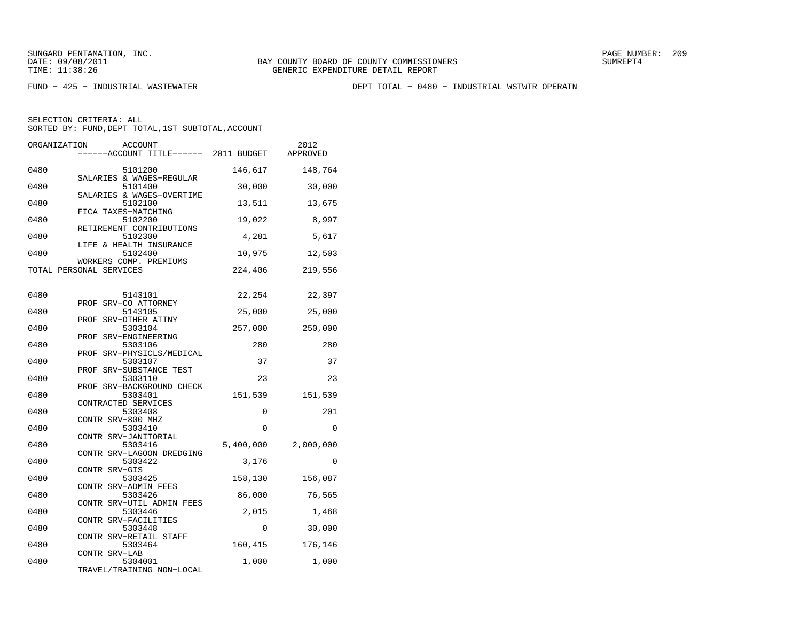FUND − 425 − INDUSTRIAL WASTEWATER DEPT TOTAL − 0480 − INDUSTRIAL WSTWTR OPERATN

| ORGANIZATION | <b>ACCOUNT</b><br>------ACCOUNT TITLE------ 2011 BUDGET |                   | 2012<br>APPROVED |
|--------------|---------------------------------------------------------|-------------------|------------------|
| 0480         | 5101200<br>SALARIES & WAGES-REGULAR                     | 146,617           | 148,764          |
| 0480         | 5101400<br>SALARIES & WAGES-OVERTIME                    | 30,000            | 30,000           |
| 0480         | 5102100<br>FICA TAXES-MATCHING                          | 13,511            | 13,675           |
| 0480         | 5102200<br>RETIREMENT CONTRIBUTIONS                     | 19,022            | 8,997            |
| 0480         | 5102300<br>LIFE & HEALTH INSURANCE                      | 4,281             | 5,617            |
| 0480         | 5102400<br>WORKERS COMP. PREMIUMS                       | 10,975            | 12,503           |
|              | TOTAL PERSONAL SERVICES                                 | 224,406           | 219,556          |
| 0480         | 5143101                                                 | 22,254            | 22,397           |
| 0480         | PROF SRV-CO ATTORNEY<br>5143105<br>PROF SRV-OTHER ATTNY | 25,000            | 25,000           |
| 0480         | 5303104<br>PROF SRV-ENGINEERING                         | 257,000           | 250,000          |
| 0480         | 5303106<br>PROF SRV-PHYSICLS/MEDICAL                    | 280               | 280              |
| 0480         | 5303107<br>PROF SRV-SUBSTANCE TEST                      | 37                | 37               |
| 0480         | 5303110<br>PROF SRV-BACKGROUND CHECK                    | 23                | 23               |
| 0480         | 5303401<br>CONTRACTED SERVICES                          | 151,539           | 151,539          |
| 0480         | 5303408<br>CONTR SRV-800 MHZ                            | 0                 | 201              |
| 0480         | 5303410<br>CONTR SRV-JANITORIAL                         | $\Omega$          | $\Omega$         |
| 0480         | 5303416<br>CONTR SRV-LAGOON DREDGING                    | 5,400,000         | 2,000,000        |
| 0480         | 5303422<br>CONTR SRV-GIS                                | 3,176             | $\mathbf 0$      |
| 0480         | 5303425<br>CONTR SRV-ADMIN FEES                         | 158,130           | 156,087          |
| 0480         | 5303426<br>CONTR SRV-UTIL ADMIN FEES                    | 86,000            | 76,565           |
| 0480<br>0480 | 5303446<br>CONTR SRV-FACILITIES<br>5303448              | 2,015<br>$\Omega$ | 1,468<br>30,000  |
| 0480         | CONTR SRV-RETAIL STAFF<br>5303464                       | 160,415           | 176,146          |
| 0480         | CONTR SRV-LAB<br>5304001                                | 1,000             | 1,000            |
|              | TRAVEL/TRAINING NON-LOCAL                               |                   |                  |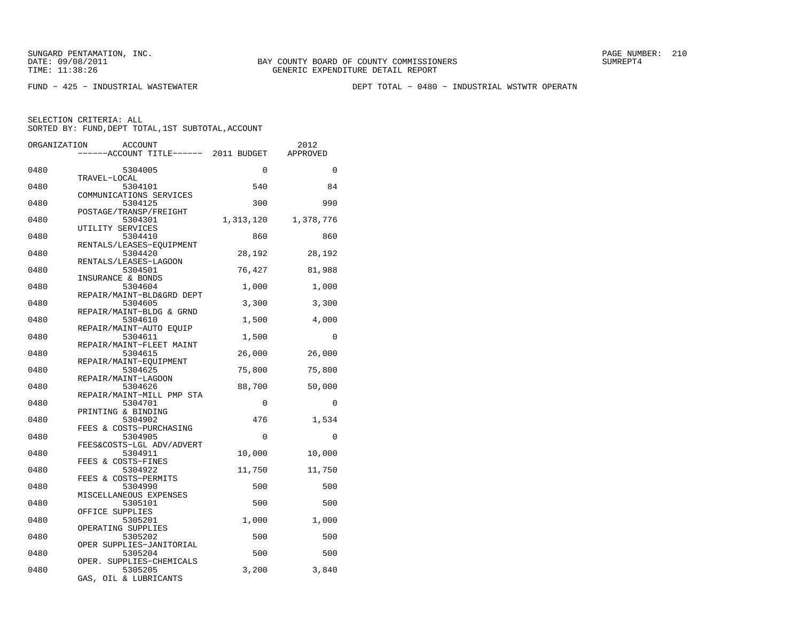FUND − 425 − INDUSTRIAL WASTEWATER DEPT TOTAL − 0480 − INDUSTRIAL WSTWTR OPERATN

| ORGANIZATION | <b>ACCOUNT</b>                      |           | 2012      |
|--------------|-------------------------------------|-----------|-----------|
|              | ----ACCOUNT TITLE------ 2011 BUDGET |           | APPROVED  |
| 0480         | 5304005                             | $\Omega$  | $\Omega$  |
|              | TRAVEL-LOCAL                        |           |           |
| 0480         | 5304101<br>COMMUNICATIONS SERVICES  | 540       | 84        |
| 0480         | 5304125                             | 300       | 990       |
|              | POSTAGE/TRANSP/FREIGHT              |           |           |
| 0480         | 5304301<br>UTILITY SERVICES         | 1,313,120 | 1,378,776 |
| 0480         | 5304410                             | 860       | 860       |
| 0480         | RENTALS/LEASES-EOUIPMENT<br>5304420 | 28,192    | 28,192    |
|              | RENTALS/LEASES-LAGOON               |           |           |
| 0480         | 5304501                             | 76,427    | 81,988    |
|              | INSURANCE & BONDS                   |           |           |
| 0480         | 5304604                             | 1,000     | 1,000     |
|              | REPAIR/MAINT-BLD&GRD DEPT           |           |           |
| 0480         | 5304605                             | 3,300     | 3,300     |
|              | REPAIR/MAINT-BLDG & GRND            |           |           |
| 0480         | 5304610                             | 1,500     | 4,000     |
|              | REPAIR/MAINT-AUTO EOUIP             |           |           |
| 0480         | 5304611                             | 1,500     | 0         |
|              | REPAIR/MAINT-FLEET MAINT            |           |           |
| 0480         | 5304615                             | 26,000    | 26,000    |
| 0480         | REPAIR/MAINT-EQUIPMENT<br>5304625   | 75,800    | 75,800    |
|              | REPAIR/MAINT-LAGOON                 |           |           |
| 0480         | 5304626                             | 88,700    | 50,000    |
|              | REPAIR/MAINT-MILL PMP STA           |           |           |
| 0480         | 5304701                             | 0         | $\Omega$  |
|              | PRINTING & BINDING                  |           |           |
| 0480         | 5304902                             | 476       | 1,534     |
|              | FEES & COSTS-PURCHASING             |           |           |
| 0480         | 5304905                             | $\Omega$  | $\Omega$  |
|              | FEES&COSTS-LGL ADV/ADVERT           |           |           |
| 0480         | 5304911                             | 10,000    | 10,000    |
|              | FEES & COSTS-FINES                  |           |           |
| 0480         | 5304922                             | 11,750    | 11,750    |
|              | FEES & COSTS-PERMITS                |           |           |
| 0480         | 5304990                             | 500       | 500       |
|              | MISCELLANEOUS EXPENSES              |           |           |
| 0480         | 5305101                             | 500       | 500       |
| 0480         | OFFICE SUPPLIES<br>5305201          | 1,000     | 1,000     |
|              | OPERATING SUPPLIES                  |           |           |
| 0480         | 5305202                             | 500       | 500       |
|              | OPER SUPPLIES-JANITORIAL            |           |           |
| 0480         | 5305204                             | 500       | 500       |
|              | OPER. SUPPLIES-CHEMICALS            |           |           |
| 0480         | 5305205                             | 3,200     | 3,840     |
|              | GAS, OIL & LUBRICANTS               |           |           |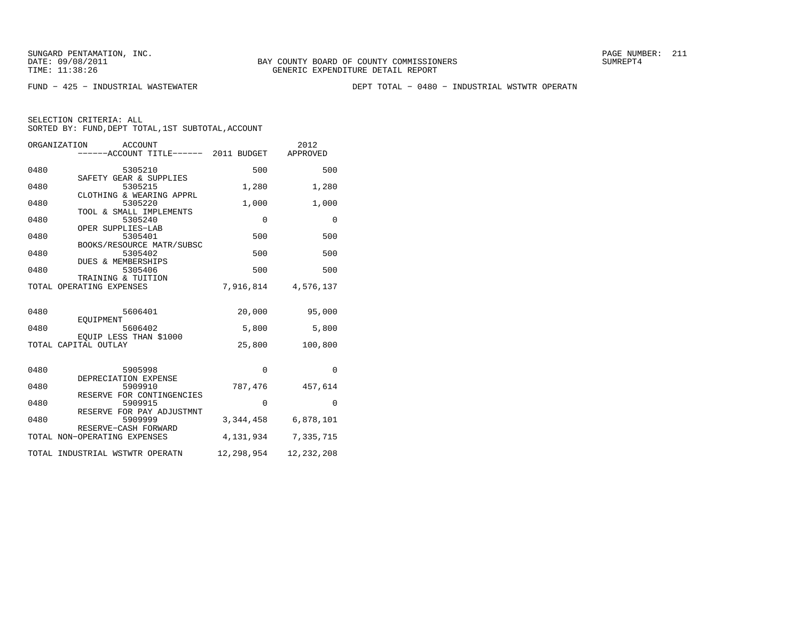FUND − 425 − INDUSTRIAL WASTEWATER DEPT TOTAL − 0480 − INDUSTRIAL WSTWTR OPERATN

|      | ORGANIZATION<br>ACCOUNT<br>----ACCOUNT TITLE------ 2011 BUDGET |             | 2012<br>APPROVED |
|------|----------------------------------------------------------------|-------------|------------------|
| 0480 | 5305210                                                        | 500         | 500              |
| 0480 | SAFETY GEAR & SUPPLIES<br>5305215                              | 1,280       | 1,280            |
| 0480 | CLOTHING & WEARING APPRL<br>5305220<br>TOOL & SMALL IMPLEMENTS | 1,000       | 1,000            |
| 0480 | 5305240<br>OPER SUPPLIES-LAB                                   | $\mathbf 0$ | $\Omega$         |
| 0480 | 5305401<br>BOOKS/RESOURCE MATR/SUBSC                           | 500         | 500              |
| 0480 | 5305402<br>DUES & MEMBERSHIPS                                  | 500         | 500              |
| 0480 | 5305406<br>TRAINING & TUITION                                  | 500         | 500              |
|      | TOTAL OPERATING EXPENSES                                       | 7,916,814   | 4,576,137        |
| 0480 | 5606401                                                        | 20,000      | 95,000           |
| 0480 | EOUIPMENT<br>5606402                                           | 5,800       | 5,800            |
|      | EOUIP LESS THAN \$1000<br>TOTAL CAPITAL OUTLAY                 | 25,800      | 100,800          |
| 0480 | 5905998                                                        | $\Omega$    | $\Omega$         |
| 0480 | DEPRECIATION EXPENSE<br>5909910                                | 787,476     | 457,614          |
| 0480 | RESERVE FOR CONTINGENCIES<br>5909915                           | 0           | 0                |
| 0480 | RESERVE FOR PAY ADJUSTMNT<br>5909999                           | 3,344,458   | 6,878,101        |
|      | RESERVE-CASH FORWARD<br>TOTAL NON-OPERATING EXPENSES           | 4,131,934   | 7,335,715        |
|      | TOTAL INDUSTRIAL WSTWTR OPERATN                                | 12,298,954  | 12,232,208       |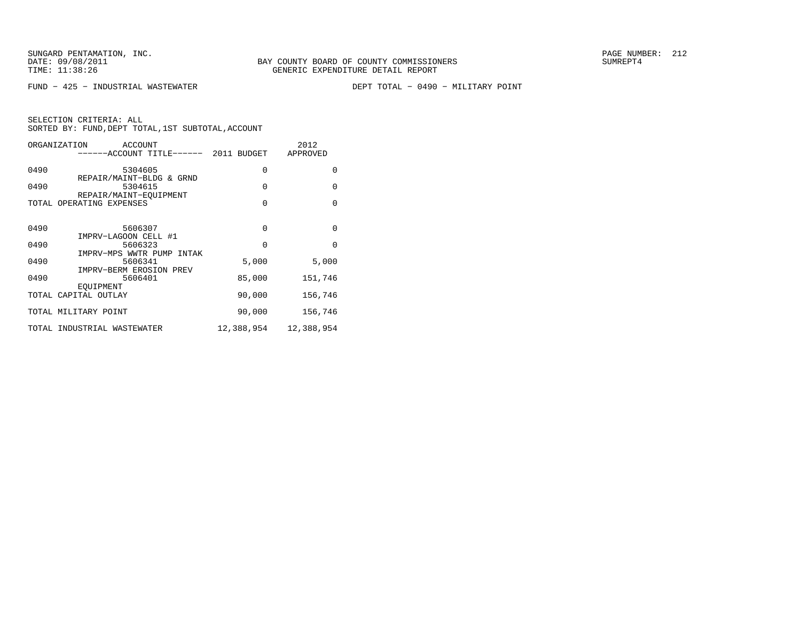FUND − 425 − INDUSTRIAL WASTEWATER DEPT TOTAL − 0490 − MILITARY POINT

| ORGANIZATION | <b>ACCOUNT</b><br>----ACCOUNT TITLE------ 2011 BUDGET |            | 2012<br>APPROVED |
|--------------|-------------------------------------------------------|------------|------------------|
| 0490         | 5304605                                               | 0          | $\Omega$         |
| 0490         | REPAIR/MAINT-BLDG & GRND<br>5304615                   | $\Omega$   | $\Omega$         |
| TOTAL        | REPAIR/MAINT-EOUIPMENT<br>OPERATING EXPENSES          | $\Omega$   | $\Omega$         |
|              |                                                       |            |                  |
| 0490         | 5606307<br>IMPRV-LAGOON CELL #1                       | 0          | $\Omega$         |
| 0490         | 5606323                                               | $\Omega$   | $\Omega$         |
| 0490         | IMPRV-MPS WWTR PUMP INTAK<br>5606341                  | 5,000      | 5,000            |
| 0490         | IMPRV-BERM EROSION PREV<br>5606401                    | 85,000     | 151,746          |
|              | EOUIPMENT<br>TOTAL CAPITAL OUTLAY                     | 90,000     | 156,746          |
|              | TOTAL MILITARY POINT                                  | 90,000     | 156,746          |
|              | TOTAL INDUSTRIAL WASTEWATER                           | 12,388,954 | 12,388,954       |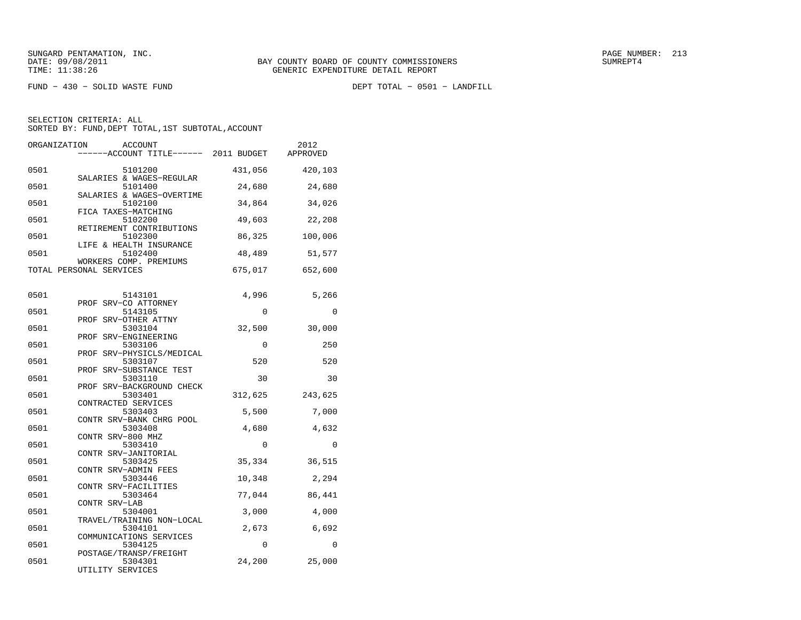FUND − 430 − SOLID WASTE FUND DEPT TOTAL − 0501 − LANDFILL

| ORGANIZATION<br><b>ACCOUNT</b><br>------ACCOUNT TITLE------ 2011 BUDGET |             | 2012<br>APPROVED |
|-------------------------------------------------------------------------|-------------|------------------|
| 0501<br>5101200<br>SALARIES & WAGES-REGULAR                             | 431,056     | 420,103          |
| 0501<br>5101400<br>SALARIES & WAGES-OVERTIME                            | 24,680      | 24,680           |
| 0501<br>5102100<br>FICA TAXES-MATCHING                                  | 34,864      | 34,026           |
| 0501<br>5102200<br>RETIREMENT CONTRIBUTIONS                             | 49,603      | 22,208           |
| 0501<br>5102300<br>LIFE & HEALTH INSURANCE                              | 86,325      | 100,006          |
| 0501<br>5102400<br>WORKERS COMP. PREMIUMS                               | 48,489      | 51,577           |
| TOTAL PERSONAL SERVICES                                                 | 675,017     | 652,600          |
| 0501<br>5143101                                                         | 4,996       | 5,266            |
| PROF SRV-CO ATTORNEY<br>0501<br>5143105                                 | $\mathbf 0$ | $\mathbf 0$      |
| PROF SRV-OTHER ATTNY<br>0501<br>5303104<br>SRV-ENGINEERING<br>PROF      | 32,500      | 30,000           |
| 0501<br>5303106<br>PROF SRV-PHYSICLS/MEDICAL                            | 0           | 250              |
| 0501<br>5303107<br>PROF SRV-SUBSTANCE TEST                              | 520         | 520              |
| 0501<br>5303110<br>PROF SRV-BACKGROUND CHECK                            | 30          | 30               |
| 0501<br>5303401<br>CONTRACTED SERVICES                                  | 312,625     | 243,625          |
| 0501<br>5303403<br>CONTR SRV-BANK CHRG POOL                             | 5,500       | 7,000            |
| 0501<br>5303408<br>CONTR SRV-800 MHZ                                    | 4,680       | 4,632            |
| 0501<br>5303410<br>CONTR SRV-JANITORIAL                                 | $\mathbf 0$ | 0                |
| 0501<br>5303425<br>CONTR SRV-ADMIN FEES                                 | 35,334      | 36,515           |
| 0501<br>5303446<br>CONTR SRV-FACILITIES                                 | 10,348      | 2,294            |
| 0501<br>5303464<br>CONTR SRV-LAB                                        | 77,044      | 86,441           |
| 0501<br>5304001<br>TRAVEL/TRAINING NON-LOCAL                            | 3,000       | 4,000            |
| 0501<br>5304101<br>COMMUNICATIONS SERVICES                              | 2,673       | 6,692            |
| 0501<br>5304125<br>POSTAGE/TRANSP/FREIGHT                               | 0           | $\Omega$         |
| 0501<br>5304301<br>UTILITY SERVICES                                     | 24,200      | 25,000           |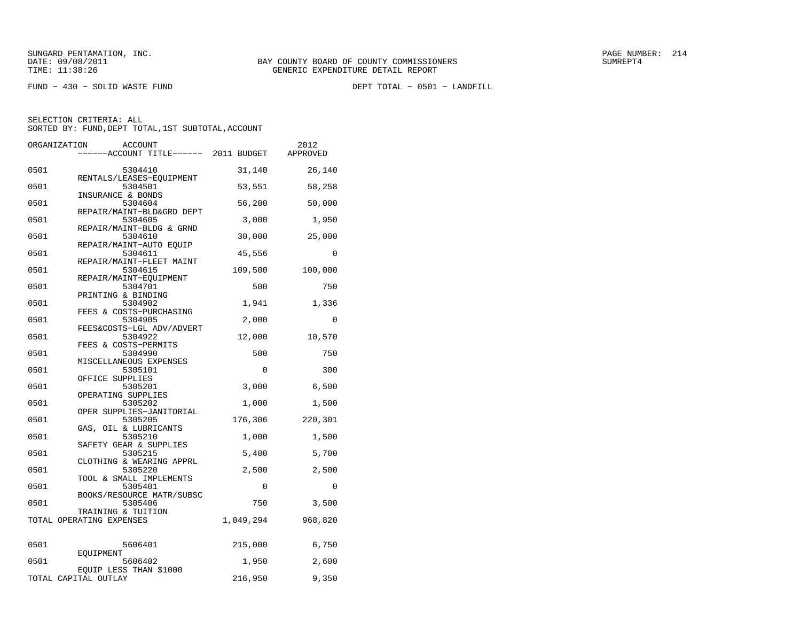FUND − 430 − SOLID WASTE FUND DEPT TOTAL − 0501 − LANDFILL

| ORGANIZATION | <b>ACCOUNT</b>                                                 |             | 2012     |
|--------------|----------------------------------------------------------------|-------------|----------|
|              | ----ACCOUNT TITLE------ 2011 BUDGET                            |             | APPROVED |
| 0501         | 5304410                                                        | 31,140      | 26,140   |
| 0501         | RENTALS/LEASES-EQUIPMENT<br>5304501                            | 53,551      | 58,258   |
| 0501         | INSURANCE & BONDS<br>5304604                                   | 56,200      | 50,000   |
| 0501         | REPAIR/MAINT-BLD&GRD DEPT<br>5304605                           | 3,000       | 1,950    |
| 0501         | REPAIR/MAINT-BLDG & GRND<br>5304610                            | 30,000      | 25,000   |
| 0501         | REPAIR/MAINT-AUTO EOUIP<br>5304611                             | 45,556      | 0        |
| 0501         | REPAIR/MAINT-FLEET MAINT<br>5304615                            | 109,500     | 100,000  |
| 0501         | REPAIR/MAINT-EOUIPMENT<br>5304701                              | 500         | 750      |
| 0501         | PRINTING & BINDING<br>5304902                                  | 1,941       | 1,336    |
| 0501         | FEES & COSTS-PURCHASING<br>5304905                             | 2,000       | $\Omega$ |
| 0501         | FEES&COSTS-LGL ADV/ADVERT<br>5304922                           | 12,000      | 10,570   |
| 0501         | FEES & COSTS-PERMITS<br>5304990                                | 500         | 750      |
| 0501         | MISCELLANEOUS EXPENSES<br>5305101                              | $\mathbf 0$ | 300      |
| 0501         | OFFICE SUPPLIES<br>5305201                                     | 3,000       | 6,500    |
| 0501         | OPERATING SUPPLIES<br>5305202                                  | 1,000       | 1,500    |
| 0501         | OPER SUPPLIES-JANITORIAL<br>5305205                            | 176,306     | 220,301  |
| 0501         | GAS, OIL & LUBRICANTS<br>5305210                               | 1,000       | 1,500    |
| 0501         | SAFETY GEAR & SUPPLIES<br>5305215                              | 5,400       | 5,700    |
| 0501         | CLOTHING & WEARING APPRL<br>5305220<br>TOOL & SMALL IMPLEMENTS | 2,500       | 2,500    |
| 0501         | 5305401<br>BOOKS/RESOURCE MATR/SUBSC                           | $\Omega$    | $\Omega$ |
| 0501         | 5305406<br>TRAINING & TUITION                                  | 750         | 3,500    |
|              | TOTAL OPERATING EXPENSES                                       | 1,049,294   | 968,820  |
| 0501         | 5606401                                                        | 215,000     | 6,750    |
| 0501         | EOUIPMENT<br>5606402                                           | 1,950       | 2,600    |
|              | EQUIP LESS THAN \$1000<br>TOTAL CAPITAL OUTLAY                 | 216,950     | 9,350    |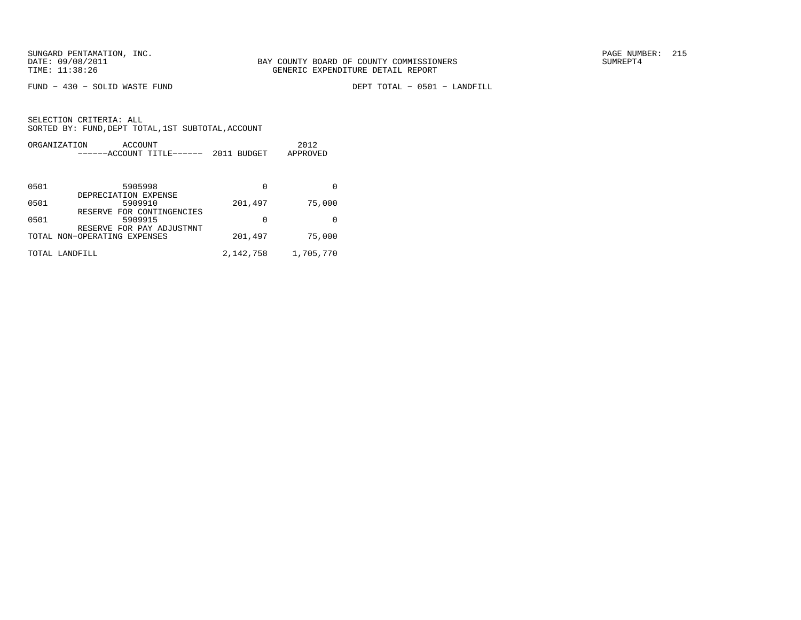FUND − 430 − SOLID WASTE FUND DEPT TOTAL − 0501 − LANDFILL

|      | ORGANIZATION<br>ACCOUNT<br>------ACCOUNT TITLE------         | 2011 BUDGET | 2012<br>APPROVED |
|------|--------------------------------------------------------------|-------------|------------------|
| 0501 | 5905998                                                      | 0           | 0                |
| 0501 | DEPRECIATION EXPENSE<br>5909910<br>RESERVE FOR CONTINGENCIES | 201,497     | 75,000           |
| 0501 | 5909915<br>RESERVE FOR PAY ADJUSTMNT                         | 0           | <sup>0</sup>     |
|      | TOTAL NON-OPERATING EXPENSES                                 | 201,497     | 75,000           |
|      | TOTAL LANDFILL                                               | 2, 142, 758 | 1,705,770        |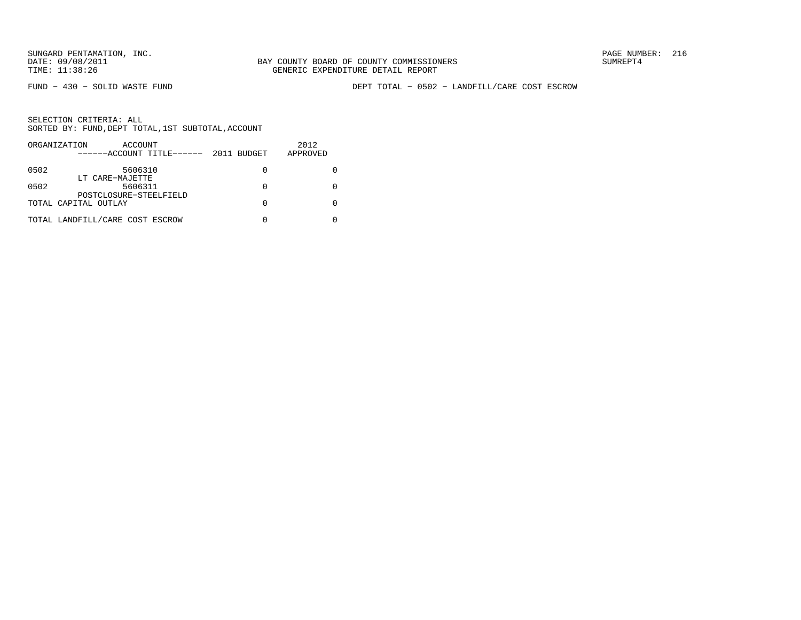FUND − 430 − SOLID WASTE FUND DEPT TOTAL − 0502 − LANDFILL/CARE COST ESCROW

|      | ORGANIZATION<br>ACCOUNT<br>------ACCOUNT TITLE------ | 2011 BUDGET | 2012<br>APPROVED |
|------|------------------------------------------------------|-------------|------------------|
| 0502 | 5606310                                              | $\Omega$    |                  |
| 0502 | LT CARE-MAJETTE<br>5606311                           | 0           |                  |
|      | POSTCLOSURE-STEELFIELD<br>TOTAL CAPITAL OUTLAY       | O           |                  |
|      | TOTAL LANDFILL/CARE COST ESCROW                      |             |                  |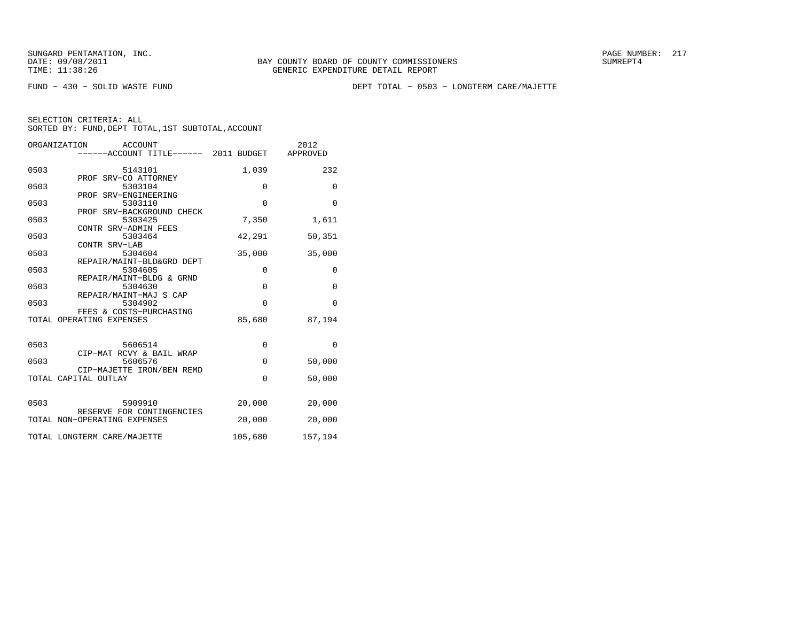FUND − 430 − SOLID WASTE FUND DEPT TOTAL − 0503 − LONGTERM CARE/MAJETTE

| ORGANIZATION<br><b>ACCOUNT</b> |                                       |             | 2012         |
|--------------------------------|---------------------------------------|-------------|--------------|
|                                | ------ACCOUNT TITLE------ 2011 BUDGET |             | APPROVED     |
|                                |                                       |             |              |
| 0503                           | 5143101                               | 1,039       | 232          |
|                                | PROF SRV-CO ATTORNEY                  |             |              |
| 0503                           | 5303104                               | $\Omega$    | $\mathbf{0}$ |
|                                | PROF SRV-ENGINEERING                  |             |              |
| 0503                           | 5303110                               | $\mathbf 0$ | $\mathbf 0$  |
|                                | PROF SRV-BACKGROUND CHECK             |             |              |
| 0503                           | 5303425                               | 7,350       | 1,611        |
| 0503                           | CONTR SRV-ADMIN FEES                  |             | 50,351       |
|                                | 5303464<br>CONTR SRV-LAB              | 42,291      |              |
| 0503                           | 5304604                               | 35,000      | 35,000       |
|                                | REPAIR/MAINT-BLD&GRD DEPT             |             |              |
| 0503                           | 5304605                               | $\mathbf 0$ | 0            |
|                                | REPAIR/MAINT-BLDG & GRND              |             |              |
| 0503                           | 5304630                               | $\mathbf 0$ | $\mathbf{0}$ |
|                                | REPAIR/MAINT-MAJ S CAP                |             |              |
| 0503                           | 5304902                               | $\Omega$    | $\Omega$     |
|                                | FEES & COSTS-PURCHASING               |             |              |
|                                | TOTAL OPERATING EXPENSES              | 85,680      | 87,194       |
|                                |                                       |             |              |
|                                |                                       |             |              |
| 0503                           | 5606514                               | 0           | $\Omega$     |
|                                | CIP-MAT RCVY & BAIL WRAP              |             |              |
| 0503                           | 5606576                               | $\Omega$    | 50,000       |
|                                | CIP-MAJETTE IRON/BEN REMD             |             |              |
|                                | TOTAL CAPITAL OUTLAY                  | $\Omega$    | 50,000       |
|                                |                                       |             |              |
| 0503                           | 5909910                               | 20,000      | 20,000       |
|                                | RESERVE FOR CONTINGENCIES             |             |              |
|                                | TOTAL NON-OPERATING EXPENSES          | 20,000      | 20,000       |
|                                |                                       |             |              |
|                                | TOTAL LONGTERM CARE/MAJETTE           | 105,680     | 157,194      |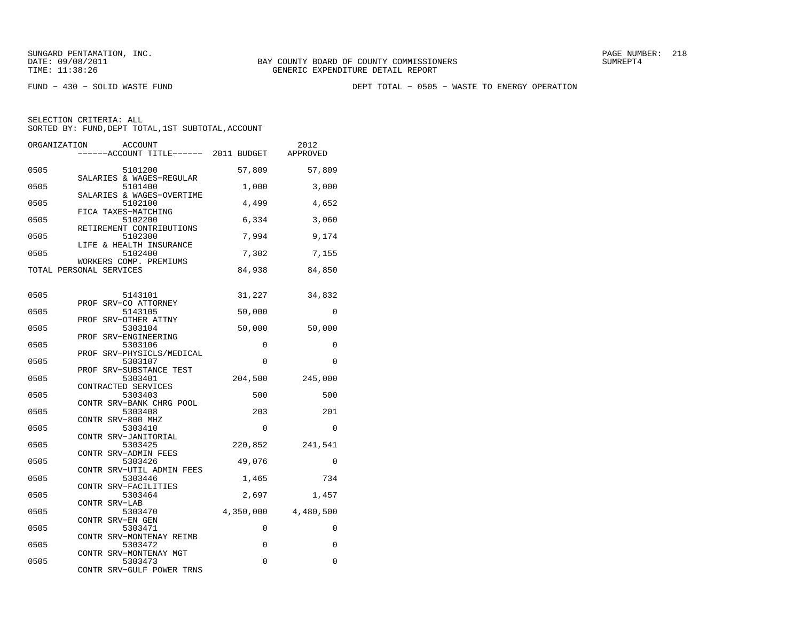FUND − 430 − SOLID WASTE FUND DEPT TOTAL − 0505 − WASTE TO ENERGY OPERATION

| ORGANIZATION              | ACCOUNT<br>-----ACCOUNT TITLE------ 2011 BUDGET             |                   | 2012<br>APPROVED    |
|---------------------------|-------------------------------------------------------------|-------------------|---------------------|
| 0505                      | 5101200                                                     | 57,809            | 57,809              |
| 0505                      | SALARIES & WAGES-REGULAR<br>5101400                         | 1,000             | 3,000               |
| 0505                      | SALARIES & WAGES-OVERTIME<br>5102100<br>FICA TAXES-MATCHING | 4,499             | 4,652               |
| 0505                      | 5102200<br>RETIREMENT CONTRIBUTIONS                         | 6,334             | 3,060               |
| 0505                      | 5102300<br>LIFE & HEALTH INSURANCE                          | 7,994             | 9,174               |
| 0505                      | 5102400<br>WORKERS COMP. PREMIUMS                           | 7,302             | 7,155               |
| TOTAL PERSONAL SERVICES   |                                                             | 84,938            | 84,850              |
| 0505                      | 5143101                                                     | 31,227            | 34,832              |
| 0505                      | PROF SRV-CO ATTORNEY<br>5143105<br>PROF SRV-OTHER ATTNY     | 50,000            | $\Omega$            |
| 0505                      | 5303104<br>PROF SRV-ENGINEERING                             | 50,000            | 50,000              |
| 0505                      | 5303106<br>PROF SRV-PHYSICLS/MEDICAL                        | 0                 | 0                   |
| 0505                      | 5303107<br>PROF SRV-SUBSTANCE TEST                          | $\Omega$          | $\Omega$            |
| 0505                      | 5303401<br>CONTRACTED SERVICES                              | 204,500           | 245,000             |
| 0505                      | 5303403<br>CONTR SRV-BANK CHRG POOL                         | 500               | 500                 |
| 0505<br>CONTR SRV-800 MHZ | 5303408                                                     | 203               | 201                 |
| 0505                      | 5303410<br>CONTR SRV-JANITORIAL                             | 0                 | $\mathbf 0$         |
| 0505<br>0505              | 5303425<br>CONTR SRV-ADMIN FEES<br>5303426                  | 220,852<br>49,076 | 241,541<br>0        |
| 0505                      | CONTR SRV-UTIL ADMIN FEES<br>5303446                        | 1,465             | 734                 |
| 0505                      | CONTR SRV-FACILITIES<br>5303464                             | 2,697             | 1,457               |
| CONTR SRV-LAB<br>0505     | 5303470                                                     |                   | 4,350,000 4,480,500 |
| CONTR SRV-EN GEN<br>0505  | 5303471                                                     | 0                 | $\Omega$            |
| 0505                      | CONTR SRV-MONTENAY REIMB<br>5303472                         | 0                 | $\mathbf 0$         |
| 0505                      | CONTR SRV-MONTENAY MGT<br>5303473                           | 0                 | 0                   |
|                           | CONTR SRV-GULF POWER TRNS                                   |                   |                     |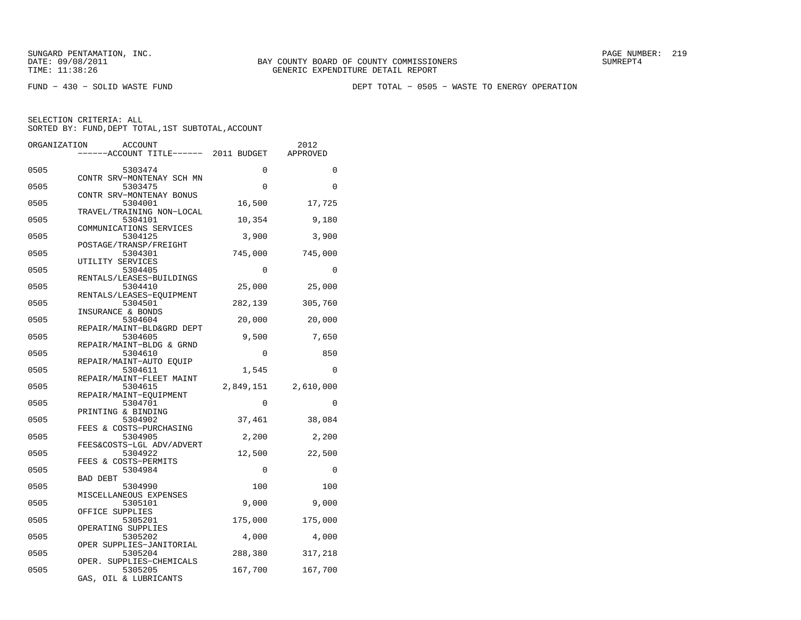FUND − 430 − SOLID WASTE FUND DEPT TOTAL − 0505 − WASTE TO ENERGY OPERATION

| ORGANIZATION | ACCOUNT                              |             | 2012        |
|--------------|--------------------------------------|-------------|-------------|
|              | ----ACCOUNT TITLE------ 2011 BUDGET  |             | APPROVED    |
|              |                                      |             | $\mathbf 0$ |
| 0505         | 5303474<br>CONTR SRV-MONTENAY SCH MN | 0           |             |
| 0505         | 5303475                              | 0           | $\Omega$    |
|              | CONTR SRV-MONTENAY BONUS             |             |             |
| 0505         | 5304001                              | 16,500      | 17,725      |
| 0505         | TRAVEL/TRAINING NON-LOCAL<br>5304101 |             |             |
|              | COMMUNICATIONS SERVICES              | 10,354      | 9,180       |
| 0505         | 5304125                              | 3,900       | 3,900       |
|              | POSTAGE/TRANSP/FREIGHT               |             |             |
| 0505         | 5304301                              | 745,000     | 745,000     |
|              | UTILITY SERVICES                     |             |             |
| 0505         | 5304405<br>RENTALS/LEASES-BUILDINGS  | $\Omega$    | $\Omega$    |
| 0505         | 5304410                              | 25,000      | 25,000      |
|              | RENTALS/LEASES-EQUIPMENT             |             |             |
| 0505         | 5304501                              | 282,139     | 305,760     |
|              | INSURANCE & BONDS                    |             |             |
| 0505         | 5304604                              | 20,000      | 20,000      |
| 0505         | REPAIR/MAINT-BLD&GRD DEPT<br>5304605 | 9,500       | 7,650       |
|              | REPAIR/MAINT-BLDG & GRND             |             |             |
| 0505         | 5304610                              | 0           | 850         |
|              | REPAIR/MAINT-AUTO EQUIP              |             |             |
| 0505         | 5304611                              | 1,545       | $\Omega$    |
| 0505         | REPAIR/MAINT-FLEET MAINT<br>5304615  | 2,849,151   | 2,610,000   |
|              | REPAIR/MAINT-EOUIPMENT               |             |             |
| 0505         | 5304701                              | 0           | $\Omega$    |
|              | PRINTING & BINDING                   |             |             |
| 0505         | 5304902                              | 37,461      | 38,084      |
|              | FEES & COSTS-PURCHASING              |             |             |
| 0505         | 5304905<br>FEES&COSTS-LGL ADV/ADVERT | 2,200       | 2,200       |
| 0505         | 5304922                              | 12,500      | 22,500      |
|              | FEES & COSTS-PERMITS                 |             |             |
| 0505         | 5304984                              | $\mathbf 0$ | 0           |
|              | BAD DEBT                             |             |             |
| 0505         | 5304990                              | 100         | 100         |
| 0505         | MISCELLANEOUS EXPENSES<br>5305101    | 9,000       | 9,000       |
|              | OFFICE SUPPLIES                      |             |             |
| 0505         | 5305201                              | 175,000     | 175,000     |
|              | OPERATING SUPPLIES                   |             |             |
| 0505         | 5305202                              | 4,000       | 4,000       |
|              | OPER SUPPLIES-JANITORIAL             |             |             |
| 0505         | 5305204<br>OPER. SUPPLIES-CHEMICALS  | 288,380     | 317,218     |
| 0505         | 5305205                              | 167,700     | 167,700     |
|              | GAS, OIL & LUBRICANTS                |             |             |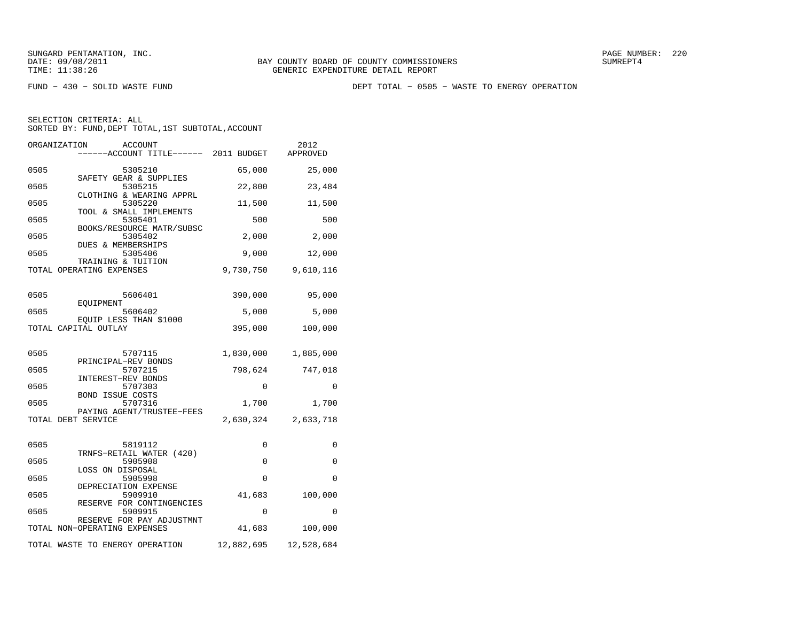FUND − 430 − SOLID WASTE FUND DEPT TOTAL − 0505 − WASTE TO ENERGY OPERATION

|      | ORGANIZATION<br>ACCOUNT<br>-----ACCOUNT TITLE------ 2011 BUDGET |            | 2012<br>APPROVED    |
|------|-----------------------------------------------------------------|------------|---------------------|
| 0505 | 5305210                                                         | 65,000     | 25,000              |
| 0505 | SAFETY GEAR & SUPPLIES<br>5305215                               | 22,800     | 23,484              |
| 0505 | CLOTHING & WEARING APPRL<br>5305220                             | 11,500     | 11,500              |
| 0505 | TOOL & SMALL IMPLEMENTS<br>5305401                              | 500        | 500                 |
| 0505 | BOOKS/RESOURCE MATR/SUBSC<br>5305402                            | 2,000      | 2,000               |
| 0505 | DUES & MEMBERSHIPS<br>5305406                                   | 9,000      | 12,000              |
|      | TRAINING & TUITION<br>TOTAL OPERATING EXPENSES                  | 9,730,750  | 9,610,116           |
| 0505 | 5606401                                                         | 390,000    | 95,000              |
| 0505 | EOUIPMENT<br>5606402                                            | 5,000      | 5,000               |
|      | EQUIP LESS THAN \$1000<br>TOTAL CAPITAL OUTLAY                  | 395,000    | 100,000             |
| 0505 | 5707115                                                         |            | 1,830,000 1,885,000 |
| 0505 | PRINCIPAL-REV BONDS<br>5707215                                  | 798,624    | 747,018             |
| 0505 | INTEREST-REV BONDS<br>5707303                                   | $\Omega$   | $\Omega$            |
| 0505 | <b>BOND ISSUE COSTS</b><br>5707316                              | 1,700      | 1,700               |
|      | PAYING AGENT/TRUSTEE-FEES<br>TOTAL DEBT SERVICE                 |            | 2,630,324 2,633,718 |
| 0505 | 5819112                                                         | 0          | 0                   |
| 0505 | TRNFS-RETAIL WATER (420)<br>5905908                             | 0          | 0                   |
| 0505 | LOSS ON DISPOSAL<br>5905998                                     | $\Omega$   | $\Omega$            |
| 0505 | DEPRECIATION EXPENSE<br>5909910                                 | 41,683     | 100,000             |
| 0505 | RESERVE FOR CONTINGENCIES<br>5909915                            | 0          | 0                   |
|      | RESERVE FOR PAY ADJUSTMNT<br>TOTAL NON-OPERATING EXPENSES       | 41,683     | 100,000             |
|      | TOTAL WASTE TO ENERGY OPERATION                                 | 12,882,695 | 12,528,684          |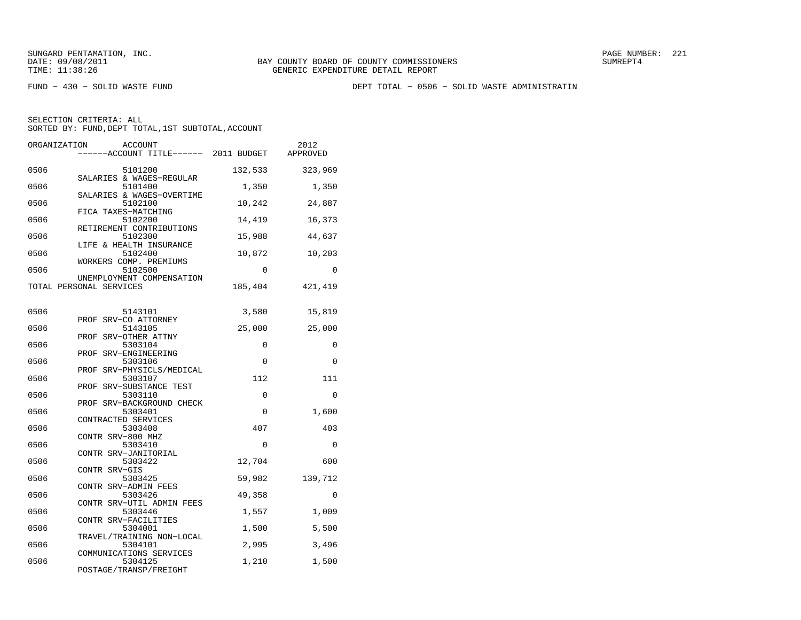FUND − 430 − SOLID WASTE FUND DEPT TOTAL − 0506 − SOLID WASTE ADMINISTRATIN

| ORGANIZATION<br><b>ACCOUNT</b><br>-----ACCOUNT TITLE------ 2011 BUDGET |             | 2012<br>APPROVED |
|------------------------------------------------------------------------|-------------|------------------|
| 0506<br>5101200<br>SALARIES & WAGES-REGULAR                            | 132,533     | 323,969          |
| 0506<br>5101400<br>SALARIES & WAGES-OVERTIME                           | 1,350       | 1,350            |
| 0506<br>5102100<br>FICA TAXES-MATCHING                                 | 10,242      | 24,887           |
| 0506<br>5102200<br>RETIREMENT CONTRIBUTIONS                            | 14,419      | 16,373           |
| 0506<br>5102300<br>LIFE & HEALTH INSURANCE                             | 15,988      | 44,637           |
| 0506<br>5102400<br>WORKERS COMP. PREMIUMS                              | 10,872      | 10,203           |
| 0506<br>5102500<br>UNEMPLOYMENT COMPENSATION                           | $\Omega$    | $\Omega$         |
| TOTAL PERSONAL SERVICES                                                | 185,404     | 421,419          |
| 0506<br>5143101                                                        | 3,580       | 15,819           |
| PROF SRV-CO ATTORNEY<br>5143105<br>0506<br>PROF SRV-OTHER ATTNY        | 25,000      | 25,000           |
| 0506<br>5303104<br>PROF SRV-ENGINEERING                                | 0           | 0                |
| 0506<br>5303106<br>PROF SRV-PHYSICLS/MEDICAL                           | $\Omega$    | $\Omega$         |
| 0506<br>5303107<br>PROF SRV-SUBSTANCE TEST                             | 112         | 111              |
| 0506<br>5303110<br>PROF SRV-BACKGROUND CHECK                           | 0           | 0                |
| 0506<br>5303401<br>CONTRACTED SERVICES                                 | 0           | 1,600            |
| 0506<br>5303408<br>CONTR SRV-800 MHZ                                   | 407         | 403              |
| 0506<br>5303410<br>CONTR SRV-JANITORIAL<br>0506                        | 0<br>12,704 | 0<br>600         |
| 5303422<br>CONTR SRV-GIS<br>0506<br>5303425                            | 59,982      | 139,712          |
| CONTR SRV-ADMIN FEES<br>0506<br>5303426                                | 49,358      | 0                |
| CONTR SRV-UTIL ADMIN FEES<br>0506<br>5303446                           | 1,557       | 1,009            |
| CONTR SRV-FACILITIES<br>0506<br>5304001                                | 1,500       | 5,500            |
| TRAVEL/TRAINING NON-LOCAL<br>0506<br>5304101                           | 2,995       | 3,496            |
| COMMUNICATIONS SERVICES<br>0506<br>5304125                             | 1,210       | 1,500            |
| POSTAGE/TRANSP/FREIGHT                                                 |             |                  |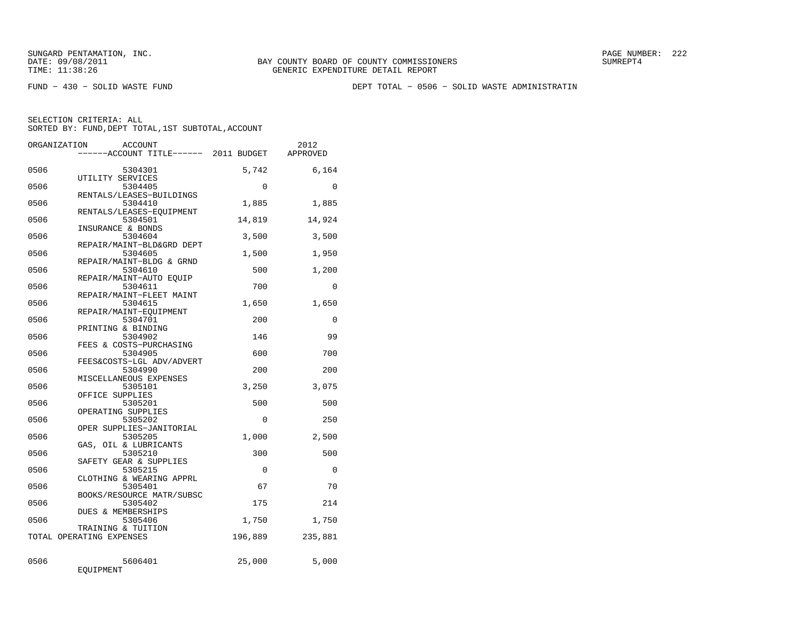FUND − 430 − SOLID WASTE FUND DEPT TOTAL − 0506 − SOLID WASTE ADMINISTRATIN

|      | ORGANIZATION             | ACCOUNT                              |             | 2012         |
|------|--------------------------|--------------------------------------|-------------|--------------|
|      |                          | ----ACCOUNT TITLE------ 2011 BUDGET  |             | APPROVED     |
| 0506 |                          | 5304301                              | 5,742       | 6,164        |
|      |                          | UTILITY SERVICES                     |             |              |
| 0506 |                          | 5304405<br>RENTALS/LEASES-BUILDINGS  | $\mathbf 0$ | $\Omega$     |
| 0506 |                          | 5304410                              | 1,885       | 1,885        |
| 0506 |                          | RENTALS/LEASES-EQUIPMENT<br>5304501  | 14,819      | 14,924       |
| 0506 |                          | INSURANCE & BONDS<br>5304604         | 3,500       | 3,500        |
|      |                          | REPAIR/MAINT-BLD&GRD DEPT            |             |              |
| 0506 |                          | 5304605<br>REPAIR/MAINT-BLDG & GRND  | 1,500       | 1,950        |
| 0506 |                          | 5304610                              | 500         | 1,200        |
| 0506 |                          | REPAIR/MAINT-AUTO EOUIP<br>5304611   | 700         | 0            |
| 0506 |                          | REPAIR/MAINT-FLEET MAINT<br>5304615  | 1,650       | 1,650        |
| 0506 |                          | REPAIR/MAINT-EQUIPMENT<br>5304701    | 200         | $\mathbf{0}$ |
| 0506 |                          | PRINTING & BINDING<br>5304902        | 146         | 99           |
| 0506 |                          | FEES & COSTS-PURCHASING<br>5304905   | 600         | 700          |
|      |                          | FEES&COSTS-LGL ADV/ADVERT            |             |              |
| 0506 |                          | 5304990<br>MISCELLANEOUS EXPENSES    | 200         | 200          |
| 0506 |                          | 5305101                              | 3,250       | 3,075        |
| 0506 |                          | OFFICE SUPPLIES<br>5305201           | 500         | 500          |
| 0506 |                          | OPERATING SUPPLIES<br>5305202        | 0           | 250          |
| 0506 |                          | OPER SUPPLIES-JANITORIAL<br>5305205  |             | 2,500        |
|      |                          | GAS, OIL & LUBRICANTS                | 1,000       |              |
| 0506 |                          | 5305210<br>SAFETY GEAR & SUPPLIES    | 300         | 500          |
| 0506 |                          | 5305215                              | $\Omega$    | $\Omega$     |
| 0506 |                          | CLOTHING & WEARING APPRL<br>5305401  | 67          | 70           |
| 0506 |                          | BOOKS/RESOURCE MATR/SUBSC<br>5305402 | 175         | 214          |
| 0506 |                          | DUES & MEMBERSHIPS<br>5305406        | 1,750       | 1,750        |
|      | TOTAL OPERATING EXPENSES | TRAINING & TUITION                   | 196,889     | 235,881      |
|      |                          |                                      |             |              |
| 0506 | EQUIPMENT                | 5606401                              | 25,000      | 5,000        |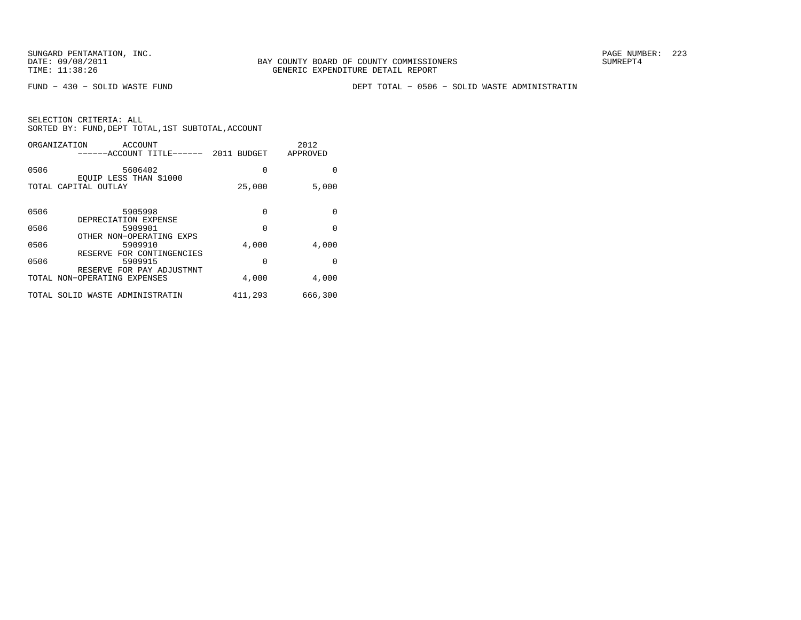FUND − 430 − SOLID WASTE FUND DEPT TOTAL − 0506 − SOLID WASTE ADMINISTRATIN

| ORGANIZATION<br>ACCOUNT<br>------ACCOUNT TITLE------ 2011 BUDGET |          | 2012<br>APPROVED |
|------------------------------------------------------------------|----------|------------------|
| 0506<br>5606402                                                  | 0        | 0                |
| EQUIP LESS THAN \$1000<br>TOTAL CAPITAL OUTLAY                   | 25,000   | 5,000            |
| 0506<br>5905998                                                  | $\Omega$ | $\Omega$         |
| DEPRECIATION EXPENSE                                             |          |                  |
| 0506<br>5909901                                                  | $\Omega$ | $\Omega$         |
| OTHER NON-OPERATING EXPS<br>0506<br>5909910                      | 4,000    | 4,000            |
| RESERVE FOR CONTINGENCIES<br>0506<br>5909915                     | $\Omega$ | <sup>0</sup>     |
| RESERVE FOR PAY ADJUSTMNT<br>TOTAL NON-OPERATING EXPENSES        | 4,000    | 4,000            |
| SOLID WASTE ADMINISTRATIN<br>TOTAL                               | 411,293  | 666,300          |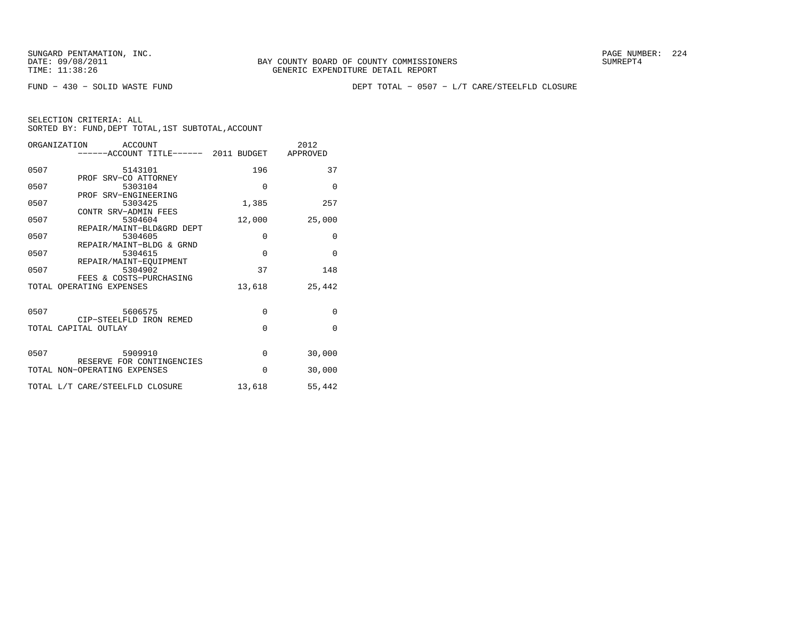FUND − 430 − SOLID WASTE FUND DEPT TOTAL − 0507 − L/T CARE/STEELFLD CLOSURE

| ORGANIZATION<br>ACCOUNT         |                                                                                                                                                                                                                                                                                     | 2012                                                                                                                                                      |
|---------------------------------|-------------------------------------------------------------------------------------------------------------------------------------------------------------------------------------------------------------------------------------------------------------------------------------|-----------------------------------------------------------------------------------------------------------------------------------------------------------|
|                                 |                                                                                                                                                                                                                                                                                     |                                                                                                                                                           |
|                                 |                                                                                                                                                                                                                                                                                     | 37                                                                                                                                                        |
|                                 |                                                                                                                                                                                                                                                                                     |                                                                                                                                                           |
|                                 |                                                                                                                                                                                                                                                                                     | $\Omega$                                                                                                                                                  |
|                                 |                                                                                                                                                                                                                                                                                     |                                                                                                                                                           |
|                                 |                                                                                                                                                                                                                                                                                     | 257                                                                                                                                                       |
|                                 |                                                                                                                                                                                                                                                                                     |                                                                                                                                                           |
|                                 |                                                                                                                                                                                                                                                                                     | 25,000                                                                                                                                                    |
|                                 |                                                                                                                                                                                                                                                                                     |                                                                                                                                                           |
| 5304605                         |                                                                                                                                                                                                                                                                                     | 0                                                                                                                                                         |
| REPAIR/MAINT-BLDG & GRND        |                                                                                                                                                                                                                                                                                     |                                                                                                                                                           |
| 5304615                         | $\mathbf 0$                                                                                                                                                                                                                                                                         | $\Omega$                                                                                                                                                  |
| REPAIR/MAINT-EOUIPMENT          |                                                                                                                                                                                                                                                                                     |                                                                                                                                                           |
| 5304902                         | 37                                                                                                                                                                                                                                                                                  | 148                                                                                                                                                       |
| FEES & COSTS-PURCHASING         |                                                                                                                                                                                                                                                                                     |                                                                                                                                                           |
| TOTAL OPERATING EXPENSES        |                                                                                                                                                                                                                                                                                     | 25,442                                                                                                                                                    |
|                                 |                                                                                                                                                                                                                                                                                     |                                                                                                                                                           |
|                                 |                                                                                                                                                                                                                                                                                     |                                                                                                                                                           |
|                                 |                                                                                                                                                                                                                                                                                     | $\mathbf{0}$                                                                                                                                              |
|                                 |                                                                                                                                                                                                                                                                                     |                                                                                                                                                           |
|                                 |                                                                                                                                                                                                                                                                                     | $\Omega$                                                                                                                                                  |
|                                 |                                                                                                                                                                                                                                                                                     |                                                                                                                                                           |
|                                 |                                                                                                                                                                                                                                                                                     |                                                                                                                                                           |
|                                 |                                                                                                                                                                                                                                                                                     | 30,000                                                                                                                                                    |
|                                 |                                                                                                                                                                                                                                                                                     | 30,000                                                                                                                                                    |
|                                 |                                                                                                                                                                                                                                                                                     |                                                                                                                                                           |
| TOTAL L/T CARE/STEELFLD CLOSURE | 13,618                                                                                                                                                                                                                                                                              | 55,442                                                                                                                                                    |
|                                 | 5143101<br>PROF SRV-CO ATTORNEY<br>5303104<br>PROF SRV-ENGINEERING<br>5303425<br>CONTR SRV-ADMIN FEES<br>5304604<br>REPAIR/MAINT-BLD&GRD DEPT<br>5606575<br>CIP-STEELFLD IRON REMED<br>TOTAL CAPITAL OUTLAY<br>5909910<br>RESERVE FOR CONTINGENCIES<br>TOTAL NON-OPERATING EXPENSES | ------ACCOUNT TITLE------ 2011 BUDGET APPROVED<br>196<br>$\Omega$<br>1,385<br>12,000<br>0<br>13,618<br>$\mathbf 0$<br>$\Omega$<br>$\mathbf 0$<br>$\Omega$ |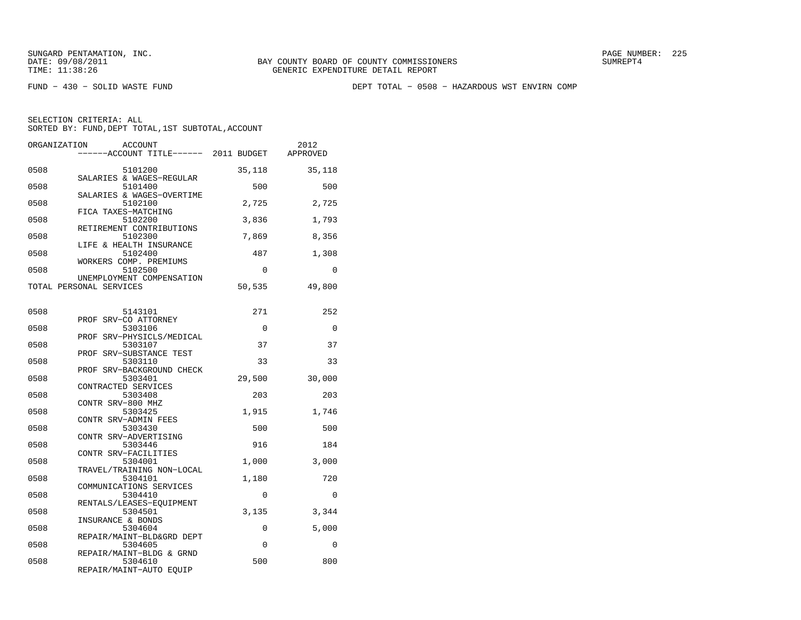FUND − 430 − SOLID WASTE FUND DEPT TOTAL − 0508 − HAZARDOUS WST ENVIRN COMP

| ORGANIZATION | ACCOUNT<br>-----ACCOUNT TITLE------ 2011 BUDGET                |          | 2012<br>APPROVED |
|--------------|----------------------------------------------------------------|----------|------------------|
| 0508         | 5101200                                                        | 35,118   | 35,118           |
| 0508         | SALARIES & WAGES-REGULAR<br>5101400                            | 500      | 500              |
| 0508         | SALARIES & WAGES-OVERTIME<br>5102100                           | 2,725    | 2,725            |
| 0508         | FICA TAXES-MATCHING<br>5102200                                 | 3,836    | 1,793            |
| 0508         | RETIREMENT CONTRIBUTIONS<br>5102300                            | 7,869    | 8,356            |
| 0508         | LIFE & HEALTH INSURANCE<br>5102400                             | 487      | 1,308            |
| 0508         | WORKERS COMP. PREMIUMS<br>5102500<br>UNEMPLOYMENT COMPENSATION | $\Omega$ | $\Omega$         |
|              | TOTAL PERSONAL SERVICES                                        | 50,535   | 49,800           |
| 0508         | 5143101                                                        | 271      | 252              |
| 0508         | PROF SRV-CO ATTORNEY<br>5303106                                | 0        | 0                |
| 0508         | PROF SRV-PHYSICLS/MEDICAL<br>5303107                           | 37       | 37               |
| 0508         | PROF SRV-SUBSTANCE TEST<br>5303110                             | 33       | 33               |
| 0508         | PROF SRV-BACKGROUND CHECK<br>5303401                           | 29,500   | 30,000           |
| 0508         | CONTRACTED SERVICES<br>5303408                                 | 203      | 203              |
| 0508         | CONTR SRV-800 MHZ<br>5303425                                   | 1,915    | 1,746            |
| 0508         | CONTR SRV-ADMIN FEES<br>5303430                                | 500      | 500              |
| 0508         | CONTR SRV-ADVERTISING<br>5303446                               | 916      | 184              |
| 0508         | CONTR SRV-FACILITIES<br>5304001                                | 1,000    | 3,000            |
| 0508         | TRAVEL/TRAINING NON-LOCAL<br>5304101                           | 1,180    | 720              |
| 0508         | COMMUNICATIONS SERVICES<br>5304410                             | 0        | 0                |
| 0508         | RENTALS/LEASES-EOUIPMENT<br>5304501                            | 3,135    | 3,344            |
| 0508         | INSURANCE & BONDS<br>5304604                                   | 0        | 5,000            |
| 0508         | REPAIR/MAINT-BLD&GRD DEPT<br>5304605                           | $\Omega$ | $\Omega$         |
| 0508         | REPAIR/MAINT-BLDG & GRND<br>5304610<br>REPAIR/MAINT-AUTO EQUIP | 500      | 800              |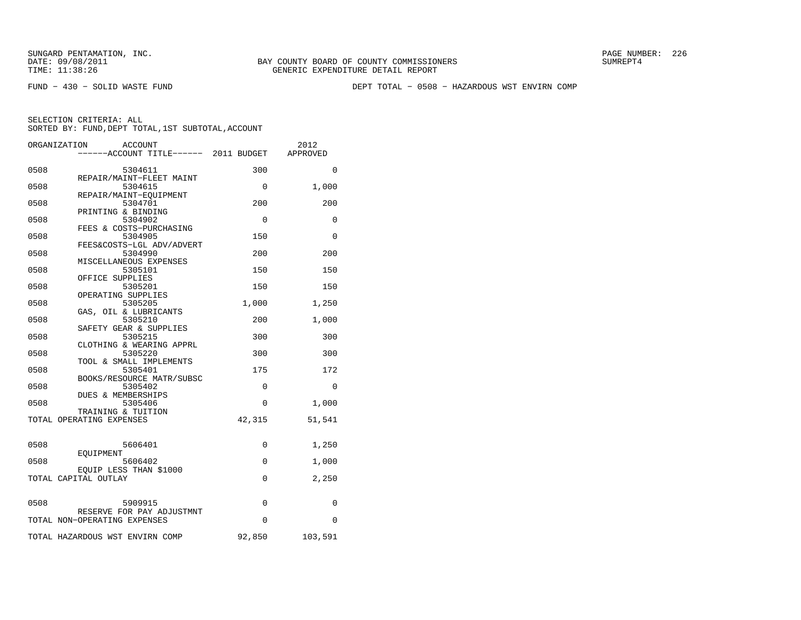FUND − 430 − SOLID WASTE FUND DEPT TOTAL − 0508 − HAZARDOUS WST ENVIRN COMP

|      | ORGANIZATION<br><b>ACCOUNT</b>                            |             | 2012     |
|------|-----------------------------------------------------------|-------------|----------|
|      | -----ACCOUNT TITLE------ 2011 BUDGET                      |             | APPROVED |
| 0508 | 5304611                                                   | 300         | $\Omega$ |
|      | REPAIR/MAINT-FLEET MAINT                                  |             |          |
| 0508 | 5304615                                                   | 0           | 1,000    |
|      | REPAIR/MAINT-EOUIPMENT                                    |             |          |
| 0508 | 5304701                                                   | 200         | 200      |
|      | PRINTING & BINDING                                        |             |          |
| 0508 | 5304902                                                   | 0           | 0        |
|      | FEES & COSTS-PURCHASING                                   |             |          |
| 0508 | 5304905                                                   | 150         | 0        |
| 0508 | FEES&COSTS-LGL ADV/ADVERT<br>5304990                      | 200         | 200      |
|      | MISCELLANEOUS EXPENSES                                    |             |          |
| 0508 | 5305101                                                   | 150         | 150      |
|      | OFFICE SUPPLIES                                           |             |          |
| 0508 | 5305201                                                   | 150         | 150      |
|      | OPERATING SUPPLIES                                        |             |          |
| 0508 | 5305205                                                   | 1,000       | 1,250    |
|      | GAS, OIL & LUBRICANTS                                     |             |          |
| 0508 | 5305210                                                   | 200         | 1,000    |
|      | SAFETY GEAR & SUPPLIES                                    |             |          |
| 0508 | 5305215                                                   | 300         | 300      |
|      | CLOTHING & WEARING APPRL                                  |             |          |
| 0508 | 5305220                                                   | 300         | 300      |
|      | TOOL & SMALL IMPLEMENTS                                   |             |          |
| 0508 | 5305401                                                   | 175         | 172      |
|      | BOOKS/RESOURCE MATR/SUBSC                                 |             |          |
| 0508 | 5305402                                                   | $\Omega$    | $\Omega$ |
| 0508 | DUES & MEMBERSHIPS<br>5305406                             | $\Omega$    | 1,000    |
|      | TRAINING & TUITION                                        |             |          |
|      | TOTAL OPERATING EXPENSES                                  | 42,315      | 51,541   |
|      |                                                           |             |          |
|      |                                                           |             |          |
| 0508 | 5606401                                                   | 0           | 1,250    |
|      | EOUIPMENT                                                 |             |          |
| 0508 | 5606402                                                   | $\mathbf 0$ | 1,000    |
|      | EQUIP LESS THAN \$1000                                    |             |          |
|      | TOTAL CAPITAL OUTLAY                                      | 0           | 2,250    |
|      |                                                           |             |          |
|      |                                                           |             |          |
| 0508 | 5909915                                                   | $\mathbf 0$ | 0        |
|      | RESERVE FOR PAY ADJUSTMNT<br>TOTAL NON-OPERATING EXPENSES | $\Omega$    | $\Omega$ |
|      |                                                           |             |          |
|      | TOTAL HAZARDOUS WST ENVIRN COMP                           | 92,850      | 103,591  |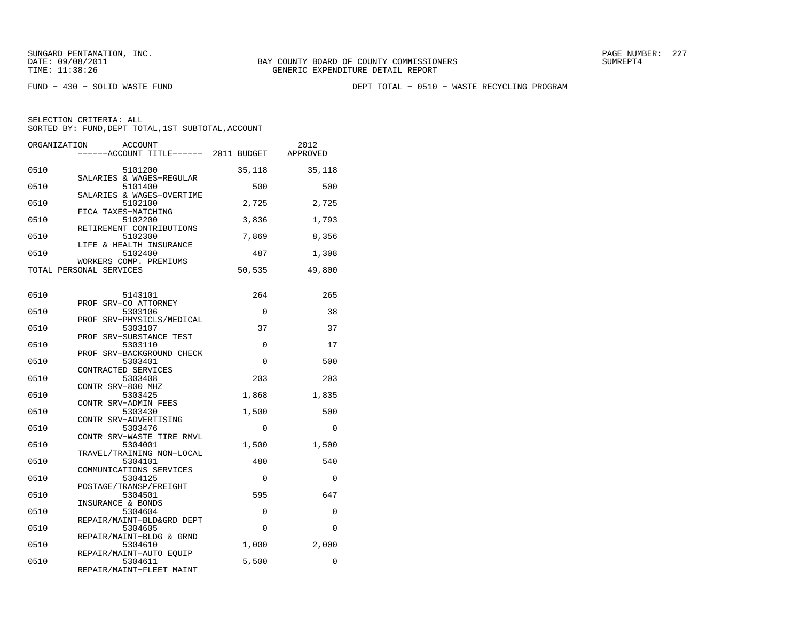FUND − 430 − SOLID WASTE FUND DEPT TOTAL − 0510 − WASTE RECYCLING PROGRAM

| ORGANIZATION<br>ACCOUNT<br>-----ACCOUNT TITLE------ 2011 BUDGET APPROVED |          | 2012        |
|--------------------------------------------------------------------------|----------|-------------|
| 0510<br>5101200                                                          | 35,118   | 35,118      |
| SALARIES & WAGES-REGULAR<br>0510<br>5101400                              | 500      | 500         |
| SALARIES & WAGES-OVERTIME<br>0510<br>5102100                             | 2,725    | 2,725       |
| FICA TAXES-MATCHING<br>5102200<br>0510                                   | 3,836    | 1,793       |
| RETIREMENT CONTRIBUTIONS<br>0510<br>5102300<br>LIFE & HEALTH INSURANCE   | 7,869    | 8,356       |
| 0510<br>5102400<br>WORKERS COMP. PREMIUMS                                | 487      | 1,308       |
| TOTAL PERSONAL SERVICES                                                  | 50,535   | 49,800      |
| 0510<br>5143101                                                          | 264      | 265         |
| PROF SRV-CO ATTORNEY<br>0510<br>5303106                                  | 0        | 38          |
| PROF SRV-PHYSICLS/MEDICAL<br>0510<br>5303107                             | 37       | 37          |
| PROF SRV-SUBSTANCE TEST<br>0510<br>5303110                               | $\Omega$ | 17          |
| PROF SRV-BACKGROUND CHECK<br>0510<br>5303401                             | $\Omega$ | 500         |
| CONTRACTED SERVICES<br>5303408<br>0510<br>CONTR SRV-800 MHZ              | 203      | 203         |
| 0510<br>5303425<br>CONTR SRV-ADMIN FEES                                  | 1,868    | 1,835       |
| 0510<br>5303430<br>CONTR SRV-ADVERTISING                                 | 1,500    | 500         |
| 5303476<br>0510<br>CONTR SRV-WASTE TIRE RMVL                             | 0        | $\Omega$    |
| 0510<br>5304001<br>TRAVEL/TRAINING NON-LOCAL                             | 1,500    | 1,500       |
| 0510<br>5304101<br>COMMUNICATIONS SERVICES                               | 480      | 540         |
| 0510<br>5304125<br>POSTAGE/TRANSP/FREIGHT                                | $\Omega$ | $\Omega$    |
| 5304501<br>0510<br>INSURANCE & BONDS                                     | 595      | 647         |
| 0510<br>5304604<br>REPAIR/MAINT-BLD&GRD DEPT                             | 0        | $\mathbf 0$ |
| 0510<br>5304605<br>REPAIR/MAINT-BLDG & GRND                              | $\Omega$ | $\Omega$    |
| 0510<br>5304610<br>REPAIR/MAINT-AUTO EOUIP                               | 1,000    | 2,000       |
| 0510<br>5304611<br>REPAIR/MAINT-FLEET MAINT                              | 5,500    | $\Omega$    |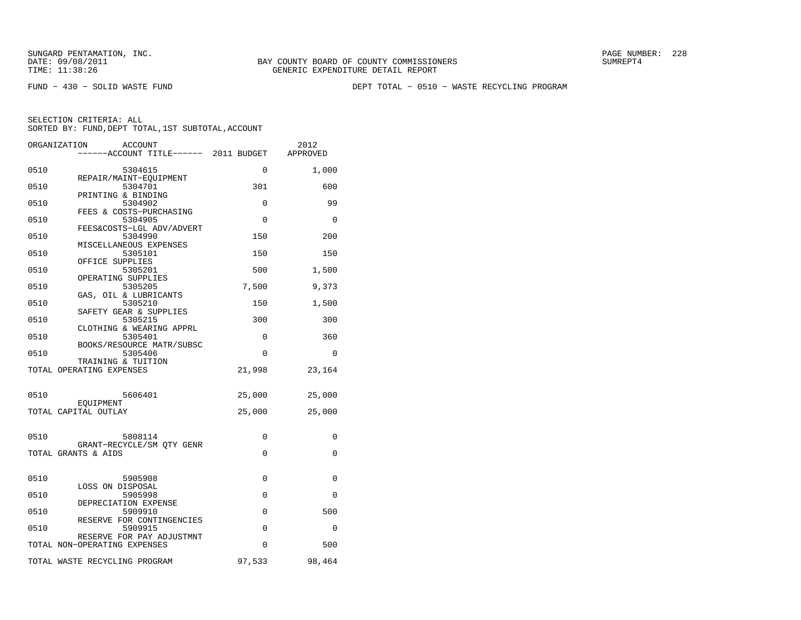FUND − 430 − SOLID WASTE FUND DEPT TOTAL − 0510 − WASTE RECYCLING PROGRAM

| ORGANIZATION<br><b>ACCOUNT</b><br>-----ACCOUNT TITLE------ 2011 BUDGET APPROVED |             | 2012     |
|---------------------------------------------------------------------------------|-------------|----------|
| 0510<br>5304615                                                                 | $\Omega$    | 1,000    |
| REPAIR/MAINT-EQUIPMENT<br>0510<br>5304701                                       | 301         | 600      |
| PRINTING & BINDING<br>0510<br>5304902                                           | 0           | 99       |
| FEES & COSTS-PURCHASING<br>0510<br>5304905                                      | $\Omega$    | $\Omega$ |
| FEES&COSTS-LGL ADV/ADVERT<br>0510<br>5304990                                    | 150         | 200      |
| MISCELLANEOUS EXPENSES<br>0510<br>5305101                                       | 150         | 150      |
| OFFICE SUPPLIES<br>0510<br>5305201                                              | 500         | 1,500    |
| OPERATING SUPPLIES<br>0510<br>5305205                                           | 7,500       | 9,373    |
| GAS, OIL & LUBRICANTS<br>0510<br>5305210                                        | 150         | 1,500    |
| SAFETY GEAR & SUPPLIES                                                          |             |          |
| 5305215<br>0510<br>CLOTHING & WEARING APPRL                                     | 300         | 300      |
| 0510<br>5305401<br>BOOKS/RESOURCE MATR/SUBSC                                    | $\Omega$    | 360      |
| 5305406<br>0510<br>TRAINING & TUITION                                           | $\Omega$    | $\Omega$ |
| TOTAL OPERATING EXPENSES                                                        | 21,998      | 23,164   |
| 0510<br>5606401                                                                 | 25,000      | 25,000   |
| EOUIPMENT<br>TOTAL CAPITAL OUTLAY                                               | 25,000      | 25,000   |
|                                                                                 |             |          |
| 0510<br>5808114<br>GRANT-RECYCLE/SM QTY GENR                                    | $\Omega$    | $\Omega$ |
| TOTAL GRANTS & AIDS                                                             | $\Omega$    | $\Omega$ |
| 0510<br>5905908                                                                 | $\mathbf 0$ | 0        |
| LOSS ON DISPOSAL<br>0510<br>5905998                                             | 0           | $\Omega$ |
| DEPRECIATION EXPENSE<br>0510<br>5909910                                         | $\mathbf 0$ | 500      |
| RESERVE FOR CONTINGENCIES<br>0510<br>5909915                                    | $\Omega$    | $\Omega$ |
| RESERVE FOR PAY ADJUSTMNT<br>TOTAL NON-OPERATING EXPENSES                       | $\Omega$    | 500      |
| TOTAL WASTE RECYCLING PROGRAM                                                   | 97,533      | 98,464   |
|                                                                                 |             |          |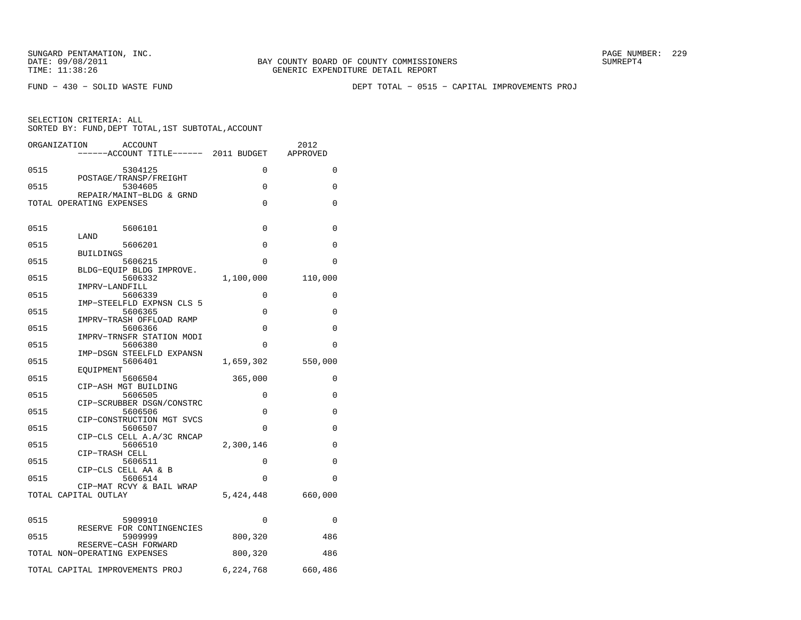FUND − 430 − SOLID WASTE FUND DEPT TOTAL − 0515 − CAPITAL IMPROVEMENTS PROJ

|      | ORGANIZATION<br>ACCOUNT<br>----ACCOUNT TITLE------ 2011 BUDGET |           | 2012<br>APPROVED |
|------|----------------------------------------------------------------|-----------|------------------|
| 0515 | 5304125                                                        | $\Omega$  | $\Omega$         |
| 0515 | POSTAGE/TRANSP/FREIGHT<br>5304605                              | $\Omega$  | $\Omega$         |
|      | REPAIR/MAINT-BLDG & GRND<br>TOTAL OPERATING EXPENSES           | $\Omega$  | 0                |
|      |                                                                |           |                  |
| 0515 | 5606101<br>LAND                                                | $\Omega$  | 0                |
| 0515 | 5606201<br><b>BUILDINGS</b>                                    | 0         | $\Omega$         |
| 0515 | 5606215                                                        | 0         | 0                |
| 0515 | BLDG-EQUIP BLDG IMPROVE.<br>5606332                            | 1,100,000 | 110,000          |
| 0515 | IMPRV-LANDFILL<br>5606339                                      | 0         | 0                |
| 0515 | IMP-STEELFLD EXPNSN CLS 5<br>5606365                           | 0         | 0                |
| 0515 | IMPRV-TRASH OFFLOAD RAMP<br>5606366                            | $\Omega$  | 0                |
| 0515 | IMPRV-TRNSFR STATION MODI<br>5606380                           | $\Omega$  | 0                |
| 0515 | IMP-DSGN STEELFLD EXPANSN<br>5606401                           | 1,659,302 | 550,000          |
| 0515 | EOUIPMENT<br>5606504                                           | 365,000   | 0                |
|      | CIP-ASH MGT BUILDING                                           |           |                  |
| 0515 | 5606505<br>CIP-SCRUBBER DSGN/CONSTRC                           | 0         | 0                |
| 0515 | 5606506<br>CIP-CONSTRUCTION MGT SVCS                           | $\Omega$  | $\Omega$         |
| 0515 | 5606507<br>CIP-CLS CELL A.A/3C RNCAP                           | $\Omega$  | $\Omega$         |
| 0515 | 5606510<br>CIP-TRASH CELL                                      | 2,300,146 | 0                |
| 0515 | 5606511<br>CIP-CLS CELL AA & B                                 | $\Omega$  | $\Omega$         |
| 0515 | 5606514                                                        | $\Omega$  | 0                |
|      | CIP-MAT RCVY & BAIL WRAP<br>TOTAL CAPITAL OUTLAY               | 5,424,448 | 660,000          |
| 0515 | 5909910                                                        | 0         | 0                |
|      | RESERVE FOR CONTINGENCIES                                      |           |                  |
| 0515 | 5909999<br>RESERVE-CASH FORWARD                                | 800,320   | 486              |
|      | TOTAL NON-OPERATING EXPENSES                                   | 800,320   | 486              |
|      | TOTAL CAPITAL IMPROVEMENTS PROJ 6,224,768 660,486              |           |                  |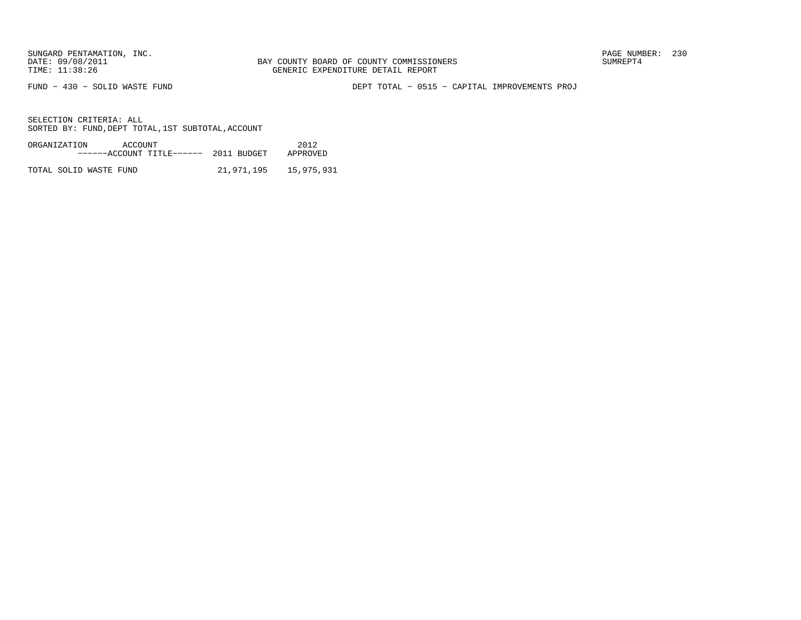FUND − 430 − SOLID WASTE FUND DEPT TOTAL − 0515 − CAPITAL IMPROVEMENTS PROJ

SELECTION CRITERIA: ALLSORTED BY: FUND, DEPT TOTAL, 1ST SUBTOTAL, ACCOUNT

| ORGANIZATION | ACCOUNT |                                       |  | 2012     |
|--------------|---------|---------------------------------------|--|----------|
|              |         | ------ACCOUNT TITLE------ 2011 BUDGET |  | APPROVED |
|              |         |                                       |  |          |

TOTAL SOLID WASTE FUND 21,971,195 15,975,931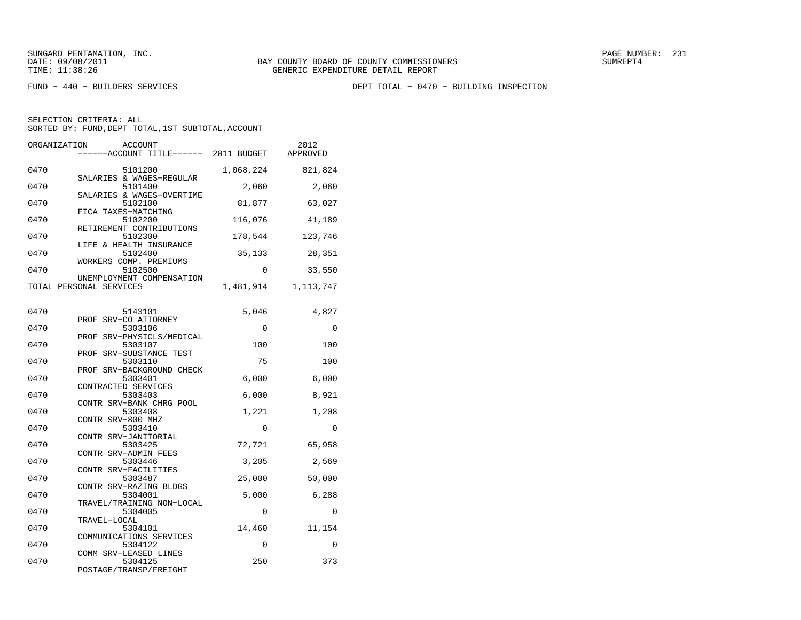FUND − 440 − BUILDERS SERVICES DEPT TOTAL − 0470 − BUILDING INSPECTION

| ORGANIZATION | <b>ACCOUNT</b><br>----ACCOUNT TITLE------ 2011 BUDGET            |                 | 2012<br>APPROVED |
|--------------|------------------------------------------------------------------|-----------------|------------------|
| 0470         | 5101200                                                          | 1,068,224       | 821,824          |
| 0470         | SALARIES & WAGES-REGULAR<br>5101400<br>SALARIES & WAGES-OVERTIME | 2,060           | 2,060            |
| 0470         | 5102100<br>FICA TAXES-MATCHING                                   | 81,877          | 63,027           |
| 0470         | 5102200<br>RETIREMENT CONTRIBUTIONS                              | 116,076         | 41,189           |
| 0470         | 5102300<br>LIFE & HEALTH INSURANCE                               | 178,544         | 123,746          |
| 0470         | 5102400<br>WORKERS COMP. PREMIUMS                                | 35,133          | 28,351           |
| 0470         | 5102500<br>UNEMPLOYMENT COMPENSATION                             | 0               | 33,550           |
|              | TOTAL PERSONAL SERVICES                                          | 1,481,914       | 1,113,747        |
| 0470         | 5143101                                                          | 5,046           | 4,827            |
| 0470         | PROF SRV-CO ATTORNEY<br>5303106                                  | 0               | $\Omega$         |
| 0470         | PROF SRV-PHYSICLS/MEDICAL<br>5303107<br>PROF SRV-SUBSTANCE TEST  | 100             | 100              |
| 0470         | 5303110<br>SRV-BACKGROUND CHECK<br>PROF                          | 75              | 100              |
| 0470         | 5303401<br>CONTRACTED SERVICES                                   | 6,000           | 6,000            |
| 0470         | 5303403<br>CONTR SRV-BANK CHRG POOL                              | 6,000           | 8,921            |
| 0470         | 5303408<br>CONTR SRV-800 MHZ                                     | 1,221           | 1,208            |
| 0470         | 5303410<br>CONTR SRV-JANITORIAL                                  | 0               | 0                |
| 0470         | 5303425<br>CONTR SRV-ADMIN FEES                                  | 72,721          | 65,958           |
| 0470         | 5303446<br>CONTR SRV-FACILITIES                                  | 3,205           | 2,569            |
| 0470<br>0470 | 5303487<br>CONTR SRV-RAZING BLDGS<br>5304001                     | 25,000<br>5,000 | 50,000<br>6,288  |
| 0470         | TRAVEL/TRAINING NON-LOCAL<br>5304005                             | 0               | $\Omega$         |
| 0470         | TRAVEL-LOCAL<br>5304101                                          | 14,460          | 11,154           |
| 0470         | COMMUNICATIONS SERVICES<br>5304122                               | 0               | $\Omega$         |
| 0470         | COMM SRV-LEASED LINES<br>5304125<br>POSTAGE/TRANSP/FREIGHT       | 250             | 373              |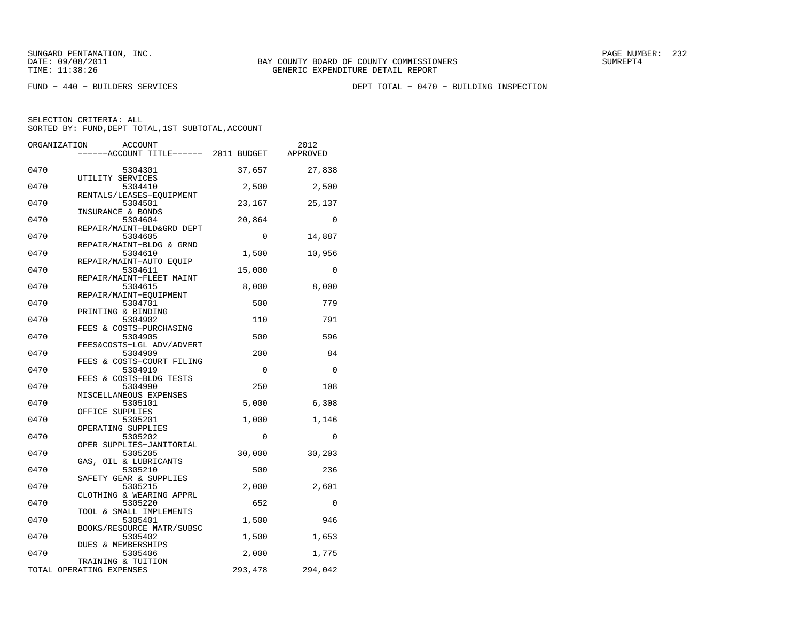FUND − 440 − BUILDERS SERVICES DEPT TOTAL − 0470 − BUILDING INSPECTION

| ORGANIZATION | ACCOUNT                              |         | 2012     |
|--------------|--------------------------------------|---------|----------|
|              | -----ACCOUNT TITLE------ 2011 BUDGET |         | APPROVED |
| 0470         | 5304301                              | 37,657  | 27,838   |
| 0470         | UTILITY SERVICES<br>5304410          | 2,500   | 2,500    |
| 0470         | RENTALS/LEASES-EOUIPMENT<br>5304501  | 23,167  | 25,137   |
|              | INSURANCE & BONDS                    |         |          |
| 0470         | 5304604<br>REPAIR/MAINT-BLD&GRD DEPT | 20,864  | 0        |
| 0470         | 5304605                              | 0       | 14,887   |
| 0470         | REPAIR/MAINT-BLDG & GRND<br>5304610  | 1,500   | 10,956   |
|              | REPAIR/MAINT-AUTO EOUIP              |         |          |
| 0470         | 5304611                              | 15,000  | $\Omega$ |
|              | REPAIR/MAINT-FLEET MAINT             |         |          |
| 0470         | 5304615                              | 8,000   | 8,000    |
|              | REPAIR/MAINT-EQUIPMENT               |         |          |
| 0470         | 5304701                              | 500     | 779      |
|              | PRINTING & BINDING                   |         |          |
| 0470         | 5304902                              | 110     | 791      |
|              | FEES & COSTS-PURCHASING              |         |          |
| 0470         | 5304905                              | 500     | 596      |
|              | FEES&COSTS-LGL ADV/ADVERT            |         |          |
| 0470         | 5304909                              | 200     | 84       |
|              | FEES & COSTS-COURT FILING            |         |          |
| 0470         | 5304919                              | 0       | $\Omega$ |
| 0470         | FEES & COSTS-BLDG TESTS<br>5304990   | 250     | 108      |
|              | MISCELLANEOUS EXPENSES               |         |          |
| 0470         | 5305101                              | 5,000   | 6,308    |
|              | OFFICE SUPPLIES                      |         |          |
| 0470         | 5305201                              | 1,000   | 1,146    |
|              | OPERATING SUPPLIES                   |         |          |
| 0470         | 5305202                              | 0       | $\Omega$ |
|              | OPER SUPPLIES-JANITORIAL             |         |          |
| 0470         | 5305205                              | 30,000  | 30,203   |
|              | GAS, OIL & LUBRICANTS                |         |          |
| 0470         | 5305210                              | 500     | 236      |
|              | SAFETY GEAR & SUPPLIES               |         |          |
| 0470         | 5305215                              | 2,000   | 2,601    |
|              | CLOTHING & WEARING APPRL             |         |          |
| 0470         | 5305220                              | 652     | 0        |
|              | TOOL & SMALL IMPLEMENTS              |         |          |
| 0470         | 5305401                              | 1,500   | 946      |
|              | BOOKS/RESOURCE MATR/SUBSC            |         |          |
| 0470         | 5305402                              | 1,500   | 1,653    |
|              | DUES & MEMBERSHIPS                   |         |          |
| 0470         | 5305406                              | 2,000   | 1,775    |
|              | TRAINING & TUITION                   |         |          |
|              | TOTAL OPERATING EXPENSES             | 293,478 | 294,042  |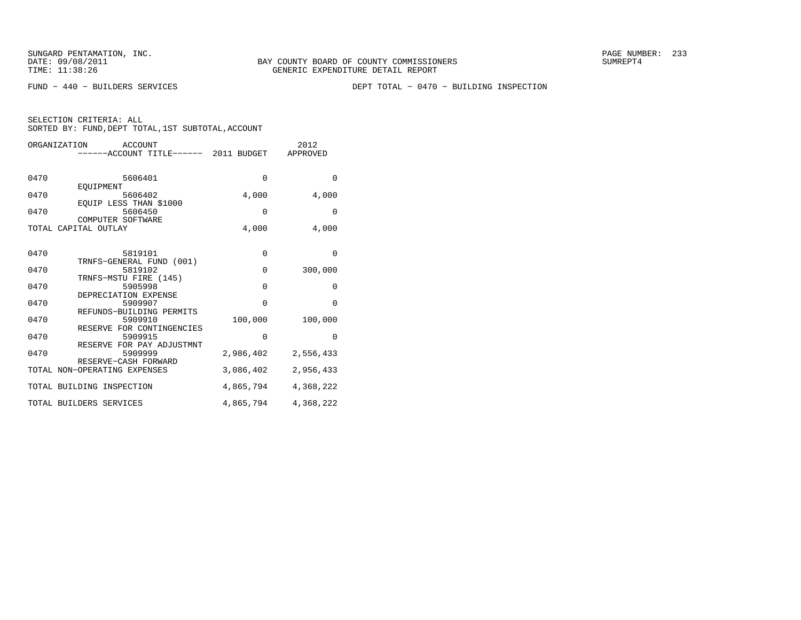FUND − 440 − BUILDERS SERVICES DEPT TOTAL − 0470 − BUILDING INSPECTION

| ORGANIZATION | <b>ACCOUNT</b>                      |             | 2012      |
|--------------|-------------------------------------|-------------|-----------|
|              | ----ACCOUNT TITLE------ 2011 BUDGET |             | APPROVED  |
|              |                                     |             |           |
|              |                                     |             |           |
| 0470         | 5606401                             | $\mathbf 0$ | $\Omega$  |
|              | EOUIPMENT                           |             |           |
| 0470         | 5606402                             | 4,000       | 4,000     |
|              | EQUIP LESS THAN \$1000              |             |           |
| 0470         | 5606450                             | $\Omega$    | $\Omega$  |
|              | COMPUTER SOFTWARE                   |             |           |
|              | TOTAL CAPITAL OUTLAY                | 4,000       | 4,000     |
|              |                                     |             |           |
|              |                                     |             |           |
| 0470         | 5819101                             | 0           | $\Omega$  |
|              | TRNFS-GENERAL FUND (001)            |             |           |
| 0470         | 5819102                             | $\mathbf 0$ | 300,000   |
|              | TRNFS-MSTU FIRE (145)               |             |           |
| 0470         | 5905998                             | $\Omega$    | 0         |
|              | DEPRECIATION EXPENSE                |             |           |
| 0470         | 5909907                             | $\Omega$    | $\Omega$  |
|              | REFUNDS-BUILDING PERMITS            |             |           |
| 0470         | 5909910                             | 100,000     | 100,000   |
|              | RESERVE FOR CONTINGENCIES           |             |           |
| 0470         | 5909915                             | $\Omega$    | $\Omega$  |
|              | RESERVE FOR PAY ADJUSTMNT           |             |           |
| 0470         | 5909999                             | 2,986,402   | 2,556,433 |
|              | RESERVE-CASH FORWARD                |             |           |
|              | TOTAL NON-OPERATING EXPENSES        | 3,086,402   | 2,956,433 |
|              |                                     |             |           |
|              | TOTAL BUILDING INSPECTION           | 4,865,794   | 4,368,222 |
|              | TOTAL BUILDERS SERVICES             | 4,865,794   | 4,368,222 |
|              |                                     |             |           |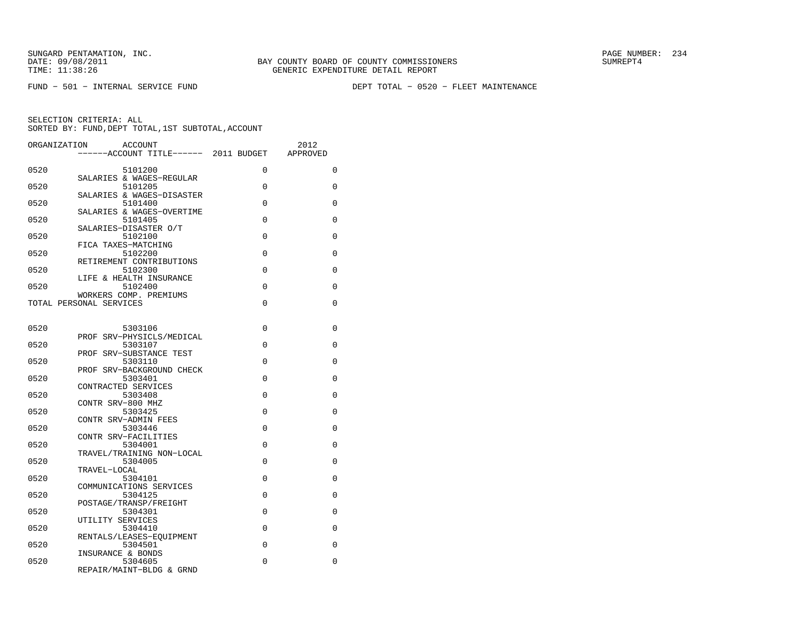FUND − 501 − INTERNAL SERVICE FUND DEPT TOTAL − 0520 − FLEET MAINTENANCE

| ORGANIZATION | <b>ACCOUNT</b><br>------ACCOUNT TITLE------ 2011 BUDGET |          | 2012<br>APPROVED |
|--------------|---------------------------------------------------------|----------|------------------|
| 0520         | 5101200                                                 | $\Omega$ | 0                |
| 0520         | SALARIES & WAGES-REGULAR<br>5101205                     | 0        | 0                |
| 0520         | SALARIES & WAGES-DISASTER<br>5101400                    | $\Omega$ | 0                |
| 0520         | SALARIES & WAGES-OVERTIME<br>5101405                    | 0        | 0                |
| 0520         | SALARIES-DISASTER O/T<br>5102100                        | 0        | 0                |
|              | FICA TAXES-MATCHING                                     |          |                  |
| 0520         | 5102200<br>RETIREMENT CONTRIBUTIONS                     | $\Omega$ | 0                |
| 0520         | 5102300<br>LIFE & HEALTH INSURANCE                      | $\Omega$ | 0                |
| 0520         | 5102400<br>WORKERS COMP. PREMIUMS                       | 0        | 0                |
|              | TOTAL PERSONAL SERVICES                                 | $\Omega$ | 0                |
| 0520         | 5303106                                                 | 0        | 0                |
|              | PROF SRV-PHYSICLS/MEDICAL                               |          |                  |
| 0520         | 5303107<br>PROF SRV-SUBSTANCE TEST                      | $\Omega$ | 0                |
| 0520         | 5303110<br>PROF SRV-BACKGROUND CHECK                    | $\Omega$ | 0                |
| 0520         | 5303401<br>CONTRACTED SERVICES                          | 0        | 0                |
| 0520         | 5303408<br>CONTR SRV-800 MHZ                            | $\Omega$ | 0                |
| 0520         | 5303425<br>CONTR SRV-ADMIN FEES                         | 0        | 0                |
| 0520         | 5303446                                                 | 0        | 0                |
| 0520         | CONTR SRV-FACILITIES<br>5304001                         | $\Omega$ | 0                |
| 0520         | TRAVEL/TRAINING NON-LOCAL<br>5304005                    | 0        | 0                |
| 0520         | TRAVEL-LOCAL<br>5304101                                 | 0        | 0                |
| 0520         | COMMUNICATIONS SERVICES<br>5304125                      | $\Omega$ | 0                |
| 0520         | POSTAGE/TRANSP/FREIGHT<br>5304301                       | $\Omega$ | 0                |
| 0520         | UTILITY SERVICES<br>5304410                             | 0        | 0                |
|              | RENTALS/LEASES-EOUIPMENT                                |          |                  |
| 0520         | 5304501<br>INSURANCE & BONDS                            | $\Omega$ | 0                |
| 0520         | 5304605<br>REPAIR/MAINT-BLDG & GRND                     | 0        | 0                |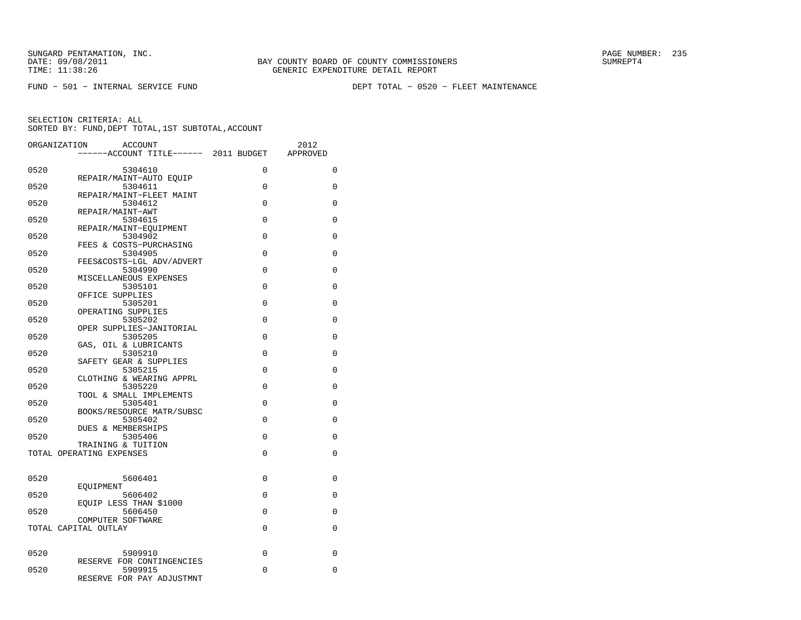FUND − 501 − INTERNAL SERVICE FUND DEPT TOTAL − 0520 − FLEET MAINTENANCE

| ORGANIZATION | <b>ACCOUNT</b>                                 |             | 2012     |
|--------------|------------------------------------------------|-------------|----------|
|              | -----ACCOUNT TITLE------ 2011 BUDGET           |             | APPROVED |
| 0520         | 5304610                                        | $\Omega$    | 0        |
|              | REPAIR/MAINT-AUTO EQUIP                        |             |          |
| 0520         | 5304611<br>REPAIR/MAINT-FLEET MAINT            | 0           | 0        |
| 0520         | 5304612                                        | $\Omega$    | $\Omega$ |
| 0520         | REPAIR/MAINT-AWT<br>5304615                    | 0           | 0        |
|              | REPAIR/MAINT-EQUIPMENT                         |             |          |
| 0520         | 5304902                                        | $\Omega$    | $\Omega$ |
| 0520         | FEES & COSTS-PURCHASING<br>5304905             | $\Omega$    | 0        |
|              | FEES&COSTS-LGL ADV/ADVERT                      |             |          |
| 0520         | 5304990<br>MISCELLANEOUS EXPENSES              | 0           | 0        |
| 0520         | 5305101                                        | $\Omega$    | 0        |
|              | OFFICE SUPPLIES                                | $\Omega$    |          |
| 0520         | 5305201<br>OPERATING SUPPLIES                  |             | $\Omega$ |
| 0520         | 5305202                                        | 0           | 0        |
| 0520         | OPER SUPPLIES-JANITORIAL<br>5305205            | $\Omega$    | 0        |
|              | GAS, OIL & LUBRICANTS                          |             |          |
| 0520         | 5305210<br>SAFETY GEAR & SUPPLIES              | 0           | 0        |
| 0520         | 5305215                                        | $\Omega$    | $\Omega$ |
|              | CLOTHING & WEARING APPRL                       |             |          |
| 0520         | 5305220<br>TOOL & SMALL IMPLEMENTS             | $\Omega$    | 0        |
| 0520         | 5305401                                        | $\mathbf 0$ | 0        |
| 0520         | BOOKS/RESOURCE MATR/SUBSC<br>5305402           | 0           | 0        |
|              | <b>DUES &amp; MEMBERSHIPS</b>                  |             |          |
| 0520         | 5305406                                        | $\Omega$    | $\Omega$ |
|              | TRAINING & TUITION<br>TOTAL OPERATING EXPENSES | 0           | 0        |
|              |                                                |             |          |
| 0520         | 5606401                                        | $\Omega$    | $\Omega$ |
|              | EOUIPMENT                                      |             |          |
| 0520         | 5606402<br>EQUIP LESS THAN \$1000              | 0           | 0        |
| 0520         | 5606450                                        | 0           | 0        |
|              | COMPUTER SOFTWARE<br>TOTAL CAPITAL OUTLAY      | 0           | 0        |
|              |                                                |             |          |
| 0520         | 5909910                                        | 0           | 0        |
|              | RESERVE FOR CONTINGENCIES                      |             |          |
| 0520         | 5909915                                        | 0           | 0        |
|              | RESERVE FOR PAY ADJUSTMNT                      |             |          |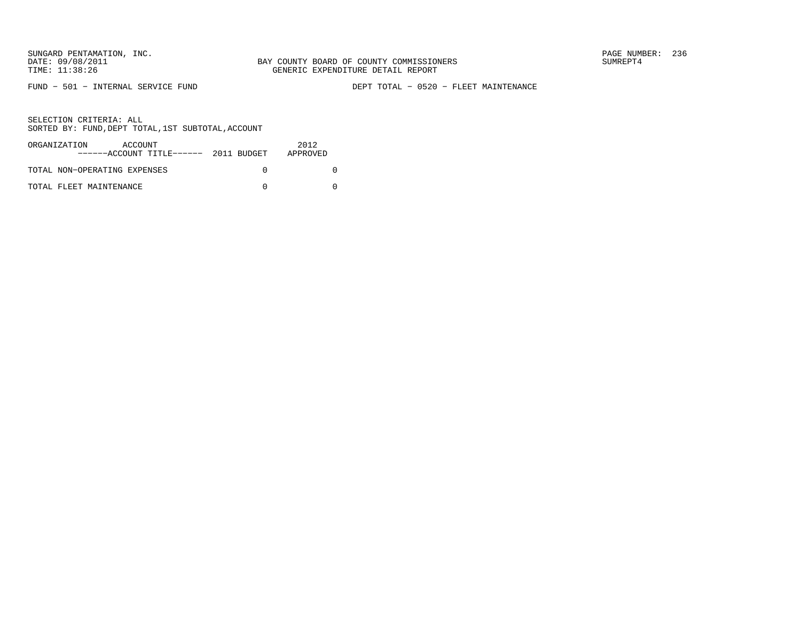FUND − 501 − INTERNAL SERVICE FUND DEPT TOTAL − 0520 − FLEET MAINTENANCE

| ORGANIZATION<br>ACCOUNT<br>$---ACCOVINT TITLE---2011 BUDGET$ | 2012<br>APPROVED |
|--------------------------------------------------------------|------------------|
| TOTAL NON-OPERATING EXPENSES                                 |                  |
| TOTAL FLEET MAINTENANCE                                      |                  |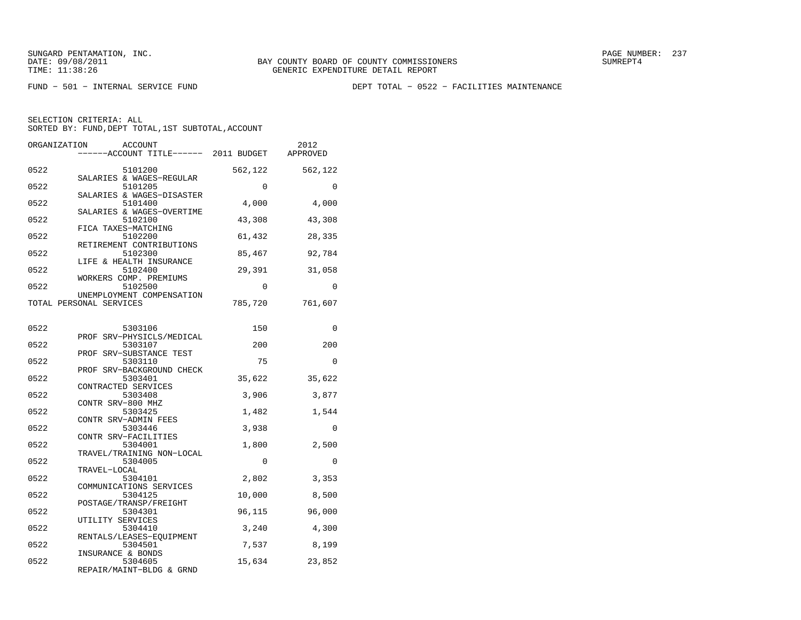FUND − 501 − INTERNAL SERVICE FUND DEPT TOTAL − 0522 − FACILITIES MAINTENANCE

| ORGANIZATION | <b>ACCOUNT</b><br>-----ACCOUNT TITLE------ 2011 BUDGET            |             | 2012<br>APPROVED |
|--------------|-------------------------------------------------------------------|-------------|------------------|
| 0522         | 5101200                                                           | 562,122     | 562,122          |
| 0522         | SALARIES & WAGES-REGULAR<br>5101205                               | $\mathbf 0$ | 0                |
| 0522         | SALARIES & WAGES-DISASTER<br>5101400<br>SALARIES & WAGES-OVERTIME | 4,000       | 4,000            |
| 0522         | 5102100<br>FICA TAXES-MATCHING                                    | 43,308      | 43,308           |
| 0522         | 5102200<br>RETIREMENT CONTRIBUTIONS                               | 61,432      | 28,335           |
| 0522         | 5102300<br>LIFE & HEALTH INSURANCE                                | 85,467      | 92,784           |
| 0522         | 5102400<br>WORKERS COMP. PREMIUMS                                 | 29,391      | 31,058           |
| 0522         | 5102500<br>UNEMPLOYMENT COMPENSATION                              | $\Omega$    | $\Omega$         |
|              | TOTAL PERSONAL SERVICES                                           | 785,720     | 761,607          |
| 0522         | 5303106                                                           | 150         | $\Omega$         |
| 0522         | PROF SRV-PHYSICLS/MEDICAL<br>5303107                              | 200         | 200              |
| 0522         | PROF SRV-SUBSTANCE TEST<br>5303110<br>PROF SRV-BACKGROUND CHECK   | 75          | $\Omega$         |
| 0522         | 5303401<br>CONTRACTED SERVICES                                    | 35,622      | 35,622           |
| 0522         | 5303408<br>CONTR SRV-800 MHZ                                      | 3,906       | 3,877            |
| 0522         | 5303425<br>CONTR SRV-ADMIN FEES                                   | 1,482       | 1,544            |
| 0522         | 5303446<br>CONTR SRV-FACILITIES                                   | 3,938       | 0                |
| 0522         | 5304001<br>TRAVEL/TRAINING NON-LOCAL                              | 1,800       | 2,500            |
| 0522         | 5304005<br>TRAVEL-LOCAL                                           | $\Omega$    | $\Omega$         |
| 0522         | 5304101<br>COMMUNICATIONS SERVICES                                | 2,802       | 3,353            |
| 0522         | 5304125<br>POSTAGE/TRANSP/FREIGHT                                 | 10,000      | 8,500            |
| 0522         | 5304301<br>UTILITY SERVICES                                       | 96,115      | 96,000           |
| 0522         | 5304410<br>RENTALS/LEASES-EOUIPMENT                               | 3,240       | 4,300            |
| 0522         | 5304501<br>INSURANCE & BONDS                                      | 7,537       | 8,199            |
| 0522         | 5304605<br>REPAIR/MAINT-BLDG & GRND                               | 15,634      | 23,852           |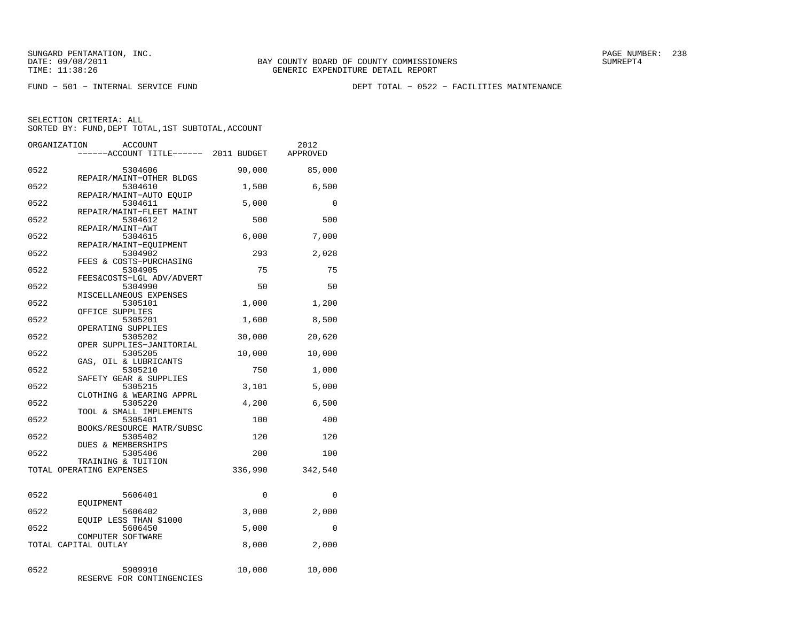FUND − 501 − INTERNAL SERVICE FUND DEPT TOTAL − 0522 − FACILITIES MAINTENANCE

|      | ORGANIZATION<br>ACCOUNT<br>----ACCOUNT TITLE------ 2011 BUDGET |          | 2012<br>APPROVED |
|------|----------------------------------------------------------------|----------|------------------|
| 0522 | 5304606                                                        | 90,000   | 85,000           |
| 0522 | REPAIR/MAINT-OTHER BLDGS<br>5304610                            | 1,500    | 6,500            |
| 0522 | REPAIR/MAINT-AUTO EOUIP<br>5304611                             | 5,000    | 0                |
| 0522 | REPAIR/MAINT-FLEET MAINT<br>5304612                            | 500      | 500              |
| 0522 | REPAIR/MAINT-AWT<br>5304615<br>REPAIR/MAINT-EOUIPMENT          | 6,000    | 7,000            |
| 0522 | 5304902<br>FEES & COSTS-PURCHASING                             | 293      | 2,028            |
| 0522 | 5304905<br>FEES&COSTS-LGL ADV/ADVERT                           | 75       | 75               |
| 0522 | 5304990<br>MISCELLANEOUS EXPENSES                              | 50       | 50               |
| 0522 | 5305101<br>OFFICE SUPPLIES                                     | 1,000    | 1,200            |
| 0522 | 5305201<br>OPERATING SUPPLIES                                  | 1,600    | 8,500            |
| 0522 | 5305202<br>OPER SUPPLIES-JANITORIAL                            | 30,000   | 20,620           |
| 0522 | 5305205<br>GAS, OIL & LUBRICANTS                               | 10,000   | 10,000           |
| 0522 | 5305210<br>SAFETY GEAR & SUPPLIES                              | 750      | 1,000            |
| 0522 | 5305215<br>CLOTHING & WEARING APPRL                            | 3,101    | 5,000            |
| 0522 | 5305220<br>TOOL & SMALL IMPLEMENTS                             | 4,200    | 6,500            |
| 0522 | 5305401<br>BOOKS/RESOURCE MATR/SUBSC                           | 100      | 400              |
| 0522 | 5305402<br>DUES & MEMBERSHIPS                                  | 120      | 120              |
| 0522 | 5305406<br>TRAINING & TUITION                                  | 200      | 100              |
|      | TOTAL OPERATING EXPENSES                                       | 336,990  | 342,540          |
| 0522 | 5606401<br>EOUIPMENT                                           | $\Omega$ | $\Omega$         |
| 0522 | 5606402<br>EQUIP LESS THAN \$1000                              | 3,000    | 2,000            |
| 0522 | 5606450<br>COMPUTER SOFTWARE                                   | 5,000    | 0                |
|      | TOTAL CAPITAL OUTLAY                                           | 8,000    | 2,000            |
| 0522 | 5909910<br>RESERVE FOR CONTINGENCIES                           | 10,000   | 10,000           |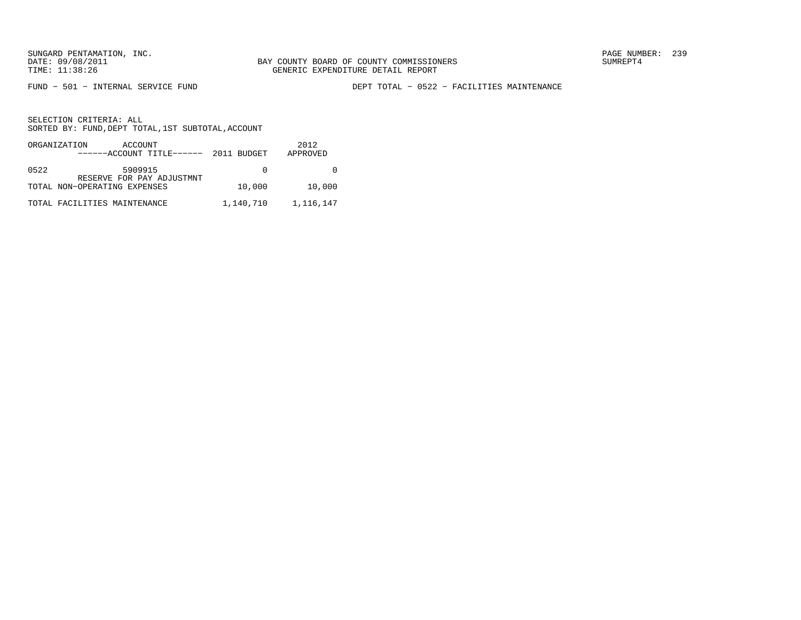FUND − 501 − INTERNAL SERVICE FUND DEPT TOTAL − 0522 − FACILITIES MAINTENANCE

|      | ORGANIZATION<br>ACCOUNT<br>$---ACCOUNT$ TITLE $---2011$ BUDGET |           | 2012<br>APPROVED |
|------|----------------------------------------------------------------|-----------|------------------|
| 0522 | 5909915<br>RESERVE FOR PAY ADJUSTMNT                           |           |                  |
|      | TOTAL NON-OPERATING EXPENSES                                   | 10,000    | 10,000           |
|      | TOTAL FACILITIES MAINTENANCE                                   | 1,140,710 | 1,116,147        |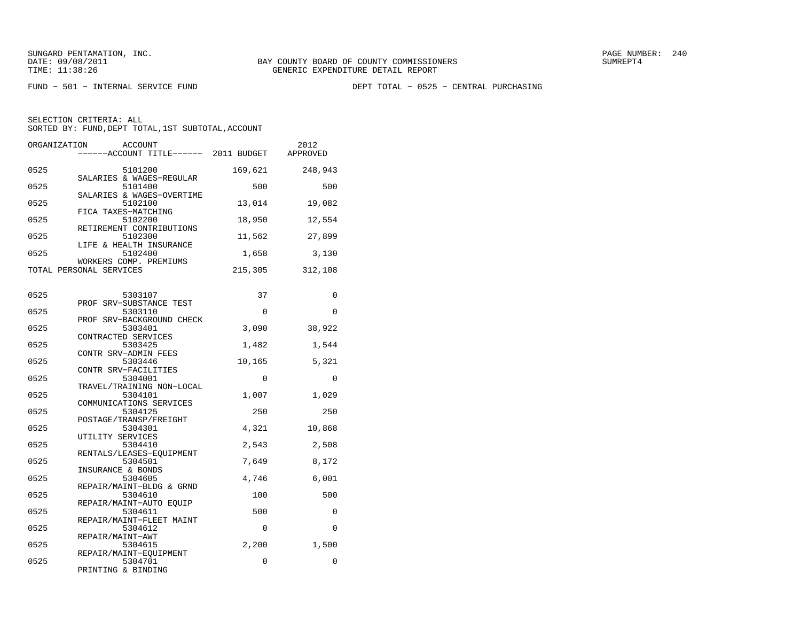FUND − 501 − INTERNAL SERVICE FUND DEPT TOTAL − 0525 − CENTRAL PURCHASING

| ORGANIZATION | <b>ACCOUNT</b><br>-----ACCOUNT TITLE------ 2011 BUDGET      |          | 2012<br>APPROVED |
|--------------|-------------------------------------------------------------|----------|------------------|
| 0525         | 5101200                                                     | 169,621  | 248,943          |
| 0525         | SALARIES & WAGES-REGULAR<br>5101400                         | 500      | 500              |
| 0525         | SALARIES & WAGES-OVERTIME<br>5102100<br>FICA TAXES-MATCHING | 13,014   | 19,082           |
| 0525         | 5102200<br>RETIREMENT CONTRIBUTIONS                         | 18,950   | 12,554           |
| 0525         | 5102300<br>LIFE & HEALTH INSURANCE                          | 11,562   | 27,899           |
| 0525         | 5102400<br>WORKERS COMP. PREMIUMS                           | 1,658    | 3,130            |
|              | TOTAL PERSONAL SERVICES                                     | 215,305  | 312,108          |
| 0525         | 5303107                                                     | 37       | $\Omega$         |
| 0525         | PROF SRV-SUBSTANCE TEST<br>5303110                          | 0        | $\Omega$         |
| 0525         | PROF SRV-BACKGROUND CHECK<br>5303401                        | 3,090    | 38,922           |
| 0525         | CONTRACTED SERVICES<br>5303425<br>CONTR SRV-ADMIN FEES      | 1,482    | 1,544            |
| 0525         | 5303446<br>CONTR SRV-FACILITIES                             | 10,165   | 5,321            |
| 0525         | 5304001<br>TRAVEL/TRAINING NON-LOCAL                        | $\Omega$ | $\Omega$         |
| 0525         | 5304101<br>COMMUNICATIONS SERVICES                          | 1,007    | 1,029            |
| 0525         | 5304125<br>POSTAGE/TRANSP/FREIGHT                           | 250      | 250              |
| 0525         | 5304301<br>UTILITY SERVICES                                 | 4,321    | 10,868           |
| 0525         | 5304410<br>RENTALS/LEASES-EOUIPMENT                         | 2,543    | 2,508            |
| 0525         | 5304501<br>INSURANCE & BONDS                                | 7,649    | 8,172            |
| 0525         | 5304605<br>REPAIR/MAINT-BLDG & GRND                         | 4,746    | 6,001            |
| 0525         | 5304610<br>REPAIR/MAINT-AUTO EOUIP                          | 100      | 500              |
| 0525         | 5304611<br>REPAIR/MAINT-FLEET MAINT                         | 500      | $\Omega$         |
| 0525         | 5304612<br>REPAIR/MAINT-AWT                                 | 0        | $\Omega$         |
| 0525         | 5304615<br>REPAIR/MAINT-EQUIPMENT                           | 2,200    | 1,500            |
| 0525         | 5304701<br>PRINTING & BINDING                               | 0        | $\mathbf 0$      |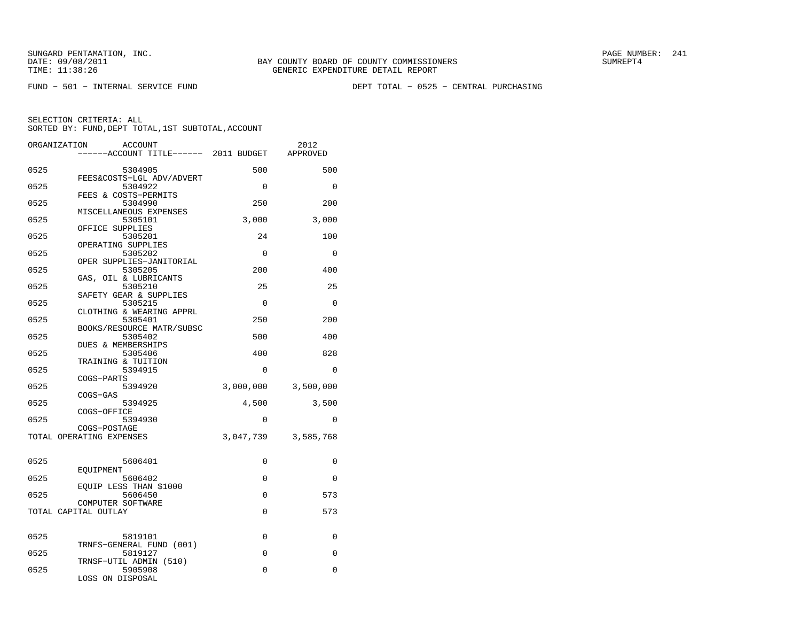FUND − 501 − INTERNAL SERVICE FUND DEPT TOTAL − 0525 − CENTRAL PURCHASING

| ORGANIZATION | ACCOUNT                                                    |             | 2012      |
|--------------|------------------------------------------------------------|-------------|-----------|
|              | ----ACCOUNT TITLE------ 2011 BUDGET                        |             | APPROVED  |
| 0525         | 5304905                                                    | 500         | 500       |
| 0525         | FEES&COSTS-LGL ADV/ADVERT<br>5304922                       | $\Omega$    | $\Omega$  |
| 0525         | FEES & COSTS-PERMITS<br>5304990                            | 250         | 200       |
| 0525         | MISCELLANEOUS EXPENSES<br>5305101                          | 3,000       | 3,000     |
| 0525         | OFFICE SUPPLIES<br>5305201                                 | 24          | 100       |
| 0525         | OPERATING SUPPLIES<br>5305202                              | $\Omega$    | $\Omega$  |
| 0525         | OPER SUPPLIES-JANITORIAL<br>5305205                        | 200         | 400       |
| 0525         | GAS, OIL & LUBRICANTS<br>5305210<br>SAFETY GEAR & SUPPLIES | 25          | 25        |
| 0525         | 5305215<br>CLOTHING & WEARING APPRL                        | $\Omega$    | $\Omega$  |
| 0525         | 5305401<br>BOOKS/RESOURCE MATR/SUBSC                       | 250         | 200       |
| 0525         | 5305402<br><b>DUES &amp; MEMBERSHIPS</b>                   | 500         | 400       |
| 0525         | 5305406<br>TRAINING & TUITION                              | 400         | 828       |
| 0525         | 5394915<br>COGS-PARTS                                      | $\Omega$    | $\Omega$  |
| 0525         | 5394920<br>COGS-GAS                                        | 3,000,000   | 3,500,000 |
| 0525         | 5394925<br>COGS-OFFICE                                     | 4,500       | 3,500     |
| 0525         | 5394930<br>COGS-POSTAGE                                    | $\Omega$    | $\Omega$  |
|              | TOTAL OPERATING EXPENSES                                   | 3,047,739   | 3,585,768 |
| 0525         | 5606401                                                    | $\mathbf 0$ | 0         |
| 0525         | EOUIPMENT<br>5606402                                       | $\mathbf 0$ | 0         |
| 0525         | EQUIP LESS THAN \$1000<br>5606450                          | 0           | 573       |
|              | COMPUTER SOFTWARE<br>TOTAL CAPITAL OUTLAY                  | 0           | 573       |
| 0525         | 5819101                                                    | 0           | 0         |
|              | TRNFS-GENERAL FUND (001)                                   | $\Omega$    | $\Omega$  |
| 0525         | 5819127<br>TRNSF-UTIL ADMIN (510)                          |             |           |
| 0525         | 5905908<br>LOSS ON DISPOSAL                                | $\Omega$    | $\Omega$  |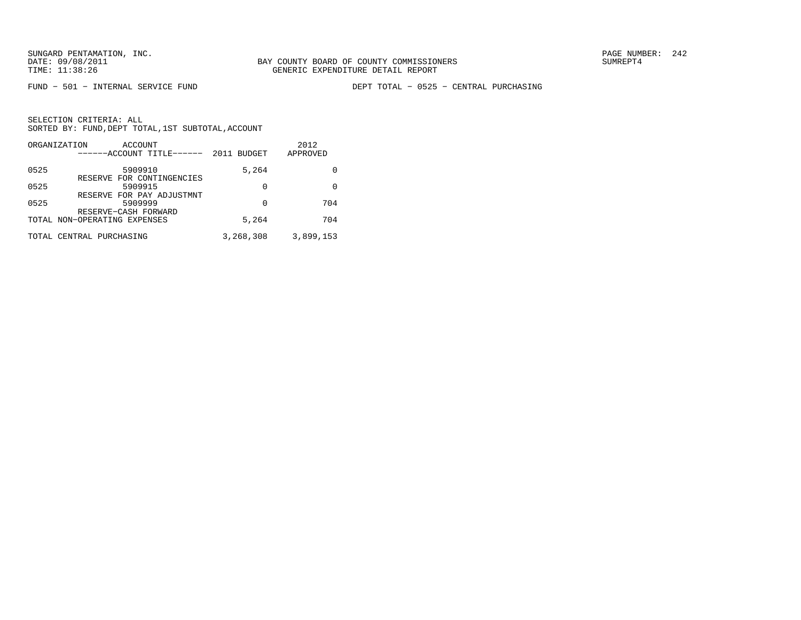FUND − 501 − INTERNAL SERVICE FUND DEPT TOTAL − 0525 − CENTRAL PURCHASING

|      | ORGANIZATION<br>ACCOUNT<br>------ACCOUNT TITLE------ | 2011<br><b>BUDGET</b> | 2012<br>APPROVED |
|------|------------------------------------------------------|-----------------------|------------------|
| 0525 | 5909910                                              | 5,264                 |                  |
| 0525 | RESERVE FOR CONTINGENCIES<br>5909915                 | 0                     | 0                |
| 0525 | RESERVE FOR PAY ADJUSTMNT<br>5909999                 | 0                     | 704              |
|      | RESERVE-CASH FORWARD                                 |                       |                  |
|      | TOTAL NON-OPERATING EXPENSES                         | 5,264                 | 704              |
|      | TOTAL CENTRAL PURCHASING                             | 3,268,308             | 3,899,153        |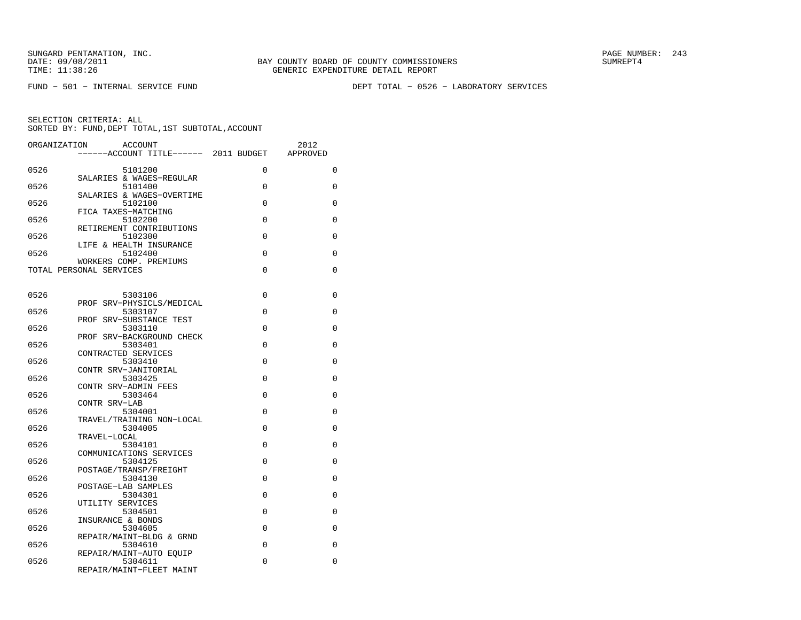FUND − 501 − INTERNAL SERVICE FUND DEPT TOTAL − 0526 − LABORATORY SERVICES

| ORGANIZATION | <b>ACCOUNT</b><br>------ACCOUNT TITLE------ 2011 BUDGET      |          | 2012<br>APPROVED |
|--------------|--------------------------------------------------------------|----------|------------------|
| 0526         | 5101200                                                      | 0        | 0                |
| 0526         | SALARIES & WAGES-REGULAR<br>5101400                          | $\Omega$ | 0                |
| 0526         | SALARIES & WAGES-OVERTIME<br>5102100                         | $\Omega$ | 0                |
| 0526         | FICA TAXES-MATCHING<br>5102200                               | $\Omega$ | $\Omega$         |
| 0526         | RETIREMENT CONTRIBUTIONS<br>5102300                          | $\Omega$ | 0                |
| 0526         | LIFE & HEALTH INSURANCE<br>5102400<br>WORKERS COMP. PREMIUMS | $\Omega$ | 0                |
|              | TOTAL PERSONAL SERVICES                                      | $\Omega$ | 0                |
| 0526         | 5303106                                                      | 0        | 0                |
| 0526         | PROF SRV-PHYSICLS/MEDICAL<br>5303107                         | 0        | 0                |
| 0526         | PROF SRV-SUBSTANCE TEST<br>5303110                           | $\Omega$ | 0                |
| 0526         | PROF SRV-BACKGROUND CHECK<br>5303401<br>CONTRACTED SERVICES  | 0        | 0                |
| 0526         | 5303410<br>CONTR SRV-JANITORIAL                              | $\Omega$ | 0                |
| 0526         | 5303425<br>CONTR SRV-ADMIN FEES                              | $\Omega$ | 0                |
| 0526         | 5303464<br>CONTR SRV-LAB                                     | $\Omega$ | 0                |
| 0526         | 5304001<br>TRAVEL/TRAINING NON-LOCAL                         | $\Omega$ | 0                |
| 0526         | 5304005<br>TRAVEL-LOCAL                                      | $\Omega$ | 0                |
| 0526         | 5304101<br>COMMUNICATIONS SERVICES                           | $\Omega$ | 0                |
| 0526         | 5304125<br>POSTAGE/TRANSP/FREIGHT                            | 0        | 0                |
| 0526         | 5304130<br>POSTAGE-LAB SAMPLES                               | $\Omega$ | 0                |
| 0526         | 5304301<br>UTILITY SERVICES                                  | 0        | 0                |
| 0526         | 5304501<br>INSURANCE & BONDS                                 | $\Omega$ | 0                |
| 0526         | 5304605<br>REPAIR/MAINT-BLDG & GRND                          | 0        | 0                |
| 0526         | 5304610<br>REPAIR/MAINT-AUTO EOUIP                           | $\Omega$ | 0                |
| 0526         | 5304611<br>REPAIR/MAINT-FLEET MAINT                          | 0        | 0                |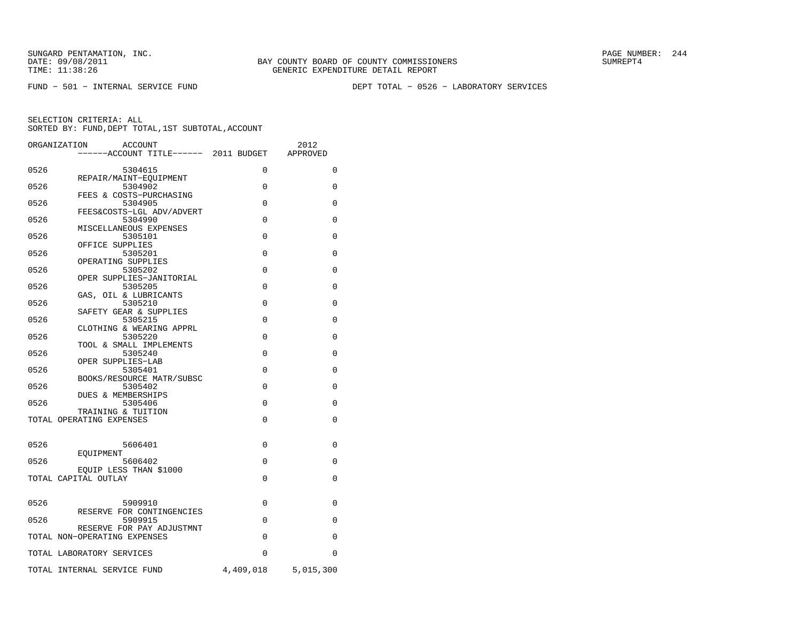FUND − 501 − INTERNAL SERVICE FUND DEPT TOTAL − 0526 − LABORATORY SERVICES

|      | ORGANIZATION<br><b>ACCOUNT</b>                            |           | 2012        |
|------|-----------------------------------------------------------|-----------|-------------|
|      | ------ACCOUNT TITLE------ 2011 BUDGET                     |           | APPROVED    |
| 0526 | 5304615                                                   | $\Omega$  | 0           |
| 0526 | REPAIR/MAINT-EOUIPMENT<br>5304902                         | $\Omega$  | $\Omega$    |
|      | FEES & COSTS-PURCHASING                                   |           |             |
| 0526 | 5304905<br>FEES&COSTS-LGL ADV/ADVERT                      | $\Omega$  | $\Omega$    |
| 0526 | 5304990<br>MISCELLANEOUS EXPENSES                         | 0         | 0           |
| 0526 | 5305101                                                   | 0         | $\mathbf 0$ |
| 0526 | OFFICE SUPPLIES<br>5305201                                | $\Omega$  | $\Omega$    |
| 0526 | OPERATING SUPPLIES<br>5305202                             | $\Omega$  | $\Omega$    |
|      | OPER SUPPLIES-JANITORIAL                                  |           |             |
| 0526 | 5305205<br>GAS, OIL & LUBRICANTS                          | $\Omega$  | 0           |
| 0526 | 5305210<br>SAFETY GEAR & SUPPLIES                         | 0         | 0           |
| 0526 | 5305215                                                   | 0         | 0           |
| 0526 | CLOTHING & WEARING APPRL<br>5305220                       | 0         | 0           |
| 0526 | TOOL & SMALL IMPLEMENTS<br>5305240                        | $\Omega$  | $\Omega$    |
|      | OPER SUPPLIES-LAB                                         |           |             |
| 0526 | 5305401<br>BOOKS/RESOURCE MATR/SUBSC                      | $\Omega$  | $\Omega$    |
| 0526 | 5305402<br>DUES & MEMBERSHIPS                             | $\Omega$  | 0           |
| 0526 | 5305406                                                   | $\Omega$  | $\Omega$    |
|      | TRAINING & TUITION<br>TOTAL OPERATING EXPENSES            | 0         | 0           |
|      |                                                           |           |             |
| 0526 | 5606401                                                   | $\Omega$  | $\Omega$    |
| 0526 | EOUIPMENT<br>5606402                                      | $\Omega$  | $\Omega$    |
|      | EQUIP LESS THAN \$1000<br>TOTAL CAPITAL OUTLAY            | $\Omega$  | $\Omega$    |
|      |                                                           |           |             |
| 0526 | 5909910                                                   | 0         | 0           |
| 0526 | RESERVE FOR CONTINGENCIES<br>5909915                      | $\Omega$  | $\Omega$    |
|      | RESERVE FOR PAY ADJUSTMNT<br>TOTAL NON-OPERATING EXPENSES | $\Omega$  | $\Omega$    |
|      |                                                           |           |             |
|      | TOTAL LABORATORY SERVICES                                 | $\Omega$  | $\Omega$    |
|      | TOTAL INTERNAL SERVICE FUND                               | 4,409,018 | 5,015,300   |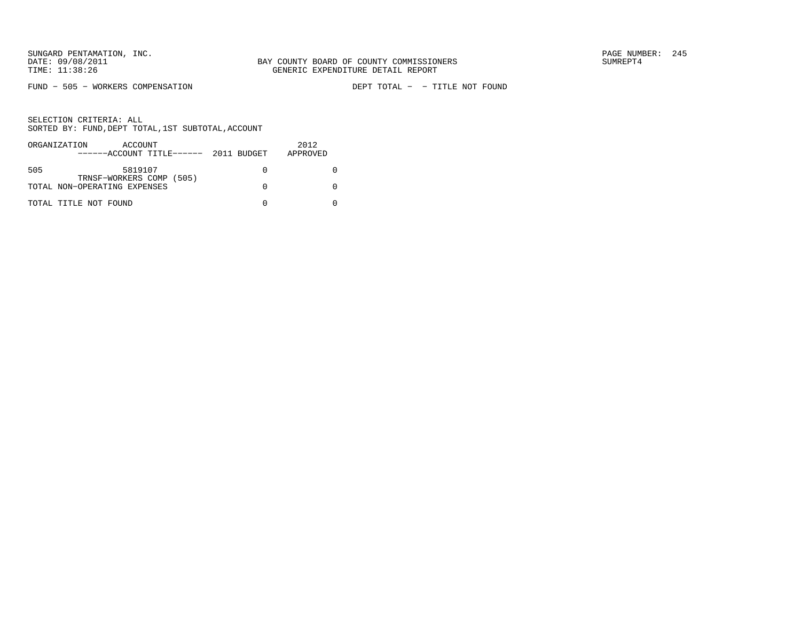FUND - 505 - WORKERS COMPENSATION

DEPT TOTAL - - TITLE NOT FOUND

|     | ORGANIZATION<br>ACCOUNT<br>$----ACCOUNT$ TITLE $--- 2011$ BUDGET | 2012<br>APPROVED |
|-----|------------------------------------------------------------------|------------------|
| 505 | 5819107<br>TRNSF-WORKERS COMP (505)                              |                  |
|     | TOTAL NON-OPERATING EXPENSES                                     |                  |
|     | TOTAL TITLE NOT FOUND                                            |                  |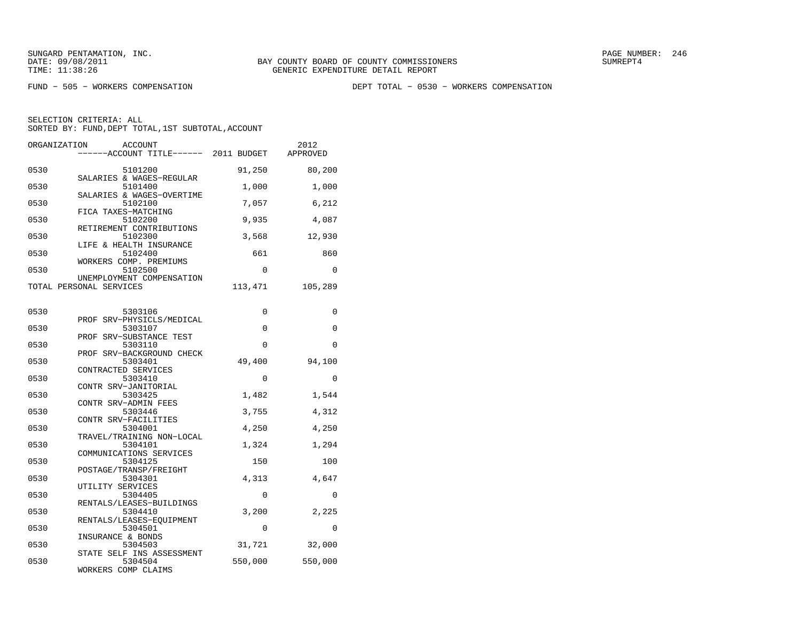FUND − 505 − WORKERS COMPENSATION DEPT TOTAL − 0530 − WORKERS COMPENSATION

| ORGANIZATION | <b>ACCOUNT</b><br>-----ACCOUNT TITLE------ 2011 BUDGET     |          | 2012<br>APPROVED |
|--------------|------------------------------------------------------------|----------|------------------|
| 0530         | 5101200                                                    | 91,250   | 80,200           |
| 0530         | SALARIES & WAGES-REGULAR<br>5101400                        | 1,000    | 1,000            |
| 0530         | SALARIES & WAGES-OVERTIME<br>5102100                       | 7,057    | 6,212            |
| 0530         | FICA TAXES-MATCHING<br>5102200<br>RETIREMENT CONTRIBUTIONS | 9,935    | 4,087            |
| 0530         | 5102300<br>LIFE & HEALTH INSURANCE                         | 3,568    | 12,930           |
| 0530         | 5102400<br>WORKERS COMP. PREMIUMS                          | 661      | 860              |
| 0530         | 5102500<br>UNEMPLOYMENT COMPENSATION                       | $\Omega$ | $\Omega$         |
|              | TOTAL PERSONAL SERVICES                                    | 113,471  | 105,289          |
| 0530         | 5303106                                                    | 0        | 0                |
| 0530         | PROF SRV-PHYSICLS/MEDICAL<br>5303107                       | 0        | 0                |
| 0530         | PROF SRV-SUBSTANCE TEST<br>5303110                         | $\Omega$ | $\Omega$         |
| 0530         | PROF SRV-BACKGROUND CHECK<br>5303401                       | 49,400   | 94,100           |
| 0530         | CONTRACTED SERVICES<br>5303410<br>CONTR SRV-JANITORIAL     | 0        | 0                |
| 0530         | 5303425<br>CONTR SRV-ADMIN FEES                            | 1,482    | 1,544            |
| 0530         | 5303446<br>CONTR SRV-FACILITIES                            | 3,755    | 4,312            |
| 0530         | 5304001<br>TRAVEL/TRAINING NON-LOCAL                       | 4,250    | 4,250            |
| 0530         | 5304101<br>COMMUNICATIONS SERVICES                         | 1,324    | 1,294            |
| 0530         | 5304125<br>POSTAGE/TRANSP/FREIGHT                          | 150      | 100              |
| 0530         | 5304301<br>UTILITY SERVICES                                | 4,313    | 4,647            |
| 0530         | 5304405<br>RENTALS/LEASES-BUILDINGS                        | 0        | 0                |
| 0530         | 5304410<br>RENTALS/LEASES-EQUIPMENT                        | 3,200    | 2,225            |
| 0530         | 5304501<br>INSURANCE & BONDS                               | 0        | 0                |
| 0530         | 5304503<br>STATE SELF INS ASSESSMENT                       | 31,721   | 32,000           |
| 0530         | 5304504<br>WORKERS COMP CLAIMS                             | 550,000  | 550,000          |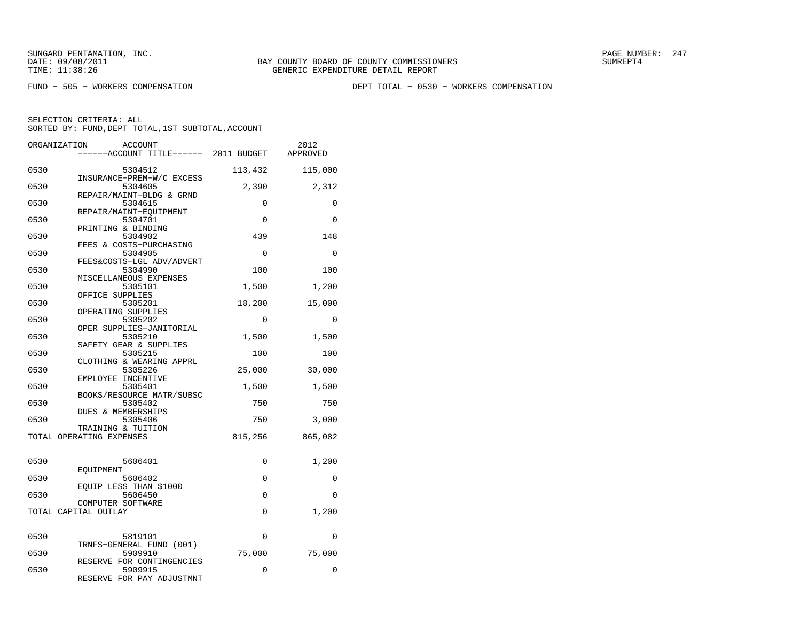FUND − 505 − WORKERS COMPENSATION DEPT TOTAL − 0530 − WORKERS COMPENSATION

| ORGANIZATION             | <b>ACCOUNT</b><br>----ACCOUNT TITLE------ 2011 BUDGET           |             | 2012<br>APPROVED |
|--------------------------|-----------------------------------------------------------------|-------------|------------------|
| 0530                     | 5304512                                                         | 113,432     | 115,000          |
| 0530                     | INSURANCE-PREM-W/C EXCESS<br>5304605                            | 2,390       | 2,312            |
| 0530                     | REPAIR/MAINT-BLDG & GRND<br>5304615                             | 0           | 0                |
| 0530                     | REPAIR/MAINT-EOUIPMENT<br>5304701                               | 0           | 0                |
| 0530                     | PRINTING & BINDING<br>5304902                                   | 439         | 148              |
| 0530                     | FEES & COSTS-PURCHASING<br>5304905<br>FEES&COSTS-LGL ADV/ADVERT | $\mathbf 0$ | 0                |
| 0530                     | 5304990<br>MISCELLANEOUS EXPENSES                               | 100         | 100              |
| 0530                     | 5305101<br>OFFICE SUPPLIES                                      | 1,500       | 1,200            |
| 0530                     | 5305201<br>OPERATING SUPPLIES                                   | 18,200      | 15,000           |
| 0530                     | 5305202<br>OPER SUPPLIES-JANITORIAL                             | $\Omega$    | $\Omega$         |
| 0530                     | 5305210<br>SAFETY GEAR & SUPPLIES                               | 1,500       | 1,500            |
| 0530                     | 5305215<br>CLOTHING & WEARING APPRL                             | 100         | 100              |
| 0530                     | 5305226<br>EMPLOYEE INCENTIVE                                   | 25,000      | 30,000           |
| 0530                     | 5305401<br>BOOKS/RESOURCE MATR/SUBSC                            | 1,500       | 1,500            |
| 0530                     | 5305402<br><b>DUES &amp; MEMBERSHIPS</b>                        | 750         | 750              |
| 0530                     | 5305406<br>TRAINING & TUITION                                   | 750         | 3,000            |
| TOTAL OPERATING EXPENSES |                                                                 | 815,256     | 865,082          |
| 0530                     | 5606401                                                         | 0           | 1,200            |
| 0530                     | EOUIPMENT<br>5606402                                            | 0           | 0                |
| 0530                     | EOUIP LESS THAN \$1000<br>5606450                               | $\Omega$    | $\Omega$         |
| TOTAL CAPITAL OUTLAY     | COMPUTER SOFTWARE                                               | 0           | 1,200            |
| 0530                     | 5819101                                                         | $\Omega$    | $\Omega$         |
| 0530                     | TRNFS-GENERAL FUND (001)<br>5909910                             | 75,000      | 75,000           |
| 0530                     | RESERVE FOR CONTINGENCIES<br>5909915                            | 0           | 0                |
|                          | RESERVE FOR PAY ADJUSTMNT                                       |             |                  |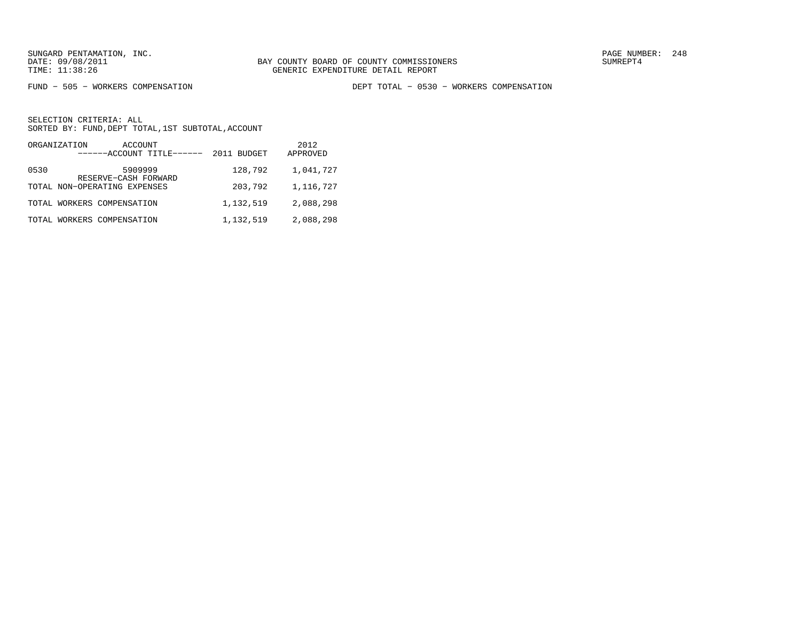FUND − 505 − WORKERS COMPENSATION DEPT TOTAL − 0530 − WORKERS COMPENSATION

|      | ORGANIZATION<br>ACCOUNT<br>------ACCOUNT TITLE------ | 2011 BUDGET | 2012<br>APPROVED |
|------|------------------------------------------------------|-------------|------------------|
| 0530 | 5909999<br>RESERVE-CASH FORWARD                      | 128,792     | 1,041,727        |
|      | TOTAL NON-OPERATING EXPENSES                         | 203,792     | 1,116,727        |
|      | TOTAL WORKERS COMPENSATION                           | 1,132,519   | 2,088,298        |
|      | TOTAL WORKERS COMPENSATION                           | 1,132,519   | 2,088,298        |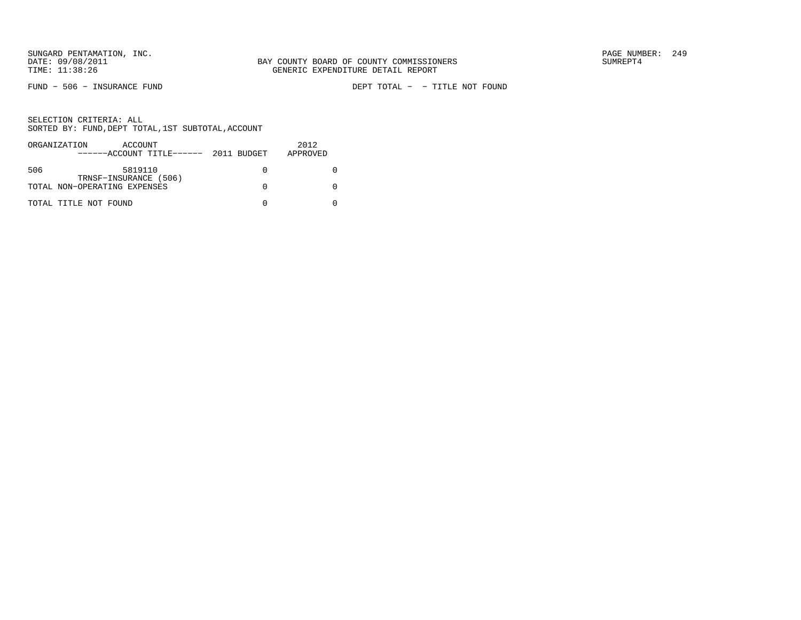FUND − 506 − INSURANCE FUND DEPT TOTAL − − TITLE NOT FOUND

|     | ORGANIZATION<br>ACCOUNT<br>$---ACCOUNT$ TITLE $---2011$ BUDGET | 2012<br>APPROVED |
|-----|----------------------------------------------------------------|------------------|
| 506 | 5819110<br>TRNSF-INSURANCE (506)                               |                  |
|     | TOTAL NON-OPERATING EXPENSES                                   |                  |
|     | TOTAL TITLE NOT FOUND                                          |                  |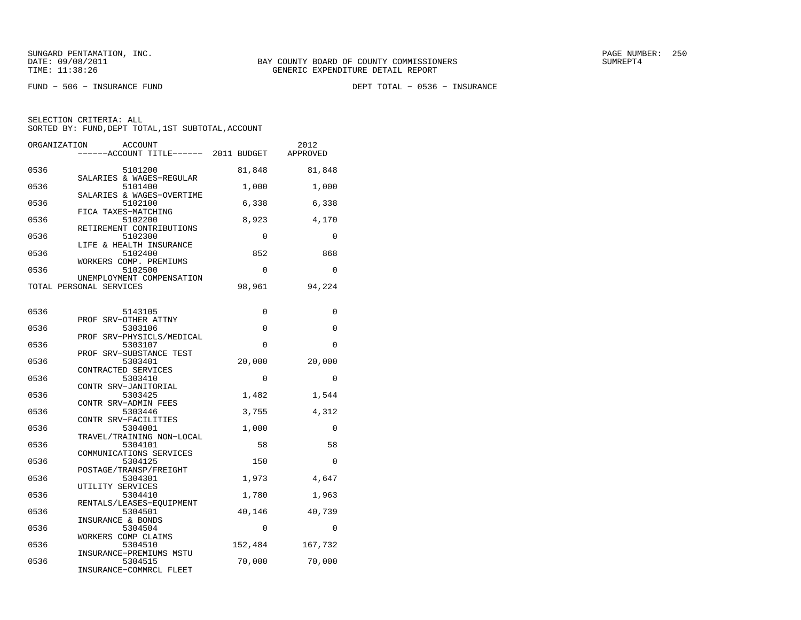FUND − 506 − INSURANCE FUND DEPT TOTAL − 0536 − INSURANCE

| ORGANIZATION<br><b>ACCOUNT</b><br>-----ACCOUNT TITLE------ 2011 BUDGET  |              | 2012<br>APPROVED |
|-------------------------------------------------------------------------|--------------|------------------|
| 0536<br>5101200<br>SALARIES & WAGES-REGULAR                             | 81,848       | 81,848           |
| 0536<br>5101400<br>SALARIES & WAGES-OVERTIME                            | 1,000        | 1,000            |
| 0536<br>5102100<br>FICA TAXES-MATCHING                                  | 6,338        | 6,338            |
| 0536<br>5102200<br>RETIREMENT CONTRIBUTIONS                             | 8,923        | 4,170            |
| 0536<br>5102300<br>LIFE & HEALTH INSURANCE                              | 0            | 0                |
| 0536<br>5102400<br>WORKERS COMP. PREMIUMS                               | 852          | 868              |
| 0536<br>5102500<br>UNEMPLOYMENT COMPENSATION                            | 0            | 0                |
| TOTAL PERSONAL SERVICES                                                 | 98,961       | 94,224           |
| 0536<br>5143105                                                         | 0            | 0                |
| PROF SRV-OTHER ATTNY<br>0536<br>5303106                                 | $\Omega$     | 0                |
| PROF SRV-PHYSICLS/MEDICAL<br>0536<br>5303107<br>PROF SRV-SUBSTANCE TEST | 0            | 0                |
| 0536<br>5303401<br>CONTRACTED SERVICES                                  | 20,000       | 20,000           |
| 0536<br>5303410<br>CONTR SRV-JANITORIAL                                 | $\Omega$     | $\Omega$         |
| 0536<br>5303425<br>CONTR SRV-ADMIN FEES                                 | 1,482        | 1,544            |
| 0536<br>5303446<br>CONTR SRV-FACILITIES                                 | 3,755        | 4,312            |
| 0536<br>5304001<br>TRAVEL/TRAINING NON-LOCAL                            | 1,000        | $\mathbf 0$      |
| 0536<br>5304101<br>COMMUNICATIONS SERVICES                              | 58           | 58               |
| 0536<br>5304125<br>POSTAGE/TRANSP/FREIGHT                               | 150          | $\mathbf 0$      |
| 0536<br>5304301<br>UTILITY SERVICES                                     | 1,973        | 4,647            |
| 0536<br>5304410<br>RENTALS/LEASES-EOUIPMENT                             | 1,780        | 1,963            |
| 0536<br>5304501<br>INSURANCE & BONDS                                    | 40,146       | 40,739           |
| 0536<br>5304504<br>WORKERS COMP CLAIMS<br>0536<br>5304510               | 0<br>152,484 | 0<br>167,732     |
| INSURANCE-PREMIUMS MSTU<br>0536<br>5304515                              | 70,000       | 70,000           |
| INSURANCE-COMMRCL FLEET                                                 |              |                  |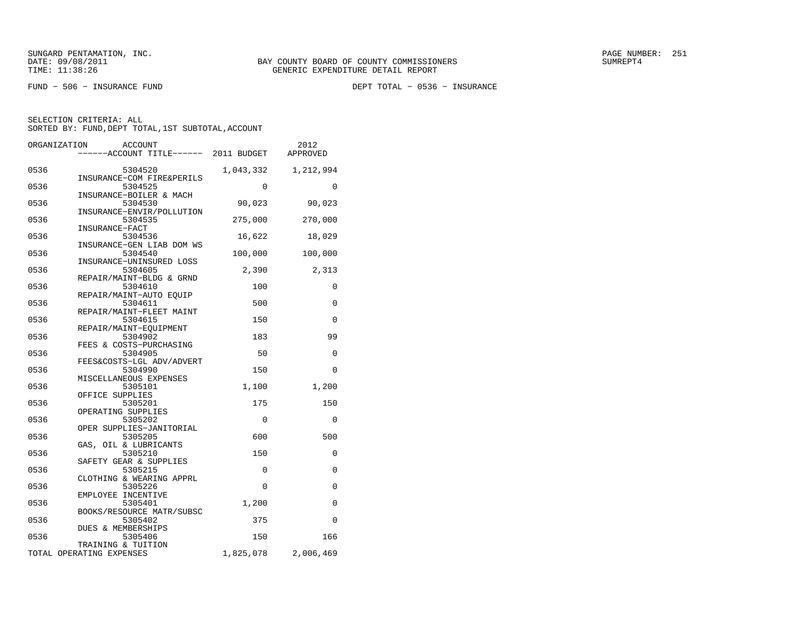FUND − 506 − INSURANCE FUND DEPT TOTAL − 0536 − INSURANCE

| ORGANIZATION | ACCOUNT<br>-----ACCOUNT TITLE------ 2011 BUDGET        |           | 2012<br>APPROVED |
|--------------|--------------------------------------------------------|-----------|------------------|
| 0536         | 5304520                                                | 1,043,332 | 1,212,994        |
| 0536         | INSURANCE-COM FIRE&PERILS<br>5304525                   | $\Omega$  | 0                |
| 0536         | INSURANCE-BOILER & MACH<br>5304530                     | 90,023    | 90,023           |
| 0536         | INSURANCE-ENVIR/POLLUTION<br>5304535<br>INSURANCE-FACT | 275,000   | 270,000          |
| 0536         | 5304536<br>INSURANCE-GEN LIAB DOM WS                   | 16,622    | 18,029           |
| 0536         | 5304540<br>INSURANCE-UNINSURED LOSS                    | 100,000   | 100,000          |
| 0536         | 5304605<br>REPAIR/MAINT-BLDG & GRND                    | 2,390     | 2,313            |
| 0536         | 5304610<br>REPAIR/MAINT-AUTO EQUIP                     | 100       | 0                |
| 0536         | 5304611<br>REPAIR/MAINT-FLEET MAINT                    | 500       | $\Omega$         |
| 0536         | 5304615<br>REPAIR/MAINT-EQUIPMENT                      | 150       | $\Omega$         |
| 0536         | 5304902<br>FEES & COSTS-PURCHASING                     | 183       | 99               |
| 0536         | 5304905<br>FEES&COSTS-LGL ADV/ADVERT                   | 50        | 0                |
| 0536         | 5304990<br>MISCELLANEOUS EXPENSES                      | 150       | $\Omega$         |
| 0536         | 5305101<br>OFFICE SUPPLIES                             | 1,100     | 1,200            |
| 0536         | 5305201<br>OPERATING SUPPLIES                          | 175       | 150              |
| 0536         | 5305202<br>OPER SUPPLIES-JANITORIAL                    | 0         | 0                |
| 0536         | 5305205<br>GAS, OIL & LUBRICANTS                       | 600       | 500              |
| 0536         | 5305210<br>SAFETY GEAR & SUPPLIES                      | 150       | 0                |
| 0536         | 5305215<br>CLOTHING & WEARING APPRL                    | 0         | 0                |
| 0536         | 5305226<br>EMPLOYEE INCENTIVE                          | $\Omega$  | 0                |
| 0536         | 5305401<br>BOOKS/RESOURCE MATR/SUBSC                   | 1,200     | 0                |
| 0536         | 5305402<br>DUES & MEMBERSHIPS                          | 375       | $\Omega$         |
| 0536         | 5305406<br>TRAINING & TUITION                          | 150       | 166              |
|              | TOTAL OPERATING EXPENSES                               | 1,825,078 | 2,006,469        |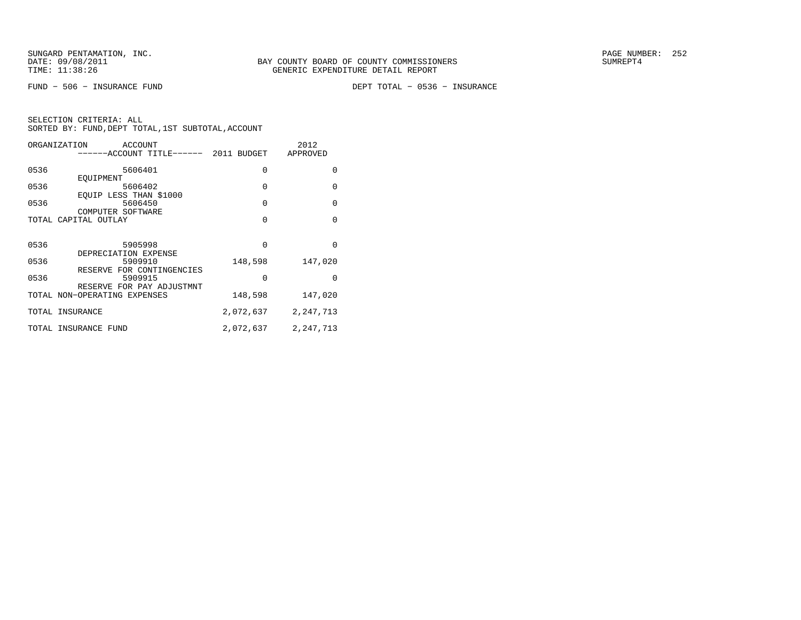FUND − 506 − INSURANCE FUND DEPT TOTAL − 0536 − INSURANCE

|      | ORGANIZATION<br>ACCOUNT<br>-----ACCOUNT TITLE------ 2011 BUDGET |             | 2012<br>APPROVED |
|------|-----------------------------------------------------------------|-------------|------------------|
| 0536 | 5606401                                                         | 0           | $\Omega$         |
| 0536 | EOUIPMENT<br>5606402                                            | $\mathbf 0$ | $\Omega$         |
|      | EQUIP LESS THAN \$1000                                          |             |                  |
| 0536 | 5606450<br>COMPUTER SOFTWARE                                    | $\Omega$    | $\Omega$         |
|      | TOTAL CAPITAL OUTLAY                                            | $\Omega$    | $\Omega$         |
|      |                                                                 |             |                  |
| 0536 | 5905998                                                         | $\Omega$    | $\Omega$         |
| 0536 | DEPRECIATION EXPENSE<br>5909910                                 | 148,598     | 147,020          |
|      | RESERVE FOR CONTINGENCIES                                       | $\Omega$    | $\Omega$         |
| 0536 | 5909915<br>RESERVE FOR PAY ADJUSTMNT                            |             |                  |
|      | TOTAL NON-OPERATING EXPENSES                                    | 148,598     | 147,020          |
|      | TOTAL INSURANCE                                                 | 2,072,637   | 2, 247, 713      |
|      | TOTAL INSURANCE FUND                                            | 2,072,637   | 2, 247, 713      |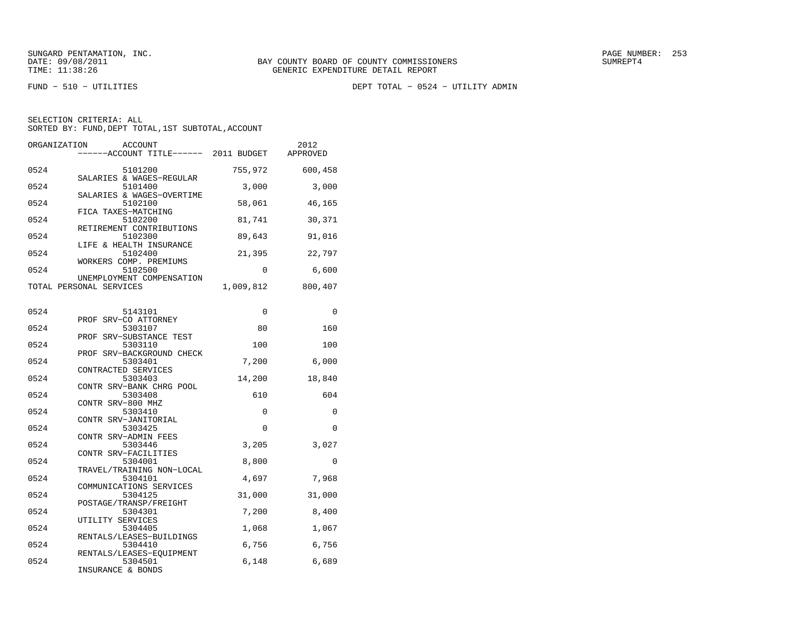FUND − 510 − UTILITIES DEPT TOTAL − 0524 − UTILITY ADMIN

| ORGANIZATION | <b>ACCOUNT</b><br>-----ACCOUNT TITLE------ 2011 BUDGET           |           | 2012<br>APPROVED |
|--------------|------------------------------------------------------------------|-----------|------------------|
| 0524         | 5101200                                                          | 755,972   | 600,458          |
| 0524         | SALARIES & WAGES-REGULAR<br>5101400<br>SALARIES & WAGES-OVERTIME | 3,000     | 3,000            |
| 0524         | 5102100<br>FICA TAXES-MATCHING                                   | 58,061    | 46,165           |
| 0524         | 5102200<br>RETIREMENT CONTRIBUTIONS                              | 81,741    | 30,371           |
| 0524         | 5102300<br>LIFE & HEALTH INSURANCE                               | 89,643    | 91,016           |
| 0524         | 5102400<br>WORKERS COMP. PREMIUMS                                | 21,395    | 22,797           |
| 0524         | 5102500<br>UNEMPLOYMENT COMPENSATION                             | 0         | 6,600            |
|              | TOTAL PERSONAL SERVICES                                          | 1,009,812 | 800,407          |
| 0524         | 5143101                                                          | 0         | 0                |
| 0524         | PROF SRV-CO ATTORNEY<br>5303107                                  | 80        | 160              |
| 0524         | PROF SRV-SUBSTANCE TEST<br>5303110                               | 100       | 100              |
| 0524         | PROF SRV-BACKGROUND CHECK<br>5303401                             | 7,200     | 6,000            |
| 0524         | CONTRACTED SERVICES<br>5303403                                   | 14,200    | 18,840           |
| 0524         | CONTR SRV-BANK CHRG POOL<br>5303408                              | 610       | 604              |
| 0524         | CONTR SRV-800 MHZ<br>5303410<br>CONTR SRV-JANITORIAL             | 0         | $\mathbf 0$      |
| 0524         | 5303425<br>CONTR SRV-ADMIN FEES                                  | 0         | 0                |
| 0524         | 5303446<br>CONTR SRV-FACILITIES                                  | 3,205     | 3,027            |
| 0524         | 5304001<br>TRAVEL/TRAINING NON-LOCAL                             | 8,800     | 0                |
| 0524         | 5304101<br>COMMUNICATIONS SERVICES                               | 4,697     | 7,968            |
| 0524         | 5304125<br>POSTAGE/TRANSP/FREIGHT                                | 31,000    | 31,000           |
| 0524         | 5304301<br>UTILITY SERVICES                                      | 7,200     | 8,400            |
| 0524         | 5304405<br>RENTALS/LEASES-BUILDINGS                              | 1,068     | 1,067            |
| 0524         | 5304410<br>RENTALS/LEASES-EQUIPMENT                              | 6,756     | 6,756            |
| 0524         | 5304501<br>INSURANCE & BONDS                                     | 6,148     | 6,689            |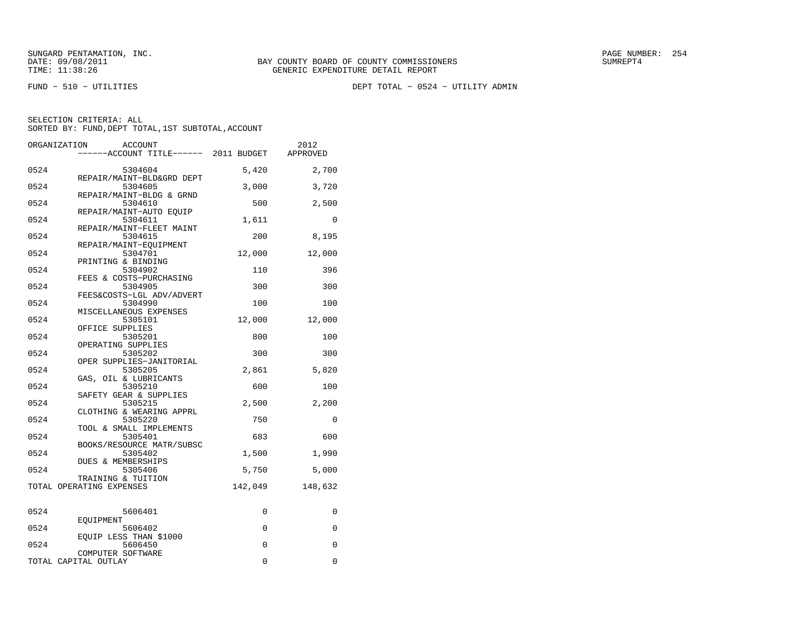FUND − 510 − UTILITIES DEPT TOTAL − 0524 − UTILITY ADMIN

| ORGANIZATION | <b>ACCOUNT</b>                      |             | 2012     |
|--------------|-------------------------------------|-------------|----------|
|              | ----ACCOUNT TITLE------ 2011 BUDGET |             | APPROVED |
|              |                                     |             |          |
| 0524         | 5304604                             | 5,420       | 2,700    |
|              | REPAIR/MAINT-BLD&GRD DEPT           |             |          |
| 0524         | 5304605                             | 3,000       | 3,720    |
|              | REPAIR/MAINT-BLDG & GRND            |             |          |
| 0524         | 5304610                             | 500         | 2,500    |
|              | REPAIR/MAINT-AUTO EQUIP             |             |          |
| 0524         | 5304611                             | 1,611       | 0        |
|              | REPAIR/MAINT-FLEET MAINT            |             |          |
| 0524         | 5304615                             | 200         | 8,195    |
|              | REPAIR/MAINT-EQUIPMENT              |             |          |
| 0524         | 5304701                             | 12,000      | 12,000   |
|              | PRINTING & BINDING                  |             |          |
| 0524         | 5304902                             | 110         | 396      |
|              | FEES & COSTS-PURCHASING             |             |          |
| 0524         | 5304905                             | 300         | 300      |
|              | FEES&COSTS-LGL ADV/ADVERT           |             |          |
| 0524         | 5304990                             | 100         | 100      |
| 0524         | MISCELLANEOUS EXPENSES              |             |          |
|              | 5305101<br>OFFICE SUPPLIES          | 12,000      | 12,000   |
| 0524         | 5305201                             | 800         | 100      |
|              | OPERATING SUPPLIES                  |             |          |
| 0524         | 5305202                             | 300         | 300      |
|              | OPER SUPPLIES-JANITORIAL            |             |          |
| 0524         | 5305205                             | 2,861       | 5,820    |
|              | GAS, OIL & LUBRICANTS               |             |          |
| 0524         | 5305210                             | 600         | 100      |
|              | SAFETY GEAR & SUPPLIES              |             |          |
| 0524         | 5305215                             | 2,500       | 2,200    |
|              | CLOTHING & WEARING APPRL            |             |          |
| 0524         | 5305220                             | 750         | 0        |
|              | TOOL & SMALL IMPLEMENTS             |             |          |
| 0524         | 5305401                             | 683         | 600      |
|              | BOOKS/RESOURCE MATR/SUBSC           |             |          |
| 0524         | 5305402                             | 1,500       | 1,990    |
|              | DUES & MEMBERSHIPS                  |             |          |
| 0524         | 5305406                             | 5,750       | 5,000    |
|              | TRAINING & TUITION                  |             |          |
|              | TOTAL OPERATING EXPENSES            | 142,049     | 148,632  |
|              |                                     |             |          |
|              |                                     |             |          |
| 0524         | 5606401                             | 0           | 0        |
|              | EOUIPMENT                           |             |          |
| 0524         | 5606402                             | $\mathbf 0$ | $\Omega$ |
|              | EQUIP LESS THAN \$1000              |             |          |
| 0524         | 5606450                             | $\Omega$    | $\Omega$ |
|              | COMPUTER SOFTWARE                   |             |          |
|              | TOTAL CAPITAL OUTLAY                | 0           | 0        |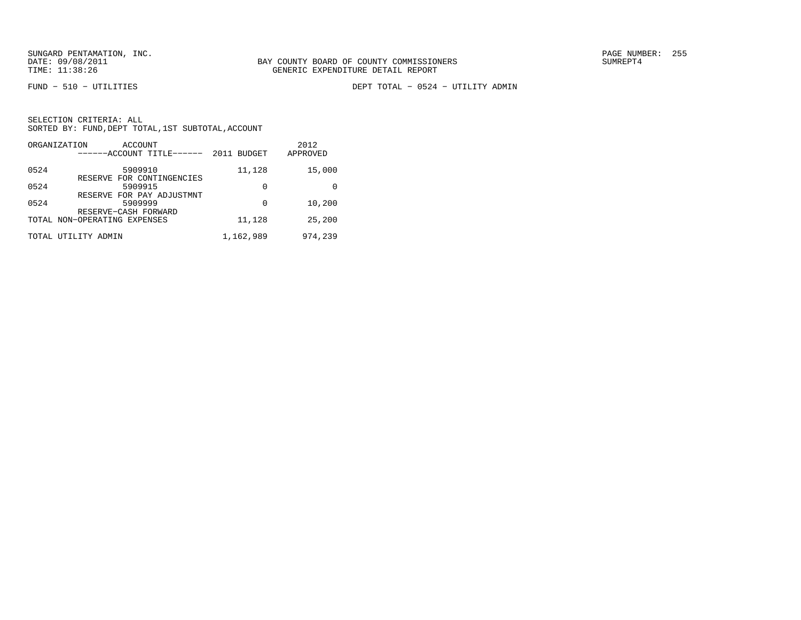FUND − 510 − UTILITIES DEPT TOTAL − 0524 − UTILITY ADMIN

| SELECTION CRITERIA: ALL |                                                    |
|-------------------------|----------------------------------------------------|
|                         | SORTED BY: FUND, DEPT TOTAL, 1ST SUBTOTAL, ACCOUNT |

| ORGANIZATION<br>ACCOUNT<br>------ACCOUNT TITLE------ | 2011 BUDGET | 2012<br>APPROVED |
|------------------------------------------------------|-------------|------------------|
| 0524<br>5909910<br>RESERVE FOR CONTINGENCIES         | 11,128      | 15,000           |
| 0524<br>5909915<br>RESERVE FOR PAY ADJUSTMNT         | 0           | 0                |
| 0524<br>5909999<br>RESERVE-CASH FORWARD              | 0           | 10,200           |
| TOTAL NON-OPERATING EXPENSES                         | 11,128      | 25,200           |
| TOTAL UTILITY ADMIN                                  | 1,162,989   | 974,239          |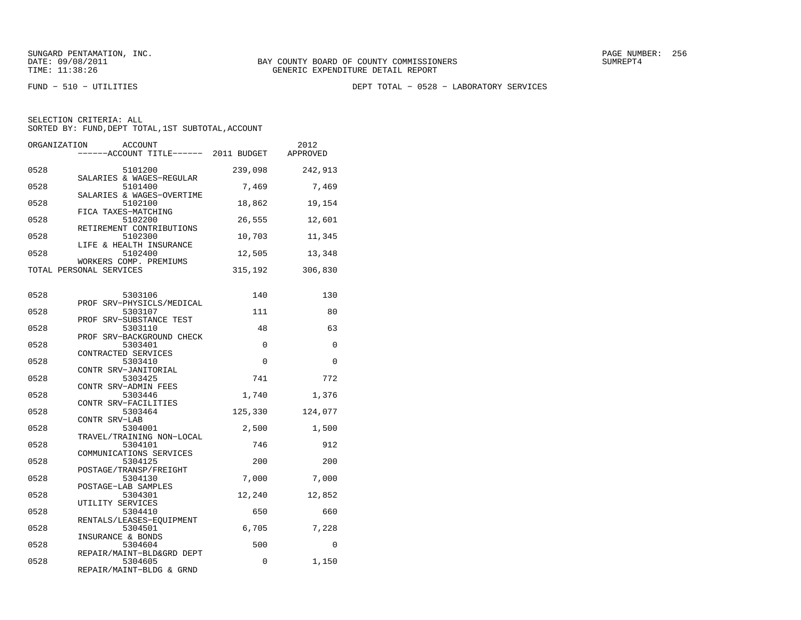FUND − 510 − UTILITIES DEPT TOTAL − 0528 − LABORATORY SERVICES

| ORGANIZATION | <b>ACCOUNT</b><br>------ACCOUNT TITLE------ 2011 BUDGET |         | 2012<br>APPROVED |
|--------------|---------------------------------------------------------|---------|------------------|
| 0528         | 5101200<br>SALARIES & WAGES-REGULAR                     | 239,098 | 242,913          |
| 0528         | 5101400<br>SALARIES & WAGES-OVERTIME                    | 7,469   | 7,469            |
| 0528         | 5102100<br>FICA TAXES-MATCHING                          | 18,862  | 19,154           |
| 0528         | 5102200<br>RETIREMENT CONTRIBUTIONS                     | 26,555  | 12,601           |
| 0528         | 5102300<br>LIFE & HEALTH INSURANCE                      | 10,703  | 11,345           |
| 0528         | 5102400<br>WORKERS COMP. PREMIUMS                       | 12,505  | 13,348           |
|              | TOTAL PERSONAL SERVICES                                 | 315,192 | 306,830          |
| 0528         | 5303106                                                 | 140     | 130              |
| 0528         | PROF SRV-PHYSICLS/MEDICAL<br>5303107                    | 111     | 80               |
| 0528         | PROF SRV-SUBSTANCE TEST<br>5303110                      | 48      | 63               |
| 0528         | PROF SRV-BACKGROUND CHECK<br>5303401                    | 0       | 0                |
| 0528         | CONTRACTED SERVICES<br>5303410<br>CONTR SRV-JANITORIAL  | 0       | 0                |
| 0528         | 5303425<br>CONTR SRV-ADMIN FEES                         | 741     | 772              |
| 0528         | 5303446<br>CONTR SRV-FACILITIES                         | 1,740   | 1,376            |
| 0528         | 5303464<br>CONTR SRV-LAB                                | 125,330 | 124,077          |
| 0528         | 5304001<br>TRAVEL/TRAINING NON-LOCAL                    | 2,500   | 1,500            |
| 0528         | 5304101<br>COMMUNICATIONS SERVICES                      | 746     | 912              |
| 0528         | 5304125<br>POSTAGE/TRANSP/FREIGHT                       | 200     | 200              |
| 0528         | 5304130<br>POSTAGE-LAB SAMPLES                          | 7,000   | 7,000            |
| 0528         | 5304301<br>UTILITY SERVICES                             | 12,240  | 12,852           |
| 0528         | 5304410<br>RENTALS/LEASES-EOUIPMENT                     | 650     | 660              |
| 0528         | 5304501<br>INSURANCE & BONDS                            | 6,705   | 7,228            |
| 0528         | 5304604<br>REPAIR/MAINT-BLD&GRD DEPT                    | 500     | 0                |
| 0528         | 5304605<br>REPAIR/MAINT-BLDG & GRND                     | 0       | 1,150            |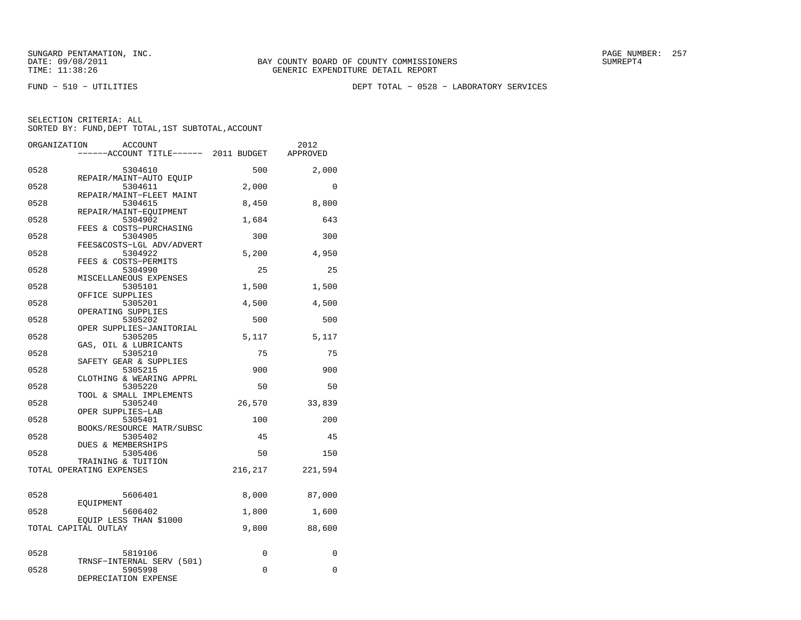FUND − 510 − UTILITIES DEPT TOTAL − 0528 − LABORATORY SERVICES

| ORGANIZATION | ACCOUNT                                        |             | 2012     |
|--------------|------------------------------------------------|-------------|----------|
|              | ----ACCOUNT TITLE------ 2011 BUDGET            |             | APPROVED |
| 0528         | 5304610                                        | 500         | 2,000    |
| 0528         | REPAIR/MAINT-AUTO EOUIP<br>5304611             | 2,000       | $\Omega$ |
| 0528         | REPAIR/MAINT-FLEET MAINT<br>5304615            | 8,450       | 8,800    |
| 0528         | REPAIR/MAINT-EOUIPMENT<br>5304902              | 1,684       | 643      |
| 0528         | FEES & COSTS-PURCHASING<br>5304905             | 300         | 300      |
| 0528         | FEES&COSTS-LGL ADV/ADVERT<br>5304922           | 5.200       | 4,950    |
| 0528         | FEES & COSTS-PERMITS<br>5304990                | 25          | 25       |
| 0528         | MISCELLANEOUS EXPENSES<br>5305101              | 1,500       | 1,500    |
| 0528         | OFFICE SUPPLIES<br>5305201                     | 4,500       | 4,500    |
| 0528         | OPERATING SUPPLIES<br>5305202                  | 500         | 500      |
| 0528         | OPER SUPPLIES-JANITORIAL<br>5305205            | 5,117       | 5,117    |
| 0528         | GAS, OIL & LUBRICANTS<br>5305210               | 75          | 75       |
| 0528         | SAFETY GEAR & SUPPLIES<br>5305215              | 900         | 900      |
| 0528         | CLOTHING & WEARING APPRL<br>5305220            | 50          | 50       |
| 0528         | TOOL & SMALL IMPLEMENTS<br>5305240             | 26,570      | 33,839   |
|              | OPER SUPPLIES-LAB                              |             |          |
| 0528         | 5305401<br>BOOKS/RESOURCE MATR/SUBSC           | 100         | 200      |
| 0528         | 5305402<br><b>DUES &amp; MEMBERSHIPS</b>       | 45          | 45       |
| 0528         | 5305406<br>TRAINING & TUITION                  | 50          | 150      |
|              | TOTAL OPERATING EXPENSES                       | 216,217     | 221,594  |
| 0528         | 5606401                                        | 8,000       | 87,000   |
| 0528         | EOUIPMENT<br>5606402                           | 1,800       | 1,600    |
|              | EQUIP LESS THAN \$1000<br>TOTAL CAPITAL OUTLAY | 9,800       | 88,600   |
|              |                                                |             |          |
| 0528         | 5819106<br>TRNSF-INTERNAL SERV (501)           | $\mathbf 0$ | 0        |
| 0528         | 5905998<br>DEPRECIATION EXPENSE                | $\Omega$    | $\Omega$ |